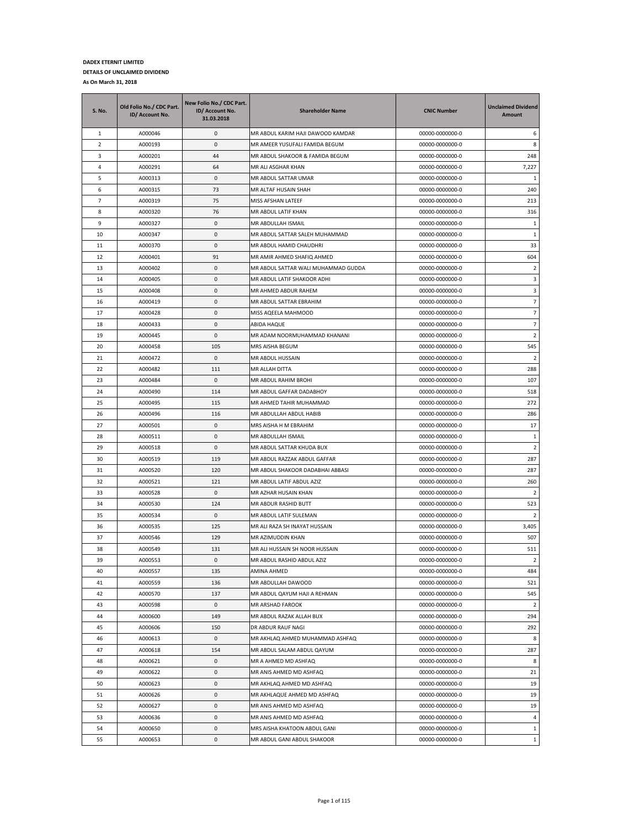| <b>S. No.</b>  | Old Folio No./ CDC Part.<br>ID/ Account No. | New Folio No./ CDC Part.<br>ID/ Account No.<br>31.03.2018 | <b>Shareholder Name</b>             | <b>CNIC Number</b> | <b>Unclaimed Dividend</b><br>Amount |
|----------------|---------------------------------------------|-----------------------------------------------------------|-------------------------------------|--------------------|-------------------------------------|
| 1              | A000046                                     | 0                                                         | MR ABDUL KARIM HAJI DAWOOD KAMDAR   | 00000-0000000-0    | 6                                   |
| $\overline{2}$ | A000193                                     | 0                                                         | MR AMEER YUSUFALI FAMIDA BEGUM      | 00000-0000000-0    | 8                                   |
| 3              | A000201                                     | 44                                                        | MR ABDUL SHAKOOR & FAMIDA BEGUM     | 00000-0000000-0    | 248                                 |
| $\overline{4}$ | A000291                                     | 64                                                        | MR ALI ASGHAR KHAN                  | 00000-0000000-0    | 7,227                               |
| 5              | A000313                                     | 0                                                         | MR ABDUL SATTAR UMAR                | 00000-0000000-0    | 1                                   |
| 6              | A000315                                     | 73                                                        | MR ALTAF HUSAIN SHAH                | 00000-0000000-0    | 240                                 |
| 7              | A000319                                     | 75                                                        | MISS AFSHAN LATEEF                  | 00000-0000000-0    | 213                                 |
| 8              | A000320                                     | 76                                                        | MR ABDUL LATIF KHAN                 | 00000-0000000-0    | 316                                 |
| 9              | A000327                                     | 0                                                         | MR ABDULLAH ISMAIL                  | 00000-0000000-0    | 1                                   |
| 10             | A000347                                     | 0                                                         | MR ABDUL SATTAR SALEH MUHAMMAD      | 00000-0000000-0    | $\mathbf{1}$                        |
| 11             | A000370                                     | 0                                                         | MR ABDUL HAMID CHAUDHRI             | 00000-0000000-0    | 33                                  |
| 12             | A000401                                     | 91                                                        | MR AMIR AHMED SHAFIQ AHMED          | 00000-0000000-0    | 604                                 |
| 13             | A000402                                     | 0                                                         | MR ABDUL SATTAR WALI MUHAMMAD GUDDA | 00000-0000000-0    | $\overline{2}$                      |
| 14             | A000405                                     | 0                                                         | MR ABDUL LATIF SHAKOOR ADHI         | 00000-0000000-0    | 3                                   |
| 15             | A000408                                     | 0                                                         | MR AHMED ABDUR RAHEM                | 00000-0000000-0    | 3                                   |
| 16             | A000419                                     | 0                                                         | MR ABDUL SATTAR EBRAHIM             | 00000-0000000-0    | $\overline{7}$                      |
| 17             | A000428                                     | 0                                                         | MISS AQEELA MAHMOOD                 | 00000-0000000-0    | $\overline{7}$                      |
| 18             | A000433                                     | 0                                                         | ABIDA HAQUE                         | 00000-0000000-0    | $\overline{\phantom{a}}$            |
| 19             | A000445                                     | 0                                                         | MR ADAM NOORMUHAMMAD KHANANI        | 00000-0000000-0    | 2                                   |
| 20             | A000458                                     | 105                                                       | MRS AISHA BEGUM                     | 00000-0000000-0    | 545                                 |
| 21             | A000472                                     | 0                                                         | MR ABDUL HUSSAIN                    | 00000-0000000-0    | 2                                   |
| 22             | A000482                                     | 111                                                       | MR ALLAH DITTA                      | 00000-0000000-0    | 288                                 |
| 23             | A000484                                     | 0                                                         | MR ABDUL RAHIM BROHI                | 00000-0000000-0    | 107                                 |
| 24             | A000490                                     | 114                                                       | MR ABDUL GAFFAR DADABHOY            | 00000-0000000-0    | 518                                 |
| 25             | A000495                                     | 115                                                       | MR AHMED TAHIR MUHAMMAD             | 00000-0000000-0    | 272                                 |
| 26             | A000496                                     | 116                                                       | MR ABDULLAH ABDUL HABIB             | 00000-0000000-0    | 286                                 |
| 27             | A000501                                     | 0                                                         | MRS AISHA H M EBRAHIM               | 00000-0000000-0    | 17                                  |
| 28             | A000511                                     | 0                                                         | MR ABDULLAH ISMAIL                  | 00000-0000000-0    | $\mathbf{1}$                        |
| 29             | A000518                                     | 0                                                         | MR ABDUL SATTAR KHUDA BUX           | 00000-0000000-0    | $\overline{2}$                      |
| 30             | A000519                                     | 119                                                       | MR ABDUL RAZZAK ABDUL GAFFAR        | 00000-0000000-0    | 287                                 |
| 31             | A000520                                     | 120                                                       | MR ABDUL SHAKOOR DADABHAI ABBASI    | 00000-0000000-0    | 287                                 |
| 32             | A000521                                     | 121                                                       | MR ABDUL LATIF ABDUL AZIZ           | 00000-0000000-0    | 260                                 |
| 33             | A000528                                     | 0                                                         | MR AZHAR HUSAIN KHAN                | 00000-0000000-0    | 2                                   |
| 34             | A000530                                     | 124                                                       | MR ABDUR RASHID BUTT                | 00000-0000000-0    | 523                                 |
| 35             | A000534                                     | 0                                                         | MR ABDUL LATIF SULEMAN              | 00000-0000000-0    | $\overline{2}$                      |
| 36             | A000535                                     | 125                                                       | MR ALI RAZA SH INAYAT HUSSAIN       | 00000-0000000-0    | 3,405                               |
| 37             | A000546                                     | 129                                                       | MR AZIMUDDIN KHAN                   | 00000-0000000-0    | 507                                 |
| 38             | A000549                                     | 131                                                       | MR ALI HUSSAIN SH NOOR HUSSAIN      | 00000-0000000-0    | 511                                 |
| 39             | A000553                                     | $\Omega$                                                  | MR ABDUL RASHID ABDUL AZIZ          | 00000-0000000-0    | 2                                   |
| 40             | A000557                                     | 135                                                       | AMINA AHMED                         | 00000-0000000-0    | 484                                 |
| 41             | A000559                                     | 136                                                       | MR ABDULLAH DAWOOD                  | 00000-0000000-0    | 521                                 |
| 42             | A000570                                     | 137                                                       | MR ABDUL QAYUM HAJI A REHMAN        | 00000-0000000-0    | 545                                 |
| 43             | A000598                                     | 0                                                         | MR ARSHAD FAROOK                    | 00000-0000000-0    | $\overline{2}$                      |
| 44             | A000600                                     | 149                                                       | MR ABDUL RAZAK ALLAH BUX            | 00000-0000000-0    | 294                                 |
| 45             | A000606                                     | 150                                                       | DR ABDUR RAUF NAGI                  | 00000-0000000-0    | 292                                 |
| 46             | A000613                                     | 0                                                         | MR AKHLAQ AHMED MUHAMMAD ASHFAQ     | 00000-0000000-0    | 8                                   |
| 47             | A000618                                     | 154                                                       | MR ABDUL SALAM ABDUL QAYUM          | 00000-0000000-0    | 287                                 |
| 48             | A000621                                     | 0                                                         | MR A AHMED MD ASHFAQ                | 00000-0000000-0    | 8                                   |
| 49             | A000622                                     | 0                                                         | MR ANIS AHMED MD ASHFAQ             | 00000-0000000-0    | 21                                  |
| 50             | A000623                                     | 0                                                         | MR AKHLAQ AHMED MD ASHFAQ           | 00000-0000000-0    | 19                                  |
| 51             | A000626                                     | 0                                                         | MR AKHLAQUE AHMED MD ASHFAQ         | 00000-0000000-0    | 19                                  |
| 52             | A000627                                     | 0                                                         | MR ANIS AHMED MD ASHFAQ             | 00000-0000000-0    | 19                                  |
| 53             | A000636                                     | 0                                                         | MR ANIS AHMED MD ASHFAQ             | 00000-0000000-0    | $\overline{4}$                      |
| 54             | A000650                                     | 0                                                         | MRS AISHA KHATOON ABDUL GANI        | 00000-0000000-0    | $\mathbf{1}$                        |
| 55             | A000653                                     | 0                                                         | MR ABDUL GANI ABDUL SHAKOOR         | 00000-0000000-0    | $\mathbf{1}$                        |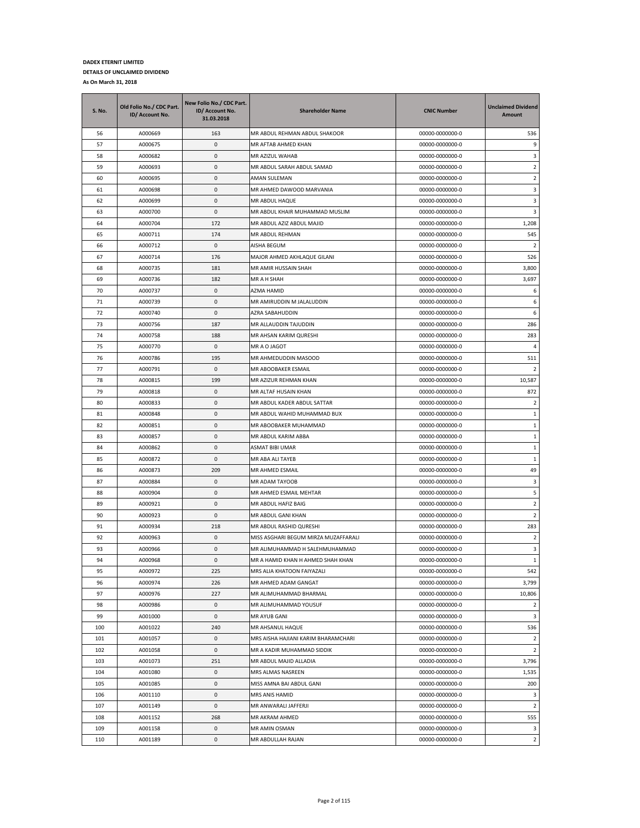| <b>S. No.</b> | Old Folio No./ CDC Part.<br>ID/ Account No. | New Folio No./ CDC Part.<br>ID/ Account No.<br>31.03.2018 | <b>Shareholder Name</b>                              | <b>CNIC Number</b>                 | <b>Unclaimed Dividend</b><br><b>Amount</b> |
|---------------|---------------------------------------------|-----------------------------------------------------------|------------------------------------------------------|------------------------------------|--------------------------------------------|
| 56            | A000669                                     | 163                                                       | MR ABDUL REHMAN ABDUL SHAKOOR                        | 00000-0000000-0                    | 536                                        |
| 57            | A000675                                     | 0                                                         | MR AFTAB AHMED KHAN                                  | 00000-0000000-0                    | 9                                          |
| 58            | A000682                                     | 0                                                         | MR AZIZUL WAHAB                                      | 00000-0000000-0                    | 3                                          |
| 59            | A000693                                     | 0                                                         | MR ABDUL SARAH ABDUL SAMAD                           | 00000-0000000-0                    | $\overline{2}$                             |
| 60            | A000695                                     | 0                                                         | AMAN SULEMAN                                         | 00000-0000000-0                    | $\overline{2}$                             |
| 61            | A000698                                     | 0                                                         | MR AHMED DAWOOD MARVANIA                             | 00000-0000000-0                    | 3                                          |
| 62            | A000699                                     | 0                                                         | MR ABDUL HAQUE                                       | 00000-0000000-0                    | 3                                          |
| 63            | A000700                                     | 0                                                         | MR ABDUL KHAIR MUHAMMAD MUSLIM                       | 00000-0000000-0                    | 3                                          |
| 64            | A000704                                     | 172                                                       | MR ABDUL AZIZ ABDUL MAJID                            | 00000-0000000-0                    | 1,208                                      |
| 65            | A000711                                     | 174                                                       | MR ABDUL REHMAN                                      | 00000-0000000-0                    | 545                                        |
| 66            | A000712                                     | 0                                                         | AISHA BEGUM                                          | 00000-0000000-0                    | $\overline{2}$                             |
| 67            | A000714                                     | 176                                                       | MAJOR AHMED AKHLAQUE GILANI                          | 00000-0000000-0                    | 526                                        |
| 68            | A000735                                     | 181                                                       | MR AMIR HUSSAIN SHAH                                 | 00000-0000000-0                    | 3,800                                      |
| 69            | A000736                                     | 182                                                       | MR A H SHAH                                          | 00000-0000000-0                    | 3,697                                      |
| 70            | A000737                                     | 0                                                         | AZMA HAMID                                           | 00000-0000000-0                    | 6                                          |
| 71            | A000739                                     | 0                                                         | MR AMIRUDDIN M JALALUDDIN                            | 00000-0000000-0                    | 6                                          |
| 72            | A000740                                     | 0                                                         | AZRA SABAHUDDIN                                      | 00000-0000000-0                    | 6                                          |
| 73            | A000756                                     | 187                                                       | MR ALLAUDDIN TAJUDDIN                                | 00000-0000000-0                    | 286                                        |
| 74            | A000758                                     | 188                                                       | MR AHSAN KARIM QURESHI                               | 00000-0000000-0                    | 283                                        |
| 75            | A000770                                     | 0                                                         | MR A O JAGOT                                         | 00000-0000000-0                    | 4                                          |
| 76            | A000786                                     | 195                                                       | MR AHMEDUDDIN MASOOD                                 | 00000-0000000-0                    | 511                                        |
| 77            | A000791                                     | 0                                                         | MR ABOOBAKER ESMAIL                                  | 00000-0000000-0                    | 2                                          |
| 78            | A000815<br>A000818                          | 199                                                       | MR AZIZUR REHMAN KHAN                                | 00000-0000000-0                    | 10,587                                     |
| 79            |                                             | 0                                                         | MR ALTAF HUSAIN KHAN                                 | 00000-0000000-0                    | 872                                        |
| 80            | A000833                                     | 0<br>0                                                    | MR ABDUL KADER ABDUL SATTAR                          | 00000-0000000-0                    | $\overline{2}$<br>$\mathbf{1}$             |
| 81<br>82      | A000848<br>A000851                          | 0                                                         | MR ABDUL WAHID MUHAMMAD BUX<br>MR ABOOBAKER MUHAMMAD | 00000-0000000-0<br>00000-0000000-0 | $1\,$                                      |
| 83            | A000857                                     | 0                                                         | MR ABDUL KARIM ABBA                                  | 00000-0000000-0                    | 1                                          |
| 84            | A000862                                     | 0                                                         | ASMAT BIBI UMAR                                      | 00000-0000000-0                    | 1                                          |
| 85            | A000872                                     | 0                                                         | MR ABA ALI TAYEB                                     | 00000-0000000-0                    | $\mathbf{1}$                               |
| 86            | A000873                                     | 209                                                       | MR AHMED ESMAIL                                      | 00000-0000000-0                    | 49                                         |
| 87            | A000884                                     | 0                                                         | MR ADAM TAYOOB                                       | 00000-0000000-0                    | 3                                          |
| 88            | A000904                                     | 0                                                         | MR AHMED ESMAIL MEHTAR                               | 00000-0000000-0                    | 5                                          |
| 89            | A000921                                     | 0                                                         | MR ABDUL HAFIZ BAIG                                  | 00000-0000000-0                    | 2                                          |
| 90            | A000923                                     | 0                                                         | MR ABDUL GANI KHAN                                   | 00000-0000000-0                    | $\overline{2}$                             |
| 91            | A000934                                     | 218                                                       | MR ABDUL RASHID QURESHI                              | 00000-0000000-0                    | 283                                        |
| 92            | A000963                                     | 0                                                         | MISS ASGHARI BEGUM MIRZA MUZAFFARALI                 | 00000-0000000-0                    | $\overline{2}$                             |
| 93            | A000966                                     | 0                                                         | MR ALIMUHAMMAD H SALEHMUHAMMAD                       | 00000-0000000-0                    | 3                                          |
| 94            | A000968                                     | $\mathbf 0$                                               | MR A HAMID KHAN H AHMED SHAH KHAN                    | 00000-0000000-0                    | $\mathbf{1}$                               |
| 95            | A000972                                     | 225                                                       | MRS ALIA KHATOON FAIYAZALI                           | 00000-0000000-0                    | 542                                        |
| 96            | A000974                                     | 226                                                       | MR AHMED ADAM GANGAT                                 | 00000-0000000-0                    | 3,799                                      |
| 97            | A000976                                     | 227                                                       | MR ALIMUHAMMAD BHARMAL                               | 00000-0000000-0                    | 10,806                                     |
| 98            | A000986                                     | 0                                                         | MR ALIMUHAMMAD YOUSUF                                | 00000-0000000-0                    | $\overline{2}$                             |
| 99            | A001000                                     | 0                                                         | MR AYUB GANI                                         | 00000-0000000-0                    | 3                                          |
| 100           | A001022                                     | 240                                                       | MR AHSANUL HAQUE                                     | 00000-0000000-0                    | 536                                        |
| 101           | A001057                                     | 0                                                         | MRS AISHA HAJIANI KARIM BHARAMCHARI                  | 00000-0000000-0                    | $\overline{2}$                             |
| 102           | A001058                                     | 0                                                         | MR A KADIR MUHAMMAD SIDDIK                           | 00000-0000000-0                    | $\overline{2}$                             |
| 103           | A001073                                     | 251                                                       | MR ABDUL MAJID ALLADIA                               | 00000-0000000-0                    | 3,796                                      |
| 104           | A001080                                     | 0                                                         | MRS ALMAS NASREEN                                    | 00000-0000000-0                    | 1,535                                      |
| 105           | A001085                                     | 0                                                         | MISS AMNA BAI ABDUL GANI                             | 00000-0000000-0                    | 200                                        |
| 106           | A001110                                     | $\pmb{0}$                                                 | MRS ANIS HAMID                                       | 00000-0000000-0                    | 3                                          |
| 107           | A001149                                     | 0                                                         | MR ANWARALI JAFFERJI                                 | 00000-0000000-0                    | $\overline{2}$                             |
| 108           | A001152                                     | 268                                                       | MR AKRAM AHMED                                       | 00000-0000000-0                    | 555                                        |
| 109           | A001158                                     | 0                                                         | MR AMIN OSMAN                                        | 00000-0000000-0                    | 3                                          |
| 110           | A001189                                     | 0                                                         | MR ABDULLAH RAJAN                                    | 00000-0000000-0                    | $\overline{2}$                             |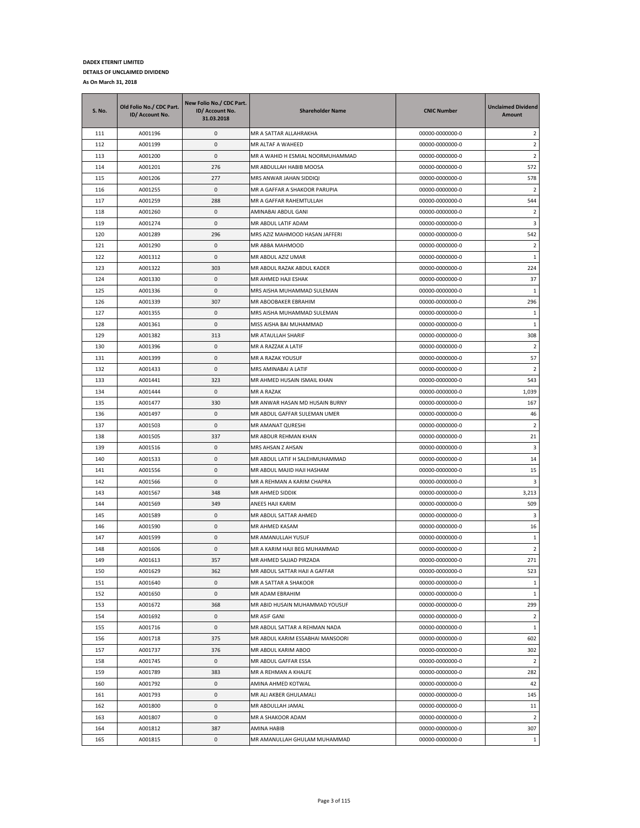| <b>S. No.</b> | Old Folio No./ CDC Part.<br>ID/ Account No. | New Folio No./ CDC Part.<br>ID/ Account No.<br>31.03.2018 | <b>Shareholder Name</b>          | <b>CNIC Number</b> | <b>Unclaimed Dividend</b><br><b>Amount</b> |
|---------------|---------------------------------------------|-----------------------------------------------------------|----------------------------------|--------------------|--------------------------------------------|
| 111           | A001196                                     | 0                                                         | MR A SATTAR ALLAHRAKHA           | 00000-0000000-0    | $\overline{2}$                             |
| 112           | A001199                                     | 0                                                         | MR ALTAF A WAHEED                | 00000-0000000-0    | $\overline{2}$                             |
| 113           | A001200                                     | 0                                                         | MR A WAHID H ESMIAL NOORMUHAMMAD | 00000-0000000-0    | 2                                          |
| 114           | A001201                                     | 276                                                       | MR ABDULLAH HABIB MOOSA          | 00000-0000000-0    | 572                                        |
| 115           | A001206                                     | 277                                                       | MRS ANWAR JAHAN SIDDIQI          | 00000-0000000-0    | 578                                        |
| 116           | A001255                                     | 0                                                         | MR A GAFFAR A SHAKOOR PARUPIA    | 00000-0000000-0    | $\overline{2}$                             |
| 117           | A001259                                     | 288                                                       | MR A GAFFAR RAHEMTULLAH          | 00000-0000000-0    | 544                                        |
| 118           | A001260                                     | 0                                                         | AMINABAI ABDUL GANI              | 00000-0000000-0    | $\overline{2}$                             |
| 119           | A001274                                     | 0                                                         | MR ABDUL LATIF ADAM              | 00000-0000000-0    | 3                                          |
| 120           | A001289                                     | 296                                                       | MRS AZIZ MAHMOOD HASAN JAFFERI   | 00000-0000000-0    | 542                                        |
| 121           | A001290                                     | 0                                                         | MR ABBA MAHMOOD                  | 00000-0000000-0    | $\overline{2}$                             |
| 122           | A001312                                     | 0                                                         | MR ABDUL AZIZ UMAR               | 00000-0000000-0    | $\mathbf{1}$                               |
| 123           | A001322                                     | 303                                                       | MR ABDUL RAZAK ABDUL KADER       | 00000-0000000-0    | 224                                        |
| 124           | A001330                                     | 0                                                         | MR AHMED HAJI ESHAK              | 00000-0000000-0    | 37                                         |
| 125           | A001336                                     | 0                                                         | MRS AISHA MUHAMMAD SULEMAN       | 00000-0000000-0    | 1                                          |
| 126           | A001339                                     | 307                                                       | MR ABOOBAKER EBRAHIM             | 00000-0000000-0    | 296                                        |
| 127           | A001355                                     | 0                                                         | MRS AISHA MUHAMMAD SULEMAN       | 00000-0000000-0    | 1                                          |
| 128           | A001361                                     | 0                                                         | MISS AISHA BAI MUHAMMAD          | 00000-0000000-0    | $\mathbf{1}$                               |
| 129           | A001382                                     | 313                                                       | MR ATAULLAH SHARIF               | 00000-0000000-0    | 308                                        |
| 130           | A001396                                     | 0                                                         | MR A RAZZAK A LATIF              | 00000-0000000-0    | $\overline{2}$                             |
| 131           | A001399                                     | 0                                                         | MR A RAZAK YOUSUF                | 00000-0000000-0    | 57                                         |
| 132           | A001433                                     | 0                                                         | MRS AMINABAI A LATIF             | 00000-0000000-0    | 2                                          |
| 133           | A001441                                     | 323                                                       | MR AHMED HUSAIN ISMAIL KHAN      | 00000-0000000-0    | 543                                        |
| 134           | A001444                                     | 0                                                         | MR A RAZAK                       | 00000-0000000-0    | 1,039                                      |
| 135           | A001477                                     | 330                                                       | MR ANWAR HASAN MD HUSAIN BURNY   | 00000-0000000-0    | 167                                        |
| 136           | A001497                                     | 0                                                         | MR ABDUL GAFFAR SULEMAN UMER     | 00000-0000000-0    | 46                                         |
| 137           | A001503                                     | 0                                                         | MR AMANAT QURESHI                | 00000-0000000-0    | $\overline{2}$                             |
| 138           | A001505                                     | 337                                                       | MR ABDUR REHMAN KHAN             | 00000-0000000-0    | 21                                         |
| 139           | A001516                                     | 0                                                         | MRS AHSAN Z AHSAN                | 00000-0000000-0    | 3                                          |
| 140           | A001533                                     | 0                                                         | MR ABDUL LATIF H SALEHMUHAMMAD   | 00000-0000000-0    | 14                                         |
| 141           | A001556                                     | 0                                                         | MR ABDUL MAJID HAJI HASHAM       | 00000-0000000-0    | 15                                         |
| 142           | A001566                                     | 0                                                         | MR A REHMAN A KARIM CHAPRA       | 00000-0000000-0    | 3                                          |
| 143           | A001567                                     | 348                                                       | MR AHMED SIDDIK                  | 00000-0000000-0    | 3,213                                      |
| 144           | A001569                                     | 349                                                       | ANEES HAJI KARIM                 | 00000-0000000-0    | 509                                        |
| 145           | A001589                                     | 0                                                         | MR ABDUL SATTAR AHMED            | 00000-0000000-0    | 3                                          |
| 146           | A001590                                     | 0                                                         | MR AHMED KASAM                   | 00000-0000000-0    | 16                                         |
| 147           | A001599                                     | 0                                                         | MR AMANULLAH YUSUF               | 00000-0000000-0    | $\mathbf{1}$                               |
| 148           | A001606                                     | $\mathbf 0$                                               | MR A KARIM HAJI BEG MUHAMMAD     | 00000-0000000-0    | $\overline{2}$                             |
| 149           | A001613                                     | 357                                                       | MR AHMED SAJJAD PIRZADA          | 00000-0000000-0    | 271                                        |
| 150           | A001629                                     | 362                                                       | MR ABDUL SATTAR HAJI A GAFFAR    | 00000-0000000-0    | 523                                        |
| 151           | A001640                                     | 0                                                         | MR A SATTAR A SHAKOOR            | 00000-0000000-0    | $\mathbf{1}$                               |
| 152           | A001650                                     | 0                                                         | MR ADAM EBRAHIM                  | 00000-0000000-0    | $\mathbf{1}$                               |
| 153           | A001672                                     | 368                                                       | MR ABID HUSAIN MUHAMMAD YOUSUF   | 00000-0000000-0    | 299                                        |
| 154           | A001692                                     | 0                                                         | MR ASIF GANI                     | 00000-0000000-0    | $\overline{2}$                             |
| 155           | A001716                                     | 0                                                         | MR ABDUL SATTAR A REHMAN NADA    | 00000-0000000-0    | 1                                          |
| 156           | A001718                                     | 375                                                       | MR ABDUL KARIM ESSABHAI MANSOORI | 00000-0000000-0    | 602                                        |
| 157           | A001737                                     | 376                                                       | MR ABDUL KARIM ABOO              | 00000-0000000-0    | 302                                        |
| 158           | A001745                                     | 0                                                         | MR ABDUL GAFFAR ESSA             | 00000-0000000-0    | $\overline{2}$                             |
| 159           | A001789                                     | 383                                                       | MR A REHMAN A KHALFE             | 00000-0000000-0    | 282                                        |
| 160           | A001792                                     | 0                                                         | AMINA AHMED KOTWAL               | 00000-0000000-0    | 42                                         |
| 161           | A001793                                     | $\pmb{0}$                                                 | MR ALI AKBER GHULAMALI           | 00000-0000000-0    | 145                                        |
| 162           | A001800                                     | 0                                                         | MR ABDULLAH JAMAL                | 00000-0000000-0    | 11                                         |
| 163           | A001807                                     | 0                                                         | MR A SHAKOOR ADAM                | 00000-0000000-0    | $\overline{2}$                             |
| 164           | A001812                                     | 387                                                       | AMINA HABIB                      | 00000-0000000-0    | 307                                        |
| 165           | A001815                                     | 0                                                         | MR AMANULLAH GHULAM MUHAMMAD     | 00000-0000000-0    | $\mathbf{1}$                               |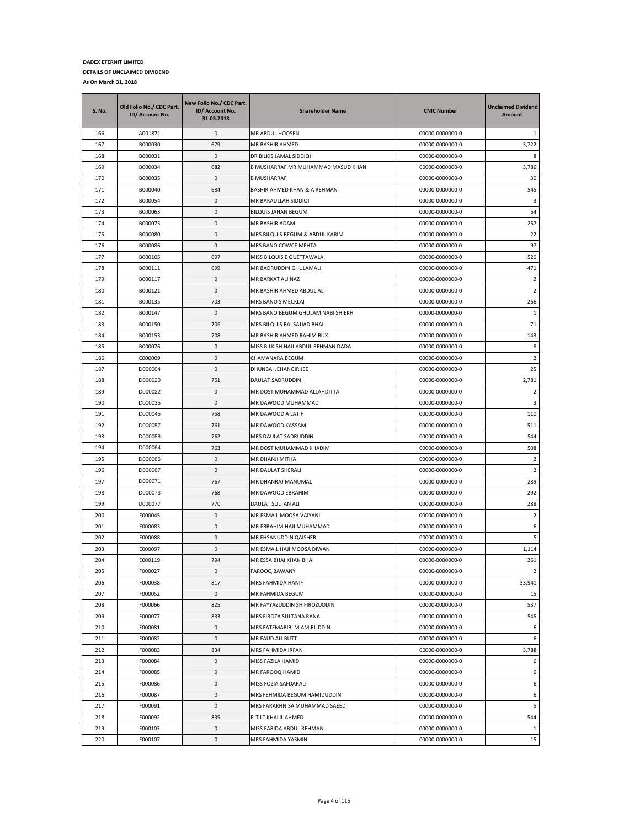| <b>S. No.</b> | Old Folio No./ CDC Part.<br>ID/ Account No. | New Folio No./ CDC Part.<br>ID/ Account No.<br>31.03.2018 | <b>Shareholder Name</b>             | <b>CNIC Number</b> | <b>Unclaimed Dividend</b><br>Amount |
|---------------|---------------------------------------------|-----------------------------------------------------------|-------------------------------------|--------------------|-------------------------------------|
| 166           | A001871                                     | 0                                                         | MR ABDUL HOOSEN                     | 00000-0000000-0    | 1                                   |
| 167           | B000030                                     | 679                                                       | MR BASHIR AHMED                     | 00000-0000000-0    | 3,722                               |
| 168           | B000031                                     | 0                                                         | DR BILKIS JAMAL SIDDIQI             | 00000-0000000-0    | 8                                   |
| 169           | B000034                                     | 682                                                       | B MUSHARRAF MR MUHAMMAD MASUD KHAN  | 00000-0000000-0    | 3,786                               |
| 170           | B000035                                     | 0                                                         | <b>B MUSHARRAF</b>                  | 00000-0000000-0    | 30                                  |
| 171           | B000040                                     | 684                                                       | BASHIR AHMED KHAN & A REHMAN        | 00000-0000000-0    | 545                                 |
| 172           | B000054                                     | 0                                                         | MR BAKAULLAH SIDDIQI                | 00000-0000000-0    | 3                                   |
| 173           | B000063                                     | 0                                                         | BILQUIS JAHAN BEGUM                 | 00000-0000000-0    | 54                                  |
| 174           | B000075                                     | 0                                                         | <b>MR BASHIR ADAM</b>               | 00000-0000000-0    | 257                                 |
| 175           | B000080                                     | 0                                                         | MRS BILQUIS BEGUM & ABDUL KARIM     | 00000-0000000-0    | 22                                  |
| 176           | B000086                                     | 0                                                         | MRS BANO COWCE MEHTA                | 00000-0000000-0    | 97                                  |
| 177           | B000105                                     | 697                                                       | MISS BILQUIS E QUETTAWALA           | 00000-0000000-0    | 520                                 |
| 178           | B000111                                     | 699                                                       | MR BADRUDDIN GHULAMALI              | 00000-0000000-0    | 471                                 |
| 179           | B000117                                     | 0                                                         | MR BARKAT ALI NAZ                   | 00000-0000000-0    | 2                                   |
| 180           | B000121                                     | 0                                                         | MR BASHIR AHMED ABDUL ALI           | 00000-0000000-0    | $\overline{2}$                      |
| 181           | B000135                                     | 703                                                       | MRS BANO S MECKLAI                  | 00000-0000000-0    | 266                                 |
| 182           | B000147                                     | 0                                                         | MRS BANO BEGUM GHULAM NABI SHIEKH   | 00000-0000000-0    | $\mathbf{1}$                        |
| 183           | B000150                                     | 706                                                       | MRS BILQUIS BAI SAJJAD BHAI         | 00000-0000000-0    | 71                                  |
| 184           | B000153                                     | 708                                                       | MR BASHIR AHMED RAHIM BUX           | 00000-0000000-0    | 143                                 |
| 185           | B000076                                     | 0                                                         | MISS BILKISH HAJI ABDUL REHMAN DADA | 00000-0000000-0    | 8                                   |
| 186           | C000009                                     | 0                                                         | CHAMANARA BEGUM                     | 00000-0000000-0    | 2                                   |
| 187           | D000004                                     | 0                                                         | DHUNBAI JEHANGIR JEE                | 00000-0000000-0    | 25                                  |
| 188           | D000020                                     | 751                                                       | DAULAT SADRUDDIN                    | 00000-0000000-0    | 2,781                               |
| 189           | D000022                                     | 0                                                         | MR DOST MUHAMMAD ALLAHDITTA         | 00000-0000000-0    | $\overline{2}$                      |
| 190           | D000035                                     | 0                                                         | MR DAWOOD MUHAMMAD                  | 00000-0000000-0    | 3                                   |
| 191           | D000045                                     | 758                                                       | MR DAWOOD A LATIF                   | 00000-0000000-0    | 110                                 |
| 192           | D000057                                     | 761                                                       | MR DAWOOD KASSAM                    | 00000-0000000-0    | 511                                 |
| 193           | D000058                                     | 762                                                       | MRS DAULAT SADRUDDIN                | 00000-0000000-0    | 544                                 |
| 194           | D000064                                     | 763                                                       | MR DOST MUHAMMAD KHADIM             | 00000-0000000-0    | 508                                 |
| 195           | D000066                                     | 0                                                         | MR DHANJI MITHA                     | 00000-0000000-0    | $\overline{2}$                      |
| 196           | D000067                                     | 0                                                         | MR DAULAT SHERALI                   | 00000-0000000-0    | $\overline{2}$                      |
| 197           | D000071                                     | 767                                                       | MR DHANRAJ MANUMAL                  | 00000-0000000-0    | 289                                 |
| 198           | D000073                                     | 768                                                       | MR DAWOOD EBRAHIM                   | 00000-0000000-0    | 292                                 |
| 199           | D000077                                     | 770                                                       | DAULAT SULTAN ALI                   | 00000-0000000-0    | 288                                 |
| 200           | E000045                                     | 0                                                         | MR ESMAIL MOOSA VAIYANI             | 00000-0000000-0    | $\overline{2}$                      |
| 201           | E000083                                     | 0                                                         | MR EBRAHIM HAJI MUHAMMAD            | 00000-0000000-0    | 6                                   |
| 202           | E000088                                     | 0                                                         | MR EHSANUDDIN QAISHER               | 00000-0000000-0    | 5                                   |
| 203           | E000097                                     | 0                                                         | MR ESMAIL HAJI MOOSA DIWAN          | 00000-0000000-0    | 1,114                               |
| 204           | E000119                                     | 794                                                       | MR ESSA BHAI KHAN BHAI              | 00000-0000000-0    | 261                                 |
| 205           | F000027                                     | 0                                                         | FAROOQ BAWANY                       | 00000-0000000-0    | $\overline{2}$                      |
| 206           | F000038                                     | 817                                                       | MRS FAHMIDA HANIF                   | 00000-0000000-0    | 33,941                              |
| 207           | F000052                                     | $\pmb{0}$                                                 | MR FAHMIDA BEGUM                    | 00000-0000000-0    | 15                                  |
| 208           | F000066                                     | 825                                                       | MR FAYYAZUDDIN SH FIROZUDDIN        | 00000-0000000-0    | 537                                 |
| 209           | F000077                                     | 833                                                       | MRS FIROZA SULTANA RANA             | 00000-0000000-0    | 545                                 |
| 210           | F000081                                     | 0                                                         | MRS FATEMABIBI M AMIRUDDIN          | 00000-0000000-0    | 6                                   |
| 211           | F000082                                     | 0                                                         | MR FAUD ALI BUTT                    | 00000-0000000-0    | 6                                   |
| 212           | F000083                                     | 834                                                       | MRS FAHMIDA IRFAN                   | 00000-0000000-0    | 3,788                               |
| 213           | F000084                                     | 0                                                         | MISS FAZILA HAMID                   | 00000-0000000-0    | 6                                   |
| 214           | F000085                                     | 0                                                         | MR FAROOQ HAMID                     | 00000-0000000-0    | 6                                   |
| 215           | F000086                                     | 0                                                         | MISS FOZIA SAFDARALI                | 00000-0000000-0    | 6                                   |
| 216           | F000087                                     | 0                                                         | MRS FEHMIDA BEGUM HAMIDUDDIN        | 00000-0000000-0    | 6                                   |
| 217           | F000091                                     | 0                                                         | MRS FARAKHNISA MUHAMMAD SAEED       | 00000-0000000-0    | 5                                   |
| 218           | F000092                                     | 835                                                       | FLT LT KHALIL AHMED                 | 00000-0000000-0    | 544                                 |
| 219           | F000103                                     | 0                                                         | MISS FARIDA ABDUL REHMAN            | 00000-0000000-0    | $\mathbf{1}$                        |
| 220           | F000107                                     | 0                                                         | MRS FAHMIDA YASMIN                  | 00000-0000000-0    | 15                                  |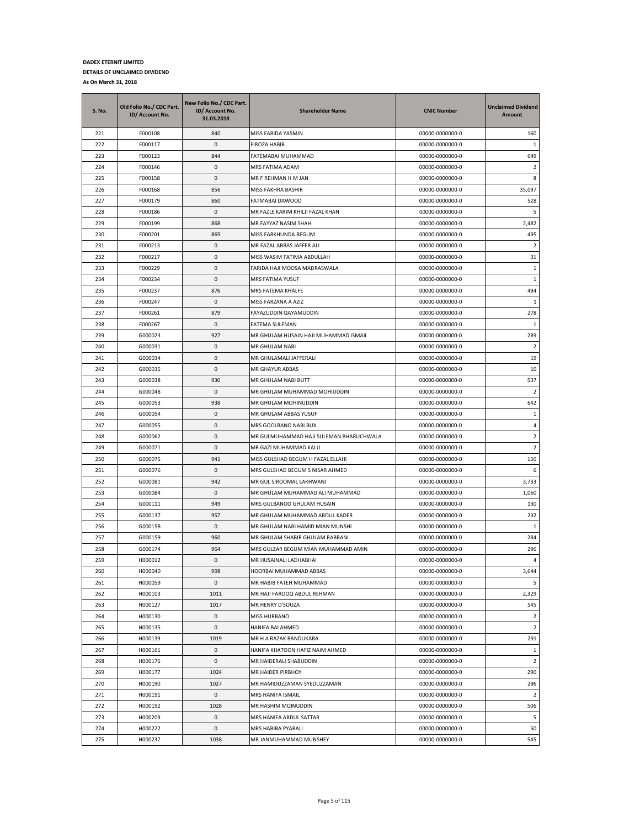| S. No.     | Old Folio No./ CDC Part.<br>ID/ Account No. | New Folio No./ CDC Part.<br>ID/ Account No.<br>31.03.2018 | <b>Shareholder Name</b>                                                | <b>CNIC Number</b>                 | <b>Unclaimed Dividend</b><br>Amount |
|------------|---------------------------------------------|-----------------------------------------------------------|------------------------------------------------------------------------|------------------------------------|-------------------------------------|
| 221        | F000108                                     | 840                                                       | MISS FARIDA YASMIN                                                     | 00000-0000000-0                    | 160                                 |
| 222        | F000117                                     | 0                                                         | FIROZA HABIB                                                           | 00000-0000000-0                    | $\mathbf{1}$                        |
| 223        | F000123                                     | 844                                                       | FATEMABAI MUHAMMAD                                                     | 00000-0000000-0                    | 649                                 |
| 224        | F000146                                     | 0                                                         | MRS FATIMA ADAM                                                        | 00000-0000000-0                    | $\overline{2}$                      |
| 225        | F000158                                     | 0                                                         | MR F REHMAN H M JAN                                                    | 00000-0000000-0                    | 8                                   |
| 226        | F000168                                     | 856                                                       | MISS FAKHRA BASHIR                                                     | 00000-0000000-0                    | 35,097                              |
| 227        | F000179                                     | 860                                                       | FATMABAI DAWOOD                                                        | 00000-0000000-0                    | 528                                 |
| 228        | F000186                                     | 0                                                         | MR FAZLE KARIM KHILJI FAZAL KHAN                                       | 00000-0000000-0                    | 5                                   |
| 229        | F000199                                     | 868                                                       | MR FAYYAZ NASIM SHAH                                                   | 00000-0000000-0                    | 2,482                               |
| 230        | F000201                                     | 869                                                       | MISS FARKHUNDA BEGUM                                                   | 00000-0000000-0                    | 495                                 |
| 231        | F000213                                     | 0                                                         | MR FAZAL ABBAS JAFFER ALI                                              | 00000-0000000-0                    | $\overline{2}$                      |
| 232        | F000217                                     | 0                                                         | MISS WASIM FATIMA ABDULLAH                                             | 00000-0000000-0                    | 31                                  |
| 233        | F000229                                     | 0                                                         | FARIDA HAJI MOOSA MADRASWALA                                           | 00000-0000000-0                    | 1                                   |
| 234        | F000234                                     | 0                                                         | MRS FATIMA YUSUF                                                       | 00000-0000000-0                    | $\mathbf{1}$                        |
| 235        | F000237                                     | 876                                                       | MRS FATEMA KHALFE                                                      | 00000-0000000-0                    | 494                                 |
| 236        | F000247                                     | 0                                                         | MISS FARZANA A AZIZ                                                    | 00000-0000000-0                    | $\mathbf{1}$                        |
| 237        | F000261                                     | 879                                                       | FAYAZUDDIN QAYAMUDDIN                                                  | 00000-0000000-0                    | 278                                 |
| 238        | F000267                                     | 0                                                         | FATEMA SULEMAN                                                         | 00000-0000000-0                    | 1                                   |
| 239        | G000023                                     | 927                                                       | MR GHULAM HUSAIN HAJI MUHAMMAD ISMAIL                                  | 00000-0000000-0                    | 289                                 |
| 240        | G000031                                     | 0                                                         | MR GHULAM NABI                                                         | 00000-0000000-0                    | $\overline{2}$                      |
| 241        | G000034                                     | 0                                                         | MR GHULAMALI JAFFERALI                                                 | 00000-0000000-0                    | 19                                  |
| 242        | G000035                                     | 0                                                         | MR GHAYUR ABBAS                                                        | 00000-0000000-0                    | 10                                  |
| 243        | G000038                                     | 930                                                       | MR GHULAM NABI BUTT                                                    | 00000-0000000-0                    | 537                                 |
| 244        | G000048                                     | 0                                                         | MR GHULAM MUHAMMAD MOHIUDDIN                                           | 00000-0000000-0                    | 2                                   |
| 245        | G000053                                     | 938                                                       | MR GHULAM MOHINUDDIN                                                   | 00000-0000000-0                    | 642                                 |
| 246        | G000054                                     | 0                                                         | MR GHULAM ABBAS YUSUF                                                  | 00000-0000000-0                    | 1                                   |
| 247        | G000055                                     | 0                                                         | MRS GOOLBANO NABI BUX                                                  | 00000-0000000-0                    | 4                                   |
| 248        | G000062                                     | 0                                                         | MR GULMUHAMMAD HAJI SULEMAN BHARUCHWALA                                | 00000-0000000-0                    | $\overline{2}$                      |
| 249        | G000071                                     | 0                                                         | MR GAZI MUHAMMAD KALU                                                  | 00000-0000000-0                    | $\overline{2}$                      |
| 250        | G000075                                     | 941                                                       | MISS GULSHAD BEGUM H FAZAL ELLAHI                                      | 00000-0000000-0                    | 150                                 |
| 251        | G000076                                     | 0                                                         | MRS GULSHAD BEGUM S NISAR AHMED                                        | 00000-0000000-0                    | 6                                   |
| 252        | G000081                                     | 942                                                       | MR GUL SIROOMAL LAKHWANI                                               | 00000-0000000-0                    | 3,733                               |
| 253        | G000084                                     | 0                                                         | MR GHULAM MUHAMMAD ALI MUHAMMAD                                        | 00000-0000000-0                    | 1,060                               |
| 254<br>255 | G000111<br>G000137                          | 949<br>957                                                | MRS GULBANOO GHULAM HUSAIN                                             | 00000-0000000-0                    | 130                                 |
| 256        | G000158                                     | 0                                                         | MR GHULAM MUHAMMAD ABDUL KADER<br>MR GHULAM NABI HAMID MIAN MUNSHI     | 00000-0000000-0<br>00000-0000000-0 | 232<br>1                            |
| 257        |                                             | 960                                                       |                                                                        |                                    |                                     |
| 258        | G000159<br>G000174                          | 964                                                       | MR GHULAM SHABIR GHULAM RABBANI<br>MRS GULZAR BEGUM MIAN MUHAMMAD AMIN | 00000-0000000-0<br>00000-0000000-0 | 284<br>296                          |
| 259        | H000012                                     | 0                                                         | MR HUSAINALI LADHABHAI                                                 | 00000-0000000-0                    | 4                                   |
| 260        | H000040                                     | 998                                                       | HOORBAI MUHAMMAD ABBAS                                                 | 00000-0000000-0                    | 3,644                               |
| 261        | H000059                                     | 0                                                         | MR HABIB FATEH MUHAMMAD                                                | 00000-0000000-0                    | 5                                   |
| 262        | H000103                                     | 1011                                                      | MR HAJI FAROOQ ABDUL REHMAN                                            | 00000-0000000-0                    | 2,329                               |
| 263        | H000127                                     | 1017                                                      | MR HENRY D'SOUZA                                                       | 00000-0000000-0                    | 545                                 |
| 264        | H000130                                     | 0                                                         | MISS HURBANO                                                           | 00000-0000000-0                    | 2                                   |
| 265        | H000135                                     | 0                                                         | HANIFA BAI AHMED                                                       | 00000-0000000-0                    | $\overline{2}$                      |
| 266        | H000139                                     | 1019                                                      | MR H A RAZAK BANDUKARA                                                 | 00000-0000000-0                    | 291                                 |
| 267        | H000161                                     | 0                                                         | HANIFA KHATOON HAFIZ NAIM AHMED                                        | 00000-0000000-0                    | $\mathbf{1}$                        |
| 268        | H000176                                     | 0                                                         | MR HAIDERALI SHABUDDIN                                                 | 00000-0000000-0                    | $\overline{2}$                      |
| 269        | H000177                                     | 1024                                                      | MR HAIDER PIRBHOY                                                      | 00000-0000000-0                    | 290                                 |
| 270        | H000190                                     | 1027                                                      | MR HAMIDUZZAMAN SYEDUZZAMAN                                            | 00000-0000000-0                    | 296                                 |
| 271        | H000191                                     | 0                                                         | MRS HANIFA ISMAIL                                                      | 00000-0000000-0                    | $\overline{2}$                      |
| 272        | H000192                                     | 1028                                                      | MR HASHIM MOINUDDIN                                                    | 00000-0000000-0                    | 506                                 |
| 273        | H000209                                     | 0                                                         | MRS HANIFA ABDUL SATTAR                                                | 00000-0000000-0                    | 5                                   |
| 274        | H000222                                     | $\pmb{0}$                                                 | MRS HABIBA PYARALI                                                     | 00000-0000000-0                    | 50                                  |
| 275        | H000237                                     | 1038                                                      | MR JANMUHAMMAD MUNSHEY                                                 | 00000-0000000-0                    | 545                                 |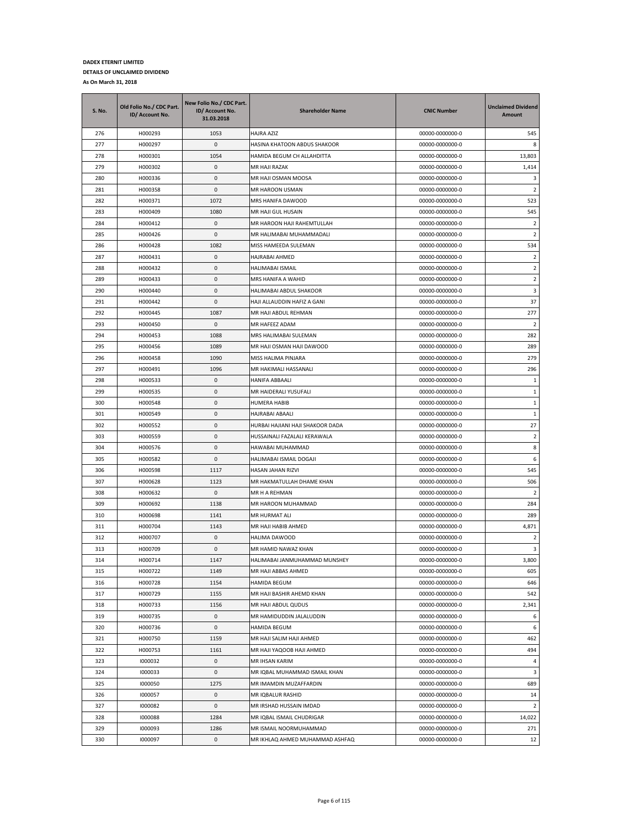| S. No. | Old Folio No./ CDC Part.<br>ID/ Account No. | New Folio No./ CDC Part.<br>ID/ Account No.<br>31.03.2018 | <b>Shareholder Name</b>          | <b>CNIC Number</b> | <b>Unclaimed Dividend</b><br>Amount |
|--------|---------------------------------------------|-----------------------------------------------------------|----------------------------------|--------------------|-------------------------------------|
| 276    | H000293                                     | 1053                                                      | <b>HAJRA AZIZ</b>                | 00000-0000000-0    | 545                                 |
| 277    | H000297                                     | 0                                                         | HASINA KHATOON ABDUS SHAKOOR     | 00000-0000000-0    | 8                                   |
| 278    | H000301                                     | 1054                                                      | HAMIDA BEGUM CH ALLAHDITTA       | 00000-0000000-0    | 13,803                              |
| 279    | H000302                                     | 0                                                         | MR HAJI RAZAK                    | 00000-0000000-0    | 1,414                               |
| 280    | H000336                                     | 0                                                         | MR HAJI OSMAN MOOSA              | 00000-0000000-0    | 3                                   |
| 281    | H000358                                     | 0                                                         | MR HAROON USMAN                  | 00000-0000000-0    | 2                                   |
| 282    | H000371                                     | 1072                                                      | MRS HANIFA DAWOOD                | 00000-0000000-0    | 523                                 |
| 283    | H000409                                     | 1080                                                      | MR HAJI GUL HUSAIN               | 00000-0000000-0    | 545                                 |
| 284    | H000412                                     | 0                                                         | MR HAROON HAJI RAHEMTULLAH       | 00000-0000000-0    | $\overline{2}$                      |
| 285    | H000426                                     | 0                                                         | MR HALIMABAI MUHAMMADALI         | 00000-0000000-0    | 2                                   |
| 286    | H000428                                     | 1082                                                      | MISS HAMEEDA SULEMAN             | 00000-0000000-0    | 534                                 |
| 287    | H000431                                     | 0                                                         | HAJRABAI AHMED                   | 00000-0000000-0    | $\overline{2}$                      |
| 288    | H000432                                     | 0                                                         | HALIMABAI ISMAIL                 | 00000-0000000-0    | $\overline{2}$                      |
| 289    | H000433                                     | 0                                                         | MRS HANIFA A WAHID               | 00000-0000000-0    | $\overline{2}$                      |
| 290    | H000440                                     | 0                                                         | HALIMABAI ABDUL SHAKOOR          | 00000-0000000-0    | 3                                   |
| 291    | H000442                                     | 0                                                         | HAJI ALLAUDDIN HAFIZ A GANI      | 00000-0000000-0    | 37                                  |
| 292    | H000445                                     | 1087                                                      | MR HAJI ABDUL REHMAN             | 00000-0000000-0    | 277                                 |
| 293    | H000450                                     | 0                                                         | MR HAFEEZ ADAM                   | 00000-0000000-0    | $\overline{2}$                      |
| 294    | H000453                                     | 1088                                                      | MRS HALIMABAI SULEMAN            | 00000-0000000-0    | 282                                 |
| 295    | H000456                                     | 1089                                                      | MR HAJI OSMAN HAJI DAWOOD        | 00000-0000000-0    | 289                                 |
| 296    | H000458                                     | 1090                                                      | MISS HALIMA PINJARA              | 00000-0000000-0    | 279                                 |
| 297    | H000491                                     | 1096                                                      | MR HAKIMALI HASSANALI            | 00000-0000000-0    | 296                                 |
| 298    | H000533                                     | 0                                                         | HANIFA ABBAALI                   | 00000-0000000-0    | 1                                   |
| 299    | H000535                                     | 0                                                         | MR HAIDERALI YUSUFALI            | 00000-0000000-0    | 1                                   |
| 300    | H000548                                     | 0                                                         | HUMERA HABIB                     | 00000-0000000-0    | 1                                   |
| 301    | H000549                                     | 0                                                         | HAJRABAI ABAALI                  | 00000-0000000-0    | $\mathbf{1}$                        |
| 302    | H000552                                     | 0                                                         | HURBAI HAJIANI HAJI SHAKOOR DADA | 00000-0000000-0    | 27                                  |
| 303    | H000559                                     | 0                                                         | HUSSAINALI FAZALALI KERAWALA     | 00000-0000000-0    | $\overline{2}$                      |
| 304    | H000576                                     | 0                                                         | HAWABAI MUHAMMAD                 | 00000-0000000-0    | 8                                   |
| 305    | H000582                                     | 0                                                         | HALIMABAI ISMAIL DOGAJI          | 00000-0000000-0    | 6                                   |
| 306    | H000598                                     | 1117                                                      | HASAN JAHAN RIZVI                | 00000-0000000-0    | 545                                 |
| 307    | H000628                                     | 1123                                                      | MR HAKMATULLAH DHAME KHAN        | 00000-0000000-0    | 506                                 |
| 308    | H000632                                     | 0                                                         | MR H A REHMAN                    | 00000-0000000-0    | $\overline{2}$                      |
| 309    | H000692                                     | 1138                                                      | MR HAROON MUHAMMAD               | 00000-0000000-0    | 284                                 |
| 310    | H000698                                     | 1141                                                      | MR HURMAT ALI                    | 00000-0000000-0    | 289                                 |
| 311    | H000704                                     | 1143                                                      | MR HAJI HABIB AHMED              | 00000-0000000-0    | 4,871                               |
| 312    | H000707                                     | 0                                                         | HALIMA DAWOOD                    | 00000-0000000-0    | 2                                   |
| 313    | H000709                                     | 0                                                         | MR HAMID NAWAZ KHAN              | 00000-0000000-0    | 3                                   |
| 314    | H000714                                     | 1147                                                      | HALIMABAI JANMUHAMMAD MUNSHEY    | 00000-0000000-0    | 3,800                               |
| 315    | H000722                                     | 1149                                                      | MR HAJI ABBAS AHMED              | 00000-0000000-0    | 605                                 |
| 316    | H000728                                     | 1154                                                      | HAMIDA BEGUM                     | 00000-0000000-0    | 646                                 |
| 317    | H000729                                     | 1155                                                      | MR HAJI BASHIR AHEMD KHAN        | 00000-0000000-0    | 542                                 |
| 318    | H000733                                     | 1156                                                      | MR HAJI ABDUL QUDUS              | 00000-0000000-0    | 2,341                               |
| 319    | H000735                                     | 0                                                         | MR HAMIDUDDIN JALALUDDIN         | 00000-0000000-0    | 6                                   |
| 320    | H000736                                     | 0                                                         | HAMIDA BEGUM                     | 00000-0000000-0    | 6                                   |
| 321    | H000750                                     | 1159                                                      | MR HAJI SALIM HAJI AHMED         | 00000-0000000-0    | 462                                 |
| 322    | H000753                                     | 1161                                                      | MR HAJI YAQOOB HAJI AHMED        | 00000-0000000-0    | 494                                 |
| 323    | 1000032                                     | 0                                                         | MR IHSAN KARIM                   | 00000-0000000-0    | $\overline{4}$                      |
| 324    | 1000033                                     | 0                                                         | MR IQBAL MUHAMMAD ISMAIL KHAN    | 00000-0000000-0    | 3                                   |
| 325    | 1000050                                     | 1275                                                      | MR IMAMDIN MUZAFFARDIN           | 00000-0000000-0    | 689                                 |
| 326    | 1000057                                     | 0                                                         | MR IQBALUR RASHID                | 00000-0000000-0    | 14                                  |
| 327    | 1000082                                     | 0                                                         | MR IRSHAD HUSSAIN IMDAD          | 00000-0000000-0    | $\overline{2}$                      |
| 328    | 1000088                                     | 1284                                                      | MR IQBAL ISMAIL CHUDRIGAR        | 00000-0000000-0    | 14,022                              |
| 329    | 1000093                                     | 1286                                                      | MR ISMAIL NOORMUHAMMAD           | 00000-0000000-0    | 271                                 |
| 330    | 1000097                                     | 0                                                         | MR IKHLAQ AHMED MUHAMMAD ASHFAQ  | 00000-0000000-0    | 12                                  |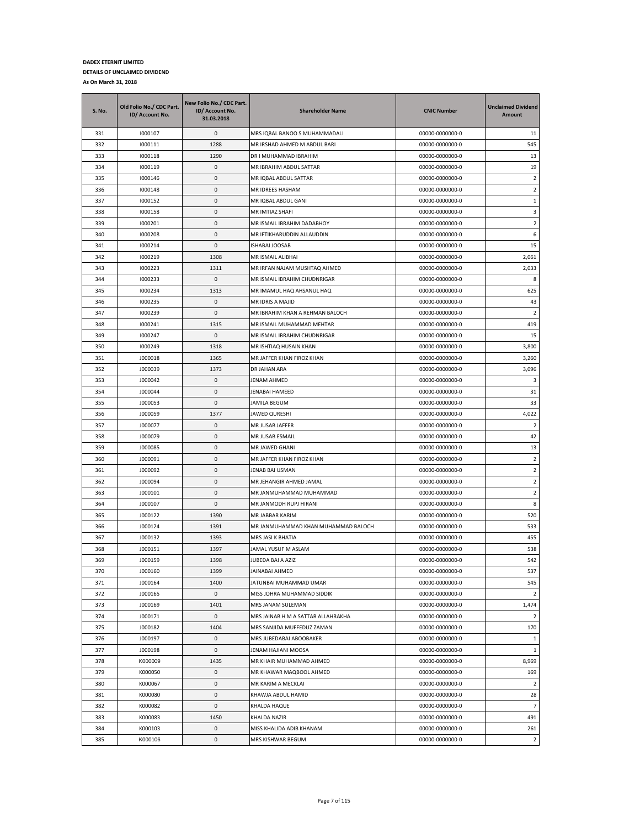| <b>S. No.</b> | Old Folio No./ CDC Part.<br>ID/ Account No. | New Folio No./ CDC Part.<br>ID/ Account No.<br>31.03.2018 | <b>Shareholder Name</b>             | <b>CNIC Number</b> | <b>Unclaimed Dividend</b><br>Amount |
|---------------|---------------------------------------------|-----------------------------------------------------------|-------------------------------------|--------------------|-------------------------------------|
| 331           | 1000107                                     | 0                                                         | MRS IQBAL BANOO S MUHAMMADALI       | 00000-0000000-0    | 11                                  |
| 332           | 1000111                                     | 1288                                                      | MR IRSHAD AHMED M ABDUL BARI        | 00000-0000000-0    | 545                                 |
| 333           | 1000118                                     | 1290                                                      | DR I MUHAMMAD IBRAHIM               | 00000-0000000-0    | 13                                  |
| 334           | 1000119                                     | 0                                                         | MR IBRAHIM ABDUL SATTAR             | 00000-0000000-0    | 19                                  |
| 335           | 1000146                                     | 0                                                         | MR IQBAL ABDUL SATTAR               | 00000-0000000-0    | $\overline{2}$                      |
| 336           | 1000148                                     | 0                                                         | MR IDREES HASHAM                    | 00000-0000000-0    | $\overline{2}$                      |
| 337           | 1000152                                     | 0                                                         | MR IQBAL ABDUL GANI                 | 00000-0000000-0    | 1                                   |
| 338           | 1000158                                     | 0                                                         | MR IMTIAZ SHAFI                     | 00000-0000000-0    | 3                                   |
| 339           | 1000201                                     | 0                                                         | MR ISMAIL IBRAHIM DADABHOY          | 00000-0000000-0    | $\overline{2}$                      |
| 340           | 1000208                                     | 0                                                         | MR IFTIKHARUDDIN ALLAUDDIN          | 00000-0000000-0    | 6                                   |
| 341           | 1000214                                     | 0                                                         | ISHABAI JOOSAB                      | 00000-0000000-0    | 15                                  |
| 342           | 1000219                                     | 1308                                                      | MR ISMAIL ALIBHAI                   | 00000-0000000-0    | 2,061                               |
| 343           | 1000223                                     | 1311                                                      | MR IRFAN NAJAM MUSHTAQ AHMED        | 00000-0000000-0    | 2,033                               |
| 344           | 1000233                                     | 0                                                         | MR ISMAIL IBRAHIM CHUDNRIGAR        | 00000-0000000-0    | 8                                   |
| 345           | 1000234                                     | 1313                                                      | MR IMAMUL HAQ AHSANUL HAQ           | 00000-0000000-0    | 625                                 |
| 346           | 1000235                                     | 0                                                         | MR IDRIS A MAJID                    | 00000-0000000-0    | 43                                  |
| 347           | 1000239                                     | 0                                                         | MR IBRAHIM KHAN A REHMAN BALOCH     | 00000-0000000-0    | $\overline{2}$                      |
| 348           | 1000241                                     | 1315                                                      | MR ISMAIL MUHAMMAD MEHTAR           | 00000-0000000-0    | 419                                 |
| 349           | 1000247                                     | 0                                                         | MR ISMAIL IBRAHIM CHUDNRIGAR        | 00000-0000000-0    | 15                                  |
| 350           | 1000249                                     | 1318                                                      | MR ISHTIAQ HUSAIN KHAN              | 00000-0000000-0    | 3,800                               |
| 351           | J000018                                     | 1365                                                      | MR JAFFER KHAN FIROZ KHAN           | 00000-0000000-0    | 3,260                               |
| 352           | J000039                                     | 1373                                                      | DR JAHAN ARA                        | 00000-0000000-0    | 3,096                               |
| 353           | J000042                                     | 0                                                         | JENAM AHMED                         | 00000-0000000-0    | 3                                   |
| 354           | J000044                                     | 0                                                         | JENABAI HAMEED                      | 00000-0000000-0    | 31                                  |
| 355           | J000053                                     | 0                                                         | JAMILA BEGUM                        | 00000-0000000-0    | 33                                  |
| 356           | J000059                                     | 1377                                                      | JAWED QURESHI                       | 00000-0000000-0    | 4,022                               |
| 357           | J000077                                     | 0                                                         | MR JUSAB JAFFER                     | 00000-0000000-0    | 2                                   |
| 358           | J000079                                     | 0                                                         | MR JUSAB ESMAIL                     | 00000-0000000-0    | 42                                  |
| 359           | J000085                                     | 0                                                         | MR JAWED GHANI                      | 00000-0000000-0    | 13                                  |
| 360           | J000091                                     | 0                                                         | MR JAFFER KHAN FIROZ KHAN           | 00000-0000000-0    | $\overline{2}$                      |
| 361           | J000092                                     | 0                                                         | JENAB BAI USMAN                     | 00000-0000000-0    | $\overline{2}$                      |
| 362           | J000094                                     | 0                                                         | MR JEHANGIR AHMED JAMAL             | 00000-0000000-0    | $\overline{2}$                      |
| 363           | J000101                                     | 0                                                         | MR JANMUHAMMAD MUHAMMAD             | 00000-0000000-0    | $\overline{2}$                      |
| 364           | J000107                                     | 0                                                         | MR JANMODH RUPJ HIRANI              | 00000-0000000-0    | 8                                   |
| 365           | J000122                                     | 1390                                                      | MR JABBAR KARIM                     | 00000-0000000-0    | 520                                 |
| 366           | J000124                                     | 1391                                                      | MR JANMUHAMMAD KHAN MUHAMMAD BALOCH | 00000-0000000-0    | 533                                 |
| 367           | J000132                                     | 1393                                                      | MRS JASI K BHATIA                   | 00000-0000000-0    | 455                                 |
| 368           | J000151                                     | 1397                                                      | JAMAL YUSUF M ASLAM                 | 00000-0000000-0    | 538                                 |
| 369           | J000159                                     | 1398                                                      | JUBEDA BAI A AZIZ                   | 00000-0000000-0    | 542                                 |
| 370           | J000160                                     | 1399                                                      | JAINABAI AHMED                      | 00000-0000000-0    | 537                                 |
| 371           | J000164                                     | 1400                                                      | JATUNBAI MUHAMMAD UMAR              | 00000-0000000-0    | 545                                 |
| 372           | J000165                                     | $\pmb{0}$                                                 | MISS JOHRA MUHAMMAD SIDDIK          | 00000-0000000-0    | $\overline{2}$                      |
| 373           | J000169                                     | 1401                                                      | MRS JANAM SULEMAN                   | 00000-0000000-0    | 1,474                               |
| 374           | J000171                                     | 0                                                         | MRS JAINAB H M A SATTAR ALLAHRAKHA  | 00000-0000000-0    | $\overline{2}$                      |
| 375           | J000182                                     | 1404                                                      | MRS SANJIDA MUFFEDUZ ZAMAN          | 00000-0000000-0    | 170                                 |
| 376           | J000197                                     | 0                                                         | MRS JUBEDABAI ABOOBAKER             | 00000-0000000-0    | $\mathbf{1}$                        |
| 377           | J000198                                     | 0                                                         | JENAM HAJIANI MOOSA                 | 00000-0000000-0    | $\mathbf{1}$                        |
| 378           | K000009                                     | 1435                                                      | MR KHAIR MUHAMMAD AHMED             | 00000-0000000-0    | 8,969                               |
| 379           | K000050                                     | 0                                                         | MR KHAWAR MAQBOOL AHMED             | 00000-0000000-0    | 169                                 |
| 380           | K000067                                     | 0                                                         | MR KARIM A MECKLAI                  | 00000-0000000-0    | $\overline{2}$                      |
| 381           | K000080                                     | 0                                                         | KHAWJA ABDUL HAMID                  | 00000-0000000-0    | 28                                  |
| 382           | K000082                                     | 0                                                         | KHALDA HAQUE                        | 00000-0000000-0    | $\overline{7}$                      |
| 383           | K000083                                     | 1450                                                      | KHALDA NAZIR                        | 00000-0000000-0    | 491                                 |
| 384           | K000103                                     | 0                                                         | MISS KHALIDA ADIB KHANAM            | 00000-0000000-0    | 261                                 |
| 385           | K000106                                     | 0                                                         | MRS KISHWAR BEGUM                   | 00000-0000000-0    | $\overline{2}$                      |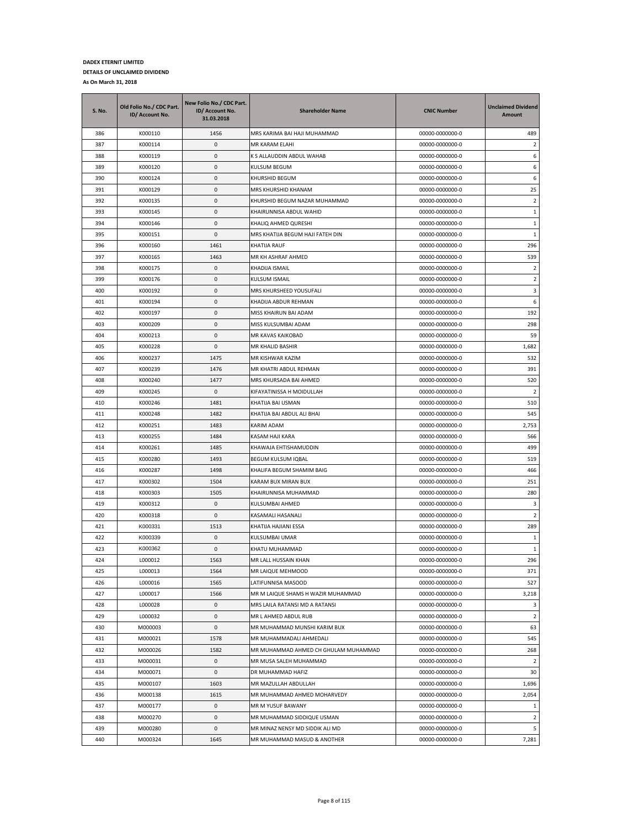| <b>S. No.</b> | Old Folio No./ CDC Part.<br>ID/ Account No. | New Folio No./ CDC Part.<br>ID/ Account No.<br>31.03.2018 | <b>Shareholder Name</b>              | <b>CNIC Number</b> | <b>Unclaimed Dividend</b><br>Amount |
|---------------|---------------------------------------------|-----------------------------------------------------------|--------------------------------------|--------------------|-------------------------------------|
| 386           | K000110                                     | 1456                                                      | MRS KARIMA BAI HAJI MUHAMMAD         | 00000-0000000-0    | 489                                 |
| 387           | K000114                                     | $\pmb{0}$                                                 | MR KARAM ELAHI                       | 00000-0000000-0    | 2                                   |
| 388           | K000119                                     | $\pmb{0}$                                                 | K S ALLAUDDIN ABDUL WAHAB            | 00000-0000000-0    | 6                                   |
| 389           | K000120                                     | 0                                                         | KULSUM BEGUM                         | 00000-0000000-0    | 6                                   |
| 390           | K000124                                     | $\pmb{0}$                                                 | KHURSHID BEGUM                       | 00000-0000000-0    | 6                                   |
| 391           | K000129                                     | 0                                                         | MRS KHURSHID KHANAM                  | 00000-0000000-0    | 25                                  |
| 392           | K000135                                     | $\pmb{0}$                                                 | KHURSHID BEGUM NAZAR MUHAMMAD        | 00000-0000000-0    | $\overline{2}$                      |
| 393           | K000145                                     | 0                                                         | KHAIRUNNISA ABDUL WAHID              | 00000-0000000-0    | $\mathbf{1}$                        |
| 394           | K000146                                     | $\pmb{0}$                                                 | KHALIQ AHMED QURESHI                 | 00000-0000000-0    | $1\,$                               |
| 395           | K000151                                     | $\pmb{0}$                                                 | MRS KHATIJA BEGUM HAJI FATEH DIN     | 00000-0000000-0    | $\mathbf{1}$                        |
| 396           | K000160                                     | 1461                                                      | KHATIJA RAUF                         | 00000-0000000-0    | 296                                 |
| 397           | K000165                                     | 1463                                                      | MR KH ASHRAF AHMED                   | 00000-0000000-0    | 539                                 |
| 398           | K000175                                     | 0                                                         | KHADIJA ISMAIL                       | 00000-0000000-0    | $\overline{2}$                      |
| 399           | K000176                                     | 0                                                         | KULSUM ISMAIL                        | 00000-0000000-0    | 2                                   |
| 400           | K000192                                     | $\pmb{0}$                                                 | MRS KHURSHEED YOUSUFALI              | 00000-0000000-0    | 3                                   |
| 401           | K000194                                     | $\pmb{0}$                                                 | KHADIJA ABDUR REHMAN                 | 00000-0000000-0    | 6                                   |
| 402           | K000197                                     | $\pmb{0}$                                                 | MISS KHAIRUN BAI ADAM                | 00000-0000000-0    | 192                                 |
| 403           | K000209                                     | $\pmb{0}$                                                 | MISS KULSUMBAI ADAM                  | 00000-0000000-0    | 298                                 |
| 404           | K000213                                     | $\pmb{0}$                                                 | MR KAVAS KAIKOBAD                    | 00000-0000000-0    | 59                                  |
| 405           | K000228                                     | 0                                                         | MR KHALID BASHIR                     | 00000-0000000-0    | 1,682                               |
| 406           | K000237                                     | 1475                                                      | MR KISHWAR KAZIM                     | 00000-0000000-0    | 532                                 |
| 407           | K000239                                     | 1476                                                      | MR KHATRI ABDUL REHMAN               | 00000-0000000-0    | 391                                 |
| 408           | K000240                                     | 1477                                                      | MRS KHURSADA BAI AHMED               | 00000-0000000-0    | 520                                 |
| 409           | K000245                                     | $\pmb{0}$                                                 | KIFAYATINISSA H MOIDULLAH            | 00000-0000000-0    | $\overline{2}$                      |
| 410           | K000246                                     | 1481                                                      | KHATIJA BAI USMAN                    | 00000-0000000-0    | 510                                 |
| 411           | K000248                                     | 1482                                                      | KHATIJA BAI ABDUL ALI BHAI           | 00000-0000000-0    | 545                                 |
| 412           | K000251                                     | 1483                                                      | KARIM ADAM                           | 00000-0000000-0    | 2,753                               |
| 413           | K000255                                     | 1484                                                      | KASAM HAJI KARA                      | 00000-0000000-0    | 566                                 |
| 414           | K000261                                     | 1485                                                      | KHAWAJA EHTISHAMUDDIN                | 00000-0000000-0    | 499                                 |
| 415           | K000280                                     | 1493                                                      | <b>BEGUM KULSUM IQBAL</b>            | 00000-0000000-0    | 519                                 |
| 416           | K000287                                     | 1498                                                      | KHALIFA BEGUM SHAMIM BAIG            | 00000-0000000-0    | 466                                 |
| 417           | K000302                                     | 1504                                                      | KARAM BUX MIRAN BUX                  | 00000-0000000-0    | 251                                 |
| 418           | K000303                                     | 1505                                                      | KHAIRUNNISA MUHAMMAD                 | 00000-0000000-0    | 280                                 |
| 419           | K000312                                     | 0                                                         | KULSUMBAI AHMED                      | 00000-0000000-0    | 3                                   |
| 420           | K000318                                     | $\pmb{0}$                                                 | KASAMALI HASANALI                    | 00000-0000000-0    | $\overline{2}$                      |
| 421           | K000331                                     | 1513                                                      | KHATIJA HAJIANI ESSA                 | 00000-0000000-0    | 289                                 |
| 422           | K000339                                     | $\pmb{0}$                                                 | KULSUMBAI UMAR                       | 00000-0000000-0    | 1                                   |
| 423           | K000362                                     | 0                                                         | KHATU MUHAMMAD                       | 00000-0000000-0    | 1                                   |
| 424           | L000012                                     | 1563                                                      | MR LALL HUSSAIN KHAN                 | 00000-0000000-0    | 296                                 |
| 425           | L000013                                     | 1564                                                      | MR LAIQUE MEHMOOD                    | 00000-0000000-0    | 371                                 |
| 426           | L000016                                     | 1565                                                      | LATIFUNNISA MASOOD                   | 00000-0000000-0    | 527                                 |
| 427           | L000017                                     | 1566                                                      | MR M LAIQUE SHAMS H WAZIR MUHAMMAD   | 00000-0000000-0    | 3,218                               |
| 428           | L000028                                     | 0                                                         | MRS LAILA RATANSI MD A RATANSI       | 00000-0000000-0    | 3                                   |
| 429           | L000032                                     | 0                                                         | MR L AHMED ABDUL RUB                 | 00000-0000000-0    | $\overline{2}$                      |
| 430           | M000003                                     | 0                                                         | MR MUHAMMAD MUNSHI KARIM BUX         | 00000-0000000-0    | 63                                  |
| 431           | M000021                                     | 1578                                                      | MR MUHAMMADALI AHMEDALI              | 00000-0000000-0    | 545                                 |
| 432           | M000026                                     | 1582                                                      | MR MUHAMMAD AHMED CH GHULAM MUHAMMAD | 00000-0000000-0    | 268                                 |
| 433           | M000031                                     | 0                                                         | MR MUSA SALEH MUHAMMAD               | 00000-0000000-0    | $\overline{2}$                      |
| 434           | M000071                                     | $\pmb{0}$                                                 | DR MUHAMMAD HAFIZ                    | 00000-0000000-0    | 30                                  |
| 435           | M000107                                     | 1603                                                      | MR MAZULLAH ABDULLAH                 | 00000-0000000-0    | 1,696                               |
| 436           | M000138                                     | 1615                                                      | MR MUHAMMAD AHMED MOHARVEDY          | 00000-0000000-0    | 2,054                               |
| 437           | M000177                                     | 0                                                         | MR M YUSUF BAWANY                    | 00000-0000000-0    | $\mathbf{1}$                        |
| 438           | M000270                                     | 0                                                         | MR MUHAMMAD SIDDIQUE USMAN           | 00000-0000000-0    | $\overline{2}$                      |
| 439           | M000280                                     | $\pmb{0}$                                                 | MR MINAZ NENSY MD SIDDIK ALI MD      | 00000-0000000-0    | 5                                   |
| 440           | M000324                                     | 1645                                                      | MR MUHAMMAD MASUD & ANOTHER          | 00000-0000000-0    | 7,281                               |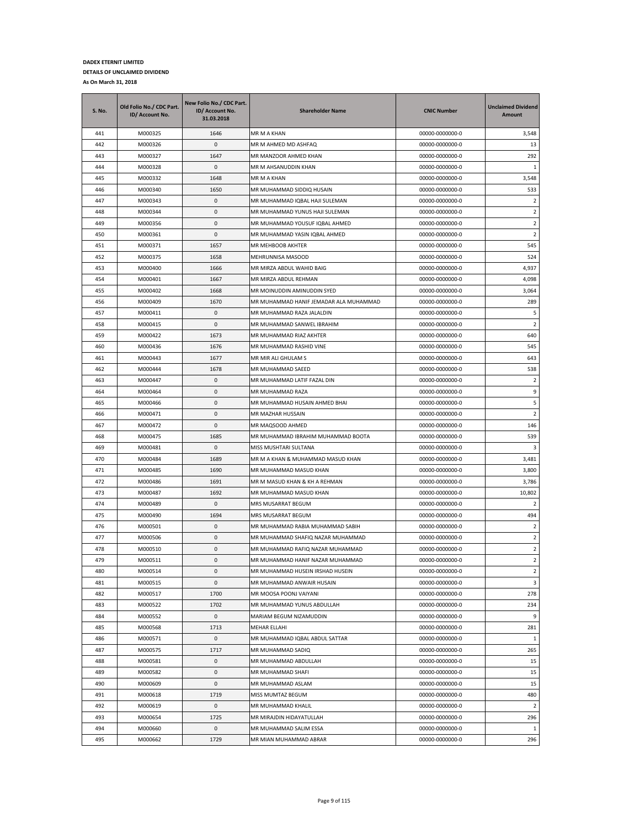| 1646<br>3,548<br>441<br>M000325<br>MR M A KHAN<br>00000-0000000-0<br>442<br>$\pmb{0}$<br>13<br>M000326<br>MR M AHMED MD ASHFAQ<br>00000-0000000-0<br>443<br>1647<br>292<br>M000327<br>MR MANZOOR AHMED KHAN<br>00000-0000000-0<br>$\pmb{0}$<br>444<br>M000328<br>MR M AHSANUDDIN KHAN<br>00000-0000000-0<br>1<br>445<br>M000332<br>1648<br>00000-0000000-0<br>3,548<br>MR M A KHAN<br>446<br>M000340<br>1650<br>MR MUHAMMAD SIDDIQ HUSAIN<br>00000-0000000-0<br>533<br>$\pmb{0}$<br>447<br>M000343<br>MR MUHAMMAD IQBAL HAJI SULEMAN<br>00000-0000000-0<br>2<br>0<br>MR MUHAMMAD YUNUS HAJI SULEMAN<br>$\overline{2}$<br>448<br>M000344<br>00000-0000000-0<br>449<br>M000356<br>0<br>$\overline{2}$<br>MR MUHAMMAD YOUSUF IQBAL AHMED<br>00000-0000000-0<br>450<br>$\pmb{0}$<br>$\overline{2}$<br>M000361<br>MR MUHAMMAD YASIN IQBAL AHMED<br>00000-0000000-0<br>451<br>1657<br>MR MEHBOOB AKHTER<br>545<br>M000371<br>00000-0000000-0<br>452<br>M000375<br>1658<br>MEHRUNNISA MASOOD<br>00000-0000000-0<br>524<br>453<br>M000400<br>1666<br>MR MIRZA ABDUL WAHID BAIG<br>00000-0000000-0<br>4,937<br>4,098<br>454<br>M000401<br>1667<br>MR MIRZA ABDUL REHMAN<br>00000-0000000-0<br>455<br>MR MOINUDDIN AMINUDDIN SYED<br>3,064<br>M000402<br>1668<br>00000-0000000-0<br>456<br>1670<br>289<br>M000409<br>MR MUHAMMAD HANIF JEMADAR ALA MUHAMMAD<br>00000-0000000-0<br>$\pmb{0}$<br>5<br>457<br>M000411<br>00000-0000000-0<br>MR MUHAMMAD RAZA JALALDIN<br>$\overline{2}$<br>458<br>M000415<br>0<br>MR MUHAMMAD SANWEL IBRAHIM<br>00000-0000000-0<br>459<br>M000422<br>1673<br>MR MUHAMMAD RIAZ AKHTER<br>00000-0000000-0<br>640<br>460<br>545<br>M000436<br>1676<br>MR MUHAMMAD RASHID VINE<br>00000-0000000-0<br>1677<br>643<br>461<br>M000443<br>MR MIR ALI GHULAM S<br>00000-0000000-0<br>538<br>462<br>M000444<br>1678<br>MR MUHAMMAD SAEED<br>00000-0000000-0<br>$\pmb{0}$<br>$\overline{2}$<br>463<br>M000447<br>MR MUHAMMAD LATIF FAZAL DIN<br>00000-0000000-0<br>9<br>464<br>M000464<br>0<br>00000-0000000-0<br>MR MUHAMMAD RAZA<br>5<br>465<br>M000466<br>0<br>MR MUHAMMAD HUSAIN AHMED BHAI<br>00000-0000000-0<br>0<br>$\overline{2}$<br>466<br>M000471<br>MR MAZHAR HUSSAIN<br>00000-0000000-0<br>0<br>467<br>M000472<br>MR MAQSOOD AHMED<br>00000-0000000-0<br>146<br>468<br>1685<br>539<br>M000475<br>MR MUHAMMAD IBRAHIM MUHAMMAD BOOTA<br>00000-0000000-0<br>0<br>469<br>M000481<br>MISS MUSHTARI SULTANA<br>00000-0000000-0<br>3<br>470<br>1689<br>MR M A KHAN & MUHAMMAD MASUD KHAN<br>00000-0000000-0<br>3,481<br>M000484<br>471<br>M000485<br>1690<br>MR MUHAMMAD MASUD KHAN<br>00000-0000000-0<br>3,800<br>472<br>M000486<br>1691<br>MR M MASUD KHAN & KH A REHMAN<br>00000-0000000-0<br>3,786<br>1692<br>10,802<br>473<br>M000487<br>MR MUHAMMAD MASUD KHAN<br>00000-0000000-0<br>474<br>0<br>M000489<br>MRS MUSARRAT BEGUM<br>00000-0000000-0<br>2<br>475<br>1694<br>494<br>M000490<br>MRS MUSARRAT BEGUM<br>00000-0000000-0<br>0<br>476<br>M000501<br>MR MUHAMMAD RABIA MUHAMMAD SABIH<br>00000-0000000-0<br>2<br>477<br>M000506<br>0<br>MR MUHAMMAD SHAFIQ NAZAR MUHAMMAD<br>00000-0000000-0<br>2<br>$\overline{2}$<br>478<br>M000510<br>0<br>MR MUHAMMAD RAFIQ NAZAR MUHAMMAD<br>00000-0000000-0<br>479<br>M000511<br>0<br>MR MUHAMMAD HANIF NAZAR MUHAMMAD<br>00000-0000000-0<br>$\overline{2}$<br>480<br>0<br>MR MUHAMMAD HUSEIN IRSHAD HUSEIN<br>$\overline{2}$<br>M000514<br>00000-0000000-0<br>0<br>481<br>M000515<br>MR MUHAMMAD ANWAIR HUSAIN<br>00000-0000000-0<br>3<br>278<br>482<br>M000517<br>1700<br>MR MOOSA POONJ VAIYANI<br>00000-0000000-0<br>M000522<br>1702<br>MR MUHAMMAD YUNUS ABDULLAH<br>00000-0000000-0<br>234<br>483<br>9<br>484<br>M000552<br>0<br>MARIAM BEGUM NIZAMUDDIN<br>00000-0000000-0<br>485<br>1713<br>00000-0000000-0<br>281<br>M000568<br>MEHAR ELLAHI<br>486<br>0<br>MR MUHAMMAD IQBAL ABDUL SATTAR<br>00000-0000000-0<br>1<br>M000571<br>487<br>1717<br>00000-0000000-0<br>265<br>M000575<br>MR MUHAMMAD SADIQ<br>0<br>MR MUHAMMAD ABDULLAH<br>00000-0000000-0<br>15<br>488<br>M000581<br>489<br>M000582<br>0<br>MR MUHAMMAD SHAFI<br>00000-0000000-0<br>15<br>0<br>15<br>490<br>M000609<br>MR MUHAMMAD ASLAM<br>00000-0000000-0<br>491<br>1719<br>MISS MUMTAZ BEGUM<br>00000-0000000-0<br>480<br>M000618<br>492<br>M000619<br>0<br>00000-0000000-0<br>$\overline{2}$<br>MR MUHAMMAD KHALIL<br>493<br>M000654<br>1725<br>MR MIRAJDIN HIDAYATULLAH<br>00000-0000000-0<br>296<br>494<br>0<br>$\mathbf{1}$<br>M000660<br>MR MUHAMMAD SALIM ESSA<br>00000-0000000-0 | S. No. | Old Folio No./ CDC Part.<br>ID/ Account No. | New Folio No./ CDC Part.<br>ID/ Account No.<br>31.03.2018 | <b>Shareholder Name</b> | <b>CNIC Number</b> | <b>Unclaimed Dividend</b><br>Amount |
|----------------------------------------------------------------------------------------------------------------------------------------------------------------------------------------------------------------------------------------------------------------------------------------------------------------------------------------------------------------------------------------------------------------------------------------------------------------------------------------------------------------------------------------------------------------------------------------------------------------------------------------------------------------------------------------------------------------------------------------------------------------------------------------------------------------------------------------------------------------------------------------------------------------------------------------------------------------------------------------------------------------------------------------------------------------------------------------------------------------------------------------------------------------------------------------------------------------------------------------------------------------------------------------------------------------------------------------------------------------------------------------------------------------------------------------------------------------------------------------------------------------------------------------------------------------------------------------------------------------------------------------------------------------------------------------------------------------------------------------------------------------------------------------------------------------------------------------------------------------------------------------------------------------------------------------------------------------------------------------------------------------------------------------------------------------------------------------------------------------------------------------------------------------------------------------------------------------------------------------------------------------------------------------------------------------------------------------------------------------------------------------------------------------------------------------------------------------------------------------------------------------------------------------------------------------------------------------------------------------------------------------------------------------------------------------------------------------------------------------------------------------------------------------------------------------------------------------------------------------------------------------------------------------------------------------------------------------------------------------------------------------------------------------------------------------------------------------------------------------------------------------------------------------------------------------------------------------------------------------------------------------------------------------------------------------------------------------------------------------------------------------------------------------------------------------------------------------------------------------------------------------------------------------------------------------------------------------------------------------------------------------------------------------------------------------------------------------------------------------------------------------------------------------------------------------------------------------------------------------------------------------------------------------------------------------------------------------------------------------------------------------------------------------------------------------------------------------------------------------------------------------------------------------------------------------------------------------------------------------------------------------------------------------------------------------------------------------------------------------------------------------------------------------------------------------------------------------------------------------------------------------------------------|--------|---------------------------------------------|-----------------------------------------------------------|-------------------------|--------------------|-------------------------------------|
|                                                                                                                                                                                                                                                                                                                                                                                                                                                                                                                                                                                                                                                                                                                                                                                                                                                                                                                                                                                                                                                                                                                                                                                                                                                                                                                                                                                                                                                                                                                                                                                                                                                                                                                                                                                                                                                                                                                                                                                                                                                                                                                                                                                                                                                                                                                                                                                                                                                                                                                                                                                                                                                                                                                                                                                                                                                                                                                                                                                                                                                                                                                                                                                                                                                                                                                                                                                                                                                                                                                                                                                                                                                                                                                                                                                                                                                                                                                                                                                                                                                                                                                                                                                                                                                                                                                                                                                                                                                                                                                                  |        |                                             |                                                           |                         |                    |                                     |
|                                                                                                                                                                                                                                                                                                                                                                                                                                                                                                                                                                                                                                                                                                                                                                                                                                                                                                                                                                                                                                                                                                                                                                                                                                                                                                                                                                                                                                                                                                                                                                                                                                                                                                                                                                                                                                                                                                                                                                                                                                                                                                                                                                                                                                                                                                                                                                                                                                                                                                                                                                                                                                                                                                                                                                                                                                                                                                                                                                                                                                                                                                                                                                                                                                                                                                                                                                                                                                                                                                                                                                                                                                                                                                                                                                                                                                                                                                                                                                                                                                                                                                                                                                                                                                                                                                                                                                                                                                                                                                                                  |        |                                             |                                                           |                         |                    |                                     |
|                                                                                                                                                                                                                                                                                                                                                                                                                                                                                                                                                                                                                                                                                                                                                                                                                                                                                                                                                                                                                                                                                                                                                                                                                                                                                                                                                                                                                                                                                                                                                                                                                                                                                                                                                                                                                                                                                                                                                                                                                                                                                                                                                                                                                                                                                                                                                                                                                                                                                                                                                                                                                                                                                                                                                                                                                                                                                                                                                                                                                                                                                                                                                                                                                                                                                                                                                                                                                                                                                                                                                                                                                                                                                                                                                                                                                                                                                                                                                                                                                                                                                                                                                                                                                                                                                                                                                                                                                                                                                                                                  |        |                                             |                                                           |                         |                    |                                     |
|                                                                                                                                                                                                                                                                                                                                                                                                                                                                                                                                                                                                                                                                                                                                                                                                                                                                                                                                                                                                                                                                                                                                                                                                                                                                                                                                                                                                                                                                                                                                                                                                                                                                                                                                                                                                                                                                                                                                                                                                                                                                                                                                                                                                                                                                                                                                                                                                                                                                                                                                                                                                                                                                                                                                                                                                                                                                                                                                                                                                                                                                                                                                                                                                                                                                                                                                                                                                                                                                                                                                                                                                                                                                                                                                                                                                                                                                                                                                                                                                                                                                                                                                                                                                                                                                                                                                                                                                                                                                                                                                  |        |                                             |                                                           |                         |                    |                                     |
|                                                                                                                                                                                                                                                                                                                                                                                                                                                                                                                                                                                                                                                                                                                                                                                                                                                                                                                                                                                                                                                                                                                                                                                                                                                                                                                                                                                                                                                                                                                                                                                                                                                                                                                                                                                                                                                                                                                                                                                                                                                                                                                                                                                                                                                                                                                                                                                                                                                                                                                                                                                                                                                                                                                                                                                                                                                                                                                                                                                                                                                                                                                                                                                                                                                                                                                                                                                                                                                                                                                                                                                                                                                                                                                                                                                                                                                                                                                                                                                                                                                                                                                                                                                                                                                                                                                                                                                                                                                                                                                                  |        |                                             |                                                           |                         |                    |                                     |
|                                                                                                                                                                                                                                                                                                                                                                                                                                                                                                                                                                                                                                                                                                                                                                                                                                                                                                                                                                                                                                                                                                                                                                                                                                                                                                                                                                                                                                                                                                                                                                                                                                                                                                                                                                                                                                                                                                                                                                                                                                                                                                                                                                                                                                                                                                                                                                                                                                                                                                                                                                                                                                                                                                                                                                                                                                                                                                                                                                                                                                                                                                                                                                                                                                                                                                                                                                                                                                                                                                                                                                                                                                                                                                                                                                                                                                                                                                                                                                                                                                                                                                                                                                                                                                                                                                                                                                                                                                                                                                                                  |        |                                             |                                                           |                         |                    |                                     |
|                                                                                                                                                                                                                                                                                                                                                                                                                                                                                                                                                                                                                                                                                                                                                                                                                                                                                                                                                                                                                                                                                                                                                                                                                                                                                                                                                                                                                                                                                                                                                                                                                                                                                                                                                                                                                                                                                                                                                                                                                                                                                                                                                                                                                                                                                                                                                                                                                                                                                                                                                                                                                                                                                                                                                                                                                                                                                                                                                                                                                                                                                                                                                                                                                                                                                                                                                                                                                                                                                                                                                                                                                                                                                                                                                                                                                                                                                                                                                                                                                                                                                                                                                                                                                                                                                                                                                                                                                                                                                                                                  |        |                                             |                                                           |                         |                    |                                     |
|                                                                                                                                                                                                                                                                                                                                                                                                                                                                                                                                                                                                                                                                                                                                                                                                                                                                                                                                                                                                                                                                                                                                                                                                                                                                                                                                                                                                                                                                                                                                                                                                                                                                                                                                                                                                                                                                                                                                                                                                                                                                                                                                                                                                                                                                                                                                                                                                                                                                                                                                                                                                                                                                                                                                                                                                                                                                                                                                                                                                                                                                                                                                                                                                                                                                                                                                                                                                                                                                                                                                                                                                                                                                                                                                                                                                                                                                                                                                                                                                                                                                                                                                                                                                                                                                                                                                                                                                                                                                                                                                  |        |                                             |                                                           |                         |                    |                                     |
|                                                                                                                                                                                                                                                                                                                                                                                                                                                                                                                                                                                                                                                                                                                                                                                                                                                                                                                                                                                                                                                                                                                                                                                                                                                                                                                                                                                                                                                                                                                                                                                                                                                                                                                                                                                                                                                                                                                                                                                                                                                                                                                                                                                                                                                                                                                                                                                                                                                                                                                                                                                                                                                                                                                                                                                                                                                                                                                                                                                                                                                                                                                                                                                                                                                                                                                                                                                                                                                                                                                                                                                                                                                                                                                                                                                                                                                                                                                                                                                                                                                                                                                                                                                                                                                                                                                                                                                                                                                                                                                                  |        |                                             |                                                           |                         |                    |                                     |
|                                                                                                                                                                                                                                                                                                                                                                                                                                                                                                                                                                                                                                                                                                                                                                                                                                                                                                                                                                                                                                                                                                                                                                                                                                                                                                                                                                                                                                                                                                                                                                                                                                                                                                                                                                                                                                                                                                                                                                                                                                                                                                                                                                                                                                                                                                                                                                                                                                                                                                                                                                                                                                                                                                                                                                                                                                                                                                                                                                                                                                                                                                                                                                                                                                                                                                                                                                                                                                                                                                                                                                                                                                                                                                                                                                                                                                                                                                                                                                                                                                                                                                                                                                                                                                                                                                                                                                                                                                                                                                                                  |        |                                             |                                                           |                         |                    |                                     |
|                                                                                                                                                                                                                                                                                                                                                                                                                                                                                                                                                                                                                                                                                                                                                                                                                                                                                                                                                                                                                                                                                                                                                                                                                                                                                                                                                                                                                                                                                                                                                                                                                                                                                                                                                                                                                                                                                                                                                                                                                                                                                                                                                                                                                                                                                                                                                                                                                                                                                                                                                                                                                                                                                                                                                                                                                                                                                                                                                                                                                                                                                                                                                                                                                                                                                                                                                                                                                                                                                                                                                                                                                                                                                                                                                                                                                                                                                                                                                                                                                                                                                                                                                                                                                                                                                                                                                                                                                                                                                                                                  |        |                                             |                                                           |                         |                    |                                     |
|                                                                                                                                                                                                                                                                                                                                                                                                                                                                                                                                                                                                                                                                                                                                                                                                                                                                                                                                                                                                                                                                                                                                                                                                                                                                                                                                                                                                                                                                                                                                                                                                                                                                                                                                                                                                                                                                                                                                                                                                                                                                                                                                                                                                                                                                                                                                                                                                                                                                                                                                                                                                                                                                                                                                                                                                                                                                                                                                                                                                                                                                                                                                                                                                                                                                                                                                                                                                                                                                                                                                                                                                                                                                                                                                                                                                                                                                                                                                                                                                                                                                                                                                                                                                                                                                                                                                                                                                                                                                                                                                  |        |                                             |                                                           |                         |                    |                                     |
|                                                                                                                                                                                                                                                                                                                                                                                                                                                                                                                                                                                                                                                                                                                                                                                                                                                                                                                                                                                                                                                                                                                                                                                                                                                                                                                                                                                                                                                                                                                                                                                                                                                                                                                                                                                                                                                                                                                                                                                                                                                                                                                                                                                                                                                                                                                                                                                                                                                                                                                                                                                                                                                                                                                                                                                                                                                                                                                                                                                                                                                                                                                                                                                                                                                                                                                                                                                                                                                                                                                                                                                                                                                                                                                                                                                                                                                                                                                                                                                                                                                                                                                                                                                                                                                                                                                                                                                                                                                                                                                                  |        |                                             |                                                           |                         |                    |                                     |
|                                                                                                                                                                                                                                                                                                                                                                                                                                                                                                                                                                                                                                                                                                                                                                                                                                                                                                                                                                                                                                                                                                                                                                                                                                                                                                                                                                                                                                                                                                                                                                                                                                                                                                                                                                                                                                                                                                                                                                                                                                                                                                                                                                                                                                                                                                                                                                                                                                                                                                                                                                                                                                                                                                                                                                                                                                                                                                                                                                                                                                                                                                                                                                                                                                                                                                                                                                                                                                                                                                                                                                                                                                                                                                                                                                                                                                                                                                                                                                                                                                                                                                                                                                                                                                                                                                                                                                                                                                                                                                                                  |        |                                             |                                                           |                         |                    |                                     |
|                                                                                                                                                                                                                                                                                                                                                                                                                                                                                                                                                                                                                                                                                                                                                                                                                                                                                                                                                                                                                                                                                                                                                                                                                                                                                                                                                                                                                                                                                                                                                                                                                                                                                                                                                                                                                                                                                                                                                                                                                                                                                                                                                                                                                                                                                                                                                                                                                                                                                                                                                                                                                                                                                                                                                                                                                                                                                                                                                                                                                                                                                                                                                                                                                                                                                                                                                                                                                                                                                                                                                                                                                                                                                                                                                                                                                                                                                                                                                                                                                                                                                                                                                                                                                                                                                                                                                                                                                                                                                                                                  |        |                                             |                                                           |                         |                    |                                     |
|                                                                                                                                                                                                                                                                                                                                                                                                                                                                                                                                                                                                                                                                                                                                                                                                                                                                                                                                                                                                                                                                                                                                                                                                                                                                                                                                                                                                                                                                                                                                                                                                                                                                                                                                                                                                                                                                                                                                                                                                                                                                                                                                                                                                                                                                                                                                                                                                                                                                                                                                                                                                                                                                                                                                                                                                                                                                                                                                                                                                                                                                                                                                                                                                                                                                                                                                                                                                                                                                                                                                                                                                                                                                                                                                                                                                                                                                                                                                                                                                                                                                                                                                                                                                                                                                                                                                                                                                                                                                                                                                  |        |                                             |                                                           |                         |                    |                                     |
|                                                                                                                                                                                                                                                                                                                                                                                                                                                                                                                                                                                                                                                                                                                                                                                                                                                                                                                                                                                                                                                                                                                                                                                                                                                                                                                                                                                                                                                                                                                                                                                                                                                                                                                                                                                                                                                                                                                                                                                                                                                                                                                                                                                                                                                                                                                                                                                                                                                                                                                                                                                                                                                                                                                                                                                                                                                                                                                                                                                                                                                                                                                                                                                                                                                                                                                                                                                                                                                                                                                                                                                                                                                                                                                                                                                                                                                                                                                                                                                                                                                                                                                                                                                                                                                                                                                                                                                                                                                                                                                                  |        |                                             |                                                           |                         |                    |                                     |
|                                                                                                                                                                                                                                                                                                                                                                                                                                                                                                                                                                                                                                                                                                                                                                                                                                                                                                                                                                                                                                                                                                                                                                                                                                                                                                                                                                                                                                                                                                                                                                                                                                                                                                                                                                                                                                                                                                                                                                                                                                                                                                                                                                                                                                                                                                                                                                                                                                                                                                                                                                                                                                                                                                                                                                                                                                                                                                                                                                                                                                                                                                                                                                                                                                                                                                                                                                                                                                                                                                                                                                                                                                                                                                                                                                                                                                                                                                                                                                                                                                                                                                                                                                                                                                                                                                                                                                                                                                                                                                                                  |        |                                             |                                                           |                         |                    |                                     |
|                                                                                                                                                                                                                                                                                                                                                                                                                                                                                                                                                                                                                                                                                                                                                                                                                                                                                                                                                                                                                                                                                                                                                                                                                                                                                                                                                                                                                                                                                                                                                                                                                                                                                                                                                                                                                                                                                                                                                                                                                                                                                                                                                                                                                                                                                                                                                                                                                                                                                                                                                                                                                                                                                                                                                                                                                                                                                                                                                                                                                                                                                                                                                                                                                                                                                                                                                                                                                                                                                                                                                                                                                                                                                                                                                                                                                                                                                                                                                                                                                                                                                                                                                                                                                                                                                                                                                                                                                                                                                                                                  |        |                                             |                                                           |                         |                    |                                     |
|                                                                                                                                                                                                                                                                                                                                                                                                                                                                                                                                                                                                                                                                                                                                                                                                                                                                                                                                                                                                                                                                                                                                                                                                                                                                                                                                                                                                                                                                                                                                                                                                                                                                                                                                                                                                                                                                                                                                                                                                                                                                                                                                                                                                                                                                                                                                                                                                                                                                                                                                                                                                                                                                                                                                                                                                                                                                                                                                                                                                                                                                                                                                                                                                                                                                                                                                                                                                                                                                                                                                                                                                                                                                                                                                                                                                                                                                                                                                                                                                                                                                                                                                                                                                                                                                                                                                                                                                                                                                                                                                  |        |                                             |                                                           |                         |                    |                                     |
|                                                                                                                                                                                                                                                                                                                                                                                                                                                                                                                                                                                                                                                                                                                                                                                                                                                                                                                                                                                                                                                                                                                                                                                                                                                                                                                                                                                                                                                                                                                                                                                                                                                                                                                                                                                                                                                                                                                                                                                                                                                                                                                                                                                                                                                                                                                                                                                                                                                                                                                                                                                                                                                                                                                                                                                                                                                                                                                                                                                                                                                                                                                                                                                                                                                                                                                                                                                                                                                                                                                                                                                                                                                                                                                                                                                                                                                                                                                                                                                                                                                                                                                                                                                                                                                                                                                                                                                                                                                                                                                                  |        |                                             |                                                           |                         |                    |                                     |
|                                                                                                                                                                                                                                                                                                                                                                                                                                                                                                                                                                                                                                                                                                                                                                                                                                                                                                                                                                                                                                                                                                                                                                                                                                                                                                                                                                                                                                                                                                                                                                                                                                                                                                                                                                                                                                                                                                                                                                                                                                                                                                                                                                                                                                                                                                                                                                                                                                                                                                                                                                                                                                                                                                                                                                                                                                                                                                                                                                                                                                                                                                                                                                                                                                                                                                                                                                                                                                                                                                                                                                                                                                                                                                                                                                                                                                                                                                                                                                                                                                                                                                                                                                                                                                                                                                                                                                                                                                                                                                                                  |        |                                             |                                                           |                         |                    |                                     |
|                                                                                                                                                                                                                                                                                                                                                                                                                                                                                                                                                                                                                                                                                                                                                                                                                                                                                                                                                                                                                                                                                                                                                                                                                                                                                                                                                                                                                                                                                                                                                                                                                                                                                                                                                                                                                                                                                                                                                                                                                                                                                                                                                                                                                                                                                                                                                                                                                                                                                                                                                                                                                                                                                                                                                                                                                                                                                                                                                                                                                                                                                                                                                                                                                                                                                                                                                                                                                                                                                                                                                                                                                                                                                                                                                                                                                                                                                                                                                                                                                                                                                                                                                                                                                                                                                                                                                                                                                                                                                                                                  |        |                                             |                                                           |                         |                    |                                     |
|                                                                                                                                                                                                                                                                                                                                                                                                                                                                                                                                                                                                                                                                                                                                                                                                                                                                                                                                                                                                                                                                                                                                                                                                                                                                                                                                                                                                                                                                                                                                                                                                                                                                                                                                                                                                                                                                                                                                                                                                                                                                                                                                                                                                                                                                                                                                                                                                                                                                                                                                                                                                                                                                                                                                                                                                                                                                                                                                                                                                                                                                                                                                                                                                                                                                                                                                                                                                                                                                                                                                                                                                                                                                                                                                                                                                                                                                                                                                                                                                                                                                                                                                                                                                                                                                                                                                                                                                                                                                                                                                  |        |                                             |                                                           |                         |                    |                                     |
|                                                                                                                                                                                                                                                                                                                                                                                                                                                                                                                                                                                                                                                                                                                                                                                                                                                                                                                                                                                                                                                                                                                                                                                                                                                                                                                                                                                                                                                                                                                                                                                                                                                                                                                                                                                                                                                                                                                                                                                                                                                                                                                                                                                                                                                                                                                                                                                                                                                                                                                                                                                                                                                                                                                                                                                                                                                                                                                                                                                                                                                                                                                                                                                                                                                                                                                                                                                                                                                                                                                                                                                                                                                                                                                                                                                                                                                                                                                                                                                                                                                                                                                                                                                                                                                                                                                                                                                                                                                                                                                                  |        |                                             |                                                           |                         |                    |                                     |
|                                                                                                                                                                                                                                                                                                                                                                                                                                                                                                                                                                                                                                                                                                                                                                                                                                                                                                                                                                                                                                                                                                                                                                                                                                                                                                                                                                                                                                                                                                                                                                                                                                                                                                                                                                                                                                                                                                                                                                                                                                                                                                                                                                                                                                                                                                                                                                                                                                                                                                                                                                                                                                                                                                                                                                                                                                                                                                                                                                                                                                                                                                                                                                                                                                                                                                                                                                                                                                                                                                                                                                                                                                                                                                                                                                                                                                                                                                                                                                                                                                                                                                                                                                                                                                                                                                                                                                                                                                                                                                                                  |        |                                             |                                                           |                         |                    |                                     |
|                                                                                                                                                                                                                                                                                                                                                                                                                                                                                                                                                                                                                                                                                                                                                                                                                                                                                                                                                                                                                                                                                                                                                                                                                                                                                                                                                                                                                                                                                                                                                                                                                                                                                                                                                                                                                                                                                                                                                                                                                                                                                                                                                                                                                                                                                                                                                                                                                                                                                                                                                                                                                                                                                                                                                                                                                                                                                                                                                                                                                                                                                                                                                                                                                                                                                                                                                                                                                                                                                                                                                                                                                                                                                                                                                                                                                                                                                                                                                                                                                                                                                                                                                                                                                                                                                                                                                                                                                                                                                                                                  |        |                                             |                                                           |                         |                    |                                     |
|                                                                                                                                                                                                                                                                                                                                                                                                                                                                                                                                                                                                                                                                                                                                                                                                                                                                                                                                                                                                                                                                                                                                                                                                                                                                                                                                                                                                                                                                                                                                                                                                                                                                                                                                                                                                                                                                                                                                                                                                                                                                                                                                                                                                                                                                                                                                                                                                                                                                                                                                                                                                                                                                                                                                                                                                                                                                                                                                                                                                                                                                                                                                                                                                                                                                                                                                                                                                                                                                                                                                                                                                                                                                                                                                                                                                                                                                                                                                                                                                                                                                                                                                                                                                                                                                                                                                                                                                                                                                                                                                  |        |                                             |                                                           |                         |                    |                                     |
|                                                                                                                                                                                                                                                                                                                                                                                                                                                                                                                                                                                                                                                                                                                                                                                                                                                                                                                                                                                                                                                                                                                                                                                                                                                                                                                                                                                                                                                                                                                                                                                                                                                                                                                                                                                                                                                                                                                                                                                                                                                                                                                                                                                                                                                                                                                                                                                                                                                                                                                                                                                                                                                                                                                                                                                                                                                                                                                                                                                                                                                                                                                                                                                                                                                                                                                                                                                                                                                                                                                                                                                                                                                                                                                                                                                                                                                                                                                                                                                                                                                                                                                                                                                                                                                                                                                                                                                                                                                                                                                                  |        |                                             |                                                           |                         |                    |                                     |
|                                                                                                                                                                                                                                                                                                                                                                                                                                                                                                                                                                                                                                                                                                                                                                                                                                                                                                                                                                                                                                                                                                                                                                                                                                                                                                                                                                                                                                                                                                                                                                                                                                                                                                                                                                                                                                                                                                                                                                                                                                                                                                                                                                                                                                                                                                                                                                                                                                                                                                                                                                                                                                                                                                                                                                                                                                                                                                                                                                                                                                                                                                                                                                                                                                                                                                                                                                                                                                                                                                                                                                                                                                                                                                                                                                                                                                                                                                                                                                                                                                                                                                                                                                                                                                                                                                                                                                                                                                                                                                                                  |        |                                             |                                                           |                         |                    |                                     |
|                                                                                                                                                                                                                                                                                                                                                                                                                                                                                                                                                                                                                                                                                                                                                                                                                                                                                                                                                                                                                                                                                                                                                                                                                                                                                                                                                                                                                                                                                                                                                                                                                                                                                                                                                                                                                                                                                                                                                                                                                                                                                                                                                                                                                                                                                                                                                                                                                                                                                                                                                                                                                                                                                                                                                                                                                                                                                                                                                                                                                                                                                                                                                                                                                                                                                                                                                                                                                                                                                                                                                                                                                                                                                                                                                                                                                                                                                                                                                                                                                                                                                                                                                                                                                                                                                                                                                                                                                                                                                                                                  |        |                                             |                                                           |                         |                    |                                     |
|                                                                                                                                                                                                                                                                                                                                                                                                                                                                                                                                                                                                                                                                                                                                                                                                                                                                                                                                                                                                                                                                                                                                                                                                                                                                                                                                                                                                                                                                                                                                                                                                                                                                                                                                                                                                                                                                                                                                                                                                                                                                                                                                                                                                                                                                                                                                                                                                                                                                                                                                                                                                                                                                                                                                                                                                                                                                                                                                                                                                                                                                                                                                                                                                                                                                                                                                                                                                                                                                                                                                                                                                                                                                                                                                                                                                                                                                                                                                                                                                                                                                                                                                                                                                                                                                                                                                                                                                                                                                                                                                  |        |                                             |                                                           |                         |                    |                                     |
|                                                                                                                                                                                                                                                                                                                                                                                                                                                                                                                                                                                                                                                                                                                                                                                                                                                                                                                                                                                                                                                                                                                                                                                                                                                                                                                                                                                                                                                                                                                                                                                                                                                                                                                                                                                                                                                                                                                                                                                                                                                                                                                                                                                                                                                                                                                                                                                                                                                                                                                                                                                                                                                                                                                                                                                                                                                                                                                                                                                                                                                                                                                                                                                                                                                                                                                                                                                                                                                                                                                                                                                                                                                                                                                                                                                                                                                                                                                                                                                                                                                                                                                                                                                                                                                                                                                                                                                                                                                                                                                                  |        |                                             |                                                           |                         |                    |                                     |
|                                                                                                                                                                                                                                                                                                                                                                                                                                                                                                                                                                                                                                                                                                                                                                                                                                                                                                                                                                                                                                                                                                                                                                                                                                                                                                                                                                                                                                                                                                                                                                                                                                                                                                                                                                                                                                                                                                                                                                                                                                                                                                                                                                                                                                                                                                                                                                                                                                                                                                                                                                                                                                                                                                                                                                                                                                                                                                                                                                                                                                                                                                                                                                                                                                                                                                                                                                                                                                                                                                                                                                                                                                                                                                                                                                                                                                                                                                                                                                                                                                                                                                                                                                                                                                                                                                                                                                                                                                                                                                                                  |        |                                             |                                                           |                         |                    |                                     |
|                                                                                                                                                                                                                                                                                                                                                                                                                                                                                                                                                                                                                                                                                                                                                                                                                                                                                                                                                                                                                                                                                                                                                                                                                                                                                                                                                                                                                                                                                                                                                                                                                                                                                                                                                                                                                                                                                                                                                                                                                                                                                                                                                                                                                                                                                                                                                                                                                                                                                                                                                                                                                                                                                                                                                                                                                                                                                                                                                                                                                                                                                                                                                                                                                                                                                                                                                                                                                                                                                                                                                                                                                                                                                                                                                                                                                                                                                                                                                                                                                                                                                                                                                                                                                                                                                                                                                                                                                                                                                                                                  |        |                                             |                                                           |                         |                    |                                     |
|                                                                                                                                                                                                                                                                                                                                                                                                                                                                                                                                                                                                                                                                                                                                                                                                                                                                                                                                                                                                                                                                                                                                                                                                                                                                                                                                                                                                                                                                                                                                                                                                                                                                                                                                                                                                                                                                                                                                                                                                                                                                                                                                                                                                                                                                                                                                                                                                                                                                                                                                                                                                                                                                                                                                                                                                                                                                                                                                                                                                                                                                                                                                                                                                                                                                                                                                                                                                                                                                                                                                                                                                                                                                                                                                                                                                                                                                                                                                                                                                                                                                                                                                                                                                                                                                                                                                                                                                                                                                                                                                  |        |                                             |                                                           |                         |                    |                                     |
|                                                                                                                                                                                                                                                                                                                                                                                                                                                                                                                                                                                                                                                                                                                                                                                                                                                                                                                                                                                                                                                                                                                                                                                                                                                                                                                                                                                                                                                                                                                                                                                                                                                                                                                                                                                                                                                                                                                                                                                                                                                                                                                                                                                                                                                                                                                                                                                                                                                                                                                                                                                                                                                                                                                                                                                                                                                                                                                                                                                                                                                                                                                                                                                                                                                                                                                                                                                                                                                                                                                                                                                                                                                                                                                                                                                                                                                                                                                                                                                                                                                                                                                                                                                                                                                                                                                                                                                                                                                                                                                                  |        |                                             |                                                           |                         |                    |                                     |
|                                                                                                                                                                                                                                                                                                                                                                                                                                                                                                                                                                                                                                                                                                                                                                                                                                                                                                                                                                                                                                                                                                                                                                                                                                                                                                                                                                                                                                                                                                                                                                                                                                                                                                                                                                                                                                                                                                                                                                                                                                                                                                                                                                                                                                                                                                                                                                                                                                                                                                                                                                                                                                                                                                                                                                                                                                                                                                                                                                                                                                                                                                                                                                                                                                                                                                                                                                                                                                                                                                                                                                                                                                                                                                                                                                                                                                                                                                                                                                                                                                                                                                                                                                                                                                                                                                                                                                                                                                                                                                                                  |        |                                             |                                                           |                         |                    |                                     |
|                                                                                                                                                                                                                                                                                                                                                                                                                                                                                                                                                                                                                                                                                                                                                                                                                                                                                                                                                                                                                                                                                                                                                                                                                                                                                                                                                                                                                                                                                                                                                                                                                                                                                                                                                                                                                                                                                                                                                                                                                                                                                                                                                                                                                                                                                                                                                                                                                                                                                                                                                                                                                                                                                                                                                                                                                                                                                                                                                                                                                                                                                                                                                                                                                                                                                                                                                                                                                                                                                                                                                                                                                                                                                                                                                                                                                                                                                                                                                                                                                                                                                                                                                                                                                                                                                                                                                                                                                                                                                                                                  |        |                                             |                                                           |                         |                    |                                     |
|                                                                                                                                                                                                                                                                                                                                                                                                                                                                                                                                                                                                                                                                                                                                                                                                                                                                                                                                                                                                                                                                                                                                                                                                                                                                                                                                                                                                                                                                                                                                                                                                                                                                                                                                                                                                                                                                                                                                                                                                                                                                                                                                                                                                                                                                                                                                                                                                                                                                                                                                                                                                                                                                                                                                                                                                                                                                                                                                                                                                                                                                                                                                                                                                                                                                                                                                                                                                                                                                                                                                                                                                                                                                                                                                                                                                                                                                                                                                                                                                                                                                                                                                                                                                                                                                                                                                                                                                                                                                                                                                  |        |                                             |                                                           |                         |                    |                                     |
|                                                                                                                                                                                                                                                                                                                                                                                                                                                                                                                                                                                                                                                                                                                                                                                                                                                                                                                                                                                                                                                                                                                                                                                                                                                                                                                                                                                                                                                                                                                                                                                                                                                                                                                                                                                                                                                                                                                                                                                                                                                                                                                                                                                                                                                                                                                                                                                                                                                                                                                                                                                                                                                                                                                                                                                                                                                                                                                                                                                                                                                                                                                                                                                                                                                                                                                                                                                                                                                                                                                                                                                                                                                                                                                                                                                                                                                                                                                                                                                                                                                                                                                                                                                                                                                                                                                                                                                                                                                                                                                                  |        |                                             |                                                           |                         |                    |                                     |
|                                                                                                                                                                                                                                                                                                                                                                                                                                                                                                                                                                                                                                                                                                                                                                                                                                                                                                                                                                                                                                                                                                                                                                                                                                                                                                                                                                                                                                                                                                                                                                                                                                                                                                                                                                                                                                                                                                                                                                                                                                                                                                                                                                                                                                                                                                                                                                                                                                                                                                                                                                                                                                                                                                                                                                                                                                                                                                                                                                                                                                                                                                                                                                                                                                                                                                                                                                                                                                                                                                                                                                                                                                                                                                                                                                                                                                                                                                                                                                                                                                                                                                                                                                                                                                                                                                                                                                                                                                                                                                                                  |        |                                             |                                                           |                         |                    |                                     |
|                                                                                                                                                                                                                                                                                                                                                                                                                                                                                                                                                                                                                                                                                                                                                                                                                                                                                                                                                                                                                                                                                                                                                                                                                                                                                                                                                                                                                                                                                                                                                                                                                                                                                                                                                                                                                                                                                                                                                                                                                                                                                                                                                                                                                                                                                                                                                                                                                                                                                                                                                                                                                                                                                                                                                                                                                                                                                                                                                                                                                                                                                                                                                                                                                                                                                                                                                                                                                                                                                                                                                                                                                                                                                                                                                                                                                                                                                                                                                                                                                                                                                                                                                                                                                                                                                                                                                                                                                                                                                                                                  |        |                                             |                                                           |                         |                    |                                     |
|                                                                                                                                                                                                                                                                                                                                                                                                                                                                                                                                                                                                                                                                                                                                                                                                                                                                                                                                                                                                                                                                                                                                                                                                                                                                                                                                                                                                                                                                                                                                                                                                                                                                                                                                                                                                                                                                                                                                                                                                                                                                                                                                                                                                                                                                                                                                                                                                                                                                                                                                                                                                                                                                                                                                                                                                                                                                                                                                                                                                                                                                                                                                                                                                                                                                                                                                                                                                                                                                                                                                                                                                                                                                                                                                                                                                                                                                                                                                                                                                                                                                                                                                                                                                                                                                                                                                                                                                                                                                                                                                  |        |                                             |                                                           |                         |                    |                                     |
|                                                                                                                                                                                                                                                                                                                                                                                                                                                                                                                                                                                                                                                                                                                                                                                                                                                                                                                                                                                                                                                                                                                                                                                                                                                                                                                                                                                                                                                                                                                                                                                                                                                                                                                                                                                                                                                                                                                                                                                                                                                                                                                                                                                                                                                                                                                                                                                                                                                                                                                                                                                                                                                                                                                                                                                                                                                                                                                                                                                                                                                                                                                                                                                                                                                                                                                                                                                                                                                                                                                                                                                                                                                                                                                                                                                                                                                                                                                                                                                                                                                                                                                                                                                                                                                                                                                                                                                                                                                                                                                                  |        |                                             |                                                           |                         |                    |                                     |
|                                                                                                                                                                                                                                                                                                                                                                                                                                                                                                                                                                                                                                                                                                                                                                                                                                                                                                                                                                                                                                                                                                                                                                                                                                                                                                                                                                                                                                                                                                                                                                                                                                                                                                                                                                                                                                                                                                                                                                                                                                                                                                                                                                                                                                                                                                                                                                                                                                                                                                                                                                                                                                                                                                                                                                                                                                                                                                                                                                                                                                                                                                                                                                                                                                                                                                                                                                                                                                                                                                                                                                                                                                                                                                                                                                                                                                                                                                                                                                                                                                                                                                                                                                                                                                                                                                                                                                                                                                                                                                                                  |        |                                             |                                                           |                         |                    |                                     |
|                                                                                                                                                                                                                                                                                                                                                                                                                                                                                                                                                                                                                                                                                                                                                                                                                                                                                                                                                                                                                                                                                                                                                                                                                                                                                                                                                                                                                                                                                                                                                                                                                                                                                                                                                                                                                                                                                                                                                                                                                                                                                                                                                                                                                                                                                                                                                                                                                                                                                                                                                                                                                                                                                                                                                                                                                                                                                                                                                                                                                                                                                                                                                                                                                                                                                                                                                                                                                                                                                                                                                                                                                                                                                                                                                                                                                                                                                                                                                                                                                                                                                                                                                                                                                                                                                                                                                                                                                                                                                                                                  |        |                                             |                                                           |                         |                    |                                     |
|                                                                                                                                                                                                                                                                                                                                                                                                                                                                                                                                                                                                                                                                                                                                                                                                                                                                                                                                                                                                                                                                                                                                                                                                                                                                                                                                                                                                                                                                                                                                                                                                                                                                                                                                                                                                                                                                                                                                                                                                                                                                                                                                                                                                                                                                                                                                                                                                                                                                                                                                                                                                                                                                                                                                                                                                                                                                                                                                                                                                                                                                                                                                                                                                                                                                                                                                                                                                                                                                                                                                                                                                                                                                                                                                                                                                                                                                                                                                                                                                                                                                                                                                                                                                                                                                                                                                                                                                                                                                                                                                  |        |                                             |                                                           |                         |                    |                                     |
|                                                                                                                                                                                                                                                                                                                                                                                                                                                                                                                                                                                                                                                                                                                                                                                                                                                                                                                                                                                                                                                                                                                                                                                                                                                                                                                                                                                                                                                                                                                                                                                                                                                                                                                                                                                                                                                                                                                                                                                                                                                                                                                                                                                                                                                                                                                                                                                                                                                                                                                                                                                                                                                                                                                                                                                                                                                                                                                                                                                                                                                                                                                                                                                                                                                                                                                                                                                                                                                                                                                                                                                                                                                                                                                                                                                                                                                                                                                                                                                                                                                                                                                                                                                                                                                                                                                                                                                                                                                                                                                                  |        |                                             |                                                           |                         |                    |                                     |
|                                                                                                                                                                                                                                                                                                                                                                                                                                                                                                                                                                                                                                                                                                                                                                                                                                                                                                                                                                                                                                                                                                                                                                                                                                                                                                                                                                                                                                                                                                                                                                                                                                                                                                                                                                                                                                                                                                                                                                                                                                                                                                                                                                                                                                                                                                                                                                                                                                                                                                                                                                                                                                                                                                                                                                                                                                                                                                                                                                                                                                                                                                                                                                                                                                                                                                                                                                                                                                                                                                                                                                                                                                                                                                                                                                                                                                                                                                                                                                                                                                                                                                                                                                                                                                                                                                                                                                                                                                                                                                                                  |        |                                             |                                                           |                         |                    |                                     |
|                                                                                                                                                                                                                                                                                                                                                                                                                                                                                                                                                                                                                                                                                                                                                                                                                                                                                                                                                                                                                                                                                                                                                                                                                                                                                                                                                                                                                                                                                                                                                                                                                                                                                                                                                                                                                                                                                                                                                                                                                                                                                                                                                                                                                                                                                                                                                                                                                                                                                                                                                                                                                                                                                                                                                                                                                                                                                                                                                                                                                                                                                                                                                                                                                                                                                                                                                                                                                                                                                                                                                                                                                                                                                                                                                                                                                                                                                                                                                                                                                                                                                                                                                                                                                                                                                                                                                                                                                                                                                                                                  |        |                                             |                                                           |                         |                    |                                     |
|                                                                                                                                                                                                                                                                                                                                                                                                                                                                                                                                                                                                                                                                                                                                                                                                                                                                                                                                                                                                                                                                                                                                                                                                                                                                                                                                                                                                                                                                                                                                                                                                                                                                                                                                                                                                                                                                                                                                                                                                                                                                                                                                                                                                                                                                                                                                                                                                                                                                                                                                                                                                                                                                                                                                                                                                                                                                                                                                                                                                                                                                                                                                                                                                                                                                                                                                                                                                                                                                                                                                                                                                                                                                                                                                                                                                                                                                                                                                                                                                                                                                                                                                                                                                                                                                                                                                                                                                                                                                                                                                  |        |                                             |                                                           |                         |                    |                                     |
|                                                                                                                                                                                                                                                                                                                                                                                                                                                                                                                                                                                                                                                                                                                                                                                                                                                                                                                                                                                                                                                                                                                                                                                                                                                                                                                                                                                                                                                                                                                                                                                                                                                                                                                                                                                                                                                                                                                                                                                                                                                                                                                                                                                                                                                                                                                                                                                                                                                                                                                                                                                                                                                                                                                                                                                                                                                                                                                                                                                                                                                                                                                                                                                                                                                                                                                                                                                                                                                                                                                                                                                                                                                                                                                                                                                                                                                                                                                                                                                                                                                                                                                                                                                                                                                                                                                                                                                                                                                                                                                                  |        |                                             |                                                           |                         |                    |                                     |
|                                                                                                                                                                                                                                                                                                                                                                                                                                                                                                                                                                                                                                                                                                                                                                                                                                                                                                                                                                                                                                                                                                                                                                                                                                                                                                                                                                                                                                                                                                                                                                                                                                                                                                                                                                                                                                                                                                                                                                                                                                                                                                                                                                                                                                                                                                                                                                                                                                                                                                                                                                                                                                                                                                                                                                                                                                                                                                                                                                                                                                                                                                                                                                                                                                                                                                                                                                                                                                                                                                                                                                                                                                                                                                                                                                                                                                                                                                                                                                                                                                                                                                                                                                                                                                                                                                                                                                                                                                                                                                                                  | 495    | M000662                                     | 1729                                                      | MR MIAN MUHAMMAD ABRAR  | 00000-0000000-0    | 296                                 |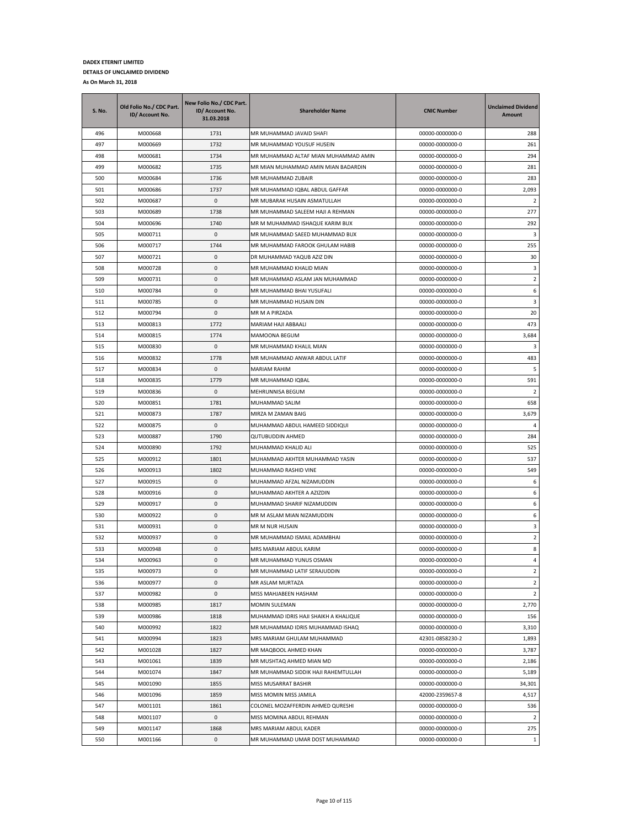| <b>S. No.</b> | Old Folio No./ CDC Part.<br>ID/ Account No. | New Folio No./ CDC Part.<br>ID/ Account No.<br>31.03.2018 | <b>Shareholder Name</b>               | <b>CNIC Number</b> | <b>Unclaimed Dividend</b><br>Amount |
|---------------|---------------------------------------------|-----------------------------------------------------------|---------------------------------------|--------------------|-------------------------------------|
| 496           | M000668                                     | 1731                                                      | MR MUHAMMAD JAVAID SHAFI              | 00000-0000000-0    | 288                                 |
| 497           | M000669                                     | 1732                                                      | MR MUHAMMAD YOUSUF HUSEIN             | 00000-0000000-0    | 261                                 |
| 498           | M000681                                     | 1734                                                      | MR MUHAMMAD ALTAF MIAN MUHAMMAD AMIN  | 00000-0000000-0    | 294                                 |
| 499           | M000682                                     | 1735                                                      | MR MIAN MUHAMMAD AMIN MIAN BADARDIN   | 00000-0000000-0    | 281                                 |
| 500           | M000684                                     | 1736                                                      | MR MUHAMMAD ZUBAIR                    | 00000-0000000-0    | 283                                 |
| 501           | M000686                                     | 1737                                                      | MR MUHAMMAD IQBAL ABDUL GAFFAR        | 00000-0000000-0    | 2,093                               |
| 502           | M000687                                     | 0                                                         | MR MUBARAK HUSAIN ASMATULLAH          | 00000-0000000-0    | 2                                   |
| 503           | M000689                                     | 1738                                                      | MR MUHAMMAD SALEEM HAJI A REHMAN      | 00000-0000000-0    | 277                                 |
| 504           | M000696                                     | 1740                                                      | MR M MUHAMMAD ISHAQUE KARIM BUX       | 00000-0000000-0    | 292                                 |
| 505           | M000711                                     | 0                                                         | MR MUHAMMAD SAEED MUHAMMAD BUX        | 00000-0000000-0    | 3                                   |
| 506           | M000717                                     | 1744                                                      | MR MUHAMMAD FAROOK GHULAM HABIB       | 00000-0000000-0    | 255                                 |
| 507           | M000721                                     | 0                                                         | DR MUHAMMAD YAQUB AZIZ DIN            | 00000-0000000-0    | 30                                  |
| 508           | M000728                                     | 0                                                         | MR MUHAMMAD KHALID MIAN               | 00000-0000000-0    | 3                                   |
| 509           | M000731                                     | 0                                                         | MR MUHAMMAD ASLAM JAN MUHAMMAD        | 00000-0000000-0    | 2                                   |
| 510           | M000784                                     | 0                                                         | MR MUHAMMAD BHAI YUSUFALI             | 00000-0000000-0    | 6                                   |
| 511           | M000785                                     | 0                                                         | MR MUHAMMAD HUSAIN DIN                | 00000-0000000-0    | 3                                   |
| 512           | M000794                                     | 0                                                         | MR M A PIRZADA                        | 00000-0000000-0    | 20                                  |
| 513           | M000813                                     | 1772                                                      | MARIAM HAJI ABBAALI                   | 00000-0000000-0    | 473                                 |
| 514           | M000815                                     | 1774                                                      | MAMOONA BEGUM                         | 00000-0000000-0    | 3,684                               |
| 515           | M000830                                     | 0                                                         | MR MUHAMMAD KHALIL MIAN               | 00000-0000000-0    | 3                                   |
| 516           | M000832                                     | 1778                                                      | MR MUHAMMAD ANWAR ABDUL LATIF         | 00000-0000000-0    | 483                                 |
| 517           | M000834                                     | 0                                                         | MARIAM RAHIM                          | 00000-0000000-0    | 5                                   |
| 518           | M000835                                     | 1779                                                      | MR MUHAMMAD IQBAL                     | 00000-0000000-0    | 591                                 |
| 519           | M000836                                     | 0                                                         | MEHRUNNISA BEGUM                      | 00000-0000000-0    | 2                                   |
| 520           | M000851                                     | 1781                                                      | MUHAMMAD SALIM                        | 00000-0000000-0    | 658                                 |
| 521           | M000873                                     | 1787                                                      | MIRZA M ZAMAN BAIG                    | 00000-0000000-0    | 3,679                               |
| 522           | M000875                                     | 0                                                         | MUHAMMAD ABDUL HAMEED SIDDIQUI        | 00000-0000000-0    | 4                                   |
| 523           | M000887                                     | 1790                                                      | QUTUBUDDIN AHMED                      | 00000-0000000-0    | 284                                 |
| 524           | M000890                                     | 1792                                                      | MUHAMMAD KHALID ALI                   | 00000-0000000-0    | 525                                 |
| 525           | M000912                                     | 1801                                                      | MUHAMMAD AKHTER MUHAMMAD YASIN        | 00000-0000000-0    | 537                                 |
| 526           | M000913                                     | 1802                                                      | MUHAMMAD RASHID VINE                  | 00000-0000000-0    | 549                                 |
| 527           | M000915                                     | 0                                                         | MUHAMMAD AFZAL NIZAMUDDIN             | 00000-0000000-0    | 6                                   |
| 528           | M000916                                     | 0                                                         | MUHAMMAD AKHTER A AZIZDIN             | 00000-0000000-0    | 6                                   |
| 529           | M000917                                     | 0                                                         | MUHAMMAD SHARIF NIZAMUDDIN            | 00000-0000000-0    | 6                                   |
| 530           | M000922                                     | 0                                                         | MR M ASLAM MIAN NIZAMUDDIN            | 00000-0000000-0    | 6                                   |
| 531           | M000931                                     | 0                                                         | MR M NUR HUSAIN                       | 00000-0000000-0    | 3                                   |
| 532           | M000937                                     | 0                                                         | MR MUHAMMAD ISMAIL ADAMBHAI           | 00000-0000000-0    | $\overline{2}$                      |
| 533           | M000948                                     | 0                                                         | MRS MARIAM ABDUL KARIM                | 00000-0000000-0    | 8                                   |
| 534           | M000963                                     | 0                                                         | MR MUHAMMAD YUNUS OSMAN               | 00000-0000000-0    | 4                                   |
| 535           | M000973                                     | 0                                                         | MR MUHAMMAD LATIF SERAJUDDIN          | 00000-0000000-0    | $\overline{2}$                      |
| 536           | M000977                                     | 0                                                         | MR ASLAM MURTAZA                      | 00000-0000000-0    | $\overline{2}$                      |
| 537           | M000982                                     | $\pmb{0}$                                                 | MISS MAHJABEEN HASHAM                 | 00000-0000000-0    | $\overline{2}$                      |
| 538           | M000985                                     | 1817                                                      | MOMIN SULEMAN                         | 00000-0000000-0    | 2,770                               |
| 539           | M000986                                     | 1818                                                      | MUHAMMAD IDRIS HAJI SHAIKH A KHALIQUE | 00000-0000000-0    | 156                                 |
| 540           | M000992                                     | 1822                                                      | MR MUHAMMAD IDRIS MUHAMMAD ISHAQ      | 00000-0000000-0    | 3,310                               |
| 541           | M000994                                     | 1823                                                      | MRS MARIAM GHULAM MUHAMMAD            | 42301-0858230-2    | 1,893                               |
| 542           | M001028                                     | 1827                                                      | MR MAQBOOL AHMED KHAN                 | 00000-0000000-0    | 3,787                               |
| 543           | M001061                                     | 1839                                                      | MR MUSHTAQ AHMED MIAN MD              | 00000-0000000-0    | 2,186                               |
| 544           | M001074                                     | 1847                                                      | MR MUHAMMAD SIDDIK HAJI RAHEMTULLAH   | 00000-0000000-0    | 5,189                               |
| 545           | M001090                                     | 1855                                                      | MISS MUSARRAT BASHIR                  | 00000-0000000-0    | 34,301                              |
| 546           | M001096                                     | 1859                                                      | MISS MOMIN MISS JAMILA                | 42000-2359657-8    | 4,517                               |
| 547           | M001101                                     | 1861                                                      | COLONEL MOZAFFERDIN AHMED QURESHI     | 00000-0000000-0    | 536                                 |
| 548           | M001107                                     | 0                                                         | MISS MOMINA ABDUL REHMAN              | 00000-0000000-0    | $\overline{2}$                      |
| 549           | M001147                                     | 1868                                                      | MRS MARIAM ABDUL KADER                | 00000-0000000-0    | 275                                 |
| 550           | M001166                                     | 0                                                         | MR MUHAMMAD UMAR DOST MUHAMMAD        | 00000-0000000-0    | $\mathbf{1}$                        |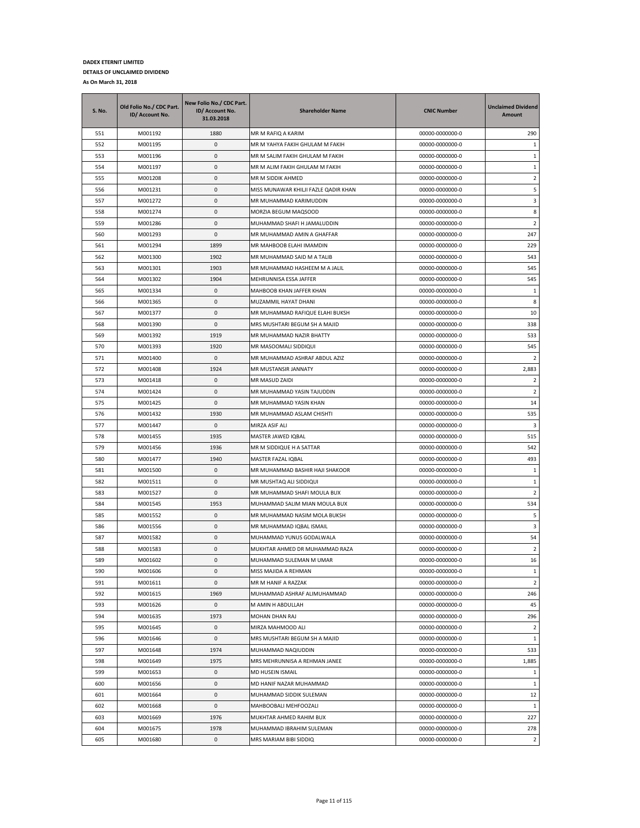| <b>S. No.</b> | Old Folio No./ CDC Part.<br>ID/ Account No. | New Folio No./ CDC Part.<br>ID/ Account No.<br>31.03.2018 | <b>Shareholder Name</b>              | <b>CNIC Number</b> | <b>Unclaimed Dividend</b><br><b>Amount</b> |
|---------------|---------------------------------------------|-----------------------------------------------------------|--------------------------------------|--------------------|--------------------------------------------|
| 551           | M001192                                     | 1880                                                      | MR M RAFIQ A KARIM                   | 00000-0000000-0    | 290                                        |
| 552           | M001195                                     | 0                                                         | MR M YAHYA FAKIH GHULAM M FAKIH      | 00000-0000000-0    | 1                                          |
| 553           | M001196                                     | 0                                                         | MR M SALIM FAKIH GHULAM M FAKIH      | 00000-0000000-0    | 1                                          |
| 554           | M001197                                     | 0                                                         | MR M ALIM FAKIH GHULAM M FAKIH       | 00000-0000000-0    | $\mathbf{1}$                               |
| 555           | M001208                                     | 0                                                         | MR M SIDDIK AHMED                    | 00000-0000000-0    | $\overline{2}$                             |
| 556           | M001231                                     | 0                                                         | MISS MUNAWAR KHILJI FAZLE QADIR KHAN | 00000-0000000-0    | 5                                          |
| 557           | M001272                                     | 0                                                         | MR MUHAMMAD KARIMUDDIN               | 00000-0000000-0    | 3                                          |
| 558           | M001274                                     | 0                                                         | MORZIA BEGUM MAQSOOD                 | 00000-0000000-0    | 8                                          |
| 559           | M001286                                     | 0                                                         | MUHAMMAD SHAFI H JAMALUDDIN          | 00000-0000000-0    | 2                                          |
| 560           | M001293                                     | 0                                                         | MR MUHAMMAD AMIN A GHAFFAR           | 00000-0000000-0    | 247                                        |
| 561           | M001294                                     | 1899                                                      | MR MAHBOOB ELAHI IMAMDIN             | 00000-0000000-0    | 229                                        |
| 562           | M001300                                     | 1902                                                      | MR MUHAMMAD SAID M A TALIB           | 00000-0000000-0    | 543                                        |
| 563           | M001301                                     | 1903                                                      | MR MUHAMMAD HASHEEM M A JALIL        | 00000-0000000-0    | 545                                        |
| 564           | M001302                                     | 1904                                                      | MEHRUNNISA ESSA JAFFER               | 00000-0000000-0    | 545                                        |
| 565           | M001334                                     | 0                                                         | MAHBOOB KHAN JAFFER KHAN             | 00000-0000000-0    | 1                                          |
| 566           | M001365                                     | 0                                                         | MUZAMMIL HAYAT DHANI                 | 00000-0000000-0    | 8                                          |
| 567           | M001377                                     | 0                                                         | MR MUHAMMAD RAFIQUE ELAHI BUKSH      | 00000-0000000-0    | 10                                         |
| 568           | M001390                                     | 0                                                         | MRS MUSHTARI BEGUM SH A MAJID        | 00000-0000000-0    | 338                                        |
| 569           | M001392                                     | 1919                                                      | MR MUHAMMAD NAZIR BHATTY             | 00000-0000000-0    | 533                                        |
| 570           | M001393                                     | 1920                                                      | MR MASOOMALI SIDDIQUI                | 00000-0000000-0    | 545                                        |
| 571           | M001400                                     | 0                                                         | MR MUHAMMAD ASHRAF ABDUL AZIZ        | 00000-0000000-0    | 2                                          |
| 572           | M001408                                     | 1924                                                      | MR MUSTANSIR JANNATY                 | 00000-0000000-0    | 2,883                                      |
| 573           | M001418                                     | 0                                                         | MR MASUD ZAIDI                       | 00000-0000000-0    | 2                                          |
| 574           | M001424                                     | 0                                                         | MR MUHAMMAD YASIN TAJUDDIN           | 00000-0000000-0    | $\overline{2}$                             |
| 575           | M001425                                     | 0                                                         | MR MUHAMMAD YASIN KHAN               | 00000-0000000-0    | 14                                         |
| 576           | M001432                                     | 1930                                                      | MR MUHAMMAD ASLAM CHISHTI            | 00000-0000000-0    | 535                                        |
| 577           | M001447                                     | 0                                                         | MIRZA ASIF ALI                       | 00000-0000000-0    | 3                                          |
| 578           | M001455                                     | 1935                                                      | MASTER JAWED IQBAL                   | 00000-0000000-0    | 515                                        |
| 579           | M001456                                     | 1936                                                      | MR M SIDDIQUE H A SATTAR             | 00000-0000000-0    | 542                                        |
| 580           | M001477                                     | 1940                                                      | MASTER FAZAL IQBAL                   | 00000-0000000-0    | 493                                        |
| 581           | M001500                                     | 0                                                         | MR MUHAMMAD BASHIR HAJI SHAKOOR      | 00000-0000000-0    | $\mathbf{1}$                               |
| 582           | M001511                                     | 0                                                         | MR MUSHTAQ ALI SIDDIQUI              | 00000-0000000-0    | $\,1\,$                                    |
| 583           | M001527                                     | 0                                                         | MR MUHAMMAD SHAFI MOULA BUX          | 00000-0000000-0    | $\overline{2}$                             |
| 584           | M001545                                     | 1953                                                      | MUHAMMAD SALIM MIAN MOULA BUX        | 00000-0000000-0    | 534                                        |
| 585           | M001552                                     | 0                                                         | MR MUHAMMAD NASIM MOLA BUKSH         | 00000-0000000-0    | 5                                          |
| 586           | M001556                                     | 0                                                         | MR MUHAMMAD IQBAL ISMAIL             | 00000-0000000-0    | 3                                          |
| 587           | M001582                                     | 0                                                         | MUHAMMAD YUNUS GODALWALA             | 00000-0000000-0    | 54                                         |
| 588           | M001583                                     | $\mathbf 0$                                               | MUKHTAR AHMED DR MUHAMMAD RAZA       | 00000-0000000-0    | $\overline{2}$                             |
| 589           | M001602                                     | $\mathbf 0$                                               | MUHAMMAD SULEMAN M UMAR              | 00000-0000000-0    | 16                                         |
| 590           | M001606                                     | 0                                                         | MISS MAJIDA A REHMAN                 | 00000-0000000-0    | $\mathbf{1}$                               |
| 591           | M001611                                     | 0                                                         | MR M HANIF A RAZZAK                  | 00000-0000000-0    | $\overline{2}$                             |
| 592           | M001615                                     | 1969                                                      | MUHAMMAD ASHRAF ALIMUHAMMAD          | 00000-0000000-0    | 246                                        |
| 593           | M001626                                     | 0                                                         | M AMIN H ABDULLAH                    | 00000-0000000-0    | 45                                         |
| 594           | M001635                                     | 1973                                                      | MOHAN DHAN RAJ                       | 00000-0000000-0    | 296                                        |
| 595           | M001645                                     | 0                                                         | MIRZA MAHMOOD ALI                    | 00000-0000000-0    | $\overline{2}$                             |
| 596           | M001646                                     | 0                                                         | MRS MUSHTARI BEGUM SH A MAJID        | 00000-0000000-0    | $\mathbf{1}$                               |
| 597           | M001648                                     | 1974                                                      | MUHAMMAD NAQIUDDIN                   | 00000-0000000-0    | 533                                        |
| 598           | M001649                                     | 1975                                                      | MRS MEHRUNNISA A REHMAN JANEE        | 00000-0000000-0    | 1,885                                      |
| 599           | M001653                                     | 0                                                         | MD HUSEIN ISMAIL                     | 00000-0000000-0    | $\mathbf{1}$                               |
| 600           | M001656                                     | 0                                                         | MD HANIF NAZAR MUHAMMAD              | 00000-0000000-0    | $\mathbf{1}$                               |
| 601           | M001664                                     | $\pmb{0}$                                                 | MUHAMMAD SIDDIK SULEMAN              | 00000-0000000-0    | 12                                         |
| 602           | M001668                                     | 0                                                         | MAHBOOBALI MEHFOOZALI                | 00000-0000000-0    | $\mathbf{1}$                               |
| 603           | M001669                                     | 1976                                                      | MUKHTAR AHMED RAHIM BUX              | 00000-0000000-0    | 227                                        |
| 604           | M001675                                     | 1978                                                      | MUHAMMAD IBRAHIM SULEMAN             | 00000-0000000-0    | 278                                        |
| 605           | M001680                                     | 0                                                         | MRS MARIAM BIBI SIDDIQ               | 00000-0000000-0    | $\overline{2}$                             |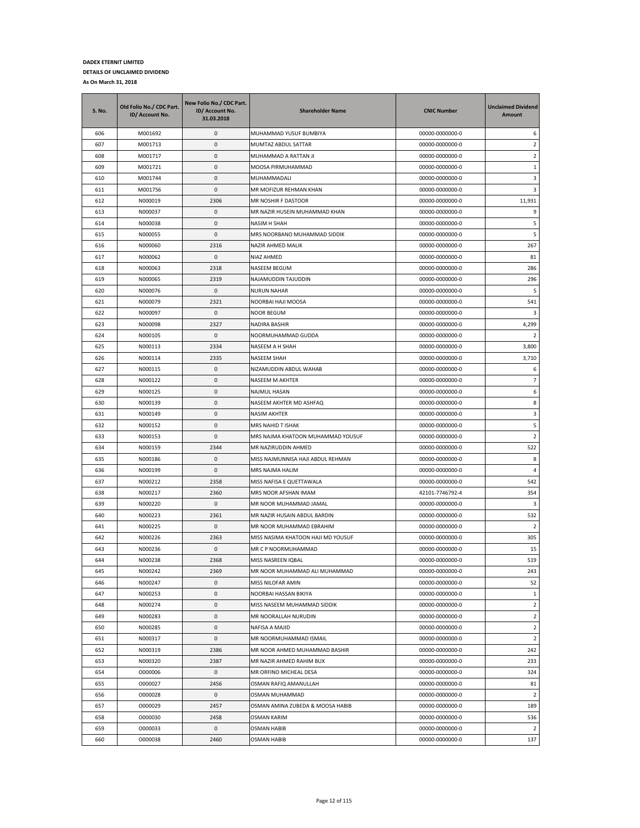| <b>S. No.</b> | Old Folio No./ CDC Part.<br>ID/ Account No. | New Folio No./ CDC Part.<br>ID/ Account No.<br>31.03.2018 | <b>Shareholder Name</b>            | <b>CNIC Number</b> | <b>Unclaimed Dividend</b><br>Amount |
|---------------|---------------------------------------------|-----------------------------------------------------------|------------------------------------|--------------------|-------------------------------------|
| 606           | M001692                                     | 0                                                         | MUHAMMAD YUSUF BUMBIYA             | 00000-0000000-0    | 6                                   |
| 607           | M001713                                     | 0                                                         | MUMTAZ ABDUL SATTAR                | 00000-0000000-0    | $\overline{2}$                      |
| 608           | M001717                                     | 0                                                         | MUHAMMAD A RATTAN JI               | 00000-0000000-0    | $\overline{2}$                      |
| 609           | M001721                                     | 0                                                         | MOOSA PIRMUHAMMAD                  | 00000-0000000-0    | $\mathbf{1}$                        |
| 610           | M001744                                     | 0                                                         | MUHAMMADALI                        | 00000-0000000-0    | 3                                   |
| 611           | M001756                                     | 0                                                         | MR MOFIZUR REHMAN KHAN             | 00000-0000000-0    | 3                                   |
| 612           | N000019                                     | 2306                                                      | MR NOSHIR F DASTOOR                | 00000-0000000-0    | 11,931                              |
| 613           | N000037                                     | 0                                                         | MR NAZIR HUSEIN MUHAMMAD KHAN      | 00000-0000000-0    | 9                                   |
| 614           | N000038                                     | 0                                                         | NASIM H SHAH                       | 00000-0000000-0    | 5                                   |
| 615           | N000055                                     | 0                                                         | MRS NOORBANO MUHAMMAD SIDDIK       | 00000-0000000-0    | 5                                   |
| 616           | N000060                                     | 2316                                                      | NAZIR AHMED MALIK                  | 00000-0000000-0    | 267                                 |
| 617           | N000062                                     | 0                                                         | NIAZ AHMED                         | 00000-0000000-0    | 81                                  |
| 618           | N000063                                     | 2318                                                      | NASEEM BEGUM                       | 00000-0000000-0    | 286                                 |
| 619           | N000065                                     | 2319                                                      | NAJAMUDDIN TAJUDDIN                | 00000-0000000-0    | 296                                 |
| 620           | N000076                                     | 0                                                         | NURUN NAHAR                        | 00000-0000000-0    | 5                                   |
| 621           | N000079                                     | 2321                                                      | NOORBAI HAJI MOOSA                 | 00000-0000000-0    | 541                                 |
| 622           | N000097                                     | 0                                                         | NOOR BEGUM                         | 00000-0000000-0    | 3                                   |
| 623           | N000098                                     | 2327                                                      | <b>NADIRA BASHIR</b>               | 00000-0000000-0    | 4,299                               |
| 624           | N000105                                     | 0                                                         | NOORMUHAMMAD GUDDA                 | 00000-0000000-0    | 2                                   |
| 625           | N000113                                     | 2334                                                      | NASEEM A H SHAH                    | 00000-0000000-0    | 3,800                               |
| 626           | N000114                                     | 2335                                                      | NASEEM SHAH                        | 00000-0000000-0    | 3,710                               |
| 627           | N000115                                     | 0                                                         | NIZAMUDDIN ABDUL WAHAB             | 00000-0000000-0    | 6                                   |
| 628           | N000122                                     | 0                                                         | NASEEM M AKHTER                    | 00000-0000000-0    | $\overline{7}$                      |
| 629           | N000125                                     | 0                                                         | NAJMUL HASAN                       | 00000-0000000-0    | 6                                   |
| 630           | N000139                                     | 0                                                         | NASEEM AKHTER MD ASHFAQ            | 00000-0000000-0    | 8                                   |
| 631           | N000149                                     | 0                                                         | NASIM AKHTER                       | 00000-0000000-0    | 3                                   |
| 632           | N000152                                     | 0                                                         | MRS NAHID T ISHAK                  | 00000-0000000-0    | 5                                   |
| 633           | N000153                                     | 0                                                         | MRS NAJMA KHATOON MUHAMMAD YOUSUF  | 00000-0000000-0    | $\overline{2}$                      |
| 634           | N000159                                     | 2344                                                      | MR NAZIRUDDIN AHMED                | 00000-0000000-0    | 522                                 |
| 635           | N000186                                     | 0                                                         | MISS NAJMUNNISA HAJI ABDUL REHMAN  | 00000-0000000-0    | 8                                   |
| 636           | N000199                                     | 0                                                         | MRS NAJMA HALIM                    | 00000-0000000-0    | 4                                   |
| 637           | N000212                                     | 2358                                                      | MISS NAFISA E QUETTAWALA           | 00000-0000000-0    | 542                                 |
| 638           | N000217                                     | 2360                                                      | MRS NOOR AFSHAN IMAM               | 42101-7746792-4    | 354                                 |
| 639           | N000220                                     | 0                                                         | MR NOOR MUHAMMAD JAMAL             | 00000-0000000-0    | 3                                   |
| 640           | N000223                                     | 2361                                                      | MR NAZIR HUSAIN ABDUL BARDIN       | 00000-0000000-0    | 532                                 |
| 641           | N000225                                     | 0                                                         | MR NOOR MUHAMMAD EBRAHIM           | 00000-0000000-0    | $\overline{2}$                      |
| 642           | N000226                                     | 2363                                                      | MISS NASIMA KHATOON HAJI MD YOUSUF | 00000-0000000-0    | 305                                 |
| 643           | N000236                                     | 0                                                         | MR C P NOORMUHAMMAD                | 00000-0000000-0    | 15                                  |
| 644           | N000238                                     | 2368                                                      | MISS NASREEN IQBAL                 | 00000-0000000-0    | 519                                 |
| 645           | N000242                                     | 2369                                                      | MR NOOR MUHAMMAD ALI MUHAMMAD      | 00000-0000000-0    | 243                                 |
| 646           | N000247                                     | 0                                                         | MISS NILOFAR AMIN                  | 00000-0000000-0    | 52                                  |
| 647           | N000253                                     | $\mathsf 0$                                               | NOORBAI HASSAN BIKIYA              | 00000-0000000-0    | $\mathbf{1}$                        |
| 648           | N000274                                     | 0                                                         | MISS NASEEM MUHAMMAD SIDDIK        | 00000-0000000-0    | $\overline{2}$                      |
| 649           | N000283                                     | 0                                                         | MR NOORALLAH NURUDIN               | 00000-0000000-0    | $\overline{2}$                      |
| 650           | N000285                                     | 0                                                         | NAFISA A MAJID                     | 00000-0000000-0    | $\overline{2}$                      |
| 651           | N000317                                     | 0                                                         | MR NOORMUHAMMAD ISMAIL             | 00000-0000000-0    | $\overline{2}$                      |
| 652           | N000319                                     | 2386                                                      | MR NOOR AHMED MUHAMMAD BASHIR      | 00000-0000000-0    | 242                                 |
| 653           | N000320                                     | 2387                                                      | MR NAZIR AHMED RAHIM BUX           | 00000-0000000-0    | 233                                 |
| 654           | 0000006                                     | 0                                                         | MR ORFINO MICHEAL DESA             | 00000-0000000-0    | 324                                 |
| 655           | 0000027                                     | 2456                                                      | OSMAN RAFIQ AMANULLAH              | 00000-0000000-0    | 81                                  |
| 656           | 0000028                                     | 0                                                         | OSMAN MUHAMMAD                     | 00000-0000000-0    | $\overline{2}$                      |
| 657           | 0000029                                     | 2457                                                      | OSMAN AMINA ZUBEDA & MOOSA HABIB   | 00000-0000000-0    | 189                                 |
| 658           | 0000030                                     | 2458                                                      | OSMAN KARIM                        | 00000-0000000-0    | 536                                 |
| 659           | 0000033                                     | 0                                                         | <b>OSMAN HABIB</b>                 | 00000-0000000-0    | $\overline{2}$                      |
| 660           | 0000038                                     | 2460                                                      | <b>OSMAN HABIB</b>                 | 00000-0000000-0    | 137                                 |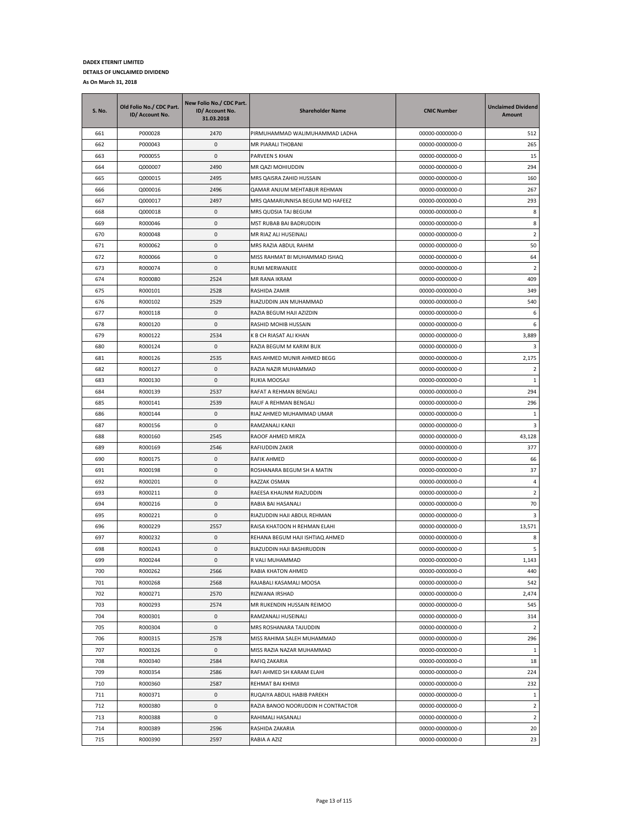| <b>S. No.</b> | Old Folio No./ CDC Part.<br>ID/ Account No. | New Folio No./ CDC Part.<br>ID/ Account No.<br>31.03.2018 | <b>Shareholder Name</b>            | <b>CNIC Number</b> | <b>Unclaimed Dividend</b><br>Amount |
|---------------|---------------------------------------------|-----------------------------------------------------------|------------------------------------|--------------------|-------------------------------------|
| 661           | P000028                                     | 2470                                                      | PIRMUHAMMAD WALIMUHAMMAD LADHA     | 00000-0000000-0    | 512                                 |
| 662           | P000043                                     | 0                                                         | MR PIARALI THOBANI                 | 00000-0000000-0    | 265                                 |
| 663           | P000055                                     | 0                                                         | PARVEEN S KHAN                     | 00000-0000000-0    | 15                                  |
| 664           | Q000007                                     | 2490                                                      | MR QAZI MOHIUDDIN                  | 00000-0000000-0    | 294                                 |
| 665           | Q000015                                     | 2495                                                      | MRS QAISRA ZAHID HUSSAIN           | 00000-0000000-0    | 160                                 |
| 666           | Q000016                                     | 2496                                                      | QAMAR ANJUM MEHTABUR REHMAN        | 00000-0000000-0    | 267                                 |
| 667           | Q000017                                     | 2497                                                      | MRS QAMARUNNISA BEGUM MD HAFEEZ    | 00000-0000000-0    | 293                                 |
| 668           | Q000018                                     | 0                                                         | MRS QUDSIA TAJ BEGUM               | 00000-0000000-0    | 8                                   |
| 669           | R000046                                     | 0                                                         | MST RUBAB BAI BADRUDDIN            | 00000-0000000-0    | 8                                   |
| 670           | R000048                                     | 0                                                         | MR RIAZ ALI HUSEINALI              | 00000-0000000-0    | $\overline{2}$                      |
| 671           | R000062                                     | 0                                                         | MRS RAZIA ABDUL RAHIM              | 00000-0000000-0    | 50                                  |
| 672           | R000066                                     | 0                                                         | MISS RAHMAT BI MUHAMMAD ISHAQ      | 00000-0000000-0    | 64                                  |
| 673           | R000074                                     | 0                                                         | RUMI MERWANJEE                     | 00000-0000000-0    | $\overline{2}$                      |
| 674           | R000080                                     | 2524                                                      | MR RANA IKRAM                      | 00000-0000000-0    | 409                                 |
| 675           | R000101                                     | 2528                                                      | RASHIDA ZAMIR                      | 00000-0000000-0    | 349                                 |
| 676           | R000102                                     | 2529                                                      | RIAZUDDIN JAN MUHAMMAD             | 00000-0000000-0    | 540                                 |
| 677           | R000118                                     | 0                                                         | RAZIA BEGUM HAJI AZIZDIN           | 00000-0000000-0    | 6                                   |
| 678           | R000120                                     | 0                                                         | RASHID MOHIB HUSSAIN               | 00000-0000000-0    | 6                                   |
| 679           | R000122                                     | 2534                                                      | K B CH RIASAT ALI KHAN             | 00000-0000000-0    | 3,889                               |
| 680           | R000124                                     | 0                                                         | RAZIA BEGUM M KARIM BUX            | 00000-0000000-0    | 3                                   |
| 681           | R000126                                     | 2535                                                      | RAIS AHMED MUNIR AHMED BEGG        | 00000-0000000-0    | 2,175                               |
| 682           | R000127                                     | 0                                                         | RAZIA NAZIR MUHAMMAD               | 00000-0000000-0    | $\overline{2}$                      |
| 683           | R000130                                     | 0                                                         | RUKIA MOOSAJI                      | 00000-0000000-0    | $\mathbf{1}$                        |
| 684           | R000139                                     | 2537                                                      | RAFAT A REHMAN BENGALI             | 00000-0000000-0    | 294                                 |
| 685           | R000141                                     | 2539                                                      | RAUF A REHMAN BENGALI              | 00000-0000000-0    | 296                                 |
| 686           | R000144                                     | 0                                                         | RIAZ AHMED MUHAMMAD UMAR           | 00000-0000000-0    | 1                                   |
| 687           | R000156                                     | 0                                                         | RAMZANALI KANJI                    | 00000-0000000-0    | 3                                   |
| 688           | R000160                                     | 2545                                                      | RAOOF AHMED MIRZA                  | 00000-0000000-0    | 43,128                              |
| 689           | R000169                                     | 2546                                                      | RAFIUDDIN ZAKIR                    | 00000-0000000-0    | 377                                 |
| 690           | R000175                                     | 0                                                         | RAFIK AHMED                        | 00000-0000000-0    | 66                                  |
| 691           | R000198                                     | 0                                                         | ROSHANARA BEGUM SH A MATIN         | 00000-0000000-0    | 37                                  |
| 692           | R000201                                     | 0                                                         | RAZZAK OSMAN                       | 00000-0000000-0    | $\overline{a}$                      |
| 693           | R000211                                     | 0                                                         | RAEESA KHAUNM RIAZUDDIN            | 00000-0000000-0    | 2                                   |
| 694           | R000216                                     | 0                                                         | RABIA BAI HASANALI                 | 00000-0000000-0    | 70                                  |
| 695           | R000221                                     | 0                                                         | RIAZUDDIN HAJI ABDUL REHMAN        | 00000-0000000-0    | 3                                   |
| 696           | R000229                                     | 2557                                                      | RAISA KHATOON H REHMAN ELAHI       | 00000-0000000-0    | 13,571                              |
| 697           | R000232                                     | 0                                                         | REHANA BEGUM HAJI ISHTIAQ AHMED    | 00000-0000000-0    | 8                                   |
| 698           | R000243                                     | 0                                                         | RIAZUDDIN HAJI BASHIRUDDIN         | 00000-0000000-0    | 5                                   |
| 699           | R000244                                     | $\mathbf 0$                                               | R VALI MUHAMMAD                    | 00000-0000000-0    | 1,143                               |
| 700           | R000262                                     | 2566                                                      | RABIA KHATON AHMED                 | 00000-0000000-0    | 440                                 |
| 701           | R000268                                     | 2568                                                      | RAJABALI KASAMALI MOOSA            | 00000-0000000-0    | 542                                 |
| 702           | R000271                                     | 2570                                                      | RIZWANA IRSHAD                     | 00000-0000000-0    | 2,474                               |
| 703           | R000293                                     | 2574                                                      | MR RUKENDIN HUSSAIN REIMOO         | 00000-0000000-0    | 545                                 |
| 704           | R000301                                     | 0                                                         | RAMZANALI HUSEINALI                | 00000-0000000-0    | 314                                 |
| 705           | R000304                                     | 0                                                         | MRS ROSHANARA TAJUDDIN             | 00000-0000000-0    | $\overline{2}$                      |
| 706           | R000315                                     | 2578                                                      | MISS RAHIMA SALEH MUHAMMAD         | 00000-0000000-0    | 296                                 |
| 707           | R000326                                     | 0                                                         | MISS RAZIA NAZAR MUHAMMAD          | 00000-0000000-0    | 1                                   |
| 708           | R000340                                     | 2584                                                      | RAFIQ ZAKARIA                      | 00000-0000000-0    | 18                                  |
| 709           | R000354                                     | 2586                                                      | RAFI AHMED SH KARAM ELAHI          | 00000-0000000-0    | 224                                 |
| 710           | R000360                                     | 2587                                                      | REHMAT BAI KHIMJI                  | 00000-0000000-0    | 232                                 |
| 711           | R000371                                     | 0                                                         | RUQAIYA ABDUL HABIB PAREKH         | 00000-0000000-0    | $\mathbf{1}$                        |
| 712           | R000380                                     | 0                                                         | RAZIA BANOO NOORUDDIN H CONTRACTOR | 00000-0000000-0    | $\overline{2}$                      |
| 713           | R000388                                     | 0                                                         | RAHIMALI HASANALI                  | 00000-0000000-0    | $\overline{2}$                      |
| 714           | R000389                                     | 2596                                                      | RASHIDA ZAKARIA                    | 00000-0000000-0    | 20                                  |
| 715           | R000390                                     | 2597                                                      | RABIA A AZIZ                       | 00000-0000000-0    | 23                                  |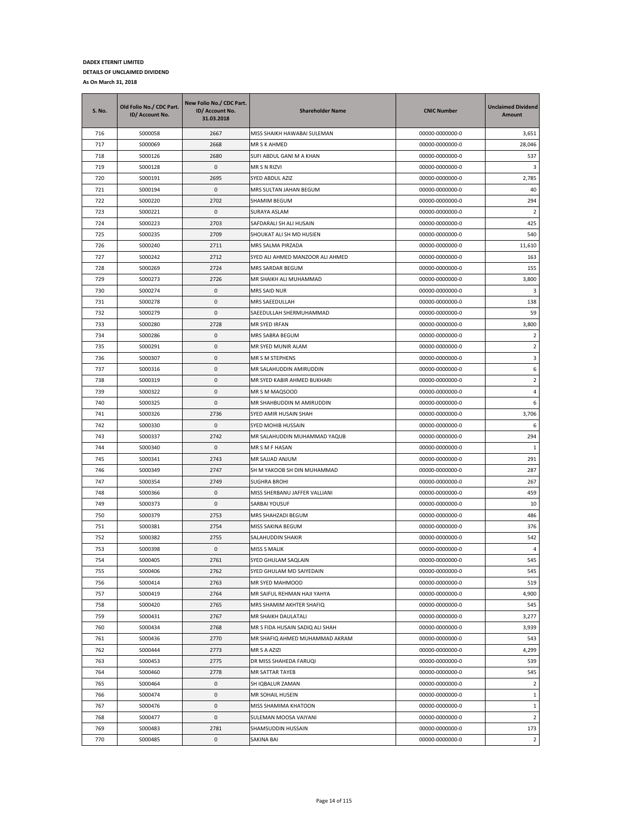| S. No. | Old Folio No./ CDC Part.<br>ID/ Account No. | New Folio No./ CDC Part.<br>ID/ Account No.<br>31.03.2018 | <b>Shareholder Name</b>          | <b>CNIC Number</b> | <b>Unclaimed Dividend</b><br><b>Amount</b> |
|--------|---------------------------------------------|-----------------------------------------------------------|----------------------------------|--------------------|--------------------------------------------|
| 716    | S000058                                     | 2667                                                      | MISS SHAIKH HAWABAI SULEMAN      | 00000-0000000-0    | 3,651                                      |
| 717    | S000069                                     | 2668                                                      | MR S K AHMED                     | 00000-0000000-0    | 28,046                                     |
| 718    | S000126                                     | 2680                                                      | SUFI ABDUL GANI M A KHAN         | 00000-0000000-0    | 537                                        |
| 719    | S000128                                     | 0                                                         | MR S N RIZVI                     | 00000-0000000-0    | 3                                          |
| 720    | S000191                                     | 2695                                                      | SYED ABDUL AZIZ                  | 00000-0000000-0    | 2,785                                      |
| 721    | S000194                                     | $\mathbf 0$                                               | MRS SULTAN JAHAN BEGUM           | 00000-0000000-0    | 40                                         |
| 722    | S000220                                     | 2702                                                      | SHAMIM BEGUM                     | 00000-0000000-0    | 294                                        |
| 723    | S000221                                     | 0                                                         | SURAYA ASLAM                     | 00000-0000000-0    | $\overline{2}$                             |
| 724    | S000223                                     | 2703                                                      | SAFDARALI SH ALI HUSAIN          | 00000-0000000-0    | 425                                        |
| 725    | S000235                                     | 2709                                                      | SHOUKAT ALI SH MD HUSIEN         | 00000-0000000-0    | 540                                        |
| 726    | S000240                                     | 2711                                                      | MRS SALMA PIRZADA                | 00000-0000000-0    | 11,610                                     |
| 727    | S000242                                     | 2712                                                      | SYED ALI AHMED MANZOOR ALI AHMED | 00000-0000000-0    | 163                                        |
| 728    | S000269                                     | 2724                                                      | MRS SARDAR BEGUM                 | 00000-0000000-0    | 155                                        |
| 729    | S000273                                     | 2726                                                      | MR SHAIKH ALI MUHAMMAD           | 00000-0000000-0    | 3,800                                      |
| 730    | S000274                                     | $\mathsf 0$                                               | MRS SAID NUR                     | 00000-0000000-0    | 3                                          |
| 731    | S000278                                     | 0                                                         | MRS SAEEDULLAH                   | 00000-0000000-0    | 138                                        |
| 732    | S000279                                     | $\mathsf 0$                                               | SAEEDULLAH SHERMUHAMMAD          | 00000-0000000-0    | 59                                         |
| 733    | S000280                                     | 2728                                                      | MR SYED IRFAN                    | 00000-0000000-0    | 3,800                                      |
| 734    | S000286                                     | $\mathsf 0$                                               | MRS SABRA BEGUM                  | 00000-0000000-0    | $\overline{2}$                             |
| 735    | S000291                                     | $\pmb{0}$                                                 | MR SYED MUNIR ALAM               | 00000-0000000-0    | $\overline{2}$                             |
| 736    | S000307                                     | $\mathbf 0$                                               | MR S M STEPHENS                  | 00000-0000000-0    | 3                                          |
| 737    | S000316                                     | $\mathsf 0$                                               | MR SALAHUDDIN AMIRUDDIN          | 00000-0000000-0    | 6                                          |
| 738    | S000319                                     | 0                                                         | MR SYED KABIR AHMED BUKHARI      | 00000-0000000-0    | $\overline{2}$                             |
| 739    | S000322                                     | 0                                                         | MR S M MAQSOOD                   | 00000-0000000-0    | 4                                          |
| 740    | S000325                                     | $\mathsf 0$                                               | MR SHAHBUDDIN M AMIRUDDIN        | 00000-0000000-0    | 6                                          |
| 741    | S000326                                     | 2736                                                      | SYED AMIR HUSAIN SHAH            | 00000-0000000-0    | 3,706                                      |
| 742    | S000330                                     | $\mathsf 0$                                               | SYED MOHIB HUSSAIN               | 00000-0000000-0    | 6                                          |
| 743    | S000337                                     | 2742                                                      | MR SALAHUDDIN MUHAMMAD YAQUB     | 00000-0000000-0    | 294                                        |
| 744    | S000340                                     | 0                                                         | MR S M F HASAN                   | 00000-0000000-0    | 1                                          |
| 745    | S000341                                     | 2743                                                      | MR SAJJAD ANJUM                  | 00000-0000000-0    | 291                                        |
| 746    | S000349                                     | 2747                                                      | SH M YAKOOB SH DIN MUHAMMAD      | 00000-0000000-0    | 287                                        |
| 747    | S000354                                     | 2749                                                      | <b>SUGHRA BROHI</b>              | 00000-0000000-0    | 267                                        |
| 748    | S000366                                     | $\pmb{0}$                                                 | MISS SHERBANU JAFFER VALLIANI    | 00000-0000000-0    | 459                                        |
| 749    | S000373                                     | $\mathsf 0$                                               | SARBAI YOUSUF                    | 00000-0000000-0    | 10                                         |
| 750    | S000379                                     | 2753                                                      | MRS SHAHZADI BEGUM               | 00000-0000000-0    | 486                                        |
| 751    | S000381                                     | 2754                                                      | MISS SAKINA BEGUM                | 00000-0000000-0    | 376                                        |
| 752    | S000382                                     | 2755                                                      | SALAHUDDIN SHAKIR                | 00000-0000000-0    | 542                                        |
| 753    | S000398                                     | 0                                                         | <b>MISS S MALIK</b>              | 00000-0000000-0    | 4                                          |
| 754    | S000405                                     | 2761                                                      | SYED GHULAM SAQLAIN              | 00000-0000000-0    | 545                                        |
| 755    | S000406                                     | 2762                                                      | SYED GHULAM MD SAIYEDAIN         | 00000-0000000-0    | 545                                        |
| 756    | S000414                                     | 2763                                                      | MR SYED MAHMOOD                  | 00000-0000000-0    | 519                                        |
| 757    | S000419                                     | 2764                                                      | MR SAIFUL REHMAN HAJI YAHYA      | 00000-0000000-0    | 4,900                                      |
| 758    | S000420                                     | 2765                                                      | MRS SHAMIM AKHTER SHAFIQ         | 00000-0000000-0    | 545                                        |
| 759    | S000431                                     | 2767                                                      | MR SHAIKH DAULATALI              | 00000-0000000-0    | 3,277                                      |
| 760    | S000434                                     | 2768                                                      | MR S FIDA HUSAIN SADIQ ALI SHAH  | 00000-0000000-0    | 3,939                                      |
| 761    | S000436                                     | 2770                                                      | MR SHAFIQ AHMED MUHAMMAD AKRAM   | 00000-0000000-0    | 543                                        |
| 762    | S000444                                     | 2773                                                      | MR S A AZIZI                     | 00000-0000000-0    | 4,299                                      |
| 763    | S000453                                     | 2775                                                      | DR MISS SHAHEDA FARUQI           | 00000-0000000-0    | 539                                        |
| 764    | S000460                                     | 2778                                                      | MR SATTAR TAYEB                  | 00000-0000000-0    | 545                                        |
| 765    | S000464                                     | $\mathsf 0$                                               | SH IQBALUR ZAMAN                 | 00000-0000000-0    | $\overline{2}$                             |
| 766    | S000474                                     | $\pmb{0}$                                                 | MR SOHAIL HUSEIN                 | 00000-0000000-0    | $\mathbf{1}$                               |
| 767    | S000476                                     | $\pmb{0}$                                                 | MISS SHAMIMA KHATOON             | 00000-0000000-0    | $\mathbf 1$                                |
| 768    | S000477                                     | 0                                                         | SULEMAN MOOSA VAIYANI            | 00000-0000000-0    | $\overline{2}$                             |
| 769    | S000483                                     | 2781                                                      | SHAMSUDDIN HUSSAIN               | 00000-0000000-0    | 173                                        |
| 770    | S000485                                     | 0                                                         | SAKINA BAI                       | 00000-0000000-0    | $\overline{2}$                             |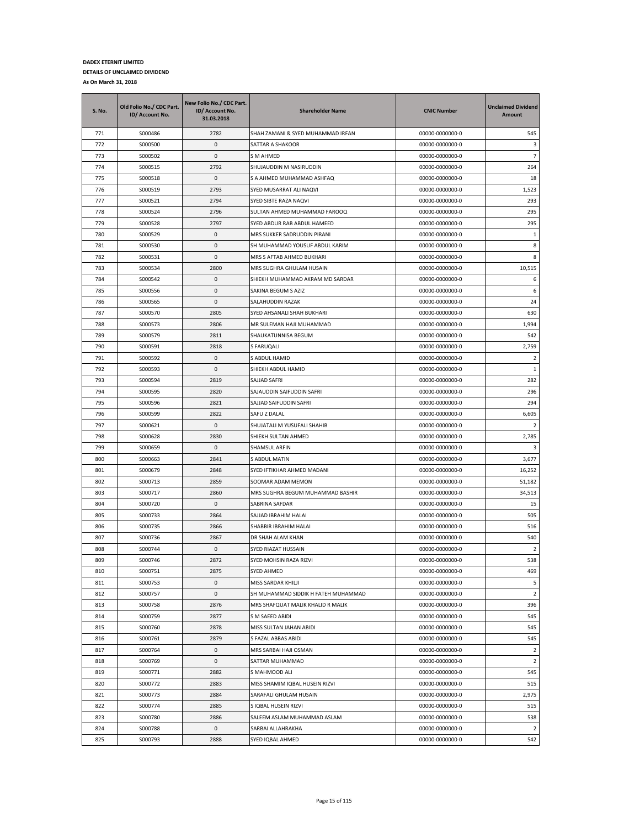| S. No. | Old Folio No./ CDC Part.<br>ID/ Account No. | New Folio No./ CDC Part.<br>ID/ Account No.<br>31.03.2018 | <b>Shareholder Name</b>             | <b>CNIC Number</b> | <b>Unclaimed Dividend</b><br>Amount |
|--------|---------------------------------------------|-----------------------------------------------------------|-------------------------------------|--------------------|-------------------------------------|
| 771    | S000486                                     | 2782                                                      | SHAH ZAMANI & SYED MUHAMMAD IRFAN   | 00000-0000000-0    | 545                                 |
| 772    | S000500                                     | 0                                                         | SATTAR A SHAKOOR                    | 00000-0000000-0    | 3                                   |
| 773    | S000502                                     | $\mathbf{0}$                                              | S M AHMED                           | 00000-0000000-0    | $\overline{7}$                      |
| 774    | S000515                                     | 2792                                                      | SHUJAUDDIN M NASIRUDDIN             | 00000-0000000-0    | 264                                 |
| 775    | S000518                                     | 0                                                         | S A AHMED MUHAMMAD ASHFAQ           | 00000-0000000-0    | 18                                  |
| 776    | S000519                                     | 2793                                                      | SYED MUSARRAT ALI NAQVI             | 00000-0000000-0    | 1,523                               |
| 777    | S000521                                     | 2794                                                      | SYED SIBTE RAZA NAQVI               | 00000-0000000-0    | 293                                 |
| 778    | S000524                                     | 2796                                                      | SULTAN AHMED MUHAMMAD FAROOQ        | 00000-0000000-0    | 295                                 |
| 779    | S000528                                     | 2797                                                      | SYED ABDUR RAB ABDUL HAMEED         | 00000-0000000-0    | 295                                 |
| 780    | S000529                                     | 0                                                         | MRS SUKKER SADRUDDIN PIRANI         | 00000-0000000-0    | $\mathbf{1}$                        |
| 781    | S000530                                     | 0                                                         | SH MUHAMMAD YOUSUF ABDUL KARIM      | 00000-0000000-0    | 8                                   |
| 782    | S000531                                     | 0                                                         | MRS S AFTAB AHMED BUKHARI           | 00000-0000000-0    | 8                                   |
| 783    | S000534                                     | 2800                                                      | MRS SUGHRA GHULAM HUSAIN            | 00000-0000000-0    | 10,515                              |
| 784    | S000542                                     | 0                                                         | SHIEKH MUHAMMAD AKRAM MD SARDAR     | 00000-0000000-0    | 6                                   |
| 785    | S000556                                     | 0                                                         | SAKINA BEGUM S AZIZ                 | 00000-0000000-0    | 6                                   |
| 786    | S000565                                     | 0                                                         | SALAHUDDIN RAZAK                    | 00000-0000000-0    | 24                                  |
| 787    | S000570                                     | 2805                                                      | SYED AHSANALI SHAH BUKHARI          | 00000-0000000-0    | 630                                 |
| 788    | S000573                                     | 2806                                                      | MR SULEMAN HAJI MUHAMMAD            | 00000-0000000-0    | 1,994                               |
| 789    | S000579                                     | 2811                                                      | SHAUKATUNNISA BEGUM                 | 00000-0000000-0    | 542                                 |
| 790    | S000591                                     | 2818                                                      | S FARUQALI                          | 00000-0000000-0    | 2,759                               |
| 791    | S000592                                     | 0                                                         | S ABDUL HAMID                       | 00000-0000000-0    | $\overline{2}$                      |
| 792    | S000593                                     | $\mathbf{0}$                                              | SHIEKH ABDUL HAMID                  | 00000-0000000-0    | $\mathbf{1}$                        |
| 793    | S000594                                     | 2819                                                      | SAJJAD SAFRI                        | 00000-0000000-0    | 282                                 |
| 794    | S000595                                     | 2820                                                      | SAJAUDDIN SAIFUDDIN SAFRI           | 00000-0000000-0    | 296                                 |
| 795    | S000596                                     | 2821                                                      | SAJJAD SAIFUDDIN SAFRI              | 00000-0000000-0    | 294                                 |
| 796    | S000599                                     | 2822                                                      | SAFU Z DALAL                        | 00000-0000000-0    | 6,605                               |
| 797    | S000621                                     | 0                                                         | SHUJATALI M YUSUFALI SHAHIB         | 00000-0000000-0    | 2                                   |
| 798    | S000628                                     | 2830                                                      | SHIEKH SULTAN AHMED                 | 00000-0000000-0    | 2,785                               |
| 799    | S000659                                     | 0                                                         | SHAMSUL ARFIN                       | 00000-0000000-0    | 3                                   |
| 800    | S000663                                     | 2841                                                      | S ABDUL MATIN                       | 00000-0000000-0    | 3,677                               |
| 801    | S000679                                     | 2848                                                      | SYED IFTIKHAR AHMED MADANI          | 00000-0000000-0    | 16,252                              |
| 802    | S000713                                     | 2859                                                      | SOOMAR ADAM MEMON                   | 00000-0000000-0    | 51,182                              |
| 803    | S000717                                     | 2860                                                      | MRS SUGHRA BEGUM MUHAMMAD BASHIR    | 00000-0000000-0    | 34,513                              |
| 804    | S000720                                     | 0                                                         | SABRINA SAFDAR                      | 00000-0000000-0    | 15                                  |
| 805    | S000733                                     | 2864                                                      | SAJJAD IBRAHIM HALAI                | 00000-0000000-0    | 505                                 |
| 806    | S000735                                     | 2866                                                      | SHABBIR IBRAHIM HALAI               | 00000-0000000-0    | 516                                 |
| 807    | S000736                                     | 2867                                                      | DR SHAH ALAM KHAN                   | 00000-0000000-0    | 540                                 |
| 808    | S000744                                     | 0                                                         | SYED RIAZAT HUSSAIN                 | 00000-0000000-0    | 2                                   |
| 809    | S000746                                     | 2872                                                      | SYED MOHSIN RAZA RIZVI              | 00000-0000000-0    | 538                                 |
| 810    | S000751                                     | 2875                                                      | <b>SYED AHMED</b>                   | 00000-0000000-0    | 469                                 |
| 811    | S000753                                     | 0                                                         | MISS SARDAR KHILJI                  | 00000-0000000-0    | 5                                   |
| 812    | S000757                                     | $\pmb{0}$                                                 | SH MUHAMMAD SIDDIK H FATEH MUHAMMAD | 00000-0000000-0    | $\overline{2}$                      |
| 813    | S000758                                     | 2876                                                      | MRS SHAFQUAT MALIK KHALID R MALIK   | 00000-0000000-0    | 396                                 |
| 814    | S000759                                     | 2877                                                      | S M SAEED ABIDI                     | 00000-0000000-0    | 545                                 |
| 815    | S000760                                     | 2878                                                      | MISS SULTAN JAHAN ABIDI             | 00000-0000000-0    | 545                                 |
| 816    | S000761                                     | 2879                                                      | S FAZAL ABBAS ABIDI                 | 00000-0000000-0    | 545                                 |
| 817    | S000764                                     | 0                                                         | MRS SARBAI HAJI OSMAN               | 00000-0000000-0    | $\overline{2}$                      |
| 818    | S000769                                     | 0                                                         | SATTAR MUHAMMAD                     | 00000-0000000-0    | $\overline{2}$                      |
| 819    | S000771                                     | 2882                                                      | S MAHMOOD ALI                       | 00000-0000000-0    | 545                                 |
| 820    | S000772                                     | 2883                                                      | MISS SHAMIM IQBAL HUSEIN RIZVI      | 00000-0000000-0    | 515                                 |
| 821    | S000773                                     | 2884                                                      | SARAFALI GHULAM HUSAIN              | 00000-0000000-0    | 2,975                               |
| 822    | S000774                                     | 2885                                                      | S IQBAL HUSEIN RIZVI                | 00000-0000000-0    | 515                                 |
| 823    | S000780                                     | 2886                                                      | SALEEM ASLAM MUHAMMAD ASLAM         | 00000-0000000-0    | 538                                 |
| 824    | S000788                                     | 0                                                         | SARBAI ALLAHRAKHA                   | 00000-0000000-0    | $\overline{2}$                      |
| 825    | S000793                                     | 2888                                                      | SYED IQBAL AHMED                    | 00000-0000000-0    | 542                                 |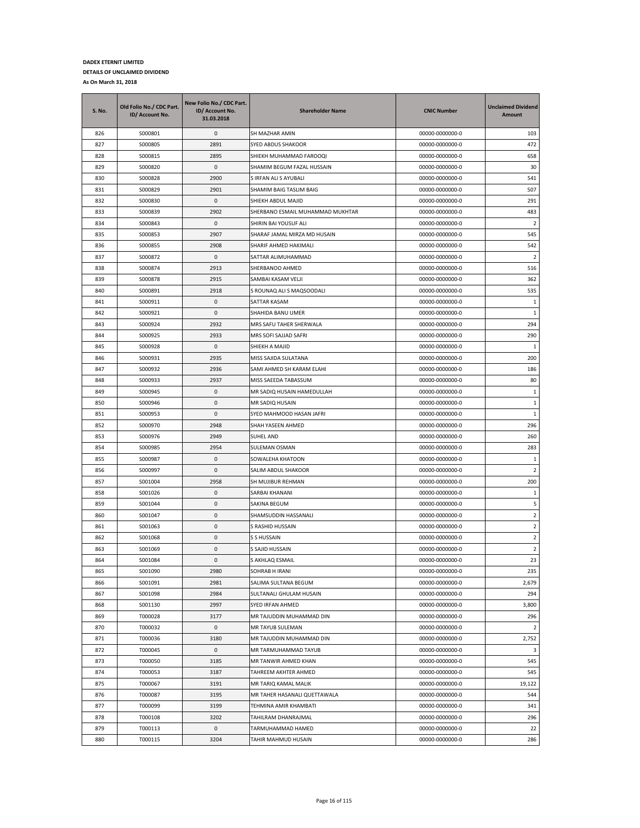| S. No.     | Old Folio No./ CDC Part.<br>ID/ Account No. | New Folio No./ CDC Part.<br>ID/ Account No.<br>31.03.2018 | <b>Shareholder Name</b>                  | <b>CNIC Number</b>                 | <b>Unclaimed Dividend</b><br>Amount |
|------------|---------------------------------------------|-----------------------------------------------------------|------------------------------------------|------------------------------------|-------------------------------------|
| 826        | S000801                                     | 0                                                         | SH MAZHAR AMIN                           | 00000-0000000-0                    | 103                                 |
| 827        | S000805                                     | 2891                                                      | SYED ABDUS SHAKOOR                       | 00000-0000000-0                    | 472                                 |
| 828        | S000815                                     | 2895                                                      | SHIEKH MUHAMMAD FAROOQI                  | 00000-0000000-0                    | 658                                 |
| 829        | S000820                                     | 0                                                         | SHAMIM BEGUM FAZAL HUSSAIN               | 00000-0000000-0                    | 30                                  |
| 830        | S000828                                     | 2900                                                      | S IRFAN ALI S AYUBALI                    | 00000-0000000-0                    | 541                                 |
| 831        | S000829                                     | 2901                                                      | SHAMIM BAIG TASLIM BAIG                  | 00000-0000000-0                    | 507                                 |
| 832        | S000830                                     | 0                                                         | SHIEKH ABDUL MAJID                       | 00000-0000000-0                    | 291                                 |
| 833        | S000839                                     | 2902                                                      | SHERBANO ESMAIL MUHAMMAD MUKHTAR         | 00000-0000000-0                    | 483                                 |
| 834        | S000843                                     | 0                                                         | SHIRIN BAI YOUSUF ALI                    | 00000-0000000-0                    | $\overline{2}$                      |
| 835        | S000853                                     | 2907                                                      | SHARAF JAMAL MIRZA MD HUSAIN             | 00000-0000000-0                    | 545                                 |
| 836        | S000855                                     | 2908                                                      | SHARIF AHMED HAKIMALI                    | 00000-0000000-0                    | 542                                 |
| 837        | S000872                                     | 0                                                         | SATTAR ALIMUHAMMAD                       | 00000-0000000-0                    | $\overline{2}$                      |
| 838        | S000874                                     | 2913                                                      | SHERBANOO AHMED                          | 00000-0000000-0                    | 516                                 |
| 839        | S000878                                     | 2915                                                      | SAMBAI KASAM VELJI                       | 00000-0000000-0                    | 362                                 |
| 840        | S000891                                     | 2918                                                      | S ROUNAQ ALI S MAQSOODALI                | 00000-0000000-0                    | 535                                 |
| 841        | S000911                                     | 0                                                         | SATTAR KASAM                             | 00000-0000000-0                    | 1                                   |
| 842        | S000921                                     | 0                                                         | SHAHIDA BANU UMER                        | 00000-0000000-0                    | $\overline{1}$                      |
| 843        | S000924                                     | 2932                                                      | MRS SAFU TAHER SHERWALA                  | 00000-0000000-0                    | 294                                 |
| 844        | S000925                                     | 2933                                                      | MRS SOFI SAJJAD SAFRI                    | 00000-0000000-0                    | 290                                 |
| 845        | S000928                                     | 0                                                         | SHIEKH A MAJID                           | 00000-0000000-0                    | 1                                   |
| 846        | S000931                                     | 2935                                                      | MISS SAJIDA SULATANA                     | 00000-0000000-0                    | 200                                 |
| 847        | S000932                                     | 2936                                                      | SAMI AHMED SH KARAM ELAHI                | 00000-0000000-0                    | 186                                 |
| 848        | S000933                                     | 2937                                                      | MISS SAEEDA TABASSUM                     | 00000-0000000-0                    | 80                                  |
| 849        | S000945                                     | 0                                                         | MR SADIQ HUSAIN HAMEDULLAH               | 00000-0000000-0                    | 1                                   |
| 850        | S000946                                     | 0                                                         | MR SADIQ HUSAIN                          | 00000-0000000-0                    | 1                                   |
| 851        | S000953                                     | 0                                                         | SYED MAHMOOD HASAN JAFRI                 | 00000-0000000-0                    | $\mathbf{1}$                        |
| 852        | S000970                                     | 2948                                                      | SHAH YASEEN AHMED                        | 00000-0000000-0                    | 296                                 |
| 853        | S000976                                     | 2949                                                      | <b>SUHEL AND</b>                         | 00000-0000000-0                    | 260                                 |
| 854        | S000985                                     | 2954                                                      | SULEMAN OSMAN                            | 00000-0000000-0                    | 283                                 |
| 855        | S000987                                     | 0                                                         | SOWALEHA KHATOON                         | 00000-0000000-0                    | -1                                  |
| 856        | S000997                                     | 0                                                         | SALIM ABDUL SHAKOOR                      | 00000-0000000-0                    | $\overline{2}$                      |
| 857        | S001004                                     | 2958                                                      | SH MUJIBUR REHMAN                        | 00000-0000000-0                    | 200                                 |
| 858        | S001026                                     | 0                                                         | SARBAI KHANANI                           | 00000-0000000-0                    | $\mathbf{1}$                        |
| 859        | S001044                                     | 0                                                         | SAKINA BEGUM                             | 00000-0000000-0                    | 5                                   |
| 860        | S001047                                     | 0                                                         | SHAMSUDDIN HASSANALI                     | 00000-0000000-0                    | $\overline{2}$                      |
| 861        | S001063                                     | 0                                                         | S RASHID HUSSAIN                         | 00000-0000000-0                    | $\overline{2}$                      |
| 862        | S001068                                     | 0                                                         | S S HUSSAIN                              | 00000-0000000-0                    | $\overline{2}$                      |
| 863        | S001069                                     | 0                                                         | S SAJID HUSSAIN                          | 00000-0000000-0                    | 2                                   |
| 864        | S001084                                     | $\mathbf 0$                                               | S AKHLAQ ESMAIL                          | 00000-0000000-0                    | 23                                  |
| 865        | S001090                                     | 2980                                                      | SOHRAB H IRANI                           | 00000-0000000-0                    | 235                                 |
| 866        | S001091                                     | 2981                                                      | SALIMA SULTANA BEGUM                     | 00000-0000000-0                    | 2,679                               |
| 867        | S001098                                     | 2984                                                      | SULTANALI GHULAM HUSAIN                  | 00000-0000000-0                    | 294                                 |
| 868        | S001130                                     | 2997                                                      | SYED IRFAN AHMED                         | 00000-0000000-0                    | 3,800                               |
| 869        | T000028                                     | 3177                                                      | MR TAJUDDIN MUHAMMAD DIN                 | 00000-0000000-0                    | 296                                 |
| 870        | T000032                                     | 0                                                         | MR TAYUB SULEMAN                         | 00000-0000000-0                    | $\overline{2}$                      |
| 871        | T000036                                     | 3180                                                      | MR TAJUDDIN MUHAMMAD DIN                 | 00000-0000000-0                    | 2,752                               |
| 872        | T000045                                     | 0                                                         | MR TARMUHAMMAD TAYUB                     | 00000-0000000-0                    | 3                                   |
| 873        | T000050                                     | 3185                                                      | MR TANWIR AHMED KHAN                     | 00000-0000000-0                    | 545                                 |
| 874        | T000053                                     | 3187                                                      | TAHREEM AKHTER AHMED                     | 00000-0000000-0                    | 545                                 |
| 875        | T000067                                     | 3191                                                      | MR TARIQ KAMAL MALIK                     | 00000-0000000-0                    | 19,122                              |
| 876        | T000087                                     | 3195                                                      | MR TAHER HASANALI QUETTAWALA             | 00000-0000000-0                    | 544                                 |
| 877        | T000099                                     | 3199                                                      | TEHMINA AMIR KHAMBATI                    | 00000-0000000-0                    | 341                                 |
| 878        | T000108                                     | 3202                                                      | TAHILRAM DHANRAJMAL                      | 00000-0000000-0                    | 296                                 |
| 879<br>880 | T000113<br>T000115                          | 0<br>3204                                                 | TARMUHAMMAD HAMED<br>TAHIR MAHMUD HUSAIN | 00000-0000000-0<br>00000-0000000-0 | 22<br>286                           |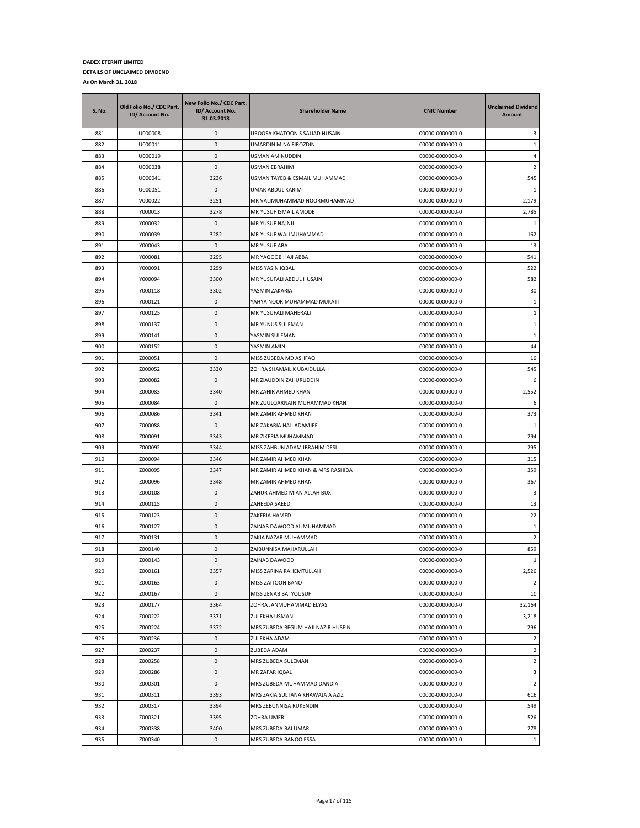| 3<br>881<br>U000008<br>0<br>UROOSA KHATOON S SAJJAD HUSAIN<br>00000-0000000-0<br>0<br>$\mathbf{1}$<br>882<br>U000011<br>UMARDIN MINA FIROZDIN<br>00000-0000000-0<br>U000019<br>0<br>00000-0000000-0<br>4<br>883<br>USMAN AMINUDDIN<br>884<br>U000038<br>0<br>$\overline{2}$<br>USMAN EBRAHIM<br>00000-0000000-0<br>885<br>U000041<br>3236<br>USMAN TAYEB & ESMAIL MUHAMMAD<br>545<br>00000-0000000-0<br>0<br>886<br>U000051<br>UMAR ABDUL KARIM<br>00000-0000000-0<br>1<br>MR VALIMUHAMMAD NOORMUHAMMAD<br>2,179<br>887<br>V000022<br>3251<br>00000-0000000-0<br>2,785<br>888<br>Y000013<br>3278<br>MR YUSUF ISMAIL AMODE<br>00000-0000000-0<br>0<br>889<br>Y000032<br>MR YUSUF NAJNJI<br>00000-0000000-0<br>1<br>890<br>3282<br>MR YUSUF WALIMUHAMMAD<br>162<br>Y000039<br>00000-0000000-0<br>891<br>0<br>13<br>Y000043<br>MR YUSUF ABA<br>00000-0000000-0<br>892<br>Y000081<br>3295<br>MR YAQOOB HAJI ABBA<br>00000-0000000-0<br>541<br>893<br>Y000091<br>3299<br>MISS YASIN IQBAL<br>00000-0000000-0<br>522<br>894<br>Y000094<br>3300<br>MR YUSUFALI ABDUL HUSAIN<br>00000-0000000-0<br>582<br>895<br>3302<br>30<br>Y000118<br>YASMIN ZAKARIA<br>00000-0000000-0<br>0<br>$\mathbf{1}$<br>896<br>Y000121<br>YAHYA NOOR MUHAMMAD MUKATI<br>00000-0000000-0<br>Y000125<br>0<br>MR YUSUFALI MAHERALI<br>$1\,$<br>897<br>00000-0000000-0<br>0<br>MR YUNUS SULEMAN<br>$1\,$<br>898<br>Y000137<br>00000-0000000-0<br>0<br>899<br>Y000141<br>YASMIN SULEMAN<br>00000-0000000-0<br>1<br>900<br>Y000152<br>0<br>YASMIN AMIN<br>00000-0000000-0<br>44<br>0<br>901<br>Z000051<br>MISS ZUBEDA MD ASHFAQ<br>00000-0000000-0<br>16<br>902<br>Z000052<br>545<br>3330<br>ZOHRA SHAMAIL K UBAIDULLAH<br>00000-0000000-0<br>903<br>Z000082<br>0<br>MR ZIAUDDIN ZAHURUDDIN<br>6<br>00000-0000000-0<br>904<br>Z000083<br>3340<br>2,552<br>MR ZAHIR AHMED KHAN<br>00000-0000000-0<br>905<br>Z000084<br>0<br>MR ZUULQARNAIN MUHAMMAD KHAN<br>6<br>00000-0000000-0<br>906<br>Z000086<br>3341<br>MR ZAMIR AHMED KHAN<br>00000-0000000-0<br>373<br>907<br>Z000088<br>0<br>MR ZAKARIA HAJI ADAMJEE<br>00000-0000000-0<br>$\mathbf{1}$<br>3343<br>294<br>908<br>Z000091<br>MR ZIKERIA MUHAMMAD<br>00000-0000000-0<br>909<br>Z000092<br>3344<br>MISS ZAHBUN ADAM IBRAHIM DESI<br>295<br>00000-0000000-0<br>910<br>3346<br>315<br>Z000094<br>MR ZAMIR AHMED KHAN<br>00000-0000000-0<br>911<br>Z000095<br>3347<br>MR ZAMIR AHMED KHAN & MRS RASHIDA<br>00000-0000000-0<br>359<br>912<br>Z000096<br>3348<br>MR ZAMIR AHMED KHAN<br>00000-0000000-0<br>367<br>913<br>Z000108<br>0<br>ZAHUR AHMED MIAN ALLAH BUX<br>00000-0000000-0<br>3<br>914<br>0<br>13<br>Z000115<br>ZAHEEDA SAEED<br>00000-0000000-0<br>915<br>0<br>22<br>Z000123<br>ZAKERIA HAMED<br>00000-0000000-0<br>916<br>Z000127<br>0<br>ZAINAB DAWOOD ALIMUHAMMAD<br>$1\,$<br>00000-0000000-0<br>0<br>$\overline{2}$<br>917<br>Z000131<br>ZAKIA NAZAR MUHAMMAD<br>00000-0000000-0<br>0<br>859<br>918<br>Z000140<br>ZAIBUNNISA MAHARULLAH<br>00000-0000000-0<br>919<br>0<br>Z000143<br>ZAINAB DAWOOD<br>00000-0000000-0<br>$\mathbf{1}$<br>920<br>Z000161<br>3357<br>00000-0000000-0<br>2,526<br>MISS ZARINA RAHEMTULLAH<br>921<br>Z000163<br>0<br>MISS ZAITOON BANO<br>00000-0000000-0<br>2<br>$\pmb{0}$<br>922<br>Z000167<br>MISS ZENAB BAI YOUSUF<br>00000-0000000-0<br>10<br>923<br>Z000177<br>3364<br>ZOHRA JANMUHAMMAD ELYAS<br>00000-0000000-0<br>32,164<br>924<br>Z000222<br>3,218<br>3371<br>ZULEKHA USMAN<br>00000-0000000-0<br>296<br>925<br>Z000224<br>3372<br>MRS ZUBEDA BEGUM HAJI NAZIR HUSEIN<br>00000-0000000-0<br>926<br>Z000236<br>0<br>ZULEKHA ADAM<br>00000-0000000-0<br>$\overline{2}$<br>$\overline{2}$<br>927<br>Z000237<br>0<br>ZUBEDA ADAM<br>00000-0000000-0<br>928<br>Z000258<br>0<br>MRS ZUBEDA SULEMAN<br>00000-0000000-0<br>$\overline{2}$<br>$\pmb{0}$<br>929<br>Z000286<br>MR ZAFAR IQBAL<br>00000-0000000-0<br>3<br>$\overline{2}$<br>930<br>Z000301<br>0<br>MRS ZUBEDA MUHAMMAD DANDIA<br>00000-0000000-0<br>00000-0000000-0<br>616<br>931<br>Z000311<br>3393<br>MRS ZAKIA SULTANA KHAWAJA A AZIZ<br>3394<br>932<br>Z000317<br>MRS ZEBUNNISA RUKENDIN<br>00000-0000000-0<br>549<br>933<br>Z000321<br>3395<br>ZOHRA UMER<br>00000-0000000-0<br>526<br>934<br>Z000338<br>3400<br>MRS ZUBEDA BAI UMAR<br>00000-0000000-0<br>278 | <b>S. No.</b> | Old Folio No./ CDC Part.<br>ID/ Account No. | New Folio No./ CDC Part.<br>ID/ Account No.<br>31.03.2018 | <b>Shareholder Name</b> | <b>CNIC Number</b> | <b>Unclaimed Dividend</b><br>Amount |
|----------------------------------------------------------------------------------------------------------------------------------------------------------------------------------------------------------------------------------------------------------------------------------------------------------------------------------------------------------------------------------------------------------------------------------------------------------------------------------------------------------------------------------------------------------------------------------------------------------------------------------------------------------------------------------------------------------------------------------------------------------------------------------------------------------------------------------------------------------------------------------------------------------------------------------------------------------------------------------------------------------------------------------------------------------------------------------------------------------------------------------------------------------------------------------------------------------------------------------------------------------------------------------------------------------------------------------------------------------------------------------------------------------------------------------------------------------------------------------------------------------------------------------------------------------------------------------------------------------------------------------------------------------------------------------------------------------------------------------------------------------------------------------------------------------------------------------------------------------------------------------------------------------------------------------------------------------------------------------------------------------------------------------------------------------------------------------------------------------------------------------------------------------------------------------------------------------------------------------------------------------------------------------------------------------------------------------------------------------------------------------------------------------------------------------------------------------------------------------------------------------------------------------------------------------------------------------------------------------------------------------------------------------------------------------------------------------------------------------------------------------------------------------------------------------------------------------------------------------------------------------------------------------------------------------------------------------------------------------------------------------------------------------------------------------------------------------------------------------------------------------------------------------------------------------------------------------------------------------------------------------------------------------------------------------------------------------------------------------------------------------------------------------------------------------------------------------------------------------------------------------------------------------------------------------------------------------------------------------------------------------------------------------------------------------------------------------------------------------------------------------------------------------------------------------------------------------------------------------------------------------------------------------------------------------------------------------------------------------------------------------------------------------------------------------------------------------------------------------------------------------------------------------------------------------------------------------------------------------------------------------------------------------------------|---------------|---------------------------------------------|-----------------------------------------------------------|-------------------------|--------------------|-------------------------------------|
|                                                                                                                                                                                                                                                                                                                                                                                                                                                                                                                                                                                                                                                                                                                                                                                                                                                                                                                                                                                                                                                                                                                                                                                                                                                                                                                                                                                                                                                                                                                                                                                                                                                                                                                                                                                                                                                                                                                                                                                                                                                                                                                                                                                                                                                                                                                                                                                                                                                                                                                                                                                                                                                                                                                                                                                                                                                                                                                                                                                                                                                                                                                                                                                                                                                                                                                                                                                                                                                                                                                                                                                                                                                                                                                                                                                                                                                                                                                                                                                                                                                                                                                                                                                                                                                                                              |               |                                             |                                                           |                         |                    |                                     |
|                                                                                                                                                                                                                                                                                                                                                                                                                                                                                                                                                                                                                                                                                                                                                                                                                                                                                                                                                                                                                                                                                                                                                                                                                                                                                                                                                                                                                                                                                                                                                                                                                                                                                                                                                                                                                                                                                                                                                                                                                                                                                                                                                                                                                                                                                                                                                                                                                                                                                                                                                                                                                                                                                                                                                                                                                                                                                                                                                                                                                                                                                                                                                                                                                                                                                                                                                                                                                                                                                                                                                                                                                                                                                                                                                                                                                                                                                                                                                                                                                                                                                                                                                                                                                                                                                              |               |                                             |                                                           |                         |                    |                                     |
|                                                                                                                                                                                                                                                                                                                                                                                                                                                                                                                                                                                                                                                                                                                                                                                                                                                                                                                                                                                                                                                                                                                                                                                                                                                                                                                                                                                                                                                                                                                                                                                                                                                                                                                                                                                                                                                                                                                                                                                                                                                                                                                                                                                                                                                                                                                                                                                                                                                                                                                                                                                                                                                                                                                                                                                                                                                                                                                                                                                                                                                                                                                                                                                                                                                                                                                                                                                                                                                                                                                                                                                                                                                                                                                                                                                                                                                                                                                                                                                                                                                                                                                                                                                                                                                                                              |               |                                             |                                                           |                         |                    |                                     |
|                                                                                                                                                                                                                                                                                                                                                                                                                                                                                                                                                                                                                                                                                                                                                                                                                                                                                                                                                                                                                                                                                                                                                                                                                                                                                                                                                                                                                                                                                                                                                                                                                                                                                                                                                                                                                                                                                                                                                                                                                                                                                                                                                                                                                                                                                                                                                                                                                                                                                                                                                                                                                                                                                                                                                                                                                                                                                                                                                                                                                                                                                                                                                                                                                                                                                                                                                                                                                                                                                                                                                                                                                                                                                                                                                                                                                                                                                                                                                                                                                                                                                                                                                                                                                                                                                              |               |                                             |                                                           |                         |                    |                                     |
|                                                                                                                                                                                                                                                                                                                                                                                                                                                                                                                                                                                                                                                                                                                                                                                                                                                                                                                                                                                                                                                                                                                                                                                                                                                                                                                                                                                                                                                                                                                                                                                                                                                                                                                                                                                                                                                                                                                                                                                                                                                                                                                                                                                                                                                                                                                                                                                                                                                                                                                                                                                                                                                                                                                                                                                                                                                                                                                                                                                                                                                                                                                                                                                                                                                                                                                                                                                                                                                                                                                                                                                                                                                                                                                                                                                                                                                                                                                                                                                                                                                                                                                                                                                                                                                                                              |               |                                             |                                                           |                         |                    |                                     |
|                                                                                                                                                                                                                                                                                                                                                                                                                                                                                                                                                                                                                                                                                                                                                                                                                                                                                                                                                                                                                                                                                                                                                                                                                                                                                                                                                                                                                                                                                                                                                                                                                                                                                                                                                                                                                                                                                                                                                                                                                                                                                                                                                                                                                                                                                                                                                                                                                                                                                                                                                                                                                                                                                                                                                                                                                                                                                                                                                                                                                                                                                                                                                                                                                                                                                                                                                                                                                                                                                                                                                                                                                                                                                                                                                                                                                                                                                                                                                                                                                                                                                                                                                                                                                                                                                              |               |                                             |                                                           |                         |                    |                                     |
|                                                                                                                                                                                                                                                                                                                                                                                                                                                                                                                                                                                                                                                                                                                                                                                                                                                                                                                                                                                                                                                                                                                                                                                                                                                                                                                                                                                                                                                                                                                                                                                                                                                                                                                                                                                                                                                                                                                                                                                                                                                                                                                                                                                                                                                                                                                                                                                                                                                                                                                                                                                                                                                                                                                                                                                                                                                                                                                                                                                                                                                                                                                                                                                                                                                                                                                                                                                                                                                                                                                                                                                                                                                                                                                                                                                                                                                                                                                                                                                                                                                                                                                                                                                                                                                                                              |               |                                             |                                                           |                         |                    |                                     |
|                                                                                                                                                                                                                                                                                                                                                                                                                                                                                                                                                                                                                                                                                                                                                                                                                                                                                                                                                                                                                                                                                                                                                                                                                                                                                                                                                                                                                                                                                                                                                                                                                                                                                                                                                                                                                                                                                                                                                                                                                                                                                                                                                                                                                                                                                                                                                                                                                                                                                                                                                                                                                                                                                                                                                                                                                                                                                                                                                                                                                                                                                                                                                                                                                                                                                                                                                                                                                                                                                                                                                                                                                                                                                                                                                                                                                                                                                                                                                                                                                                                                                                                                                                                                                                                                                              |               |                                             |                                                           |                         |                    |                                     |
|                                                                                                                                                                                                                                                                                                                                                                                                                                                                                                                                                                                                                                                                                                                                                                                                                                                                                                                                                                                                                                                                                                                                                                                                                                                                                                                                                                                                                                                                                                                                                                                                                                                                                                                                                                                                                                                                                                                                                                                                                                                                                                                                                                                                                                                                                                                                                                                                                                                                                                                                                                                                                                                                                                                                                                                                                                                                                                                                                                                                                                                                                                                                                                                                                                                                                                                                                                                                                                                                                                                                                                                                                                                                                                                                                                                                                                                                                                                                                                                                                                                                                                                                                                                                                                                                                              |               |                                             |                                                           |                         |                    |                                     |
|                                                                                                                                                                                                                                                                                                                                                                                                                                                                                                                                                                                                                                                                                                                                                                                                                                                                                                                                                                                                                                                                                                                                                                                                                                                                                                                                                                                                                                                                                                                                                                                                                                                                                                                                                                                                                                                                                                                                                                                                                                                                                                                                                                                                                                                                                                                                                                                                                                                                                                                                                                                                                                                                                                                                                                                                                                                                                                                                                                                                                                                                                                                                                                                                                                                                                                                                                                                                                                                                                                                                                                                                                                                                                                                                                                                                                                                                                                                                                                                                                                                                                                                                                                                                                                                                                              |               |                                             |                                                           |                         |                    |                                     |
|                                                                                                                                                                                                                                                                                                                                                                                                                                                                                                                                                                                                                                                                                                                                                                                                                                                                                                                                                                                                                                                                                                                                                                                                                                                                                                                                                                                                                                                                                                                                                                                                                                                                                                                                                                                                                                                                                                                                                                                                                                                                                                                                                                                                                                                                                                                                                                                                                                                                                                                                                                                                                                                                                                                                                                                                                                                                                                                                                                                                                                                                                                                                                                                                                                                                                                                                                                                                                                                                                                                                                                                                                                                                                                                                                                                                                                                                                                                                                                                                                                                                                                                                                                                                                                                                                              |               |                                             |                                                           |                         |                    |                                     |
|                                                                                                                                                                                                                                                                                                                                                                                                                                                                                                                                                                                                                                                                                                                                                                                                                                                                                                                                                                                                                                                                                                                                                                                                                                                                                                                                                                                                                                                                                                                                                                                                                                                                                                                                                                                                                                                                                                                                                                                                                                                                                                                                                                                                                                                                                                                                                                                                                                                                                                                                                                                                                                                                                                                                                                                                                                                                                                                                                                                                                                                                                                                                                                                                                                                                                                                                                                                                                                                                                                                                                                                                                                                                                                                                                                                                                                                                                                                                                                                                                                                                                                                                                                                                                                                                                              |               |                                             |                                                           |                         |                    |                                     |
|                                                                                                                                                                                                                                                                                                                                                                                                                                                                                                                                                                                                                                                                                                                                                                                                                                                                                                                                                                                                                                                                                                                                                                                                                                                                                                                                                                                                                                                                                                                                                                                                                                                                                                                                                                                                                                                                                                                                                                                                                                                                                                                                                                                                                                                                                                                                                                                                                                                                                                                                                                                                                                                                                                                                                                                                                                                                                                                                                                                                                                                                                                                                                                                                                                                                                                                                                                                                                                                                                                                                                                                                                                                                                                                                                                                                                                                                                                                                                                                                                                                                                                                                                                                                                                                                                              |               |                                             |                                                           |                         |                    |                                     |
|                                                                                                                                                                                                                                                                                                                                                                                                                                                                                                                                                                                                                                                                                                                                                                                                                                                                                                                                                                                                                                                                                                                                                                                                                                                                                                                                                                                                                                                                                                                                                                                                                                                                                                                                                                                                                                                                                                                                                                                                                                                                                                                                                                                                                                                                                                                                                                                                                                                                                                                                                                                                                                                                                                                                                                                                                                                                                                                                                                                                                                                                                                                                                                                                                                                                                                                                                                                                                                                                                                                                                                                                                                                                                                                                                                                                                                                                                                                                                                                                                                                                                                                                                                                                                                                                                              |               |                                             |                                                           |                         |                    |                                     |
|                                                                                                                                                                                                                                                                                                                                                                                                                                                                                                                                                                                                                                                                                                                                                                                                                                                                                                                                                                                                                                                                                                                                                                                                                                                                                                                                                                                                                                                                                                                                                                                                                                                                                                                                                                                                                                                                                                                                                                                                                                                                                                                                                                                                                                                                                                                                                                                                                                                                                                                                                                                                                                                                                                                                                                                                                                                                                                                                                                                                                                                                                                                                                                                                                                                                                                                                                                                                                                                                                                                                                                                                                                                                                                                                                                                                                                                                                                                                                                                                                                                                                                                                                                                                                                                                                              |               |                                             |                                                           |                         |                    |                                     |
|                                                                                                                                                                                                                                                                                                                                                                                                                                                                                                                                                                                                                                                                                                                                                                                                                                                                                                                                                                                                                                                                                                                                                                                                                                                                                                                                                                                                                                                                                                                                                                                                                                                                                                                                                                                                                                                                                                                                                                                                                                                                                                                                                                                                                                                                                                                                                                                                                                                                                                                                                                                                                                                                                                                                                                                                                                                                                                                                                                                                                                                                                                                                                                                                                                                                                                                                                                                                                                                                                                                                                                                                                                                                                                                                                                                                                                                                                                                                                                                                                                                                                                                                                                                                                                                                                              |               |                                             |                                                           |                         |                    |                                     |
|                                                                                                                                                                                                                                                                                                                                                                                                                                                                                                                                                                                                                                                                                                                                                                                                                                                                                                                                                                                                                                                                                                                                                                                                                                                                                                                                                                                                                                                                                                                                                                                                                                                                                                                                                                                                                                                                                                                                                                                                                                                                                                                                                                                                                                                                                                                                                                                                                                                                                                                                                                                                                                                                                                                                                                                                                                                                                                                                                                                                                                                                                                                                                                                                                                                                                                                                                                                                                                                                                                                                                                                                                                                                                                                                                                                                                                                                                                                                                                                                                                                                                                                                                                                                                                                                                              |               |                                             |                                                           |                         |                    |                                     |
|                                                                                                                                                                                                                                                                                                                                                                                                                                                                                                                                                                                                                                                                                                                                                                                                                                                                                                                                                                                                                                                                                                                                                                                                                                                                                                                                                                                                                                                                                                                                                                                                                                                                                                                                                                                                                                                                                                                                                                                                                                                                                                                                                                                                                                                                                                                                                                                                                                                                                                                                                                                                                                                                                                                                                                                                                                                                                                                                                                                                                                                                                                                                                                                                                                                                                                                                                                                                                                                                                                                                                                                                                                                                                                                                                                                                                                                                                                                                                                                                                                                                                                                                                                                                                                                                                              |               |                                             |                                                           |                         |                    |                                     |
|                                                                                                                                                                                                                                                                                                                                                                                                                                                                                                                                                                                                                                                                                                                                                                                                                                                                                                                                                                                                                                                                                                                                                                                                                                                                                                                                                                                                                                                                                                                                                                                                                                                                                                                                                                                                                                                                                                                                                                                                                                                                                                                                                                                                                                                                                                                                                                                                                                                                                                                                                                                                                                                                                                                                                                                                                                                                                                                                                                                                                                                                                                                                                                                                                                                                                                                                                                                                                                                                                                                                                                                                                                                                                                                                                                                                                                                                                                                                                                                                                                                                                                                                                                                                                                                                                              |               |                                             |                                                           |                         |                    |                                     |
|                                                                                                                                                                                                                                                                                                                                                                                                                                                                                                                                                                                                                                                                                                                                                                                                                                                                                                                                                                                                                                                                                                                                                                                                                                                                                                                                                                                                                                                                                                                                                                                                                                                                                                                                                                                                                                                                                                                                                                                                                                                                                                                                                                                                                                                                                                                                                                                                                                                                                                                                                                                                                                                                                                                                                                                                                                                                                                                                                                                                                                                                                                                                                                                                                                                                                                                                                                                                                                                                                                                                                                                                                                                                                                                                                                                                                                                                                                                                                                                                                                                                                                                                                                                                                                                                                              |               |                                             |                                                           |                         |                    |                                     |
|                                                                                                                                                                                                                                                                                                                                                                                                                                                                                                                                                                                                                                                                                                                                                                                                                                                                                                                                                                                                                                                                                                                                                                                                                                                                                                                                                                                                                                                                                                                                                                                                                                                                                                                                                                                                                                                                                                                                                                                                                                                                                                                                                                                                                                                                                                                                                                                                                                                                                                                                                                                                                                                                                                                                                                                                                                                                                                                                                                                                                                                                                                                                                                                                                                                                                                                                                                                                                                                                                                                                                                                                                                                                                                                                                                                                                                                                                                                                                                                                                                                                                                                                                                                                                                                                                              |               |                                             |                                                           |                         |                    |                                     |
|                                                                                                                                                                                                                                                                                                                                                                                                                                                                                                                                                                                                                                                                                                                                                                                                                                                                                                                                                                                                                                                                                                                                                                                                                                                                                                                                                                                                                                                                                                                                                                                                                                                                                                                                                                                                                                                                                                                                                                                                                                                                                                                                                                                                                                                                                                                                                                                                                                                                                                                                                                                                                                                                                                                                                                                                                                                                                                                                                                                                                                                                                                                                                                                                                                                                                                                                                                                                                                                                                                                                                                                                                                                                                                                                                                                                                                                                                                                                                                                                                                                                                                                                                                                                                                                                                              |               |                                             |                                                           |                         |                    |                                     |
|                                                                                                                                                                                                                                                                                                                                                                                                                                                                                                                                                                                                                                                                                                                                                                                                                                                                                                                                                                                                                                                                                                                                                                                                                                                                                                                                                                                                                                                                                                                                                                                                                                                                                                                                                                                                                                                                                                                                                                                                                                                                                                                                                                                                                                                                                                                                                                                                                                                                                                                                                                                                                                                                                                                                                                                                                                                                                                                                                                                                                                                                                                                                                                                                                                                                                                                                                                                                                                                                                                                                                                                                                                                                                                                                                                                                                                                                                                                                                                                                                                                                                                                                                                                                                                                                                              |               |                                             |                                                           |                         |                    |                                     |
|                                                                                                                                                                                                                                                                                                                                                                                                                                                                                                                                                                                                                                                                                                                                                                                                                                                                                                                                                                                                                                                                                                                                                                                                                                                                                                                                                                                                                                                                                                                                                                                                                                                                                                                                                                                                                                                                                                                                                                                                                                                                                                                                                                                                                                                                                                                                                                                                                                                                                                                                                                                                                                                                                                                                                                                                                                                                                                                                                                                                                                                                                                                                                                                                                                                                                                                                                                                                                                                                                                                                                                                                                                                                                                                                                                                                                                                                                                                                                                                                                                                                                                                                                                                                                                                                                              |               |                                             |                                                           |                         |                    |                                     |
|                                                                                                                                                                                                                                                                                                                                                                                                                                                                                                                                                                                                                                                                                                                                                                                                                                                                                                                                                                                                                                                                                                                                                                                                                                                                                                                                                                                                                                                                                                                                                                                                                                                                                                                                                                                                                                                                                                                                                                                                                                                                                                                                                                                                                                                                                                                                                                                                                                                                                                                                                                                                                                                                                                                                                                                                                                                                                                                                                                                                                                                                                                                                                                                                                                                                                                                                                                                                                                                                                                                                                                                                                                                                                                                                                                                                                                                                                                                                                                                                                                                                                                                                                                                                                                                                                              |               |                                             |                                                           |                         |                    |                                     |
|                                                                                                                                                                                                                                                                                                                                                                                                                                                                                                                                                                                                                                                                                                                                                                                                                                                                                                                                                                                                                                                                                                                                                                                                                                                                                                                                                                                                                                                                                                                                                                                                                                                                                                                                                                                                                                                                                                                                                                                                                                                                                                                                                                                                                                                                                                                                                                                                                                                                                                                                                                                                                                                                                                                                                                                                                                                                                                                                                                                                                                                                                                                                                                                                                                                                                                                                                                                                                                                                                                                                                                                                                                                                                                                                                                                                                                                                                                                                                                                                                                                                                                                                                                                                                                                                                              |               |                                             |                                                           |                         |                    |                                     |
|                                                                                                                                                                                                                                                                                                                                                                                                                                                                                                                                                                                                                                                                                                                                                                                                                                                                                                                                                                                                                                                                                                                                                                                                                                                                                                                                                                                                                                                                                                                                                                                                                                                                                                                                                                                                                                                                                                                                                                                                                                                                                                                                                                                                                                                                                                                                                                                                                                                                                                                                                                                                                                                                                                                                                                                                                                                                                                                                                                                                                                                                                                                                                                                                                                                                                                                                                                                                                                                                                                                                                                                                                                                                                                                                                                                                                                                                                                                                                                                                                                                                                                                                                                                                                                                                                              |               |                                             |                                                           |                         |                    |                                     |
|                                                                                                                                                                                                                                                                                                                                                                                                                                                                                                                                                                                                                                                                                                                                                                                                                                                                                                                                                                                                                                                                                                                                                                                                                                                                                                                                                                                                                                                                                                                                                                                                                                                                                                                                                                                                                                                                                                                                                                                                                                                                                                                                                                                                                                                                                                                                                                                                                                                                                                                                                                                                                                                                                                                                                                                                                                                                                                                                                                                                                                                                                                                                                                                                                                                                                                                                                                                                                                                                                                                                                                                                                                                                                                                                                                                                                                                                                                                                                                                                                                                                                                                                                                                                                                                                                              |               |                                             |                                                           |                         |                    |                                     |
|                                                                                                                                                                                                                                                                                                                                                                                                                                                                                                                                                                                                                                                                                                                                                                                                                                                                                                                                                                                                                                                                                                                                                                                                                                                                                                                                                                                                                                                                                                                                                                                                                                                                                                                                                                                                                                                                                                                                                                                                                                                                                                                                                                                                                                                                                                                                                                                                                                                                                                                                                                                                                                                                                                                                                                                                                                                                                                                                                                                                                                                                                                                                                                                                                                                                                                                                                                                                                                                                                                                                                                                                                                                                                                                                                                                                                                                                                                                                                                                                                                                                                                                                                                                                                                                                                              |               |                                             |                                                           |                         |                    |                                     |
|                                                                                                                                                                                                                                                                                                                                                                                                                                                                                                                                                                                                                                                                                                                                                                                                                                                                                                                                                                                                                                                                                                                                                                                                                                                                                                                                                                                                                                                                                                                                                                                                                                                                                                                                                                                                                                                                                                                                                                                                                                                                                                                                                                                                                                                                                                                                                                                                                                                                                                                                                                                                                                                                                                                                                                                                                                                                                                                                                                                                                                                                                                                                                                                                                                                                                                                                                                                                                                                                                                                                                                                                                                                                                                                                                                                                                                                                                                                                                                                                                                                                                                                                                                                                                                                                                              |               |                                             |                                                           |                         |                    |                                     |
|                                                                                                                                                                                                                                                                                                                                                                                                                                                                                                                                                                                                                                                                                                                                                                                                                                                                                                                                                                                                                                                                                                                                                                                                                                                                                                                                                                                                                                                                                                                                                                                                                                                                                                                                                                                                                                                                                                                                                                                                                                                                                                                                                                                                                                                                                                                                                                                                                                                                                                                                                                                                                                                                                                                                                                                                                                                                                                                                                                                                                                                                                                                                                                                                                                                                                                                                                                                                                                                                                                                                                                                                                                                                                                                                                                                                                                                                                                                                                                                                                                                                                                                                                                                                                                                                                              |               |                                             |                                                           |                         |                    |                                     |
|                                                                                                                                                                                                                                                                                                                                                                                                                                                                                                                                                                                                                                                                                                                                                                                                                                                                                                                                                                                                                                                                                                                                                                                                                                                                                                                                                                                                                                                                                                                                                                                                                                                                                                                                                                                                                                                                                                                                                                                                                                                                                                                                                                                                                                                                                                                                                                                                                                                                                                                                                                                                                                                                                                                                                                                                                                                                                                                                                                                                                                                                                                                                                                                                                                                                                                                                                                                                                                                                                                                                                                                                                                                                                                                                                                                                                                                                                                                                                                                                                                                                                                                                                                                                                                                                                              |               |                                             |                                                           |                         |                    |                                     |
|                                                                                                                                                                                                                                                                                                                                                                                                                                                                                                                                                                                                                                                                                                                                                                                                                                                                                                                                                                                                                                                                                                                                                                                                                                                                                                                                                                                                                                                                                                                                                                                                                                                                                                                                                                                                                                                                                                                                                                                                                                                                                                                                                                                                                                                                                                                                                                                                                                                                                                                                                                                                                                                                                                                                                                                                                                                                                                                                                                                                                                                                                                                                                                                                                                                                                                                                                                                                                                                                                                                                                                                                                                                                                                                                                                                                                                                                                                                                                                                                                                                                                                                                                                                                                                                                                              |               |                                             |                                                           |                         |                    |                                     |
|                                                                                                                                                                                                                                                                                                                                                                                                                                                                                                                                                                                                                                                                                                                                                                                                                                                                                                                                                                                                                                                                                                                                                                                                                                                                                                                                                                                                                                                                                                                                                                                                                                                                                                                                                                                                                                                                                                                                                                                                                                                                                                                                                                                                                                                                                                                                                                                                                                                                                                                                                                                                                                                                                                                                                                                                                                                                                                                                                                                                                                                                                                                                                                                                                                                                                                                                                                                                                                                                                                                                                                                                                                                                                                                                                                                                                                                                                                                                                                                                                                                                                                                                                                                                                                                                                              |               |                                             |                                                           |                         |                    |                                     |
|                                                                                                                                                                                                                                                                                                                                                                                                                                                                                                                                                                                                                                                                                                                                                                                                                                                                                                                                                                                                                                                                                                                                                                                                                                                                                                                                                                                                                                                                                                                                                                                                                                                                                                                                                                                                                                                                                                                                                                                                                                                                                                                                                                                                                                                                                                                                                                                                                                                                                                                                                                                                                                                                                                                                                                                                                                                                                                                                                                                                                                                                                                                                                                                                                                                                                                                                                                                                                                                                                                                                                                                                                                                                                                                                                                                                                                                                                                                                                                                                                                                                                                                                                                                                                                                                                              |               |                                             |                                                           |                         |                    |                                     |
|                                                                                                                                                                                                                                                                                                                                                                                                                                                                                                                                                                                                                                                                                                                                                                                                                                                                                                                                                                                                                                                                                                                                                                                                                                                                                                                                                                                                                                                                                                                                                                                                                                                                                                                                                                                                                                                                                                                                                                                                                                                                                                                                                                                                                                                                                                                                                                                                                                                                                                                                                                                                                                                                                                                                                                                                                                                                                                                                                                                                                                                                                                                                                                                                                                                                                                                                                                                                                                                                                                                                                                                                                                                                                                                                                                                                                                                                                                                                                                                                                                                                                                                                                                                                                                                                                              |               |                                             |                                                           |                         |                    |                                     |
|                                                                                                                                                                                                                                                                                                                                                                                                                                                                                                                                                                                                                                                                                                                                                                                                                                                                                                                                                                                                                                                                                                                                                                                                                                                                                                                                                                                                                                                                                                                                                                                                                                                                                                                                                                                                                                                                                                                                                                                                                                                                                                                                                                                                                                                                                                                                                                                                                                                                                                                                                                                                                                                                                                                                                                                                                                                                                                                                                                                                                                                                                                                                                                                                                                                                                                                                                                                                                                                                                                                                                                                                                                                                                                                                                                                                                                                                                                                                                                                                                                                                                                                                                                                                                                                                                              |               |                                             |                                                           |                         |                    |                                     |
|                                                                                                                                                                                                                                                                                                                                                                                                                                                                                                                                                                                                                                                                                                                                                                                                                                                                                                                                                                                                                                                                                                                                                                                                                                                                                                                                                                                                                                                                                                                                                                                                                                                                                                                                                                                                                                                                                                                                                                                                                                                                                                                                                                                                                                                                                                                                                                                                                                                                                                                                                                                                                                                                                                                                                                                                                                                                                                                                                                                                                                                                                                                                                                                                                                                                                                                                                                                                                                                                                                                                                                                                                                                                                                                                                                                                                                                                                                                                                                                                                                                                                                                                                                                                                                                                                              |               |                                             |                                                           |                         |                    |                                     |
|                                                                                                                                                                                                                                                                                                                                                                                                                                                                                                                                                                                                                                                                                                                                                                                                                                                                                                                                                                                                                                                                                                                                                                                                                                                                                                                                                                                                                                                                                                                                                                                                                                                                                                                                                                                                                                                                                                                                                                                                                                                                                                                                                                                                                                                                                                                                                                                                                                                                                                                                                                                                                                                                                                                                                                                                                                                                                                                                                                                                                                                                                                                                                                                                                                                                                                                                                                                                                                                                                                                                                                                                                                                                                                                                                                                                                                                                                                                                                                                                                                                                                                                                                                                                                                                                                              |               |                                             |                                                           |                         |                    |                                     |
|                                                                                                                                                                                                                                                                                                                                                                                                                                                                                                                                                                                                                                                                                                                                                                                                                                                                                                                                                                                                                                                                                                                                                                                                                                                                                                                                                                                                                                                                                                                                                                                                                                                                                                                                                                                                                                                                                                                                                                                                                                                                                                                                                                                                                                                                                                                                                                                                                                                                                                                                                                                                                                                                                                                                                                                                                                                                                                                                                                                                                                                                                                                                                                                                                                                                                                                                                                                                                                                                                                                                                                                                                                                                                                                                                                                                                                                                                                                                                                                                                                                                                                                                                                                                                                                                                              |               |                                             |                                                           |                         |                    |                                     |
|                                                                                                                                                                                                                                                                                                                                                                                                                                                                                                                                                                                                                                                                                                                                                                                                                                                                                                                                                                                                                                                                                                                                                                                                                                                                                                                                                                                                                                                                                                                                                                                                                                                                                                                                                                                                                                                                                                                                                                                                                                                                                                                                                                                                                                                                                                                                                                                                                                                                                                                                                                                                                                                                                                                                                                                                                                                                                                                                                                                                                                                                                                                                                                                                                                                                                                                                                                                                                                                                                                                                                                                                                                                                                                                                                                                                                                                                                                                                                                                                                                                                                                                                                                                                                                                                                              |               |                                             |                                                           |                         |                    |                                     |
|                                                                                                                                                                                                                                                                                                                                                                                                                                                                                                                                                                                                                                                                                                                                                                                                                                                                                                                                                                                                                                                                                                                                                                                                                                                                                                                                                                                                                                                                                                                                                                                                                                                                                                                                                                                                                                                                                                                                                                                                                                                                                                                                                                                                                                                                                                                                                                                                                                                                                                                                                                                                                                                                                                                                                                                                                                                                                                                                                                                                                                                                                                                                                                                                                                                                                                                                                                                                                                                                                                                                                                                                                                                                                                                                                                                                                                                                                                                                                                                                                                                                                                                                                                                                                                                                                              |               |                                             |                                                           |                         |                    |                                     |
|                                                                                                                                                                                                                                                                                                                                                                                                                                                                                                                                                                                                                                                                                                                                                                                                                                                                                                                                                                                                                                                                                                                                                                                                                                                                                                                                                                                                                                                                                                                                                                                                                                                                                                                                                                                                                                                                                                                                                                                                                                                                                                                                                                                                                                                                                                                                                                                                                                                                                                                                                                                                                                                                                                                                                                                                                                                                                                                                                                                                                                                                                                                                                                                                                                                                                                                                                                                                                                                                                                                                                                                                                                                                                                                                                                                                                                                                                                                                                                                                                                                                                                                                                                                                                                                                                              |               |                                             |                                                           |                         |                    |                                     |
|                                                                                                                                                                                                                                                                                                                                                                                                                                                                                                                                                                                                                                                                                                                                                                                                                                                                                                                                                                                                                                                                                                                                                                                                                                                                                                                                                                                                                                                                                                                                                                                                                                                                                                                                                                                                                                                                                                                                                                                                                                                                                                                                                                                                                                                                                                                                                                                                                                                                                                                                                                                                                                                                                                                                                                                                                                                                                                                                                                                                                                                                                                                                                                                                                                                                                                                                                                                                                                                                                                                                                                                                                                                                                                                                                                                                                                                                                                                                                                                                                                                                                                                                                                                                                                                                                              |               |                                             |                                                           |                         |                    |                                     |
|                                                                                                                                                                                                                                                                                                                                                                                                                                                                                                                                                                                                                                                                                                                                                                                                                                                                                                                                                                                                                                                                                                                                                                                                                                                                                                                                                                                                                                                                                                                                                                                                                                                                                                                                                                                                                                                                                                                                                                                                                                                                                                                                                                                                                                                                                                                                                                                                                                                                                                                                                                                                                                                                                                                                                                                                                                                                                                                                                                                                                                                                                                                                                                                                                                                                                                                                                                                                                                                                                                                                                                                                                                                                                                                                                                                                                                                                                                                                                                                                                                                                                                                                                                                                                                                                                              |               |                                             |                                                           |                         |                    |                                     |
|                                                                                                                                                                                                                                                                                                                                                                                                                                                                                                                                                                                                                                                                                                                                                                                                                                                                                                                                                                                                                                                                                                                                                                                                                                                                                                                                                                                                                                                                                                                                                                                                                                                                                                                                                                                                                                                                                                                                                                                                                                                                                                                                                                                                                                                                                                                                                                                                                                                                                                                                                                                                                                                                                                                                                                                                                                                                                                                                                                                                                                                                                                                                                                                                                                                                                                                                                                                                                                                                                                                                                                                                                                                                                                                                                                                                                                                                                                                                                                                                                                                                                                                                                                                                                                                                                              |               |                                             |                                                           |                         |                    |                                     |
|                                                                                                                                                                                                                                                                                                                                                                                                                                                                                                                                                                                                                                                                                                                                                                                                                                                                                                                                                                                                                                                                                                                                                                                                                                                                                                                                                                                                                                                                                                                                                                                                                                                                                                                                                                                                                                                                                                                                                                                                                                                                                                                                                                                                                                                                                                                                                                                                                                                                                                                                                                                                                                                                                                                                                                                                                                                                                                                                                                                                                                                                                                                                                                                                                                                                                                                                                                                                                                                                                                                                                                                                                                                                                                                                                                                                                                                                                                                                                                                                                                                                                                                                                                                                                                                                                              |               |                                             |                                                           |                         |                    |                                     |
|                                                                                                                                                                                                                                                                                                                                                                                                                                                                                                                                                                                                                                                                                                                                                                                                                                                                                                                                                                                                                                                                                                                                                                                                                                                                                                                                                                                                                                                                                                                                                                                                                                                                                                                                                                                                                                                                                                                                                                                                                                                                                                                                                                                                                                                                                                                                                                                                                                                                                                                                                                                                                                                                                                                                                                                                                                                                                                                                                                                                                                                                                                                                                                                                                                                                                                                                                                                                                                                                                                                                                                                                                                                                                                                                                                                                                                                                                                                                                                                                                                                                                                                                                                                                                                                                                              |               |                                             |                                                           |                         |                    |                                     |
|                                                                                                                                                                                                                                                                                                                                                                                                                                                                                                                                                                                                                                                                                                                                                                                                                                                                                                                                                                                                                                                                                                                                                                                                                                                                                                                                                                                                                                                                                                                                                                                                                                                                                                                                                                                                                                                                                                                                                                                                                                                                                                                                                                                                                                                                                                                                                                                                                                                                                                                                                                                                                                                                                                                                                                                                                                                                                                                                                                                                                                                                                                                                                                                                                                                                                                                                                                                                                                                                                                                                                                                                                                                                                                                                                                                                                                                                                                                                                                                                                                                                                                                                                                                                                                                                                              |               |                                             |                                                           |                         |                    |                                     |
|                                                                                                                                                                                                                                                                                                                                                                                                                                                                                                                                                                                                                                                                                                                                                                                                                                                                                                                                                                                                                                                                                                                                                                                                                                                                                                                                                                                                                                                                                                                                                                                                                                                                                                                                                                                                                                                                                                                                                                                                                                                                                                                                                                                                                                                                                                                                                                                                                                                                                                                                                                                                                                                                                                                                                                                                                                                                                                                                                                                                                                                                                                                                                                                                                                                                                                                                                                                                                                                                                                                                                                                                                                                                                                                                                                                                                                                                                                                                                                                                                                                                                                                                                                                                                                                                                              |               |                                             |                                                           |                         |                    |                                     |
|                                                                                                                                                                                                                                                                                                                                                                                                                                                                                                                                                                                                                                                                                                                                                                                                                                                                                                                                                                                                                                                                                                                                                                                                                                                                                                                                                                                                                                                                                                                                                                                                                                                                                                                                                                                                                                                                                                                                                                                                                                                                                                                                                                                                                                                                                                                                                                                                                                                                                                                                                                                                                                                                                                                                                                                                                                                                                                                                                                                                                                                                                                                                                                                                                                                                                                                                                                                                                                                                                                                                                                                                                                                                                                                                                                                                                                                                                                                                                                                                                                                                                                                                                                                                                                                                                              |               |                                             |                                                           |                         |                    |                                     |
|                                                                                                                                                                                                                                                                                                                                                                                                                                                                                                                                                                                                                                                                                                                                                                                                                                                                                                                                                                                                                                                                                                                                                                                                                                                                                                                                                                                                                                                                                                                                                                                                                                                                                                                                                                                                                                                                                                                                                                                                                                                                                                                                                                                                                                                                                                                                                                                                                                                                                                                                                                                                                                                                                                                                                                                                                                                                                                                                                                                                                                                                                                                                                                                                                                                                                                                                                                                                                                                                                                                                                                                                                                                                                                                                                                                                                                                                                                                                                                                                                                                                                                                                                                                                                                                                                              |               |                                             |                                                           |                         |                    |                                     |
|                                                                                                                                                                                                                                                                                                                                                                                                                                                                                                                                                                                                                                                                                                                                                                                                                                                                                                                                                                                                                                                                                                                                                                                                                                                                                                                                                                                                                                                                                                                                                                                                                                                                                                                                                                                                                                                                                                                                                                                                                                                                                                                                                                                                                                                                                                                                                                                                                                                                                                                                                                                                                                                                                                                                                                                                                                                                                                                                                                                                                                                                                                                                                                                                                                                                                                                                                                                                                                                                                                                                                                                                                                                                                                                                                                                                                                                                                                                                                                                                                                                                                                                                                                                                                                                                                              |               |                                             |                                                           |                         |                    |                                     |
|                                                                                                                                                                                                                                                                                                                                                                                                                                                                                                                                                                                                                                                                                                                                                                                                                                                                                                                                                                                                                                                                                                                                                                                                                                                                                                                                                                                                                                                                                                                                                                                                                                                                                                                                                                                                                                                                                                                                                                                                                                                                                                                                                                                                                                                                                                                                                                                                                                                                                                                                                                                                                                                                                                                                                                                                                                                                                                                                                                                                                                                                                                                                                                                                                                                                                                                                                                                                                                                                                                                                                                                                                                                                                                                                                                                                                                                                                                                                                                                                                                                                                                                                                                                                                                                                                              |               |                                             |                                                           |                         |                    |                                     |
|                                                                                                                                                                                                                                                                                                                                                                                                                                                                                                                                                                                                                                                                                                                                                                                                                                                                                                                                                                                                                                                                                                                                                                                                                                                                                                                                                                                                                                                                                                                                                                                                                                                                                                                                                                                                                                                                                                                                                                                                                                                                                                                                                                                                                                                                                                                                                                                                                                                                                                                                                                                                                                                                                                                                                                                                                                                                                                                                                                                                                                                                                                                                                                                                                                                                                                                                                                                                                                                                                                                                                                                                                                                                                                                                                                                                                                                                                                                                                                                                                                                                                                                                                                                                                                                                                              | 935           | Z000340                                     | 0                                                         | MRS ZUBEDA BANOO ESSA   | 00000-0000000-0    | $\mathbf{1}$                        |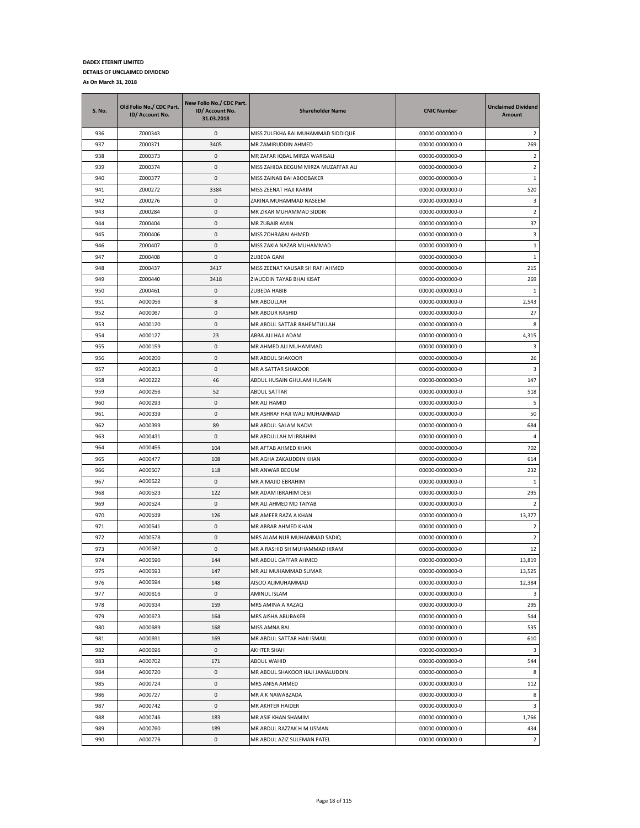| <b>S. No.</b> | Old Folio No./ CDC Part.<br>ID/ Account No. | New Folio No./ CDC Part.<br>ID/ Account No.<br>31.03.2018 | <b>Shareholder Name</b>              | <b>CNIC Number</b> | <b>Unclaimed Dividend</b><br>Amount |
|---------------|---------------------------------------------|-----------------------------------------------------------|--------------------------------------|--------------------|-------------------------------------|
| 936           | Z000343                                     | 0                                                         | MISS ZULEKHA BAI MUHAMMAD SIDDIQUE   | 00000-0000000-0    | 2                                   |
| 937           | Z000371                                     | 3405                                                      | MR ZAMIRUDDIN AHMED                  | 00000-0000000-0    | 269                                 |
| 938           | Z000373                                     | 0                                                         | MR ZAFAR IQBAL MIRZA WARISALI        | 00000-0000000-0    | $\overline{2}$                      |
| 939           | Z000374                                     | 0                                                         | MISS ZAHIDA BEGUM MIRZA MUZAFFAR ALI | 00000-0000000-0    | $\overline{2}$                      |
| 940           | Z000377                                     | 0                                                         | MISS ZAINAB BAI ABOOBAKER            | 00000-0000000-0    | $\mathbf{1}$                        |
| 941           | Z000272                                     | 3384                                                      | MISS ZEENAT HAJI KARIM               | 00000-0000000-0    | 520                                 |
| 942           | Z000276                                     | 0                                                         | ZARINA MUHAMMAD NASEEM               | 00000-0000000-0    | 3                                   |
| 943           | Z000284                                     | 0                                                         | MR ZIKAR MUHAMMAD SIDDIK             | 00000-0000000-0    | $\overline{2}$                      |
| 944           | Z000404                                     | 0                                                         | <b>MR ZUBAIR AMIN</b>                | 00000-0000000-0    | 37                                  |
| 945           | Z000406                                     | 0                                                         | MISS ZOHRABAI AHMED                  | 00000-0000000-0    | 3                                   |
| 946           | Z000407                                     | 0                                                         | MISS ZAKIA NAZAR MUHAMMAD            | 00000-0000000-0    | $1\,$                               |
| 947           | Z000408                                     | 0                                                         | ZUBEDA GANI                          | 00000-0000000-0    | $\mathbf{1}$                        |
| 948           | Z000437                                     | 3417                                                      | MISS ZEENAT KAUSAR SH RAFI AHMED     | 00000-0000000-0    | 215                                 |
| 949           | Z000440                                     | 3418                                                      | ZIAUDDIN TAYAB BHAI KISAT            | 00000-0000000-0    | 269                                 |
| 950           | Z000461                                     | 0                                                         | ZUBEDA HABIB                         | 00000-0000000-0    | 1                                   |
| 951           | A000056                                     | 8                                                         | MR ABDULLAH                          | 00000-0000000-0    | 2,543                               |
| 952           | A000067                                     | 0                                                         | MR ABDUR RASHID                      | 00000-0000000-0    | 27                                  |
| 953           | A000120                                     | 0                                                         | MR ABDUL SATTAR RAHEMTULLAH          | 00000-0000000-0    | 8                                   |
| 954           | A000127                                     | 23                                                        | ABBA ALI HAJI ADAM                   | 00000-0000000-0    | 4,315                               |
| 955           | A000159                                     | 0                                                         | MR AHMED ALI MUHAMMAD                | 00000-0000000-0    | 3                                   |
| 956           | A000200                                     | 0                                                         | MR ABDUL SHAKOOR                     | 00000-0000000-0    | 26                                  |
| 957           | A000203                                     | 0                                                         | MR A SATTAR SHAKOOR                  | 00000-0000000-0    | 3                                   |
| 958           | A000222                                     | 46                                                        | ABDUL HUSAIN GHULAM HUSAIN           | 00000-0000000-0    | 147                                 |
| 959           | A000256                                     | 52                                                        | <b>ABDUL SATTAR</b>                  | 00000-0000000-0    | 518                                 |
| 960           | A000293                                     | 0                                                         | MR ALI HAMID                         | 00000-0000000-0    | 5                                   |
| 961           | A000339                                     | 0                                                         | MR ASHRAF HAJI WALI MUHAMMAD         | 00000-0000000-0    | 50                                  |
| 962           | A000399                                     | 89                                                        | MR ABDUL SALAM NADVI                 | 00000-0000000-0    | 684                                 |
| 963           | A000431                                     | $\mathsf 0$                                               | MR ABDULLAH M IBRAHIM                | 00000-0000000-0    | $\overline{4}$                      |
| 964           | A000456                                     | 104                                                       | MR AFTAB AHMED KHAN                  | 00000-0000000-0    | 702                                 |
| 965           | A000477                                     | 108                                                       | MR AGHA ZAKAUDDIN KHAN               | 00000-0000000-0    | 614                                 |
| 966           | A000507                                     | 118                                                       | MR ANWAR BEGUM                       | 00000-0000000-0    | 232                                 |
| 967           | A000522                                     | 0                                                         | MR A MAJID EBRAHIM                   | 00000-0000000-0    | 1                                   |
| 968           | A000523                                     | 122                                                       | MR ADAM IBRAHIM DESI                 | 00000-0000000-0    | 295                                 |
| 969           | A000524                                     | 0                                                         | MR ALI AHMED MD TAIYAB               | 00000-0000000-0    | 2                                   |
| 970           | A000539                                     | 126                                                       | MR AMEER RAZA A KHAN                 | 00000-0000000-0    | 13,377                              |
| 971           | A000541                                     | 0                                                         | MR ABRAR AHMED KHAN                  | 00000-0000000-0    | 2                                   |
| 972           | A000578                                     | 0                                                         | MRS ALAM NUR MUHAMMAD SADIQ          | 00000-0000000-0    | $\overline{2}$                      |
| 973           | A000582                                     | 0                                                         | MR A RASHID SH MUHAMMAD IKRAM        | 00000-0000000-0    | 12                                  |
| 974           | A000590                                     | 144                                                       | MR ABDUL GAFFAR AHMED                | 00000-0000000-0    | 13,819                              |
| 975           | A000593                                     | 147                                                       | MR ALI MUHAMMAD SUMAR                | 00000-0000000-0    | 13,525                              |
| 976           | A000594                                     | 148                                                       | AISOO ALIMUHAMMAD                    | 00000-0000000-0    | 12,384                              |
| 977           | A000616                                     | $\pmb{0}$                                                 | AMINUL ISLAM                         | 00000-0000000-0    | 3                                   |
| 978           | A000634                                     | 159                                                       | MRS AMINA A RAZAQ                    | 00000-0000000-0    | 295                                 |
| 979           | A000673                                     | 164                                                       | MRS AISHA ABUBAKER                   | 00000-0000000-0    | 544                                 |
| 980           | A000689                                     | 168                                                       | MISS AMNA BAI                        | 00000-0000000-0    | 535                                 |
| 981           | A000691                                     | 169                                                       | MR ABDUL SATTAR HAJI ISMAIL          | 00000-0000000-0    | 610                                 |
| 982           | A000696                                     | 0                                                         | AKHTER SHAH                          | 00000-0000000-0    | 3                                   |
| 983           | A000702                                     | 171                                                       | ABDUL WAHID                          | 00000-0000000-0    | 544                                 |
| 984           | A000720                                     | 0                                                         | MR ABDUL SHAKOOR HAJI JAMALUDDIN     | 00000-0000000-0    | 8                                   |
| 985           | A000724                                     | 0                                                         | MRS ANISA AHMED                      | 00000-0000000-0    | 112                                 |
| 986           | A000727                                     | 0                                                         | MR A K NAWABZADA                     | 00000-0000000-0    | 8                                   |
| 987           | A000742                                     | 0                                                         | MR AKHTER HAIDER                     | 00000-0000000-0    | 3                                   |
| 988           | A000746                                     | 183                                                       | MR ASIF KHAN SHAMIM                  | 00000-0000000-0    | 1,766                               |
| 989           | A000760                                     | 189                                                       | MR ABDUL RAZZAK H M USMAN            | 00000-0000000-0    | 434                                 |
| 990           | A000776                                     | 0                                                         | MR ABDUL AZIZ SULEMAN PATEL          | 00000-0000000-0    | $\overline{2}$                      |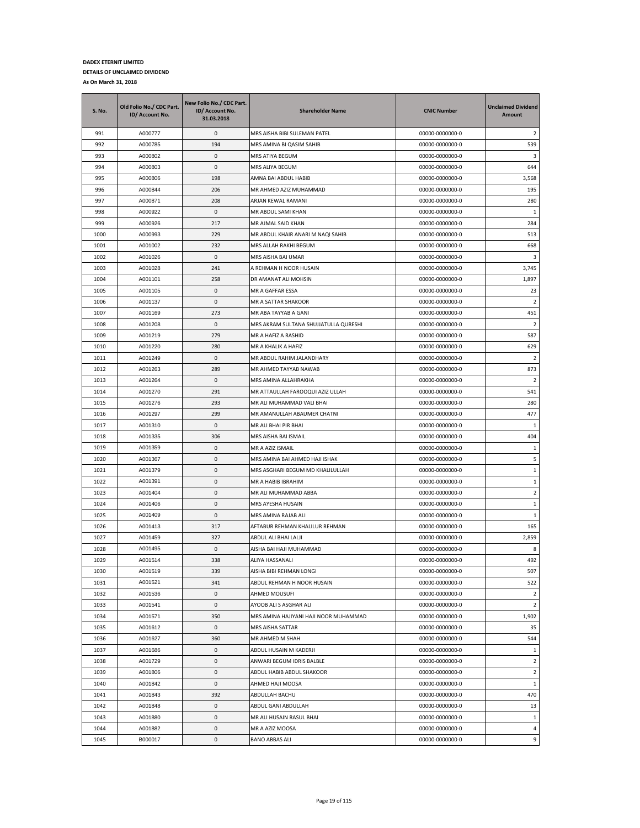| A000777<br>991<br>0<br>MRS AISHA BIBI SULEMAN PATEL<br>00000-0000000-0             | 2              |
|------------------------------------------------------------------------------------|----------------|
| 194<br>992<br>A000785<br>MRS AMINA BI QASIM SAHIB<br>00000-0000000-0               | 539            |
| 993<br>A000802<br>0<br>00000-0000000-0<br>MRS ATIYA BEGUM                          | 3              |
| 994<br>A000803<br>0<br>MRS ALIYA BEGUM<br>00000-0000000-0                          | 644            |
| 995<br>198<br>A000806<br>AMNA BAI ABDUL HABIB<br>00000-0000000-0                   | 3,568          |
| 206<br>996<br>A000844<br>MR AHMED AZIZ MUHAMMAD<br>00000-0000000-0                 | 195            |
| 997<br>A000871<br>208<br>ARJAN KEWAL RAMANI<br>00000-0000000-0                     | 280            |
| 998<br>A000922<br>0<br>MR ABDUL SAMI KHAN<br>00000-0000000-0                       | 1              |
| 999<br>217<br>A000926<br>MR AJMAL SAID KHAN<br>00000-0000000-0                     | 284            |
| 229<br>MR ABDUL KHAIR ANARI M NAQI SAHIB<br>1000<br>A000993<br>00000-0000000-0     | 513            |
| 1001<br>232<br>A001002<br>MRS ALLAH RAKHI BEGUM<br>00000-0000000-0                 | 668            |
| A001026<br>1002<br>0<br>00000-0000000-0<br>MRS AISHA BAI UMAR                      | 3              |
| 1003<br>A001028<br>241<br>A REHMAN H NOOR HUSAIN<br>00000-0000000-0                | 3,745          |
| 1004<br>A001101<br>258<br>DR AMANAT ALI MOHSIN<br>00000-0000000-0                  | 1,897          |
| 1005<br>A001105<br>0<br>MR A GAFFAR ESSA<br>00000-0000000-0                        | 23             |
| 1006<br>0<br>A001137<br>MR A SATTAR SHAKOOR<br>00000-0000000-0                     | $\overline{2}$ |
| 1007<br>A001169<br>273<br>00000-0000000-0<br>MR ABA TAYYAB A GANI                  | 451            |
| 1008<br>0<br>MRS AKRAM SULTANA SHUJJATULLA QURESHI<br>A001208<br>00000-0000000-0   | $\overline{2}$ |
| 279<br>1009<br>A001219<br>MR A HAFIZ A RASHID<br>00000-0000000-0                   | 587            |
| 1010<br>A001220<br>280<br>MR A KHALIK A HAFIZ<br>00000-0000000-0                   | 629            |
| 1011<br>A001249<br>0<br>MR ABDUL RAHIM JALANDHARY<br>00000-0000000-0               | 2              |
| 1012<br>A001263<br>289<br>MR AHMED TAYYAB NAWAB<br>00000-0000000-0                 | 873            |
| 1013<br>0<br>A001264<br>MRS AMINA ALLAHRAKHA<br>00000-0000000-0                    | $\overline{2}$ |
| 1014<br>291<br>MR ATTAULLAH FAROOQUI AZIZ ULLAH<br>A001270<br>00000-0000000-0      | 541            |
| 293<br>1015<br>A001276<br>MR ALI MUHAMMAD VALI BHAI<br>00000-0000000-0             | 280            |
| A001297<br>1016<br>299<br>MR AMANULLAH ABAUMER CHATNI<br>00000-0000000-0           | 477            |
| 1017<br>A001310<br>0<br>MR ALI BHAI PIR BHAI<br>00000-0000000-0                    | $\mathbf{1}$   |
| 306<br>1018<br>A001335<br>MRS AISHA BAI ISMAIL<br>00000-0000000-0                  | 404            |
| 1019<br>A001359<br>0<br>MR A AZIZ ISMAIL<br>00000-0000000-0                        | $\mathbf{1}$   |
| 1020<br>0<br>A001367<br>MRS AMINA BAI AHMED HAJI ISHAK<br>00000-0000000-0          | 5              |
| 1021<br>0<br>A001379<br>MRS ASGHARI BEGUM MD KHALILULLAH<br>00000-0000000-0        | $1\,$          |
| 1022<br>A001391<br>0<br>MR A HABIB IBRAHIM<br>00000-0000000-0                      | 1              |
| 1023<br>A001404<br>0<br>MR ALI MUHAMMAD ABBA<br>00000-0000000-0                    | 2              |
| 1024<br>A001406<br>0<br>MRS AYESHA HUSAIN<br>00000-0000000-0                       | 1              |
| 1025<br>0<br>A001409<br>MRS AMINA RAJAB ALI<br>00000-0000000-0                     | $\mathbf{1}$   |
| 1026<br>317<br>AFTABUR REHMAN KHALILUR REHMAN<br>A001413<br>00000-0000000-0        | 165            |
| A001459<br>1027<br>327<br>ABDUL ALI BHAI LALJI<br>00000-0000000-0                  | 2,859          |
| 1028<br>A001495<br>0<br>AISHA BAI HAJI MUHAMMAD<br>00000-0000000-0                 | 8              |
| 338<br>1029<br>A001514<br>ALIYA HASSANALI<br>00000-0000000-0                       | 492            |
| 1030<br>A001519<br>339<br>AISHA BIBI REHMAN LONGI<br>00000-0000000-0               | 507            |
| 1031<br>A001521<br>341<br>ABDUL REHMAN H NOOR HUSAIN<br>00000-0000000-0            | 522            |
| $\pmb{0}$<br>1032<br>A001536<br>AHMED MOUSUFI<br>00000-0000000-0                   | $\overline{2}$ |
| 1033<br>A001541<br>0<br>AYOOB ALI S ASGHAR ALI<br>00000-0000000-0                  | $\overline{2}$ |
| 1034<br>350<br>MRS AMINA HAJIYANI HAJI NOOR MUHAMMAD<br>A001571<br>00000-0000000-0 | 1,902          |
| 0<br>1035<br>A001612<br>MRS AISHA SATTAR<br>00000-0000000-0                        | 35             |
| 1036<br>A001627<br>360<br>MR AHMED M SHAH<br>00000-0000000-0                       | 544            |
| 1037<br>A001686<br>0<br>ABDUL HUSAIN M KADERJI<br>00000-0000000-0                  | $\mathbf{1}$   |
| 1038<br>A001729<br>0<br>ANWARI BEGUM IDRIS BALBLE<br>00000-0000000-0               | $\overline{2}$ |
| 1039<br>0<br>ABDUL HABIB ABDUL SHAKOOR<br>00000-0000000-0<br>A001806               | $\overline{2}$ |
| 1040<br>0<br>AHMED HAJI MOOSA<br>00000-0000000-0<br>A001842                        | $\mathbf{1}$   |
| A001843<br>00000-0000000-0<br>1041<br>392<br>ABDULLAH BACHU                        | 470            |
| 0<br>1042<br>A001848<br>ABDUL GANI ABDULLAH<br>00000-0000000-0                     | 13             |
| 1043<br>A001880<br>0<br>MR ALI HUSAIN RASUL BHAI<br>00000-0000000-0                | $\mathbf{1}$   |
| 1044<br>A001882<br>0<br>MR A AZIZ MOOSA<br>00000-0000000-0                         | $\overline{4}$ |
| <b>BANO ABBAS ALI</b><br>1045<br>B000017<br>0<br>00000-0000000-0                   | 9              |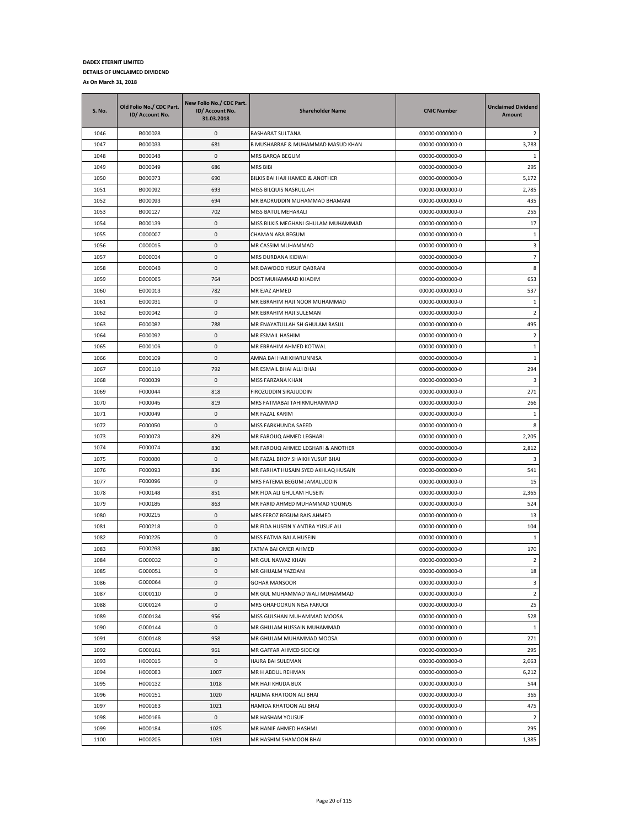| S. No. | Old Folio No./ CDC Part.<br>ID/ Account No. | New Folio No./ CDC Part.<br>ID/ Account No.<br>31.03.2018 | <b>Shareholder Name</b>             | <b>CNIC Number</b> | <b>Unclaimed Dividend</b><br>Amount |
|--------|---------------------------------------------|-----------------------------------------------------------|-------------------------------------|--------------------|-------------------------------------|
| 1046   | B000028                                     | 0                                                         | <b>BASHARAT SULTANA</b>             | 00000-0000000-0    | 2                                   |
| 1047   | B000033                                     | 681                                                       | B MUSHARRAF & MUHAMMAD MASUD KHAN   | 00000-0000000-0    | 3,783                               |
| 1048   | B000048                                     | 0                                                         | MRS BARQA BEGUM                     | 00000-0000000-0    | 1                                   |
| 1049   | B000049                                     | 686                                                       | MRS BIBI                            | 00000-0000000-0    | 295                                 |
| 1050   | B000073                                     | 690                                                       | BILKIS BAI HAJI HAMED & ANOTHER     | 00000-0000000-0    | 5,172                               |
| 1051   | B000092                                     | 693                                                       | MISS BILQUIS NASRULLAH              | 00000-0000000-0    | 2,785                               |
| 1052   | B000093                                     | 694                                                       | MR BADRUDDIN MUHAMMAD BHAMANI       | 00000-0000000-0    | 435                                 |
| 1053   | B000127                                     | 702                                                       | MISS BATUL MEHARALI                 | 00000-0000000-0    | 255                                 |
| 1054   | B000139                                     | $\mathbf 0$                                               | MISS BILKIS MEGHANI GHULAM MUHAMMAD | 00000-0000000-0    | 17                                  |
| 1055   | C000007                                     | 0                                                         | CHAMAN ARA BEGUM                    | 00000-0000000-0    | $\mathbf{1}$                        |
| 1056   | C000015                                     | $\mathbf 0$                                               | MR CASSIM MUHAMMAD                  | 00000-0000000-0    | 3                                   |
| 1057   | D000034                                     | $\mathsf 0$                                               | MRS DURDANA KIDWAI                  | 00000-0000000-0    | $\overline{\phantom{a}}$            |
| 1058   | D000048                                     | 0                                                         | MR DAWOOD YUSUF QABRANI             | 00000-0000000-0    | 8                                   |
| 1059   | D000065                                     | 764                                                       | DOST MUHAMMAD KHADIM                | 00000-0000000-0    | 653                                 |
| 1060   | E000013                                     | 782                                                       | MR EJAZ AHMED                       | 00000-0000000-0    | 537                                 |
| 1061   | E000031                                     | $\mathsf 0$                                               | MR EBRAHIM HAJI NOOR MUHAMMAD       | 00000-0000000-0    | $\mathbf{1}$                        |
| 1062   | E000042                                     | $\mathbf 0$                                               | MR EBRAHIM HAJI SULEMAN             | 00000-0000000-0    | $\overline{2}$                      |
| 1063   | E000082                                     | 788                                                       | MR ENAYATULLAH SH GHULAM RASUL      | 00000-0000000-0    | 495                                 |
| 1064   | E000092                                     | 0                                                         | MR ESMAIL HASHIM                    | 00000-0000000-0    | 2                                   |
| 1065   | E000106                                     | 0                                                         | MR EBRAHIM AHMED KOTWAL             | 00000-0000000-0    | 1                                   |
| 1066   | E000109                                     | $\mathsf 0$                                               | AMNA BAI HAJI KHARUNNISA            | 00000-0000000-0    | 1                                   |
| 1067   | E000110                                     | 792                                                       | MR ESMAIL BHAI ALLI BHAI            | 00000-0000000-0    | 294                                 |
| 1068   | F000039                                     | $\pmb{0}$                                                 | MISS FARZANA KHAN                   | 00000-0000000-0    | 3                                   |
| 1069   | F000044                                     | 818                                                       | FIROZUDDIN SIRAJUDDIN               | 00000-0000000-0    | 271                                 |
| 1070   | F000045                                     | 819                                                       | MRS FATMABAI TAHIRMUHAMMAD          | 00000-0000000-0    | 266                                 |
| 1071   | F000049                                     | 0                                                         | MR FAZAL KARIM                      | 00000-0000000-0    | 1                                   |
| 1072   | F000050                                     | 0                                                         | MISS FARKHUNDA SAEED                | 00000-0000000-0    | 8                                   |
| 1073   | F000073                                     | 829                                                       | MR FAROUQ AHMED LEGHARI             | 00000-0000000-0    | 2,205                               |
| 1074   | F000074                                     | 830                                                       | MR FAROUQ AHMED LEGHARI & ANOTHER   | 00000-0000000-0    | 2,812                               |
| 1075   | F000080                                     | $\mathbf 0$                                               | MR FAZAL BHOY SHAIKH YUSUF BHAI     | 00000-0000000-0    | 3                                   |
| 1076   | F000093                                     | 836                                                       | MR FARHAT HUSAIN SYED AKHLAQ HUSAIN | 00000-0000000-0    | 541                                 |
| 1077   | F000096                                     | 0                                                         | MRS FATEMA BEGUM JAMALUDDIN         | 00000-0000000-0    | 15                                  |
| 1078   | F000148                                     | 851                                                       | MR FIDA ALI GHULAM HUSEIN           | 00000-0000000-0    | 2,365                               |
| 1079   | F000185                                     | 863                                                       | MR FARID AHMED MUHAMMAD YOUNUS      | 00000-0000000-0    | 524                                 |
| 1080   | F000215                                     | $\mathbf 0$                                               | MRS FEROZ BEGUM RAIS AHMED          | 00000-0000000-0    | 13                                  |
| 1081   | F000218                                     | 0                                                         | MR FIDA HUSEIN Y ANTIRA YUSUF ALI   | 00000-0000000-0    | 104                                 |
| 1082   | F000225                                     | $\pmb{0}$                                                 | MISS FATMA BAI A HUSEIN             | 00000-0000000-0    | 1                                   |
| 1083   | F000263                                     | 880                                                       | FATMA BAI OMER AHMED                | 00000-0000000-0    | 170                                 |
| 1084   | G000032                                     | 0                                                         | MR GUL NAWAZ KHAN                   | 00000-0000000-0    | $\overline{2}$                      |
| 1085   | G000051                                     | $\mathsf 0$                                               | MR GHUALM YAZDANI                   | 00000-0000000-0    | 18                                  |
| 1086   | G000064                                     | 0                                                         | <b>GOHAR MANSOOR</b>                | 00000-0000000-0    | 3                                   |
| 1087   | G000110                                     | $\mathbf 0$                                               | MR GUL MUHAMMAD WALI MUHAMMAD       | 00000-0000000-0    | $\mathbf 2$                         |
| 1088   | G000124                                     | 0                                                         | MRS GHAFOORUN NISA FARUQI           | 00000-0000000-0    | 25                                  |
| 1089   | G000134                                     | 956                                                       | MISS GULSHAN MUHAMMAD MOOSA         | 00000-0000000-0    | 528                                 |
| 1090   | G000144                                     | $\mathsf 0$                                               | MR GHULAM HUSSAIN MUHAMMAD          | 00000-0000000-0    | 1                                   |
| 1091   | G000148                                     | 958                                                       | MR GHULAM MUHAMMAD MOOSA            | 00000-0000000-0    | 271                                 |
| 1092   | G000161                                     | 961                                                       | MR GAFFAR AHMED SIDDIQI             | 00000-0000000-0    | 295                                 |
| 1093   | H000015                                     | $\mathsf 0$                                               | HAJRA BAI SULEMAN                   | 00000-0000000-0    | 2,063                               |
| 1094   | H000083                                     | 1007                                                      | MR H ABDUL REHMAN                   | 00000-0000000-0    | 6,212                               |
| 1095   | H000132                                     | 1018                                                      | MR HAJI KHUDA BUX                   | 00000-0000000-0    | 544                                 |
| 1096   | H000151                                     | 1020                                                      | HALIMA KHATOON ALI BHAI             | 00000-0000000-0    | 365                                 |
| 1097   | H000163                                     | 1021                                                      | HAMIDA KHATOON ALI BHAI             | 00000-0000000-0    | 475                                 |
| 1098   | H000166                                     | 0                                                         | MR HASHAM YOUSUF                    | 00000-0000000-0    | $\overline{2}$                      |
| 1099   | H000184                                     | 1025                                                      | MR HANIF AHMED HASHMI               | 00000-0000000-0    | 295                                 |
| 1100   | H000205                                     | 1031                                                      | MR HASHIM SHAMOON BHAI              | 00000-0000000-0    | 1,385                               |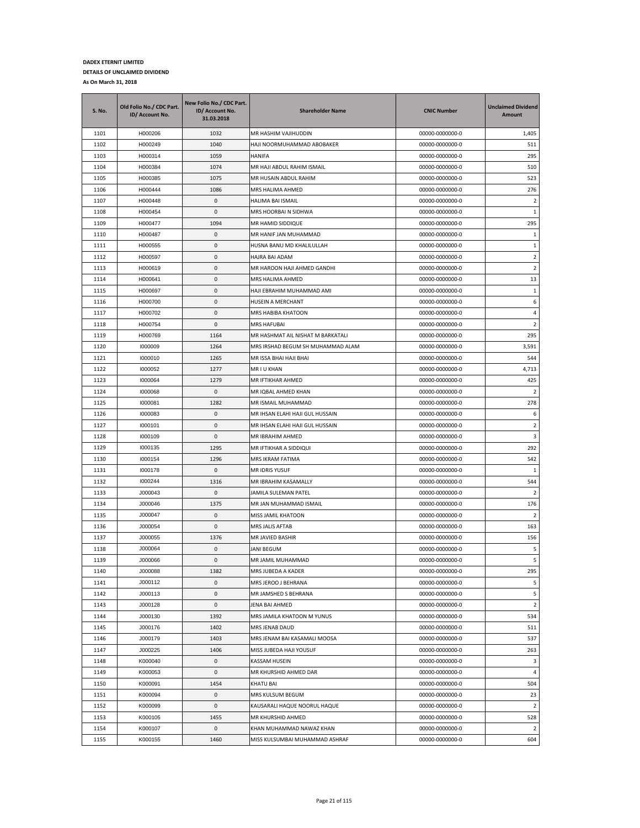| S. No. | Old Folio No./ CDC Part.<br>ID/ Account No. | New Folio No./ CDC Part.<br>ID/ Account No.<br>31.03.2018 | <b>Shareholder Name</b>           | <b>CNIC Number</b> | <b>Unclaimed Dividend</b><br>Amount |
|--------|---------------------------------------------|-----------------------------------------------------------|-----------------------------------|--------------------|-------------------------------------|
| 1101   | H000206                                     | 1032                                                      | MR HASHIM VAJIHUDDIN              | 00000-0000000-0    | 1,405                               |
| 1102   | H000249                                     | 1040                                                      | HAJI NOORMUHAMMAD ABOBAKER        | 00000-0000000-0    | 511                                 |
| 1103   | H000314                                     | 1059                                                      | HANIFA                            | 00000-0000000-0    | 295                                 |
| 1104   | H000384                                     | 1074                                                      | MR HAJI ABDUL RAHIM ISMAIL        | 00000-0000000-0    | 510                                 |
| 1105   | H000385                                     | 1075                                                      | MR HUSAIN ABDUL RAHIM             | 00000-0000000-0    | 523                                 |
| 1106   | H000444                                     | 1086                                                      | MRS HALIMA AHMED                  | 00000-0000000-0    | 276                                 |
| 1107   | H000448                                     | 0                                                         | HALIMA BAI ISMAIL                 | 00000-0000000-0    | 2                                   |
| 1108   | H000454                                     | 0                                                         | MRS HOORBAI N SIDHWA              | 00000-0000000-0    | 1                                   |
| 1109   | H000477                                     | 1094                                                      | MR HAMID SIDDIQUE                 | 00000-0000000-0    | 295                                 |
| 1110   | H000487                                     | 0                                                         | MR HANIF JAN MUHAMMAD             | 00000-0000000-0    | 1                                   |
| 1111   | H000555                                     | 0                                                         | HUSNA BANU MD KHALILULLAH         | 00000-0000000-0    | 1                                   |
| 1112   | H000597                                     | 0                                                         | HAJRA BAI ADAM                    | 00000-0000000-0    | $\overline{2}$                      |
| 1113   | H000619                                     | 0                                                         | MR HAROON HAJI AHMED GANDHI       | 00000-0000000-0    | $\overline{2}$                      |
| 1114   | H000641                                     | 0                                                         | MRS HALIMA AHMED                  | 00000-0000000-0    | 13                                  |
| 1115   | H000697                                     | 0                                                         | HAJI EBRAHIM MUHAMMAD AMI         | 00000-0000000-0    | 1                                   |
| 1116   | H000700                                     | 0                                                         | HUSEIN A MERCHANT                 | 00000-0000000-0    | 6                                   |
| 1117   | H000702                                     | 0                                                         | MRS HABIBA KHATOON                | 00000-0000000-0    | $\overline{4}$                      |
| 1118   | H000754                                     | 0                                                         | <b>MRS HAFUBAI</b>                | 00000-0000000-0    | $\overline{2}$                      |
| 1119   | H000769                                     | 1164                                                      | MR HASHMAT AIL NISHAT M BARKATALI | 00000-0000000-0    | 295                                 |
| 1120   | 1000009                                     | 1264                                                      | MRS IRSHAD BEGUM SH MUHAMMAD ALAM | 00000-0000000-0    | 3,591                               |
| 1121   | 1000010                                     | 1265                                                      | MR ISSA BHAI HAJI BHAI            | 00000-0000000-0    | 544                                 |
| 1122   | 1000052                                     | 1277                                                      | MR I U KHAN                       | 00000-0000000-0    | 4,713                               |
| 1123   | 1000064                                     | 1279                                                      | MR IFTIKHAR AHMED                 | 00000-0000000-0    | 425                                 |
| 1124   | 1000068                                     | 0                                                         | MR IQBAL AHMED KHAN               | 00000-0000000-0    | $\overline{2}$                      |
| 1125   | 1000081                                     | 1282                                                      | MR ISMAIL MUHAMMAD                | 00000-0000000-0    | 278                                 |
| 1126   | 1000083                                     | 0                                                         | MR IHSAN ELAHI HAJI GUL HUSSAIN   | 00000-0000000-0    | 6                                   |
| 1127   | 1000101                                     | 0                                                         | MR IHSAN ELAHI HAJI GUL HUSSAIN   | 00000-0000000-0    | $\overline{2}$                      |
| 1128   | 1000109                                     | 0                                                         | MR IBRAHIM AHMED                  | 00000-0000000-0    | 3                                   |
| 1129   | 1000135                                     | 1295                                                      | MR IFTIKHAR A SIDDIQUI            | 00000-0000000-0    | 292                                 |
| 1130   | 1000154                                     | 1296                                                      | MRS IKRAM FATIMA                  | 00000-0000000-0    | 542                                 |
| 1131   | 1000178                                     | 0                                                         | <b>MR IDRIS YUSUF</b>             | 00000-0000000-0    | 1                                   |
| 1132   | 1000244                                     | 1316                                                      | MR IBRAHIM KASAMALLY              | 00000-0000000-0    | 544                                 |
| 1133   | J000043                                     | 0                                                         | JAMILA SULEMAN PATEL              | 00000-0000000-0    | $\overline{2}$                      |
| 1134   | J000046                                     | 1375                                                      | MR JAN MUHAMMAD ISMAIL            | 00000-0000000-0    | 176                                 |
| 1135   | J000047                                     | 0                                                         | MISS JAMIL KHATOON                | 00000-0000000-0    | $\overline{2}$                      |
| 1136   | J000054                                     | 0                                                         | MRS JALIS AFTAB                   | 00000-0000000-0    | 163                                 |
| 1137   | J000055                                     | 1376                                                      | MR JAVIED BASHIR                  | 00000-0000000-0    | 156                                 |
| 1138   | J000064                                     | 0                                                         | <b>JANI BEGUM</b>                 | 00000-0000000-0    | 5                                   |
| 1139   | J000066                                     | 0                                                         | MR JAMIL MUHAMMAD                 | 00000-0000000-0    | 5                                   |
| 1140   | J000088                                     | 1382                                                      | MRS JUBEDA A KADER                | 00000-0000000-0    | 295                                 |
| 1141   | J000112                                     | 0                                                         | MRS JEROO J BEHRANA               | 00000-0000000-0    | 5                                   |
| 1142   | J000113                                     | $\pmb{0}$                                                 | MR JAMSHED S BEHRANA              | 00000-0000000-0    | 5                                   |
| 1143   | J000128                                     | 0                                                         | JENA BAI AHMED                    | 00000-0000000-0    | $\overline{2}$                      |
| 1144   | J000130                                     | 1392                                                      | MRS JAMILA KHATOON M YUNUS        | 00000-0000000-0    | 534                                 |
| 1145   | J000176                                     | 1402                                                      | MRS JENAB DAUD                    | 00000-0000000-0    | 511                                 |
| 1146   | J000179                                     | 1403                                                      | MRS JENAM BAI KASAMALI MOOSA      | 00000-0000000-0    | 537                                 |
| 1147   | J000225                                     | 1406                                                      | MISS JUBEDA HAJI YOUSUF           | 00000-0000000-0    | 263                                 |
| 1148   | K000040                                     | 0                                                         | KASSAM HUSEIN                     | 00000-0000000-0    | $\overline{\mathbf{3}}$             |
| 1149   | K000053                                     | 0                                                         | MR KHURSHID AHMED DAR             | 00000-0000000-0    | 4                                   |
| 1150   | K000091                                     | 1454                                                      | KHATU BAI                         | 00000-0000000-0    | 504                                 |
| 1151   | K000094                                     | 0                                                         | MRS KULSUM BEGUM                  | 00000-0000000-0    | 23                                  |
| 1152   | K000099                                     | 0                                                         | KAUSARALI HAQUE NOORUL HAQUE      | 00000-0000000-0    | $\overline{2}$                      |
| 1153   | K000105                                     | 1455                                                      | MR KHURSHID AHMED                 | 00000-0000000-0    | 528                                 |
| 1154   | K000107                                     | 0                                                         | KHAN MUHAMMAD NAWAZ KHAN          | 00000-0000000-0    | $\overline{2}$                      |
| 1155   | K000155                                     | 1460                                                      | MISS KULSUMBAI MUHAMMAD ASHRAF    | 00000-0000000-0    | 604                                 |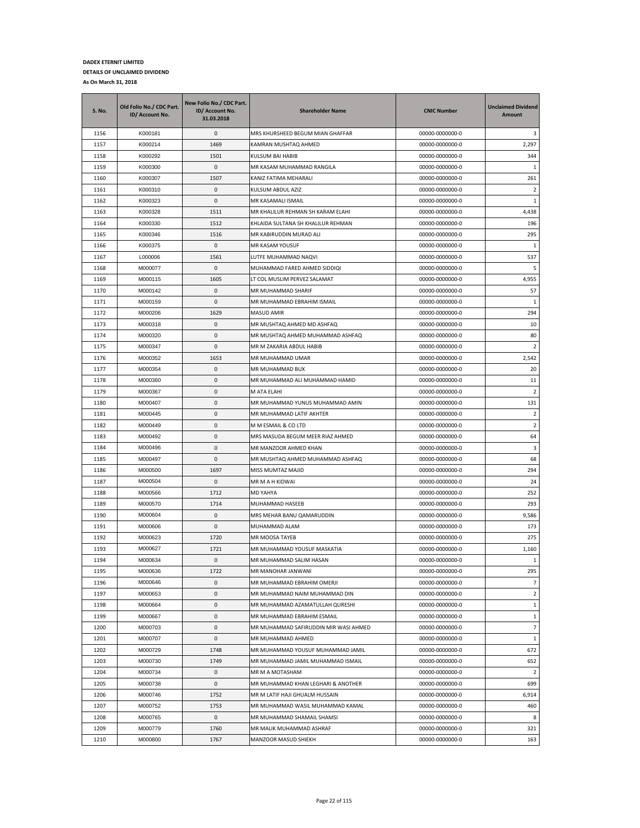| <b>S. No.</b> | Old Folio No./ CDC Part.<br>ID/ Account No. | New Folio No./ CDC Part.<br>ID/ Account No.<br>31.03.2018 | <b>Shareholder Name</b>               | <b>CNIC Number</b> | <b>Unclaimed Dividend</b><br>Amount |
|---------------|---------------------------------------------|-----------------------------------------------------------|---------------------------------------|--------------------|-------------------------------------|
| 1156          | K000181                                     | 0                                                         | MRS KHURSHEED BEGUM MIAN GHAFFAR      | 00000-0000000-0    | 3                                   |
| 1157          | K000214                                     | 1469                                                      | KAMRAN MUSHTAQ AHMED                  | 00000-0000000-0    | 2,297                               |
| 1158          | K000292                                     | 1501                                                      | KULSUM BAI HABIB                      | 00000-0000000-0    | 344                                 |
| 1159          | K000300                                     | 0                                                         | MR KASAM MUHAMMAD RANGILA             | 00000-0000000-0    | 1                                   |
| 1160          | K000307                                     | 1507                                                      | KANIZ FATIMA MEHARALI                 | 00000-0000000-0    | 261                                 |
| 1161          | K000310                                     | 0                                                         | KULSUM ABDUL AZIZ                     | 00000-0000000-0    | $\overline{2}$                      |
| 1162          | K000323                                     | 0                                                         | MR KASAMALI ISMAIL                    | 00000-0000000-0    | 1                                   |
| 1163          | K000328                                     | 1511                                                      | MR KHALILUR REHMAN SH KARAM ELAHI     | 00000-0000000-0    | 4,438                               |
| 1164          | K000330                                     | 1512                                                      | KHLAIDA SULTANA SH KHALILUR REHMAN    | 00000-0000000-0    | 196                                 |
| 1165          | K000346                                     | 1516                                                      | MR KABIRUDDIN MURAD ALI               | 00000-0000000-0    | 295                                 |
| 1166          | K000375                                     | 0                                                         | MR KASAM YOUSUF                       | 00000-0000000-0    | 1                                   |
| 1167          | L000006                                     | 1561                                                      | LUTFE MUHAMMAD NAQVI                  | 00000-0000000-0    | 537                                 |
| 1168          | M000077                                     | 0                                                         | MUHAMMAD FARED AHMED SIDDIQI          | 00000-0000000-0    | 5                                   |
| 1169          | M000115                                     | 1605                                                      | LT COL MUSLIM PERVEZ SALAMAT          | 00000-0000000-0    | 4,955                               |
| 1170          | M000142                                     | 0                                                         | MR MUHAMMAD SHARIF                    | 00000-0000000-0    | 57                                  |
| 1171          | M000159                                     | 0                                                         | MR MUHAMMAD EBRAHIM ISMAIL            | 00000-0000000-0    | 1                                   |
| 1172          | M000206                                     | 1629                                                      | <b>MASUD AMIR</b>                     | 00000-0000000-0    | 294                                 |
| 1173          | M000318                                     | 0                                                         | MR MUSHTAQ AHMED MD ASHFAQ            | 00000-0000000-0    | 10                                  |
| 1174          | M000320                                     | 0                                                         | MR MUSHTAQ AHMED MUHAMMAD ASHFAQ      | 00000-0000000-0    | 80                                  |
| 1175          | M000347                                     | 0                                                         | MR M ZAKARIA ABDUL HABIB              | 00000-0000000-0    | $\overline{2}$                      |
| 1176          | M000352                                     | 1653                                                      | MR MUHAMMAD UMAR                      | 00000-0000000-0    | 2,542                               |
| 1177          | M000354                                     | 0                                                         | MR MUHAMMAD BUX                       | 00000-0000000-0    | 20                                  |
| 1178          | M000360                                     | 0                                                         | MR MUHAMMAD ALI MUHAMMAD HAMID        | 00000-0000000-0    | 11                                  |
| 1179          | M000367                                     | 0                                                         | M ATA ELAHI                           | 00000-0000000-0    | $\overline{2}$                      |
| 1180          | M000407                                     | 0                                                         | MR MUHAMMAD YUNUS MUHAMMAD AMIN       | 00000-0000000-0    | 131                                 |
| 1181          | M000445                                     | 0                                                         | MR MUHAMMAD LATIF AKHTER              | 00000-0000000-0    | $\overline{2}$                      |
| 1182          | M000449                                     | 0                                                         | M M ESMAIL & CO LTD                   | 00000-0000000-0    | $\overline{2}$                      |
| 1183          | M000492                                     | 0                                                         | MRS MASUDA BEGUM MEER RIAZ AHMED      | 00000-0000000-0    | 64                                  |
| 1184          | M000496                                     | 0                                                         | MR MANZOOR AHMED KHAN                 | 00000-0000000-0    | 3                                   |
| 1185          | M000497                                     | 0                                                         | MR MUSHTAQ AHMED MUHAMMAD ASHFAQ      | 00000-0000000-0    | 68                                  |
| 1186          | M000500                                     | 1697                                                      | MISS MUMTAZ MAJID                     | 00000-0000000-0    | 294                                 |
| 1187          | M000504                                     | 0                                                         | MR M A H KIDWAI                       | 00000-0000000-0    | 24                                  |
| 1188          | M000566                                     | 1712                                                      | MD YAHYA                              | 00000-0000000-0    | 252                                 |
| 1189          | M000570                                     | 1714                                                      | MUHAMMAD HASEEB                       | 00000-0000000-0    | 293                                 |
| 1190          | M000604                                     | 0                                                         | MRS MEHAR BANU QAMARUDDIN             | 00000-0000000-0    | 9,586                               |
| 1191          | M000606                                     | 0                                                         | MUHAMMAD ALAM                         | 00000-0000000-0    | 173                                 |
| 1192          | M000623                                     | 1720                                                      | MR MOOSA TAYEB                        | 00000-0000000-0    | 275                                 |
| 1193          | M000627                                     | 1721                                                      | MR MUHAMMAD YOUSUF MASKATIA           | 00000-0000000-0    | 1,160                               |
| 1194          | M000634                                     | $\mathbf 0$                                               | MR MUHAMMAD SALIM HASAN               | 00000-0000000-0    | $\mathbf{1}$                        |
| 1195          | M000636                                     | 1722                                                      | MR MANOHAR JANWANI                    | 00000-0000000-0    | 295                                 |
| 1196          | M000646                                     | 0                                                         | MR MUHAMMAD EBRAHIM OMERJI            | 00000-0000000-0    | $\overline{7}$                      |
| 1197          | M000653                                     | $\pmb{0}$                                                 | MR MUHAMMAD NAIM MUHAMMAD DIN         | 00000-0000000-0    | $\overline{2}$                      |
| 1198          | M000664                                     | 0                                                         | MR MUHAMMAD AZAMATULLAH QURESHI       | 00000-0000000-0    | $\mathbf{1}$                        |
| 1199          | M000667                                     | $\pmb{0}$                                                 | MR MUHAMMAD EBRAHIM ESMAIL            | 00000-0000000-0    | $\mathbf{1}$                        |
| 1200          | M000703                                     | 0                                                         | MR MUHAMMAD SAFIRUDDIN MIR WASI AHMED | 00000-0000000-0    | $\overline{7}$                      |
| 1201          | M000707                                     | 0                                                         | MR MUHAMMAD AHMED                     | 00000-0000000-0    | $\mathbf{1}$                        |
| 1202          | M000729                                     | 1748                                                      | MR MUHAMMAD YOUSUF MUHAMMAD JAMIL     | 00000-0000000-0    | 672                                 |
| 1203          | M000730                                     | 1749                                                      | MR MUHAMMAD JAMIL MUHAMMAD ISMAIL     | 00000-0000000-0    | 652                                 |
| 1204          | M000734                                     | 0                                                         | MR M A MOTASHAM                       | 00000-0000000-0    | $\overline{2}$                      |
| 1205          | M000738                                     | 0                                                         | MR MUHAMMAD KHAN LEGHARI & ANOTHER    | 00000-0000000-0    | 699                                 |
| 1206          | M000746                                     | 1752                                                      | MR M LATIF HAJI GHUALM HUSSAIN        | 00000-0000000-0    | 6,914                               |
| 1207          | M000752                                     | 1753                                                      | MR MUHAMMAD WASIL MUHAMMAD KAMAL      | 00000-0000000-0    | 460                                 |
| 1208          | M000765                                     | 0                                                         | MR MUHAMMAD SHAMAIL SHAMSI            | 00000-0000000-0    | 8                                   |
| 1209          | M000779                                     | 1760                                                      | MR MALIK MUHAMMAD ASHRAF              | 00000-0000000-0    | 321                                 |
| 1210          | M000800                                     | 1767                                                      | MANZOOR MASUD SHIEKH                  | 00000-0000000-0    | 163                                 |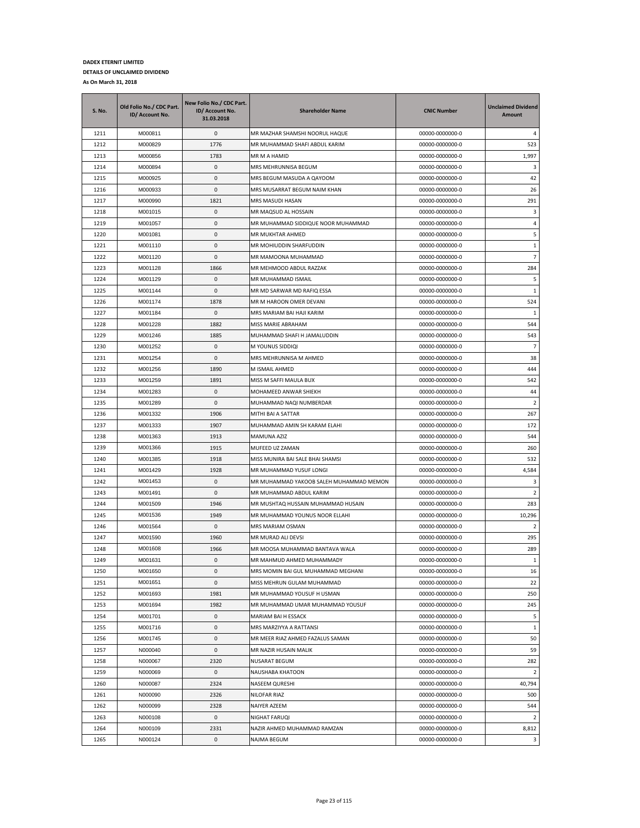| <b>S. No.</b> | Old Folio No./ CDC Part.<br>ID/ Account No. | New Folio No./ CDC Part.<br>ID/ Account No.<br>31.03.2018 | <b>Shareholder Name</b>                 | <b>CNIC Number</b> | <b>Unclaimed Dividend</b><br>Amount |
|---------------|---------------------------------------------|-----------------------------------------------------------|-----------------------------------------|--------------------|-------------------------------------|
| 1211          | M000811                                     | 0                                                         | MR MAZHAR SHAMSHI NOORUL HAQUE          | 00000-0000000-0    | 4                                   |
| 1212          | M000829                                     | 1776                                                      | MR MUHAMMAD SHAFI ABDUL KARIM           | 00000-0000000-0    | 523                                 |
| 1213          | M000856                                     | 1783                                                      | MR M A HAMID                            | 00000-0000000-0    | 1,997                               |
| 1214          | M000894                                     | 0                                                         | MRS MEHRUNNISA BEGUM                    | 00000-0000000-0    | 3                                   |
| 1215          | M000925                                     | 0                                                         | MRS BEGUM MASUDA A QAYOOM               | 00000-0000000-0    | 42                                  |
| 1216          | M000933                                     | 0                                                         | MRS MUSARRAT BEGUM NAIM KHAN            | 00000-0000000-0    | 26                                  |
| 1217          | M000990                                     | 1821                                                      | MRS MASUDI HASAN                        | 00000-0000000-0    | 291                                 |
| 1218          | M001015                                     | 0                                                         | MR MAQSUD AL HOSSAIN                    | 00000-0000000-0    | 3                                   |
| 1219          | M001057                                     | 0                                                         | MR MUHAMMAD SIDDIQUE NOOR MUHAMMAD      | 00000-0000000-0    | 4                                   |
| 1220          | M001081                                     | 0                                                         | MR MUKHTAR AHMED                        | 00000-0000000-0    | 5                                   |
| 1221          | M001110                                     | 0                                                         | MR MOHIUDDIN SHARFUDDIN                 | 00000-0000000-0    | $\mathbf{1}$                        |
| 1222          | M001120                                     | 0                                                         | MR MAMOONA MUHAMMAD                     | 00000-0000000-0    | $\overline{7}$                      |
| 1223          | M001128                                     | 1866                                                      | MR MEHMOOD ABDUL RAZZAK                 | 00000-0000000-0    | 284                                 |
| 1224          | M001129                                     | 0                                                         | MR MUHAMMAD ISMAIL                      | 00000-0000000-0    | 5                                   |
| 1225          | M001144                                     | 0                                                         | MR MD SARWAR MD RAFIQ ESSA              | 00000-0000000-0    | 1                                   |
| 1226          | M001174                                     | 1878                                                      | MR M HAROON OMER DEVANI                 | 00000-0000000-0    | 524                                 |
| 1227          | M001184                                     | 0                                                         | MRS MARIAM BAI HAJI KARIM               | 00000-0000000-0    | $\mathbf{1}$                        |
| 1228          | M001228                                     | 1882                                                      | MISS MARIE ABRAHAM                      | 00000-0000000-0    | 544                                 |
| 1229          | M001246                                     | 1885                                                      | MUHAMMAD SHAFI H JAMALUDDIN             | 00000-0000000-0    | 543                                 |
| 1230          | M001252                                     | 0                                                         | M YOUNUS SIDDIQI                        | 00000-0000000-0    | $\overline{7}$                      |
| 1231          | M001254                                     | 0                                                         | MRS MEHRUNNISA M AHMED                  | 00000-0000000-0    | 38                                  |
| 1232          | M001256                                     | 1890                                                      | M ISMAIL AHMED                          | 00000-0000000-0    | 444                                 |
| 1233          | M001259                                     | 1891                                                      | MISS M SAFFI MAULA BUX                  | 00000-0000000-0    | 542                                 |
| 1234          | M001283                                     | 0                                                         | MOHAMEED ANWAR SHIEKH                   | 00000-0000000-0    | 44                                  |
| 1235          | M001289                                     | 0                                                         | MUHAMMAD NAQI NUMBERDAR                 | 00000-0000000-0    | $\overline{2}$                      |
| 1236          | M001332                                     | 1906                                                      | MITHI BAI A SATTAR                      | 00000-0000000-0    | 267                                 |
| 1237          | M001333                                     | 1907                                                      | MUHAMMAD AMIN SH KARAM ELAHI            | 00000-0000000-0    | 172                                 |
| 1238          | M001363                                     | 1913                                                      | <b>MAMUNA AZIZ</b>                      | 00000-0000000-0    | 544                                 |
| 1239          | M001366                                     | 1915                                                      | MUFEED UZ ZAMAN                         | 00000-0000000-0    | 260                                 |
| 1240          | M001385                                     | 1918                                                      | MISS MUNIRA BAI SALE BHAI SHAMSI        | 00000-0000000-0    | 532                                 |
| 1241          | M001429                                     | 1928                                                      | MR MUHAMMAD YUSUF LONGI                 | 00000-0000000-0    | 4,584                               |
| 1242          | M001453                                     | 0                                                         | MR MUHAMMAD YAKOOB SALEH MUHAMMAD MEMON | 00000-0000000-0    | 3                                   |
| 1243          | M001491                                     | 0                                                         | MR MUHAMMAD ABDUL KARIM                 | 00000-0000000-0    | 2                                   |
| 1244          | M001509                                     | 1946                                                      | MR MUSHTAQ HUSSAIN MUHAMMAD HUSAIN      | 00000-0000000-0    | 283                                 |
| 1245          | M001536                                     | 1949                                                      | MR MUHAMMAD YOUNUS NOOR ELLAHI          | 00000-0000000-0    | 10,296                              |
| 1246          | M001564                                     | $\mathbf{0}$                                              | <b>MRS MARIAM OSMAN</b>                 | 00000-0000000-0    | 2                                   |
| 1247          | M001590                                     | 1960                                                      | MR MURAD ALI DEVSI                      | 00000-0000000-0    | 295                                 |
| 1248          | M001608                                     | 1966                                                      | MR MOOSA MUHAMMAD BANTAVA WALA          | 00000-0000000-0    | 289                                 |
| 1249          | M001631                                     | $\Omega$                                                  | MR MAHMUD AHMED MUHAMMADY               | 00000-0000000-0    | $\mathbf{1}$                        |
| 1250          | M001650                                     | 0                                                         | MRS MOMIN BAI GUL MUHAMMAD MEGHANI      | 00000-0000000-0    | 16                                  |
| 1251          | M001651                                     | 0                                                         | MISS MEHRUN GULAM MUHAMMAD              | 00000-0000000-0    | 22                                  |
| 1252          | M001693                                     | 1981                                                      | MR MUHAMMAD YOUSUF H USMAN              | 00000-0000000-0    | 250                                 |
| 1253          | M001694                                     | 1982                                                      | MR MUHAMMAD UMAR MUHAMMAD YOUSUF        | 00000-0000000-0    | 245                                 |
| 1254          | M001701                                     | 0                                                         | MARIAM BAI H ESSACK                     | 00000-0000000-0    | 5                                   |
| 1255          | M001716                                     | 0                                                         | MRS MARZIYYA A RATTANSI                 | 00000-0000000-0    | $\mathbf{1}$                        |
| 1256          | M001745                                     | 0                                                         | MR MEER RIAZ AHMED FAZALUS SAMAN        | 00000-0000000-0    | 50                                  |
| 1257          | N000040                                     | 0                                                         | MR NAZIR HUSAIN MALIK                   | 00000-0000000-0    | 59                                  |
| 1258          | N000067                                     | 2320                                                      | <b>NUSARAT BEGUM</b>                    | 00000-0000000-0    | 282                                 |
| 1259          | N000069                                     | 0                                                         | NAUSHABA KHATOON                        | 00000-0000000-0    | $\overline{2}$                      |
| 1260          | N000087                                     | 2324                                                      | NASEEM QURESHI                          | 00000-0000000-0    | 40,794                              |
| 1261          | N000090                                     | 2326                                                      | <b>NILOFAR RIAZ</b>                     | 00000-0000000-0    | 500                                 |
| 1262          | N000099                                     | 2328                                                      | NAIYER AZEEM                            | 00000-0000000-0    | 544                                 |
| 1263          | N000108                                     | 0                                                         | NIGHAT FARUQI                           | 00000-0000000-0    | $\overline{2}$                      |
| 1264          | N000109                                     | 2331                                                      | NAZIR AHMED MUHAMMAD RAMZAN             | 00000-0000000-0    | 8,812                               |
| 1265          | N000124                                     | 0                                                         | NAJMA BEGUM                             | 00000-0000000-0    | 3                                   |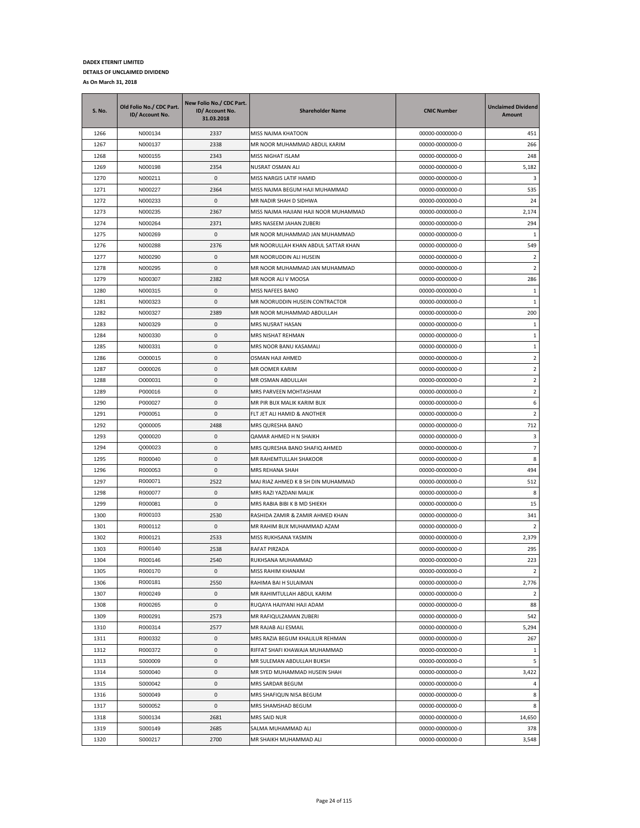| <b>S. No.</b> | Old Folio No./ CDC Part.<br>ID/ Account No. | New Folio No./ CDC Part.<br>ID/ Account No.<br>31.03.2018 | <b>Shareholder Name</b>                             | <b>CNIC Number</b>                 | <b>Unclaimed Dividend</b><br><b>Amount</b> |
|---------------|---------------------------------------------|-----------------------------------------------------------|-----------------------------------------------------|------------------------------------|--------------------------------------------|
| 1266          | N000134                                     | 2337                                                      | MISS NAJMA KHATOON                                  | 00000-0000000-0                    | 451                                        |
| 1267          | N000137                                     | 2338                                                      | MR NOOR MUHAMMAD ABDUL KARIM                        | 00000-0000000-0                    | 266                                        |
| 1268          | N000155                                     | 2343                                                      | MISS NIGHAT ISLAM                                   | 00000-0000000-0                    | 248                                        |
| 1269          | N000198                                     | 2354                                                      | NUSRAT OSMAN ALI                                    | 00000-0000000-0                    | 5,182                                      |
| 1270          | N000211                                     | 0                                                         | MISS NARGIS LATIF HAMID                             | 00000-0000000-0                    | 3                                          |
| 1271          | N000227                                     | 2364                                                      | MISS NAJMA BEGUM HAJI MUHAMMAD                      | 00000-0000000-0                    | 535                                        |
| 1272          | N000233                                     | 0                                                         | MR NADIR SHAH D SIDHWA                              | 00000-0000000-0                    | 24                                         |
| 1273          | N000235                                     | 2367                                                      | MISS NAJMA HAJIANI HAJI NOOR MUHAMMAD               | 00000-0000000-0                    | 2,174                                      |
| 1274          | N000264                                     | 2371                                                      | MRS NASEEM JAHAN ZUBERI                             | 00000-0000000-0                    | 294                                        |
| 1275          | N000269                                     | 0                                                         | MR NOOR MUHAMMAD JAN MUHAMMAD                       | 00000-0000000-0                    | 1                                          |
| 1276          | N000288                                     | 2376                                                      | MR NOORULLAH KHAN ABDUL SATTAR KHAN                 | 00000-0000000-0                    | 549                                        |
| 1277          | N000290                                     | 0                                                         | MR NOORUDDIN ALI HUSEIN                             | 00000-0000000-0                    | $\overline{2}$                             |
| 1278          | N000295                                     | 0                                                         | MR NOOR MUHAMMAD JAN MUHAMMAD                       | 00000-0000000-0                    | $\overline{2}$                             |
| 1279          | N000307                                     | 2382                                                      | MR NOOR ALI V MOOSA                                 | 00000-0000000-0                    | 286                                        |
| 1280          | N000315                                     | 0                                                         | MISS NAFEES BANO                                    | 00000-0000000-0                    | 1                                          |
| 1281          | N000323                                     | 0                                                         | MR NOORUDDIN HUSEIN CONTRACTOR                      | 00000-0000000-0                    | 1                                          |
| 1282          | N000327                                     | 2389                                                      | MR NOOR MUHAMMAD ABDULLAH                           | 00000-0000000-0                    | 200                                        |
| 1283          | N000329                                     | 0                                                         | MRS NUSRAT HASAN                                    | 00000-0000000-0                    | $1\,$                                      |
| 1284          | N000330                                     | 0                                                         | MRS NISHAT REHMAN                                   | 00000-0000000-0                    | $\mathbf{1}$                               |
| 1285          | N000331                                     | 0                                                         | MRS NOOR BANU KASAMALI                              | 00000-0000000-0                    | $\mathbf{1}$                               |
| 1286          | O000015                                     | 0                                                         | OSMAN HAJI AHMED                                    | 00000-0000000-0                    | $\overline{2}$                             |
| 1287          | O000026                                     | 0                                                         | MR OOMER KARIM                                      | 00000-0000000-0                    | $\overline{2}$                             |
| 1288          | O000031                                     | 0<br>0                                                    | MR OSMAN ABDULLAH                                   | 00000-0000000-0                    | $\overline{2}$<br>$\overline{2}$           |
| 1289<br>1290  | P000016<br>P000027                          | 0                                                         | MRS PARVEEN MOHTASHAM<br>MR PIR BUX MALIK KARIM BUX | 00000-0000000-0<br>00000-0000000-0 | 6                                          |
| 1291          | P000051                                     | 0                                                         | FLT JET ALI HAMID & ANOTHER                         | 00000-0000000-0                    | $\overline{2}$                             |
| 1292          | Q000005                                     | 2488                                                      | MRS QURESHA BANO                                    | 00000-0000000-0                    | 712                                        |
| 1293          | Q000020                                     | 0                                                         | QAMAR AHMED H N SHAIKH                              | 00000-0000000-0                    | 3                                          |
| 1294          | Q000023                                     | 0                                                         | MRS QURESHA BANO SHAFIQ AHMED                       | 00000-0000000-0                    | 7                                          |
| 1295          | R000040                                     | 0                                                         | MR RAHEMTULLAH SHAKOOR                              | 00000-0000000-0                    | 8                                          |
| 1296          | R000053                                     | 0                                                         | MRS REHANA SHAH                                     | 00000-0000000-0                    | 494                                        |
| 1297          | R000071                                     | 2522                                                      | MAJ RIAZ AHMED K B SH DIN MUHAMMAD                  | 00000-0000000-0                    | 512                                        |
| 1298          | R000077                                     | 0                                                         | MRS RAZI YAZDANI MALIK                              | 00000-0000000-0                    | 8                                          |
| 1299          | R000081                                     | 0                                                         | MRS RABIA BIBI K B MD SHIEKH                        | 00000-0000000-0                    | 15                                         |
| 1300          | R000103                                     | 2530                                                      | RASHIDA ZAMIR & ZAMIR AHMED KHAN                    | 00000-0000000-0                    | 341                                        |
| 1301          | R000112                                     | 0                                                         | MR RAHIM BUX MUHAMMAD AZAM                          | 00000-0000000-0                    | 2                                          |
| 1302          | R000121                                     | 2533                                                      | MISS RUKHSANA YASMIN                                | 00000-0000000-0                    | 2,379                                      |
| 1303          | R000140                                     | 2538                                                      | RAFAT PIRZADA                                       | 00000-0000000-0                    | 295                                        |
| 1304          | R000146                                     | 2540                                                      | RUKHSANA MUHAMMAD                                   | 00000-0000000-0                    | 223                                        |
| 1305          | R000170                                     | $\pmb{0}$                                                 | MISS RAHIM KHANAM                                   | 00000-0000000-0                    | $\overline{2}$                             |
| 1306          | R000181                                     | 2550                                                      | RAHIMA BAI H SULAIMAN                               | 00000-0000000-0                    | 2,776                                      |
| 1307          | R000249                                     | 0                                                         | MR RAHIMTULLAH ABDUL KARIM                          | 00000-0000000-0                    | $\overline{2}$                             |
| 1308          | R000265                                     | 0                                                         | RUQAYA HAJIYANI HAJI ADAM                           | 00000-0000000-0                    | 88                                         |
| 1309          | R000291                                     | 2573                                                      | MR RAFIQULZAMAN ZUBERI                              | 00000-0000000-0                    | 542                                        |
| 1310          | R000314                                     | 2577                                                      | MR RAJAB ALI ESMAIL                                 | 00000-0000000-0                    | 5,294                                      |
| 1311          | R000332                                     | 0                                                         | MRS RAZIA BEGUM KHALILUR REHMAN                     | 00000-0000000-0                    | 267                                        |
| 1312          | R000372                                     | 0                                                         | RIFFAT SHAFI KHAWAJA MUHAMMAD                       | 00000-0000000-0                    | $\mathbf{1}$                               |
| 1313          | S000009                                     | 0                                                         | MR SULEMAN ABDULLAH BUKSH                           | 00000-0000000-0                    | 5                                          |
| 1314          | S000040                                     | 0                                                         | MR SYED MUHAMMAD HUSEIN SHAH                        | 00000-0000000-0                    | 3,422                                      |
| 1315          | S000042                                     | 0                                                         | MRS SARDAR BEGUM                                    | 00000-0000000-0                    | 4                                          |
| 1316          | S000049                                     | 0                                                         | MRS SHAFIQUN NISA BEGUM                             | 00000-0000000-0                    | 8                                          |
| 1317          | S000052                                     | $\pmb{0}$                                                 | MRS SHAMSHAD BEGUM                                  | 00000-0000000-0                    | 8                                          |
| 1318          | S000134                                     | 2681                                                      | MRS SAID NUR                                        | 00000-0000000-0                    | 14,650                                     |
| 1319          | S000149                                     | 2685                                                      | SALMA MUHAMMAD ALI                                  | 00000-0000000-0                    | 378                                        |
| 1320          | S000217                                     | 2700                                                      | MR SHAIKH MUHAMMAD ALI                              | 00000-0000000-0                    | 3,548                                      |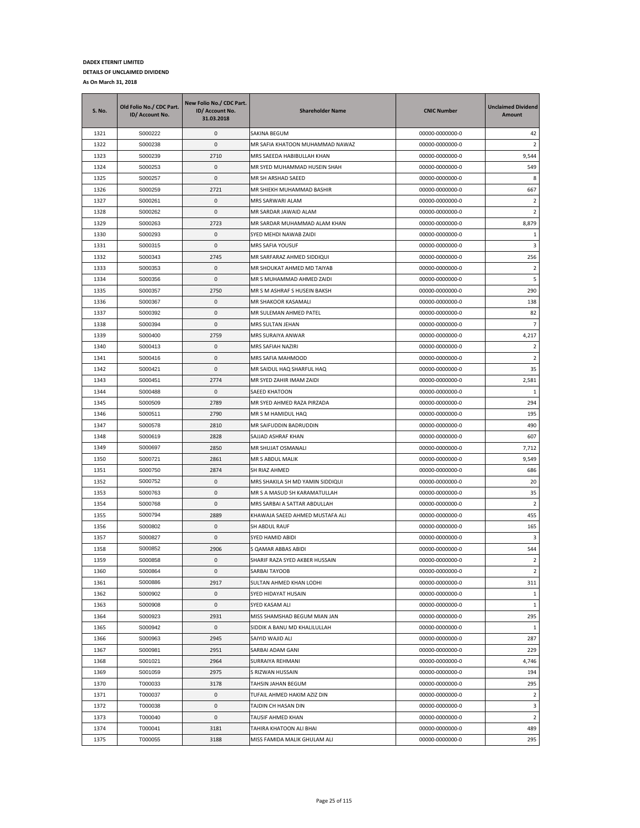| <b>S. No.</b> | Old Folio No./ CDC Part.<br>ID/ Account No. | New Folio No./ CDC Part.<br>ID/ Account No.<br>31.03.2018 | <b>Shareholder Name</b>                 | <b>CNIC Number</b> | <b>Unclaimed Dividend</b><br>Amount |
|---------------|---------------------------------------------|-----------------------------------------------------------|-----------------------------------------|--------------------|-------------------------------------|
| 1321          | S000222                                     | 0                                                         | SAKINA BEGUM                            | 00000-0000000-0    | 42                                  |
| 1322          | S000238                                     | 0                                                         | MR SAFIA KHATOON MUHAMMAD NAWAZ         | 00000-0000000-0    | 2                                   |
| 1323          | S000239                                     | 2710                                                      | MRS SAEEDA HABIBULLAH KHAN              | 00000-0000000-0    | 9,544                               |
| 1324          | S000253                                     | 0                                                         | MR SYED MUHAMMAD HUSEIN SHAH            | 00000-0000000-0    | 549                                 |
| 1325          | S000257                                     | 0                                                         | MR SH ARSHAD SAEED                      | 00000-0000000-0    | 8                                   |
| 1326          | S000259                                     | 2721                                                      | MR SHIEKH MUHAMMAD BASHIR               | 00000-0000000-0    | 667                                 |
| 1327          | S000261                                     | 0                                                         | MRS SARWARI ALAM                        | 00000-0000000-0    | $\overline{2}$                      |
| 1328          | S000262                                     | 0                                                         | MR SARDAR JAWAID ALAM                   | 00000-0000000-0    | 2                                   |
| 1329          | S000263                                     | 2723                                                      | MR SARDAR MUHAMMAD ALAM KHAN            | 00000-0000000-0    | 8,879                               |
| 1330          | S000293                                     | 0                                                         | SYED MEHDI NAWAB ZAIDI                  | 00000-0000000-0    | 1                                   |
| 1331          | S000315                                     | 0                                                         | MRS SAFIA YOUSUF                        | 00000-0000000-0    | 3                                   |
| 1332          | S000343                                     | 2745                                                      | MR SARFARAZ AHMED SIDDIQUI              | 00000-0000000-0    | 256                                 |
| 1333          | S000353                                     | 0                                                         | MR SHOUKAT AHMED MD TAIYAB              | 00000-0000000-0    | $\overline{2}$                      |
| 1334          | S000356                                     | 0                                                         | MR S MUHAMMAD AHMED ZAIDI               | 00000-0000000-0    | 5                                   |
| 1335          | S000357                                     | 2750                                                      | MR S M ASHRAF S HUSEIN BAKSH            | 00000-0000000-0    | 290                                 |
| 1336          | S000367                                     | 0                                                         | MR SHAKOOR KASAMALI                     | 00000-0000000-0    | 138                                 |
| 1337          | S000392                                     | 0                                                         | MR SULEMAN AHMED PATEL                  | 00000-0000000-0    | 82                                  |
| 1338          | S000394                                     | 0                                                         | MRS SULTAN JEHAN                        | 00000-0000000-0    | $\overline{7}$                      |
| 1339          | S000400                                     | 2759                                                      | MRS SURAIYA ANWAR                       | 00000-0000000-0    | 4,217                               |
| 1340          | S000413                                     | 0                                                         | MRS SAFIAH NAZIRI                       | 00000-0000000-0    | 2                                   |
| 1341          | S000416                                     | 0                                                         | MRS SAFIA MAHMOOD                       | 00000-0000000-0    | 2                                   |
| 1342          | S000421                                     | 0                                                         | MR SAIDUL HAQ SHARFUL HAQ               | 00000-0000000-0    | 35                                  |
| 1343          | S000451                                     | 2774                                                      | MR SYED ZAHIR IMAM ZAIDI                | 00000-0000000-0    | 2,581                               |
| 1344          | S000488                                     | 0                                                         | <b>SAEED KHATOON</b>                    | 00000-0000000-0    | 1                                   |
| 1345          | S000509                                     | 2789                                                      | MR SYED AHMED RAZA PIRZADA              | 00000-0000000-0    | 294                                 |
| 1346          | S000511                                     | 2790                                                      | MR S M HAMIDUL HAQ                      | 00000-0000000-0    | 195                                 |
| 1347          | S000578                                     | 2810                                                      | MR SAIFUDDIN BADRUDDIN                  | 00000-0000000-0    | 490                                 |
| 1348          | S000619                                     | 2828                                                      | SAJJAD ASHRAF KHAN                      | 00000-0000000-0    | 607                                 |
| 1349          | S000697                                     | 2850                                                      | MR SHUJAT OSMANALI                      | 00000-0000000-0    | 7,712                               |
| 1350          | S000721                                     | 2861                                                      | MR S ABDUL MALIK                        | 00000-0000000-0    | 9,549                               |
| 1351          | S000750                                     | 2874                                                      | SH RIAZ AHMED                           | 00000-0000000-0    | 686                                 |
| 1352          | S000752                                     | 0                                                         | MRS SHAKILA SH MD YAMIN SIDDIQUI        | 00000-0000000-0    | 20                                  |
| 1353          | S000763                                     | 0                                                         | MR S A MASUD SH KARAMATULLAH            | 00000-0000000-0    | 35                                  |
| 1354          | S000768                                     | 0                                                         | MRS SARBAI A SATTAR ABDULLAH            | 00000-0000000-0    | $\overline{2}$                      |
| 1355          | S000794                                     | 2889                                                      | KHAWAJA SAEED AHMED MUSTAFA ALI         | 00000-0000000-0    | 455                                 |
| 1356          | S000802                                     | 0                                                         | <b>SH ABDUL RAUF</b>                    | 00000-0000000-0    |                                     |
|               | S000827                                     | 0                                                         |                                         |                    | 165                                 |
| 1357          |                                             |                                                           | SYED HAMID ABIDI<br>S QAMAR ABBAS ABIDI | 00000-0000000-0    | 3                                   |
| 1358          | S000852                                     | 2906<br>$\Omega$                                          | SHARIF RAZA SYED AKBER HUSSAIN          | 00000-0000000-0    | 544                                 |
| 1359          | S000858                                     |                                                           |                                         | 00000-0000000-0    | $\overline{2}$                      |
| 1360          | S000864                                     | 0                                                         | SARBAI TAYOOB                           | 00000-0000000-0    | $\overline{2}$                      |
| 1361          | S000886                                     | 2917                                                      | SULTAN AHMED KHAN LODHI                 | 00000-0000000-0    | 311                                 |
| 1362          | S000902                                     | 0                                                         | SYED HIDAYAT HUSAIN                     | 00000-0000000-0    | $\mathbf{1}$                        |
| 1363          | S000908                                     | 0                                                         | SYED KASAM ALI                          | 00000-0000000-0    | $\mathbf{1}$                        |
| 1364          | S000923                                     | 2931                                                      | MISS SHAMSHAD BEGUM MIAN JAN            | 00000-0000000-0    | 295                                 |
| 1365          | S000942                                     | 0                                                         | SIDDIK A BANU MD KHALILULLAH            | 00000-0000000-0    | 1                                   |
| 1366          | S000963                                     | 2945                                                      | SAIYID WAJID ALI                        | 00000-0000000-0    | 287                                 |
| 1367          | S000981                                     | 2951                                                      | SARBAI ADAM GANI                        | 00000-0000000-0    | 229                                 |
| 1368          | S001021                                     | 2964                                                      | SURRAIYA REHMANI                        | 00000-0000000-0    | 4,746                               |
| 1369          | S001059                                     | 2975                                                      | S RIZWAN HUSSAIN                        | 00000-0000000-0    | 194                                 |
| 1370          | T000033                                     | 3178                                                      | TAHSIN JAHAN BEGUM                      | 00000-0000000-0    | 295                                 |
| 1371          | T000037                                     | 0                                                         | TUFAIL AHMED HAKIM AZIZ DIN             | 00000-0000000-0    | $\overline{2}$                      |
| 1372          | T000038                                     | 0                                                         | TAJDIN CH HASAN DIN                     | 00000-0000000-0    | 3                                   |
| 1373          | T000040                                     | 0                                                         | TAUSIF AHMED KHAN                       | 00000-0000000-0    | $\overline{2}$                      |
| 1374          | T000041                                     | 3181                                                      | TAHIRA KHATOON ALI BHAI                 | 00000-0000000-0    | 489                                 |
| 1375          | T000055                                     | 3188                                                      | MISS FAMIDA MALIK GHULAM ALI            | 00000-0000000-0    | 295                                 |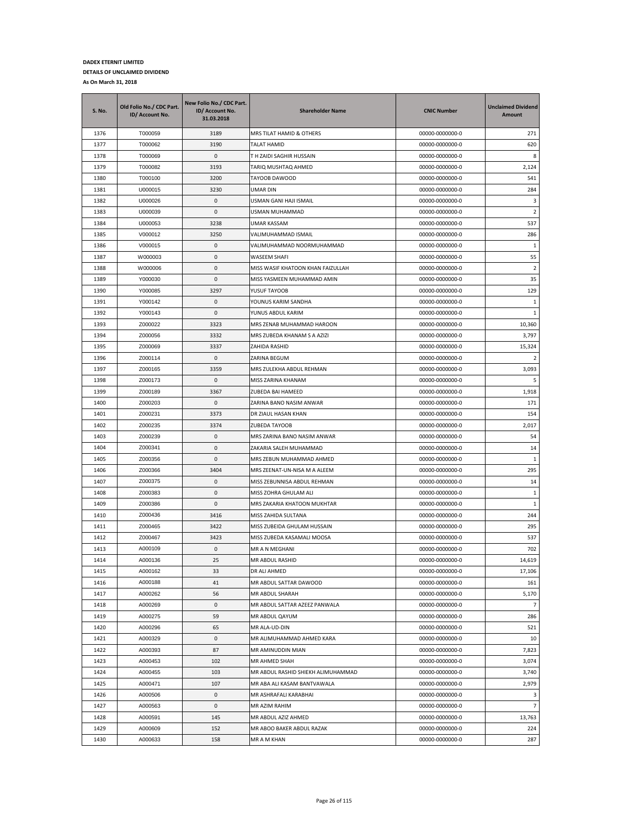| S. No. | Old Folio No./ CDC Part.<br>ID/ Account No. | New Folio No./ CDC Part.<br>ID/ Account No.<br>31.03.2018 | <b>Shareholder Name</b>            | <b>CNIC Number</b> | <b>Unclaimed Dividend</b><br>Amount |
|--------|---------------------------------------------|-----------------------------------------------------------|------------------------------------|--------------------|-------------------------------------|
| 1376   | T000059                                     | 3189                                                      | MRS TILAT HAMID & OTHERS           | 00000-0000000-0    | 271                                 |
| 1377   | T000062                                     | 3190                                                      | <b>TALAT HAMID</b>                 | 00000-0000000-0    | 620                                 |
| 1378   | T000069                                     | $\mathbf{0}$                                              | T H ZAIDI SAGHIR HUSSAIN           | 00000-0000000-0    | 8                                   |
| 1379   | T000082                                     | 3193                                                      | TARIQ MUSHTAQ AHMED                | 00000-0000000-0    | 2,124                               |
| 1380   | T000100                                     | 3200                                                      | TAYOOB DAWOOD                      | 00000-0000000-0    | 541                                 |
| 1381   | U000015                                     | 3230                                                      | UMAR DIN                           | 00000-0000000-0    | 284                                 |
| 1382   | U000026                                     | 0                                                         | USMAN GANI HAJI ISMAIL             | 00000-0000000-0    | 3                                   |
| 1383   | U000039                                     | 0                                                         | USMAN MUHAMMAD                     | 00000-0000000-0    | $\overline{2}$                      |
| 1384   | U000053                                     | 3238                                                      | <b>UMAR KASSAM</b>                 | 00000-0000000-0    | 537                                 |
| 1385   | V000012                                     | 3250                                                      | VALIMUHAMMAD ISMAIL                | 00000-0000000-0    | 286                                 |
| 1386   | V000015                                     | 0                                                         | VALIMUHAMMAD NOORMUHAMMAD          | 00000-0000000-0    | 1                                   |
| 1387   | W000003                                     | 0                                                         | WASEEM SHAFI                       | 00000-0000000-0    | 55                                  |
| 1388   | W000006                                     | 0                                                         | MISS WASIF KHATOON KHAN FAIZULLAH  | 00000-0000000-0    | $\overline{2}$                      |
| 1389   | Y000030                                     | 0                                                         | MISS YASMEEN MUHAMMAD AMIN         | 00000-0000000-0    | 35                                  |
| 1390   | Y000085                                     | 3297                                                      | YUSUF TAYOOB                       | 00000-0000000-0    | 129                                 |
| 1391   | Y000142                                     | 0                                                         | YOUNUS KARIM SANDHA                | 00000-0000000-0    | $1\,$                               |
| 1392   | Y000143                                     | 0                                                         | YUNUS ABDUL KARIM                  | 00000-0000000-0    | 1                                   |
| 1393   | Z000022                                     | 3323                                                      | MRS ZENAB MUHAMMAD HAROON          | 00000-0000000-0    | 10,360                              |
| 1394   | Z000056                                     | 3332                                                      | MRS ZUBEDA KHANAM S A AZIZI        | 00000-0000000-0    | 3,797                               |
| 1395   | Z000069                                     | 3337                                                      | ZAHIDA RASHID                      | 00000-0000000-0    | 15,324                              |
| 1396   | Z000114                                     | 0                                                         | ZARINA BEGUM                       | 00000-0000000-0    | $\overline{2}$                      |
| 1397   | Z000165                                     | 3359                                                      | MRS ZULEKHA ABDUL REHMAN           | 00000-0000000-0    | 3,093                               |
| 1398   | Z000173                                     | 0                                                         | MISS ZARINA KHANAM                 | 00000-0000000-0    | 5                                   |
| 1399   | Z000189                                     | 3367                                                      | ZUBEDA BAI HAMEED                  | 00000-0000000-0    | 1,918                               |
| 1400   | Z000203                                     | 0                                                         | ZARINA BANO NASIM ANWAR            | 00000-0000000-0    | 171                                 |
| 1401   | Z000231                                     | 3373                                                      | DR ZIAUL HASAN KHAN                | 00000-0000000-0    | 154                                 |
| 1402   | Z000235                                     | 3374                                                      | ZUBEDA TAYOOB                      | 00000-0000000-0    | 2,017                               |
| 1403   | Z000239                                     | 0                                                         | MRS ZARINA BANO NASIM ANWAR        | 00000-0000000-0    | 54                                  |
| 1404   | Z000341                                     | 0                                                         | ZAKARIA SALEH MUHAMMAD             | 00000-0000000-0    | 14                                  |
| 1405   | Z000356                                     | 0                                                         | MRS ZEBUN MUHAMMAD AHMED           | 00000-0000000-0    | 1                                   |
| 1406   | Z000366                                     | 3404                                                      | MRS ZEENAT-UN-NISA M A ALEEM       | 00000-0000000-0    | 295                                 |
| 1407   | Z000375                                     | 0                                                         | MISS ZEBUNNISA ABDUL REHMAN        | 00000-0000000-0    | 14                                  |
| 1408   | Z000383                                     | 0                                                         | MISS ZOHRA GHULAM ALI              | 00000-0000000-0    | $\mathbf{1}$                        |
| 1409   | Z000386                                     | 0                                                         | MRS ZAKARIA KHATOON MUKHTAR        | 00000-0000000-0    | $\mathbf{1}$                        |
| 1410   | Z000436                                     | 3416                                                      | MISS ZAHIDA SULTANA                | 00000-0000000-0    | 244                                 |
| 1411   | Z000465                                     | 3422                                                      | MISS ZUBEIDA GHULAM HUSSAIN        | 00000-0000000-0    | 295                                 |
| 1412   | Z000467                                     | 3423                                                      | MISS ZUBEDA KASAMALI MOOSA         | 00000-0000000-0    | 537                                 |
| 1413   | A000109                                     | 0                                                         | MR A N MEGHANI                     | 00000-0000000-0    | 702                                 |
| 1414   | A000136                                     | 25                                                        | MR ABDUL RASHID                    | 00000-0000000-0    | 14.619                              |
| 1415   | A000162                                     | 33                                                        | DR ALI AHMED                       | 00000-0000000-0    | 17,106                              |
| 1416   | A000188                                     | 41                                                        | MR ABDUL SATTAR DAWOOD             | 00000-0000000-0    | 161                                 |
| 1417   | A000262                                     | 56                                                        | MR ABDUL SHARAH                    | 00000-0000000-0    | 5,170                               |
| 1418   | A000269                                     | 0                                                         | MR ABDUL SATTAR AZEEZ PANWALA      | 00000-0000000-0    | $\overline{7}$                      |
| 1419   | A000275                                     | 59                                                        | MR ABDUL QAYUM                     | 00000-0000000-0    | 286                                 |
| 1420   | A000296                                     | 65                                                        | MR ALA-UD-DIN                      | 00000-0000000-0    | 521                                 |
| 1421   | A000329                                     | 0                                                         | MR ALIMUHAMMAD AHMED KARA          | 00000-0000000-0    | 10                                  |
| 1422   | A000393                                     | 87                                                        | MR AMINUDDIN MIAN                  | 00000-0000000-0    | 7,823                               |
| 1423   | A000453                                     | 102                                                       | MR AHMED SHAH                      | 00000-0000000-0    | 3,074                               |
| 1424   | A000455                                     | 103                                                       | MR ABDUL RASHID SHIEKH ALIMUHAMMAD | 00000-0000000-0    | 3,740                               |
| 1425   | A000471                                     | 107                                                       | MR ABA ALI KASAM BANTVAWALA        | 00000-0000000-0    | 2,979                               |
| 1426   | A000506                                     | 0                                                         | MR ASHRAFALI KARABHAI              | 00000-0000000-0    | 3                                   |
| 1427   | A000563                                     | 0                                                         | MR AZIM RAHIM                      | 00000-0000000-0    | $\overline{7}$                      |
| 1428   | A000591                                     | 145                                                       | MR ABDUL AZIZ AHMED                | 00000-0000000-0    | 13,763                              |
| 1429   | A000609                                     | 152                                                       | MR ABOO BAKER ABDUL RAZAK          | 00000-0000000-0    | 224                                 |
| 1430   | A000633                                     | 158                                                       | MR A M KHAN                        | 00000-0000000-0    | 287                                 |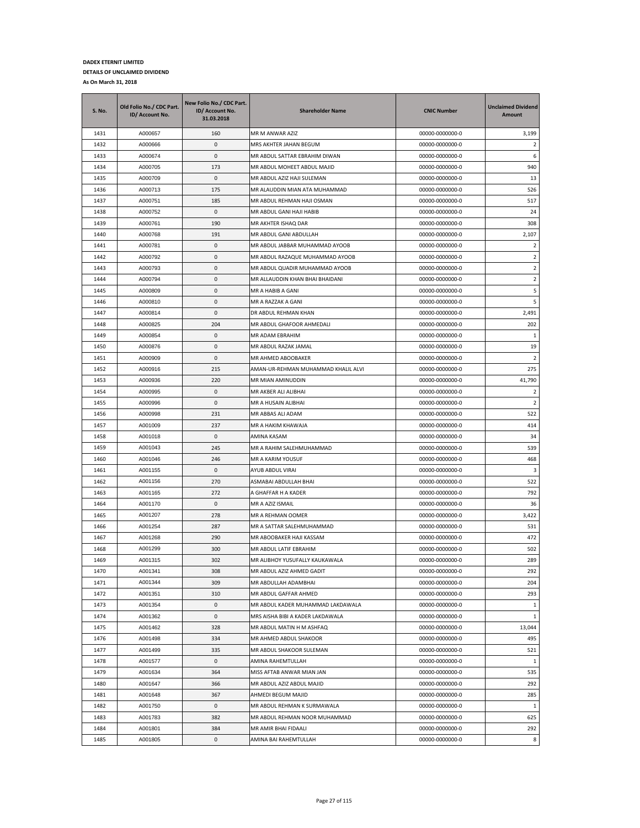| <b>S. No.</b> | Old Folio No./ CDC Part.<br>ID/ Account No. | New Folio No./ CDC Part.<br>ID/ Account No.<br>31.03.2018 | <b>Shareholder Name</b>             | <b>CNIC Number</b> | <b>Unclaimed Dividend</b><br>Amount |
|---------------|---------------------------------------------|-----------------------------------------------------------|-------------------------------------|--------------------|-------------------------------------|
| 1431          | A000657                                     | 160                                                       | MR M ANWAR AZIZ                     | 00000-0000000-0    | 3,199                               |
| 1432          | A000666                                     | 0                                                         | MRS AKHTER JAHAN BEGUM              | 00000-0000000-0    | 2                                   |
| 1433          | A000674                                     | 0                                                         | MR ABDUL SATTAR EBRAHIM DIWAN       | 00000-0000000-0    | 6                                   |
| 1434          | A000705                                     | 173                                                       | MR ABDUL MOHEET ABDUL MAJID         | 00000-0000000-0    | 940                                 |
| 1435          | A000709                                     | 0                                                         | MR ABDUL AZIZ HAJI SULEMAN          | 00000-0000000-0    | 13                                  |
| 1436          | A000713                                     | 175                                                       | MR ALAUDDIN MIAN ATA MUHAMMAD       | 00000-0000000-0    | 526                                 |
| 1437          | A000751                                     | 185                                                       | MR ABDUL REHMAN HAJI OSMAN          | 00000-0000000-0    | 517                                 |
| 1438          | A000752                                     | 0                                                         | MR ABDUL GANI HAJI HABIB            | 00000-0000000-0    | 24                                  |
| 1439          | A000761                                     | 190                                                       | MR AKHTER ISHAQ DAR                 | 00000-0000000-0    | 308                                 |
| 1440          | A000768                                     | 191                                                       | MR ABDUL GANI ABDULLAH              | 00000-0000000-0    | 2,107                               |
| 1441          | A000781                                     | 0                                                         | MR ABDUL JABBAR MUHAMMAD AYOOB      | 00000-0000000-0    | $\overline{2}$                      |
| 1442          | A000792                                     | 0                                                         | MR ABDUL RAZAQUE MUHAMMAD AYOOB     | 00000-0000000-0    | $\overline{2}$                      |
| 1443          | A000793                                     | 0                                                         | MR ABDUL QUADIR MUHAMMAD AYOOB      | 00000-0000000-0    | $\overline{2}$                      |
| 1444          | A000794                                     | 0                                                         | MR ALLAUDDIN KHAN BHAI BHAIDANI     | 00000-0000000-0    | 2                                   |
| 1445          | A000809                                     | 0                                                         | MR A HABIB A GANI                   | 00000-0000000-0    | 5                                   |
| 1446          | A000810                                     | 0                                                         | MR A RAZZAK A GANI                  | 00000-0000000-0    | 5                                   |
| 1447          | A000814                                     | 0                                                         | DR ABDUL REHMAN KHAN                | 00000-0000000-0    | 2,491                               |
| 1448          | A000825                                     | 204                                                       | MR ABDUL GHAFOOR AHMEDALI           | 00000-0000000-0    | 202                                 |
| 1449          | A000854                                     | 0                                                         | MR ADAM EBRAHIM                     | 00000-0000000-0    | -1                                  |
| 1450          | A000876                                     | 0                                                         | MR ABDUL RAZAK JAMAL                | 00000-0000000-0    | 19                                  |
| 1451          | A000909                                     | 0                                                         | MR AHMED ABOOBAKER                  | 00000-0000000-0    | 2                                   |
| 1452          | A000916                                     | 215                                                       | AMAN-UR-REHMAN MUHAMMAD KHALIL ALVI | 00000-0000000-0    | 275                                 |
| 1453          | A000936                                     | 220                                                       | MR MIAN AMINUDDIN                   | 00000-0000000-0    | 41,790                              |
| 1454          | A000995                                     | 0                                                         | MR AKBER ALI ALIBHAI                | 00000-0000000-0    | $\overline{2}$                      |
| 1455          | A000996                                     | 0                                                         | MR A HUSAIN ALIBHAI                 | 00000-0000000-0    | 2                                   |
| 1456          | A000998                                     | 231                                                       | MR ABBAS ALI ADAM                   | 00000-0000000-0    | 522                                 |
| 1457          | A001009                                     | 237                                                       | MR A HAKIM KHAWAJA                  | 00000-0000000-0    | 414                                 |
| 1458          | A001018                                     | 0                                                         | AMINA KASAM                         | 00000-0000000-0    | 34                                  |
| 1459          | A001043                                     | 245                                                       | MR A RAHIM SALEHMUHAMMAD            | 00000-0000000-0    | 539                                 |
| 1460          | A001046                                     | 246                                                       | MR A KARIM YOUSUF                   | 00000-0000000-0    | 468                                 |
| 1461          | A001155                                     | 0                                                         | AYUB ABDUL VIRAI                    | 00000-0000000-0    | 3                                   |
| 1462          | A001156                                     | 270                                                       | ASMABAI ABDULLAH BHAI               | 00000-0000000-0    | 522                                 |
| 1463          | A001165                                     | 272                                                       | A GHAFFAR H A KADER                 | 00000-0000000-0    | 792                                 |
| 1464          | A001170                                     | 0                                                         | MR A AZIZ ISMAIL                    | 00000-0000000-0    | 36                                  |
| 1465          | A001207                                     | 278                                                       | MR A REHMAN OOMER                   | 00000-0000000-0    | 3,422                               |
| 1466          | A001254                                     | 287                                                       | MR A SATTAR SALEHMUHAMMAD           | 00000-0000000-0    | 531                                 |
| 1467          | A001268                                     | 290                                                       | MR ABOOBAKER HAJI KASSAM            | 00000-0000000-0    | 472                                 |
| 1468          | A001299                                     | 300                                                       | MR ABDUL LATIF EBRAHIM              | 00000-0000000-0    | 502                                 |
| 1469          | A001315                                     | 302                                                       | MR ALIBHOY YUSUFALLY KAUKAWALA      | 00000-0000000-0    | 289                                 |
| 1470          | A001341                                     | 308                                                       | MR ABDUL AZIZ AHMED GADIT           | 00000-0000000-0    | 292                                 |
| 1471          | A001344                                     | 309                                                       | MR ABDULLAH ADAMBHAI                | 00000-0000000-0    | 204                                 |
| 1472          | A001351                                     | 310                                                       | MR ABDUL GAFFAR AHMED               | 00000-0000000-0    | 293                                 |
| 1473          | A001354                                     | 0                                                         | MR ABDUL KADER MUHAMMAD LAKDAWALA   | 00000-0000000-0    | $\mathbf{1}$                        |
| 1474          | A001362                                     | 0                                                         | MRS AISHA BIBI A KADER LAKDAWALA    | 00000-0000000-0    | 1                                   |
| 1475          | A001462                                     | 328                                                       | MR ABDUL MATIN H M ASHFAQ           | 00000-0000000-0    | 13,044                              |
| 1476          | A001498                                     | 334                                                       | MR AHMED ABDUL SHAKOOR              | 00000-0000000-0    | 495                                 |
| 1477          | A001499                                     | 335                                                       | MR ABDUL SHAKOOR SULEMAN            | 00000-0000000-0    | 521                                 |
| 1478          | A001577                                     | 0                                                         | AMINA RAHEMTULLAH                   | 00000-0000000-0    | $\mathbf{1}$                        |
| 1479          | A001634                                     | 364                                                       | MISS AFTAB ANWAR MIAN JAN           | 00000-0000000-0    | 535                                 |
| 1480          | A001647                                     | 366                                                       | MR ABDUL AZIZ ABDUL MAJID           | 00000-0000000-0    | 292                                 |
| 1481          | A001648                                     | 367                                                       | AHMEDI BEGUM MAJID                  | 00000-0000000-0    | 285                                 |
| 1482          | A001750                                     | 0                                                         | MR ABDUL REHMAN K SURMAWALA         | 00000-0000000-0    | 1                                   |
| 1483          | A001783                                     | 382                                                       | MR ABDUL REHMAN NOOR MUHAMMAD       | 00000-0000000-0    | 625                                 |
| 1484          | A001801                                     | 384                                                       | MR AMIR BHAI FIDAALI                | 00000-0000000-0    | 292                                 |
| 1485          | A001805                                     | 0                                                         | AMINA BAI RAHEMTULLAH               | 00000-0000000-0    | 8                                   |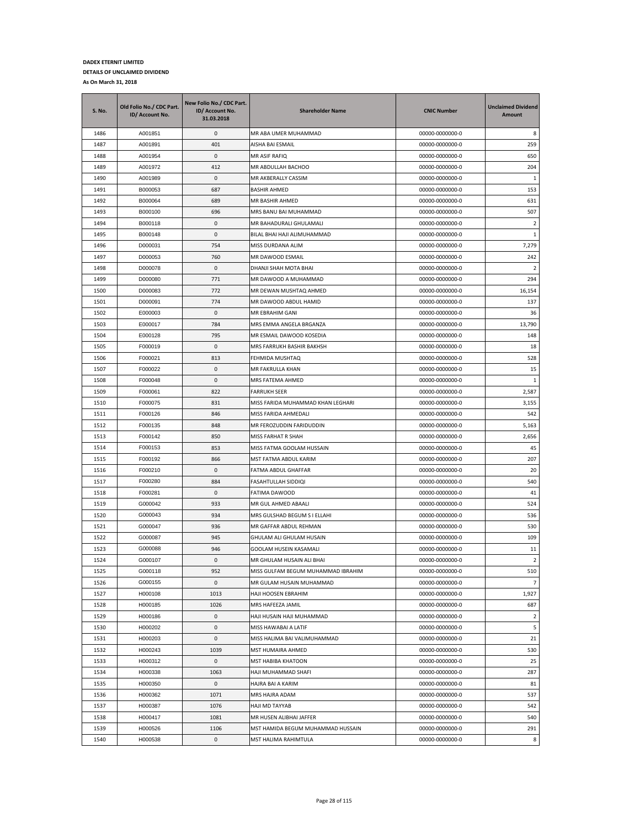| <b>S. No.</b> | Old Folio No./ CDC Part.<br>ID/ Account No. | New Folio No./ CDC Part.<br>ID/ Account No.<br>31.03.2018 | <b>Shareholder Name</b>            | <b>CNIC Number</b> | <b>Unclaimed Dividend</b><br>Amount |
|---------------|---------------------------------------------|-----------------------------------------------------------|------------------------------------|--------------------|-------------------------------------|
| 1486          | A001851                                     | 0                                                         | MR ABA UMER MUHAMMAD               | 00000-0000000-0    | 8                                   |
| 1487          | A001891                                     | 401                                                       | AISHA BAI ESMAIL                   | 00000-0000000-0    | 259                                 |
| 1488          | A001954                                     | 0                                                         | MR ASIF RAFIQ                      | 00000-0000000-0    | 650                                 |
| 1489          | A001972                                     | 412                                                       | MR ABDULLAH BACHOO                 | 00000-0000000-0    | 204                                 |
| 1490          | A001989                                     | 0                                                         | MR AKBERALLY CASSIM                | 00000-0000000-0    | 1                                   |
| 1491          | B000053                                     | 687                                                       | <b>BASHIR AHMED</b>                | 00000-0000000-0    | 153                                 |
| 1492          | B000064                                     | 689                                                       | MR BASHIR AHMED                    | 00000-0000000-0    | 631                                 |
| 1493          | B000100                                     | 696                                                       | MRS BANU BAI MUHAMMAD              | 00000-0000000-0    | 507                                 |
| 1494          | B000118                                     | 0                                                         | MR BAHADURALI GHULAMALI            | 00000-0000000-0    | 2                                   |
| 1495          | B000148                                     | 0                                                         | BILAL BHAI HAJI ALIMUHAMMAD        | 00000-0000000-0    | 1                                   |
| 1496          | D000031                                     | 754                                                       | MISS DURDANA ALIM                  | 00000-0000000-0    | 7,279                               |
| 1497          | D000053                                     | 760                                                       | MR DAWOOD ESMAIL                   | 00000-0000000-0    | 242                                 |
| 1498          | D000078                                     | 0                                                         | DHANJI SHAH MOTA BHAI              | 00000-0000000-0    | 2                                   |
| 1499          | D000080                                     | 771                                                       | MR DAWOOD A MUHAMMAD               | 00000-0000000-0    | 294                                 |
| 1500          | D000083                                     | 772                                                       | MR DEWAN MUSHTAQ AHMED             | 00000-0000000-0    | 16,154                              |
| 1501          | D000091                                     | 774                                                       | MR DAWOOD ABDUL HAMID              | 00000-0000000-0    | 137                                 |
| 1502          | E000003                                     | 0                                                         | MR EBRAHIM GANI                    | 00000-0000000-0    | 36                                  |
| 1503          | E000017                                     | 784                                                       | MRS EMMA ANGELA BRGANZA            | 00000-0000000-0    | 13,790                              |
| 1504          | E000128                                     | 795                                                       | MR ESMAIL DAWOOD KOSEDIA           | 00000-0000000-0    | 148                                 |
| 1505          | F000019                                     | 0                                                         | MRS FARRUKH BASHIR BAKHSH          | 00000-0000000-0    | 18                                  |
| 1506          | F000021                                     | 813                                                       | FEHMIDA MUSHTAQ                    | 00000-0000000-0    | 528                                 |
| 1507          | F000022                                     | 0                                                         | MR FAKRULLA KHAN                   | 00000-0000000-0    | 15                                  |
| 1508          | F000048                                     | 0                                                         | MRS FATEMA AHMED                   | 00000-0000000-0    | $1\,$                               |
| 1509          | F000061                                     | 822                                                       | <b>FARRUKH SEER</b>                | 00000-0000000-0    | 2,587                               |
| 1510          | F000075                                     | 831                                                       | MISS FARIDA MUHAMMAD KHAN LEGHARI  | 00000-0000000-0    | 3,155                               |
| 1511          | F000126                                     | 846                                                       | MISS FARIDA AHMEDALI               | 00000-0000000-0    | 542                                 |
| 1512          | F000135                                     | 848                                                       | MR FEROZUDDIN FARIDUDDIN           | 00000-0000000-0    | 5,163                               |
| 1513          | F000142                                     | 850                                                       | MISS FARHAT R SHAH                 | 00000-0000000-0    | 2,656                               |
| 1514          | F000153                                     | 853                                                       | MISS FATMA GOOLAM HUSSAIN          | 00000-0000000-0    | 45                                  |
| 1515          | F000192                                     | 866                                                       | MST FATMA ABDUL KARIM              | 00000-0000000-0    | 207                                 |
| 1516          | F000210                                     | 0                                                         | FATMA ABDUL GHAFFAR                | 00000-0000000-0    | 20                                  |
| 1517          | F000280                                     | 884                                                       | <b>FASAHTULLAH SIDDIQI</b>         | 00000-0000000-0    | 540                                 |
| 1518          | F000281                                     | 0                                                         | FATIMA DAWOOD                      | 00000-0000000-0    | 41                                  |
| 1519          | G000042                                     | 933                                                       | MR GUL AHMED ABAALI                | 00000-0000000-0    | 524                                 |
| 1520          | G000043                                     | 934                                                       | MRS GULSHAD BEGUM S I ELLAHI       | 00000-0000000-0    | 536                                 |
| 1521          | G000047                                     | 936                                                       | MR GAFFAR ABDUL REHMAN             | 00000-0000000-0    | 530                                 |
| 1522          | G000087                                     | 945                                                       | GHULAM ALI GHULAM HUSAIN           | 00000-0000000-0    | 109                                 |
| 1523          | G000088                                     | 946                                                       | GOOLAM HUSEIN KASAMALI             | 00000-0000000-0    | 11                                  |
| 1524          | G000107                                     | $\Omega$                                                  | MR GHULAM HUSAIN ALI BHAI          | 00000-0000000-0    | $\overline{2}$                      |
| 1525          | G000118                                     | 952                                                       | MISS GULFAM BEGUM MUHAMMAD IBRAHIM | 00000-0000000-0    | 510                                 |
| 1526          | G000155                                     | 0                                                         | MR GULAM HUSAIN MUHAMMAD           | 00000-0000000-0    | $\overline{7}$                      |
| 1527          | H000108                                     | 1013                                                      | HAJI HOOSEN EBRAHIM                | 00000-0000000-0    | 1,927                               |
| 1528          | H000185                                     | 1026                                                      | MRS HAFEEZA JAMIL                  | 00000-0000000-0    | 687                                 |
| 1529          | H000186                                     | 0                                                         | HAJI HUSAIN HAJI MUHAMMAD          | 00000-0000000-0    | $\overline{2}$                      |
| 1530          | H000202                                     | 0                                                         | MISS HAWABAI A LATIF               | 00000-0000000-0    | 5                                   |
| 1531          | H000203                                     | 0                                                         | MISS HALIMA BAI VALIMUHAMMAD       | 00000-0000000-0    | 21                                  |
| 1532          | H000243                                     | 1039                                                      | MST HUMAIRA AHMED                  | 00000-0000000-0    | 530                                 |
| 1533          | H000312                                     | 0                                                         | MST HABIBA KHATOON                 | 00000-0000000-0    | 25                                  |
| 1534          | H000338                                     | 1063                                                      | HAJI MUHAMMAD SHAFI                | 00000-0000000-0    | 287                                 |
| 1535          | H000350                                     | 0                                                         | HAJRA BAI A KARIM                  | 00000-0000000-0    | 81                                  |
| 1536          | H000362                                     | 1071                                                      | MRS HAJRA ADAM                     | 00000-0000000-0    | 537                                 |
| 1537          | H000387                                     | 1076                                                      | HAJI MD TAYYAB                     | 00000-0000000-0    | 542                                 |
| 1538          | H000417                                     | 1081                                                      | MR HUSEN ALIBHAI JAFFER            | 00000-0000000-0    | 540                                 |
| 1539          | H000526                                     | 1106                                                      | MST HAMIDA BEGUM MUHAMMAD HUSSAIN  | 00000-0000000-0    | 291                                 |
| 1540          | H000538                                     | 0                                                         | MST HALIMA RAHIMTULA               | 00000-0000000-0    | 8                                   |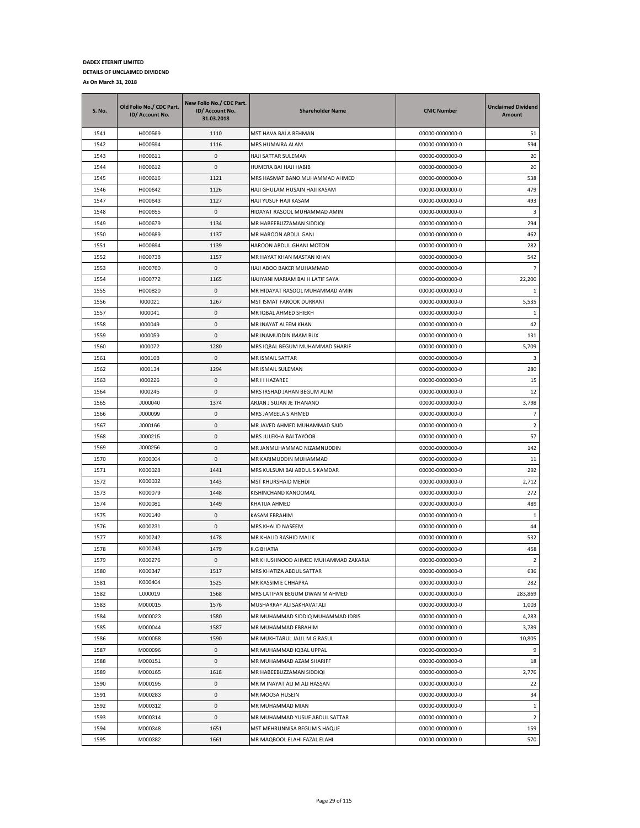| S. No. | Old Folio No./ CDC Part.<br>ID/ Account No. | New Folio No./ CDC Part.<br>ID/ Account No.<br>31.03.2018 | <b>Shareholder Name</b>             | <b>CNIC Number</b> | <b>Unclaimed Dividend</b><br>Amount |
|--------|---------------------------------------------|-----------------------------------------------------------|-------------------------------------|--------------------|-------------------------------------|
| 1541   | H000569                                     | 1110                                                      | MST HAVA BAI A REHMAN               | 00000-0000000-0    | 51                                  |
| 1542   | H000594                                     | 1116                                                      | MRS HUMAIRA ALAM                    | 00000-0000000-0    | 594                                 |
| 1543   | H000611                                     | 0                                                         | HAJI SATTAR SULEMAN                 | 00000-0000000-0    | 20                                  |
| 1544   | H000612                                     | 0                                                         | HUMERA BAI HAJI HABIB               | 00000-0000000-0    | 20                                  |
| 1545   | H000616                                     | 1121                                                      | MRS HASMAT BANO MUHAMMAD AHMED      | 00000-0000000-0    | 538                                 |
| 1546   | H000642                                     | 1126                                                      | HAJI GHULAM HUSAIN HAJI KASAM       | 00000-0000000-0    | 479                                 |
| 1547   | H000643                                     | 1127                                                      | HAJI YUSUF HAJI KASAM               | 00000-0000000-0    | 493                                 |
| 1548   | H000655                                     | 0                                                         | HIDAYAT RASOOL MUHAMMAD AMIN        | 00000-0000000-0    | 3                                   |
| 1549   | H000679                                     | 1134                                                      | MR HABEEBUZZAMAN SIDDIQI            | 00000-0000000-0    | 294                                 |
| 1550   | H000689                                     | 1137                                                      | MR HAROON ABDUL GANI                | 00000-0000000-0    | 462                                 |
| 1551   | H000694                                     | 1139                                                      | HAROON ABDUL GHANI MOTON            | 00000-0000000-0    | 282                                 |
| 1552   | H000738                                     | 1157                                                      | MR HAYAT KHAN MASTAN KHAN           | 00000-0000000-0    | 542                                 |
| 1553   | H000760                                     | 0                                                         | HAJI ABOO BAKER MUHAMMAD            | 00000-0000000-0    | $\overline{7}$                      |
| 1554   | H000772                                     | 1165                                                      | HAJIYANI MARIAM BAI H LATIF SAYA    | 00000-0000000-0    | 22,200                              |
| 1555   | H000820                                     | 0                                                         | MR HIDAYAT RASOOL MUHAMMAD AMIN     | 00000-0000000-0    | 1                                   |
| 1556   | 1000021                                     | 1267                                                      | MST ISMAT FAROOK DURRANI            | 00000-0000000-0    | 5,535                               |
| 1557   | 1000041                                     | 0                                                         | MR IQBAL AHMED SHIEKH               | 00000-0000000-0    | 1                                   |
| 1558   | 1000049                                     | 0                                                         | MR INAYAT ALEEM KHAN                | 00000-0000000-0    | 42                                  |
| 1559   | 1000059                                     | 0                                                         | MR INAMUDDIN IMAM BUX               | 00000-0000000-0    | 131                                 |
| 1560   | 1000072                                     | 1280                                                      | MRS IQBAL BEGUM MUHAMMAD SHARIF     | 00000-0000000-0    | 5,709                               |
| 1561   | 1000108                                     | 0                                                         | MR ISMAIL SATTAR                    | 00000-0000000-0    | 3                                   |
| 1562   | 1000134                                     | 1294                                                      | MR ISMAIL SULEMAN                   | 00000-0000000-0    | 280                                 |
| 1563   | 1000226                                     | 0                                                         | MR I I HAZAREE                      | 00000-0000000-0    | 15                                  |
| 1564   | 1000245                                     | 0                                                         | MRS IRSHAD JAHAN BEGUM ALIM         | 00000-0000000-0    | 12                                  |
| 1565   | J000040                                     | 1374                                                      | ARJAN J SUJAN JE THANANO            | 00000-0000000-0    | 3,798                               |
| 1566   | J000099                                     | 0                                                         | MRS JAMEELA S AHMED                 | 00000-0000000-0    | $\overline{7}$                      |
| 1567   | J000166                                     | 0                                                         | MR JAVED AHMED MUHAMMAD SAID        | 00000-0000000-0    | 2                                   |
| 1568   | J000215                                     | 0                                                         | MRS JULEKHA BAI TAYOOB              | 00000-0000000-0    | 57                                  |
| 1569   | J000256                                     | 0                                                         | MR JANMUHAMMAD NIZAMNUDDIN          | 00000-0000000-0    | 142                                 |
| 1570   | K000004                                     | 0                                                         | MR KARIMUDDIN MUHAMMAD              | 00000-0000000-0    | 11                                  |
| 1571   | K000028                                     | 1441                                                      | MRS KULSUM BAI ABDUL S KAMDAR       | 00000-0000000-0    | 292                                 |
| 1572   | K000032                                     | 1443                                                      | MST KHURSHAID MEHDI                 | 00000-0000000-0    | 2,712                               |
| 1573   | K000079                                     | 1448                                                      | KISHINCHAND KANOOMAL                | 00000-0000000-0    | 272                                 |
| 1574   | K000081                                     | 1449                                                      | KHATIJA AHMED                       | 00000-0000000-0    | 489                                 |
| 1575   | K000140                                     | 0                                                         | KASAM EBRAHIM                       | 00000-0000000-0    | 1                                   |
| 1576   | K000231                                     | 0                                                         | <b>MRS KHALID NASEEM</b>            | 00000-0000000-0    | 44                                  |
| 1577   | K000242                                     | 1478                                                      | MR KHALID RASHID MALIK              | 00000-0000000-0    | 532                                 |
| 1578   | K000243                                     | 1479                                                      | K.G BHATIA                          | 00000-0000000-0    | 458                                 |
| 1579   | K000276                                     | $\Omega$                                                  | MR KHUSHNOOD AHMED MUHAMMAD ZAKARIA | 00000-0000000-0    | $\overline{2}$                      |
| 1580   | K000347                                     | 1517                                                      | MRS KHATIZA ABDUL SATTAR            | 00000-0000000-0    | 636                                 |
| 1581   | K000404                                     | 1525                                                      | MR KASSIM E CHHAPRA                 | 00000-0000000-0    | 282                                 |
| 1582   | L000019                                     | 1568                                                      | MRS LATIFAN BEGUM DWAN M AHMED      | 00000-0000000-0    | 283,869                             |
| 1583   | M000015                                     | 1576                                                      | MUSHARRAF ALI SAKHAVATALI           | 00000-0000000-0    | 1,003                               |
| 1584   | M000023                                     | 1580                                                      | MR MUHAMMAD SIDDIQ MUHAMMAD IDRIS   | 00000-0000000-0    | 4,283                               |
| 1585   | M000044                                     | 1587                                                      | MR MUHAMMAD EBRAHIM                 | 00000-0000000-0    | 3,789                               |
| 1586   | M000058                                     | 1590                                                      | MR MUKHTARUL JALIL M G RASUL        | 00000-0000000-0    | 10,805                              |
| 1587   | M000096                                     | 0                                                         | MR MUHAMMAD IQBAL UPPAL             | 00000-0000000-0    | 9                                   |
| 1588   | M000151                                     | 0                                                         | MR MUHAMMAD AZAM SHARIFF            | 00000-0000000-0    | 18                                  |
| 1589   | M000165                                     | 1618                                                      | MR HABEEBUZZAMAN SIDDIQI            | 00000-0000000-0    | 2,776                               |
| 1590   | M000195                                     | 0                                                         | MR M INAYAT ALI M ALI HASSAN        | 00000-0000000-0    | 22                                  |
| 1591   | M000283                                     | 0                                                         | MR MOOSA HUSEIN                     | 00000-0000000-0    | 34                                  |
| 1592   | M000312                                     | 0                                                         | MR MUHAMMAD MIAN                    | 00000-0000000-0    | 1                                   |
| 1593   | M000314                                     | 0                                                         | MR MUHAMMAD YUSUF ABDUL SATTAR      | 00000-0000000-0    | $\overline{2}$                      |
| 1594   | M000348                                     | 1651                                                      | MST MEHRUNNISA BEGUM S HAQUE        | 00000-0000000-0    | 159                                 |
| 1595   | M000382                                     | 1661                                                      | MR MAQBOOL ELAHI FAZAL ELAHI        | 00000-0000000-0    | 570                                 |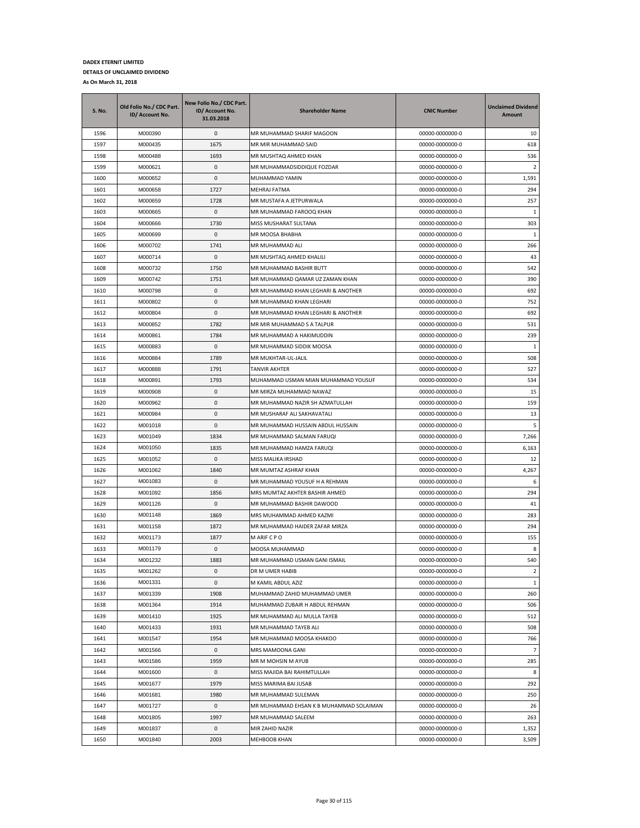| <b>S. No.</b> | Old Folio No./ CDC Part.<br>ID/ Account No. | New Folio No./ CDC Part.<br>ID/ Account No.<br>31.03.2018 | <b>Shareholder Name</b>                 | <b>CNIC Number</b> | <b>Unclaimed Dividend</b><br>Amount |
|---------------|---------------------------------------------|-----------------------------------------------------------|-----------------------------------------|--------------------|-------------------------------------|
| 1596          | M000390                                     | 0                                                         | MR MUHAMMAD SHARIF MAGOON               | 00000-0000000-0    | 10                                  |
| 1597          | M000435                                     | 1675                                                      | MR MIR MUHAMMAD SAID                    | 00000-0000000-0    | 618                                 |
| 1598          | M000488                                     | 1693                                                      | MR MUSHTAQ AHMED KHAN                   | 00000-0000000-0    | 536                                 |
| 1599          | M000621                                     | 0                                                         | MR MUHAMMADSIDDIQUE FOZDAR              | 00000-0000000-0    | $\overline{2}$                      |
| 1600          | M000652                                     | 0                                                         | MUHAMMAD YAMIN                          | 00000-0000000-0    | 1,591                               |
| 1601          | M000658                                     | 1727                                                      | MEHRAJ FATMA                            | 00000-0000000-0    | 294                                 |
| 1602          | M000659                                     | 1728                                                      | MR MUSTAFA A JETPURWALA                 | 00000-0000000-0    | 257                                 |
| 1603          | M000665                                     | 0                                                         | MR MUHAMMAD FAROOQ KHAN                 | 00000-0000000-0    | -1                                  |
| 1604          | M000666                                     | 1730                                                      | MISS MUSHARAT SULTANA                   | 00000-0000000-0    | 303                                 |
| 1605          | M000699                                     | 0                                                         | MR MOOSA BHABHA                         | 00000-0000000-0    | 1                                   |
| 1606          | M000702                                     | 1741                                                      | MR MUHAMMAD ALI                         | 00000-0000000-0    | 266                                 |
| 1607          | M000714                                     | 0                                                         | MR MUSHTAQ AHMED KHALILI                | 00000-0000000-0    | 43                                  |
| 1608          | M000732                                     | 1750                                                      | MR MUHAMMAD BASHIR BUTT                 | 00000-0000000-0    | 542                                 |
| 1609          | M000742                                     | 1751                                                      | MR MUHAMMAD QAMAR UZ ZAMAN KHAN         | 00000-0000000-0    | 390                                 |
| 1610          | M000798                                     | 0                                                         | MR MUHAMMAD KHAN LEGHARI & ANOTHER      | 00000-0000000-0    | 692                                 |
| 1611          | M000802                                     | 0                                                         | MR MUHAMMAD KHAN LEGHARI                | 00000-0000000-0    | 752                                 |
| 1612          | M000804                                     | 0                                                         | MR MUHAMMAD KHAN LEGHARI & ANOTHER      | 00000-0000000-0    | 692                                 |
| 1613          | M000852                                     | 1782                                                      | MR MIR MUHAMMAD S A TALPUR              | 00000-0000000-0    | 531                                 |
| 1614          | M000861                                     | 1784                                                      | MR MUHAMMAD A HAKIMUDDIN                | 00000-0000000-0    | 239                                 |
| 1615          | M000883                                     | 0                                                         | MR MUHAMMAD SIDDIK MOOSA                | 00000-0000000-0    | -1                                  |
| 1616          | M000884                                     | 1789                                                      | MR MUKHTAR-UL-JALIL                     | 00000-0000000-0    | 508                                 |
| 1617          | M000888                                     | 1791                                                      | TANVIR AKHTER                           | 00000-0000000-0    | 527                                 |
| 1618          | M000891                                     | 1793                                                      | MUHAMMAD USMAN MIAN MUHAMMAD YOUSUF     | 00000-0000000-0    | 534                                 |
| 1619          | M000908                                     | 0                                                         | MR MIRZA MUHAMMAD NAWAZ                 | 00000-0000000-0    | 15                                  |
| 1620          | M000962                                     | 0                                                         | MR MUHAMMAD NAZIR SH AZMATULLAH         | 00000-0000000-0    | 159                                 |
| 1621          | M000984                                     | 0                                                         | MR MUSHARAF ALI SAKHAVATALI             | 00000-0000000-0    | 13                                  |
| 1622          | M001018                                     | 0                                                         | MR MUHAMMAD HUSSAIN ABDUL HUSSAIN       | 00000-0000000-0    | 5                                   |
| 1623          | M001049                                     | 1834                                                      | MR MUHAMMAD SALMAN FARUQI               | 00000-0000000-0    | 7,266                               |
| 1624          | M001050                                     | 1835                                                      | MR MUHAMMAD HAMZA FARUQI                | 00000-0000000-0    | 6,163                               |
| 1625          | M001052                                     | 0                                                         | MISS MALIKA IRSHAD                      | 00000-0000000-0    | 12                                  |
| 1626          | M001062                                     | 1840                                                      | MR MUMTAZ ASHRAF KHAN                   | 00000-0000000-0    | 4,267                               |
| 1627          | M001083                                     | 0                                                         | MR MUHAMMAD YOUSUF H A REHMAN           | 00000-0000000-0    | 6                                   |
| 1628          | M001092                                     | 1856                                                      | MRS MUMTAZ AKHTER BASHIR AHMED          | 00000-0000000-0    | 294                                 |
| 1629          | M001126                                     | 0                                                         | MR MUHAMMAD BASHIR DAWOOD               | 00000-0000000-0    | 41                                  |
| 1630          | M001148                                     | 1869                                                      | MRS MUHAMMAD AHMED KAZMI                | 00000-0000000-0    | 283                                 |
| 1631          | M001158                                     | 1872                                                      | MR MUHAMMAD HAIDER ZAFAR MIRZA          | 00000-0000000-0    | 294                                 |
| 1632          | M001173                                     | 1877                                                      | M ARIF C P O                            | 00000-0000000-0    | 155                                 |
| 1633          | M001179                                     | 0                                                         | MOOSA MUHAMMAD                          | 00000-0000000-0    | 8                                   |
| 1634          | M001232                                     | 1883                                                      | MR MUHAMMAD USMAN GANI ISMAIL           | 00000-0000000-0    | 540                                 |
| 1635          | M001262                                     | 0                                                         | DR M UMER HABIB                         | 00000-0000000-0    | $\overline{2}$                      |
| 1636          | M001331                                     | 0                                                         | M KAMIL ABDUL AZIZ                      | 00000-0000000-0    | $\mathbf{1}$                        |
| 1637          | M001339                                     | 1908                                                      | MUHAMMAD ZAHID MUHAMMAD UMER            | 00000-0000000-0    | 260                                 |
| 1638          | M001364                                     | 1914                                                      | MUHAMMAD ZUBAIR H ABDUL REHMAN          | 00000-0000000-0    | 506                                 |
| 1639          | M001410                                     | 1925                                                      | MR MUHAMMAD ALI MULLA TAYEB             | 00000-0000000-0    | 512                                 |
| 1640          | M001433                                     | 1931                                                      | MR MUHAMMAD TAYEB ALI                   | 00000-0000000-0    | 508                                 |
| 1641          | M001547                                     | 1954                                                      | MR MUHAMMAD MOOSA KHAKOO                | 00000-0000000-0    | 766                                 |
| 1642          | M001566                                     | 0                                                         | MRS MAMOONA GANI                        | 00000-0000000-0    | $\overline{7}$                      |
| 1643          | M001586                                     | 1959                                                      | MR M MOHSIN M AYUB                      | 00000-0000000-0    | 285                                 |
| 1644          | M001600                                     | 0                                                         | MISS MAJIDA BAI RAHIMTULLAH             | 00000-0000000-0    | 8                                   |
| 1645          | M001677                                     | 1979                                                      | MISS MARIMA BAI JUSAB                   | 00000-0000000-0    | 292                                 |
| 1646          | M001681                                     | 1980                                                      | MR MUHAMMAD SULEMAN                     | 00000-0000000-0    | 250                                 |
| 1647          | M001727                                     | 0                                                         | MR MUHAMMAD EHSAN K B MUHAMMAD SOLAIMAN | 00000-0000000-0    | 26                                  |
| 1648          | M001805                                     | 1997                                                      | MR MUHAMMAD SALEEM                      | 00000-0000000-0    | 263                                 |
| 1649          | M001837                                     | 0                                                         | MIR ZAHID NAZIR                         | 00000-0000000-0    | 1,352                               |
| 1650          | M001840                                     | 2003                                                      | MEHBOOB KHAN                            | 00000-0000000-0    | 3,509                               |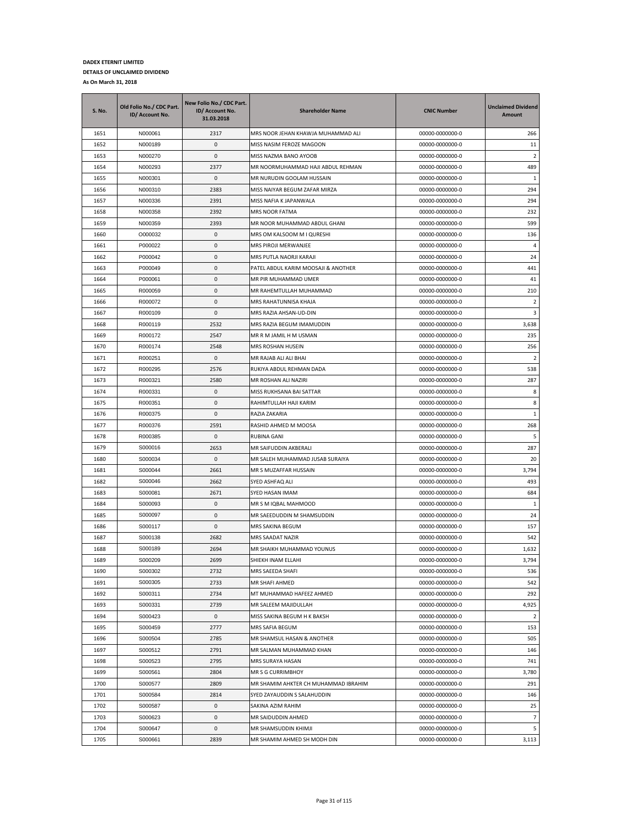| <b>S. No.</b> | Old Folio No./ CDC Part.<br>ID/ Account No. | New Folio No./ CDC Part.<br>ID/ Account No.<br>31.03.2018 | <b>Shareholder Name</b>              | <b>CNIC Number</b> | <b>Unclaimed Dividend</b><br>Amount |
|---------------|---------------------------------------------|-----------------------------------------------------------|--------------------------------------|--------------------|-------------------------------------|
| 1651          | N000061                                     | 2317                                                      | MRS NOOR JEHAN KHAWJA MUHAMMAD ALI   | 00000-0000000-0    | 266                                 |
| 1652          | N000189                                     | 0                                                         | MISS NASIM FEROZE MAGOON             | 00000-0000000-0    | 11                                  |
| 1653          | N000270                                     | 0                                                         | MISS NAZMA BANO AYOOB                | 00000-0000000-0    | $\overline{2}$                      |
| 1654          | N000293                                     | 2377                                                      | MR NOORMUHAMMAD HAJI ABDUL REHMAN    | 00000-0000000-0    | 489                                 |
| 1655          | N000301                                     | 0                                                         | MR NURUDIN GOOLAM HUSSAIN            | 00000-0000000-0    | 1                                   |
| 1656          | N000310                                     | 2383                                                      | MISS NAIYAR BEGUM ZAFAR MIRZA        | 00000-0000000-0    | 294                                 |
| 1657          | N000336                                     | 2391                                                      | MISS NAFIA K JAPANWALA               | 00000-0000000-0    | 294                                 |
| 1658          | N000358                                     | 2392                                                      | MRS NOOR FATMA                       | 00000-0000000-0    | 232                                 |
| 1659          | N000359                                     | 2393                                                      | MR NOOR MUHAMMAD ABDUL GHANI         | 00000-0000000-0    | 599                                 |
| 1660          | O000032                                     | 0                                                         | MRS OM KALSOOM M I QURESHI           | 00000-0000000-0    | 136                                 |
| 1661          | P000022                                     | 0                                                         | MRS PIROJI MERWANJEE                 | 00000-0000000-0    | $\overline{4}$                      |
| 1662          | P000042                                     | 0                                                         | MRS PUTLA NAORJI KARAJI              | 00000-0000000-0    | 24                                  |
| 1663          | P000049                                     | 0                                                         | PATEL ABDUL KARIM MOOSAJI & ANOTHER  | 00000-0000000-0    | 441                                 |
| 1664          | P000061                                     | 0                                                         | MR PIR MUHAMMAD UMER                 | 00000-0000000-0    | 41                                  |
| 1665          | R000059                                     | 0                                                         | MR RAHEMTULLAH MUHAMMAD              | 00000-0000000-0    | 210                                 |
| 1666          | R000072                                     | 0                                                         | MRS RAHATUNNISA KHAJA                | 00000-0000000-0    | $\overline{2}$                      |
| 1667          | R000109                                     | 0                                                         | MRS RAZIA AHSAN-UD-DIN               | 00000-0000000-0    | 3                                   |
| 1668          | R000119                                     | 2532                                                      | MRS RAZIA BEGUM IMAMUDDIN            | 00000-0000000-0    | 3,638                               |
| 1669          | R000172                                     | 2547                                                      | MR R M JAMIL H M USMAN               | 00000-0000000-0    | 235                                 |
| 1670          | R000174                                     | 2548                                                      | MRS ROSHAN HUSEIN                    | 00000-0000000-0    | 256                                 |
| 1671          | R000251                                     | 0                                                         | MR RAJAB ALI ALI BHAI                | 00000-0000000-0    | $\overline{2}$                      |
| 1672          | R000295                                     | 2576                                                      | RUKIYA ABDUL REHMAN DADA             | 00000-0000000-0    | 538                                 |
| 1673          | R000321                                     | 2580                                                      | MR ROSHAN ALI NAZIRI                 | 00000-0000000-0    | 287                                 |
| 1674          | R000331                                     | 0                                                         | MISS RUKHSANA BAI SATTAR             | 00000-0000000-0    | 8                                   |
| 1675          | R000351                                     | 0                                                         | RAHIMTULLAH HAJI KARIM               | 00000-0000000-0    | 8                                   |
| 1676          | R000375                                     | 0                                                         | RAZIA ZAKARIA                        | 00000-0000000-0    | 1                                   |
| 1677          | R000376                                     | 2591                                                      | RASHID AHMED M MOOSA                 | 00000-0000000-0    | 268                                 |
| 1678          | R000385                                     | 0                                                         | RUBINA GANI                          | 00000-0000000-0    | 5                                   |
| 1679          | S000016                                     | 2653                                                      | MR SAIFUDDIN AKBERALI                | 00000-0000000-0    | 287                                 |
| 1680          | S000034                                     | 0                                                         | MR SALEH MUHAMMAD JUSAB SURAIYA      | 00000-0000000-0    | 20                                  |
| 1681          | S000044                                     | 2661                                                      | MR S MUZAFFAR HUSSAIN                | 00000-0000000-0    | 3,794                               |
| 1682          | S000046                                     | 2662                                                      | SYED ASHFAQ ALI                      | 00000-0000000-0    | 493                                 |
| 1683          | S000081                                     | 2671                                                      | SYED HASAN IMAM                      | 00000-0000000-0    | 684                                 |
| 1684          | S000093                                     | 0                                                         | MR S M IQBAL MAHMOOD                 | 00000-0000000-0    | 1                                   |
| 1685          | S000097                                     | 0                                                         | MR SAEEDUDDIN M SHAMSUDDIN           | 00000-0000000-0    | 24                                  |
| 1686          | S000117                                     | 0                                                         | MRS SAKINA BEGUM                     | 00000-0000000-0    | 157                                 |
| 1687          | S000138                                     | 2682                                                      | MRS SAADAT NAZIR                     | 00000-0000000-0    | 542                                 |
| 1688          | S000189                                     | 2694                                                      | MR SHAIKH MUHAMMAD YOUNUS            | 00000-0000000-0    | 1,632                               |
| 1689          | S000209                                     | 2699                                                      | SHIEKH INAM ELLAHI                   | 00000-0000000-0    | 3,794                               |
| 1690          | S000302                                     | 2732                                                      | MRS SAEEDA SHAFI                     | 00000-0000000-0    | 536                                 |
| 1691          | S000305                                     | 2733                                                      | MR SHAFI AHMED                       | 00000-0000000-0    | 542                                 |
| 1692          | S000311                                     | 2734                                                      | MT MUHAMMAD HAFEEZ AHMED             | 00000-0000000-0    | 292                                 |
| 1693          | S000331                                     | 2739                                                      | MR SALEEM MAJIDULLAH                 | 00000-0000000-0    | 4,925                               |
| 1694          | S000423                                     | 0                                                         | MISS SAKINA BEGUM H K BAKSH          | 00000-0000000-0    | $\overline{2}$                      |
| 1695          | S000459                                     | 2777                                                      | MRS SAFIA BEGUM                      | 00000-0000000-0    | 153                                 |
| 1696          | S000504                                     | 2785                                                      | MR SHAMSUL HASAN & ANOTHER           | 00000-0000000-0    | 505                                 |
| 1697          | S000512                                     | 2791                                                      | MR SALMAN MUHAMMAD KHAN              | 00000-0000000-0    | 146                                 |
| 1698          | S000523                                     | 2795                                                      | MRS SURAYA HASAN                     | 00000-0000000-0    | 741                                 |
| 1699          | S000561                                     | 2804                                                      | MR S G CURRIMBHOY                    | 00000-0000000-0    | 3,780                               |
| 1700          | S000577                                     | 2809                                                      | MR SHAMIM AHKTER CH MUHAMMAD IBRAHIM | 00000-0000000-0    | 291                                 |
| 1701          | S000584                                     | 2814                                                      | SYED ZAYAUDDIN S SALAHUDDIN          | 00000-0000000-0    | 146                                 |
| 1702          | S000587                                     | 0                                                         | SAKINA AZIM RAHIM                    | 00000-0000000-0    | 25                                  |
| 1703          | S000623                                     | 0                                                         | MR SAIDUDDIN AHMED                   | 00000-0000000-0    | $\overline{7}$                      |
| 1704          | S000647                                     | 0                                                         | MR SHAMSUDDIN KHIMJI                 | 00000-0000000-0    | 5                                   |
| 1705          | S000661                                     | 2839                                                      | MR SHAMIM AHMED SH MODH DIN          | 00000-0000000-0    | 3,113                               |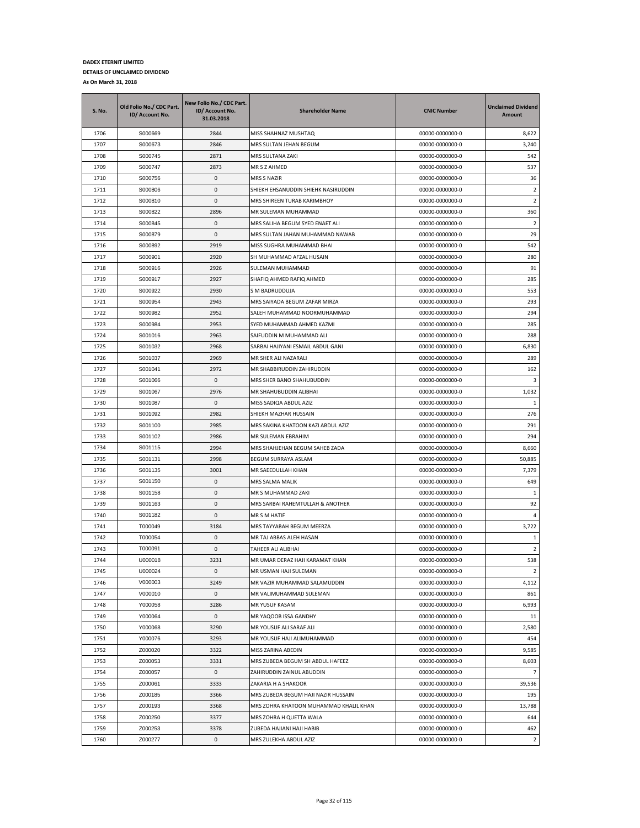| S. No. | Old Folio No./ CDC Part.<br>ID/ Account No. | New Folio No./ CDC Part.<br>ID/ Account No.<br>31.03.2018 | <b>Shareholder Name</b>                | <b>CNIC Number</b> | <b>Unclaimed Dividend</b><br>Amount |
|--------|---------------------------------------------|-----------------------------------------------------------|----------------------------------------|--------------------|-------------------------------------|
| 1706   | S000669                                     | 2844                                                      | MISS SHAHNAZ MUSHTAQ                   | 00000-0000000-0    | 8,622                               |
| 1707   | S000673                                     | 2846                                                      | MRS SULTAN JEHAN BEGUM                 | 00000-0000000-0    | 3,240                               |
| 1708   | S000745                                     | 2871                                                      | MRS SULTANA ZAKI                       | 00000-0000000-0    | 542                                 |
| 1709   | S000747                                     | 2873                                                      | MR S Z AHMED                           | 00000-0000000-0    | 537                                 |
| 1710   | S000756                                     | 0                                                         | MRS S NAZIR                            | 00000-0000000-0    | 36                                  |
| 1711   | S000806                                     | 0                                                         | SHIEKH EHSANUDDIN SHIEHK NASIRUDDIN    | 00000-0000000-0    | 2                                   |
| 1712   | S000810                                     | 0                                                         | MRS SHIREEN TURAB KARIMBHOY            | 00000-0000000-0    | 2                                   |
| 1713   | S000822                                     | 2896                                                      | MR SULEMAN MUHAMMAD                    | 00000-0000000-0    | 360                                 |
| 1714   | S000845                                     | 0                                                         | MRS SALIHA BEGUM SYED ENAET ALI        | 00000-0000000-0    | $\overline{2}$                      |
| 1715   | S000879                                     | 0                                                         | MRS SULTAN JAHAN MUHAMMAD NAWAB        | 00000-0000000-0    | 29                                  |
| 1716   | S000892                                     | 2919                                                      | MISS SUGHRA MUHAMMAD BHAI              | 00000-0000000-0    | 542                                 |
| 1717   | S000901                                     | 2920                                                      | SH MUHAMMAD AFZAL HUSAIN               | 00000-0000000-0    | 280                                 |
| 1718   | S000916                                     | 2926                                                      | SULEMAN MUHAMMAD                       | 00000-0000000-0    | 91                                  |
| 1719   | S000917                                     | 2927                                                      | SHAFIQ AHMED RAFIQ AHMED               | 00000-0000000-0    | 285                                 |
| 1720   | S000922                                     | 2930                                                      | S M BADRUDDUJA                         | 00000-0000000-0    | 553                                 |
| 1721   | S000954                                     | 2943                                                      | MRS SAIYADA BEGUM ZAFAR MIRZA          | 00000-0000000-0    | 293                                 |
| 1722   | S000982                                     | 2952                                                      | SALEH MUHAMMAD NOORMUHAMMAD            | 00000-0000000-0    | 294                                 |
| 1723   | S000984                                     | 2953                                                      | SYED MUHAMMAD AHMED KAZMI              | 00000-0000000-0    | 285                                 |
| 1724   | S001016                                     | 2963                                                      | SAIFUDDIN M MUHAMMAD ALI               | 00000-0000000-0    | 288                                 |
| 1725   | S001032                                     | 2968                                                      | SARBAI HAJIYANI ESMAIL ABDUL GANI      | 00000-0000000-0    | 6,830                               |
| 1726   | S001037                                     | 2969                                                      | MR SHER ALI NAZARALI                   | 00000-0000000-0    | 289                                 |
| 1727   | S001041                                     | 2972                                                      | MR SHABBIRUDDIN ZAHIRUDDIN             | 00000-0000000-0    | 162                                 |
| 1728   | S001066                                     | 0                                                         | MRS SHER BANO SHAHUBUDDIN              | 00000-0000000-0    | 3                                   |
| 1729   | S001067                                     | 2976                                                      | MR SHAHUBUDDIN ALIBHAI                 | 00000-0000000-0    | 1,032                               |
| 1730   | S001087                                     | 0                                                         | MISS SADIQA ABDUL AZIZ                 | 00000-0000000-0    | 1                                   |
| 1731   | S001092                                     | 2982                                                      | SHIEKH MAZHAR HUSSAIN                  | 00000-0000000-0    | 276                                 |
| 1732   | S001100                                     | 2985                                                      | MRS SAKINA KHATOON KAZI ABDUL AZIZ     | 00000-0000000-0    | 291                                 |
| 1733   | S001102                                     | 2986                                                      | MR SULEMAN EBRAHIM                     | 00000-0000000-0    | 294                                 |
| 1734   | S001115                                     | 2994                                                      | MRS SHAHJEHAN BEGUM SAHEB ZADA         | 00000-0000000-0    | 8,660                               |
| 1735   | S001131                                     | 2998                                                      | BEGUM SURRAYA ASLAM                    | 00000-0000000-0    | 50,885                              |
| 1736   | S001135                                     | 3001                                                      | MR SAEEDULLAH KHAN                     | 00000-0000000-0    | 7,379                               |
| 1737   | S001150                                     | 0                                                         | MRS SALMA MALIK                        | 00000-0000000-0    | 649                                 |
| 1738   | S001158                                     | 0                                                         | MR S MUHAMMAD ZAKI                     | 00000-0000000-0    | 1                                   |
| 1739   | S001163                                     | 0                                                         | MRS SARBAI RAHEMTULLAH & ANOTHER       | 00000-0000000-0    | 92                                  |
| 1740   | S001182                                     | 0                                                         | MR S M HATIF                           | 00000-0000000-0    | 4                                   |
| 1741   | T000049                                     | 3184                                                      | MRS TAYYABAH BEGUM MEERZA              | 00000-0000000-0    | 3,722                               |
| 1742   | T000054                                     | 0                                                         | MR TAJ ABBAS ALEH HASAN                | 00000-0000000-0    | 1                                   |
| 1743   | T000091                                     | 0                                                         | TAHEER ALI ALIBHAI                     | 00000-0000000-0    | 2                                   |
| 1744   | U000018                                     | 3231                                                      | MR UMAR DERAZ HAJI KARAMAT KHAN        | 00000-0000000-0    | 538                                 |
| 1745   | U000024                                     | 0                                                         | MR USMAN HAJI SULEMAN                  | 00000-0000000-0    | $\overline{2}$                      |
| 1746   | V000003                                     | 3249                                                      | MR VAZIR MUHAMMAD SALAMUDDIN           | 00000-0000000-0    | 4,112                               |
| 1747   | V000010                                     | $\pmb{0}$                                                 | MR VALIMUHAMMAD SULEMAN                | 00000-0000000-0    | 861                                 |
| 1748   | Y000058                                     | 3286                                                      | MR YUSUF KASAM                         | 00000-0000000-0    | 6,993                               |
| 1749   | Y000064                                     | 0                                                         | MR YAQOOB ISSA GANDHY                  | 00000-0000000-0    | 11                                  |
| 1750   | Y000068                                     | 3290                                                      | MR YOUSUF ALI SARAF ALI                | 00000-0000000-0    | 2,580                               |
| 1751   | Y000076                                     | 3293                                                      | MR YOUSUF HAJI ALIMUHAMMAD             | 00000-0000000-0    | 454                                 |
| 1752   | Z000020                                     | 3322                                                      | MISS ZARINA ABEDIN                     | 00000-0000000-0    | 9,585                               |
| 1753   | Z000053                                     | 3331                                                      | MRS ZUBEDA BEGUM SH ABDUL HAFEEZ       | 00000-0000000-0    | 8,603                               |
| 1754   | Z000057                                     | 0                                                         | ZAHIRUDDIN ZAINUL ABUDDIN              | 00000-0000000-0    | $\overline{7}$                      |
| 1755   | Z000061                                     | 3333                                                      | ZAKARIA H A SHAKOOR                    | 00000-0000000-0    | 39,536                              |
| 1756   | Z000185                                     | 3366                                                      | MRS ZUBEDA BEGUM HAJI NAZIR HUSSAIN    | 00000-0000000-0    | 195                                 |
| 1757   | Z000193                                     | 3368                                                      | MRS ZOHRA KHATOON MUHAMMAD KHALIL KHAN | 00000-0000000-0    | 13,788                              |
| 1758   | Z000250                                     | 3377                                                      | MRS ZOHRA H QUETTA WALA                | 00000-0000000-0    | 644                                 |
| 1759   | Z000253                                     | 3378                                                      | ZUBEDA HAJIANI HAJI HABIB              | 00000-0000000-0    | 462                                 |
| 1760   | Z000277                                     | 0                                                         | MRS ZULEKHA ABDUL AZIZ                 | 00000-0000000-0    | $\overline{2}$                      |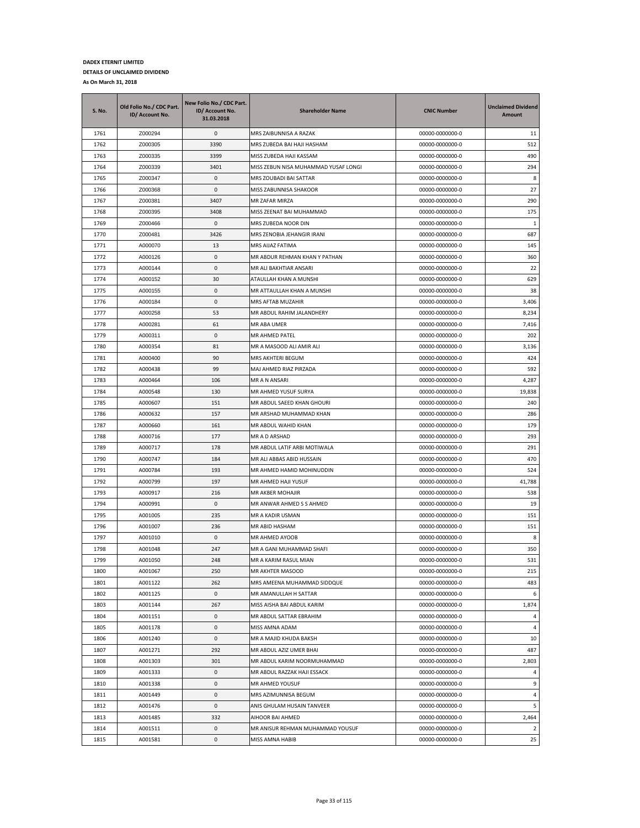| <b>S. No.</b> | Old Folio No./ CDC Part.<br>ID/ Account No. | New Folio No./ CDC Part.<br>ID/ Account No.<br>31.03.2018 | <b>Shareholder Name</b>              | <b>CNIC Number</b> | <b>Unclaimed Dividend</b><br>Amount |
|---------------|---------------------------------------------|-----------------------------------------------------------|--------------------------------------|--------------------|-------------------------------------|
| 1761          | Z000294                                     | 0                                                         | MRS ZAIBUNNISA A RAZAK               | 00000-0000000-0    | 11                                  |
| 1762          | Z000305                                     | 3390                                                      | MRS ZUBEDA BAI HAJI HASHAM           | 00000-0000000-0    | 512                                 |
| 1763          | Z000335                                     | 3399                                                      | MISS ZUBEDA HAJI KASSAM              | 00000-0000000-0    | 490                                 |
| 1764          | Z000339                                     | 3401                                                      | MISS ZEBUN NISA MUHAMMAD YUSAF LONGI | 00000-0000000-0    | 294                                 |
| 1765          | Z000347                                     | 0                                                         | MRS ZOUBADI BAI SATTAR               | 00000-0000000-0    | 8                                   |
| 1766          | Z000368                                     | 0                                                         | MISS ZABUNNISA SHAKOOR               | 00000-0000000-0    | 27                                  |
| 1767          | Z000381                                     | 3407                                                      | MR ZAFAR MIRZA                       | 00000-0000000-0    | 290                                 |
| 1768          | Z000395                                     | 3408                                                      | MISS ZEENAT BAI MUHAMMAD             | 00000-0000000-0    | 175                                 |
| 1769          | Z000466                                     | 0                                                         | MRS ZUBEDA NOOR DIN                  | 00000-0000000-0    | 1                                   |
| 1770          | Z000481                                     | 3426                                                      | MRS ZENOBIA JEHANGIR IRANI           | 00000-0000000-0    | 687                                 |
| 1771          | A000070                                     | 13                                                        | MRS AIJAZ FATIMA                     | 00000-0000000-0    | 145                                 |
| 1772          | A000126                                     | 0                                                         | MR ABDUR REHMAN KHAN Y PATHAN        | 00000-0000000-0    | 360                                 |
| 1773          | A000144                                     | 0                                                         | MR ALI BAKHTIAR ANSARI               | 00000-0000000-0    | 22                                  |
| 1774          | A000152                                     | 30                                                        | ATAULLAH KHAN A MUNSHI               | 00000-0000000-0    | 629                                 |
| 1775          | A000155                                     | 0                                                         | MR ATTAULLAH KHAN A MUNSHI           | 00000-0000000-0    | 38                                  |
| 1776          | A000184                                     | 0                                                         | MRS AFTAB MUZAHIR                    | 00000-0000000-0    | 3,406                               |
| 1777          | A000258                                     | 53                                                        | MR ABDUL RAHIM JALANDHERY            | 00000-0000000-0    | 8,234                               |
| 1778          | A000281                                     | 61                                                        | MR ABA UMER                          | 00000-0000000-0    | 7,416                               |
| 1779          | A000311                                     | 0                                                         | MR AHMED PATEL                       | 00000-0000000-0    | 202                                 |
| 1780          | A000354                                     | 81                                                        | MR A MASOOD ALI AMIR ALI             | 00000-0000000-0    | 3,136                               |
| 1781          | A000400                                     | 90                                                        | MRS AKHTERI BEGUM                    | 00000-0000000-0    | 424                                 |
| 1782          | A000438                                     | 99                                                        | MAJ AHMED RIAZ PIRZADA               | 00000-0000000-0    | 592                                 |
| 1783          | A000464                                     | 106                                                       | MR A N ANSARI                        | 00000-0000000-0    | 4,287                               |
| 1784          | A000548                                     | 130                                                       | MR AHMED YUSUF SURYA                 | 00000-0000000-0    | 19,838                              |
| 1785          | A000607                                     | 151                                                       | MR ABDUL SAEED KHAN GHOURI           | 00000-0000000-0    | 240                                 |
| 1786          | A000632                                     | 157                                                       | MR ARSHAD MUHAMMAD KHAN              | 00000-0000000-0    | 286                                 |
| 1787          | A000660                                     | 161                                                       | MR ABDUL WAHID KHAN                  | 00000-0000000-0    | 179                                 |
| 1788          | A000716                                     | 177                                                       | MR A D ARSHAD                        | 00000-0000000-0    | 293                                 |
| 1789          | A000717                                     | 178                                                       | MR ABDUL LATIF ARBI MOTIWALA         | 00000-0000000-0    | 291                                 |
| 1790          | A000747                                     | 184                                                       | MR ALI ABBAS ABID HUSSAIN            | 00000-0000000-0    | 470                                 |
| 1791          | A000784                                     | 193                                                       | MR AHMED HAMID MOHINUDDIN            | 00000-0000000-0    | 524                                 |
| 1792          | A000799                                     | 197                                                       | MR AHMED HAJI YUSUF                  | 00000-0000000-0    | 41,788                              |
| 1793          | A000917                                     | 216                                                       | MR AKBER MOHAJIR                     | 00000-0000000-0    | 538                                 |
| 1794          | A000991                                     | 0                                                         | MR ANWAR AHMED S S AHMED             | 00000-0000000-0    | 19                                  |
| 1795          | A001005                                     | 235                                                       | MR A KADIR USMAN                     | 00000-0000000-0    | 151                                 |
| 1796          | A001007                                     | 236                                                       | MR ABID HASHAM                       | 00000-0000000-0    | 151                                 |
| 1797          | A001010                                     | 0                                                         | MR AHMED AYOOB                       | 00000-0000000-0    | 8                                   |
| 1798          | A001048                                     | 247                                                       | MR A GANI MUHAMMAD SHAFI             | 00000-0000000-0    | 350                                 |
| 1799          | A001050                                     | 248                                                       | MR A KARIM RASUL MIAN                | 00000-0000000-0    | 531                                 |
| 1800          | A001067                                     | 250                                                       | MR AKHTER MASOOD                     | 00000-0000000-0    | 215                                 |
| 1801          | A001122                                     | 262                                                       | MRS AMEENA MUHAMMAD SIDDQUE          | 00000-0000000-0    | 483                                 |
| 1802          | A001125                                     | $\pmb{0}$                                                 | MR AMANULLAH H SATTAR                | 00000-0000000-0    | 6                                   |
| 1803          | A001144                                     | 267                                                       | MISS AISHA BAI ABDUL KARIM           | 00000-0000000-0    | 1,874                               |
| 1804          | A001151                                     | 0                                                         | MR ABDUL SATTAR EBRAHIM              | 00000-0000000-0    | 4                                   |
| 1805          | A001178                                     | 0                                                         | MISS AMNA ADAM                       | 00000-0000000-0    | 4                                   |
| 1806          | A001240                                     | 0                                                         | MR A MAJID KHUDA BAKSH               | 00000-0000000-0    | 10                                  |
| 1807          | A001271                                     | 292                                                       | MR ABDUL AZIZ UMER BHAI              | 00000-0000000-0    | 487                                 |
| 1808          | A001303                                     | 301                                                       | MR ABDUL KARIM NOORMUHAMMAD          | 00000-0000000-0    | 2,803                               |
| 1809          | A001333                                     | $\pmb{0}$                                                 | MR ABDUL RAZZAK HAJI ESSACK          | 00000-0000000-0    | 4                                   |
| 1810          | A001338                                     | 0                                                         | MR AHMED YOUSUF                      | 00000-0000000-0    | 9                                   |
| 1811          | A001449                                     | 0                                                         | MRS AZIMUNNISA BEGUM                 | 00000-0000000-0    | 4                                   |
| 1812          | A001476                                     | 0                                                         | ANIS GHULAM HUSAIN TANVEER           | 00000-0000000-0    | 5                                   |
| 1813          | A001485                                     | 332                                                       | AIHOOR BAI AHMED                     | 00000-0000000-0    | 2,464                               |
| 1814          | A001511                                     | 0                                                         | MR ANISUR REHMAN MUHAMMAD YOUSUF     | 00000-0000000-0    | $\overline{2}$                      |
| 1815          | A001581                                     | 0                                                         | MISS AMNA HABIB                      | 00000-0000000-0    | 25                                  |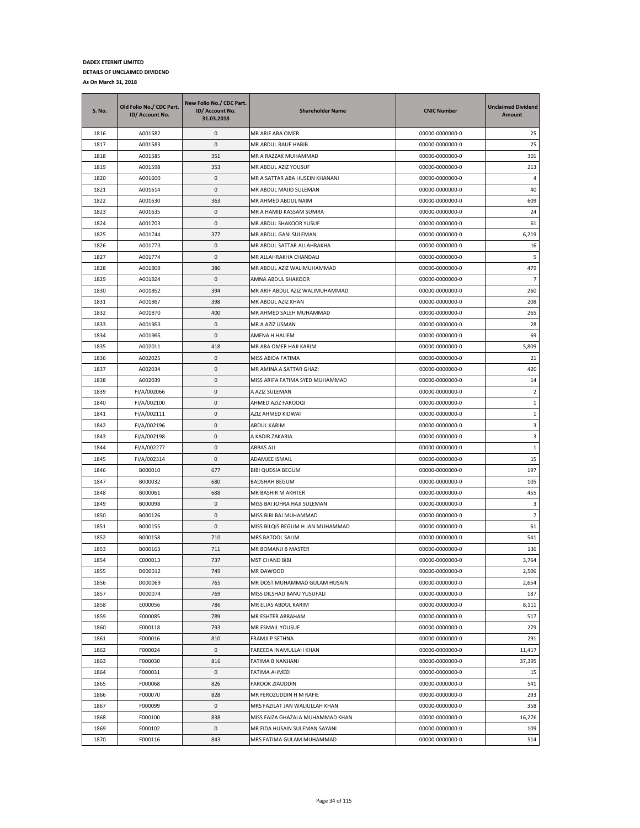| <b>S. No.</b> | Old Folio No./ CDC Part.<br>ID/ Account No. | New Folio No./ CDC Part.<br>ID/ Account No.<br>31.03.2018 | <b>Shareholder Name</b>          | <b>CNIC Number</b> | <b>Unclaimed Dividend</b><br>Amount |
|---------------|---------------------------------------------|-----------------------------------------------------------|----------------------------------|--------------------|-------------------------------------|
| 1816          | A001582                                     | 0                                                         | MR ARIF ABA OMER                 | 00000-0000000-0    | 25                                  |
| 1817          | A001583                                     | 0                                                         | MR ABDUL RAUF HABIB              | 00000-0000000-0    | 25                                  |
| 1818          | A001585                                     | 351                                                       | MR A RAZZAK MUHAMMAD             | 00000-0000000-0    | 301                                 |
| 1819          | A001598                                     | 353                                                       | MR ABDUL AZIZ YOUSUF             | 00000-0000000-0    | 213                                 |
| 1820          | A001600                                     | 0                                                         | MR A SATTAR ABA HUSEIN KHANANI   | 00000-0000000-0    | $\overline{4}$                      |
| 1821          | A001614                                     | 0                                                         | MR ABDUL MAJID SULEMAN           | 00000-0000000-0    | 40                                  |
| 1822          | A001630                                     | 363                                                       | MR AHMED ABDUL NAIM              | 00000-0000000-0    | 609                                 |
| 1823          | A001635                                     | 0                                                         | MR A HAMID KASSAM SUMRA          | 00000-0000000-0    | 24                                  |
| 1824          | A001703                                     | 0                                                         | MR ABDUL SHAKOOR YUSUF           | 00000-0000000-0    | 61                                  |
| 1825          | A001744                                     | 377                                                       | MR ABDUL GANI SULEMAN            | 00000-0000000-0    | 6,219                               |
| 1826          | A001773                                     | 0                                                         | MR ABDUL SATTAR ALLAHRAKHA       | 00000-0000000-0    | 16                                  |
| 1827          | A001774                                     | 0                                                         | MR ALLAHRAKHA CHANDALI           | 00000-0000000-0    | 5                                   |
| 1828          | A001808                                     | 386                                                       | MR ABDUL AZIZ WALIMUHAMMAD       | 00000-0000000-0    | 479                                 |
| 1829          | A001824                                     | 0                                                         | AMNA ABDUL SHAKOOR               | 00000-0000000-0    | $\overline{7}$                      |
| 1830          | A001852                                     | 394                                                       | MR ARIF ABDUL AZIZ WALIMUHAMMAD  | 00000-0000000-0    | 260                                 |
| 1831          | A001867                                     | 398                                                       | MR ABDUL AZIZ KHAN               | 00000-0000000-0    | 208                                 |
| 1832          | A001870                                     | 400                                                       | MR AHMED SALEH MUHAMMAD          | 00000-0000000-0    | 265                                 |
| 1833          | A001953                                     | 0                                                         | MR A AZIZ USMAN                  | 00000-0000000-0    | 28                                  |
| 1834          | A001965                                     | 0                                                         | AMENA H HALIEM                   | 00000-0000000-0    | 69                                  |
| 1835          | A002011                                     | 418                                                       | MR ABA OMER HAJI KARIM           | 00000-0000000-0    | 5,809                               |
| 1836          | A002025                                     | 0                                                         | MISS ABIDA FATIMA                | 00000-0000000-0    | 21                                  |
| 1837          | A002034                                     | 0                                                         | MR AMINA A SATTAR GHAZI          | 00000-0000000-0    | 420                                 |
| 1838          | A002039                                     | 0                                                         | MISS ARIFA FATIMA SYED MUHAMMAD  | 00000-0000000-0    | 14                                  |
| 1839          | FI/A/002066                                 | 0                                                         | A AZIZ SULEMAN                   | 00000-0000000-0    | $\overline{2}$                      |
| 1840          | FI/A/002100                                 | 0                                                         | AHMED AZIZ FAROOQI               | 00000-0000000-0    | 1                                   |
| 1841          | FI/A/002111                                 | 0                                                         | AZIZ AHMED KIDWAI                | 00000-0000000-0    | 1                                   |
| 1842          | FI/A/002196                                 | 0                                                         | ABDUL KARIM                      | 00000-0000000-0    | 3                                   |
| 1843          | FI/A/002198                                 | 0                                                         | A KADIR ZAKARIA                  | 00000-0000000-0    | 3                                   |
| 1844          | FI/A/002277                                 | 0                                                         | ABBAS ALI                        | 00000-0000000-0    | $\mathbf{1}$                        |
| 1845          | FI/A/002314                                 | 0                                                         | ADAMJEE ISMAIL                   | 00000-0000000-0    | 15                                  |
| 1846          | B000010                                     | 677                                                       | <b>BIBI QUDSIA BEGUM</b>         | 00000-0000000-0    | 197                                 |
| 1847          | B000032                                     | 680                                                       | <b>BADSHAH BEGUM</b>             | 00000-0000000-0    | 105                                 |
| 1848          | B000061                                     | 688                                                       | MR BASHIR M AKHTER               | 00000-0000000-0    | 455                                 |
| 1849          | B000098                                     | 0                                                         | MISS BAI JOHRA HAJI SULEMAN      | 00000-0000000-0    | 3                                   |
| 1850          | B000126                                     | 0                                                         | MISS BIBI BAI MUHAMMAD           | 00000-0000000-0    | $\overline{7}$                      |
| 1851          | B000155                                     | 0                                                         | MISS BILQIS BEGUM H JAN MUHAMMAD | 00000-0000000-0    | 61                                  |
| 1852          | B000158                                     | 710                                                       | MRS BATOOL SALIM                 | 00000-0000000-0    | 541                                 |
| 1853          | B000163                                     | 711                                                       | MR BOMANJI B MASTER              | 00000-0000000-0    | 136                                 |
| 1854          | C000013                                     | 737                                                       | <b>MST CHAND BIBI</b>            | 00000-0000000-0    | 3,764                               |
| 1855          | D000012                                     | 749                                                       | MR DAWOOD                        | 00000-0000000-0    | 2,506                               |
| 1856          | D000069                                     | 765                                                       | MR DOST MUHAMMAD GULAM HUSAIN    | 00000-0000000-0    | 2,654                               |
| 1857          | D000074                                     | 769                                                       | MISS DILSHAD BANU YUSUFALI       | 00000-0000000-0    | 187                                 |
| 1858          | E000056                                     | 786                                                       | MR ELIAS ABDUL KARIM             | 00000-0000000-0    | 8,111                               |
| 1859          | E000085                                     | 789                                                       | MR ESHTER ABRAHAM                | 00000-0000000-0    | 517                                 |
| 1860          | E000118                                     | 793                                                       | MR ESMAIL YOUSUF                 | 00000-0000000-0    | 279                                 |
| 1861          | F000016                                     | 810                                                       | FRAMJI P SETHNA                  | 00000-0000000-0    | 291                                 |
| 1862          | F000024                                     | 0                                                         | FAREEDA INAMULLAH KHAN           | 00000-0000000-0    | 11,417                              |
| 1863          | F000030                                     | 816                                                       | FATIMA B NANJIANI                | 00000-0000000-0    | 37,395                              |
| 1864          | F000031                                     | 0                                                         | FATIMA AHMED                     | 00000-0000000-0    | 15                                  |
| 1865          | F000068                                     | 826                                                       | FAROOK ZIAUDDIN                  | 00000-0000000-0    | 541                                 |
| 1866          | F000070                                     | 828                                                       | MR FEROZUDDIN H M RAFIE          | 00000-0000000-0    | 293                                 |
| 1867          | F000099                                     | 0                                                         | MRS FAZILAT JAN WALIULLAH KHAN   | 00000-0000000-0    | 358                                 |
| 1868          | F000100                                     | 838                                                       | MISS FAIZA GHAZALA MUHAMMAD KHAN | 00000-0000000-0    | 16,276                              |
| 1869          | F000102                                     | 0                                                         | MR FIDA HUSAIN SULEMAN SAYANI    | 00000-0000000-0    | 109                                 |
| 1870          | F000116                                     | 843                                                       | MRS FATIMA GULAM MUHAMMAD        | 00000-0000000-0    | 514                                 |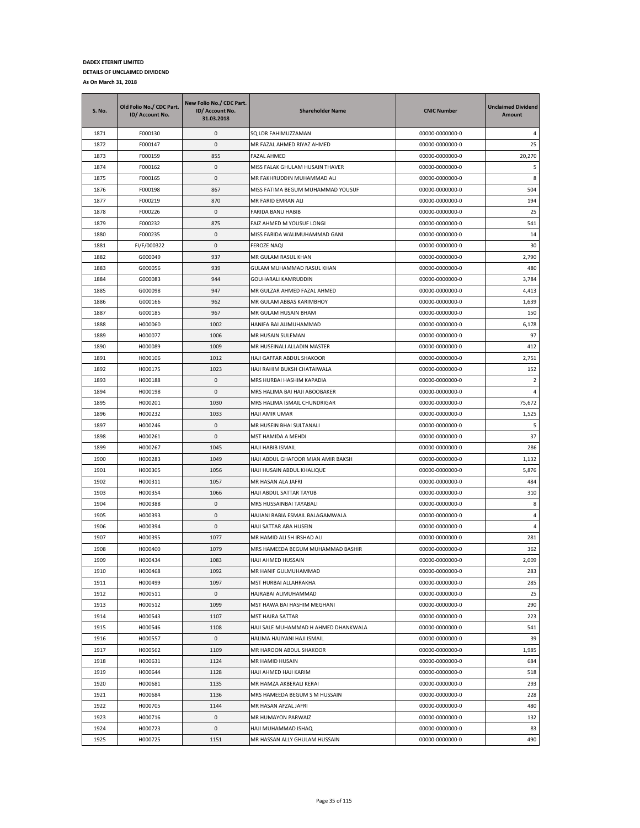| <b>S. No.</b> | Old Folio No./ CDC Part.<br>ID/ Account No. | New Folio No./ CDC Part.<br>ID/ Account No.<br>31.03.2018 | <b>Shareholder Name</b>              | <b>CNIC Number</b> | <b>Unclaimed Dividend</b><br>Amount |
|---------------|---------------------------------------------|-----------------------------------------------------------|--------------------------------------|--------------------|-------------------------------------|
| 1871          | F000130                                     | 0                                                         | SQ LDR FAHIMUZZAMAN                  | 00000-0000000-0    | 4                                   |
| 1872          | F000147                                     | 0                                                         | MR FAZAL AHMED RIYAZ AHMED           | 00000-0000000-0    | 25                                  |
| 1873          | F000159                                     | 855                                                       | FAZAL AHMED                          | 00000-0000000-0    | 20,270                              |
| 1874          | F000162                                     | 0                                                         | MISS FALAK GHULAM HUSAIN THAVER      | 00000-0000000-0    | 5                                   |
| 1875          | F000165                                     | 0                                                         | MR FAKHRUDDIN MUHAMMAD ALI           | 00000-0000000-0    | 8                                   |
| 1876          | F000198                                     | 867                                                       | MISS FATIMA BEGUM MUHAMMAD YOUSUF    | 00000-0000000-0    | 504                                 |
| 1877          | F000219                                     | 870                                                       | MR FARID EMRAN ALI                   | 00000-0000000-0    | 194                                 |
| 1878          | F000226                                     | 0                                                         | FARIDA BANU HABIB                    | 00000-0000000-0    | 25                                  |
| 1879          | F000232                                     | 875                                                       | FAIZ AHMED M YOUSUF LONGI            | 00000-0000000-0    | 541                                 |
| 1880          | F000235                                     | 0                                                         | MISS FARIDA WALIMUHAMMAD GANI        | 00000-0000000-0    | 14                                  |
| 1881          | FI/F/000322                                 | 0                                                         | FEROZE NAQI                          | 00000-0000000-0    | 30                                  |
| 1882          | G000049                                     | 937                                                       | MR GULAM RASUL KHAN                  | 00000-0000000-0    | 2,790                               |
| 1883          | G000056                                     | 939                                                       | GULAM MUHAMMAD RASUL KHAN            | 00000-0000000-0    | 480                                 |
| 1884          | G000083                                     | 944                                                       | GOUHARALI KAMRUDDIN                  | 00000-0000000-0    | 3,784                               |
| 1885          | G000098                                     | 947                                                       | MR GULZAR AHMED FAZAL AHMED          | 00000-0000000-0    | 4,413                               |
| 1886          | G000166                                     | 962                                                       | MR GULAM ABBAS KARIMBHOY             | 00000-0000000-0    | 1,639                               |
| 1887          | G000185                                     | 967                                                       | MR GULAM HUSAIN BHAM                 | 00000-0000000-0    | 150                                 |
| 1888          | H000060                                     | 1002                                                      | HANIFA BAI ALIMUHAMMAD               | 00000-0000000-0    | 6,178                               |
| 1889          | H000077                                     | 1006                                                      | MR HUSAIN SULEMAN                    | 00000-0000000-0    | 97                                  |
| 1890          | H000089                                     | 1009                                                      | MR HUSEINALI ALLADIN MASTER          | 00000-0000000-0    | 412                                 |
| 1891          | H000106                                     | 1012                                                      | HAJI GAFFAR ABDUL SHAKOOR            | 00000-0000000-0    | 2,751                               |
| 1892          | H000175                                     | 1023                                                      | HAJI RAHIM BUKSH CHATAIWALA          | 00000-0000000-0    | 152                                 |
| 1893          | H000188                                     | 0                                                         | MRS HURBAI HASHIM KAPADIA            | 00000-0000000-0    | 2                                   |
| 1894          | H000198                                     | 0                                                         | MRS HALIMA BAI HAJI ABOOBAKER        | 00000-0000000-0    | 4                                   |
| 1895          | H000201                                     | 1030                                                      | MRS HALIMA ISMAIL CHUNDRIGAR         | 00000-0000000-0    | 75,672                              |
| 1896          |                                             | 1033                                                      |                                      |                    | 1,525                               |
|               | H000232                                     | 0                                                         | HAJI AMIR UMAR                       | 00000-0000000-0    | 5                                   |
| 1897          | H000246                                     |                                                           | MR HUSEIN BHAI SULTANALI             | 00000-0000000-0    |                                     |
| 1898          | H000261                                     | 0                                                         | MST HAMIDA A MEHDI                   | 00000-0000000-0    | 37                                  |
| 1899          | H000267                                     | 1045                                                      | HAJI HABIB ISMAIL                    | 00000-0000000-0    | 286                                 |
| 1900          | H000283                                     | 1049                                                      | HAJI ABDUL GHAFOOR MIAN AMIR BAKSH   | 00000-0000000-0    | 1,132                               |
| 1901          | H000305                                     | 1056                                                      | HAJI HUSAIN ABDUL KHALIQUE           | 00000-0000000-0    | 5,876                               |
| 1902          | H000311                                     | 1057                                                      | MR HASAN ALA JAFRI                   | 00000-0000000-0    | 484                                 |
| 1903          | H000354                                     | 1066                                                      | HAJI ABDUL SATTAR TAYUB              | 00000-0000000-0    | 310                                 |
| 1904          | H000388                                     | 0                                                         | MRS HUSSAINBAI TAYABALI              | 00000-0000000-0    | 8                                   |
| 1905          | H000393                                     | 0                                                         | HAJIANI RABIA ESMAIL BALAGAMWALA     | 00000-0000000-0    | 4                                   |
| 1906          | H000394                                     | 0                                                         | HAJI SATTAR ABA HUSEIN               | 00000-0000000-0    | 4                                   |
| 1907          | H000395                                     | 1077                                                      | MR HAMID ALI SH IRSHAD ALI           | 00000-0000000-0    | 281                                 |
| 1908          | H000400                                     | 1079                                                      | MRS HAMEEDA BEGUM MUHAMMAD BASHIR    | 00000-0000000-0    | 362                                 |
| 1909          | H000434                                     | 1083                                                      | HAJI AHMED HUSSAIN                   | 00000-0000000-0    | 2,009                               |
| 1910          | H000468                                     | 1092                                                      | MR HANIF GULMUHAMMAD                 | 00000-0000000-0    | 283                                 |
| 1911          | H000499                                     | 1097                                                      | MST HURBAI ALLAHRAKHA                | 00000-0000000-0    | 285                                 |
| 1912          | H000511                                     | 0                                                         | HAJRABAI ALIMUHAMMAD                 | 00000-0000000-0    | 25                                  |
| 1913          | H000512                                     | 1099                                                      | MST HAWA BAI HASHIM MEGHANI          | 00000-0000000-0    | 290                                 |
| 1914          | H000543                                     | 1107                                                      | MST HAJRA SATTAR                     | 00000-0000000-0    | 223                                 |
| 1915          | H000546                                     | 1108                                                      | HAJI SALE MUHAMMAD H AHMED DHANKWALA | 00000-0000000-0    | 541                                 |
| 1916          | H000557                                     | 0                                                         | HALIMA HAJIYANI HAJI ISMAIL          | 00000-0000000-0    | 39                                  |
| 1917          | H000562                                     | 1109                                                      | MR HAROON ABDUL SHAKOOR              | 00000-0000000-0    | 1,985                               |
| 1918          | H000631                                     | 1124                                                      | MR HAMID HUSAIN                      | 00000-0000000-0    | 684                                 |
| 1919          | H000644                                     | 1128                                                      | HAJI AHMED HAJI KARIM                | 00000-0000000-0    | 518                                 |
| 1920          | H000681                                     | 1135                                                      | MR HAMZA AKBERALI KERAI              | 00000-0000000-0    | 293                                 |
| 1921          | H000684                                     | 1136                                                      | MRS HAMEEDA BEGUM S M HUSSAIN        | 00000-0000000-0    | 228                                 |
| 1922          | H000705                                     | 1144                                                      | MR HASAN AFZAL JAFRI                 | 00000-0000000-0    | 480                                 |
| 1923          | H000716                                     | 0                                                         | MR HUMAYON PARWAIZ                   | 00000-0000000-0    | 132                                 |
| 1924          | H000723                                     | 0                                                         | HAJI MUHAMMAD ISHAQ                  | 00000-0000000-0    | 83                                  |
| 1925          | H000725                                     | 1151                                                      | MR HASSAN ALLY GHULAM HUSSAIN        | 00000-0000000-0    | 490                                 |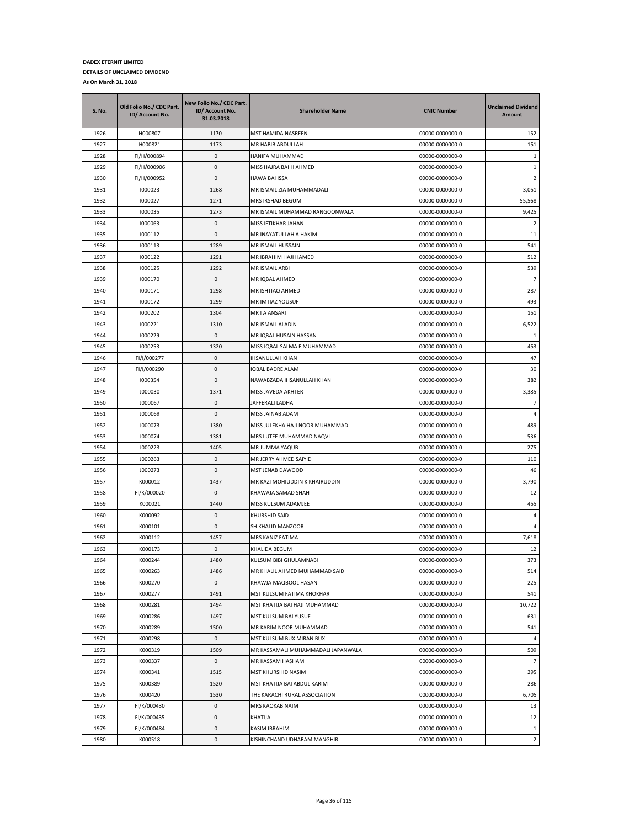| <b>S. No.</b> | Old Folio No./ CDC Part.<br>ID/ Account No. | New Folio No./ CDC Part.<br>ID/ Account No.<br>31.03.2018 | <b>Shareholder Name</b>            | <b>CNIC Number</b> | <b>Unclaimed Dividend</b><br>Amount |
|---------------|---------------------------------------------|-----------------------------------------------------------|------------------------------------|--------------------|-------------------------------------|
| 1926          | H000807                                     | 1170                                                      | MST HAMIDA NASREEN                 | 00000-0000000-0    | 152                                 |
| 1927          | H000821                                     | 1173                                                      | MR HABIB ABDULLAH                  | 00000-0000000-0    | 151                                 |
| 1928          | FI/H/000894                                 | 0                                                         | HANIFA MUHAMMAD                    | 00000-0000000-0    | $\mathbf{1}$                        |
| 1929          | FI/H/000906                                 | 0                                                         | MISS HAJRA BAI H AHMED             | 00000-0000000-0    | $\,1\,$                             |
| 1930          | FI/H/000952                                 | 0                                                         | <b>HAWA BAI ISSA</b>               | 00000-0000000-0    | $\overline{2}$                      |
| 1931          | 1000023                                     | 1268                                                      | MR ISMAIL ZIA MUHAMMADALI          | 00000-0000000-0    | 3,051                               |
| 1932          | 1000027                                     | 1271                                                      | MRS IRSHAD BEGUM                   | 00000-0000000-0    | 55,568                              |
| 1933          | 1000035                                     | 1273                                                      | MR ISMAIL MUHAMMAD RANGOONWALA     | 00000-0000000-0    | 9,425                               |
| 1934          | 1000063                                     | 0                                                         | MISS IFTIKHAR JAHAN                | 00000-0000000-0    | $\overline{2}$                      |
| 1935          | 1000112                                     | 0                                                         | MR INAYATULLAH A HAKIM             | 00000-0000000-0    | 11                                  |
| 1936          | 1000113                                     | 1289                                                      | MR ISMAIL HUSSAIN                  | 00000-0000000-0    | 541                                 |
| 1937          | 1000122                                     | 1291                                                      | MR IBRAHIM HAJI HAMED              | 00000-0000000-0    | 512                                 |
| 1938          | 1000125                                     | 1292                                                      | MR ISMAIL ARBI                     | 00000-0000000-0    | 539                                 |
| 1939          | 1000170                                     | 0                                                         | MR IQBAL AHMED                     | 00000-0000000-0    | 7                                   |
| 1940          | 1000171                                     | 1298                                                      | MR ISHTIAQ AHMED                   | 00000-0000000-0    | 287                                 |
| 1941          | 1000172                                     | 1299                                                      | MR IMTIAZ YOUSUF                   | 00000-0000000-0    | 493                                 |
| 1942          | 1000202                                     | 1304                                                      | MR I A ANSARI                      | 00000-0000000-0    | 151                                 |
| 1943          | 1000221                                     | 1310                                                      | MR ISMAIL ALADIN                   | 00000-0000000-0    | 6,522                               |
| 1944          | 1000229                                     | 0                                                         | MR IQBAL HUSAIN HASSAN             | 00000-0000000-0    | 1                                   |
| 1945          | 1000253                                     | 1320                                                      | MISS IQBAL SALMA F MUHAMMAD        | 00000-0000000-0    | 453                                 |
| 1946          | FI/I/000277                                 | 0                                                         | <b>IHSANULLAH KHAN</b>             | 00000-0000000-0    | 47                                  |
| 1947          | FI/I/000290                                 | 0                                                         | IQBAL BADRE ALAM                   | 00000-0000000-0    | 30                                  |
| 1948          | 1000354                                     | 0                                                         | NAWABZADA IHSANULLAH KHAN          | 00000-0000000-0    | 382                                 |
| 1949          | J000030                                     | 1371                                                      | MISS JAVEDA AKHTER                 | 00000-0000000-0    | 3,385                               |
| 1950          | J000067                                     | 0                                                         | JAFFERALI LADHA                    | 00000-0000000-0    | $\overline{7}$                      |
| 1951          | J000069                                     | 0                                                         | MISS JAINAB ADAM                   | 00000-0000000-0    | 4                                   |
| 1952          | J000073                                     | 1380                                                      | MISS JULEKHA HAJI NOOR MUHAMMAD    | 00000-0000000-0    | 489                                 |
| 1953          | J000074                                     | 1381                                                      | MRS LUTFE MUHAMMAD NAQVI           | 00000-0000000-0    | 536                                 |
| 1954          | J000223                                     | 1405                                                      | MR JUMMA YAQUB                     | 00000-0000000-0    | 275                                 |
| 1955          | J000263                                     | 0                                                         | MR JERRY AHMED SAIYID              | 00000-0000000-0    | 110                                 |
| 1956          | J000273                                     | 0                                                         | MST JENAB DAWOOD                   | 00000-0000000-0    | 46                                  |
| 1957          | K000012                                     | 1437                                                      | MR KAZI MOHIUDDIN K KHAIRUDDIN     | 00000-0000000-0    | 3,790                               |
| 1958          | FI/K/000020                                 | 0                                                         | KHAWAJA SAMAD SHAH                 | 00000-0000000-0    | 12                                  |
| 1959          | K000021                                     | 1440                                                      | MISS KULSUM ADAMJEE                | 00000-0000000-0    | 455                                 |
| 1960          | K000092                                     | 0                                                         | KHURSHID SAID                      | 00000-0000000-0    | $\overline{4}$                      |
| 1961          | K000101                                     | 0                                                         | SH KHALID MANZOOR                  | 00000-0000000-0    | 4                                   |
| 1962          | K000112                                     | 1457                                                      | MRS KANIZ FATIMA                   | 00000-0000000-0    | 7,618                               |
| 1963          | K000173                                     | 0                                                         | KHALIDA BEGUM                      | 00000-0000000-0    | 12                                  |
| 1964          | K000244                                     | 1480                                                      | KULSUM BIBI GHULAMNABI             | 00000-0000000-0    | 373                                 |
| 1965          | K000263                                     | 1486                                                      | MR KHALIL AHMED MUHAMMAD SAID      | 00000-0000000-0    | 514                                 |
| 1966          | K000270                                     | 0                                                         | KHAWJA MAQBOOL HASAN               | 00000-0000000-0    | 225                                 |
| 1967          | K000277                                     | 1491                                                      | MST KULSUM FATIMA KHOKHAR          | 00000-0000000-0    | 541                                 |
| 1968          | K000281                                     | 1494                                                      | MST KHATIJA BAI HAJI MUHAMMAD      | 00000-0000000-0    | 10,722                              |
| 1969          | K000286                                     | 1497                                                      | MST KULSUM BAI YUSUF               | 00000-0000000-0    | 631                                 |
| 1970          | K000289                                     | 1500                                                      | MR KARIM NOOR MUHAMMAD             | 00000-0000000-0    | 541                                 |
| 1971          | K000298                                     | 0                                                         | MST KULSUM BUX MIRAN BUX           | 00000-0000000-0    | 4                                   |
| 1972          | K000319                                     | 1509                                                      | MR KASSAMALI MUHAMMADALI JAPANWALA | 00000-0000000-0    | 509                                 |
| 1973          | K000337                                     | 0                                                         | MR KASSAM HASHAM                   | 00000-0000000-0    | $\overline{7}$                      |
| 1974          | K000341                                     | 1515                                                      | MST KHURSHID NASIM                 | 00000-0000000-0    | 295                                 |
| 1975          | K000389                                     | 1520                                                      | MST KHATIJA BAI ABDUL KARIM        | 00000-0000000-0    | 286                                 |
| 1976          | K000420                                     | 1530                                                      | THE KARACHI RURAL ASSOCIATION      | 00000-0000000-0    | 6,705                               |
| 1977          | FI/K/000430                                 | 0                                                         | MRS KAOKAB NAIM                    | 00000-0000000-0    | 13                                  |
| 1978          | Fi/K/000435                                 | 0                                                         | KHATIJA                            | 00000-0000000-0    | 12                                  |
| 1979          | FI/K/000484                                 | 0                                                         | KASIM IBRAHIM                      | 00000-0000000-0    | $\mathbf{1}$                        |
| 1980          | K000518                                     | 0                                                         | KISHINCHAND UDHARAM MANGHIR        | 00000-0000000-0    | $\overline{2}$                      |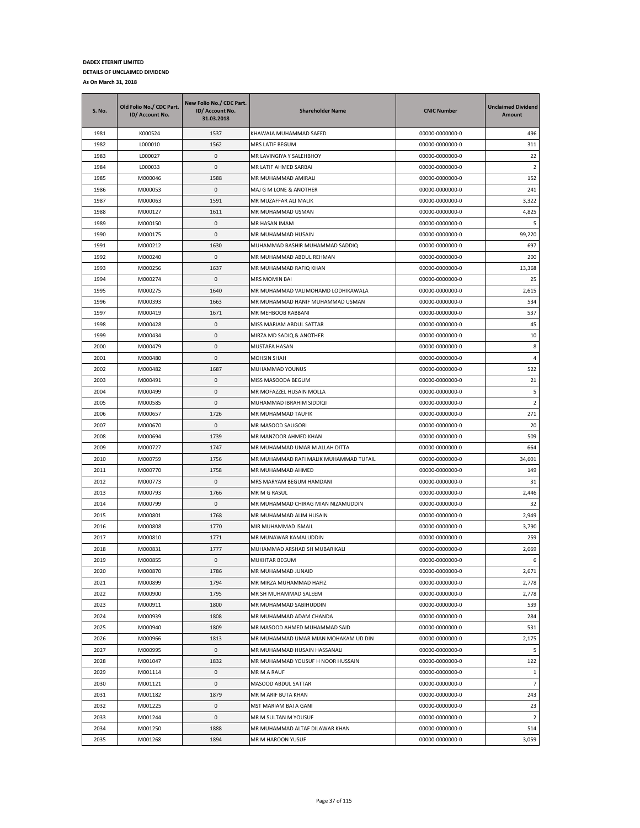| S. No. | Old Folio No./ CDC Part.<br>ID/ Account No. | New Folio No./ CDC Part.<br>ID/ Account No.<br>31.03.2018 | <b>Shareholder Name</b>                | <b>CNIC Number</b> | <b>Unclaimed Dividend</b><br>Amount |
|--------|---------------------------------------------|-----------------------------------------------------------|----------------------------------------|--------------------|-------------------------------------|
| 1981   | K000524                                     | 1537                                                      | KHAWAJA MUHAMMAD SAEED                 | 00000-0000000-0    | 496                                 |
| 1982   | L000010                                     | 1562                                                      | MRS LATIF BEGUM                        | 00000-0000000-0    | 311                                 |
| 1983   | L000027                                     | $\mathbf{0}$                                              | MR LAVINGIYA Y SALEHBHOY               | 00000-0000000-0    | 22                                  |
| 1984   | L000033                                     | 0                                                         | MR LATIF AHMED SARBAI                  | 00000-0000000-0    | 2                                   |
| 1985   | M000046                                     | 1588                                                      | MR MUHAMMAD AMIRALI                    | 00000-0000000-0    | 152                                 |
| 1986   | M000053                                     | 0                                                         | MAJ G M LONE & ANOTHER                 | 00000-0000000-0    | 241                                 |
| 1987   | M000063                                     | 1591                                                      | MR MUZAFFAR ALI MALIK                  | 00000-0000000-0    | 3,322                               |
| 1988   | M000127                                     | 1611                                                      | MR MUHAMMAD USMAN                      | 00000-0000000-0    | 4,825                               |
| 1989   | M000150                                     | 0                                                         | MR HASAN IMAM                          | 00000-0000000-0    | 5                                   |
| 1990   | M000175                                     | 0                                                         | MR MUHAMMAD HUSAIN                     | 00000-0000000-0    | 99,220                              |
| 1991   | M000212                                     | 1630                                                      | MUHAMMAD BASHIR MUHAMMAD SADDIQ        | 00000-0000000-0    | 697                                 |
| 1992   | M000240                                     | 0                                                         | MR MUHAMMAD ABDUL REHMAN               | 00000-0000000-0    | 200                                 |
| 1993   | M000256                                     | 1637                                                      | MR MUHAMMAD RAFIQ KHAN                 | 00000-0000000-0    | 13,368                              |
| 1994   | M000274                                     | 0                                                         | <b>MRS MOMIN BAI</b>                   | 00000-0000000-0    | 25                                  |
| 1995   | M000275                                     | 1640                                                      | MR MUHAMMAD VALIMOHAMD LODHIKAWALA     | 00000-0000000-0    | 2,615                               |
| 1996   | M000393                                     | 1663                                                      | MR MUHAMMAD HANIF MUHAMMAD USMAN       | 00000-0000000-0    | 534                                 |
| 1997   | M000419                                     | 1671                                                      | MR MEHBOOB RABBANI                     | 00000-0000000-0    | 537                                 |
| 1998   | M000428                                     | 0                                                         | MISS MARIAM ABDUL SATTAR               | 00000-0000000-0    | 45                                  |
| 1999   | M000434                                     | 0                                                         | MIRZA MD SADIQ & ANOTHER               | 00000-0000000-0    | 10                                  |
| 2000   | M000479                                     | 0                                                         | MUSTAFA HASAN                          | 00000-0000000-0    | 8                                   |
| 2001   | M000480                                     | 0                                                         | <b>MOHSIN SHAH</b>                     | 00000-0000000-0    | $\overline{4}$                      |
| 2002   | M000482                                     | 1687                                                      | MUHAMMAD YOUNUS                        | 00000-0000000-0    | 522                                 |
| 2003   | M000491                                     | 0                                                         | MISS MASOODA BEGUM                     | 00000-0000000-0    | 21                                  |
| 2004   | M000499                                     | 0                                                         | MR MOFAZZEL HUSAIN MOLLA               | 00000-0000000-0    | 5                                   |
| 2005   | M000585                                     | 0                                                         | MUHAMMAD IBRAHIM SIDDIQI               | 00000-0000000-0    | 2                                   |
| 2006   | M000657                                     | 1726                                                      | MR MUHAMMAD TAUFIK                     | 00000-0000000-0    | 271                                 |
| 2007   | M000670                                     | 0                                                         | MR MASOOD SAUGORI                      | 00000-0000000-0    | 20                                  |
| 2008   | M000694                                     | 1739                                                      | MR MANZOOR AHMED KHAN                  | 00000-0000000-0    | 509                                 |
| 2009   | M000727                                     | 1747                                                      | MR MUHAMMAD UMAR M ALLAH DITTA         | 00000-0000000-0    | 664                                 |
| 2010   | M000759                                     | 1756                                                      | MR MUHAMMAD RAFI MALIK MUHAMMAD TUFAIL | 00000-0000000-0    | 34,601                              |
| 2011   | M000770                                     | 1758                                                      | MR MUHAMMAD AHMED                      | 00000-0000000-0    | 149                                 |
| 2012   | M000773                                     | 0                                                         | MRS MARYAM BEGUM HAMDANI               | 00000-0000000-0    | 31                                  |
| 2013   | M000793                                     | 1766                                                      | MR M G RASUL                           | 00000-0000000-0    | 2,446                               |
| 2014   | M000799                                     | 0                                                         | MR MUHAMMAD CHIRAG MIAN NIZAMUDDIN     | 00000-0000000-0    | 32                                  |
| 2015   | M000801                                     | 1768                                                      | MR MUHAMMAD ALIM HUSAIN                | 00000-0000000-0    | 2,949                               |
| 2016   | M000808                                     | 1770                                                      | MIR MUHAMMAD ISMAIL                    | 00000-0000000-0    | 3,790                               |
| 2017   | M000810                                     | 1771                                                      | MR MUNAWAR KAMALUDDIN                  | 00000-0000000-0    | 259                                 |
| 2018   | M000831                                     | 1777                                                      | MUHAMMAD ARSHAD SH MUBARIKALI          | 00000-0000000-0    | 2,069                               |
| 2019   | M000855                                     | 0                                                         | <b>MUKHTAR BEGUM</b>                   | 00000-0000000-0    | 6                                   |
| 2020   | M000870                                     | 1786                                                      | MR MUHAMMAD JUNAID                     | 00000-0000000-0    | 2,671                               |
| 2021   | M000899                                     | 1794                                                      | MR MIRZA MUHAMMAD HAFIZ                | 00000-0000000-0    | 2,778                               |
| 2022   | M000900                                     | 1795                                                      | MR SH MUHAMMAD SALEEM                  | 00000-0000000-0    | 2,778                               |
| 2023   | M000911                                     | 1800                                                      | MR MUHAMMAD SABIHUDDIN                 | 00000-0000000-0    | 539                                 |
| 2024   | M000939                                     | 1808                                                      | MR MUHAMMAD ADAM CHANDA                | 00000-0000000-0    | 284                                 |
| 2025   | M000940                                     | 1809                                                      | MR MASOOD AHMED MUHAMMAD SAID          | 00000-0000000-0    | 531                                 |
| 2026   | M000966                                     | 1813                                                      | MR MUHAMMAD UMAR MIAN MOHAKAM UD DIN   | 00000-0000000-0    | 2,175                               |
| 2027   | M000995                                     | 0                                                         | MR MUHAMMAD HUSAIN HASSANALI           | 00000-0000000-0    | 5                                   |
| 2028   | M001047                                     | 1832                                                      | MR MUHAMMAD YOUSUF H NOOR HUSSAIN      | 00000-0000000-0    | 122                                 |
| 2029   | M001114                                     | 0                                                         | MR M A RAUF                            | 00000-0000000-0    | 1                                   |
| 2030   | M001121                                     | 0                                                         | MASOOD ABDUL SATTAR                    | 00000-0000000-0    | $\overline{7}$                      |
| 2031   | M001182                                     | 1879                                                      | MR M ARIF BUTA KHAN                    | 00000-0000000-0    | 243                                 |
| 2032   | M001225                                     | 0                                                         | MST MARIAM BAI A GANI                  | 00000-0000000-0    | 23                                  |
| 2033   | M001244                                     | 0                                                         | MR M SULTAN M YOUSUF                   | 00000-0000000-0    | $\overline{2}$                      |
| 2034   | M001250                                     | 1888                                                      | MR MUHAMMAD ALTAF DILAWAR KHAN         | 00000-0000000-0    | 514                                 |
| 2035   | M001268                                     | 1894                                                      | MR M HAROON YUSUF                      | 00000-0000000-0    | 3,059                               |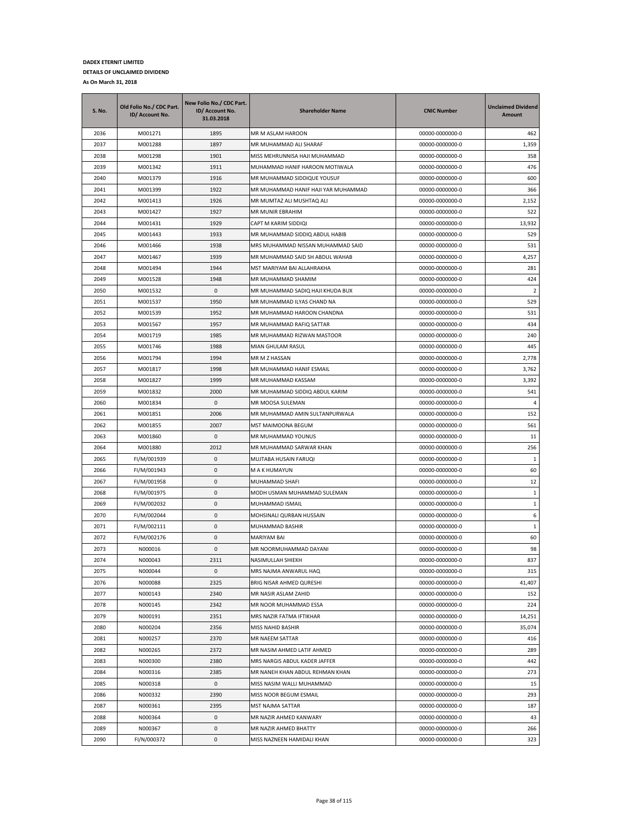| <b>S. No.</b> | Old Folio No./ CDC Part.<br>ID/ Account No. | New Folio No./ CDC Part.<br>ID/ Account No.<br>31.03.2018 | <b>Shareholder Name</b>             | <b>CNIC Number</b> | <b>Unclaimed Dividend</b><br><b>Amount</b> |
|---------------|---------------------------------------------|-----------------------------------------------------------|-------------------------------------|--------------------|--------------------------------------------|
| 2036          | M001271                                     | 1895                                                      | MR M ASLAM HAROON                   | 00000-0000000-0    | 462                                        |
| 2037          | M001288                                     | 1897                                                      | MR MUHAMMAD ALI SHARAF              | 00000-0000000-0    | 1,359                                      |
| 2038          | M001298                                     | 1901                                                      | MISS MEHRUNNISA HAJI MUHAMMAD       | 00000-0000000-0    | 358                                        |
| 2039          | M001342                                     | 1911                                                      | MUHAMMAD HANIF HAROON MOTIWALA      | 00000-0000000-0    | 476                                        |
| 2040          | M001379                                     | 1916                                                      | MR MUHAMMAD SIDDIQUE YOUSUF         | 00000-0000000-0    | 600                                        |
| 2041          | M001399                                     | 1922                                                      | MR MUHAMMAD HANIF HAJI YAR MUHAMMAD | 00000-0000000-0    | 366                                        |
| 2042          | M001413                                     | 1926                                                      | MR MUMTAZ ALI MUSHTAQ ALI           | 00000-0000000-0    | 2,152                                      |
| 2043          | M001427                                     | 1927                                                      | MR MUNIR EBRAHIM                    | 00000-0000000-0    | 522                                        |
| 2044          | M001431                                     | 1929                                                      | CAPT M KARIM SIDDIQI                | 00000-0000000-0    | 13,932                                     |
| 2045          | M001443                                     | 1933                                                      | MR MUHAMMAD SIDDIQ ABDUL HABIB      | 00000-0000000-0    | 529                                        |
| 2046          | M001466                                     | 1938                                                      | MRS MUHAMMAD NISSAN MUHAMMAD SAID   | 00000-0000000-0    | 531                                        |
| 2047          | M001467                                     | 1939                                                      | MR MUHAMMAD SAID SH ABDUL WAHAB     | 00000-0000000-0    | 4,257                                      |
| 2048          | M001494                                     | 1944                                                      | MST MARIYAM BAI ALLAHRAKHA          | 00000-0000000-0    | 281                                        |
| 2049          | M001528                                     | 1948                                                      | MR MUHAMMAD SHAMIM                  | 00000-0000000-0    | 424                                        |
| 2050          | M001532                                     | 0                                                         | MR MUHAMMAD SADIQ HAJI KHUDA BUX    | 00000-0000000-0    | 2                                          |
| 2051          | M001537                                     | 1950                                                      | MR MUHAMMAD ILYAS CHAND NA          | 00000-0000000-0    | 529                                        |
| 2052          | M001539                                     | 1952                                                      | MR MUHAMMAD HAROON CHANDNA          | 00000-0000000-0    | 531                                        |
| 2053          | M001567                                     | 1957                                                      | MR MUHAMMAD RAFIQ SATTAR            | 00000-0000000-0    | 434                                        |
| 2054          | M001719                                     | 1985                                                      | MR MUHAMMAD RIZWAN MASTOOR          | 00000-0000000-0    | 240                                        |
|               |                                             |                                                           |                                     |                    |                                            |
| 2055          | M001746                                     | 1988                                                      | MIAN GHULAM RASUL                   | 00000-0000000-0    | 445                                        |
| 2056          | M001794                                     | 1994                                                      | MR M Z HASSAN                       | 00000-0000000-0    | 2,778                                      |
| 2057          | M001817                                     | 1998                                                      | MR MUHAMMAD HANIF ESMAIL            | 00000-0000000-0    | 3,762                                      |
| 2058          | M001827                                     | 1999                                                      | MR MUHAMMAD KASSAM                  | 00000-0000000-0    | 3,392                                      |
| 2059          | M001832                                     | 2000                                                      | MR MUHAMMAD SIDDIQ ABDUL KARIM      | 00000-0000000-0    | 541                                        |
| 2060          | M001834                                     | 0                                                         | MR MOOSA SULEMAN                    | 00000-0000000-0    | $\overline{4}$                             |
| 2061          | M001851                                     | 2006                                                      | MR MUHAMMAD AMIN SULTANPURWALA      | 00000-0000000-0    | 152                                        |
| 2062          | M001855                                     | 2007                                                      | MST MAIMOONA BEGUM                  | 00000-0000000-0    | 561                                        |
| 2063          | M001860                                     | 0                                                         | MR MUHAMMAD YOUNUS                  | 00000-0000000-0    | 11                                         |
| 2064          | M001880                                     | 2012                                                      | MR MUHAMMAD SARWAR KHAN             | 00000-0000000-0    | 256                                        |
| 2065          | FI/M/001939                                 | 0                                                         | MUJTABA HUSAIN FARUQI               | 00000-0000000-0    | $\mathbf{1}$                               |
| 2066          | FI/M/001943                                 | 0                                                         | M A K HUMAYUN                       | 00000-0000000-0    | 60                                         |
| 2067          | FI/M/001958                                 | 0                                                         | MUHAMMAD SHAFI                      | 00000-0000000-0    | 12                                         |
| 2068          | FI/M/001975                                 | 0                                                         | MODH USMAN MUHAMMAD SULEMAN         | 00000-0000000-0    | 1                                          |
| 2069          | FI/M/002032                                 | 0                                                         | MUHAMMAD ISMAIL                     | 00000-0000000-0    | 1                                          |
| 2070          | FI/M/002044                                 | 0                                                         | MOHSINALI QURBAN HUSSAIN            | 00000-0000000-0    | 6                                          |
| 2071          | FI/M/002111                                 | 0                                                         | MUHAMMAD BASHIR                     | 00000-0000000-0    | $\mathbf{1}$                               |
| 2072          | FI/M/002176                                 | 0                                                         | <b>MARIYAM BAI</b>                  | 00000-0000000-0    | 60                                         |
| 2073          | N000016                                     | $\mathbf{0}$                                              | MR NOORMUHAMMAD DAYANI              | 00000-0000000-0    | 98                                         |
| 2074          | N000043                                     | 2311                                                      | NASIMULLAH SHIEKH                   | 00000-0000000-0    | 837                                        |
| 2075          | N000044                                     | 0                                                         | MRS NAJMA ANWARUL HAQ               | 00000-0000000-0    | 315                                        |
| 2076          | N000088                                     | 2325                                                      | BRIG NISAR AHMED QURESHI            | 00000-0000000-0    | 41,407                                     |
| 2077          | N000143                                     | 2340                                                      | MR NASIR ASLAM ZAHID                | 00000-0000000-0    | 152                                        |
| 2078          | N000145                                     | 2342                                                      | MR NOOR MUHAMMAD ESSA               | 00000-0000000-0    | 224                                        |
| 2079          | N000191                                     | 2351                                                      | MRS NAZIR FATMA IFTIKHAR            | 00000-0000000-0    | 14,251                                     |
| 2080          | N000204                                     | 2356                                                      | MISS NAHID BASHIR                   | 00000-0000000-0    | 35,074                                     |
| 2081          | N000257                                     | 2370                                                      | MR NAEEM SATTAR                     | 00000-0000000-0    | 416                                        |
| 2082          | N000265                                     | 2372                                                      | MR NASIM AHMED LATIF AHMED          | 00000-0000000-0    | 289                                        |
| 2083          | N000300                                     | 2380                                                      | MRS NARGIS ABDUL KADER JAFFER       | 00000-0000000-0    | 442                                        |
| 2084          | N000316                                     | 2385                                                      | MR NANEH KHAN ABDUL REHMAN KHAN     | 00000-0000000-0    | 273                                        |
| 2085          | N000318                                     | 0                                                         | MISS NASIM WALLI MUHAMMAD           | 00000-0000000-0    | 15                                         |
|               |                                             |                                                           |                                     |                    |                                            |
| 2086          | N000332                                     | 2390                                                      | MISS NOOR BEGUM ESMAIL              | 00000-0000000-0    | 293                                        |
| 2087          | N000361                                     | 2395                                                      | MST NAJMA SATTAR                    | 00000-0000000-0    | 187                                        |
| 2088          | N000364                                     | 0                                                         | MR NAZIR AHMED KANWARY              | 00000-0000000-0    | 43                                         |
| 2089          | N000367                                     | 0                                                         | MR NAZIR AHMED BHATTY               | 00000-0000000-0    | 266                                        |
| 2090          | FI/N/000372                                 | 0                                                         | MISS NAZNEEN HAMIDALI KHAN          | 00000-0000000-0    | 323                                        |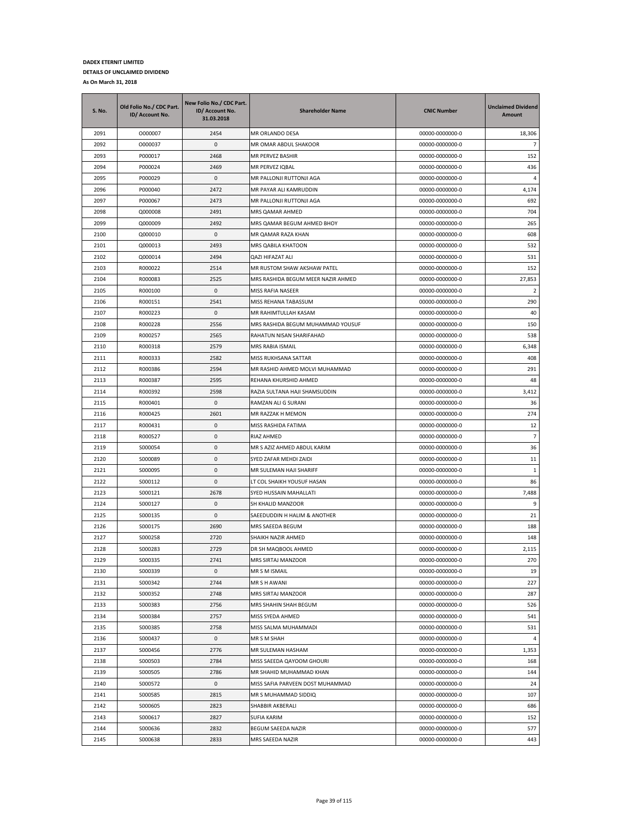| S. No. | Old Folio No./ CDC Part.<br>ID/ Account No. | New Folio No./ CDC Part.<br>ID/ Account No.<br>31.03.2018 | <b>Shareholder Name</b>            | <b>CNIC Number</b> | <b>Unclaimed Dividend</b><br>Amount |
|--------|---------------------------------------------|-----------------------------------------------------------|------------------------------------|--------------------|-------------------------------------|
| 2091   | 0000007                                     | 2454                                                      | MR ORLANDO DESA                    | 00000-0000000-0    | 18,306                              |
| 2092   | 0000037                                     | 0                                                         | MR OMAR ABDUL SHAKOOR              | 00000-0000000-0    | $\overline{7}$                      |
| 2093   | P000017                                     | 2468                                                      | MR PERVEZ BASHIR                   | 00000-0000000-0    | 152                                 |
| 2094   | P000024                                     | 2469                                                      | MR PERVEZ IQBAL                    | 00000-0000000-0    | 436                                 |
| 2095   | P000029                                     | 0                                                         | MR PALLONJI RUTTONJI AGA           | 00000-0000000-0    | $\overline{a}$                      |
| 2096   | P000040                                     | 2472                                                      | MR PAYAR ALI KAMRUDDIN             | 00000-0000000-0    | 4,174                               |
| 2097   | P000067                                     | 2473                                                      | MR PALLONJI RUTTONJI AGA           | 00000-0000000-0    | 692                                 |
| 2098   | Q000008                                     | 2491                                                      | MRS QAMAR AHMED                    | 00000-0000000-0    | 704                                 |
| 2099   | Q000009                                     | 2492                                                      | MRS QAMAR BEGUM AHMED BHOY         | 00000-0000000-0    | 265                                 |
| 2100   | Q000010                                     | 0                                                         | MR QAMAR RAZA KHAN                 | 00000-0000000-0    | 608                                 |
| 2101   | Q000013                                     | 2493                                                      | MRS QABILA KHATOON                 | 00000-0000000-0    | 532                                 |
| 2102   | Q000014                                     | 2494                                                      | QAZI HIFAZAT ALI                   | 00000-0000000-0    | 531                                 |
| 2103   | R000022                                     | 2514                                                      | MR RUSTOM SHAW AKSHAW PATEL        | 00000-0000000-0    | 152                                 |
| 2104   | R000083                                     | 2525                                                      | MRS RASHIDA BEGUM MEER NAZIR AHMED | 00000-0000000-0    | 27,853                              |
| 2105   | R000100                                     | 0                                                         | MISS RAFIA NASEER                  | 00000-0000000-0    | $\overline{2}$                      |
| 2106   | R000151                                     | 2541                                                      | MISS REHANA TABASSUM               | 00000-0000000-0    | 290                                 |
| 2107   | R000223                                     | 0                                                         | MR RAHIMTULLAH KASAM               | 00000-0000000-0    | 40                                  |
| 2108   | R000228                                     | 2556                                                      | MRS RASHIDA BEGUM MUHAMMAD YOUSUF  | 00000-0000000-0    | 150                                 |
| 2109   | R000257                                     | 2565                                                      | RAHATUN NISAN SHARIFAHAD           | 00000-0000000-0    | 538                                 |
| 2110   | R000318                                     | 2579                                                      | MRS RABIA ISMAIL                   | 00000-0000000-0    | 6,348                               |
| 2111   | R000333                                     | 2582                                                      | MISS RUKHSANA SATTAR               | 00000-0000000-0    | 408                                 |
| 2112   | R000386                                     | 2594                                                      | MR RASHID AHMED MOLVI MUHAMMAD     | 00000-0000000-0    | 291                                 |
| 2113   | R000387                                     | 2595                                                      | REHANA KHURSHID AHMED              | 00000-0000000-0    | 48                                  |
| 2114   | R000392                                     | 2598                                                      | RAZIA SULTANA HAJI SHAMSUDDIN      | 00000-0000000-0    | 3,412                               |
| 2115   | R000401                                     | 0                                                         | RAMZAN ALI G SURANI                | 00000-0000000-0    | 36                                  |
| 2116   | R000425                                     | 2601                                                      | MR RAZZAK H MEMON                  | 00000-0000000-0    | 274                                 |
| 2117   | R000431                                     | 0                                                         | MISS RASHIDA FATIMA                | 00000-0000000-0    | 12                                  |
| 2118   | R000527                                     | 0                                                         | RIAZ AHMED                         | 00000-0000000-0    | $\overline{7}$                      |
| 2119   | S000054                                     | 0                                                         | MR S AZIZ AHMED ABDUL KARIM        | 00000-0000000-0    | 36                                  |
| 2120   | S000089                                     | 0                                                         | SYED ZAFAR MEHDI ZAIDI             | 00000-0000000-0    | 11                                  |
| 2121   | S000095                                     | 0                                                         | MR SULEMAN HAJI SHARIFF            | 00000-0000000-0    | 1                                   |
| 2122   | S000112                                     | 0                                                         | LT COL SHAIKH YOUSUF HASAN         | 00000-0000000-0    | 86                                  |
| 2123   | S000121                                     | 2678                                                      | SYED HUSSAIN MAHALLATI             | 00000-0000000-0    | 7,488                               |
| 2124   | S000127                                     | 0                                                         | SH KHALID MANZOOR                  | 00000-0000000-0    | 9                                   |
| 2125   | S000135                                     | 0                                                         | SAEEDUDDIN H HALIM & ANOTHER       | 00000-0000000-0    | 21                                  |
| 2126   | S000175                                     | 2690                                                      | MRS SAEEDA BEGUM                   | 00000-0000000-0    | 188                                 |
| 2127   | S000258                                     | 2720                                                      | SHAIKH NAZIR AHMED                 | 00000-0000000-0    | 148                                 |
| 2128   | S000283                                     | 2729                                                      | DR SH MAQBOOL AHMED                | 00000-0000000-0    | 2,115                               |
| 2129   | S000335                                     | 2741                                                      | <b>MRS SIRTAJ MANZOOR</b>          | 00000-0000000-0    | 270                                 |
| 2130   | S000339                                     | 0                                                         | MR S M ISMAIL                      | 00000-0000000-0    | 19                                  |
| 2131   | S000342                                     | 2744                                                      | MR S H AWANI                       | 00000-0000000-0    | 227                                 |
| 2132   | S000352                                     | 2748                                                      | MRS SIRTAJ MANZOOR                 | 00000-0000000-0    | 287                                 |
| 2133   | S000383                                     | 2756                                                      | MRS SHAHIN SHAH BEGUM              | 00000-0000000-0    | 526                                 |
| 2134   | S000384                                     | 2757                                                      | MISS SYEDA AHMED                   | 00000-0000000-0    | 541                                 |
| 2135   | S000385                                     | 2758                                                      | MISS SALMA MUHAMMADI               | 00000-0000000-0    | 531                                 |
| 2136   | S000437                                     | 0                                                         | MR S M SHAH                        | 00000-0000000-0    | $\overline{4}$                      |
| 2137   | S000456                                     | 2776                                                      | MR SULEMAN HASHAM                  | 00000-0000000-0    | 1,353                               |
| 2138   | S000503                                     | 2784                                                      | MISS SAEEDA QAYOOM GHOURI          | 00000-0000000-0    | 168                                 |
| 2139   | S000505                                     | 2786                                                      | MR SHAHID MUHAMMAD KHAN            | 00000-0000000-0    | 144                                 |
| 2140   | S000572                                     | 0                                                         | MISS SAFIA PARVEEN DOST MUHAMMAD   | 00000-0000000-0    | 24                                  |
| 2141   | S000585                                     | 2815                                                      | MR S MUHAMMAD SIDDIQ               | 00000-0000000-0    | 107                                 |
| 2142   | S000605                                     | 2823                                                      | SHABBIR AKBERALI                   | 00000-0000000-0    | 686                                 |
| 2143   | S000617                                     | 2827                                                      | <b>SUFIA KARIM</b>                 | 00000-0000000-0    | 152                                 |
| 2144   | S000636                                     | 2832                                                      | BEGUM SAEEDA NAZIR                 | 00000-0000000-0    | 577                                 |
| 2145   | S000638                                     | 2833                                                      | MRS SAEEDA NAZIR                   | 00000-0000000-0    | 443                                 |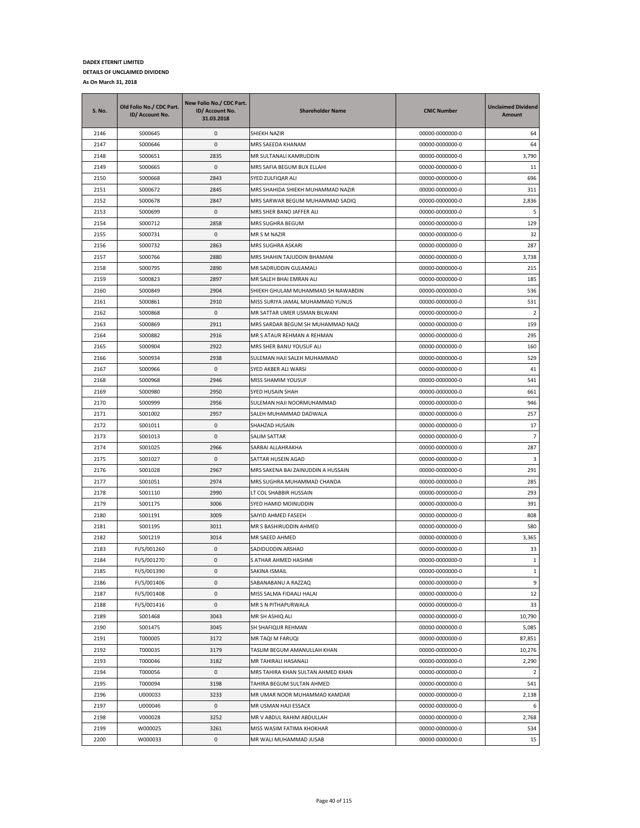| 2146<br>S000645<br>0<br>SHIEKH NAZIR<br>00000-0000000-0<br>64<br>0<br>64<br>2147<br>S000646<br>MRS SAEEDA KHANAM<br>00000-0000000-0<br>2148<br>00000-0000000-0<br>3,790<br>S000651<br>2835<br>MR SULTANALI KAMRUDDIN<br>2149<br>S000665<br>0<br>MRS SAFIA BEGUM BUX ELLAHI<br>11<br>00000-0000000-0<br>2150<br>2843<br>696<br>S000668<br>SYED ZULFIQAR ALI<br>00000-0000000-0<br>2151<br>2845<br>311<br>S000672<br>MRS SHAHIDA SHIEKH MUHAMMAD NAZIR<br>00000-0000000-0<br>2152<br>2847<br>MRS SARWAR BEGUM MUHAMMAD SADIQ<br>00000-0000000-0<br>2,836<br>S000678<br>5<br>2153<br>S000699<br>0<br>MRS SHER BANO JAFFER ALI<br>00000-0000000-0<br>2154<br>2858<br>129<br>S000712<br><b>MRS SUGHRA BEGUM</b><br>00000-0000000-0<br>2155<br>32<br>S000731<br>0<br>MR S M NAZIR<br>00000-0000000-0<br>2156<br>2863<br>287<br>S000732<br>MRS SUGHRA ASKARI<br>00000-0000000-0<br>2157<br>S000766<br>2880<br>MRS SHAHIN TAJUDDIN BHAMANI<br>00000-0000000-0<br>3,738<br>215<br>2158<br>S000795<br>2890<br>MR SADRUDDIN GULAMALI<br>00000-0000000-0<br>2159<br>S000823<br>2897<br>MR SALEH BHAI EMRAN ALI<br>00000-0000000-0<br>185<br>2160<br>2904<br>S000849<br>SHIEKH GHULAM MUHAMMAD SH NAWABDIN<br>00000-0000000-0<br>536<br>2161<br>2910<br>531<br>S000861<br>MISS SURIYA JAMAL MUHAMMAD YUNUS<br>00000-0000000-0<br>2162<br>S000868<br>0<br>MR SATTAR UMER USMAN BILWANI<br>00000-0000000-0<br>$\overline{2}$<br>2163<br>S000869<br>2911<br>159<br>MRS SARDAR BEGUM SH MUHAMMAD NAQI<br>00000-0000000-0<br>295<br>2164<br>S000882<br>2916<br>MR S ATAUR REHMAN A REHMAN<br>00000-0000000-0<br>2165<br>S000904<br>2922<br>MRS SHER BANU YOUSUF ALI<br>00000-0000000-0<br>160<br>2166<br>S000934<br>2938<br>SULEMAN HAJI SALEH MUHAMMAD<br>00000-0000000-0<br>529<br>41<br>2167<br>S000966<br>0<br>SYED AKBER ALI WARSI<br>00000-0000000-0<br>2168<br>S000968<br>2946<br>MISS SHAMIM YOUSUF<br>541<br>00000-0000000-0<br>2169<br>2950<br>S000980<br>SYED HUSAIN SHAH<br>00000-0000000-0<br>661<br>2170<br>S000999<br>2956<br>SULEMAN HAJI NOORMUHAMMAD<br>946<br>00000-0000000-0<br>2171<br>S001002<br>2957<br>SALEH MUHAMMAD DADWALA<br>00000-0000000-0<br>257<br>2172<br>S001011<br>0<br>SHAHZAD HUSAIN<br>00000-0000000-0<br>17<br>2173<br>0<br>$\overline{7}$<br>S001013<br>SALIM SATTAR<br>00000-0000000-0<br>2174<br>S001025<br>2966<br>SARBAI ALLAHRAKHA<br>00000-0000000-0<br>287<br>2175<br>0<br>3<br>S001027<br>SATTAR HUSEIN AGAD<br>00000-0000000-0<br>291<br>2176<br>S001028<br>2967<br>MRS SAKENA BAI ZAINUDDIN A HUSSAIN<br>00000-0000000-0<br>2974<br>285<br>2177<br>S001051<br>MRS SUGHRA MUHAMMAD CHANDA<br>00000-0000000-0<br>2178<br>S001110<br>2990<br>LT COL SHABBIR HUSSAIN<br>00000-0000000-0<br>293<br>2179<br>S001175<br>3006<br>SYED HAMID MOINUDDIN<br>00000-0000000-0<br>391<br>2180<br>3009<br>808<br>S001191<br>SAIYID AHMED FASEEH<br>00000-0000000-0<br>2181<br>3011<br>MR S BASHIRUDDIN AHMED<br>S001195<br>00000-0000000-0<br>580<br>2182<br>3014<br>S001219<br>MR SAEED AHMED<br>00000-0000000-0<br>3,365<br>2183<br>FI/S/001260<br>0<br>SADIDUDDIN ARSHAD<br>00000-0000000-0<br>33<br>S ATHAR AHMED HASHMI<br>$\mathbf{1}$<br>2184<br>FI/S/001270<br>$\Omega$<br>00000-0000000-0<br>2185<br>FI/S/001390<br>0<br>00000-0000000-0<br>$\mathbf{1}$<br>SAKINA ISMAIL<br>2186<br>FI/S/001406<br>0<br>SABANABANU A RAZZAQ<br>00000-0000000-0<br>9<br>$\pmb{0}$<br>2187<br>FI/S/001408<br>MISS SALMA FIDAALI HALAI<br>00000-0000000-0<br>12<br>2188<br>FI/S/001416<br>0<br>MR S N PITHAPURWALA<br>00000-0000000-0<br>33<br>2189<br>3043<br>10,790<br>S001468<br>MR SH ASHIQ ALI<br>00000-0000000-0<br>2190<br>S001475<br>3045<br>SH SHAFIQUR REHMAN<br>00000-0000000-0<br>5,085<br>87,851<br>2191<br>T000005<br>3172<br>MR TAQI M FARUQI<br>00000-0000000-0<br>2192<br>T000035<br>3179<br>TASLIM BEGUM AMANULLAH KHAN<br>00000-0000000-0<br>10,276<br>2193<br>T000046<br>3182<br>MR TAHIRALI HASANALI<br>00000-0000000-0<br>2,290<br>2194<br>T000056<br>0<br>MRS TAHIRA KHAN SULTAN AHMED KHAN<br>00000-0000000-0<br>$\overline{2}$<br>2195<br>3198<br>00000-0000000-0<br>541<br>T000094<br>TAHIRA BEGUM SULTAN AHMED<br>U000033<br>2,138<br>2196<br>3233<br>MR UMAR NOOR MUHAMMAD KAMDAR<br>00000-0000000-0<br>0<br>2197<br>U000046<br>MR USMAN HAJI ESSACK<br>00000-0000000-0<br>6<br>2198<br>V000028<br>3252<br>MR V ABDUL RAHIM ABDULLAH<br>00000-0000000-0<br>2,768<br>2199<br>W000025<br>3261<br>MISS WASIM FATIMA KHOKHAR<br>00000-0000000-0<br>534 | <b>S. No.</b> | Old Folio No./ CDC Part.<br>ID/ Account No. | New Folio No./ CDC Part.<br>ID/ Account No.<br>31.03.2018 | <b>Shareholder Name</b> | <b>CNIC Number</b> | <b>Unclaimed Dividend</b><br>Amount |
|----------------------------------------------------------------------------------------------------------------------------------------------------------------------------------------------------------------------------------------------------------------------------------------------------------------------------------------------------------------------------------------------------------------------------------------------------------------------------------------------------------------------------------------------------------------------------------------------------------------------------------------------------------------------------------------------------------------------------------------------------------------------------------------------------------------------------------------------------------------------------------------------------------------------------------------------------------------------------------------------------------------------------------------------------------------------------------------------------------------------------------------------------------------------------------------------------------------------------------------------------------------------------------------------------------------------------------------------------------------------------------------------------------------------------------------------------------------------------------------------------------------------------------------------------------------------------------------------------------------------------------------------------------------------------------------------------------------------------------------------------------------------------------------------------------------------------------------------------------------------------------------------------------------------------------------------------------------------------------------------------------------------------------------------------------------------------------------------------------------------------------------------------------------------------------------------------------------------------------------------------------------------------------------------------------------------------------------------------------------------------------------------------------------------------------------------------------------------------------------------------------------------------------------------------------------------------------------------------------------------------------------------------------------------------------------------------------------------------------------------------------------------------------------------------------------------------------------------------------------------------------------------------------------------------------------------------------------------------------------------------------------------------------------------------------------------------------------------------------------------------------------------------------------------------------------------------------------------------------------------------------------------------------------------------------------------------------------------------------------------------------------------------------------------------------------------------------------------------------------------------------------------------------------------------------------------------------------------------------------------------------------------------------------------------------------------------------------------------------------------------------------------------------------------------------------------------------------------------------------------------------------------------------------------------------------------------------------------------------------------------------------------------------------------------------------------------------------------------------------------------------------------------------------------------------------------------------------------------------------------------------------------------------------------------------------------------------------------------------------------------------------------------------------------------------------------------------------------------------------|---------------|---------------------------------------------|-----------------------------------------------------------|-------------------------|--------------------|-------------------------------------|
|                                                                                                                                                                                                                                                                                                                                                                                                                                                                                                                                                                                                                                                                                                                                                                                                                                                                                                                                                                                                                                                                                                                                                                                                                                                                                                                                                                                                                                                                                                                                                                                                                                                                                                                                                                                                                                                                                                                                                                                                                                                                                                                                                                                                                                                                                                                                                                                                                                                                                                                                                                                                                                                                                                                                                                                                                                                                                                                                                                                                                                                                                                                                                                                                                                                                                                                                                                                                                                                                                                                                                                                                                                                                                                                                                                                                                                                                                                                                                                                                                                                                                                                                                                                                                                                                                                                                                                                                                                                                                        |               |                                             |                                                           |                         |                    |                                     |
|                                                                                                                                                                                                                                                                                                                                                                                                                                                                                                                                                                                                                                                                                                                                                                                                                                                                                                                                                                                                                                                                                                                                                                                                                                                                                                                                                                                                                                                                                                                                                                                                                                                                                                                                                                                                                                                                                                                                                                                                                                                                                                                                                                                                                                                                                                                                                                                                                                                                                                                                                                                                                                                                                                                                                                                                                                                                                                                                                                                                                                                                                                                                                                                                                                                                                                                                                                                                                                                                                                                                                                                                                                                                                                                                                                                                                                                                                                                                                                                                                                                                                                                                                                                                                                                                                                                                                                                                                                                                                        |               |                                             |                                                           |                         |                    |                                     |
|                                                                                                                                                                                                                                                                                                                                                                                                                                                                                                                                                                                                                                                                                                                                                                                                                                                                                                                                                                                                                                                                                                                                                                                                                                                                                                                                                                                                                                                                                                                                                                                                                                                                                                                                                                                                                                                                                                                                                                                                                                                                                                                                                                                                                                                                                                                                                                                                                                                                                                                                                                                                                                                                                                                                                                                                                                                                                                                                                                                                                                                                                                                                                                                                                                                                                                                                                                                                                                                                                                                                                                                                                                                                                                                                                                                                                                                                                                                                                                                                                                                                                                                                                                                                                                                                                                                                                                                                                                                                                        |               |                                             |                                                           |                         |                    |                                     |
|                                                                                                                                                                                                                                                                                                                                                                                                                                                                                                                                                                                                                                                                                                                                                                                                                                                                                                                                                                                                                                                                                                                                                                                                                                                                                                                                                                                                                                                                                                                                                                                                                                                                                                                                                                                                                                                                                                                                                                                                                                                                                                                                                                                                                                                                                                                                                                                                                                                                                                                                                                                                                                                                                                                                                                                                                                                                                                                                                                                                                                                                                                                                                                                                                                                                                                                                                                                                                                                                                                                                                                                                                                                                                                                                                                                                                                                                                                                                                                                                                                                                                                                                                                                                                                                                                                                                                                                                                                                                                        |               |                                             |                                                           |                         |                    |                                     |
|                                                                                                                                                                                                                                                                                                                                                                                                                                                                                                                                                                                                                                                                                                                                                                                                                                                                                                                                                                                                                                                                                                                                                                                                                                                                                                                                                                                                                                                                                                                                                                                                                                                                                                                                                                                                                                                                                                                                                                                                                                                                                                                                                                                                                                                                                                                                                                                                                                                                                                                                                                                                                                                                                                                                                                                                                                                                                                                                                                                                                                                                                                                                                                                                                                                                                                                                                                                                                                                                                                                                                                                                                                                                                                                                                                                                                                                                                                                                                                                                                                                                                                                                                                                                                                                                                                                                                                                                                                                                                        |               |                                             |                                                           |                         |                    |                                     |
|                                                                                                                                                                                                                                                                                                                                                                                                                                                                                                                                                                                                                                                                                                                                                                                                                                                                                                                                                                                                                                                                                                                                                                                                                                                                                                                                                                                                                                                                                                                                                                                                                                                                                                                                                                                                                                                                                                                                                                                                                                                                                                                                                                                                                                                                                                                                                                                                                                                                                                                                                                                                                                                                                                                                                                                                                                                                                                                                                                                                                                                                                                                                                                                                                                                                                                                                                                                                                                                                                                                                                                                                                                                                                                                                                                                                                                                                                                                                                                                                                                                                                                                                                                                                                                                                                                                                                                                                                                                                                        |               |                                             |                                                           |                         |                    |                                     |
|                                                                                                                                                                                                                                                                                                                                                                                                                                                                                                                                                                                                                                                                                                                                                                                                                                                                                                                                                                                                                                                                                                                                                                                                                                                                                                                                                                                                                                                                                                                                                                                                                                                                                                                                                                                                                                                                                                                                                                                                                                                                                                                                                                                                                                                                                                                                                                                                                                                                                                                                                                                                                                                                                                                                                                                                                                                                                                                                                                                                                                                                                                                                                                                                                                                                                                                                                                                                                                                                                                                                                                                                                                                                                                                                                                                                                                                                                                                                                                                                                                                                                                                                                                                                                                                                                                                                                                                                                                                                                        |               |                                             |                                                           |                         |                    |                                     |
|                                                                                                                                                                                                                                                                                                                                                                                                                                                                                                                                                                                                                                                                                                                                                                                                                                                                                                                                                                                                                                                                                                                                                                                                                                                                                                                                                                                                                                                                                                                                                                                                                                                                                                                                                                                                                                                                                                                                                                                                                                                                                                                                                                                                                                                                                                                                                                                                                                                                                                                                                                                                                                                                                                                                                                                                                                                                                                                                                                                                                                                                                                                                                                                                                                                                                                                                                                                                                                                                                                                                                                                                                                                                                                                                                                                                                                                                                                                                                                                                                                                                                                                                                                                                                                                                                                                                                                                                                                                                                        |               |                                             |                                                           |                         |                    |                                     |
|                                                                                                                                                                                                                                                                                                                                                                                                                                                                                                                                                                                                                                                                                                                                                                                                                                                                                                                                                                                                                                                                                                                                                                                                                                                                                                                                                                                                                                                                                                                                                                                                                                                                                                                                                                                                                                                                                                                                                                                                                                                                                                                                                                                                                                                                                                                                                                                                                                                                                                                                                                                                                                                                                                                                                                                                                                                                                                                                                                                                                                                                                                                                                                                                                                                                                                                                                                                                                                                                                                                                                                                                                                                                                                                                                                                                                                                                                                                                                                                                                                                                                                                                                                                                                                                                                                                                                                                                                                                                                        |               |                                             |                                                           |                         |                    |                                     |
|                                                                                                                                                                                                                                                                                                                                                                                                                                                                                                                                                                                                                                                                                                                                                                                                                                                                                                                                                                                                                                                                                                                                                                                                                                                                                                                                                                                                                                                                                                                                                                                                                                                                                                                                                                                                                                                                                                                                                                                                                                                                                                                                                                                                                                                                                                                                                                                                                                                                                                                                                                                                                                                                                                                                                                                                                                                                                                                                                                                                                                                                                                                                                                                                                                                                                                                                                                                                                                                                                                                                                                                                                                                                                                                                                                                                                                                                                                                                                                                                                                                                                                                                                                                                                                                                                                                                                                                                                                                                                        |               |                                             |                                                           |                         |                    |                                     |
|                                                                                                                                                                                                                                                                                                                                                                                                                                                                                                                                                                                                                                                                                                                                                                                                                                                                                                                                                                                                                                                                                                                                                                                                                                                                                                                                                                                                                                                                                                                                                                                                                                                                                                                                                                                                                                                                                                                                                                                                                                                                                                                                                                                                                                                                                                                                                                                                                                                                                                                                                                                                                                                                                                                                                                                                                                                                                                                                                                                                                                                                                                                                                                                                                                                                                                                                                                                                                                                                                                                                                                                                                                                                                                                                                                                                                                                                                                                                                                                                                                                                                                                                                                                                                                                                                                                                                                                                                                                                                        |               |                                             |                                                           |                         |                    |                                     |
|                                                                                                                                                                                                                                                                                                                                                                                                                                                                                                                                                                                                                                                                                                                                                                                                                                                                                                                                                                                                                                                                                                                                                                                                                                                                                                                                                                                                                                                                                                                                                                                                                                                                                                                                                                                                                                                                                                                                                                                                                                                                                                                                                                                                                                                                                                                                                                                                                                                                                                                                                                                                                                                                                                                                                                                                                                                                                                                                                                                                                                                                                                                                                                                                                                                                                                                                                                                                                                                                                                                                                                                                                                                                                                                                                                                                                                                                                                                                                                                                                                                                                                                                                                                                                                                                                                                                                                                                                                                                                        |               |                                             |                                                           |                         |                    |                                     |
|                                                                                                                                                                                                                                                                                                                                                                                                                                                                                                                                                                                                                                                                                                                                                                                                                                                                                                                                                                                                                                                                                                                                                                                                                                                                                                                                                                                                                                                                                                                                                                                                                                                                                                                                                                                                                                                                                                                                                                                                                                                                                                                                                                                                                                                                                                                                                                                                                                                                                                                                                                                                                                                                                                                                                                                                                                                                                                                                                                                                                                                                                                                                                                                                                                                                                                                                                                                                                                                                                                                                                                                                                                                                                                                                                                                                                                                                                                                                                                                                                                                                                                                                                                                                                                                                                                                                                                                                                                                                                        |               |                                             |                                                           |                         |                    |                                     |
|                                                                                                                                                                                                                                                                                                                                                                                                                                                                                                                                                                                                                                                                                                                                                                                                                                                                                                                                                                                                                                                                                                                                                                                                                                                                                                                                                                                                                                                                                                                                                                                                                                                                                                                                                                                                                                                                                                                                                                                                                                                                                                                                                                                                                                                                                                                                                                                                                                                                                                                                                                                                                                                                                                                                                                                                                                                                                                                                                                                                                                                                                                                                                                                                                                                                                                                                                                                                                                                                                                                                                                                                                                                                                                                                                                                                                                                                                                                                                                                                                                                                                                                                                                                                                                                                                                                                                                                                                                                                                        |               |                                             |                                                           |                         |                    |                                     |
|                                                                                                                                                                                                                                                                                                                                                                                                                                                                                                                                                                                                                                                                                                                                                                                                                                                                                                                                                                                                                                                                                                                                                                                                                                                                                                                                                                                                                                                                                                                                                                                                                                                                                                                                                                                                                                                                                                                                                                                                                                                                                                                                                                                                                                                                                                                                                                                                                                                                                                                                                                                                                                                                                                                                                                                                                                                                                                                                                                                                                                                                                                                                                                                                                                                                                                                                                                                                                                                                                                                                                                                                                                                                                                                                                                                                                                                                                                                                                                                                                                                                                                                                                                                                                                                                                                                                                                                                                                                                                        |               |                                             |                                                           |                         |                    |                                     |
|                                                                                                                                                                                                                                                                                                                                                                                                                                                                                                                                                                                                                                                                                                                                                                                                                                                                                                                                                                                                                                                                                                                                                                                                                                                                                                                                                                                                                                                                                                                                                                                                                                                                                                                                                                                                                                                                                                                                                                                                                                                                                                                                                                                                                                                                                                                                                                                                                                                                                                                                                                                                                                                                                                                                                                                                                                                                                                                                                                                                                                                                                                                                                                                                                                                                                                                                                                                                                                                                                                                                                                                                                                                                                                                                                                                                                                                                                                                                                                                                                                                                                                                                                                                                                                                                                                                                                                                                                                                                                        |               |                                             |                                                           |                         |                    |                                     |
|                                                                                                                                                                                                                                                                                                                                                                                                                                                                                                                                                                                                                                                                                                                                                                                                                                                                                                                                                                                                                                                                                                                                                                                                                                                                                                                                                                                                                                                                                                                                                                                                                                                                                                                                                                                                                                                                                                                                                                                                                                                                                                                                                                                                                                                                                                                                                                                                                                                                                                                                                                                                                                                                                                                                                                                                                                                                                                                                                                                                                                                                                                                                                                                                                                                                                                                                                                                                                                                                                                                                                                                                                                                                                                                                                                                                                                                                                                                                                                                                                                                                                                                                                                                                                                                                                                                                                                                                                                                                                        |               |                                             |                                                           |                         |                    |                                     |
|                                                                                                                                                                                                                                                                                                                                                                                                                                                                                                                                                                                                                                                                                                                                                                                                                                                                                                                                                                                                                                                                                                                                                                                                                                                                                                                                                                                                                                                                                                                                                                                                                                                                                                                                                                                                                                                                                                                                                                                                                                                                                                                                                                                                                                                                                                                                                                                                                                                                                                                                                                                                                                                                                                                                                                                                                                                                                                                                                                                                                                                                                                                                                                                                                                                                                                                                                                                                                                                                                                                                                                                                                                                                                                                                                                                                                                                                                                                                                                                                                                                                                                                                                                                                                                                                                                                                                                                                                                                                                        |               |                                             |                                                           |                         |                    |                                     |
|                                                                                                                                                                                                                                                                                                                                                                                                                                                                                                                                                                                                                                                                                                                                                                                                                                                                                                                                                                                                                                                                                                                                                                                                                                                                                                                                                                                                                                                                                                                                                                                                                                                                                                                                                                                                                                                                                                                                                                                                                                                                                                                                                                                                                                                                                                                                                                                                                                                                                                                                                                                                                                                                                                                                                                                                                                                                                                                                                                                                                                                                                                                                                                                                                                                                                                                                                                                                                                                                                                                                                                                                                                                                                                                                                                                                                                                                                                                                                                                                                                                                                                                                                                                                                                                                                                                                                                                                                                                                                        |               |                                             |                                                           |                         |                    |                                     |
|                                                                                                                                                                                                                                                                                                                                                                                                                                                                                                                                                                                                                                                                                                                                                                                                                                                                                                                                                                                                                                                                                                                                                                                                                                                                                                                                                                                                                                                                                                                                                                                                                                                                                                                                                                                                                                                                                                                                                                                                                                                                                                                                                                                                                                                                                                                                                                                                                                                                                                                                                                                                                                                                                                                                                                                                                                                                                                                                                                                                                                                                                                                                                                                                                                                                                                                                                                                                                                                                                                                                                                                                                                                                                                                                                                                                                                                                                                                                                                                                                                                                                                                                                                                                                                                                                                                                                                                                                                                                                        |               |                                             |                                                           |                         |                    |                                     |
|                                                                                                                                                                                                                                                                                                                                                                                                                                                                                                                                                                                                                                                                                                                                                                                                                                                                                                                                                                                                                                                                                                                                                                                                                                                                                                                                                                                                                                                                                                                                                                                                                                                                                                                                                                                                                                                                                                                                                                                                                                                                                                                                                                                                                                                                                                                                                                                                                                                                                                                                                                                                                                                                                                                                                                                                                                                                                                                                                                                                                                                                                                                                                                                                                                                                                                                                                                                                                                                                                                                                                                                                                                                                                                                                                                                                                                                                                                                                                                                                                                                                                                                                                                                                                                                                                                                                                                                                                                                                                        |               |                                             |                                                           |                         |                    |                                     |
|                                                                                                                                                                                                                                                                                                                                                                                                                                                                                                                                                                                                                                                                                                                                                                                                                                                                                                                                                                                                                                                                                                                                                                                                                                                                                                                                                                                                                                                                                                                                                                                                                                                                                                                                                                                                                                                                                                                                                                                                                                                                                                                                                                                                                                                                                                                                                                                                                                                                                                                                                                                                                                                                                                                                                                                                                                                                                                                                                                                                                                                                                                                                                                                                                                                                                                                                                                                                                                                                                                                                                                                                                                                                                                                                                                                                                                                                                                                                                                                                                                                                                                                                                                                                                                                                                                                                                                                                                                                                                        |               |                                             |                                                           |                         |                    |                                     |
|                                                                                                                                                                                                                                                                                                                                                                                                                                                                                                                                                                                                                                                                                                                                                                                                                                                                                                                                                                                                                                                                                                                                                                                                                                                                                                                                                                                                                                                                                                                                                                                                                                                                                                                                                                                                                                                                                                                                                                                                                                                                                                                                                                                                                                                                                                                                                                                                                                                                                                                                                                                                                                                                                                                                                                                                                                                                                                                                                                                                                                                                                                                                                                                                                                                                                                                                                                                                                                                                                                                                                                                                                                                                                                                                                                                                                                                                                                                                                                                                                                                                                                                                                                                                                                                                                                                                                                                                                                                                                        |               |                                             |                                                           |                         |                    |                                     |
|                                                                                                                                                                                                                                                                                                                                                                                                                                                                                                                                                                                                                                                                                                                                                                                                                                                                                                                                                                                                                                                                                                                                                                                                                                                                                                                                                                                                                                                                                                                                                                                                                                                                                                                                                                                                                                                                                                                                                                                                                                                                                                                                                                                                                                                                                                                                                                                                                                                                                                                                                                                                                                                                                                                                                                                                                                                                                                                                                                                                                                                                                                                                                                                                                                                                                                                                                                                                                                                                                                                                                                                                                                                                                                                                                                                                                                                                                                                                                                                                                                                                                                                                                                                                                                                                                                                                                                                                                                                                                        |               |                                             |                                                           |                         |                    |                                     |
|                                                                                                                                                                                                                                                                                                                                                                                                                                                                                                                                                                                                                                                                                                                                                                                                                                                                                                                                                                                                                                                                                                                                                                                                                                                                                                                                                                                                                                                                                                                                                                                                                                                                                                                                                                                                                                                                                                                                                                                                                                                                                                                                                                                                                                                                                                                                                                                                                                                                                                                                                                                                                                                                                                                                                                                                                                                                                                                                                                                                                                                                                                                                                                                                                                                                                                                                                                                                                                                                                                                                                                                                                                                                                                                                                                                                                                                                                                                                                                                                                                                                                                                                                                                                                                                                                                                                                                                                                                                                                        |               |                                             |                                                           |                         |                    |                                     |
|                                                                                                                                                                                                                                                                                                                                                                                                                                                                                                                                                                                                                                                                                                                                                                                                                                                                                                                                                                                                                                                                                                                                                                                                                                                                                                                                                                                                                                                                                                                                                                                                                                                                                                                                                                                                                                                                                                                                                                                                                                                                                                                                                                                                                                                                                                                                                                                                                                                                                                                                                                                                                                                                                                                                                                                                                                                                                                                                                                                                                                                                                                                                                                                                                                                                                                                                                                                                                                                                                                                                                                                                                                                                                                                                                                                                                                                                                                                                                                                                                                                                                                                                                                                                                                                                                                                                                                                                                                                                                        |               |                                             |                                                           |                         |                    |                                     |
|                                                                                                                                                                                                                                                                                                                                                                                                                                                                                                                                                                                                                                                                                                                                                                                                                                                                                                                                                                                                                                                                                                                                                                                                                                                                                                                                                                                                                                                                                                                                                                                                                                                                                                                                                                                                                                                                                                                                                                                                                                                                                                                                                                                                                                                                                                                                                                                                                                                                                                                                                                                                                                                                                                                                                                                                                                                                                                                                                                                                                                                                                                                                                                                                                                                                                                                                                                                                                                                                                                                                                                                                                                                                                                                                                                                                                                                                                                                                                                                                                                                                                                                                                                                                                                                                                                                                                                                                                                                                                        |               |                                             |                                                           |                         |                    |                                     |
|                                                                                                                                                                                                                                                                                                                                                                                                                                                                                                                                                                                                                                                                                                                                                                                                                                                                                                                                                                                                                                                                                                                                                                                                                                                                                                                                                                                                                                                                                                                                                                                                                                                                                                                                                                                                                                                                                                                                                                                                                                                                                                                                                                                                                                                                                                                                                                                                                                                                                                                                                                                                                                                                                                                                                                                                                                                                                                                                                                                                                                                                                                                                                                                                                                                                                                                                                                                                                                                                                                                                                                                                                                                                                                                                                                                                                                                                                                                                                                                                                                                                                                                                                                                                                                                                                                                                                                                                                                                                                        |               |                                             |                                                           |                         |                    |                                     |
|                                                                                                                                                                                                                                                                                                                                                                                                                                                                                                                                                                                                                                                                                                                                                                                                                                                                                                                                                                                                                                                                                                                                                                                                                                                                                                                                                                                                                                                                                                                                                                                                                                                                                                                                                                                                                                                                                                                                                                                                                                                                                                                                                                                                                                                                                                                                                                                                                                                                                                                                                                                                                                                                                                                                                                                                                                                                                                                                                                                                                                                                                                                                                                                                                                                                                                                                                                                                                                                                                                                                                                                                                                                                                                                                                                                                                                                                                                                                                                                                                                                                                                                                                                                                                                                                                                                                                                                                                                                                                        |               |                                             |                                                           |                         |                    |                                     |
|                                                                                                                                                                                                                                                                                                                                                                                                                                                                                                                                                                                                                                                                                                                                                                                                                                                                                                                                                                                                                                                                                                                                                                                                                                                                                                                                                                                                                                                                                                                                                                                                                                                                                                                                                                                                                                                                                                                                                                                                                                                                                                                                                                                                                                                                                                                                                                                                                                                                                                                                                                                                                                                                                                                                                                                                                                                                                                                                                                                                                                                                                                                                                                                                                                                                                                                                                                                                                                                                                                                                                                                                                                                                                                                                                                                                                                                                                                                                                                                                                                                                                                                                                                                                                                                                                                                                                                                                                                                                                        |               |                                             |                                                           |                         |                    |                                     |
|                                                                                                                                                                                                                                                                                                                                                                                                                                                                                                                                                                                                                                                                                                                                                                                                                                                                                                                                                                                                                                                                                                                                                                                                                                                                                                                                                                                                                                                                                                                                                                                                                                                                                                                                                                                                                                                                                                                                                                                                                                                                                                                                                                                                                                                                                                                                                                                                                                                                                                                                                                                                                                                                                                                                                                                                                                                                                                                                                                                                                                                                                                                                                                                                                                                                                                                                                                                                                                                                                                                                                                                                                                                                                                                                                                                                                                                                                                                                                                                                                                                                                                                                                                                                                                                                                                                                                                                                                                                                                        |               |                                             |                                                           |                         |                    |                                     |
|                                                                                                                                                                                                                                                                                                                                                                                                                                                                                                                                                                                                                                                                                                                                                                                                                                                                                                                                                                                                                                                                                                                                                                                                                                                                                                                                                                                                                                                                                                                                                                                                                                                                                                                                                                                                                                                                                                                                                                                                                                                                                                                                                                                                                                                                                                                                                                                                                                                                                                                                                                                                                                                                                                                                                                                                                                                                                                                                                                                                                                                                                                                                                                                                                                                                                                                                                                                                                                                                                                                                                                                                                                                                                                                                                                                                                                                                                                                                                                                                                                                                                                                                                                                                                                                                                                                                                                                                                                                                                        |               |                                             |                                                           |                         |                    |                                     |
|                                                                                                                                                                                                                                                                                                                                                                                                                                                                                                                                                                                                                                                                                                                                                                                                                                                                                                                                                                                                                                                                                                                                                                                                                                                                                                                                                                                                                                                                                                                                                                                                                                                                                                                                                                                                                                                                                                                                                                                                                                                                                                                                                                                                                                                                                                                                                                                                                                                                                                                                                                                                                                                                                                                                                                                                                                                                                                                                                                                                                                                                                                                                                                                                                                                                                                                                                                                                                                                                                                                                                                                                                                                                                                                                                                                                                                                                                                                                                                                                                                                                                                                                                                                                                                                                                                                                                                                                                                                                                        |               |                                             |                                                           |                         |                    |                                     |
|                                                                                                                                                                                                                                                                                                                                                                                                                                                                                                                                                                                                                                                                                                                                                                                                                                                                                                                                                                                                                                                                                                                                                                                                                                                                                                                                                                                                                                                                                                                                                                                                                                                                                                                                                                                                                                                                                                                                                                                                                                                                                                                                                                                                                                                                                                                                                                                                                                                                                                                                                                                                                                                                                                                                                                                                                                                                                                                                                                                                                                                                                                                                                                                                                                                                                                                                                                                                                                                                                                                                                                                                                                                                                                                                                                                                                                                                                                                                                                                                                                                                                                                                                                                                                                                                                                                                                                                                                                                                                        |               |                                             |                                                           |                         |                    |                                     |
|                                                                                                                                                                                                                                                                                                                                                                                                                                                                                                                                                                                                                                                                                                                                                                                                                                                                                                                                                                                                                                                                                                                                                                                                                                                                                                                                                                                                                                                                                                                                                                                                                                                                                                                                                                                                                                                                                                                                                                                                                                                                                                                                                                                                                                                                                                                                                                                                                                                                                                                                                                                                                                                                                                                                                                                                                                                                                                                                                                                                                                                                                                                                                                                                                                                                                                                                                                                                                                                                                                                                                                                                                                                                                                                                                                                                                                                                                                                                                                                                                                                                                                                                                                                                                                                                                                                                                                                                                                                                                        |               |                                             |                                                           |                         |                    |                                     |
|                                                                                                                                                                                                                                                                                                                                                                                                                                                                                                                                                                                                                                                                                                                                                                                                                                                                                                                                                                                                                                                                                                                                                                                                                                                                                                                                                                                                                                                                                                                                                                                                                                                                                                                                                                                                                                                                                                                                                                                                                                                                                                                                                                                                                                                                                                                                                                                                                                                                                                                                                                                                                                                                                                                                                                                                                                                                                                                                                                                                                                                                                                                                                                                                                                                                                                                                                                                                                                                                                                                                                                                                                                                                                                                                                                                                                                                                                                                                                                                                                                                                                                                                                                                                                                                                                                                                                                                                                                                                                        |               |                                             |                                                           |                         |                    |                                     |
|                                                                                                                                                                                                                                                                                                                                                                                                                                                                                                                                                                                                                                                                                                                                                                                                                                                                                                                                                                                                                                                                                                                                                                                                                                                                                                                                                                                                                                                                                                                                                                                                                                                                                                                                                                                                                                                                                                                                                                                                                                                                                                                                                                                                                                                                                                                                                                                                                                                                                                                                                                                                                                                                                                                                                                                                                                                                                                                                                                                                                                                                                                                                                                                                                                                                                                                                                                                                                                                                                                                                                                                                                                                                                                                                                                                                                                                                                                                                                                                                                                                                                                                                                                                                                                                                                                                                                                                                                                                                                        |               |                                             |                                                           |                         |                    |                                     |
|                                                                                                                                                                                                                                                                                                                                                                                                                                                                                                                                                                                                                                                                                                                                                                                                                                                                                                                                                                                                                                                                                                                                                                                                                                                                                                                                                                                                                                                                                                                                                                                                                                                                                                                                                                                                                                                                                                                                                                                                                                                                                                                                                                                                                                                                                                                                                                                                                                                                                                                                                                                                                                                                                                                                                                                                                                                                                                                                                                                                                                                                                                                                                                                                                                                                                                                                                                                                                                                                                                                                                                                                                                                                                                                                                                                                                                                                                                                                                                                                                                                                                                                                                                                                                                                                                                                                                                                                                                                                                        |               |                                             |                                                           |                         |                    |                                     |
|                                                                                                                                                                                                                                                                                                                                                                                                                                                                                                                                                                                                                                                                                                                                                                                                                                                                                                                                                                                                                                                                                                                                                                                                                                                                                                                                                                                                                                                                                                                                                                                                                                                                                                                                                                                                                                                                                                                                                                                                                                                                                                                                                                                                                                                                                                                                                                                                                                                                                                                                                                                                                                                                                                                                                                                                                                                                                                                                                                                                                                                                                                                                                                                                                                                                                                                                                                                                                                                                                                                                                                                                                                                                                                                                                                                                                                                                                                                                                                                                                                                                                                                                                                                                                                                                                                                                                                                                                                                                                        |               |                                             |                                                           |                         |                    |                                     |
|                                                                                                                                                                                                                                                                                                                                                                                                                                                                                                                                                                                                                                                                                                                                                                                                                                                                                                                                                                                                                                                                                                                                                                                                                                                                                                                                                                                                                                                                                                                                                                                                                                                                                                                                                                                                                                                                                                                                                                                                                                                                                                                                                                                                                                                                                                                                                                                                                                                                                                                                                                                                                                                                                                                                                                                                                                                                                                                                                                                                                                                                                                                                                                                                                                                                                                                                                                                                                                                                                                                                                                                                                                                                                                                                                                                                                                                                                                                                                                                                                                                                                                                                                                                                                                                                                                                                                                                                                                                                                        |               |                                             |                                                           |                         |                    |                                     |
|                                                                                                                                                                                                                                                                                                                                                                                                                                                                                                                                                                                                                                                                                                                                                                                                                                                                                                                                                                                                                                                                                                                                                                                                                                                                                                                                                                                                                                                                                                                                                                                                                                                                                                                                                                                                                                                                                                                                                                                                                                                                                                                                                                                                                                                                                                                                                                                                                                                                                                                                                                                                                                                                                                                                                                                                                                                                                                                                                                                                                                                                                                                                                                                                                                                                                                                                                                                                                                                                                                                                                                                                                                                                                                                                                                                                                                                                                                                                                                                                                                                                                                                                                                                                                                                                                                                                                                                                                                                                                        |               |                                             |                                                           |                         |                    |                                     |
|                                                                                                                                                                                                                                                                                                                                                                                                                                                                                                                                                                                                                                                                                                                                                                                                                                                                                                                                                                                                                                                                                                                                                                                                                                                                                                                                                                                                                                                                                                                                                                                                                                                                                                                                                                                                                                                                                                                                                                                                                                                                                                                                                                                                                                                                                                                                                                                                                                                                                                                                                                                                                                                                                                                                                                                                                                                                                                                                                                                                                                                                                                                                                                                                                                                                                                                                                                                                                                                                                                                                                                                                                                                                                                                                                                                                                                                                                                                                                                                                                                                                                                                                                                                                                                                                                                                                                                                                                                                                                        |               |                                             |                                                           |                         |                    |                                     |
|                                                                                                                                                                                                                                                                                                                                                                                                                                                                                                                                                                                                                                                                                                                                                                                                                                                                                                                                                                                                                                                                                                                                                                                                                                                                                                                                                                                                                                                                                                                                                                                                                                                                                                                                                                                                                                                                                                                                                                                                                                                                                                                                                                                                                                                                                                                                                                                                                                                                                                                                                                                                                                                                                                                                                                                                                                                                                                                                                                                                                                                                                                                                                                                                                                                                                                                                                                                                                                                                                                                                                                                                                                                                                                                                                                                                                                                                                                                                                                                                                                                                                                                                                                                                                                                                                                                                                                                                                                                                                        |               |                                             |                                                           |                         |                    |                                     |
|                                                                                                                                                                                                                                                                                                                                                                                                                                                                                                                                                                                                                                                                                                                                                                                                                                                                                                                                                                                                                                                                                                                                                                                                                                                                                                                                                                                                                                                                                                                                                                                                                                                                                                                                                                                                                                                                                                                                                                                                                                                                                                                                                                                                                                                                                                                                                                                                                                                                                                                                                                                                                                                                                                                                                                                                                                                                                                                                                                                                                                                                                                                                                                                                                                                                                                                                                                                                                                                                                                                                                                                                                                                                                                                                                                                                                                                                                                                                                                                                                                                                                                                                                                                                                                                                                                                                                                                                                                                                                        |               |                                             |                                                           |                         |                    |                                     |
|                                                                                                                                                                                                                                                                                                                                                                                                                                                                                                                                                                                                                                                                                                                                                                                                                                                                                                                                                                                                                                                                                                                                                                                                                                                                                                                                                                                                                                                                                                                                                                                                                                                                                                                                                                                                                                                                                                                                                                                                                                                                                                                                                                                                                                                                                                                                                                                                                                                                                                                                                                                                                                                                                                                                                                                                                                                                                                                                                                                                                                                                                                                                                                                                                                                                                                                                                                                                                                                                                                                                                                                                                                                                                                                                                                                                                                                                                                                                                                                                                                                                                                                                                                                                                                                                                                                                                                                                                                                                                        |               |                                             |                                                           |                         |                    |                                     |
|                                                                                                                                                                                                                                                                                                                                                                                                                                                                                                                                                                                                                                                                                                                                                                                                                                                                                                                                                                                                                                                                                                                                                                                                                                                                                                                                                                                                                                                                                                                                                                                                                                                                                                                                                                                                                                                                                                                                                                                                                                                                                                                                                                                                                                                                                                                                                                                                                                                                                                                                                                                                                                                                                                                                                                                                                                                                                                                                                                                                                                                                                                                                                                                                                                                                                                                                                                                                                                                                                                                                                                                                                                                                                                                                                                                                                                                                                                                                                                                                                                                                                                                                                                                                                                                                                                                                                                                                                                                                                        |               |                                             |                                                           |                         |                    |                                     |
|                                                                                                                                                                                                                                                                                                                                                                                                                                                                                                                                                                                                                                                                                                                                                                                                                                                                                                                                                                                                                                                                                                                                                                                                                                                                                                                                                                                                                                                                                                                                                                                                                                                                                                                                                                                                                                                                                                                                                                                                                                                                                                                                                                                                                                                                                                                                                                                                                                                                                                                                                                                                                                                                                                                                                                                                                                                                                                                                                                                                                                                                                                                                                                                                                                                                                                                                                                                                                                                                                                                                                                                                                                                                                                                                                                                                                                                                                                                                                                                                                                                                                                                                                                                                                                                                                                                                                                                                                                                                                        |               |                                             |                                                           |                         |                    |                                     |
|                                                                                                                                                                                                                                                                                                                                                                                                                                                                                                                                                                                                                                                                                                                                                                                                                                                                                                                                                                                                                                                                                                                                                                                                                                                                                                                                                                                                                                                                                                                                                                                                                                                                                                                                                                                                                                                                                                                                                                                                                                                                                                                                                                                                                                                                                                                                                                                                                                                                                                                                                                                                                                                                                                                                                                                                                                                                                                                                                                                                                                                                                                                                                                                                                                                                                                                                                                                                                                                                                                                                                                                                                                                                                                                                                                                                                                                                                                                                                                                                                                                                                                                                                                                                                                                                                                                                                                                                                                                                                        |               |                                             |                                                           |                         |                    |                                     |
|                                                                                                                                                                                                                                                                                                                                                                                                                                                                                                                                                                                                                                                                                                                                                                                                                                                                                                                                                                                                                                                                                                                                                                                                                                                                                                                                                                                                                                                                                                                                                                                                                                                                                                                                                                                                                                                                                                                                                                                                                                                                                                                                                                                                                                                                                                                                                                                                                                                                                                                                                                                                                                                                                                                                                                                                                                                                                                                                                                                                                                                                                                                                                                                                                                                                                                                                                                                                                                                                                                                                                                                                                                                                                                                                                                                                                                                                                                                                                                                                                                                                                                                                                                                                                                                                                                                                                                                                                                                                                        |               |                                             |                                                           |                         |                    |                                     |
|                                                                                                                                                                                                                                                                                                                                                                                                                                                                                                                                                                                                                                                                                                                                                                                                                                                                                                                                                                                                                                                                                                                                                                                                                                                                                                                                                                                                                                                                                                                                                                                                                                                                                                                                                                                                                                                                                                                                                                                                                                                                                                                                                                                                                                                                                                                                                                                                                                                                                                                                                                                                                                                                                                                                                                                                                                                                                                                                                                                                                                                                                                                                                                                                                                                                                                                                                                                                                                                                                                                                                                                                                                                                                                                                                                                                                                                                                                                                                                                                                                                                                                                                                                                                                                                                                                                                                                                                                                                                                        |               |                                             |                                                           |                         |                    |                                     |
|                                                                                                                                                                                                                                                                                                                                                                                                                                                                                                                                                                                                                                                                                                                                                                                                                                                                                                                                                                                                                                                                                                                                                                                                                                                                                                                                                                                                                                                                                                                                                                                                                                                                                                                                                                                                                                                                                                                                                                                                                                                                                                                                                                                                                                                                                                                                                                                                                                                                                                                                                                                                                                                                                                                                                                                                                                                                                                                                                                                                                                                                                                                                                                                                                                                                                                                                                                                                                                                                                                                                                                                                                                                                                                                                                                                                                                                                                                                                                                                                                                                                                                                                                                                                                                                                                                                                                                                                                                                                                        |               |                                             |                                                           |                         |                    |                                     |
|                                                                                                                                                                                                                                                                                                                                                                                                                                                                                                                                                                                                                                                                                                                                                                                                                                                                                                                                                                                                                                                                                                                                                                                                                                                                                                                                                                                                                                                                                                                                                                                                                                                                                                                                                                                                                                                                                                                                                                                                                                                                                                                                                                                                                                                                                                                                                                                                                                                                                                                                                                                                                                                                                                                                                                                                                                                                                                                                                                                                                                                                                                                                                                                                                                                                                                                                                                                                                                                                                                                                                                                                                                                                                                                                                                                                                                                                                                                                                                                                                                                                                                                                                                                                                                                                                                                                                                                                                                                                                        |               |                                             |                                                           |                         |                    |                                     |
|                                                                                                                                                                                                                                                                                                                                                                                                                                                                                                                                                                                                                                                                                                                                                                                                                                                                                                                                                                                                                                                                                                                                                                                                                                                                                                                                                                                                                                                                                                                                                                                                                                                                                                                                                                                                                                                                                                                                                                                                                                                                                                                                                                                                                                                                                                                                                                                                                                                                                                                                                                                                                                                                                                                                                                                                                                                                                                                                                                                                                                                                                                                                                                                                                                                                                                                                                                                                                                                                                                                                                                                                                                                                                                                                                                                                                                                                                                                                                                                                                                                                                                                                                                                                                                                                                                                                                                                                                                                                                        |               |                                             |                                                           |                         |                    |                                     |
|                                                                                                                                                                                                                                                                                                                                                                                                                                                                                                                                                                                                                                                                                                                                                                                                                                                                                                                                                                                                                                                                                                                                                                                                                                                                                                                                                                                                                                                                                                                                                                                                                                                                                                                                                                                                                                                                                                                                                                                                                                                                                                                                                                                                                                                                                                                                                                                                                                                                                                                                                                                                                                                                                                                                                                                                                                                                                                                                                                                                                                                                                                                                                                                                                                                                                                                                                                                                                                                                                                                                                                                                                                                                                                                                                                                                                                                                                                                                                                                                                                                                                                                                                                                                                                                                                                                                                                                                                                                                                        |               |                                             |                                                           |                         |                    |                                     |
|                                                                                                                                                                                                                                                                                                                                                                                                                                                                                                                                                                                                                                                                                                                                                                                                                                                                                                                                                                                                                                                                                                                                                                                                                                                                                                                                                                                                                                                                                                                                                                                                                                                                                                                                                                                                                                                                                                                                                                                                                                                                                                                                                                                                                                                                                                                                                                                                                                                                                                                                                                                                                                                                                                                                                                                                                                                                                                                                                                                                                                                                                                                                                                                                                                                                                                                                                                                                                                                                                                                                                                                                                                                                                                                                                                                                                                                                                                                                                                                                                                                                                                                                                                                                                                                                                                                                                                                                                                                                                        | 2200          | W000033                                     | $\mathsf 0$                                               | MR WALI MUHAMMAD JUSAB  | 00000-0000000-0    | 15                                  |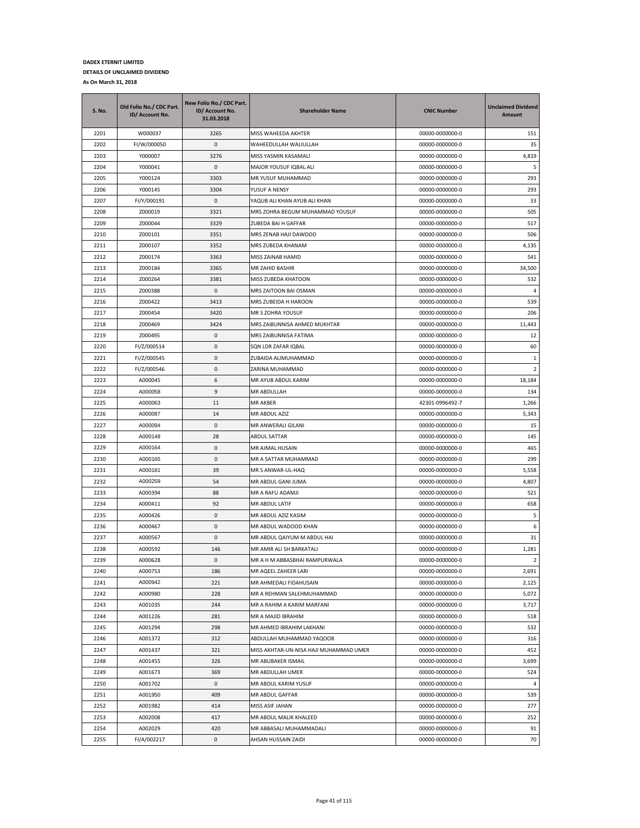| <b>S. No.</b> | Old Folio No./ CDC Part.<br>ID/ Account No. | New Folio No./ CDC Part.<br>ID/ Account No.<br>31.03.2018 | <b>Shareholder Name</b>                | <b>CNIC Number</b> | <b>Unclaimed Dividend</b><br>Amount |
|---------------|---------------------------------------------|-----------------------------------------------------------|----------------------------------------|--------------------|-------------------------------------|
| 2201          | W000037                                     | 3265                                                      | MISS WAHEEDA AKHTER                    | 00000-0000000-0    | 151                                 |
| 2202          | FI/W/000050                                 | 0                                                         | WAHEEDULLAH WALIULLAH                  | 00000-0000000-0    | 35                                  |
| 2203          | Y000007                                     | 3276                                                      | MISS YASMIN KASAMALI                   | 00000-0000000-0    | 4,819                               |
| 2204          | Y000041                                     | 0                                                         | MAJOR YOUSUF IQBAL ALI                 | 00000-0000000-0    | 5                                   |
| 2205          | Y000124                                     | 3303                                                      | MR YUSUF MUHAMMAD                      | 00000-0000000-0    | 293                                 |
| 2206          | Y000145                                     | 3304                                                      | YUSUF A NENSY                          | 00000-0000000-0    | 293                                 |
| 2207          | FI/Y/000191                                 | $\mathsf 0$                                               | YAQUB ALI KHAN AYUB ALI KHAN           | 00000-0000000-0    | 33                                  |
| 2208          | Z000019                                     | 3321                                                      | MRS ZOHRA BEGUM MUHAMMAD YOUSUF        | 00000-0000000-0    | 505                                 |
| 2209          | Z000044                                     | 3329                                                      | ZUBEDA BAI H GAFFAR                    | 00000-0000000-0    | 517                                 |
| 2210          | Z000101                                     | 3351                                                      | MRS ZENAB HAJI DAWOOD                  | 00000-0000000-0    | 506                                 |
| 2211          | Z000107                                     | 3352                                                      | MRS ZUBEDA KHANAM                      | 00000-0000000-0    | 4,135                               |
| 2212          | Z000174                                     | 3363                                                      | MISS ZAINAB HAMID                      | 00000-0000000-0    | 541                                 |
| 2213          | Z000184                                     | 3365                                                      | MR ZAHID BASHIR                        | 00000-0000000-0    | 34,500                              |
| 2214          | Z000264                                     | 3381                                                      | MISS ZUBEDA KHATOON                    | 00000-0000000-0    | 532                                 |
| 2215          | Z000388                                     | 0                                                         | MRS ZAITOON BAI OSMAN                  | 00000-0000000-0    | 4                                   |
| 2216          | Z000422                                     | 3413                                                      | MRS ZUBEIDA H HAROON                   | 00000-0000000-0    | 539                                 |
| 2217          | Z000454                                     | 3420                                                      | MR S ZOHRA YOUSUF                      | 00000-0000000-0    | 206                                 |
| 2218          | Z000469                                     | 3424                                                      | MRS ZAIBUNNISA AHMED MUKHTAR           | 00000-0000000-0    | 11,443                              |
| 2219          | Z000495                                     | 0                                                         | MRS ZAIBUNNISA FATIMA                  | 00000-0000000-0    | 12                                  |
| 2220          | FI/Z/000514                                 | 0                                                         | SQN LDR ZAFAR IQBAL                    | 00000-0000000-0    | 60                                  |
| 2221          | FI/Z/000545                                 | 0                                                         | ZUBAIDA ALIMUHAMMAD                    | 00000-0000000-0    | 1                                   |
| 2222          | FI/Z/000546                                 | 0                                                         | ZARINA MUHAMMAD                        | 00000-0000000-0    | $\overline{2}$                      |
| 2223          | A000045                                     | 6                                                         | MR AYUB ABDUL KARIM                    | 00000-0000000-0    | 18,184                              |
| 2224          | A000058                                     | 9                                                         | MR ABDULLAH                            | 00000-0000000-0    | 134                                 |
| 2225          | A000063                                     | 11                                                        | MR AKBER                               | 42301-0996492-7    | 1,266                               |
| 2226          | A000087                                     | 14                                                        | MR ABDUL AZIZ                          | 00000-0000000-0    | 5,343                               |
| 2227          | A000094                                     | 0                                                         | MR ANWERALI GILANI                     | 00000-0000000-0    | 15                                  |
| 2228          | A000148                                     | 28                                                        | ABDUL SATTAR                           | 00000-0000000-0    | 145                                 |
| 2229          | A000164                                     | 0                                                         | MR AJMAL HUSAIN                        | 00000-0000000-0    | 465                                 |
| 2230          | A000165                                     | 0                                                         | MR A SATTAR MUHAMMAD                   | 00000-0000000-0    | 299                                 |
| 2231          | A000181                                     | 39                                                        | MR S ANWAR-UL-HAQ                      | 00000-0000000-0    | 5,558                               |
| 2232          | A000259                                     | 54                                                        | MR ABDUL GANI JUMA                     | 00000-0000000-0    | 4,807                               |
| 2233          | A000394                                     | 88                                                        | MR A RAFU ADAMJI                       | 00000-0000000-0    | 521                                 |
| 2234          | A000411                                     | 92                                                        | <b>MR ABDUL LATIF</b>                  | 00000-0000000-0    | 658                                 |
| 2235          | A000426                                     | 0                                                         | MR ABDUL AZIZ KASIM                    | 00000-0000000-0    | 5                                   |
| 2236          | A000467                                     | 0                                                         | MR ABDUL WADOOD KHAN                   | 00000-0000000-0    | 6                                   |
| 2237          | A000567                                     | 0                                                         | MR ABDUL QAIYUM M ABDUL HAI            | 00000-0000000-0    | 31                                  |
| 2238          | A000592                                     | 146                                                       | MR AMIR ALI SH BARKATALI               | 00000-0000000-0    | 1,281                               |
| 2239          | A000628                                     | 0                                                         | MR A H M ABBASBHAI RAMPURWALA          | 00000-0000000-0    | $\overline{2}$                      |
| 2240          | A000753                                     | 186                                                       | MR AQEEL ZAHEER LARI                   | 00000-0000000-0    | 2,691                               |
| 2241          | A000942                                     | 221                                                       | MR AHMEDALI FIDAHUSAIN                 | 00000-0000000-0    | 2,125                               |
| 2242          | A000980                                     | 228                                                       | MR A REHMAN SALEHMUHAMMAD              | 00000-0000000-0    | 5,072                               |
| 2243          | A001035                                     | 244                                                       | MR A RAHIM A KARIM MARFANI             | 00000-0000000-0    | 3,717                               |
| 2244          | A001226                                     | 281                                                       | MR A MAJID IBRAHIM                     | 00000-0000000-0    | 518                                 |
| 2245          | A001294                                     | 298                                                       | MR AHMED IBRAHIM LAKHANI               | 00000-0000000-0    | 532                                 |
| 2246          | A001372                                     | 312                                                       | ABDULLAH MUHAMMAD YAQOOB               | 00000-0000000-0    | 316                                 |
| 2247          | A001437                                     | 321                                                       | MISS AKHTAR-UN-NISA HAJI MUHAMMAD UMER | 00000-0000000-0    | 452                                 |
| 2248          | A001455                                     | 326                                                       | MR ABUBAKER ISMAIL                     | 00000-0000000-0    | 3,699                               |
| 2249          | A001673                                     | 369                                                       | MR ABDULLAH UMER                       | 00000-0000000-0    | 524                                 |
| 2250          | A001702                                     | 0                                                         | MR ABDUL KARIM YUSUF                   | 00000-0000000-0    | $\overline{4}$                      |
| 2251          | A001950                                     | 409                                                       | MR ABDUL GAFFAR                        | 00000-0000000-0    | 539                                 |
| 2252          | A001982                                     | 414                                                       | MISS ASIF JAHAN                        | 00000-0000000-0    | 277                                 |
| 2253          | A002008                                     | 417                                                       | MR ABDUL MALIK KHALEED                 | 00000-0000000-0    | 252                                 |
| 2254          | A002029                                     | 420                                                       | MR ABBASALI MUHAMMADALI                | 00000-0000000-0    | 91                                  |
| 2255          | FI/A/002217                                 | 0                                                         | AHSAN HUSSAIN ZAIDI                    | 00000-0000000-0    | 70                                  |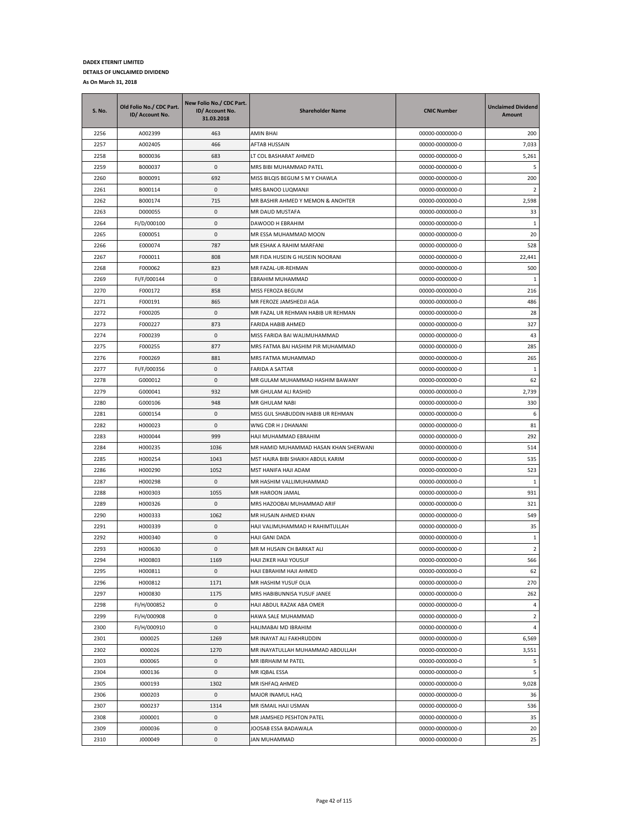| <b>S. No.</b> | Old Folio No./ CDC Part.<br>ID/ Account No. | New Folio No./ CDC Part.<br>ID/ Account No.<br>31.03.2018 | <b>Shareholder Name</b>               | <b>CNIC Number</b> | <b>Unclaimed Dividend</b><br>Amount |
|---------------|---------------------------------------------|-----------------------------------------------------------|---------------------------------------|--------------------|-------------------------------------|
| 2256          | A002399                                     | 463                                                       | AMIN BHAI                             | 00000-0000000-0    | 200                                 |
| 2257          | A002405                                     | 466                                                       | AFTAB HUSSAIN                         | 00000-0000000-0    | 7,033                               |
| 2258          | B000036                                     | 683                                                       | LT COL BASHARAT AHMED                 | 00000-0000000-0    | 5,261                               |
| 2259          | B000037                                     | 0                                                         | MRS BIBI MUHAMMAD PATEL               | 00000-0000000-0    | 5                                   |
| 2260          | B000091                                     | 692                                                       | MISS BILQIS BEGUM S M Y CHAWLA        | 00000-0000000-0    | 200                                 |
| 2261          | B000114                                     | 0                                                         | MRS BANOO LUQMANJI                    | 00000-0000000-0    | $\overline{2}$                      |
| 2262          | B000174                                     | 715                                                       | MR BASHIR AHMED Y MEMON & ANOHTER     | 00000-0000000-0    | 2,598                               |
| 2263          | D000055                                     | 0                                                         | MR DAUD MUSTAFA                       | 00000-0000000-0    | 33                                  |
| 2264          | FI/D/000100                                 | 0                                                         | DAWOOD H EBRAHIM                      | 00000-0000000-0    | 1                                   |
| 2265          | E000051                                     | 0                                                         | MR ESSA MUHAMMAD MOON                 | 00000-0000000-0    | 20                                  |
| 2266          | E000074                                     | 787                                                       | MR ESHAK A RAHIM MARFANI              | 00000-0000000-0    | 528                                 |
| 2267          | F000011                                     | 808                                                       | MR FIDA HUSEIN G HUSEIN NOORANI       | 00000-0000000-0    | 22,441                              |
| 2268          | F000062                                     | 823                                                       | MR FAZAL-UR-REHMAN                    | 00000-0000000-0    | 500                                 |
| 2269          | FI/F/000144                                 | 0                                                         | EBRAHIM MUHAMMAD                      | 00000-0000000-0    | 1                                   |
| 2270          | F000172                                     | 858                                                       | MISS FEROZA BEGUM                     | 00000-0000000-0    | 216                                 |
| 2271          | F000191                                     | 865                                                       | MR FEROZE JAMSHEDJI AGA               | 00000-0000000-0    | 486                                 |
| 2272          | F000205                                     | 0                                                         | MR FAZAL UR REHMAN HABIB UR REHMAN    | 00000-0000000-0    | 28                                  |
| 2273          | F000227                                     | 873                                                       | <b>FARIDA HABIB AHMED</b>             | 00000-0000000-0    | 327                                 |
| 2274          | F000239                                     | 0                                                         | MISS FARIDA BAI WALIMUHAMMAD          | 00000-0000000-0    | 43                                  |
| 2275          | F000255                                     | 877                                                       | MRS FATMA BAI HASHIM PIR MUHAMMAD     | 00000-0000000-0    | 285                                 |
| 2276          | F000269                                     | 881                                                       | MRS FATMA MUHAMMAD                    | 00000-0000000-0    | 265                                 |
| 2277          | FI/F/000356                                 | 0                                                         | FARIDA A SATTAR                       | 00000-0000000-0    | 1                                   |
| 2278          | G000012                                     | 0                                                         | MR GULAM MUHAMMAD HASHIM BAWANY       | 00000-0000000-0    | 62                                  |
| 2279          | G000041                                     | 932                                                       | MR GHULAM ALI RASHID                  | 00000-0000000-0    | 2,739                               |
| 2280          | G000106                                     | 948                                                       | MR GHULAM NABI                        | 00000-0000000-0    | 330                                 |
| 2281          | G000154                                     | 0                                                         | MISS GUL SHABUDDIN HABIB UR REHMAN    | 00000-0000000-0    | 6                                   |
| 2282          | H000023                                     | 0                                                         | WNG CDR H J DHANANI                   | 00000-0000000-0    | 81                                  |
| 2283          | H000044                                     | 999                                                       | HAJI MUHAMMAD EBRAHIM                 | 00000-0000000-0    | 292                                 |
| 2284          | H000235                                     | 1036                                                      | MR HAMID MUHAMMAD HASAN KHAN SHERWANI | 00000-0000000-0    | 514                                 |
| 2285          | H000254                                     | 1043                                                      | MST HAJRA BIBI SHAIKH ABDUL KARIM     | 00000-0000000-0    | 535                                 |
| 2286          | H000290                                     | 1052                                                      | MST HANIFA HAJI ADAM                  | 00000-0000000-0    | 523                                 |
| 2287          | H000298                                     | 0                                                         | MR HASHIM VALLIMUHAMMAD               | 00000-0000000-0    | 1                                   |
| 2288          | H000303                                     | 1055                                                      | MR HAROON JAMAL                       | 00000-0000000-0    | 931                                 |
| 2289          | H000326                                     | 0                                                         | MRS HAZOOBAI MUHAMMAD ARIF            | 00000-0000000-0    | 321                                 |
| 2290          | H000333                                     | 1062                                                      | MR HUSAIN AHMED KHAN                  | 00000-0000000-0    | 549                                 |
| 2291          | H000339                                     | $\mathbf{0}$                                              | HAJI VALIMUHAMMAD H RAHIMTULLAH       | 00000-0000000-0    | 35                                  |
| 2292          | H000340                                     | 0                                                         | HAJI GANI DADA                        | 00000-0000000-0    | 1                                   |
| 2293          | H000630                                     | 0                                                         | MR M HUSAIN CH BARKAT ALI             | 00000-0000000-0    | $\overline{2}$                      |
| 2294          | H000803                                     | 1169                                                      | <b>HAJI ZIKER HAJI YOUSUF</b>         | 00000-0000000-0    | 566                                 |
| 2295          | H000811                                     | 0                                                         | HAJI EBRAHIM HAJI AHMED               | 00000-0000000-0    | 62                                  |
| 2296          | H000812                                     | 1171                                                      | MR HASHIM YUSUF OLIA                  | 00000-0000000-0    | 270                                 |
| 2297          | H000830                                     | 1175                                                      | MRS HABIBUNNISA YUSUF JANEE           | 00000-0000000-0    | 262                                 |
| 2298          | FI/H/000852                                 | 0                                                         | HAJI ABDUL RAZAK ABA OMER             | 00000-0000000-0    | 4                                   |
| 2299          | FI/H/000908                                 | 0                                                         | HAWA SALE MUHAMMAD                    | 00000-0000000-0    | $\overline{2}$                      |
| 2300          | FI/H/000910                                 | 0                                                         | HALIMABAI MD IBRAHIM                  | 00000-0000000-0    | 4                                   |
| 2301          | 1000025                                     | 1269                                                      | MR INAYAT ALI FAKHRUDDIN              | 00000-0000000-0    | 6,569                               |
| 2302          | 1000026                                     | 1270                                                      | MR INAYATULLAH MUHAMMAD ABDULLAH      | 00000-0000000-0    | 3,551                               |
| 2303          | 1000065                                     | 0                                                         | MR IBRHAIM M PATEL                    | 00000-0000000-0    | 5                                   |
| 2304          | 1000136                                     | 0                                                         | MR IQBAL ESSA                         | 00000-0000000-0    | 5                                   |
| 2305          | 1000193                                     | 1302                                                      | MR ISHFAQ AHMED                       | 00000-0000000-0    | 9,028                               |
| 2306          | 1000203                                     | 0                                                         | MAJOR INAMUL HAQ                      | 00000-0000000-0    | 36                                  |
| 2307          | 1000237                                     | 1314                                                      | MR ISMAIL HAJI USMAN                  | 00000-0000000-0    | 536                                 |
| 2308          | J000001                                     | 0                                                         | MR JAMSHED PESHTON PATEL              | 00000-0000000-0    | 35                                  |
| 2309          | J000036                                     | 0                                                         | JOOSAB ESSA BADAWALA                  | 00000-0000000-0    | 20                                  |
| 2310          | J000049                                     | 0                                                         | JAN MUHAMMAD                          | 00000-0000000-0    | 25                                  |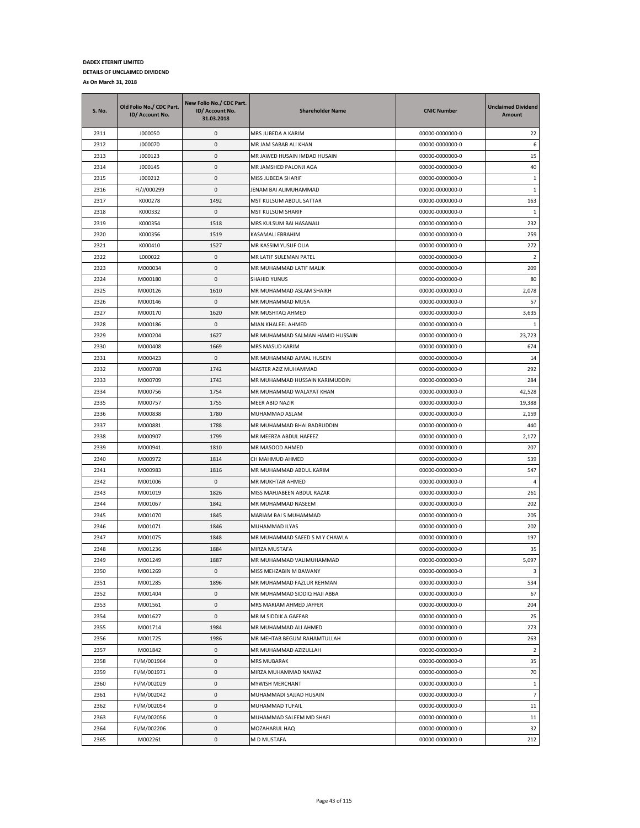| <b>S. No.</b> | Old Folio No./ CDC Part.<br>ID/ Account No. | New Folio No./ CDC Part.<br>ID/ Account No.<br>31.03.2018 | <b>Shareholder Name</b>          | <b>CNIC Number</b> | <b>Unclaimed Dividend</b><br><b>Amount</b> |
|---------------|---------------------------------------------|-----------------------------------------------------------|----------------------------------|--------------------|--------------------------------------------|
| 2311          | J000050                                     | 0                                                         | MRS JUBEDA A KARIM               | 00000-0000000-0    | 22                                         |
| 2312          | J000070                                     | 0                                                         | MR JAM SABAB ALI KHAN            | 00000-0000000-0    | 6                                          |
| 2313          | J000123                                     | 0                                                         | MR JAWED HUSAIN IMDAD HUSAIN     | 00000-0000000-0    | 15                                         |
| 2314          | J000145                                     | 0                                                         | MR JAMSHED PALONJI AGA           | 00000-0000000-0    | 40                                         |
| 2315          | J000212                                     | 0                                                         | MISS JUBEDA SHARIF               | 00000-0000000-0    | $\mathbf{1}$                               |
| 2316          | FI/J/000299                                 | 0                                                         | JENAM BAI ALIMUHAMMAD            | 00000-0000000-0    | $\mathbf{1}$                               |
| 2317          | K000278                                     | 1492                                                      | MST KULSUM ABDUL SATTAR          | 00000-0000000-0    | 163                                        |
| 2318          | K000332                                     | 0                                                         | <b>MST KULSUM SHARIF</b>         | 00000-0000000-0    | 1                                          |
| 2319          | K000354                                     | 1518                                                      | MRS KULSUM BAI HASANALI          | 00000-0000000-0    | 232                                        |
| 2320          | K000356                                     | 1519                                                      | KASAMALI EBRAHIM                 | 00000-0000000-0    | 259                                        |
| 2321          | K000410                                     | 1527                                                      | MR KASSIM YUSUF OLIA             | 00000-0000000-0    | 272                                        |
| 2322          | L000022                                     | 0                                                         | MR LATIF SULEMAN PATEL           | 00000-0000000-0    | $\overline{2}$                             |
| 2323          | M000034                                     | 0                                                         | MR MUHAMMAD LATIF MALIK          | 00000-0000000-0    | 209                                        |
| 2324          | M000180                                     | 0                                                         | <b>SHAHID YUNUS</b>              | 00000-0000000-0    | 80                                         |
| 2325          | M000126                                     | 1610                                                      | MR MUHAMMAD ASLAM SHAIKH         | 00000-0000000-0    | 2,078                                      |
| 2326          | M000146                                     | 0                                                         | MR MUHAMMAD MUSA                 | 00000-0000000-0    | 57                                         |
| 2327          | M000170                                     | 1620                                                      | MR MUSHTAQ AHMED                 | 00000-0000000-0    | 3,635                                      |
| 2328          | M000186                                     | 0                                                         | MIAN KHALEEL AHMED               | 00000-0000000-0    | $\mathbf{1}$                               |
| 2329          | M000204                                     | 1627                                                      | MR MUHAMMAD SALMAN HAMID HUSSAIN | 00000-0000000-0    | 23,723                                     |
| 2330          | M000408                                     | 1669                                                      | MRS MASUD KARIM                  | 00000-0000000-0    | 674                                        |
| 2331          | M000423                                     | 0                                                         | MR MUHAMMAD AJMAL HUSEIN         | 00000-0000000-0    | 14                                         |
| 2332          | M000708                                     | 1742                                                      | MASTER AZIZ MUHAMMAD             | 00000-0000000-0    | 292                                        |
| 2333          | M000709                                     | 1743                                                      | MR MUHAMMAD HUSSAIN KARIMUDDIN   | 00000-0000000-0    | 284                                        |
| 2334          | M000756                                     | 1754                                                      | MR MUHAMMAD WALAYAT KHAN         | 00000-0000000-0    | 42,528                                     |
| 2335          | M000757                                     | 1755                                                      | <b>MEER ABID NAZIR</b>           | 00000-0000000-0    | 19,388                                     |
| 2336          | M000838                                     | 1780                                                      | MUHAMMAD ASLAM                   | 00000-0000000-0    | 2,159                                      |
| 2337          | M000881                                     | 1788                                                      | MR MUHAMMAD BHAI BADRUDDIN       | 00000-0000000-0    | 440                                        |
| 2338          | M000907                                     | 1799                                                      | MR MEERZA ABDUL HAFEEZ           | 00000-0000000-0    | 2,172                                      |
| 2339          | M000941                                     | 1810                                                      | MR MASOOD AHMED                  | 00000-0000000-0    | 207                                        |
| 2340          | M000972                                     | 1814                                                      | CH MAHMUD AHMED                  | 00000-0000000-0    | 539                                        |
| 2341          | M000983                                     | 1816                                                      | MR MUHAMMAD ABDUL KARIM          | 00000-0000000-0    | 547                                        |
| 2342          | M001006                                     | 0                                                         | MR MUKHTAR AHMED                 | 00000-0000000-0    | $\overline{4}$                             |
| 2343          | M001019                                     | 1826                                                      | MISS MAHJABEEN ABDUL RAZAK       | 00000-0000000-0    | 261                                        |
| 2344          | M001067                                     | 1842                                                      | MR MUHAMMAD NASEEM               | 00000-0000000-0    | 202                                        |
| 2345          | M001070                                     | 1845                                                      | MARIAM BAI S MUHAMMAD            | 00000-0000000-0    | 205                                        |
| 2346          | M001071                                     | 1846                                                      | MUHAMMAD ILYAS                   | 00000-0000000-0    | 202                                        |
| 2347          | M001075                                     | 1848                                                      | MR MUHAMMAD SAEED S M Y CHAWLA   | 00000-0000000-0    | 197                                        |
| 2348          | M001236                                     | 1884                                                      | MIRZA MUSTAFA                    | 00000-0000000-0    | 35                                         |
| 2349          | M001249                                     | 1887                                                      | MR MUHAMMAD VALIMUHAMMAD         | 00000-0000000-0    | 5,097                                      |
| 2350          | M001269                                     | 0                                                         | MISS MEHZABIN M BAWANY           | 00000-0000000-0    | 3                                          |
| 2351          | M001285                                     | 1896                                                      | MR MUHAMMAD FAZLUR REHMAN        | 00000-0000000-0    | 534                                        |
| 2352          | M001404                                     | 0                                                         | MR MUHAMMAD SIDDIQ HAJI ABBA     | 00000-0000000-0    | 67                                         |
| 2353          | M001561                                     | 0                                                         | MRS MARIAM AHMED JAFFER          | 00000-0000000-0    | 204                                        |
| 2354          | M001627                                     | 0                                                         | MR M SIDDIK A GAFFAR             | 00000-0000000-0    | 25                                         |
| 2355          | M001714                                     | 1984                                                      | MR MUHAMMAD ALI AHMED            | 00000-0000000-0    | 273                                        |
| 2356          | M001725                                     | 1986                                                      | MR MEHTAB BEGUM RAHAMTULLAH      | 00000-0000000-0    | 263                                        |
| 2357          | M001842                                     | 0                                                         | MR MUHAMMAD AZIZULLAH            | 00000-0000000-0    | $\overline{2}$                             |
| 2358          | FI/M/001964                                 | 0                                                         | <b>MRS MUBARAK</b>               | 00000-0000000-0    | 35                                         |
| 2359          | FI/M/001971                                 | 0                                                         | MIRZA MUHAMMAD NAWAZ             | 00000-0000000-0    | 70                                         |
| 2360          | FI/M/002029                                 | 0                                                         | MYWISH MERCHANT                  | 00000-0000000-0    | $\mathbf{1}$                               |
| 2361          | FI/M/002042                                 | $\pmb{0}$                                                 | MUHAMMADI SAJJAD HUSAIN          | 00000-0000000-0    | $\overline{7}$                             |
| 2362          | FI/M/002054                                 | 0                                                         | MUHAMMAD TUFAIL                  | 00000-0000000-0    | 11                                         |
| 2363          | FI/M/002056                                 | 0                                                         | MUHAMMAD SALEEM MD SHAFI         | 00000-0000000-0    | 11                                         |
| 2364          | FI/M/002206                                 | 0                                                         | MOZAHARUL HAQ                    | 00000-0000000-0    | 32                                         |
| 2365          | M002261                                     | 0                                                         | M D MUSTAFA                      | 00000-0000000-0    | 212                                        |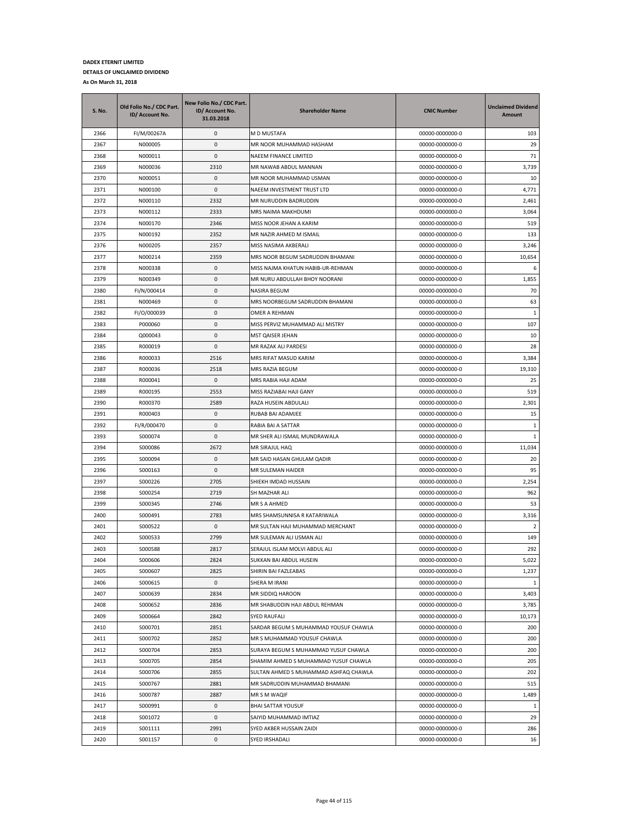| S. No. | Old Folio No./ CDC Part.<br>ID/ Account No. | New Folio No./ CDC Part.<br>ID/ Account No.<br>31.03.2018 | <b>Shareholder Name</b>               | <b>CNIC Number</b> | <b>Unclaimed Dividend</b><br>Amount |
|--------|---------------------------------------------|-----------------------------------------------------------|---------------------------------------|--------------------|-------------------------------------|
| 2366   | FI/M/00267A                                 | 0                                                         | M D MUSTAFA                           | 00000-0000000-0    | 103                                 |
| 2367   | N000005                                     | 0                                                         | MR NOOR MUHAMMAD HASHAM               | 00000-0000000-0    | 29                                  |
| 2368   | N000011                                     | $\mathbf{0}$                                              | NAEEM FINANCE LIMITED                 | 00000-0000000-0    | 71                                  |
| 2369   | N000036                                     | 2310                                                      | MR NAWAB ABDUL MANNAN                 | 00000-0000000-0    | 3,739                               |
| 2370   | N000051                                     | 0                                                         | MR NOOR MUHAMMAD USMAN                | 00000-0000000-0    | 10                                  |
| 2371   | N000100                                     | 0                                                         | NAEEM INVESTMENT TRUST LTD            | 00000-0000000-0    | 4,771                               |
| 2372   | N000110                                     | 2332                                                      | MR NURUDDIN BADRUDDIN                 | 00000-0000000-0    | 2,461                               |
| 2373   | N000112                                     | 2333                                                      | MRS NAIMA MAKHDUMI                    | 00000-0000000-0    | 3,064                               |
| 2374   | N000170                                     | 2346                                                      | MISS NOOR JEHAN A KARIM               | 00000-0000000-0    | 519                                 |
| 2375   | N000192                                     | 2352                                                      | MR NAZIR AHMED M ISMAIL               | 00000-0000000-0    | 133                                 |
| 2376   | N000205                                     | 2357                                                      | MISS NASIMA AKBERALI                  | 00000-0000000-0    | 3,246                               |
| 2377   | N000214                                     | 2359                                                      | MRS NOOR BEGUM SADRUDDIN BHAMANI      | 00000-0000000-0    | 10,654                              |
| 2378   | N000338                                     | 0                                                         | MISS NAJMA KHATUN HABIB-UR-REHMAN     | 00000-0000000-0    | 6                                   |
| 2379   | N000349                                     | 0                                                         | MR NURU ABDULLAH BHOY NOORANI         | 00000-0000000-0    | 1,855                               |
| 2380   | FI/N/000414                                 | 0                                                         | NASIRA BEGUM                          | 00000-0000000-0    | 70                                  |
| 2381   | N000469                                     | 0                                                         | MRS NOORBEGUM SADRUDDIN BHAMANI       | 00000-0000000-0    | 63                                  |
| 2382   | FI/O/000039                                 | 0                                                         | OMER A REHMAN                         | 00000-0000000-0    | 1                                   |
| 2383   | P000060                                     | 0                                                         | MISS PERVIZ MUHAMMAD ALI MISTRY       | 00000-0000000-0    | 107                                 |
| 2384   | Q000043                                     | 0                                                         | MST QAISER JEHAN                      | 00000-0000000-0    | 10                                  |
| 2385   | R000019                                     | 0                                                         | MR RAZAK ALI PARDESI                  | 00000-0000000-0    | 28                                  |
| 2386   | R000033                                     | 2516                                                      | MRS RIFAT MASUD KARIM                 | 00000-0000000-0    | 3,384                               |
| 2387   | R000036                                     | 2518                                                      | MRS RAZIA BEGUM                       | 00000-0000000-0    | 19,310                              |
| 2388   | R000041                                     | 0                                                         | MRS RABIA HAJI ADAM                   | 00000-0000000-0    | 25                                  |
| 2389   | R000195                                     | 2553                                                      | MISS RAZIABAI HAJI GANY               | 00000-0000000-0    | 519                                 |
| 2390   | R000370                                     | 2589                                                      | RAZA HUSEIN ABDULALI                  | 00000-0000000-0    | 2,301                               |
| 2391   | R000403                                     | 0                                                         | RUBAB BAI ADAMJEE                     | 00000-0000000-0    | 15                                  |
| 2392   | FI/R/000470                                 | 0                                                         | RABIA BAI A SATTAR                    | 00000-0000000-0    | $\mathbf{1}$                        |
| 2393   | S000074                                     | 0                                                         | MR SHER ALI ISMAIL MUNDRAWALA         | 00000-0000000-0    | $1\,$                               |
| 2394   | S000086                                     | 2672                                                      | MR SIRAJUL HAQ                        | 00000-0000000-0    | 11,034                              |
| 2395   | S000094                                     | 0                                                         | MR SAID HASAN GHULAM QADIR            | 00000-0000000-0    | 20                                  |
| 2396   | S000163                                     | 0                                                         | MR SULEMAN HAIDER                     | 00000-0000000-0    | 95                                  |
| 2397   | S000226                                     | 2705                                                      | SHIEKH IMDAD HUSSAIN                  | 00000-0000000-0    | 2,254                               |
| 2398   | S000254                                     | 2719                                                      | SH MAZHAR ALI                         | 00000-0000000-0    | 962                                 |
| 2399   | S000345                                     | 2746                                                      | <b>MR S A AHMED</b>                   | 00000-0000000-0    | 53                                  |
| 2400   | S000491                                     | 2783                                                      | MRS SHAMSUNNISA R KATARIWALA          | 00000-0000000-0    | 3,316                               |
| 2401   | S000522                                     | 0                                                         | MR SULTAN HAJI MUHAMMAD MERCHANT      | 00000-0000000-0    | 2                                   |
| 2402   | S000533                                     | 2799                                                      | MR SULEMAN ALI USMAN ALI              | 00000-0000000-0    | 149                                 |
| 2403   | S000588                                     | 2817                                                      | SERAJUL ISLAM MOLVI ABDUL ALI         | 00000-0000000-0    | 292                                 |
| 2404   | S000606                                     | 2824                                                      | SUKKAN BAI ABDUL HUSEIN               | 00000-0000000-0    | 5,022                               |
| 2405   | S000607                                     | 2825                                                      | SHIRIN BAI FAZLEABAS                  | 00000-0000000-0    | 1,237                               |
| 2406   | S000615                                     | 0                                                         | SHERA M IRANI                         | 00000-0000000-0    | 1                                   |
| 2407   | S000639                                     | 2834                                                      | MR SIDDIQ HAROON                      | 00000-0000000-0    | 3,403                               |
| 2408   | S000652                                     | 2836                                                      | MR SHABUDDIN HAJI ABDUL REHMAN        | 00000-0000000-0    | 3,785                               |
| 2409   | S000664                                     | 2842                                                      | <b>SYED RAUFALI</b>                   | 00000-0000000-0    | 10,173                              |
| 2410   | S000701                                     | 2851                                                      | SARDAR BEGUM S MUHAMMAD YOUSUF CHAWLA | 00000-0000000-0    | 200                                 |
| 2411   | S000702                                     | 2852                                                      | MR S MUHAMMAD YOUSUF CHAWLA           | 00000-0000000-0    | 200                                 |
| 2412   | S000704                                     | 2853                                                      | SURAYA BEGUM S MUHAMMAD YUSUF CHAWLA  | 00000-0000000-0    | 200                                 |
| 2413   | S000705                                     | 2854                                                      | SHAMIM AHMED S MUHAMMAD YUSUF CHAWLA  | 00000-0000000-0    | 205                                 |
| 2414   | S000706                                     | 2855                                                      | SULTAN AHMED S MUHAMMAD ASHFAQ CHAWLA | 00000-0000000-0    | 202                                 |
| 2415   | S000767                                     | 2881                                                      | MR SADRUDDIN MUHAMMAD BHAMANI         | 00000-0000000-0    | 515                                 |
| 2416   | S000787                                     | 2887                                                      | MR S M WAQIF                          | 00000-0000000-0    | 1,489                               |
| 2417   | S000991                                     | 0                                                         | <b>BHAI SATTAR YOUSUF</b>             | 00000-0000000-0    | $\mathbf{1}$                        |
| 2418   | S001072                                     | 0                                                         | SAIYID MUHAMMAD IMTIAZ                | 00000-0000000-0    | 29                                  |
| 2419   | S001111                                     | 2991                                                      | SYED AKBER HUSSAIN ZAIDI              | 00000-0000000-0    | 286                                 |
| 2420   | S001157                                     | 0                                                         | SYED IRSHADALI                        | 00000-0000000-0    | 16                                  |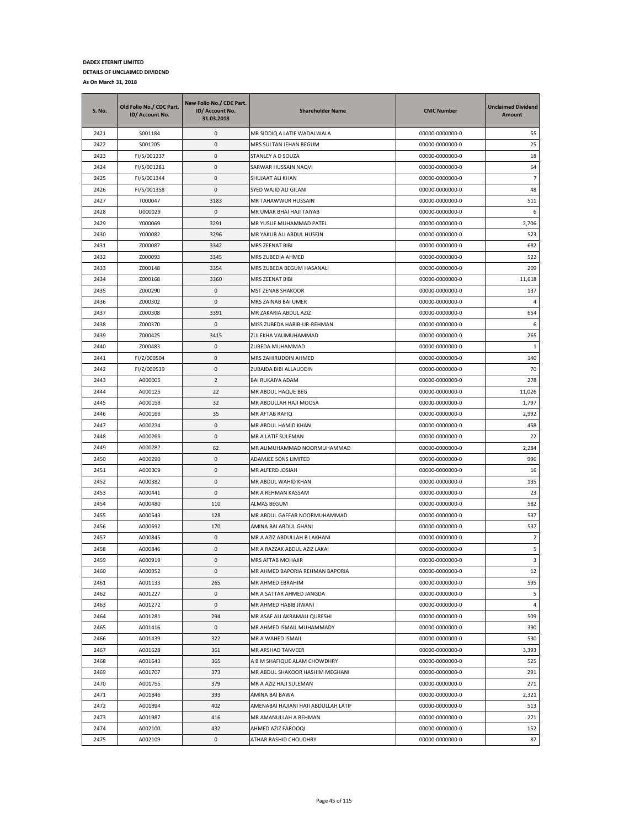| <b>S. No.</b> | Old Folio No./ CDC Part.<br>ID/ Account No. | New Folio No./ CDC Part.<br>ID/ Account No.<br>31.03.2018 | <b>Shareholder Name</b>              | <b>CNIC Number</b> | <b>Unclaimed Dividend</b><br>Amount |
|---------------|---------------------------------------------|-----------------------------------------------------------|--------------------------------------|--------------------|-------------------------------------|
| 2421          | S001184                                     | 0                                                         | MR SIDDIQ A LATIF WADALWALA          | 00000-0000000-0    | 55                                  |
| 2422          | S001205                                     | 0                                                         | MRS SULTAN JEHAN BEGUM               | 00000-0000000-0    | 25                                  |
| 2423          | FI/S/001237                                 | 0                                                         | STANLEY A D SOUZA                    | 00000-0000000-0    | 18                                  |
| 2424          | FI/S/001281                                 | 0                                                         | SARWAR HUSSAIN NAQVI                 | 00000-0000000-0    | 64                                  |
| 2425          | FI/S/001344                                 | 0                                                         | SHUJAAT ALI KHAN                     | 00000-0000000-0    | $\overline{7}$                      |
| 2426          | FI/S/001358                                 | 0                                                         | SYED WAJID ALI GILANI                | 00000-0000000-0    | 48                                  |
| 2427          | T000047                                     | 3183                                                      | MR TAHAWWUR HUSSAIN                  | 00000-0000000-0    | 511                                 |
| 2428          | U000029                                     | 0                                                         | MR UMAR BHAI HAJI TAIYAB             | 00000-0000000-0    | 6                                   |
| 2429          | Y000069                                     | 3291                                                      | MR YUSUF MUHAMMAD PATEL              | 00000-0000000-0    | 2,706                               |
| 2430          | Y000082                                     | 3296                                                      | MR YAKUB ALI ABDUL HUSEIN            | 00000-0000000-0    | 523                                 |
| 2431          | Z000087                                     | 3342                                                      | MRS ZEENAT BIBI                      | 00000-0000000-0    | 682                                 |
| 2432          | Z000093                                     | 3345                                                      | MRS ZUBEDIA AHMED                    | 00000-0000000-0    | 522                                 |
| 2433          | Z000148                                     | 3354                                                      | MRS ZUBEDA BEGUM HASANALI            | 00000-0000000-0    | 209                                 |
| 2434          | Z000168                                     | 3360                                                      | MRS ZEENAT BIBI                      | 00000-0000000-0    | 11,618                              |
| 2435          | Z000290                                     | 0                                                         | MST ZENAB SHAKOOR                    | 00000-0000000-0    | 137                                 |
| 2436          | Z000302                                     | 0                                                         | MRS ZAINAB BAI UMER                  | 00000-0000000-0    | $\overline{4}$                      |
| 2437          | Z000308                                     | 3391                                                      | MR ZAKARIA ABDUL AZIZ                | 00000-0000000-0    | 654                                 |
| 2438          | Z000370                                     | 0                                                         | MISS ZUBEDA HABIB-UR-REHMAN          | 00000-0000000-0    | 6                                   |
| 2439          | Z000425                                     | 3415                                                      | ZULEKHA VALIMUHAMMAD                 | 00000-0000000-0    | 265                                 |
| 2440          | Z000483                                     | 0                                                         | ZUBEDA MUHAMMAD                      | 00000-0000000-0    | 1                                   |
| 2441          | FI/Z/000504                                 | 0                                                         | MRS ZAHIRUDDIN AHMED                 | 00000-0000000-0    | 140                                 |
| 2442          | FI/Z/000539                                 | $\pmb{0}$                                                 | ZUBAIDA BIBI ALLAUDDIN               | 00000-0000000-0    | 70                                  |
| 2443          | A000005                                     | $\overline{2}$                                            | <b>BAI RUKAIYA ADAM</b>              | 00000-0000000-0    | 278                                 |
| 2444          | A000125                                     | 22                                                        | MR ABDUL HAQUE BEG                   | 00000-0000000-0    | 11,026                              |
| 2445          | A000158                                     | 32                                                        | MR ABDULLAH HAJI MOOSA               | 00000-0000000-0    | 1,797                               |
| 2446          | A000166                                     | 35                                                        | MR AFTAB RAFIQ                       | 00000-0000000-0    | 2,992                               |
| 2447          | A000234                                     | 0                                                         | MR ABDUL HAMID KHAN                  | 00000-0000000-0    | 458                                 |
| 2448          | A000266                                     | $\mathsf 0$                                               | MR A LATIF SULEMAN                   | 00000-0000000-0    | 22                                  |
| 2449          | A000282                                     | 62                                                        | MR ALIMUHAMMAD NOORMUHAMMAD          | 00000-0000000-0    | 2,284                               |
| 2450          | A000290                                     | 0                                                         | ADAMJEE SONS LIMITED                 | 00000-0000000-0    | 996                                 |
| 2451          | A000309                                     | 0                                                         | MR ALFERD JOSIAH                     | 00000-0000000-0    | 16                                  |
| 2452          | A000382                                     | 0                                                         | MR ABDUL WAHID KHAN                  | 00000-0000000-0    | 135                                 |
| 2453          | A000441                                     | 0                                                         | MR A REHMAN KASSAM                   | 00000-0000000-0    | 23                                  |
| 2454          | A000480                                     | 110                                                       | <b>ALMAS BEGUM</b>                   | 00000-0000000-0    | 582                                 |
| 2455          | A000543                                     | 128                                                       | MR ABDUL GAFFAR NOORMUHAMMAD         | 00000-0000000-0    | 537                                 |
| 2456          | A000692                                     | 170                                                       | AMINA BAI ABDUL GHANI                | 00000-0000000-0    | 537                                 |
| 2457          | A000845                                     | 0                                                         | MR A AZIZ ABDULLAH B LAKHANI         | 00000-0000000-0    | $\overline{2}$                      |
| 2458          | A000846                                     | $\pmb{0}$                                                 | MR A RAZZAK ABDUL AZIZ LAKAI         | 00000-0000000-0    | 5                                   |
| 2459          | A000919                                     | 0                                                         | <b>MRS AFTAB MOHAJIR</b>             | 00000-0000000-0    | 3                                   |
| 2460          | A000952                                     | 0                                                         | MR AHMED BAPORIA REHMAN BAPORIA      | 00000-0000000-0    | 12                                  |
| 2461          | A001133                                     | 265                                                       | MR AHMED EBRAHIM                     | 00000-0000000-0    | 595                                 |
| 2462          | A001227                                     | $\mathsf 0$                                               | MR A SATTAR AHMED JANGDA             | 00000-0000000-0    | 5                                   |
| 2463          | A001272                                     | 0                                                         | MR AHMED HABIB JIWANI                | 00000-0000000-0    | $\overline{4}$                      |
| 2464          | A001281                                     | 294                                                       | MR ASAF ALI AKRAMALI QURESHI         | 00000-0000000-0    | 509                                 |
| 2465          | A001416                                     | 0                                                         | MR AHMED ISMAIL MUHAMMADY            | 00000-0000000-0    | 390                                 |
| 2466          | A001439                                     | 322                                                       | MR A WAHED ISMAIL                    | 00000-0000000-0    | 530                                 |
| 2467          | A001628                                     | 361                                                       | MR ARSHAD TANVEER                    | 00000-0000000-0    | 3,393                               |
| 2468          | A001643                                     | 365                                                       | A B M SHAFIQUE ALAM CHOWDHRY         | 00000-0000000-0    | 525                                 |
| 2469          | A001707                                     | 373                                                       | MR ABDUL SHAKOOR HASHIM MEGHANI      | 00000-0000000-0    | 291                                 |
| 2470          | A001755                                     | 379                                                       | MR A AZIZ HAJI SULEMAN               | 00000-0000000-0    | 271                                 |
| 2471          | A001846                                     | 393                                                       | AMINA BAI BAWA                       | 00000-0000000-0    | 2,321                               |
| 2472          | A001894                                     | 402                                                       | AMENABAI HAJIANI HAJI ABDULLAH LATIF | 00000-0000000-0    | 513                                 |
| 2473          | A001987                                     | 416                                                       | MR AMANULLAH A REHMAN                | 00000-0000000-0    | 271                                 |
| 2474          | A002100                                     | 432                                                       | AHMED AZIZ FAROOQI                   | 00000-0000000-0    | 152                                 |
| 2475          | A002109                                     | 0                                                         | ATHAR RASHID CHOUDHRY                | 00000-0000000-0    | 87                                  |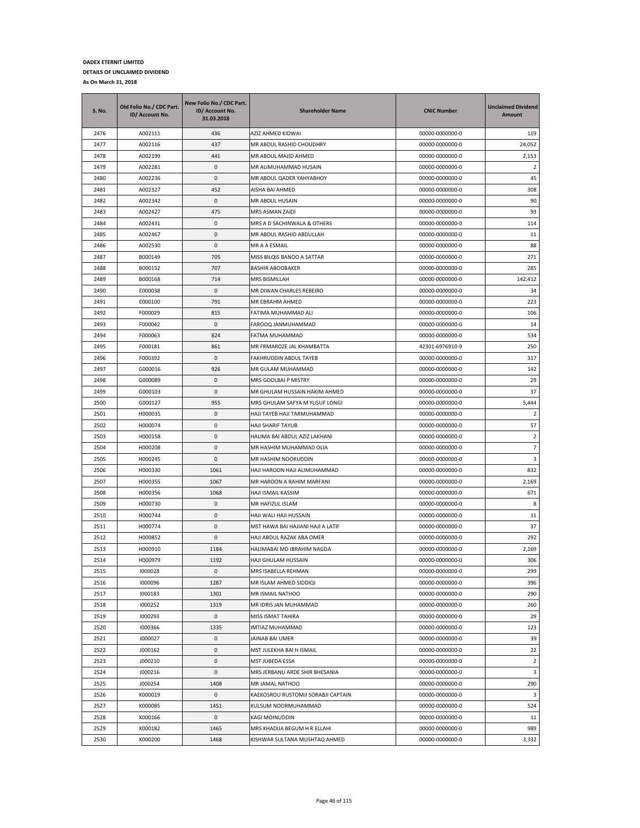| <b>S. No.</b> | Old Folio No./ CDC Part.<br>ID/ Account No. | New Folio No./ CDC Part.<br>ID/ Account No.<br>31.03.2018 | <b>Shareholder Name</b>            | <b>CNIC Number</b> | <b>Unclaimed Dividend</b><br>Amount |
|---------------|---------------------------------------------|-----------------------------------------------------------|------------------------------------|--------------------|-------------------------------------|
| 2476          | A002111                                     | 436                                                       | AZIZ AHMED KIDWAI                  | 00000-0000000-0    | 119                                 |
| 2477          | A002116                                     | 437                                                       | MR ABDUL RASHID CHOUDHRY           | 00000-0000000-0    | 24,052                              |
| 2478          | A002199                                     | 441                                                       | MR ABDUL MAJID AHMED               | 00000-0000000-0    | 2,153                               |
| 2479          | A002281                                     | 0                                                         | MR ALIMUHAMMAD HUSAIN              | 00000-0000000-0    | $\overline{2}$                      |
| 2480          | A002236                                     | 0                                                         | MR ABDUL QADER YAHYABHOY           | 00000-0000000-0    | 45                                  |
| 2481          | A002327                                     | 452                                                       | AISHA BAI AHMED                    | 00000-0000000-0    | 308                                 |
| 2482          | A002342                                     | 0                                                         | MR ABDUL HUSAIN                    | 00000-0000000-0    | 90                                  |
| 2483          | A002427                                     | 475                                                       | MRS ASMAN ZAIDI                    | 00000-0000000-0    | 93                                  |
| 2484          | A002431                                     | 0                                                         | MRS A D SACHINWALA & OTHERS        | 00000-0000000-0    | 114                                 |
| 2485          | A002467                                     | 0                                                         | MR ABDUL RASHID ABDULLAH           | 00000-0000000-0    | 11                                  |
| 2486          | A002530                                     | 0                                                         | MR A A ESMAIL                      | 00000-0000000-0    | 88                                  |
| 2487          | B000149                                     | 705                                                       | MISS BILQIS BANOO A SATTAR         | 00000-0000000-0    | 271                                 |
| 2488          | B000152                                     | 707                                                       | <b>BASHIR ABOOBAKER</b>            | 00000-0000000-0    | 285                                 |
| 2489          | B000168                                     | 714                                                       | MRS BISMILLAH                      | 00000-0000000-0    | 142,412                             |
| 2490          | E000038                                     | 0                                                         | MR DIWAN CHARLES REBEIRO           | 00000-0000000-0    | 34                                  |
| 2491          | E000100                                     | 791                                                       | MR EBRAHM AHMED                    | 00000-0000000-0    | 223                                 |
| 2492          | F000029                                     | 815                                                       | FATIMA MUHAMMAD ALI                | 00000-0000000-0    | 106                                 |
| 2493          | F000042                                     | 0                                                         | FAROOQ JANMUHAMMAD                 | 00000-0000000-0    | 14                                  |
| 2494          | F000063                                     | 824                                                       | FATMA MUHAMMAD                     | 00000-0000000-0    | 534                                 |
| 2495          | F000181                                     | 861                                                       | MR FRMAROZE JAL KHAMBATTA          | 42301-6976910-9    | 250                                 |
| 2496          | F000392                                     | 0                                                         | FAKHRUDDIN ABDUL TAYEB             | 00000-0000000-0    | 317                                 |
| 2497          | G000016                                     | 926                                                       | MR GULAM MUHAMMAD                  | 00000-0000000-0    | 142                                 |
| 2498          | G000089                                     | 0                                                         | MRS GOOLBAI P MISTRY               | 00000-0000000-0    | 29                                  |
| 2499          | G000103                                     | 0                                                         | MR GHULAM HUSSAIN HAKIM AHMED      | 00000-0000000-0    | 37                                  |
| 2500          | G000127                                     | 955                                                       | MRS GHULAM SAFYA M YUSUF LONGI     | 00000-0000000-0    | 5,444                               |
| 2501          | H000035                                     | 0                                                         | HAJI TAYEB HAJI TARMUHAMMAD        | 00000-0000000-0    | 2                                   |
| 2502          | H000074                                     | 0                                                         | HAJI SHARIF TAYUB                  | 00000-0000000-0    | 57                                  |
| 2503          | H000158                                     | 0                                                         | HALIMA BAI ABDUL AZIZ LAKHANI      | 00000-0000000-0    | $\overline{2}$                      |
| 2504          | H000208                                     | 0                                                         | MR HASHIM MUHAMMAD OLIA            | 00000-0000000-0    | $\overline{7}$                      |
| 2505          | H000245                                     | 0                                                         | MR HASHIM NOORUDDIN                | 00000-0000000-0    | 3                                   |
| 2506          | H000330                                     | 1061                                                      | HAJI HAROON HAJI ALIMUHAMMAD       | 00000-0000000-0    | 832                                 |
| 2507          | H000355                                     | 1067                                                      | MR HAROON A RAHIM MARFANI          | 00000-0000000-0    | 2,169                               |
| 2508          | H000356                                     | 1068                                                      | HAJI ISMAIL KASSIM                 | 00000-0000000-0    | 671                                 |
| 2509          | H000730                                     | 0                                                         | MR HAFIZUL ISLAM                   | 00000-0000000-0    | 8                                   |
| 2510          | H000744                                     | 0                                                         | HAJI WALI HAJI HUSSAIN             | 00000-0000000-0    | 11                                  |
| 2511          | H000774                                     | 0                                                         | MST HAWA BAI HAJIANI HAJI A LATIF  | 00000-0000000-0    | 37                                  |
| 2512          | H000852                                     | 0                                                         | HAJI ABDUL RAZAK ABA OMER          | 00000-0000000-0    | 292                                 |
| 2513          | H000910                                     | 1184                                                      | HALIMABAI MD IBRAHIM NAGDA         | 00000-0000000-0    | 2,169                               |
| 2514          | H000979                                     | 1192                                                      | HAJI GHULAM HUSSAIN                | 00000-0000000-0    | 306                                 |
| 2515          | 1000028                                     | 0                                                         | MRS ISABELLA REHMAN                | 00000-0000000-0    | 299                                 |
| 2516          | 1000096                                     | 1287                                                      | MR ISLAM AHMED SIDDIQI             | 00000-0000000-0    | 396                                 |
| 2517          | 1000183                                     | 1301                                                      | MR ISMAIL NATHOO                   | 00000-0000000-0    | 290                                 |
| 2518          | 1000252                                     | 1319                                                      | MR IDRIS JAN MUHAMMAD              | 00000-0000000-0    | 260                                 |
| 2519          | 1000293                                     | 0                                                         | MISS ISMAT TAHIRA                  | 00000-0000000-0    | 29                                  |
| 2520          | 1000366                                     | 1335                                                      | IMTIAZ MUHAMMAD                    | 00000-0000000-0    | 123                                 |
| 2521          | J000027                                     | 0                                                         | JAINAB BAI UMER                    | 00000-0000000-0    | 39                                  |
| 2522          | J000162                                     | 0                                                         | MST JULEKHA BAI H ISMAIL           | 00000-0000000-0    | 22                                  |
| 2523          | J000210                                     | 0                                                         | MST JUBEDA ESSA                    | 00000-0000000-0    | $\overline{2}$                      |
| 2524          | J000216                                     | 0                                                         | MRS JERBANU ARDE SHIR BHESANIA     | 00000-0000000-0    | 3                                   |
| 2525          | J000254                                     | 1408                                                      | MR JAMAL NATHOO                    | 00000-0000000-0    | 290                                 |
| 2526          | K000019                                     | 0                                                         | KAEKOSROU RUSTOMJI SORABJI CAPTAIN | 00000-0000000-0    | 3                                   |
| 2527          | K000085                                     | 1451                                                      | KULSUM NOORMUHAMMAD                | 00000-0000000-0    | 524                                 |
| 2528          | K000166                                     | 0                                                         | KAGI MOINUDDIN                     | 00000-0000000-0    | 11                                  |
| 2529          | K000182                                     | 1465                                                      | MRS KHADIJA BEGUM H R ELLAHI       | 00000-0000000-0    | 989                                 |
| 2530          | K000200                                     | 1468                                                      | KISHWAR SULTANA MUSHTAQ AHMED      | 00000-0000000-0    | 3,332                               |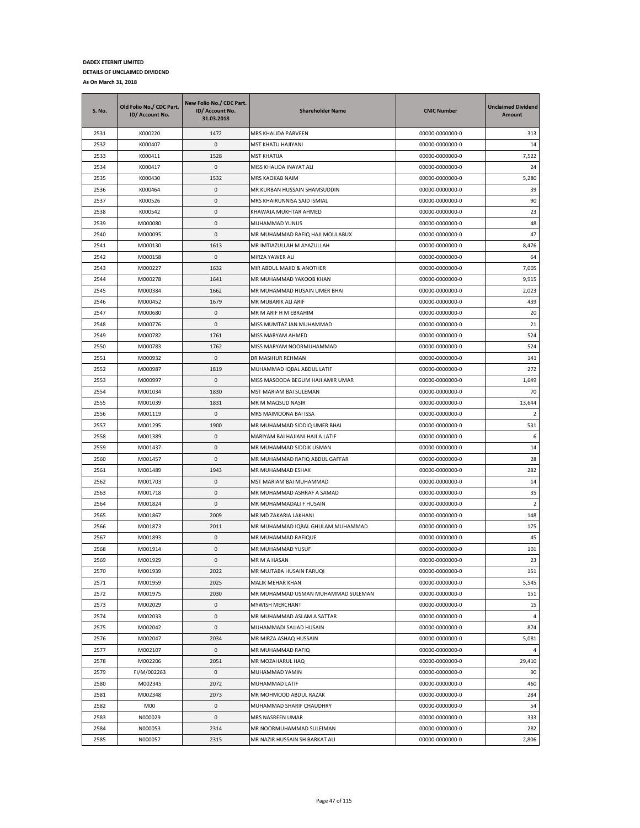| S. No. | Old Folio No./ CDC Part.<br>ID/ Account No. | New Folio No./ CDC Part.<br>ID/ Account No.<br>31.03.2018 | <b>Shareholder Name</b>            | <b>CNIC Number</b> | <b>Unclaimed Dividend</b><br>Amount |
|--------|---------------------------------------------|-----------------------------------------------------------|------------------------------------|--------------------|-------------------------------------|
| 2531   | K000220                                     | 1472                                                      | MRS KHALIDA PARVEEN                | 00000-0000000-0    | 313                                 |
| 2532   | K000407                                     | $\pmb{0}$                                                 | MST KHATU HAJIYANI                 | 00000-0000000-0    | 14                                  |
| 2533   | K000411                                     | 1528                                                      | MST KHATIJA                        | 00000-0000000-0    | 7,522                               |
| 2534   | K000417                                     | $\pmb{0}$                                                 | MISS KHALIDA INAYAT ALI            | 00000-0000000-0    | 24                                  |
| 2535   | K000430                                     | 1532                                                      | MRS KAOKAB NAIM                    | 00000-0000000-0    | 5,280                               |
| 2536   | K000464                                     | 0                                                         | MR KURBAN HUSSAIN SHAMSUDDIN       | 00000-0000000-0    | 39                                  |
| 2537   | K000526                                     | $\pmb{0}$                                                 | MRS KHAIRUNNISA SAID ISMIAL        | 00000-0000000-0    | 90                                  |
| 2538   | K000542                                     | 0                                                         | KHAWAJA MUKHTAR AHMED              | 00000-0000000-0    | 23                                  |
| 2539   | M000080                                     | 0                                                         | MUHAMMAD YUNUS                     | 00000-0000000-0    | 48                                  |
| 2540   | M000095                                     | $\pmb{0}$                                                 | MR MUHAMMAD RAFIQ HAJI MOULABUX    | 00000-0000000-0    | 47                                  |
| 2541   | M000130                                     | 1613                                                      | MR IMTIAZULLAH M AYAZULLAH         | 00000-0000000-0    | 8,476                               |
| 2542   | M000158                                     | 0                                                         | MIRZA YAWER ALI                    | 00000-0000000-0    | 64                                  |
| 2543   | M000227                                     | 1632                                                      | MIR ABDUL MAJID & ANOTHER          | 00000-0000000-0    | 7,005                               |
| 2544   | M000278                                     | 1641                                                      | MR MUHAMMAD YAKOOB KHAN            | 00000-0000000-0    | 9,915                               |
| 2545   | M000384                                     | 1662                                                      | MR MUHAMMAD HUSAIN UMER BHAI       | 00000-0000000-0    | 2,023                               |
| 2546   | M000452                                     | 1679                                                      | MR MUBARIK ALI ARIF                | 00000-0000000-0    | 439                                 |
| 2547   | M000680                                     | $\pmb{0}$                                                 | MR M ARIF H M EBRAHIM              | 00000-0000000-0    | 20                                  |
| 2548   | M000776                                     | 0                                                         | MISS MUMTAZ JAN MUHAMMAD           | 00000-0000000-0    | 21                                  |
| 2549   | M000782                                     | 1761                                                      | MISS MARYAM AHMED                  | 00000-0000000-0    | 524                                 |
| 2550   | M000783                                     | 1762                                                      | MISS MARYAM NOORMUHAMMAD           | 00000-0000000-0    | 524                                 |
| 2551   | M000932                                     | $\pmb{0}$                                                 | DR MASIHUR REHMAN                  | 00000-0000000-0    | 141                                 |
| 2552   | M000987                                     | 1819                                                      | MUHAMMAD IQBAL ABDUL LATIF         | 00000-0000000-0    | 272                                 |
| 2553   | M000997                                     | $\pmb{0}$                                                 | MISS MASOODA BEGUM HAJI AMIR UMAR  | 00000-0000000-0    | 1,649                               |
| 2554   | M001034                                     | 1830                                                      | MST MARIAM BAI SULEMAN             | 00000-0000000-0    | 70                                  |
| 2555   | M001039                                     | 1831                                                      | MR M MAQSUD NASIR                  | 00000-0000000-0    | 13,644                              |
| 2556   | M001119                                     | $\pmb{0}$                                                 | MRS MAIMOONA BAI ISSA              | 00000-0000000-0    | 2                                   |
| 2557   | M001295                                     | 1900                                                      | MR MUHAMMAD SIDDIQ UMER BHAI       | 00000-0000000-0    | 531                                 |
| 2558   | M001389                                     | $\pmb{0}$                                                 | MARIYAM BAI HAJIANI HAJI A LATIF   | 00000-0000000-0    | 6                                   |
| 2559   | M001437                                     | $\pmb{0}$                                                 | MR MUHAMMAD SIDDIK USMAN           | 00000-0000000-0    | 14                                  |
| 2560   | M001457                                     | 0                                                         | MR MUHAMMAD RAFIQ ABDUL GAFFAR     | 00000-0000000-0    | 28                                  |
| 2561   | M001489                                     | 1943                                                      | MR MUHAMMAD ESHAK                  | 00000-0000000-0    | 282                                 |
| 2562   | M001703                                     | 0                                                         | MST MARIAM BAI MUHAMMAD            | 00000-0000000-0    | 14                                  |
| 2563   | M001718                                     | $\pmb{0}$                                                 | MR MUHAMMAD ASHRAF A SAMAD         | 00000-0000000-0    | 35                                  |
| 2564   | M001824                                     | $\pmb{0}$                                                 | MR MUHAMMADALI F HUSAIN            | 00000-0000000-0    | $\overline{2}$                      |
| 2565   | M001867                                     | 2009                                                      | MR MD ZAKARIA LAKHANI              | 00000-0000000-0    | 148                                 |
| 2566   | M001873                                     | 2011                                                      | MR MUHAMMAD IQBAL GHULAM MUHAMMAD  | 00000-0000000-0    | 175                                 |
| 2567   | M001893                                     | 0                                                         | MR MUHAMMAD RAFIQUE                | 00000-0000000-0    | 45                                  |
| 2568   | M001914                                     | 0                                                         | MR MUHAMMAD YUSUF                  | 00000-0000000-0    | 101                                 |
| 2569   | M001929                                     | 0                                                         | MR M A HASAN                       | 00000-0000000-0    | 23                                  |
| 2570   | M001939                                     | 2022                                                      | MR MUJTABA HUSAIN FARUQI           | 00000-0000000-0    | 151                                 |
| 2571   | M001959                                     | 2025                                                      | MALIK MEHAR KHAN                   | 00000-0000000-0    | 5,545                               |
| 2572   | M001975                                     | 2030                                                      | MR MUHAMMAD USMAN MUHAMMAD SULEMAN | 00000-0000000-0    | 151                                 |
| 2573   | M002029                                     | 0                                                         | MYWISH MERCHANT                    | 00000-0000000-0    | 15                                  |
| 2574   | M002033                                     | 0                                                         | MR MUHAMMAD ASLAM A SATTAR         | 00000-0000000-0    | 4                                   |
| 2575   | M002042                                     | 0                                                         | MUHAMMADI SAJJAD HUSAIN            | 00000-0000000-0    | 874                                 |
| 2576   | M002047                                     | 2034                                                      | MR MIRZA ASHAQ HUSSAIN             | 00000-0000000-0    | 5,081                               |
| 2577   | M002107                                     | 0                                                         | MR MUHAMMAD RAFIQ                  | 00000-0000000-0    | 4                                   |
| 2578   | M002206                                     | 2051                                                      | MR MOZAHARUL HAQ                   | 00000-0000000-0    | 29,410                              |
| 2579   | FI/M/002263                                 | 0                                                         | MUHAMMAD YAMIN                     | 00000-0000000-0    | 90                                  |
| 2580   | M002345                                     | 2072                                                      | MUHAMMAD LATIF                     | 00000-0000000-0    | 460                                 |
| 2581   | M002348                                     | 2073                                                      | MR MOHMOOD ABDUL RAZAK             | 00000-0000000-0    | 284                                 |
| 2582   | M00                                         | 0                                                         | MUHAMMAD SHARIF CHAUDHRY           | 00000-0000000-0    | 54                                  |
| 2583   | N000029                                     | 0                                                         | MRS NASREEN UMAR                   | 00000-0000000-0    | 333                                 |
| 2584   | N000053                                     | 2314                                                      | MR NOORMUHAMMAD SULEIMAN           | 00000-0000000-0    | 282                                 |
| 2585   | N000057                                     | 2315                                                      | MR NAZIR HUSSAIN SH BARKAT ALI     | 00000-0000000-0    | 2,806                               |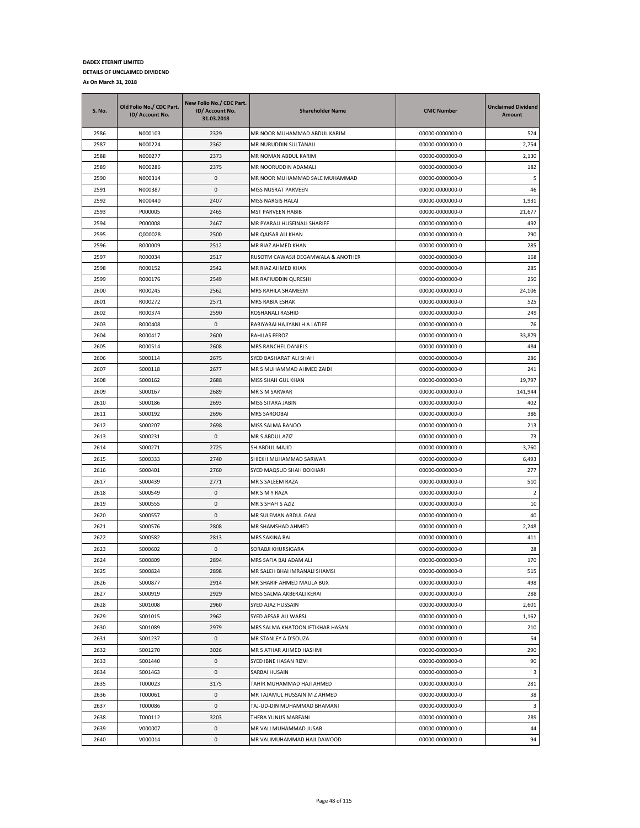| S. No. | Old Folio No./ CDC Part.<br>ID/ Account No. | New Folio No./ CDC Part.<br>ID/ Account No.<br>31.03.2018 | <b>Shareholder Name</b>            | <b>CNIC Number</b> | <b>Unclaimed Dividend</b><br>Amount |
|--------|---------------------------------------------|-----------------------------------------------------------|------------------------------------|--------------------|-------------------------------------|
| 2586   | N000103                                     | 2329                                                      | MR NOOR MUHAMMAD ABDUL KARIM       | 00000-0000000-0    | 524                                 |
| 2587   | N000224                                     | 2362                                                      | MR NURUDDIN SULTANALI              | 00000-0000000-0    | 2,754                               |
| 2588   | N000277                                     | 2373                                                      | MR NOMAN ABDUL KARIM               | 00000-0000000-0    | 2,130                               |
| 2589   | N000286                                     | 2375                                                      | MR NOORUDDIN ADAMALI               | 00000-0000000-0    | 182                                 |
| 2590   | N000314                                     | 0                                                         | MR NOOR MUHAMMAD SALE MUHAMMAD     | 00000-0000000-0    | 5                                   |
| 2591   | N000387                                     | 0                                                         | MISS NUSRAT PARVEEN                | 00000-0000000-0    | 46                                  |
| 2592   | N000440                                     | 2407                                                      | MISS NARGIS HALAI                  | 00000-0000000-0    | 1,931                               |
| 2593   | P000005                                     | 2465                                                      | MST PARVEEN HABIB                  | 00000-0000000-0    | 21,677                              |
| 2594   | P000008                                     | 2467                                                      | MR PYARALI HUSEINALI SHARIFF       | 00000-0000000-0    | 492                                 |
| 2595   | Q000028                                     | 2500                                                      | MR QAISAR ALI KHAN                 | 00000-0000000-0    | 290                                 |
| 2596   | R000009                                     | 2512                                                      | MR RIAZ AHMED KHAN                 | 00000-0000000-0    | 285                                 |
| 2597   | R000034                                     | 2517                                                      | RUSOTM CAWASJI DEGAMWALA & ANOTHER | 00000-0000000-0    | 168                                 |
| 2598   | R000152                                     | 2542                                                      | MR RIAZ AHMED KHAN                 | 00000-0000000-0    | 285                                 |
| 2599   | R000176                                     | 2549                                                      | MR RAFIUDDIN QURESHI               | 00000-0000000-0    | 250                                 |
| 2600   | R000245                                     | 2562                                                      | MRS RAHILA SHAMEEM                 | 00000-0000000-0    | 24,106                              |
| 2601   | R000272                                     | 2571                                                      | <b>MRS RABIA ESHAK</b>             | 00000-0000000-0    | 525                                 |
| 2602   | R000374                                     | 2590                                                      | ROSHANALI RASHID                   | 00000-0000000-0    | 249                                 |
| 2603   | R000408                                     | 0                                                         | RABIYABAI HAJIYANI H A LATIFF      | 00000-0000000-0    | 76                                  |
| 2604   | R000417                                     | 2600                                                      | RAHILAS FEROZ                      | 00000-0000000-0    | 33,879                              |
| 2605   | R000514                                     | 2608                                                      | MRS RANCHEL DANIELS                | 00000-0000000-0    | 484                                 |
| 2606   | S000114                                     | 2675                                                      | SYED BASHARAT ALI SHAH             | 00000-0000000-0    | 286                                 |
| 2607   | S000118                                     | 2677                                                      | MR S MUHAMMAD AHMED ZAIDI          | 00000-0000000-0    | 241                                 |
| 2608   | S000162                                     | 2688                                                      | MISS SHAH GUL KHAN                 | 00000-0000000-0    | 19,797                              |
| 2609   | S000167                                     | 2689                                                      | MR S M SARWAR                      | 00000-0000000-0    | 141,944                             |
| 2610   | S000186                                     | 2693                                                      | MISS SITARA JABIN                  | 00000-0000000-0    | 402                                 |
| 2611   | S000192                                     | 2696                                                      | MRS SAROOBAI                       | 00000-0000000-0    | 386                                 |
| 2612   | S000207                                     | 2698                                                      | MISS SALMA BANOO                   | 00000-0000000-0    | 213                                 |
| 2613   | S000231                                     | 0                                                         | MR S ABDUL AZIZ                    | 00000-0000000-0    | 73                                  |
| 2614   | S000271                                     | 2725                                                      | SH ABDUL MAJID                     | 00000-0000000-0    | 3,760                               |
| 2615   | S000333                                     | 2740                                                      | SHIEKH MUHAMMAD SARWAR             | 00000-0000000-0    | 6,493                               |
| 2616   | S000401                                     | 2760                                                      | SYED MAQSUD SHAH BOKHARI           | 00000-0000000-0    | 277                                 |
| 2617   | S000439                                     | 2771                                                      | MR S SALEEM RAZA                   | 00000-0000000-0    | 510                                 |
| 2618   | S000549                                     | 0                                                         | MR S M Y RAZA                      | 00000-0000000-0    | $\overline{2}$                      |
| 2619   | S000555                                     | 0                                                         | MR S SHAFI S AZIZ                  | 00000-0000000-0    | $10\,$                              |
| 2620   | S000557                                     | 0                                                         | MR SULEMAN ABDUL GANI              | 00000-0000000-0    | 40                                  |
| 2621   | S000576                                     | 2808                                                      | MR SHAMSHAD AHMED                  | 00000-0000000-0    | 2,248                               |
| 2622   | S000582                                     | 2813                                                      | MRS SAKINA BAI                     | 00000-0000000-0    | 411                                 |
| 2623   | S000602                                     | 0                                                         | SORABJI KHURSIGARA                 | 00000-0000000-0    | 28                                  |
| 2624   | S000809                                     | 2894                                                      | MRS SAFIA BAI ADAM ALI             | 00000-0000000-0    | 170                                 |
| 2625   | S000824                                     | 2898                                                      | MR SALEH BHAI IMRANALI SHAMSI      | 00000-0000000-0    | 515                                 |
| 2626   | S000877                                     | 2914                                                      | MR SHARIF AHMED MAULA BUX          | 00000-0000000-0    | 498                                 |
| 2627   | S000919                                     | 2929                                                      | MISS SALMA AKBERALI KERAI          | 00000-0000000-0    | 288                                 |
| 2628   | S001008                                     | 2960                                                      | SYED AJAZ HUSSAIN                  | 00000-0000000-0    | 2,601                               |
| 2629   | S001015                                     | 2962                                                      | SYED AFSAR ALI WARSI               | 00000-0000000-0    | 1,162                               |
| 2630   | S001089                                     | 2979                                                      | MRS SALMA KHATOON IFTIKHAR HASAN   | 00000-0000000-0    | 210                                 |
| 2631   | S001237                                     | 0                                                         | MR STANLEY A D'SOUZA               | 00000-0000000-0    | 54                                  |
| 2632   | S001270                                     | 3026                                                      | MR S ATHAR AHMED HASHMI            | 00000-0000000-0    | 290                                 |
| 2633   | S001440                                     | 0                                                         | SYED IBNE HASAN RIZVI              | 00000-0000000-0    | 90                                  |
| 2634   | S001463                                     | 0                                                         | SARBAI HUSAIN                      | 00000-0000000-0    | 3                                   |
| 2635   | T000023                                     | 3175                                                      | TAHIR MUHAMMAD HAJI AHMED          | 00000-0000000-0    | 281                                 |
| 2636   | T000061                                     | 0                                                         | MR TAJAMUL HUSSAIN M Z AHMED       | 00000-0000000-0    | 38                                  |
| 2637   | T000086                                     | 0                                                         | TAJ-UD-DIN MUHAMMAD BHAMANI        | 00000-0000000-0    | 3                                   |
| 2638   | T000112                                     | 3203                                                      | THERA YUNUS MARFANI                | 00000-0000000-0    | 289                                 |
| 2639   | V000007                                     | 0                                                         | MR VALI MUHAMMAD JUSAB             | 00000-0000000-0    | 44                                  |
| 2640   | V000014                                     | 0                                                         | MR VALIMUHAMMAD HAJI DAWOOD        | 00000-0000000-0    | 94                                  |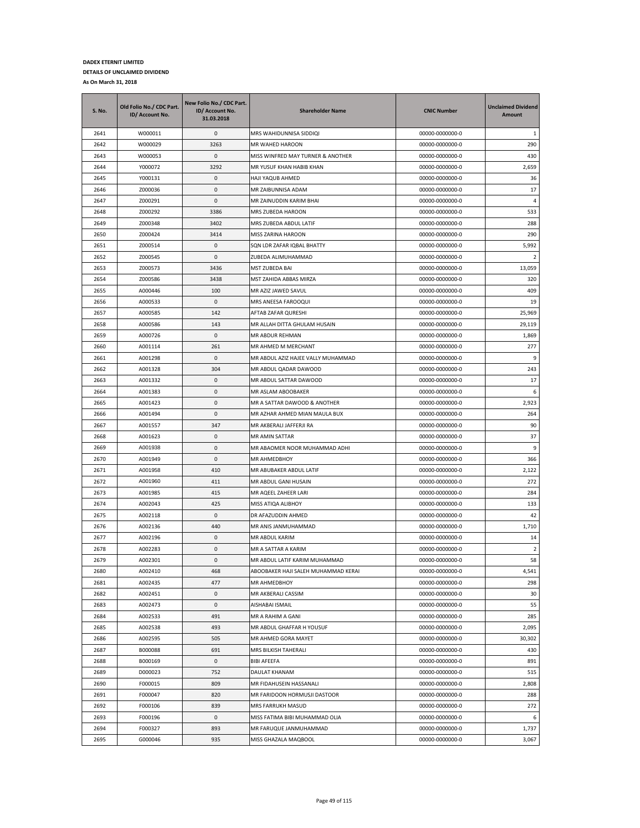| <b>S. No.</b> | Old Folio No./ CDC Part.<br>ID/ Account No. | New Folio No./ CDC Part.<br>ID/ Account No.<br>31.03.2018 | <b>Shareholder Name</b>                  | <b>CNIC Number</b>                 | <b>Unclaimed Dividend</b><br>Amount |
|---------------|---------------------------------------------|-----------------------------------------------------------|------------------------------------------|------------------------------------|-------------------------------------|
| 2641          | W000011                                     | 0                                                         | MRS WAHIDUNNISA SIDDIQI                  | 00000-0000000-0                    | 1                                   |
| 2642          | W000029                                     | 3263                                                      | MR WAHED HAROON                          | 00000-0000000-0                    | 290                                 |
| 2643          | W000053                                     | 0                                                         | MISS WINFRED MAY TURNER & ANOTHER        | 00000-0000000-0                    | 430                                 |
| 2644          | Y000072                                     | 3292                                                      | MR YUSUF KHAN HABIB KHAN                 | 00000-0000000-0                    | 2,659                               |
| 2645          | Y000131                                     | 0                                                         | HAJI YAQUB AHMED                         | 00000-0000000-0                    | 36                                  |
| 2646          | Z000036                                     | 0                                                         | MR ZAIBUNNISA ADAM                       | 00000-0000000-0                    | 17                                  |
| 2647          | Z000291                                     | 0                                                         | MR ZAINUDDIN KARIM BHAI                  | 00000-0000000-0                    | 4                                   |
| 2648          | Z000292                                     | 3386                                                      | MRS ZUBEDA HAROON                        | 00000-0000000-0                    | 533                                 |
| 2649          | Z000348                                     | 3402                                                      | MRS ZUBEDA ABDUL LATIF                   | 00000-0000000-0                    | 288                                 |
| 2650          | Z000424                                     | 3414                                                      | MISS ZARINA HAROON                       | 00000-0000000-0                    | 290                                 |
| 2651          | Z000514                                     | 0                                                         | SON LDR ZAFAR IQBAL BHATTY               | 00000-0000000-0                    | 5,992                               |
| 2652          | Z000545                                     | 0                                                         | ZUBEDA ALIMUHAMMAD                       | 00000-0000000-0                    | 2                                   |
| 2653          | Z000573                                     | 3436                                                      | MST ZUBEDA BAI                           | 00000-0000000-0                    | 13,059                              |
| 2654          | Z000586                                     | 3438                                                      | MST ZAHIDA ABBAS MIRZA                   | 00000-0000000-0                    | 320                                 |
| 2655          | A000446                                     | 100                                                       | MR AZIZ JAWED SAVUL                      | 00000-0000000-0                    | 409                                 |
| 2656          | A000533                                     | $\mathsf 0$                                               | MRS ANEESA FAROOQUI                      | 00000-0000000-0                    | 19                                  |
| 2657          | A000585                                     | 142                                                       | AFTAB ZAFAR QURESHI                      | 00000-0000000-0                    | 25,969                              |
| 2658          | A000586                                     | 143                                                       | MR ALLAH DITTA GHULAM HUSAIN             | 00000-0000000-0                    | 29,119                              |
| 2659          | A000726                                     | 0                                                         | MR ABDUR REHMAN                          | 00000-0000000-0                    | 1,869                               |
| 2660          | A001114                                     | 261                                                       | MR AHMED M MERCHANT                      | 00000-0000000-0                    | 277                                 |
| 2661          | A001298                                     | 0                                                         | MR ABDUL AZIZ HAJEE VALLY MUHAMMAD       | 00000-0000000-0                    | 9                                   |
| 2662          | A001328                                     | 304                                                       | MR ABDUL QADAR DAWOOD                    | 00000-0000000-0                    | 243                                 |
| 2663          | A001332                                     | 0                                                         | MR ABDUL SATTAR DAWOOD                   | 00000-0000000-0                    | 17                                  |
| 2664          | A001383                                     | 0                                                         | MR ASLAM ABOOBAKER                       | 00000-0000000-0                    | 6                                   |
| 2665          | A001423                                     | 0                                                         | MR A SATTAR DAWOOD & ANOTHER             | 00000-0000000-0                    | 2,923                               |
| 2666          | A001494                                     | 0                                                         | MR AZHAR AHMED MIAN MAULA BUX            | 00000-0000000-0                    | 264                                 |
| 2667          | A001557                                     | 347                                                       | MR AKBERALI JAFFERJI RA                  | 00000-0000000-0                    | 90                                  |
| 2668          | A001623                                     | 0                                                         | MR AMIN SATTAR                           | 00000-0000000-0                    | 37                                  |
| 2669          | A001938                                     | 0                                                         | MR ABAOMER NOOR MUHAMMAD ADHI            | 00000-0000000-0                    | 9                                   |
| 2670          | A001949                                     | 0                                                         | MR AHMEDBHOY                             | 00000-0000000-0                    | 366                                 |
| 2671          | A001958                                     | 410                                                       | MR ABUBAKER ABDUL LATIF                  | 00000-0000000-0                    | 2,122                               |
| 2672          | A001960                                     | 411                                                       | MR ABDUL GANI HUSAIN                     | 00000-0000000-0                    | 272                                 |
| 2673          | A001985                                     | 415                                                       | MR AQEEL ZAHEER LARI                     | 00000-0000000-0                    | 284                                 |
| 2674          | A002043                                     | 425                                                       |                                          |                                    | 133                                 |
| 2675          | A002118                                     | 0                                                         | MISS ATIQA ALIBHOY<br>DR AFAZUDDIN AHMED | 00000-0000000-0<br>00000-0000000-0 | 42                                  |
| 2676          | A002136                                     | 440                                                       |                                          |                                    |                                     |
|               |                                             |                                                           | MR ANIS JANMUHAMMAD                      | 00000-0000000-0                    | 1,710                               |
| 2677          | A002196                                     | 0                                                         | MR ABDUL KARIM                           | 00000-0000000-0                    | 14                                  |
| 2678          | A002283                                     | 0                                                         | MR A SATTAR A KARIM                      | 00000-0000000-0                    | 2                                   |
| 2679          | A002301                                     | $\Omega$                                                  | MR ABDUL LATIF KARIM MUHAMMAD            | 00000-0000000-0                    | 58                                  |
| 2680          | A002410                                     | 468                                                       | ABOOBAKER HAJI SALEH MUHAMMAD KERAI      | 00000-0000000-0                    | 4,541                               |
| 2681          | A002435                                     | 477                                                       | MR AHMEDBHOY                             | 00000-0000000-0                    | 298                                 |
| 2682          | A002451                                     | 0                                                         | MR AKBERALI CASSIM                       | 00000-0000000-0                    | 30                                  |
| 2683          | A002473                                     | 0                                                         | AISHABAI ISMAIL                          | 00000-0000000-0                    | 55                                  |
| 2684          | A002533                                     | 491                                                       | MR A RAHIM A GANI                        | 00000-0000000-0                    | 285                                 |
| 2685          | A002538                                     | 493                                                       | MR ABDUL GHAFFAR H YOUSUF                | 00000-0000000-0                    | 2,095                               |
| 2686          | A002595                                     | 505                                                       | MR AHMED GORA MAYET                      | 00000-0000000-0                    | 30,302                              |
| 2687          | B000088                                     | 691                                                       | MRS BILKISH TAHERALI                     | 00000-0000000-0                    | 430                                 |
| 2688          | B000169                                     | 0                                                         | <b>BIBI AFEEFA</b>                       | 00000-0000000-0                    | 891                                 |
| 2689          | D000023                                     | 752                                                       | DAULAT KHANAM                            | 00000-0000000-0                    | 515                                 |
| 2690          | F000015                                     | 809                                                       | MR FIDAHUSEIN HASSANALI                  | 00000-0000000-0                    | 2,808                               |
| 2691          | F000047                                     | 820                                                       | MR FARIDOON HORMUSJI DASTOOR             | 00000-0000000-0                    | 288                                 |
| 2692          | F000106                                     | 839                                                       | MRS FARRUKH MASUD                        | 00000-0000000-0                    | 272                                 |
| 2693          | F000196                                     | 0                                                         | MISS FATIMA BIBI MUHAMMAD OLIA           | 00000-0000000-0                    | 6                                   |
| 2694          | F000327                                     | 893                                                       | MR FARUQUE JANMUHAMMAD                   | 00000-0000000-0                    | 1,737                               |
| 2695          | G000046                                     | 935                                                       | MISS GHAZALA MAQBOOL                     | 00000-0000000-0                    | 3,067                               |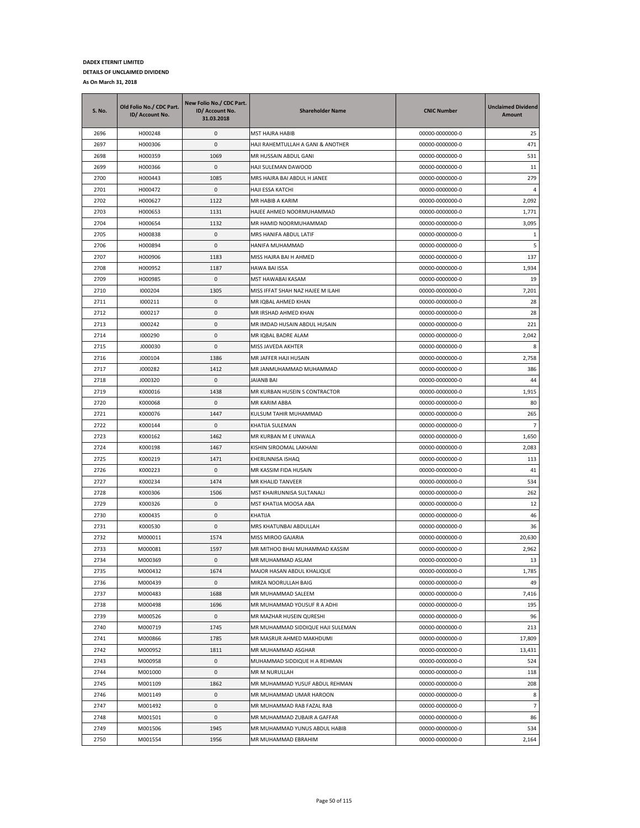| <b>S. No.</b> | Old Folio No./ CDC Part.<br>ID/ Account No. | New Folio No./ CDC Part.<br>ID/ Account No.<br>31.03.2018 | <b>Shareholder Name</b>           | <b>CNIC Number</b> | <b>Unclaimed Dividend</b><br>Amount |
|---------------|---------------------------------------------|-----------------------------------------------------------|-----------------------------------|--------------------|-------------------------------------|
| 2696          | H000248                                     | 0                                                         | MST HAJRA HABIB                   | 00000-0000000-0    | 25                                  |
| 2697          | H000306                                     | 0                                                         | HAJI RAHEMTULLAH A GANI & ANOTHER | 00000-0000000-0    | 471                                 |
| 2698          | H000359                                     | 1069                                                      | MR HUSSAIN ABDUL GANI             | 00000-0000000-0    | 531                                 |
| 2699          | H000366                                     | 0                                                         | HAJI SULEMAN DAWOOD               | 00000-0000000-0    | 11                                  |
| 2700          | H000443                                     | 1085                                                      | MRS HAJRA BAI ABDUL H JANEE       | 00000-0000000-0    | 279                                 |
| 2701          | H000472                                     | $\pmb{0}$                                                 | HAJI ESSA KATCHI                  | 00000-0000000-0    | $\overline{4}$                      |
| 2702          | H000627                                     | 1122                                                      | MR HABIB A KARIM                  | 00000-0000000-0    | 2,092                               |
| 2703          | H000653                                     | 1131                                                      | HAJEE AHMED NOORMUHAMMAD          | 00000-0000000-0    | 1,771                               |
| 2704          | H000654                                     | 1132                                                      | MR HAMID NOORMUHAMMAD             | 00000-0000000-0    | 3,095                               |
| 2705          | H000838                                     | 0                                                         | MRS HANIFA ABDUL LATIF            | 00000-0000000-0    | 1                                   |
| 2706          | H000894                                     | 0                                                         | HANIFA MUHAMMAD                   | 00000-0000000-0    | 5                                   |
| 2707          | H000906                                     | 1183                                                      | MISS HAJRA BAI H AHMED            | 00000-0000000-0    | 137                                 |
| 2708          | H000952                                     | 1187                                                      | HAWA BAI ISSA                     | 00000-0000000-0    | 1,934                               |
| 2709          | H000985                                     | 0                                                         | MST HAWABAI KASAM                 | 00000-0000000-0    | 19                                  |
| 2710          | 1000204                                     | 1305                                                      | MISS IFFAT SHAH NAZ HAJEE M ILAHI | 00000-0000000-0    | 7,201                               |
| 2711          | 1000211                                     | 0                                                         | MR IQBAL AHMED KHAN               | 00000-0000000-0    | 28                                  |
| 2712          | 1000217                                     | 0                                                         | MR IRSHAD AHMED KHAN              | 00000-0000000-0    | 28                                  |
| 2713          | 1000242                                     | 0                                                         | MR IMDAD HUSAIN ABDUL HUSAIN      | 00000-0000000-0    | 221                                 |
| 2714          | 1000290                                     | 0                                                         | MR IQBAL BADRE ALAM               | 00000-0000000-0    | 2,042                               |
| 2715          | J000030                                     | 0                                                         | MISS JAVEDA AKHTER                | 00000-0000000-0    | 8                                   |
| 2716          | J000104                                     | 1386                                                      | MR JAFFER HAJI HUSAIN             | 00000-0000000-0    | 2,758                               |
| 2717          | J000282                                     | 1412                                                      | MR JANMUHAMMAD MUHAMMAD           | 00000-0000000-0    | 386                                 |
| 2718          | J000320                                     | 0                                                         | <b>JAIANB BAI</b>                 | 00000-0000000-0    | 44                                  |
| 2719          | K000016                                     | 1438                                                      | MR KURBAN HUSEIN S CONTRACTOR     | 00000-0000000-0    | 1,915                               |
| 2720          | K000068                                     | 0                                                         | MR KARIM ABBA                     | 00000-0000000-0    | 80                                  |
| 2721          | K000076                                     | 1447                                                      | KULSUM TAHIR MUHAMMAD             | 00000-0000000-0    | 265                                 |
| 2722          | K000144                                     | 0                                                         | KHATIJA SULEMAN                   | 00000-0000000-0    | $\overline{7}$                      |
| 2723          | K000162                                     | 1462                                                      | MR KURBAN M E UNWALA              | 00000-0000000-0    | 1,650                               |
| 2724          | K000198                                     | 1467                                                      | KISHIN SIROOMAL LAKHANI           | 00000-0000000-0    | 2,083                               |
| 2725          | K000219                                     | 1471                                                      | KHERUNNISA ISHAQ                  | 00000-0000000-0    | 113                                 |
| 2726          | K000223                                     | 0                                                         | MR KASSIM FIDA HUSAIN             | 00000-0000000-0    | 41                                  |
| 2727          | K000234                                     | 1474                                                      | MR KHALID TANVEER                 | 00000-0000000-0    | 534                                 |
| 2728          | K000306                                     | 1506                                                      | MST KHAIRUNNISA SULTANALI         | 00000-0000000-0    | 262                                 |
| 2729          | K000326                                     | 0                                                         | MST KHATIJA MOOSA ABA             | 00000-0000000-0    | 12                                  |
| 2730          | K000435                                     | 0                                                         | KHATIJA                           | 00000-0000000-0    | 46                                  |
| 2731          | K000530                                     | 0                                                         | MRS KHATUNBAI ABDULLAH            | 00000-0000000-0    | 36                                  |
| 2732          | M000011                                     | 1574                                                      | MISS MIROO GAJARIA                | 00000-0000000-0    | 20,630                              |
| 2733          | M000081                                     | 1597                                                      | MR MITHOO BHAI MUHAMMAD KASSIM    | 00000-0000000-0    | 2,962                               |
| 2734          | M000369                                     | $\Omega$                                                  | MR MUHAMMAD ASLAM                 | 00000-0000000-0    | 13                                  |
| 2735          | M000432                                     | 1674                                                      | MAJOR HASAN ABDUL KHALIQUE        | 00000-0000000-0    | 1,785                               |
| 2736          | M000439                                     | 0                                                         | MIRZA NOORULLAH BAIG              | 00000-0000000-0    | 49                                  |
| 2737          | M000483                                     | 1688                                                      | MR MUHAMMAD SALEEM                | 00000-0000000-0    | 7,416                               |
| 2738          | M000498                                     | 1696                                                      | MR MUHAMMAD YOUSUF R A ADHI       | 00000-0000000-0    | 195                                 |
| 2739          | M000526                                     | 0                                                         | MR MAZHAR HUSEIN QURESHI          | 00000-0000000-0    | 96                                  |
| 2740          | M000719                                     | 1745                                                      | MR MUHAMMAD SIDDIQUE HAJI SULEMAN | 00000-0000000-0    | 213                                 |
| 2741          | M000866                                     | 1785                                                      | MR MASRUR AHMED MAKHDUMI          | 00000-0000000-0    | 17,809                              |
| 2742          | M000952                                     | 1811                                                      | MR MUHAMMAD ASGHAR                | 00000-0000000-0    | 13,431                              |
| 2743          | M000958                                     | 0                                                         | MUHAMMAD SIDDIQUE H A REHMAN      | 00000-0000000-0    | 524                                 |
| 2744          | M001000                                     | 0                                                         | MR M NURULLAH                     | 00000-0000000-0    | 118                                 |
| 2745          | M001109                                     | 1862                                                      | MR MUHAMMAD YUSUF ABDUL REHMAN    | 00000-0000000-0    | 208                                 |
| 2746          | M001149                                     | 0                                                         | MR MUHAMMAD UMAR HAROON           | 00000-0000000-0    | 8                                   |
| 2747          | M001492                                     | 0                                                         | MR MUHAMMAD RAB FAZAL RAB         | 00000-0000000-0    | $\overline{7}$                      |
| 2748          | M001501                                     | 0                                                         | MR MUHAMMAD ZUBAIR A GAFFAR       | 00000-0000000-0    | 86                                  |
| 2749          | M001506                                     | 1945                                                      | MR MUHAMMAD YUNUS ABDUL HABIB     | 00000-0000000-0    | 534                                 |
| 2750          | M001554                                     | 1956                                                      | MR MUHAMMAD EBRAHIM               | 00000-0000000-0    | 2,164                               |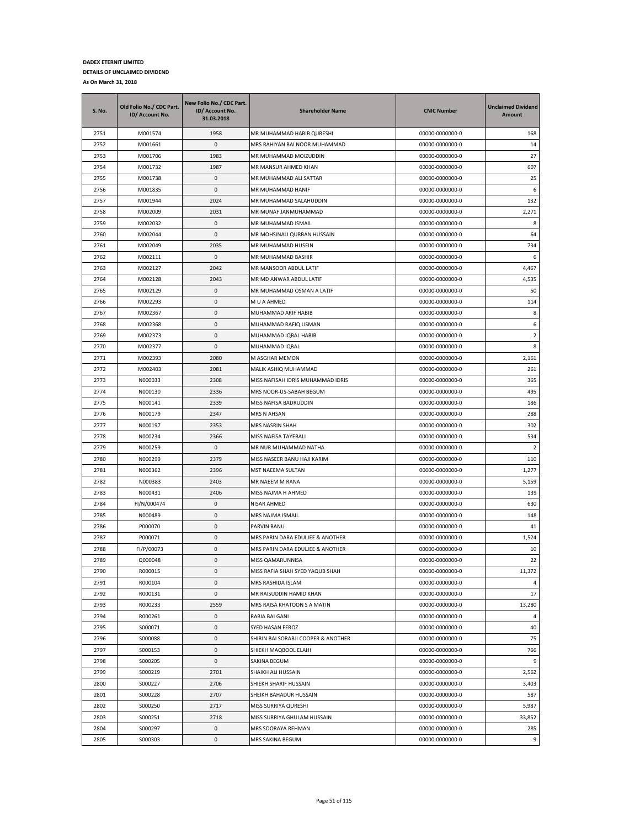| S. No. | Old Folio No./ CDC Part.<br>ID/ Account No. | New Folio No./ CDC Part.<br>ID/ Account No.<br>31.03.2018 | <b>Shareholder Name</b>             | <b>CNIC Number</b> | <b>Unclaimed Dividend</b><br>Amount |
|--------|---------------------------------------------|-----------------------------------------------------------|-------------------------------------|--------------------|-------------------------------------|
| 2751   | M001574                                     | 1958                                                      | MR MUHAMMAD HABIB QURESHI           | 00000-0000000-0    | 168                                 |
| 2752   | M001661                                     | 0                                                         | MRS RAHIYAN BAI NOOR MUHAMMAD       | 00000-0000000-0    | 14                                  |
| 2753   | M001706                                     | 1983                                                      | MR MUHAMMAD MOIZUDDIN               | 00000-0000000-0    | 27                                  |
| 2754   | M001732                                     | 1987                                                      | MR MANSUR AHMED KHAN                | 00000-0000000-0    | 607                                 |
| 2755   | M001738                                     | 0                                                         | MR MUHAMMAD ALI SATTAR              | 00000-0000000-0    | 25                                  |
| 2756   | M001835                                     | 0                                                         | MR MUHAMMAD HANIF                   | 00000-0000000-0    | 6                                   |
| 2757   | M001944                                     | 2024                                                      | MR MUHAMMAD SALAHUDDIN              | 00000-0000000-0    | 132                                 |
| 2758   | M002009                                     | 2031                                                      | MR MUNAF JANMUHAMMAD                | 00000-0000000-0    | 2,271                               |
| 2759   | M002032                                     | 0                                                         | MR MUHAMMAD ISMAIL                  | 00000-0000000-0    | 8                                   |
| 2760   | M002044                                     | 0                                                         | MR MOHSINALI QURBAN HUSSAIN         | 00000-0000000-0    | 64                                  |
| 2761   | M002049                                     | 2035                                                      | MR MUHAMMAD HUSEIN                  | 00000-0000000-0    | 734                                 |
| 2762   | M002111                                     | 0                                                         | MR MUHAMMAD BASHIR                  | 00000-0000000-0    | 6                                   |
| 2763   | M002127                                     | 2042                                                      | MR MANSOOR ABDUL LATIF              | 00000-0000000-0    | 4,467                               |
| 2764   | M002128                                     | 2043                                                      | MR MD ANWAR ABDUL LATIF             | 00000-0000000-0    | 4,535                               |
| 2765   | M002129                                     | 0                                                         | MR MUHAMMAD OSMAN A LATIF           | 00000-0000000-0    | 50                                  |
| 2766   | M002293                                     | 0                                                         | M U A AHMED                         | 00000-0000000-0    | 114                                 |
| 2767   | M002367                                     | 0                                                         | MUHAMMAD ARIF HABIB                 | 00000-0000000-0    | 8                                   |
| 2768   | M002368                                     | 0                                                         | MUHAMMAD RAFIQ USMAN                | 00000-0000000-0    | 6                                   |
| 2769   | M002373                                     | 0                                                         | MUHAMMAD IQBAL HABIB                | 00000-0000000-0    | 2                                   |
| 2770   | M002377                                     | 0                                                         | MUHAMMAD IQBAL                      | 00000-0000000-0    | 8                                   |
| 2771   | M002393                                     | 2080                                                      | M ASGHAR MEMON                      | 00000-0000000-0    | 2,161                               |
| 2772   | M002403                                     | 2081                                                      | MALIK ASHIQ MUHAMMAD                | 00000-0000000-0    | 261                                 |
| 2773   | N000033                                     | 2308                                                      | MISS NAFISAH IDRIS MUHAMMAD IDRIS   | 00000-0000000-0    | 365                                 |
| 2774   | N000130                                     | 2336                                                      | MRS NOOR-US-SABAH BEGUM             | 00000-0000000-0    | 495                                 |
| 2775   | N000141                                     | 2339                                                      | MISS NAFISA BADRUDDIN               | 00000-0000000-0    | 186                                 |
| 2776   | N000179                                     | 2347                                                      | MRS N AHSAN                         | 00000-0000000-0    | 288                                 |
| 2777   | N000197                                     | 2353                                                      | MRS NASRIN SHAH                     | 00000-0000000-0    | 302                                 |
| 2778   | N000234                                     | 2366                                                      | MISS NAFISA TAYEBALI                | 00000-0000000-0    | 534                                 |
| 2779   | N000259                                     | 0                                                         | MR NUR MUHAMMAD NATHA               | 00000-0000000-0    | 2                                   |
| 2780   | N000299                                     | 2379                                                      | MISS NASEER BANU HAJI KARIM         | 00000-0000000-0    | 110                                 |
| 2781   | N000362                                     | 2396                                                      | MST NAEEMA SULTAN                   | 00000-0000000-0    | 1,277                               |
| 2782   | N000383                                     | 2403                                                      | MR NAEEM M RANA                     | 00000-0000000-0    | 5,159                               |
| 2783   | N000431                                     | 2406                                                      | MISS NAJMA H AHMED                  | 00000-0000000-0    | 139                                 |
| 2784   | FI/N/000474                                 | 0                                                         | <b>NISAR AHMED</b>                  | 00000-0000000-0    | 630                                 |
| 2785   | N000489                                     | 0                                                         | MRS NAJMA ISMAIL                    | 00000-0000000-0    | 148                                 |
| 2786   | P000070                                     | 0                                                         | PARVIN BANU                         | 00000-0000000-0    | 41                                  |
| 2787   | P000071                                     | 0                                                         | MRS PARIN DARA EDULJEE & ANOTHER    | 00000-0000000-0    | 1,524                               |
| 2788   | FI/P/00073                                  | 0                                                         | MRS PARIN DARA EDULJEE & ANOTHER    | 00000-0000000-0    | 10                                  |
| 2789   | Q000048                                     | $\pmb{0}$                                                 | MISS QAMARUNNISA                    | 00000-0000000-0    | 22                                  |
| 2790   | R000015                                     | 0                                                         | MISS RAFIA SHAH SYED YAQUB SHAH     | 00000-0000000-0    | 11,372                              |
| 2791   | R000104                                     | 0                                                         | MRS RASHIDA ISLAM                   | 00000-0000000-0    | 4                                   |
| 2792   | R000131                                     | $\pmb{0}$                                                 | MR RAISUDDIN HAMID KHAN             | 00000-0000000-0    | 17                                  |
| 2793   | R000233                                     | 2559                                                      | MRS RAISA KHATOON S A MATIN         | 00000-0000000-0    | 13,280                              |
| 2794   | R000261                                     | 0                                                         | RABIA BAI GANI                      | 00000-0000000-0    | 4                                   |
| 2795   | S000071                                     | 0                                                         | SYED HASAN FEROZ                    | 00000-0000000-0    | 40                                  |
| 2796   | S000088                                     | 0                                                         | SHIRIN BAI SORABJI COOPER & ANOTHER | 00000-0000000-0    | 75                                  |
| 2797   | S000153                                     | 0                                                         | SHIEKH MAQBOOL ELAHI                | 00000-0000000-0    | 766                                 |
| 2798   | S000205                                     | 0                                                         | SAKINA BEGUM                        | 00000-0000000-0    | 9                                   |
| 2799   | S000219                                     | 2701                                                      | SHAIKH ALI HUSSAIN                  | 00000-0000000-0    | 2,562                               |
| 2800   | S000227                                     | 2706                                                      | SHIEKH SHARIF HUSSAIN               | 00000-0000000-0    | 3,403                               |
| 2801   | S000228                                     | 2707                                                      | SHEIKH BAHADUR HUSSAIN              | 00000-0000000-0    | 587                                 |
| 2802   | S000250                                     | 2717                                                      | MISS SURRIYA QURESHI                | 00000-0000000-0    | 5,987                               |
| 2803   | S000251                                     | 2718                                                      | MISS SURRIYA GHULAM HUSSAIN         | 00000-0000000-0    | 33,852                              |
| 2804   | S000297                                     | 0                                                         | MRS SOORAYA REHMAN                  | 00000-0000000-0    | 285                                 |
| 2805   | S000303                                     | $\mathsf 0$                                               | MRS SAKINA BEGUM                    | 00000-0000000-0    | 9                                   |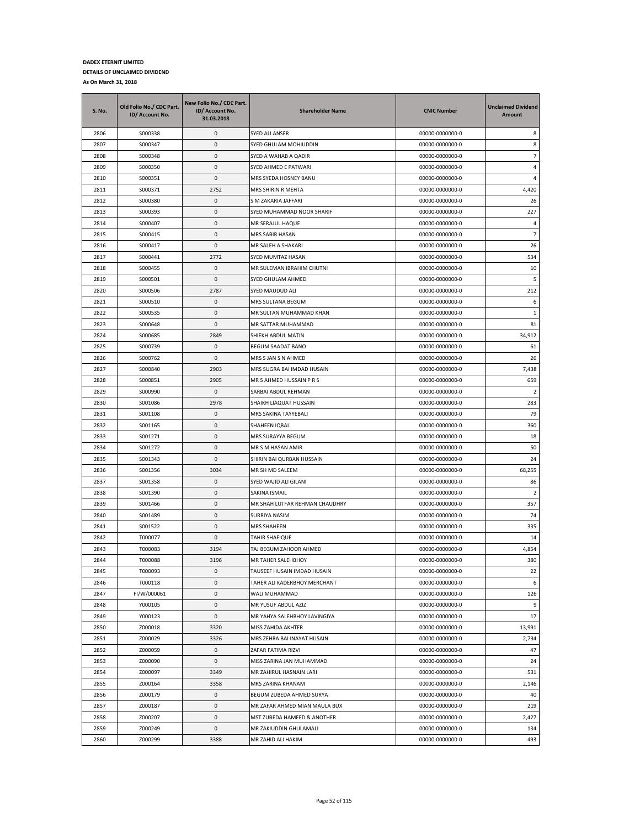| S. No. | Old Folio No./ CDC Part.<br>ID/ Account No. | New Folio No./ CDC Part.<br>ID/ Account No.<br>31.03.2018 | <b>Shareholder Name</b>        | <b>CNIC Number</b> | <b>Unclaimed Dividend</b><br>Amount |
|--------|---------------------------------------------|-----------------------------------------------------------|--------------------------------|--------------------|-------------------------------------|
| 2806   | S000338                                     | 0                                                         | SYED ALI ANSER                 | 00000-0000000-0    | 8                                   |
| 2807   | S000347                                     | $\pmb{0}$                                                 | SYED GHULAM MOHIUDDIN          | 00000-0000000-0    | 8                                   |
| 2808   | S000348                                     | $\pmb{0}$                                                 | SYED A WAHAB A QADIR           | 00000-0000000-0    | $\overline{7}$                      |
| 2809   | S000350                                     | $\pmb{0}$                                                 | SYED AHMED E PATWARI           | 00000-0000000-0    | 4                                   |
| 2810   | S000351                                     | 0                                                         | MRS SYEDA HOSNEY BANU          | 00000-0000000-0    | 4                                   |
| 2811   | S000371                                     | 2752                                                      | MRS SHIRIN R MEHTA             | 00000-0000000-0    | 4,420                               |
| 2812   | S000380                                     | $\pmb{0}$                                                 | S M ZAKARIA JAFFARI            | 00000-0000000-0    | 26                                  |
| 2813   | S000393                                     | 0                                                         | SYED MUHAMMAD NOOR SHARIF      | 00000-0000000-0    | 227                                 |
| 2814   | S000407                                     | 0                                                         | MR SERAJUL HAQUE               | 00000-0000000-0    | 4                                   |
| 2815   | S000415                                     | $\pmb{0}$                                                 | MRS SABIR HASAN                | 00000-0000000-0    | $\overline{7}$                      |
| 2816   | S000417                                     | 0                                                         | MR SALEH A SHAKARI             | 00000-0000000-0    | 26                                  |
| 2817   | S000441                                     | 2772                                                      | SYED MUMTAZ HASAN              | 00000-0000000-0    | 534                                 |
| 2818   | S000455                                     | 0                                                         | MR SULEMAN IBRAHIM CHUTNI      | 00000-0000000-0    | 10                                  |
| 2819   | S000501                                     | $\pmb{0}$                                                 | SYED GHULAM AHMED              | 00000-0000000-0    | 5                                   |
| 2820   | S000506                                     | 2787                                                      | SYED MAUDUD ALI                | 00000-0000000-0    | 212                                 |
| 2821   | S000510                                     | $\pmb{0}$                                                 | MRS SULTANA BEGUM              | 00000-0000000-0    | 6                                   |
| 2822   | S000535                                     | $\pmb{0}$                                                 | MR SULTAN MUHAMMAD KHAN        | 00000-0000000-0    | 1                                   |
| 2823   | S000648                                     | 0                                                         | MR SATTAR MUHAMMAD             | 00000-0000000-0    | 81                                  |
| 2824   | S000685                                     | 2849                                                      | SHIEKH ABDUL MATIN             | 00000-0000000-0    | 34,912                              |
| 2825   | S000739                                     | $\pmb{0}$                                                 | BEGUM SAADAT BANO              | 00000-0000000-0    | 61                                  |
| 2826   | S000762                                     | $\pmb{0}$                                                 | MRS S JAN S N AHMED            | 00000-0000000-0    | 26                                  |
| 2827   | S000840                                     | 2903                                                      | MRS SUGRA BAI IMDAD HUSAIN     | 00000-0000000-0    | 7,438                               |
| 2828   | S000851                                     | 2905                                                      | MR S AHMED HUSSAIN P R S       | 00000-0000000-0    | 659                                 |
| 2829   | S000990                                     | 0                                                         | SARBAI ABDUL REHMAN            | 00000-0000000-0    | 2                                   |
| 2830   | S001086                                     | 2978                                                      | SHAIKH LIAQUAT HUSSAIN         | 00000-0000000-0    | 283                                 |
| 2831   | S001108                                     | $\pmb{0}$                                                 | MRS SAKINA TAYYEBALI           | 00000-0000000-0    | 79                                  |
| 2832   | S001165                                     | $\pmb{0}$                                                 | SHAHEEN IQBAL                  | 00000-0000000-0    | 360                                 |
| 2833   | S001271                                     | 0                                                         | MRS SURAYYA BEGUM              | 00000-0000000-0    | 18                                  |
| 2834   | S001272                                     | 0                                                         | MR S M HASAN AMIR              | 00000-0000000-0    | 50                                  |
| 2835   | S001343                                     | 0                                                         | SHIRIN BAI QURBAN HUSSAIN      | 00000-0000000-0    | 24                                  |
| 2836   | S001356                                     | 3034                                                      | MR SH MD SALEEM                | 00000-0000000-0    | 68,255                              |
| 2837   | S001358                                     | 0                                                         | SYED WAJID ALI GILANI          | 00000-0000000-0    | 86                                  |
| 2838   | S001390                                     | 0                                                         | SAKINA ISMAIL                  | 00000-0000000-0    | $\overline{2}$                      |
| 2839   | S001466                                     | 0                                                         | MR SHAH LUTFAR REHMAN CHAUDHRY | 00000-0000000-0    | 357                                 |
| 2840   | S001489                                     | 0                                                         | SURRIYA NASIM                  | 00000-0000000-0    | 74                                  |
| 2841   | S001522                                     | 0                                                         | MRS SHAHEEN                    | 00000-0000000-0    | 335                                 |
| 2842   | T000077                                     | 0                                                         | TAHIR SHAFIQUE                 | 00000-0000000-0    | 14                                  |
| 2843   | T000083                                     | 3194                                                      | TAJ BEGUM ZAHOOR AHMED         | 00000-0000000-0    | 4,854                               |
| 2844   | T000088                                     | 3196                                                      | <b>MR TAHER SALEHBHOY</b>      | 00000-0000000-0    | 380                                 |
| 2845   | T000093                                     | 0                                                         | TAUSEEF HUSAIN IMDAD HUSAIN    | 00000-0000000-0    | 22                                  |
| 2846   | T000118                                     | 0                                                         | TAHER ALI KADERBHOY MERCHANT   | 00000-0000000-0    | 6                                   |
| 2847   | FI/W/000061                                 | $\pmb{0}$                                                 | WALI MUHAMMAD                  | 00000-0000000-0    | 126                                 |
| 2848   | Y000105                                     | 0                                                         | MR YUSUF ABDUL AZIZ            | 00000-0000000-0    | 9                                   |
| 2849   | Y000123                                     | 0                                                         | MR YAHYA SALEHBHOY LAVINGIYA   | 00000-0000000-0    | 17                                  |
| 2850   | Z000018                                     | 3320                                                      | MISS ZAHIDA AKHTER             | 00000-0000000-0    | 13,991                              |
| 2851   | Z000029                                     | 3326                                                      | MRS ZEHRA BAI INAYAT HUSAIN    | 00000-0000000-0    | 2,734                               |
| 2852   | Z000059                                     | 0                                                         | ZAFAR FATIMA RIZVI             | 00000-0000000-0    | 47                                  |
| 2853   | Z000090                                     | 0                                                         | MISS ZARINA JAN MUHAMMAD       | 00000-0000000-0    | 24                                  |
| 2854   | Z000097                                     | 3349                                                      | MR ZAHIRUL HASNAIN LARI        | 00000-0000000-0    | 531                                 |
| 2855   | Z000164                                     | 3358                                                      | MRS ZARINA KHANAM              | 00000-0000000-0    | 2,146                               |
| 2856   | Z000179                                     | 0                                                         | BEGUM ZUBEDA AHMED SURYA       | 00000-0000000-0    | 40                                  |
| 2857   | Z000187                                     | 0                                                         | MR ZAFAR AHMED MIAN MAULA BUX  | 00000-0000000-0    | 219                                 |
| 2858   | Z000207                                     | 0                                                         | MST ZUBEDA HAMEED & ANOTHER    | 00000-0000000-0    | 2,427                               |
| 2859   | Z000249                                     | $\pmb{0}$                                                 | MR ZAKIUDDIN GHULAMALI         | 00000-0000000-0    | 134                                 |
| 2860   | Z000299                                     | 3388                                                      | MR ZAHID ALI HAKIM             | 00000-0000000-0    | 493                                 |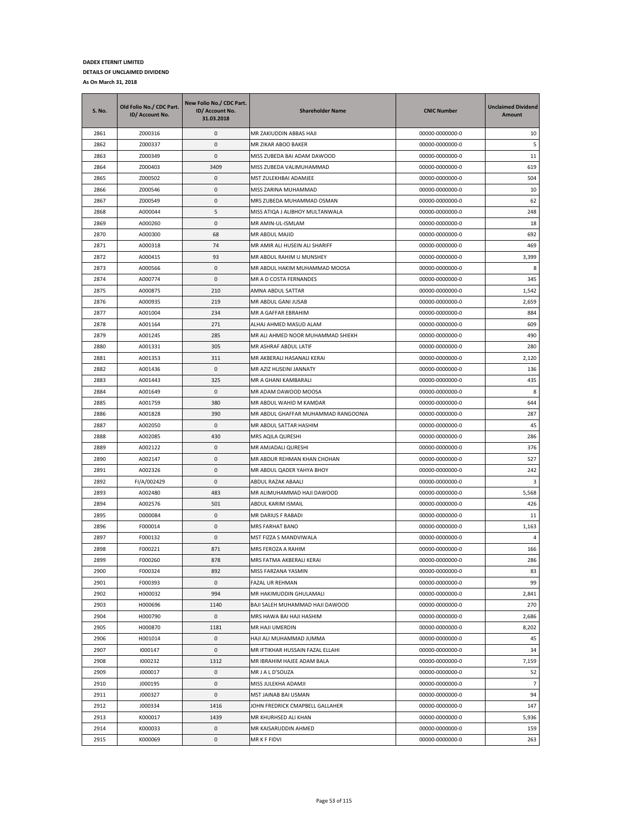| <b>S. No.</b> | Old Folio No./ CDC Part.<br>ID/ Account No. | New Folio No./ CDC Part.<br>ID/ Account No.<br>31.03.2018 | <b>Shareholder Name</b>             | <b>CNIC Number</b> | <b>Unclaimed Dividend</b><br>Amount |
|---------------|---------------------------------------------|-----------------------------------------------------------|-------------------------------------|--------------------|-------------------------------------|
| 2861          | Z000316                                     | 0                                                         | MR ZAKIUDDIN ABBAS HAJI             | 00000-0000000-0    | 10                                  |
| 2862          | Z000337                                     | 0                                                         | MR ZIKAR ABOO BAKER                 | 00000-0000000-0    | 5                                   |
| 2863          | Z000349                                     | 0                                                         | MISS ZUBEDA BAI ADAM DAWOOD         | 00000-0000000-0    | 11                                  |
| 2864          | Z000403                                     | 3409                                                      | MISS ZUBEDA VALIMUHAMMAD            | 00000-0000000-0    | 619                                 |
| 2865          | Z000502                                     | 0                                                         | MST ZULEKHBAI ADAMJEE               | 00000-0000000-0    | 504                                 |
| 2866          | Z000546                                     | 0                                                         | MISS ZARINA MUHAMMAD                | 00000-0000000-0    | 10                                  |
| 2867          | Z000549                                     | 0                                                         | MRS ZUBEDA MUHAMMAD OSMAN           | 00000-0000000-0    | 62                                  |
| 2868          | A000044                                     | 5                                                         | MISS ATIQA J ALIBHOY MULTANWALA     | 00000-0000000-0    | 248                                 |
| 2869          | A000260                                     | 0                                                         | MR AMIN-UL-ISMLAM                   | 00000-0000000-0    | 18                                  |
| 2870          | A000300                                     | 68                                                        | MR ABDUL MAJID                      | 00000-0000000-0    | 692                                 |
| 2871          | A000318                                     | 74                                                        | MR AMIR ALI HUSEIN ALI SHARIFF      | 00000-0000000-0    | 469                                 |
| 2872          | A000415                                     | 93                                                        | MR ABDUL RAHIM U MUNSHEY            | 00000-0000000-0    | 3,399                               |
| 2873          | A000566                                     | 0                                                         | MR ABDUL HAKIM MUHAMMAD MOOSA       | 00000-0000000-0    | 8                                   |
| 2874          | A000774                                     | 0                                                         | MR A D COSTA FERNANDES              | 00000-0000000-0    | 345                                 |
| 2875          | A000875                                     | 210                                                       | AMNA ABDUL SATTAR                   | 00000-0000000-0    | 1,542                               |
| 2876          | A000935                                     | 219                                                       | MR ABDUL GANI JUSAB                 | 00000-0000000-0    | 2,659                               |
| 2877          | A001004                                     | 234                                                       | MR A GAFFAR EBRAHIM                 | 00000-0000000-0    | 884                                 |
| 2878          | A001164                                     | 271                                                       | ALHAJ AHMED MASUD ALAM              | 00000-0000000-0    | 609                                 |
| 2879          | A001245                                     | 285                                                       | MR ALI AHMED NOOR MUHAMMAD SHIEKH   | 00000-0000000-0    | 490                                 |
| 2880          | A001331                                     | 305                                                       | MR ASHRAF ABDUL LATIF               | 00000-0000000-0    | 280                                 |
| 2881          | A001353                                     | 311                                                       | MR AKBERALI HASANALI KERAI          | 00000-0000000-0    | 2,120                               |
| 2882          | A001436                                     | 0                                                         | MR AZIZ HUSEINI JANNATY             | 00000-0000000-0    | 136                                 |
| 2883          | A001443                                     | 325                                                       | MR A GHANI KAMBARALI                | 00000-0000000-0    | 435                                 |
| 2884          | A001649                                     | 0                                                         | MR ADAM DAWOOD MOOSA                | 00000-0000000-0    | 8                                   |
| 2885          | A001759                                     | 380                                                       | MR ABDUL WAHID M KAMDAR             | 00000-0000000-0    | 644                                 |
| 2886          | A001828                                     | 390                                                       | MR ABDUL GHAFFAR MUHAMMAD RANGOONIA | 00000-0000000-0    | 287                                 |
| 2887          | A002050                                     | 0                                                         | MR ABDUL SATTAR HASHIM              | 00000-0000000-0    | 45                                  |
| 2888          | A002085                                     | 430                                                       | MRS AQILA QURESHI                   | 00000-0000000-0    | 286                                 |
| 2889          | A002122                                     | 0                                                         | MR AMJADALI QURESHI                 | 00000-0000000-0    | 376                                 |
| 2890          | A002147                                     | 0                                                         | MR ABDUR REHMAN KHAN CHOHAN         | 00000-0000000-0    | 527                                 |
| 2891          | A002326                                     | 0                                                         | MR ABDUL QADER YAHYA BHOY           | 00000-0000000-0    | 242                                 |
| 2892          | FI/A/002429                                 | 0                                                         | ABDUL RAZAK ABAALI                  | 00000-0000000-0    | 3                                   |
| 2893          | A002480                                     | 483                                                       | MR ALIMUHAMMAD HAJI DAWOOD          | 00000-0000000-0    | 5,568                               |
| 2894          | A002576                                     | 501                                                       | ABDUL KARIM ISMAIL                  | 00000-0000000-0    | 426                                 |
| 2895          | D000084                                     | 0                                                         | MR DARIUS F RABADI                  | 00000-0000000-0    | 11                                  |
| 2896          | F000014                                     | 0                                                         | MRS FARHAT BANO                     | 00000-0000000-0    | 1,163                               |
| 2897          | F000132                                     | 0                                                         | MST FIZZA S MANDVIWALA              | 00000-0000000-0    | $\overline{4}$                      |
| 2898          | F000221                                     | 871                                                       | MRS FEROZA A RAHIM                  | 00000-0000000-0    | 166                                 |
| 2899          | F000260                                     | 878                                                       | MRS FATMA AKBERALI KERAI            | 00000-0000000-0    | 286                                 |
| 2900          | F000324                                     | 892                                                       | MISS FARZANA YASMIN                 | 00000-0000000-0    | 83                                  |
| 2901          | F000393                                     | 0                                                         | FAZAL UR REHMAN                     | 00000-0000000-0    | 99                                  |
| 2902          | H000032                                     | 994                                                       | MR HAKIMUDDIN GHULAMALI             | 00000-0000000-0    | 2,841                               |
| 2903          | H000696                                     | 1140                                                      | BAJI SALEH MUHAMMAD HAJI DAWOOD     | 00000-0000000-0    | 270                                 |
| 2904          | H000790                                     | 0                                                         | MRS HAWA BAI HAJI HASHIM            | 00000-0000000-0    | 2,686                               |
| 2905          | H000870                                     | 1181                                                      | MR HAJI UMERDIN                     | 00000-0000000-0    | 8,202                               |
| 2906          | H001014                                     | 0                                                         | HAJI ALI MUHAMMAD JUMMA             | 00000-0000000-0    | 45                                  |
| 2907          | 1000147                                     | 0                                                         | MR IFTIKHAR HUSSAIN FAZAL ELLAHI    | 00000-0000000-0    | 34                                  |
| 2908          | 1000232                                     | 1312                                                      | MR IBRAHIM HAJEE ADAM BALA          | 00000-0000000-0    | 7,159                               |
| 2909          | J000017                                     | 0                                                         | MR J A L D'SOUZA                    | 00000-0000000-0    | 52                                  |
| 2910          | J000195                                     | 0                                                         | MISS JULEKHA ADAMJI                 | 00000-0000000-0    | $\overline{7}$                      |
| 2911          | J000327                                     | 0                                                         | MST JAINAB BAI USMAN                | 00000-0000000-0    | 94                                  |
| 2912          | J000334                                     | 1416                                                      | JOHN FREDRICK CMAPBELL GALLAHER     | 00000-0000000-0    | 147                                 |
| 2913          | K000017                                     | 1439                                                      | MR KHURHSED ALI KHAN                | 00000-0000000-0    | 5,936                               |
| 2914          | K000033                                     | 0                                                         | MR KAISARUDDIN AHMED                | 00000-0000000-0    | 159                                 |
| 2915          | K000069                                     | $\mathsf{O}\xspace$                                       | MR K F FIDVI                        | 00000-0000000-0    | 263                                 |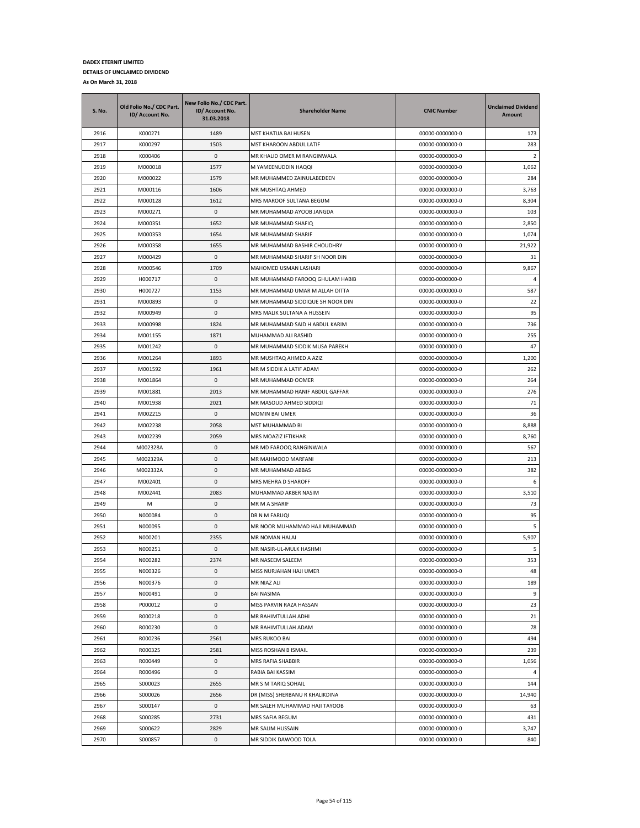| S. No. | Old Folio No./ CDC Part.<br>ID/ Account No. | New Folio No./ CDC Part.<br>ID/ Account No.<br>31.03.2018 | <b>Shareholder Name</b>          | <b>CNIC Number</b> | <b>Unclaimed Dividend</b><br>Amount |
|--------|---------------------------------------------|-----------------------------------------------------------|----------------------------------|--------------------|-------------------------------------|
| 2916   | K000271                                     | 1489                                                      | MST KHATIJA BAI HUSEN            | 00000-0000000-0    | 173                                 |
| 2917   | K000297                                     | 1503                                                      | MST KHAROON ABDUL LATIF          | 00000-0000000-0    | 283                                 |
| 2918   | K000406                                     | $\mathbf{0}$                                              | MR KHALID OMER M RANGINWALA      | 00000-0000000-0    | -2                                  |
| 2919   | M000018                                     | 1577                                                      | M YAMEENUDDIN HAQQI              | 00000-0000000-0    | 1,062                               |
| 2920   | M000022                                     | 1579                                                      | MR MUHAMMED ZAINULABEDEEN        | 00000-0000000-0    | 284                                 |
| 2921   | M000116                                     | 1606                                                      | MR MUSHTAQ AHMED                 | 00000-0000000-0    | 3,763                               |
| 2922   | M000128                                     | 1612                                                      | MRS MAROOF SULTANA BEGUM         | 00000-0000000-0    | 8,304                               |
| 2923   | M000271                                     | 0                                                         | MR MUHAMMAD AYOOB JANGDA         | 00000-0000000-0    | 103                                 |
| 2924   | M000351                                     | 1652                                                      | MR MUHAMMAD SHAFIQ               | 00000-0000000-0    | 2,850                               |
| 2925   | M000353                                     | 1654                                                      | MR MUHAMMAD SHARIF               | 00000-0000000-0    | 1,074                               |
| 2926   | M000358                                     | 1655                                                      | MR MUHAMMAD BASHIR CHOUDHRY      | 00000-0000000-0    | 21,922                              |
| 2927   | M000429                                     | 0                                                         | MR MUHAMMAD SHARIF SH NOOR DIN   | 00000-0000000-0    | 31                                  |
| 2928   | M000546                                     | 1709                                                      | MAHOMED USMAN LASHARI            | 00000-0000000-0    | 9,867                               |
| 2929   | H000717                                     | 0                                                         | MR MUHAMMAD FAROOQ GHULAM HABIB  | 00000-0000000-0    | $\overline{4}$                      |
| 2930   | H000727                                     | 1153                                                      | MR MUHAMMAD UMAR M ALLAH DITTA   | 00000-0000000-0    | 587                                 |
| 2931   | M000893                                     | 0                                                         | MR MUHAMMAD SIDDIQUE SH NOOR DIN | 00000-0000000-0    | 22                                  |
| 2932   | M000949                                     | 0                                                         | MRS MALIK SULTANA A HUSSEIN      | 00000-0000000-0    | 95                                  |
| 2933   | M000998                                     | 1824                                                      | MR MUHAMMAD SAID H ABDUL KARIM   | 00000-0000000-0    | 736                                 |
| 2934   | M001155                                     | 1871                                                      | MUHAMMAD ALI RASHID              | 00000-0000000-0    | 255                                 |
| 2935   | M001242                                     | 0                                                         | MR MUHAMMAD SIDDIK MUSA PAREKH   | 00000-0000000-0    | 47                                  |
| 2936   | M001264                                     | 1893                                                      | MR MUSHTAQ AHMED A AZIZ          | 00000-0000000-0    | 1,200                               |
| 2937   | M001592                                     | 1961                                                      | MR M SIDDIK A LATIF ADAM         | 00000-0000000-0    | 262                                 |
| 2938   | M001864                                     | 0                                                         | MR MUHAMMAD OOMER                | 00000-0000000-0    | 264                                 |
| 2939   | M001881                                     | 2013                                                      | MR MUHAMMAD HANIF ABDUL GAFFAR   | 00000-0000000-0    | 276                                 |
| 2940   | M001938                                     | 2021                                                      | MR MASOUD AHMED SIDDIQI          | 00000-0000000-0    | 71                                  |
| 2941   | M002215                                     | 0                                                         | MOMIN BAI UMER                   | 00000-0000000-0    | 36                                  |
| 2942   | M002238                                     | 2058                                                      | MST MUHAMMAD BI                  | 00000-0000000-0    | 8,888                               |
| 2943   | M002239                                     | 2059                                                      | MRS MOAZIZ IFTIKHAR              | 00000-0000000-0    | 8,760                               |
| 2944   | M002328A                                    | 0                                                         | MR MD FAROOQ RANGINWALA          | 00000-0000000-0    | 567                                 |
| 2945   | M002329A                                    | 0                                                         | MR MAHMOOD MARFANI               | 00000-0000000-0    | 213                                 |
| 2946   | M002332A                                    | 0                                                         | MR MUHAMMAD ABBAS                | 00000-0000000-0    | 382                                 |
| 2947   | M002401                                     | 0                                                         | MRS MEHRA D SHAROFF              | 00000-0000000-0    | 6                                   |
| 2948   | M002441                                     | 2083                                                      | MUHAMMAD AKBER NASIM             | 00000-0000000-0    | 3,510                               |
| 2949   | M                                           | 0                                                         | MR M A SHARIF                    | 00000-0000000-0    | 73                                  |
| 2950   | N000084                                     | 0                                                         | DR N M FARUQI                    | 00000-0000000-0    | 95                                  |
| 2951   | N000095                                     | 0                                                         | MR NOOR MUHAMMAD HAJI MUHAMMAD   | 00000-0000000-0    | 5                                   |
| 2952   | N000201                                     | 2355                                                      | MR NOMAN HALAI                   | 00000-0000000-0    | 5,907                               |
| 2953   | N000251                                     | 0                                                         | MR NASIR-UL-MULK HASHMI          | 00000-0000000-0    | 5                                   |
| 2954   | N000282                                     | 2374                                                      | MR NASEEM SALEEM                 | 00000-0000000-0    | 353                                 |
| 2955   | N000326                                     | 0                                                         | MISS NURJAHAN HAJI UMER          | 00000-0000000-0    | 48                                  |
| 2956   | N000376                                     | 0                                                         | MR NIAZ ALI                      | 00000-0000000-0    | 189                                 |
| 2957   | N000491                                     | $\pmb{0}$                                                 | <b>BAI NASIMA</b>                | 00000-0000000-0    | 9                                   |
| 2958   | P000012                                     | 0                                                         | MISS PARVIN RAZA HASSAN          | 00000-0000000-0    | 23                                  |
| 2959   | R000218                                     | 0                                                         | MR RAHIMTULLAH ADHI              | 00000-0000000-0    | 21                                  |
| 2960   | R000230                                     | 0                                                         | MR RAHIMTULLAH ADAM              | 00000-0000000-0    | 78                                  |
| 2961   | R000236                                     | 2561                                                      | MRS RUKOO BAI                    | 00000-0000000-0    | 494                                 |
| 2962   | R000325                                     | 2581                                                      | MISS ROSHAN B ISMAIL             | 00000-0000000-0    | 239                                 |
| 2963   | R000449                                     | 0                                                         | MRS RAFIA SHABBIR                | 00000-0000000-0    | 1,056                               |
| 2964   | R000496                                     | 0                                                         | RABIA BAI KASSIM                 | 00000-0000000-0    | 4                                   |
| 2965   | S000023                                     | 2655                                                      | MR S M TARIQ SOHAIL              | 00000-0000000-0    | 144                                 |
| 2966   | S000026                                     | 2656                                                      | DR (MISS) SHERBANU R KHALIKDINA  | 00000-0000000-0    | 14,940                              |
| 2967   | S000147                                     | 0                                                         | MR SALEH MUHAMMAD HAJI TAYOOB    | 00000-0000000-0    | 63                                  |
| 2968   | S000285                                     | 2731                                                      | MRS SAFIA BEGUM                  | 00000-0000000-0    | 431                                 |
| 2969   | S000622                                     | 2829                                                      | MR SALIM HUSSAIN                 | 00000-0000000-0    | 3,747                               |
| 2970   | S000857                                     | 0                                                         | MR SIDDIK DAWOOD TOLA            | 00000-0000000-0    | 840                                 |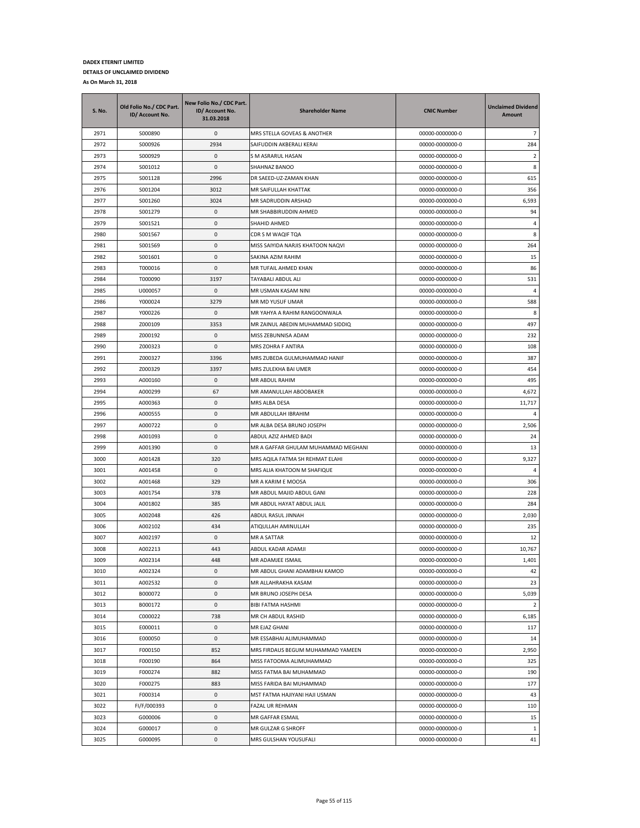| <b>S. No.</b> | Old Folio No./ CDC Part.<br>ID/ Account No. | New Folio No./ CDC Part.<br>ID/ Account No.<br>31.03.2018 | <b>Shareholder Name</b>                     | <b>CNIC Number</b>                 | <b>Unclaimed Dividend</b><br>Amount |
|---------------|---------------------------------------------|-----------------------------------------------------------|---------------------------------------------|------------------------------------|-------------------------------------|
| 2971          | S000890                                     | 0                                                         | MRS STELLA GOVEAS & ANOTHER                 | 00000-0000000-0                    | $\overline{7}$                      |
| 2972          | S000926                                     | 2934                                                      | SAIFUDDIN AKBERALI KERAI                    | 00000-0000000-0                    | 284                                 |
| 2973          | S000929                                     | 0                                                         | S M ASRARUL HASAN                           | 00000-0000000-0                    | $\overline{2}$                      |
| 2974          | S001012                                     | 0                                                         | SHAHNAZ BANOO                               | 00000-0000000-0                    | 8                                   |
| 2975          | S001128                                     | 2996                                                      | DR SAEED-UZ-ZAMAN KHAN                      | 00000-0000000-0                    | 615                                 |
| 2976          | S001204                                     | 3012                                                      | MR SAIFULLAH KHATTAK                        | 00000-0000000-0                    | 356                                 |
| 2977          | S001260                                     | 3024                                                      | MR SADRUDDIN ARSHAD                         | 00000-0000000-0                    | 6,593                               |
| 2978          | S001279                                     | 0                                                         | MR SHABBIRUDDIN AHMED                       | 00000-0000000-0                    | 94                                  |
| 2979          | S001521                                     | 0                                                         | SHAHID AHMED                                | 00000-0000000-0                    | 4                                   |
| 2980          | S001567                                     | 0                                                         | CDR S M WAQIF TOA                           | 00000-0000000-0                    | 8                                   |
| 2981          | S001569                                     | 0                                                         | MISS SAIYIDA NARJIS KHATOON NAQVI           | 00000-0000000-0                    | 264                                 |
| 2982          | S001601                                     | 0                                                         | SAKINA AZIM RAHIM                           | 00000-0000000-0                    | 15                                  |
| 2983          | T000016                                     | 0                                                         | MR TUFAIL AHMED KHAN                        | 00000-0000000-0                    | 86                                  |
| 2984          | T000090                                     | 3197                                                      | TAYABALI ABDUL ALI                          | 00000-0000000-0                    | 531                                 |
| 2985          | U000057                                     | 0                                                         | MR USMAN KASAM NINI                         | 00000-0000000-0                    | 4                                   |
| 2986          | Y000024                                     | 3279                                                      | MR MD YUSUF UMAR                            | 00000-0000000-0                    | 588                                 |
| 2987          | Y000226                                     | 0                                                         | MR YAHYA A RAHIM RANGOONWALA                | 00000-0000000-0                    | 8                                   |
| 2988          | Z000109                                     | 3353                                                      | MR ZAINUL ABEDIN MUHAMMAD SIDDIQ            | 00000-0000000-0                    | 497                                 |
| 2989          | Z000192                                     | 0                                                         | MISS ZEBUNNISA ADAM                         | 00000-0000000-0                    | 232                                 |
| 2990          | Z000323                                     | 0                                                         | MRS ZOHRA F ANTIRA                          | 00000-0000000-0                    | 108                                 |
| 2991          | Z000327                                     | 3396                                                      | MRS ZUBEDA GULMUHAMMAD HANIF                | 00000-0000000-0                    | 387                                 |
| 2992          | Z000329                                     | 3397                                                      | MRS ZULEKHA BAI UMER                        | 00000-0000000-0                    | 454                                 |
| 2993          | A000160                                     | 0                                                         | MR ABDUL RAHIM                              | 00000-0000000-0                    | 495                                 |
| 2994          | A000299                                     | 67                                                        | MR AMANULLAH ABOOBAKER                      | 00000-0000000-0                    | 4,672                               |
| 2995          | A000363                                     | 0                                                         | MRS ALBA DESA                               | 00000-0000000-0                    | 11,717                              |
| 2996          | A000555                                     | 0                                                         | MR ABDULLAH IBRAHIM                         | 00000-0000000-0                    | 4                                   |
| 2997          | A000722                                     | 0                                                         | MR ALBA DESA BRUNO JOSEPH                   | 00000-0000000-0                    | 2,506                               |
| 2998          | A001093                                     | 0                                                         | ABDUL AZIZ AHMED BADI                       | 00000-0000000-0                    | 24                                  |
| 2999          | A001390                                     | 0                                                         | MR A GAFFAR GHULAM MUHAMMAD MEGHANI         | 00000-0000000-0                    | 13                                  |
| 3000          | A001428                                     | 320                                                       | MRS AQILA FATMA SH REHMAT ELAHI             | 00000-0000000-0                    | 9,327                               |
| 3001          | A001458                                     | 0                                                         | MRS ALIA KHATOON M SHAFIQUE                 | 00000-0000000-0                    | 4                                   |
| 3002          | A001468                                     | 329                                                       | MR A KARIM E MOOSA                          | 00000-0000000-0                    | 306                                 |
| 3003          | A001754                                     | 378                                                       | MR ABDUL MAJID ABDUL GANI                   | 00000-0000000-0                    | 228                                 |
| 3004          | A001802                                     | 385                                                       | MR ABDUL HAYAT ABDUL JALIL                  | 00000-0000000-0                    | 284                                 |
| 3005          | A002048                                     | 426                                                       | ABDUL RASUL JINNAH                          | 00000-0000000-0                    | 2,030                               |
| 3006          | A002102                                     | 434                                                       | ATIQULLAH AMINULLAH                         | 00000-0000000-0                    | 235                                 |
| 3007          | A002197                                     | 0                                                         | MR A SATTAR                                 | 00000-0000000-0                    | 12                                  |
| 3008          | A002213                                     | 443                                                       | ABDUL KADAR ADAMJI                          | 00000-0000000-0                    | 10,767                              |
| 3009          | A002314                                     | 448                                                       | MR ADAMJEE ISMAIL                           | 00000-0000000-0                    | 1,401                               |
| 3010          | A002324                                     | 0                                                         | MR ABDUL GHANI ADAMBHAI KAMOD               | 00000-0000000-0                    | 42                                  |
| 3011          | A002532                                     | 0                                                         | MR ALLAHRAKHA KASAM                         | 00000-0000000-0                    | 23                                  |
| 3012          | B000072                                     | $\mathsf 0$                                               | MR BRUNO JOSEPH DESA                        | 00000-0000000-0                    | 5,039                               |
| 3013          | B000172                                     | 0                                                         | BIBI FATMA HASHMI                           | 00000-0000000-0                    | $\overline{2}$                      |
| 3014          | C000022                                     | 738                                                       | MR CH ABDUL RASHID                          | 00000-0000000-0                    | 6,185                               |
| 3015          | E000011                                     | 0                                                         | MR EJAZ GHANI                               | 00000-0000000-0                    | 117                                 |
| 3016          | E000050                                     | 0                                                         | MR ESSABHAI ALIMUHAMMAD                     | 00000-0000000-0                    | 14                                  |
| 3017          | F000150                                     | 852                                                       | MRS FIRDAUS BEGUM MUHAMMAD YAMEEN           | 00000-0000000-0                    | 2,950                               |
|               | F000190                                     |                                                           | MISS FATOOMA ALIMUHAMMAD                    |                                    |                                     |
| 3018<br>3019  | F000274                                     | 864<br>882                                                | MISS FATMA BAI MUHAMMAD                     | 00000-0000000-0<br>00000-0000000-0 | 325<br>190                          |
| 3020          |                                             |                                                           |                                             | 00000-0000000-0                    | 177                                 |
|               | F000275                                     | 883<br>0                                                  | MISS FARIDA BAI MUHAMMAD                    | 00000-0000000-0                    |                                     |
| 3021          | F000314                                     |                                                           | MST FATMA HAJIYANI HAJI USMAN               |                                    | 43                                  |
| 3022          | FI/F/000393                                 | 0                                                         | FAZAL UR REHMAN                             | 00000-0000000-0                    | 110                                 |
| 3023          | G000006                                     | 0                                                         | MR GAFFAR ESMAIL                            | 00000-0000000-0                    | 15                                  |
| 3024<br>3025  | G000017<br>G000095                          | 0<br>0                                                    | MR GULZAR G SHROFF<br>MRS GULSHAN YOUSUFALI | 00000-0000000-0<br>00000-0000000-0 | $\mathbf{1}$<br>41                  |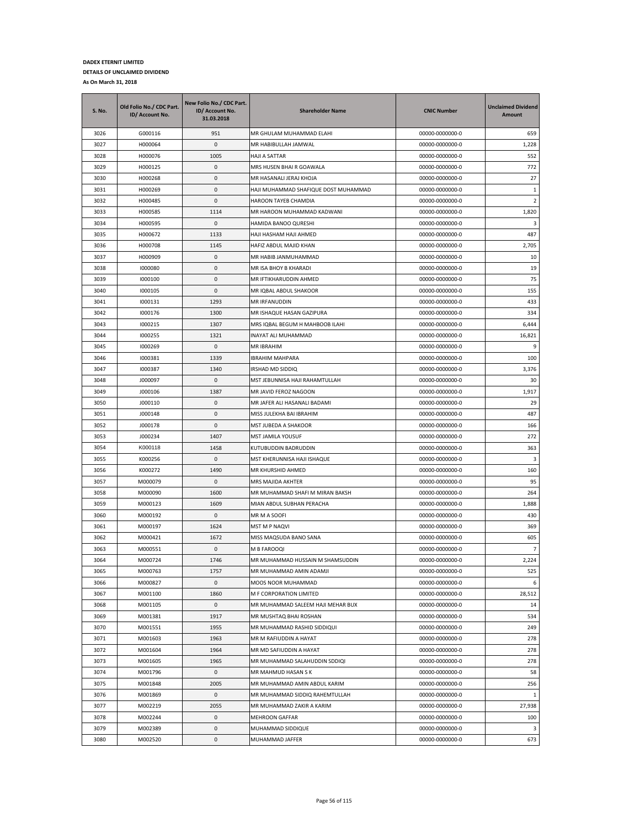| <b>S. No.</b> | Old Folio No./ CDC Part.<br>ID/ Account No. | New Folio No./ CDC Part.<br>ID/ Account No.<br>31.03.2018 | <b>Shareholder Name</b>              | <b>CNIC Number</b>                 | <b>Unclaimed Dividend</b><br><b>Amount</b> |
|---------------|---------------------------------------------|-----------------------------------------------------------|--------------------------------------|------------------------------------|--------------------------------------------|
| 3026          | G000116                                     | 951                                                       | MR GHULAM MUHAMMAD ELAHI             | 00000-0000000-0                    | 659                                        |
| 3027          | H000064                                     | $\pmb{0}$                                                 | MR HABIBULLAH JAMWAL                 | 00000-0000000-0                    | 1,228                                      |
| 3028          | H000076                                     | 1005                                                      | HAJI A SATTAR                        | 00000-0000000-0                    | 552                                        |
| 3029          | H000125                                     | $\pmb{0}$                                                 | MRS HUSEN BHAI R GOAWALA             | 00000-0000000-0                    | 772                                        |
| 3030          | H000268                                     | $\pmb{0}$                                                 | MR HASANALI JERAJ KHOJA              | 00000-0000000-0                    | 27                                         |
| 3031          | H000269                                     | $\pmb{0}$                                                 | HAJI MUHAMMAD SHAFIQUE DOST MUHAMMAD | 00000-0000000-0                    | $\,1\,$                                    |
| 3032          | H000485                                     | $\pmb{0}$                                                 | HAROON TAYEB CHAMDIA                 | 00000-0000000-0                    | $\overline{2}$                             |
| 3033          | H000585                                     | 1114                                                      | MR HAROON MUHAMMAD KADWANI           | 00000-0000000-0                    | 1,820                                      |
| 3034          | H000595                                     | 0                                                         | HAMIDA BANOO QURESHI                 | 00000-0000000-0                    | 3                                          |
| 3035          | H000672                                     | 1133                                                      | HAJI HASHAM HAJI AHMED               | 00000-0000000-0                    | 487                                        |
| 3036          | H000708                                     | 1145                                                      | HAFIZ ABDUL MAJID KHAN               | 00000-0000000-0                    | 2,705                                      |
| 3037          | H000909                                     | $\pmb{0}$                                                 | MR HABIB JANMUHAMMAD                 | 00000-0000000-0                    | 10                                         |
| 3038          | 1000080                                     | $\pmb{0}$                                                 | MR ISA BHOY B KHARADI                | 00000-0000000-0                    | 19                                         |
| 3039          | 1000100                                     | $\pmb{0}$                                                 | MR IFTIKHARUDDIN AHMED               | 00000-0000000-0                    | 75                                         |
| 3040          | 1000105                                     | 0                                                         | MR IQBAL ABDUL SHAKOOR               | 00000-0000000-0                    | 155                                        |
| 3041          | 1000131                                     | 1293                                                      | MR IRFANUDDIN                        | 00000-0000000-0                    | 433                                        |
| 3042          | 1000176                                     | 1300                                                      | MR ISHAQUE HASAN GAZIPURA            | 00000-0000000-0                    | 334                                        |
| 3043          | 1000215                                     | 1307                                                      | MRS IOBAL BEGUM H MAHBOOB ILAHI      | 00000-0000000-0                    | 6,444                                      |
| 3044          | 1000255                                     | 1321                                                      | INAYAT ALI MUHAMMAD                  | 00000-0000000-0                    | 16,821                                     |
| 3045          | 1000269                                     | $\pmb{0}$                                                 | MR IBRAHIM                           | 00000-0000000-0                    | 9                                          |
| 3046          | 1000381                                     | 1339                                                      | IBRAHIM MAHPARA                      | 00000-0000000-0                    | 100                                        |
| 3047          | 1000387                                     | 1340                                                      | IRSHAD MD SIDDIQ                     | 00000-0000000-0                    | 3,376                                      |
| 3048          | J000097                                     | $\pmb{0}$                                                 | MST JEBUNNISA HAJI RAHAMTULLAH       | 00000-0000000-0                    | 30                                         |
| 3049          | J000106                                     | 1387                                                      | MR JAVID FEROZ NAGOON                | 00000-0000000-0                    | 1,917                                      |
| 3050          | J000110                                     | $\pmb{0}$                                                 | MR JAFER ALI HASANALI BADAMI         | 00000-0000000-0                    | 29                                         |
| 3051          | J000148                                     | $\pmb{0}$                                                 | MISS JULEKHA BAI IBRAHIM             | 00000-0000000-0                    | 487                                        |
| 3052          | J000178                                     | 0                                                         | MST JUBEDA A SHAKOOR                 | 00000-0000000-0                    | 166                                        |
| 3053          | J000234                                     | 1407                                                      | MST JAMILA YOUSUF                    | 00000-0000000-0                    | 272                                        |
| 3054          | K000118                                     | 1458                                                      | KUTUBUDDIN BADRUDDIN                 | 00000-0000000-0                    | 363                                        |
| 3055          | K000256                                     | $\pmb{0}$                                                 | MST KHERUNNISA HAJI ISHAQUE          | 00000-0000000-0                    | 3                                          |
| 3056          | K000272                                     | 1490                                                      | MR KHURSHID AHMED                    | 00000-0000000-0                    | 160                                        |
| 3057          | M000079                                     | $\pmb{0}$                                                 | MRS MAJIDA AKHTER                    | 00000-0000000-0                    | 95                                         |
| 3058          | M000090                                     | 1600                                                      | MR MUHAMMAD SHAFI M MIRAN BAKSH      | 00000-0000000-0                    | 264                                        |
| 3059          | M000123                                     | 1609<br>0                                                 | MIAN ABDUL SUBHAN PERACHA            | 00000-0000000-0<br>00000-0000000-0 | 1,888                                      |
| 3060<br>3061  | M000192<br>M000197                          | 1624                                                      | MR M A SOOFI<br><b>MST M P NAQVI</b> | 00000-0000000-0                    | 430<br>369                                 |
| 3062          | M000421                                     | 1672                                                      | MISS MAQSUDA BANO SANA               | 00000-0000000-0                    | 605                                        |
| 3063          | M000551                                     | $\mathbf 0$                                               | M B FAROOQI                          | 00000-0000000-0                    | $\overline{7}$                             |
| 3064          | M000724                                     | 1746                                                      | MR MUHAMMAD HUSSAIN M SHAMSUDDIN     | 00000-0000000-0                    | 2,224                                      |
| 3065          | M000763                                     | 1757                                                      | MR MUHAMMAD AMIN ADAMJI              | 00000-0000000-0                    | 525                                        |
| 3066          | M000827                                     | 0                                                         | MOOS NOOR MUHAMMAD                   | 00000-0000000-0                    | 6                                          |
| 3067          | M001100                                     | 1860                                                      | M F CORPORATION LIMITED              | 00000-0000000-0                    | 28,512                                     |
| 3068          | M001105                                     | 0                                                         | MR MUHAMMAD SALEEM HAJI MEHAR BUX    | 00000-0000000-0                    | 14                                         |
| 3069          | M001381                                     | 1917                                                      | MR MUSHTAQ BHAI ROSHAN               | 00000-0000000-0                    | 534                                        |
| 3070          | M001551                                     | 1955                                                      | MR MUHAMMAD RASHID SIDDIQUI          | 00000-0000000-0                    | 249                                        |
| 3071          | M001603                                     | 1963                                                      | MR M RAFIUDDIN A HAYAT               | 00000-0000000-0                    | 278                                        |
| 3072          | M001604                                     | 1964                                                      | MR MD SAFIUDDIN A HAYAT              | 00000-0000000-0                    | 278                                        |
| 3073          | M001605                                     | 1965                                                      | MR MUHAMMAD SALAHUDDIN SDDIQI        | 00000-0000000-0                    | 278                                        |
| 3074          | M001796                                     | 0                                                         | MR MAHMUD HASAN S K                  | 00000-0000000-0                    | 58                                         |
| 3075          | M001848                                     | 2005                                                      | MR MUHAMMAD AMIN ABDUL KARIM         | 00000-0000000-0                    | 256                                        |
| 3076          | M001869                                     | $\pmb{0}$                                                 | MR MUHAMMAD SIDDIQ RAHEMTULLAH       | 00000-0000000-0                    | $\mathbf{1}$                               |
| 3077          | M002219                                     | 2055                                                      | MR MUHAMMAD ZAKIR A KARIM            | 00000-0000000-0                    | 27,938                                     |
| 3078          | M002244                                     | 0                                                         | <b>MEHROON GAFFAR</b>                | 00000-0000000-0                    | 100                                        |
| 3079          | M002389                                     | 0                                                         | MUHAMMAD SIDDIQUE                    | 00000-0000000-0                    | 3                                          |
| 3080          | M002520                                     | 0                                                         | MUHAMMAD JAFFER                      | 00000-0000000-0                    | 673                                        |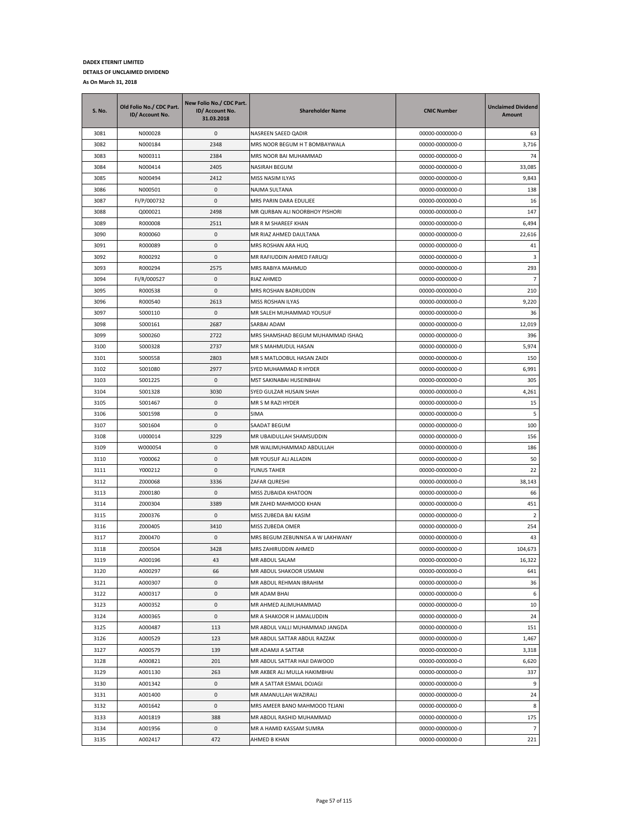| S. No. | Old Folio No./ CDC Part.<br>ID/ Account No. | New Folio No./ CDC Part.<br>ID/ Account No.<br>31.03.2018 | <b>Shareholder Name</b>           | <b>CNIC Number</b> | <b>Unclaimed Dividend</b><br>Amount |
|--------|---------------------------------------------|-----------------------------------------------------------|-----------------------------------|--------------------|-------------------------------------|
| 3081   | N000028                                     | 0                                                         | NASREEN SAEED QADIR               | 00000-0000000-0    | 63                                  |
| 3082   | N000184                                     | 2348                                                      | MRS NOOR BEGUM H T BOMBAYWALA     | 00000-0000000-0    | 3,716                               |
| 3083   | N000311                                     | 2384                                                      | MRS NOOR BAI MUHAMMAD             | 00000-0000000-0    | 74                                  |
| 3084   | N000414                                     | 2405                                                      | NASIRAH BEGUM                     | 00000-0000000-0    | 33,085                              |
| 3085   | N000494                                     | 2412                                                      | MISS NASIM ILYAS                  | 00000-0000000-0    | 9,843                               |
| 3086   | N000501                                     | 0                                                         | NAJMA SULTANA                     | 00000-0000000-0    | 138                                 |
| 3087   | FI/P/000732                                 | 0                                                         | MRS PARIN DARA EDULJEE            | 00000-0000000-0    | 16                                  |
| 3088   | Q000021                                     | 2498                                                      | MR QURBAN ALI NOORBHOY PISHORI    | 00000-0000000-0    | 147                                 |
| 3089   | R000008                                     | 2511                                                      | MR R M SHAREEF KHAN               | 00000-0000000-0    | 6,494                               |
| 3090   | R000060                                     | 0                                                         | MR RIAZ AHMED DAULTANA            | 00000-0000000-0    | 22,616                              |
| 3091   | R000089                                     | 0                                                         | MRS ROSHAN ARA HUQ                | 00000-0000000-0    | 41                                  |
| 3092   | R000292                                     | 0                                                         | MR RAFIUDDIN AHMED FARUQI         | 00000-0000000-0    | 3                                   |
| 3093   | R000294                                     | 2575                                                      | MRS RABIYA MAHMUD                 | 00000-0000000-0    | 293                                 |
| 3094   | FI/R/000527                                 | 0                                                         | RIAZ AHMED                        | 00000-0000000-0    | $\overline{7}$                      |
| 3095   | R000538                                     | 0                                                         | MRS ROSHAN BADRUDDIN              | 00000-0000000-0    | 210                                 |
| 3096   | R000540                                     | 2613                                                      | MISS ROSHAN ILYAS                 | 00000-0000000-0    | 9,220                               |
| 3097   | S000110                                     | 0                                                         | MR SALEH MUHAMMAD YOUSUF          | 00000-0000000-0    | 36                                  |
| 3098   | S000161                                     | 2687                                                      | SARBAI ADAM                       | 00000-0000000-0    | 12,019                              |
| 3099   | S000260                                     | 2722                                                      | MRS SHAMSHAD BEGUM MUHAMMAD ISHAQ | 00000-0000000-0    | 396                                 |
| 3100   | S000328                                     | 2737                                                      | MR S MAHMUDUL HASAN               | 00000-0000000-0    | 5,974                               |
| 3101   | S000558                                     | 2803                                                      | MR S MATLOOBUL HASAN ZAIDI        | 00000-0000000-0    | 150                                 |
| 3102   | S001080                                     | 2977                                                      | SYED MUHAMMAD R HYDER             | 00000-0000000-0    | 6,991                               |
| 3103   | S001225                                     | 0                                                         | MST SAKINABAI HUSEINBHAI          | 00000-0000000-0    | 305                                 |
| 3104   | S001328                                     | 3030                                                      | SYED GULZAR HUSAIN SHAH           | 00000-0000000-0    | 4,261                               |
| 3105   | S001467                                     | 0                                                         | MR S M RAZI HYDER                 | 00000-0000000-0    | 15                                  |
| 3106   | S001598                                     | 0                                                         | SIMA                              | 00000-0000000-0    | 5                                   |
| 3107   | S001604                                     | 0                                                         | SAADAT BEGUM                      | 00000-0000000-0    | 100                                 |
| 3108   | U000014                                     | 3229                                                      | MR UBAIDULLAH SHAMSUDDIN          | 00000-0000000-0    | 156                                 |
| 3109   | W000054                                     | 0                                                         | MR WALIMUHAMMAD ABDULLAH          | 00000-0000000-0    | 186                                 |
| 3110   | Y000062                                     | 0                                                         | MR YOUSUF ALI ALLADIN             | 00000-0000000-0    | 50                                  |
| 3111   | Y000212                                     | 0                                                         | YUNUS TAHER                       | 00000-0000000-0    | 22                                  |
| 3112   | Z000068                                     | 3336                                                      | ZAFAR QURESHI                     | 00000-0000000-0    | 38,143                              |
| 3113   | Z000180                                     | 0                                                         | MISS ZUBAIDA KHATOON              | 00000-0000000-0    | 66                                  |
| 3114   | Z000304                                     | 3389                                                      | MR ZAHID MAHMOOD KHAN             | 00000-0000000-0    | 451                                 |
| 3115   | Z000376                                     | 0                                                         | MISS ZUBEDA BAI KASIM             | 00000-0000000-0    | $\overline{2}$                      |
| 3116   | Z000405                                     | 3410                                                      | MISS ZUBEDA OMER                  | 00000-0000000-0    | 254                                 |
| 3117   | Z000470                                     | 0                                                         | MRS BEGUM ZEBUNNISA A W LAKHWANY  | 00000-0000000-0    | 43                                  |
| 3118   | Z000504                                     | 3428                                                      | MRS ZAHIRUDDIN AHMED              | 00000-0000000-0    | 104,673                             |
| 3119   | A000196                                     | 43                                                        | <b>MR ABDUL SALAM</b>             | 00000-0000000-0    | 16,322                              |
| 3120   | A000297                                     | 66                                                        | MR ABDUL SHAKOOR USMANI           | 00000-0000000-0    | 641                                 |
| 3121   | A000307                                     | 0                                                         | MR ABDUL REHMAN IBRAHIM           | 00000-0000000-0    | 36                                  |
| 3122   | A000317                                     | $\pmb{0}$                                                 | MR ADAM BHAI                      | 00000-0000000-0    | 6                                   |
| 3123   | A000352                                     | 0                                                         | MR AHMED ALIMUHAMMAD              | 00000-0000000-0    | 10                                  |
| 3124   | A000365                                     | 0                                                         | MR A SHAKOOR H JAMALUDDIN         | 00000-0000000-0    | 24                                  |
| 3125   | A000487                                     | 113                                                       | MR ABDUL VALLI MUHAMMAD JANGDA    | 00000-0000000-0    | 151                                 |
| 3126   | A000529                                     | 123                                                       | MR ABDUL SATTAR ABDUL RAZZAK      | 00000-0000000-0    | 1,467                               |
| 3127   | A000579                                     | 139                                                       | MR ADAMJI A SATTAR                | 00000-0000000-0    | 3,318                               |
| 3128   | A000821                                     | 201                                                       | MR ABDUL SATTAR HAJI DAWOOD       | 00000-0000000-0    | 6,620                               |
| 3129   | A001130                                     | 263                                                       | MR AKBER ALI MULLA HAKIMBHAI      | 00000-0000000-0    | 337                                 |
| 3130   | A001342                                     | 0                                                         | MR A SATTAR ESMAIL DOJAGI         | 00000-0000000-0    | 9                                   |
| 3131   | A001400                                     | 0                                                         | MR AMANULLAH WAZIRALI             | 00000-0000000-0    | 24                                  |
| 3132   | A001642                                     | 0                                                         | MRS AMEER BANO MAHMOOD TEJANI     | 00000-0000000-0    | 8                                   |
| 3133   | A001819                                     | 388                                                       | MR ABDUL RASHID MUHAMMAD          | 00000-0000000-0    | 175                                 |
| 3134   | A001956                                     | 0                                                         | MR A HAMID KASSAM SUMRA           | 00000-0000000-0    | $\overline{7}$                      |
| 3135   | A002417                                     | 472                                                       | AHMED B KHAN                      | 00000-0000000-0    | 221                                 |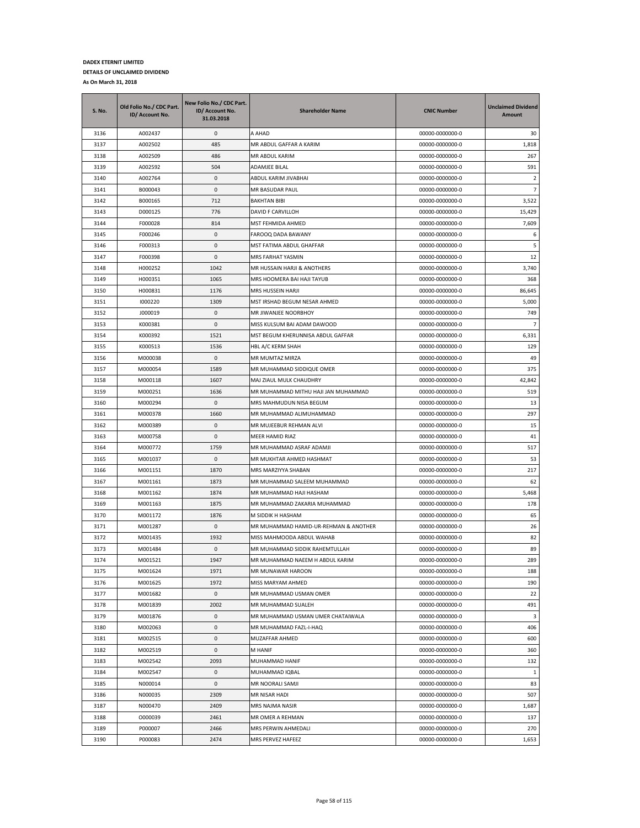| S. No. | Old Folio No./ CDC Part.<br>ID/ Account No. | New Folio No./ CDC Part.<br>ID/ Account No.<br>31.03.2018 | <b>Shareholder Name</b>               | <b>CNIC Number</b> | <b>Unclaimed Dividend</b><br>Amount |
|--------|---------------------------------------------|-----------------------------------------------------------|---------------------------------------|--------------------|-------------------------------------|
| 3136   | A002437                                     | 0                                                         | A AHAD                                | 00000-0000000-0    | 30                                  |
| 3137   | A002502                                     | 485                                                       | MR ABDUL GAFFAR A KARIM               | 00000-0000000-0    | 1,818                               |
| 3138   | A002509                                     | 486                                                       | MR ABDUL KARIM                        | 00000-0000000-0    | 267                                 |
| 3139   | A002592                                     | 504                                                       | ADAMJEE BILAL                         | 00000-0000000-0    | 591                                 |
| 3140   | A002764                                     | 0                                                         | ABDUL KARIM JIVABHAI                  | 00000-0000000-0    | 2                                   |
| 3141   | B000043                                     | 0                                                         | MR BASUDAR PAUL                       | 00000-0000000-0    | $\overline{7}$                      |
| 3142   | B000165                                     | 712                                                       | <b>BAKHTAN BIBI</b>                   | 00000-0000000-0    | 3,522                               |
| 3143   | D000125                                     | 776                                                       | DAVID F CARVILLOH                     | 00000-0000000-0    | 15,429                              |
| 3144   | F000028                                     | 814                                                       | MST FEHMIDA AHMED                     | 00000-0000000-0    | 7,609                               |
| 3145   | F000246                                     | $\pmb{0}$                                                 | FAROOQ DADA BAWANY                    | 00000-0000000-0    | 6                                   |
| 3146   | F000313                                     | 0                                                         | MST FATIMA ABDUL GHAFFAR              | 00000-0000000-0    | 5                                   |
| 3147   | F000398                                     | 0                                                         | MRS FARHAT YASMIN                     | 00000-0000000-0    | 12                                  |
| 3148   | H000252                                     | 1042                                                      | MR HUSSAIN HARJI & ANOTHERS           | 00000-0000000-0    | 3,740                               |
| 3149   | H000351                                     | 1065                                                      | MRS HOOMERA BAI HAJI TAYUB            | 00000-0000000-0    | 368                                 |
| 3150   | H000831                                     | 1176                                                      | MRS HUSSEIN HARJI                     | 00000-0000000-0    | 86,645                              |
| 3151   | 1000220                                     | 1309                                                      | MST IRSHAD BEGUM NESAR AHMED          | 00000-0000000-0    | 5,000                               |
| 3152   | J000019                                     | 0                                                         | MR JIWANJEE NOORBHOY                  | 00000-0000000-0    | 749                                 |
| 3153   | K000381                                     | 0                                                         | MISS KULSUM BAI ADAM DAWOOD           | 00000-0000000-0    | $\overline{7}$                      |
| 3154   | K000392                                     | 1521                                                      | MST BEGUM KHERUNNISA ABDUL GAFFAR     | 00000-0000000-0    | 6,331                               |
| 3155   | K000513                                     | 1536                                                      | HBL A/C KERM SHAH                     | 00000-0000000-0    | 129                                 |
| 3156   | M000038                                     | 0                                                         | MR MUMTAZ MIRZA                       | 00000-0000000-0    | 49                                  |
| 3157   | M000054                                     | 1589                                                      | MR MUHAMMAD SIDDIQUE OMER             | 00000-0000000-0    | 375                                 |
| 3158   | M000118                                     | 1607                                                      | MAJ ZIAUL MULK CHAUDHRY               | 00000-0000000-0    | 42,842                              |
| 3159   | M000251                                     | 1636                                                      | MR MUHAMMAD MITHU HAJI JAN MUHAMMAD   | 00000-0000000-0    | 519                                 |
| 3160   | M000294                                     | 0                                                         | MRS MAHMUDUN NISA BEGUM               | 00000-0000000-0    | 13                                  |
| 3161   | M000378                                     | 1660                                                      | MR MUHAMMAD ALIMUHAMMAD               | 00000-0000000-0    | 297                                 |
| 3162   | M000389                                     | 0                                                         | MR MUJEEBUR REHMAN ALVI               | 00000-0000000-0    | 15                                  |
| 3163   | M000758                                     | 0                                                         | MEER HAMID RIAZ                       | 00000-0000000-0    | 41                                  |
| 3164   | M000772                                     | 1759                                                      | MR MUHAMMAD ASRAF ADAMJI              | 00000-0000000-0    | 517                                 |
| 3165   | M001037                                     | 0                                                         | MR MUKHTAR AHMED HASHMAT              | 00000-0000000-0    | 53                                  |
| 3166   | M001151                                     | 1870                                                      | MRS MARZIYYA SHABAN                   | 00000-0000000-0    | 217                                 |
| 3167   | M001161                                     | 1873                                                      | MR MUHAMMAD SALEEM MUHAMMAD           | 00000-0000000-0    | 62                                  |
| 3168   | M001162                                     | 1874                                                      | MR MUHAMMAD HAJI HASHAM               | 00000-0000000-0    | 5,468                               |
| 3169   | M001163                                     | 1875                                                      | MR MUHAMMAD ZAKARIA MUHAMMAD          | 00000-0000000-0    | 178                                 |
| 3170   | M001172                                     | 1876                                                      | M SIDDIK H HASHAM                     | 00000-0000000-0    | 65                                  |
| 3171   | M001287                                     | 0                                                         | MR MUHAMMAD HAMID-UR-REHMAN & ANOTHER | 00000-0000000-0    | 26                                  |
| 3172   | M001435                                     | 1932                                                      | MISS MAHMOODA ABDUL WAHAB             | 00000-0000000-0    | 82                                  |
| 3173   | M001484                                     | 0                                                         | MR MUHAMMAD SIDDIK RAHEMTULLAH        | 00000-0000000-0    | 89                                  |
| 3174   | M001521                                     | 1947                                                      | MR MUHAMMAD NAEEM H ABDUL KARIM       | 00000-0000000-0    | 289                                 |
| 3175   | M001624                                     | 1971                                                      | MR MUNAWAR HAROON                     | 00000-0000000-0    | 188                                 |
| 3176   | M001625                                     | 1972                                                      | MISS MARYAM AHMED                     | 00000-0000000-0    | 190                                 |
| 3177   | M001682                                     | $\pmb{0}$                                                 | MR MUHAMMAD USMAN OMER                | 00000-0000000-0    | 22                                  |
| 3178   | M001839                                     | 2002                                                      | MR MUHAMMAD SUALEH                    | 00000-0000000-0    | 491                                 |
| 3179   | M001876                                     | 0                                                         | MR MUHAMMAD USMAN UMER CHATAIWALA     | 00000-0000000-0    | 3                                   |
| 3180   | M002063                                     | 0                                                         | MR MUHAMMAD FAZL-I-HAQ                | 00000-0000000-0    | 406                                 |
| 3181   | M002515                                     | 0                                                         | MUZAFFAR AHMED                        | 00000-0000000-0    | 600                                 |
| 3182   | M002519                                     | 0                                                         | M HANIF                               | 00000-0000000-0    | 360                                 |
| 3183   | M002542                                     | 2093                                                      | MUHAMMAD HANIF                        | 00000-0000000-0    | 132                                 |
| 3184   | M002547                                     | 0                                                         | MUHAMMAD IQBAL                        | 00000-0000000-0    | 1                                   |
| 3185   | N000014                                     | 0                                                         | MR NOORALI SAMJI                      | 00000-0000000-0    | 83                                  |
| 3186   | N000035                                     | 2309                                                      | MR NISAR HADI                         | 00000-0000000-0    | 507                                 |
| 3187   | N000470                                     | 2409                                                      | MRS NAJMA NASIR                       | 00000-0000000-0    | 1,687                               |
| 3188   | 0000039                                     | 2461                                                      | MR OMER A REHMAN                      | 00000-0000000-0    | 137                                 |
| 3189   | P000007                                     | 2466                                                      | MRS PERWIN AHMEDALI                   | 00000-0000000-0    | 270                                 |
| 3190   | P000083                                     | 2474                                                      | MRS PERVEZ HAFEEZ                     | 00000-0000000-0    | 1,653                               |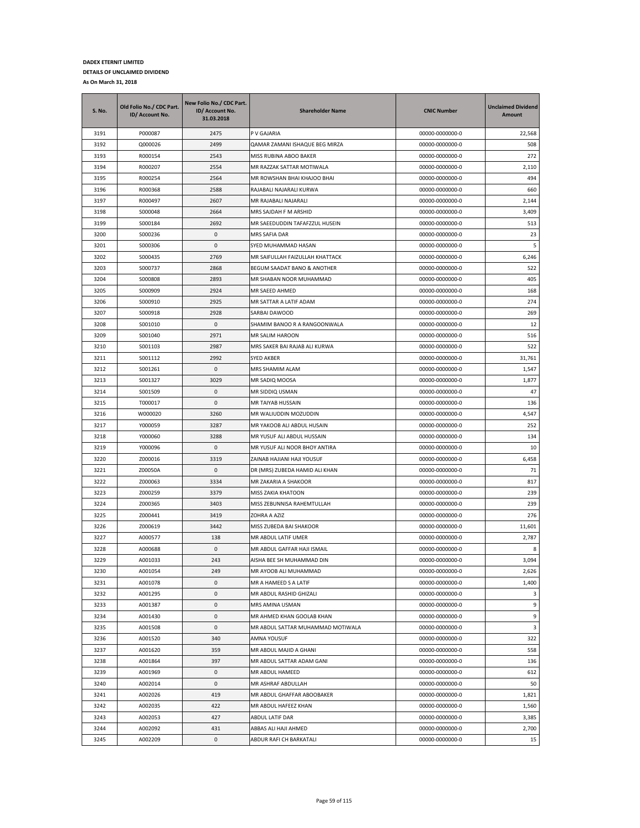| <b>S. No.</b> | Old Folio No./ CDC Part.<br>ID/ Account No. | New Folio No./ CDC Part.<br>ID/ Account No.<br>31.03.2018 | <b>Shareholder Name</b>           | <b>CNIC Number</b> | <b>Unclaimed Dividend</b><br>Amount |
|---------------|---------------------------------------------|-----------------------------------------------------------|-----------------------------------|--------------------|-------------------------------------|
| 3191          | P000087                                     | 2475                                                      | P V GAJARIA                       | 00000-0000000-0    | 22,568                              |
| 3192          | Q000026                                     | 2499                                                      | QAMAR ZAMANI ISHAQUE BEG MIRZA    | 00000-0000000-0    | 508                                 |
| 3193          | R000154                                     | 2543                                                      | MISS RUBINA ABOO BAKER            | 00000-0000000-0    | 272                                 |
| 3194          | R000207                                     | 2554                                                      | MR RAZZAK SATTAR MOTIWALA         | 00000-0000000-0    | 2,110                               |
| 3195          | R000254                                     | 2564                                                      | MR ROWSHAN BHAI KHAJOO BHAI       | 00000-0000000-0    | 494                                 |
| 3196          | R000368                                     | 2588                                                      | RAJABALI NAJARALI KURWA           | 00000-0000000-0    | 660                                 |
| 3197          | R000497                                     | 2607                                                      | MR RAJABALI NAJARALI              | 00000-0000000-0    | 2,144                               |
| 3198          | S000048                                     | 2664                                                      | MRS SAJDAH F M ARSHID             | 00000-0000000-0    | 3,409                               |
| 3199          | S000184                                     | 2692                                                      | MR SAEEDUDDIN TAFAFZZUL HUSEIN    | 00000-0000000-0    | 513                                 |
| 3200          | S000236                                     | 0                                                         | MRS SAFIA DAR                     | 00000-0000000-0    | 23                                  |
| 3201          | S000306                                     | 0                                                         | SYED MUHAMMAD HASAN               | 00000-0000000-0    | 5                                   |
| 3202          | S000435                                     | 2769                                                      | MR SAIFULLAH FAIZULLAH KHATTACK   | 00000-0000000-0    | 6,246                               |
| 3203          | S000737                                     | 2868                                                      | BEGUM SAADAT BANO & ANOTHER       | 00000-0000000-0    | 522                                 |
| 3204          | S000808                                     | 2893                                                      | MR SHABAN NOOR MUHAMMAD           | 00000-0000000-0    | 405                                 |
| 3205          | S000909                                     | 2924                                                      | MR SAEED AHMED                    | 00000-0000000-0    | 168                                 |
| 3206          | S000910                                     | 2925                                                      | MR SATTAR A LATIF ADAM            | 00000-0000000-0    | 274                                 |
| 3207          | S000918                                     | 2928                                                      | SARBAI DAWOOD                     | 00000-0000000-0    | 269                                 |
| 3208          | S001010                                     | 0                                                         | SHAMIM BANOO R A RANGOONWALA      | 00000-0000000-0    | 12                                  |
| 3209          | S001040                                     | 2971                                                      | MR SALIM HAROON                   | 00000-0000000-0    | 516                                 |
| 3210          | S001103                                     | 2987                                                      | MRS SAKER BAI RAJAB ALI KURWA     | 00000-0000000-0    | 522                                 |
| 3211          | S001112                                     | 2992                                                      | SYED AKBER                        | 00000-0000000-0    | 31,761                              |
| 3212          | S001261                                     | 0                                                         | MRS SHAMIM ALAM                   | 00000-0000000-0    | 1,547                               |
| 3213          | S001327                                     | 3029                                                      | MR SADIQ MOOSA                    | 00000-0000000-0    | 1,877                               |
| 3214          | S001509                                     | 0                                                         | MR SIDDIQ USMAN                   | 00000-0000000-0    | 47                                  |
| 3215          | T000017                                     | 0                                                         | MR TAIYAB HUSSAIN                 | 00000-0000000-0    | 136                                 |
| 3216          | W000020                                     | 3260                                                      | MR WALIUDDIN MOZUDDIN             | 00000-0000000-0    | 4,547                               |
| 3217          | Y000059                                     | 3287                                                      | MR YAKOOB ALI ABDUL HUSAIN        | 00000-0000000-0    | 252                                 |
| 3218          | Y000060                                     | 3288                                                      | MR YUSUF ALI ABDUL HUSSAIN        | 00000-0000000-0    | 134                                 |
| 3219          | Y000096                                     | 0                                                         | MR YUSUF ALI NOOR BHOY ANTIRA     | 00000-0000000-0    | 10                                  |
| 3220          | Z000016                                     | 3319                                                      | ZAINAB HAJIANI HAJI YOUSUF        | 00000-0000000-0    | 6,458                               |
| 3221          | Z00050A                                     | 0                                                         | DR (MRS) ZUBEDA HAMID ALI KHAN    | 00000-0000000-0    | 71                                  |
| 3222          | Z000063                                     | 3334                                                      | MR ZAKARIA A SHAKOOR              | 00000-0000000-0    | 817                                 |
| 3223          | Z000259                                     | 3379                                                      | MISS ZAKIA KHATOON                | 00000-0000000-0    | 239                                 |
| 3224          | Z000365                                     | 3403                                                      | MISS ZEBUNNISA RAHEMTULLAH        | 00000-0000000-0    | 239                                 |
| 3225          | Z000441                                     | 3419                                                      | ZOHRA A AZIZ                      | 00000-0000000-0    | 276                                 |
| 3226          | Z000619                                     | 3442                                                      | MISS ZUBEDA BAI SHAKOOR           | 00000-0000000-0    | 11,601                              |
| 3227          | A000577                                     | 138                                                       | MR ABDUL LATIF UMER               | 00000-0000000-0    | 2,787                               |
| 3228          | A000688                                     | 0                                                         | MR ABDUL GAFFAR HAJI ISMAIL       | 00000-0000000-0    | 8                                   |
| 3229          | A001033                                     | 243                                                       | AISHA BEE SH MUHAMMAD DIN         | 00000-0000000-0    | 3,094                               |
| 3230          | A001054                                     | 249                                                       | MR AYOOB ALI MUHAMMAD             | 00000-0000000-0    | 2,626                               |
| 3231          | A001078                                     | 0                                                         | MR A HAMEED S A LATIF             | 00000-0000000-0    | 1,400                               |
| 3232          | A001295                                     | $\mathsf 0$                                               | MR ABDUL RASHID GHIZALI           | 00000-0000000-0    | 3                                   |
| 3233          | A001387                                     | 0                                                         | MRS AMINA USMAN                   | 00000-0000000-0    | 9                                   |
| 3234          | A001430                                     | 0                                                         | MR AHMED KHAN GOOLAB KHAN         | 00000-0000000-0    | 9                                   |
| 3235          | A001508                                     | 0                                                         | MR ABDUL SATTAR MUHAMMAD MOTIWALA | 00000-0000000-0    | 3                                   |
| 3236          | A001520                                     | 340                                                       | AMNA YOUSUF                       | 00000-0000000-0    | 322                                 |
| 3237          | A001620                                     | 359                                                       | MR ABDUL MAJID A GHANI            | 00000-0000000-0    | 558                                 |
| 3238          | A001864                                     | 397                                                       | MR ABDUL SATTAR ADAM GANI         | 00000-0000000-0    | 136                                 |
| 3239          | A001969                                     | 0                                                         | MR ABDUL HAMEED                   | 00000-0000000-0    | 612                                 |
| 3240          | A002014                                     | 0                                                         | MR ASHRAF ABDULLAH                | 00000-0000000-0    | 50                                  |
| 3241          | A002026                                     | 419                                                       | MR ABDUL GHAFFAR ABOOBAKER        | 00000-0000000-0    | 1,821                               |
| 3242          | A002035                                     | 422                                                       | MR ABDUL HAFEEZ KHAN              | 00000-0000000-0    | 1,560                               |
| 3243          | A002053                                     | 427                                                       | ABDUL LATIF DAR                   | 00000-0000000-0    | 3,385                               |
| 3244          | A002092                                     | 431                                                       | ABBAS ALI HAJI AHMED              | 00000-0000000-0    | 2,700                               |
| 3245          | A002209                                     | 0                                                         | ABDUR RAFI CH BARKATALI           | 00000-0000000-0    | 15                                  |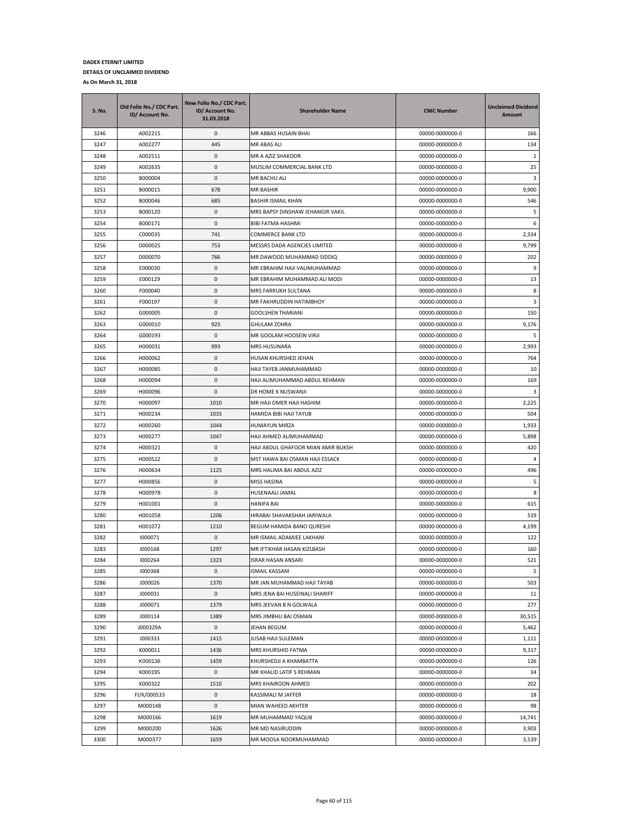| <b>S. No.</b> | Old Folio No./ CDC Part.<br>ID/ Account No. | New Folio No./ CDC Part.<br>ID/ Account No.<br>31.03.2018 | <b>Shareholder Name</b>            | <b>CNIC Number</b> | <b>Unclaimed Dividend</b><br><b>Amount</b> |
|---------------|---------------------------------------------|-----------------------------------------------------------|------------------------------------|--------------------|--------------------------------------------|
| 3246          | A002215                                     | 0                                                         | MR ABBAS HUSAIN BHAI               | 00000-0000000-0    | 166                                        |
| 3247          | A002277                                     | 445                                                       | MR ABAS ALI                        | 00000-0000000-0    | 134                                        |
| 3248          | A002511                                     | 0                                                         | MR A AZIZ SHAKOOR                  | 00000-0000000-0    | -1                                         |
| 3249          | A002635                                     | 0                                                         | MUSLIM COMMERCIAL BANK LTD         | 00000-0000000-0    | 25                                         |
| 3250          | B000004                                     | 0                                                         | MR BACHU ALI                       | 00000-0000000-0    | 3                                          |
| 3251          | B000015                                     | 678                                                       | <b>MR BASHIR</b>                   | 00000-0000000-0    | 9,900                                      |
| 3252          | B000046                                     | 685                                                       | <b>BASHIR ISMAIL KHAN</b>          | 00000-0000000-0    | 546                                        |
| 3253          | B000120                                     | 0                                                         | MRS BAPSY DINSHAW JEHANGIR VAKIL   | 00000-0000000-0    | 5                                          |
| 3254          | B000171                                     | 0                                                         | <b>BIBI FATMA HASHMI</b>           | 00000-0000000-0    | 6                                          |
| 3255          | C000035                                     | 741                                                       | COMMERCE BANK LTD                  | 00000-0000000-0    | 2,334                                      |
| 3256          | D000025                                     | 753                                                       | MESSRS DADA AGENCIES LIMITED       | 00000-0000000-0    | 9,799                                      |
| 3257          | D000070                                     | 766                                                       | MR DAWOOD MUHAMMAD SIDDIQ          | 00000-0000000-0    | 202                                        |
| 3258          | E000030                                     | 0                                                         | MR EBRAHIM HAJI VALIMUHAMMAD       | 00000-0000000-0    | 9                                          |
| 3259          | E000129                                     | 0                                                         | MR EBRAHIM MUHAMMAD ALI MODI       | 00000-0000000-0    | 13                                         |
| 3260          | F000040                                     | 0                                                         | MRS FARRUKH SULTANA                | 00000-0000000-0    | 8                                          |
| 3261          | F000197                                     | 0                                                         | MR FAKHRUDDIN HATIMBHOY            | 00000-0000000-0    | 3                                          |
| 3262          | G000005                                     | 0                                                         | <b>GOOLSHEN THARIANI</b>           | 00000-0000000-0    | 150                                        |
| 3263          | G000010                                     | 925                                                       | <b>GHULAM ZOHRA</b>                | 00000-0000000-0    | 9,176                                      |
| 3264          | G000193                                     | 0                                                         | MR GOOLAM HOOSEIN VIRJI            | 00000-0000000-0    | 5                                          |
| 3265          | H000031                                     | 993                                                       | MRS HUSUNARA                       | 00000-0000000-0    | 2,993                                      |
| 3266          | H000062                                     | 0                                                         | HUSAN KHURSHED JEHAN               | 00000-0000000-0    | 764                                        |
| 3267          | H000085                                     | 0                                                         | HAJI TAYEB JANMUHAMMAD             | 00000-0000000-0    | 10                                         |
| 3268          | H000094                                     | 0                                                         | HAJI ALIMUHAMMAD ABDUL REHMAN      | 00000-0000000-0    | 169                                        |
| 3269          | H000096                                     | 0                                                         | DR HOME K NUSWANJI                 | 00000-0000000-0    | 3                                          |
| 3270          | H000097                                     | 1010                                                      | MR HAJI OMER HAJI HASHIM           | 00000-0000000-0    | 2,225                                      |
| 3271          | H000234                                     | 1035                                                      | HAMIDA BIBI HAJI TAYUB             | 00000-0000000-0    | 504                                        |
| 3272          | H000260                                     | 1044                                                      | HUMAYUN MIRZA                      | 00000-0000000-0    | 1,933                                      |
| 3273          | H000277                                     | 1047                                                      | HAJI AHMED ALIMUHAMMAD             | 00000-0000000-0    | 5,898                                      |
| 3274          | H000321                                     | 0                                                         | HAJI ABDUL GHAFOOR MIAN AMIR BUKSH | 00000-0000000-0    | 420                                        |
| 3275          | H000522                                     | 0                                                         | MST HAWA BAI OSMAN HAJI ESSACK     | 00000-0000000-0    | $\overline{4}$                             |
| 3276          | H000634                                     | 1125                                                      | MRS HALIMA BAI ABDUL AZIZ          | 00000-0000000-0    | 496                                        |
| 3277          | H000856                                     | 0                                                         | MISS HASINA                        | 00000-0000000-0    | 5                                          |
| 3278          | H000978                                     | 0                                                         | HUSENAALI JAMAL                    | 00000-0000000-0    | 8                                          |
| 3279          | H001001                                     | 0                                                         | HANIFA BAI                         | 00000-0000000-0    | 615                                        |
| 3280          | H001058                                     | 1206                                                      | HIRABAI SHAVAKSHAH JARIWALA        | 00000-0000000-0    | 519                                        |
| 3281          | H001072                                     | 1210                                                      | BEGUM HAMIDA BANO QURESHI          | 00000-0000000-0    | 4,199                                      |
| 3282          | 1000071                                     | 0                                                         | MR ISMAIL ADAMJEE LAKHANI          | 00000-0000000-0    | 122                                        |
| 3283          | 1000168                                     | 1297                                                      | MR IFTIKHAR HASAN KIZLBASH         | 00000-0000000-0    | 160                                        |
| 3284          | 1000264                                     | 1323                                                      | <b>ISRAR HASAN ANSARI</b>          | 00000-0000000-0    | 521                                        |
| 3285          | 1000368                                     | 0                                                         | <b>ISMAIL KASSAM</b>               | 00000-0000000-0    | 5                                          |
| 3286          | J000026                                     | 1370                                                      | MR JAN MUHAMMAD HAJI TAYAB         | 00000-0000000-0    | 503                                        |
| 3287          | J000031                                     | 0                                                         | MRS JENA BAI HUSEINALI SHARIFF     | 00000-0000000-0    | 11                                         |
| 3288          | J000071                                     | 1379                                                      | MRS JEEVAN B N GOLWALA             | 00000-0000000-0    | 277                                        |
| 3289          | J000114                                     | 1389                                                      | MRS JIMBHU BAI OSMAN               | 00000-0000000-0    | 30,515                                     |
| 3290          | J000329A                                    | 0                                                         | JEHAN BEGUM                        | 00000-0000000-0    | 5,462                                      |
| 3291          | J000333                                     | 1415                                                      | JUSAB HAJI SULEMAN                 | 00000-0000000-0    | 1,111                                      |
| 3292          | K000011                                     | 1436                                                      | MRS KHURSHID FATMA                 | 00000-0000000-0    | 9,317                                      |
| 3293          | K000136                                     | 1459                                                      | KHURSHEDJI A KHAMBATTA             | 00000-0000000-0    | 126                                        |
| 3294          | K000195                                     | 0                                                         | MR KHALID LATIF S REHMAN           | 00000-0000000-0    | 34                                         |
| 3295          | K000322                                     | 1510                                                      | MRS KHAIROON AHMED                 | 00000-0000000-0    | 202                                        |
| 3296          | FI/K/000533                                 | $\pmb{0}$                                                 | KASSIMALI M JAFFER                 | 00000-0000000-0    | 18                                         |
| 3297          | M000148                                     | 0                                                         | MIAN WAHEED AKHTER                 | 00000-0000000-0    | 98                                         |
| 3298          | M000166                                     | 1619                                                      | MR MUHAMMAD YAQUB                  | 00000-0000000-0    | 14,741                                     |
| 3299          | M000200                                     | 1626                                                      | MR MD NASIRUDDIN                   | 00000-0000000-0    | 3,903                                      |
| 3300          | M000377                                     | 1659                                                      | MR MOOSA NOORMUHAMMAD              | 00000-0000000-0    | 3,539                                      |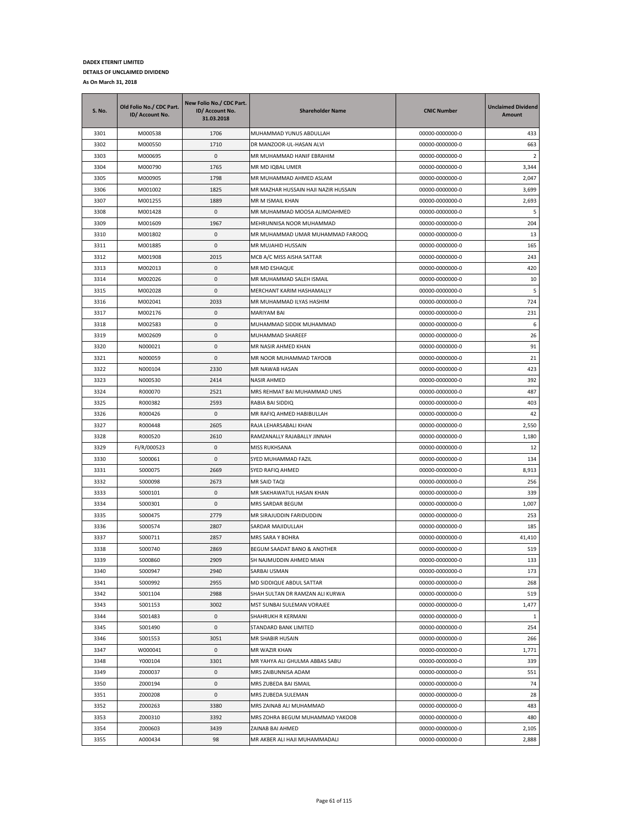| S. No. | Old Folio No./ CDC Part.<br>ID/ Account No. | New Folio No./ CDC Part.<br>ID/ Account No.<br>31.03.2018 | <b>Shareholder Name</b>              | <b>CNIC Number</b> | <b>Unclaimed Dividend</b><br>Amount |
|--------|---------------------------------------------|-----------------------------------------------------------|--------------------------------------|--------------------|-------------------------------------|
| 3301   | M000538                                     | 1706                                                      | MUHAMMAD YUNUS ABDULLAH              | 00000-0000000-0    | 433                                 |
| 3302   | M000550                                     | 1710                                                      | DR MANZOOR-UL-HASAN ALVI             | 00000-0000000-0    | 663                                 |
| 3303   | M000695                                     | $\mathbf 0$                                               | MR MUHAMMAD HANIF EBRAHIM            | 00000-0000000-0    | 2                                   |
| 3304   | M000790                                     | 1765                                                      | MR MD IQBAL UMER                     | 00000-0000000-0    | 3,344                               |
| 3305   | M000905                                     | 1798                                                      | MR MUHAMMAD AHMED ASLAM              | 00000-0000000-0    | 2,047                               |
| 3306   | M001002                                     | 1825                                                      | MR MAZHAR HUSSAIN HAJI NAZIR HUSSAIN | 00000-0000000-0    | 3,699                               |
| 3307   | M001255                                     | 1889                                                      | MR M ISMAIL KHAN                     | 00000-0000000-0    | 2,693                               |
| 3308   | M001428                                     | 0                                                         | MR MUHAMMAD MOOSA ALIMOAHMED         | 00000-0000000-0    | 5                                   |
| 3309   | M001609                                     | 1967                                                      | MEHRUNNISA NOOR MUHAMMAD             | 00000-0000000-0    | 204                                 |
| 3310   | M001802                                     | 0                                                         | MR MUHAMMAD UMAR MUHAMMAD FAROOQ     | 00000-0000000-0    | 13                                  |
| 3311   | M001885                                     | 0                                                         | MR MUJAHID HUSSAIN                   | 00000-0000000-0    | 165                                 |
| 3312   | M001908                                     | 2015                                                      | MCB A/C MISS AISHA SATTAR            | 00000-0000000-0    | 243                                 |
| 3313   | M002013                                     | 0                                                         | MR MD ESHAQUE                        | 00000-0000000-0    | 420                                 |
| 3314   | M002026                                     | 0                                                         | MR MUHAMMAD SALEH ISMAIL             | 00000-0000000-0    | 10                                  |
| 3315   | M002028                                     | 0                                                         | MERCHANT KARIM HASHAMALLY            | 00000-0000000-0    | 5                                   |
| 3316   | M002041                                     | 2033                                                      | MR MUHAMMAD ILYAS HASHIM             | 00000-0000000-0    | 724                                 |
| 3317   | M002176                                     | 0                                                         | MARIYAM BAI                          | 00000-0000000-0    | 231                                 |
| 3318   | M002583                                     | 0                                                         | MUHAMMAD SIDDIK MUHAMMAD             | 00000-0000000-0    | 6                                   |
| 3319   | M002609                                     | 0                                                         | MUHAMMAD SHAREEF                     | 00000-0000000-0    | 26                                  |
| 3320   | N000021                                     | 0                                                         | MR NASIR AHMED KHAN                  | 00000-0000000-0    | 91                                  |
| 3321   | N000059                                     | 0                                                         | MR NOOR MUHAMMAD TAYOOB              | 00000-0000000-0    | 21                                  |
| 3322   | N000104                                     | 2330                                                      | MR NAWAB HASAN                       | 00000-0000000-0    | 423                                 |
| 3323   | N000530                                     | 2414                                                      | NASIR AHMED                          | 00000-0000000-0    | 392                                 |
| 3324   | R000070                                     | 2521                                                      | MRS REHMAT BAI MUHAMMAD UNIS         | 00000-0000000-0    | 487                                 |
| 3325   | R000382                                     | 2593                                                      | RABIA BAI SIDDIQ                     | 00000-0000000-0    | 403                                 |
| 3326   | R000426                                     | 0                                                         | MR RAFIQ AHMED HABIBULLAH            | 00000-0000000-0    | 42                                  |
| 3327   | R000448                                     | 2605                                                      | RAJA LEHARSABALI KHAN                | 00000-0000000-0    | 2,550                               |
| 3328   | R000520                                     | 2610                                                      | RAMZANALLY RAJABALLY JINNAH          | 00000-0000000-0    | 1,180                               |
| 3329   | FI/R/000523                                 | 0                                                         | MISS RUKHSANA                        | 00000-0000000-0    | 12                                  |
| 3330   | S000061                                     | 0                                                         | SYED MUHAMMAD FAZIL                  | 00000-0000000-0    | 134                                 |
| 3331   | S000075                                     | 2669                                                      | SYED RAFIQ AHMED                     | 00000-0000000-0    | 8,913                               |
| 3332   | S000098                                     | 2673                                                      | MR SAID TAQI                         | 00000-0000000-0    | 256                                 |
| 3333   | S000101                                     | 0                                                         | MR SAKHAWATUL HASAN KHAN             | 00000-0000000-0    | 339                                 |
| 3334   | S000301                                     | 0                                                         | MRS SARDAR BEGUM                     | 00000-0000000-0    | 1,007                               |
| 3335   | S000475                                     | 2779                                                      | MR SIRAJUDDIN FARIDUDDIN             | 00000-0000000-0    | 253                                 |
| 3336   | S000574                                     | 2807                                                      | SARDAR MAJIDULLAH                    | 00000-0000000-0    | 185                                 |
| 3337   | S000711                                     | 2857                                                      | MRS SARA Y BOHRA                     | 00000-0000000-0    | 41,410                              |
| 3338   | S000740                                     | 2869                                                      | BEGUM SAADAT BANO & ANOTHER          | 00000-0000000-0    | 519                                 |
| 3339   | S000860                                     | 2909                                                      | SH NAJMUDDIN AHMED MIAN              | 00000-0000000-0    | 133                                 |
| 3340   | S000947                                     | 2940                                                      | SARBAI USMAN                         | 00000-0000000-0    | 173                                 |
| 3341   | S000992                                     | 2955                                                      | MD SIDDIQUE ABDUL SATTAR             | 00000-0000000-0    | 268                                 |
| 3342   | S001104                                     | 2988                                                      | SHAH SULTAN DR RAMZAN ALI KURWA      | 00000-0000000-0    | 519                                 |
| 3343   | S001153                                     | 3002                                                      | MST SUNBAI SULEMAN VORAJEE           | 00000-0000000-0    | 1,477                               |
| 3344   | S001483                                     | 0                                                         | SHAHRUKH R KERMANI                   | 00000-0000000-0    | 1                                   |
| 3345   | S001490                                     | 0                                                         | STANDARD BANK LIMITED                | 00000-0000000-0    | 254                                 |
| 3346   | S001553                                     | 3051                                                      | MR SHABIR HUSAIN                     | 00000-0000000-0    | 266                                 |
| 3347   | W000041                                     | 0                                                         | MR WAZIR KHAN                        | 00000-0000000-0    | 1,771                               |
| 3348   | Y000104                                     | 3301                                                      | MR YAHYA ALI GHULMA ABBAS SABU       | 00000-0000000-0    | 339                                 |
| 3349   | Z000037                                     | 0                                                         | MRS ZAIBUNNISA ADAM                  | 00000-0000000-0    | 551                                 |
| 3350   | Z000194                                     | 0                                                         | MRS ZUBEDA BAI ISMAIL                | 00000-0000000-0    | 74                                  |
| 3351   | Z000208                                     | 0                                                         | MRS ZUBEDA SULEMAN                   | 00000-0000000-0    | 28                                  |
| 3352   | Z000263                                     | 3380                                                      | MRS ZAINAB ALI MUHAMMAD              | 00000-0000000-0    | 483                                 |
| 3353   | Z000310                                     | 3392                                                      | MRS ZOHRA BEGUM MUHAMMAD YAKOOB      | 00000-0000000-0    | 480                                 |
| 3354   | Z000603                                     | 3439                                                      | ZAINAB BAI AHMED                     | 00000-0000000-0    | 2,105                               |
| 3355   | A000434                                     | 98                                                        | MR AKBER ALI HAJI MUHAMMADALI        | 00000-0000000-0    | 2,888                               |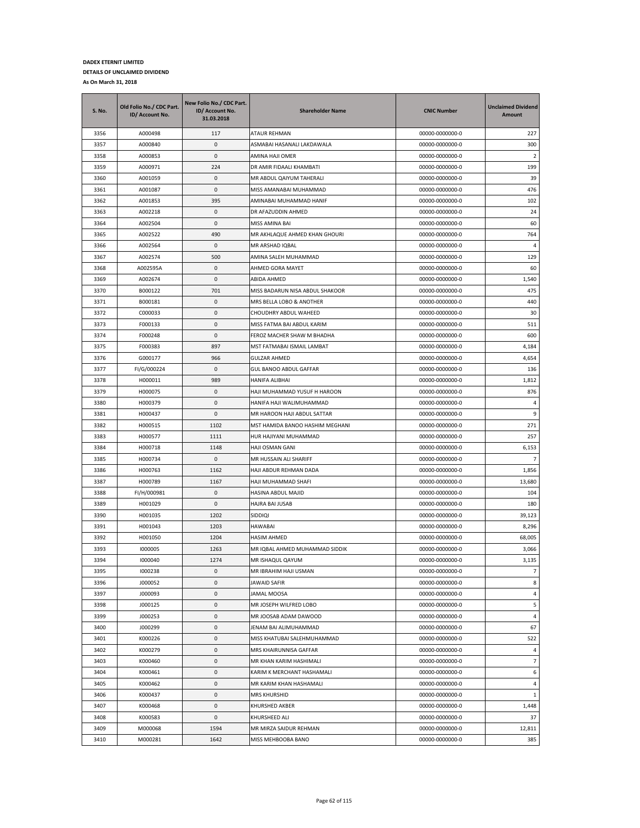| <b>S. No.</b> | Old Folio No./ CDC Part.<br>ID/ Account No. | New Folio No./ CDC Part.<br>ID/ Account No.<br>31.03.2018 | <b>Shareholder Name</b>         | <b>CNIC Number</b> | <b>Unclaimed Dividend</b><br>Amount |
|---------------|---------------------------------------------|-----------------------------------------------------------|---------------------------------|--------------------|-------------------------------------|
| 3356          | A000498                                     | 117                                                       | ATAUR REHMAN                    | 00000-0000000-0    | 227                                 |
| 3357          | A000840                                     | 0                                                         | ASMABAI HASANALI LAKDAWALA      | 00000-0000000-0    | 300                                 |
| 3358          | A000853                                     | 0                                                         | AMINA HAJI OMER                 | 00000-0000000-0    | $\overline{2}$                      |
| 3359          | A000971                                     | 224                                                       | DR AMIR FIDAALI KHAMBATI        | 00000-0000000-0    | 199                                 |
| 3360          | A001059                                     | 0                                                         | MR ABDUL QAIYUM TAHERALI        | 00000-0000000-0    | 39                                  |
| 3361          | A001087                                     | 0                                                         | MISS AMANABAI MUHAMMAD          | 00000-0000000-0    | 476                                 |
| 3362          | A001853                                     | 395                                                       | AMINABAI MUHAMMAD HANIF         | 00000-0000000-0    | 102                                 |
| 3363          | A002218                                     | 0                                                         | DR AFAZUDDIN AHMED              | 00000-0000000-0    | 24                                  |
| 3364          | A002504                                     | 0                                                         | MISS AMINA BAI                  | 00000-0000000-0    | 60                                  |
| 3365          | A002522                                     | 490                                                       | MR AKHLAQUE AHMED KHAN GHOURI   | 00000-0000000-0    | 764                                 |
| 3366          | A002564                                     | 0                                                         | MR ARSHAD IQBAL                 | 00000-0000000-0    | 4                                   |
| 3367          | A002574                                     | 500                                                       | AMINA SALEH MUHAMMAD            | 00000-0000000-0    | 129                                 |
| 3368          | A002595A                                    | 0                                                         | AHMED GORA MAYET                | 00000-0000000-0    | 60                                  |
| 3369          | A002674                                     | 0                                                         | ABIDA AHMED                     | 00000-0000000-0    | 1,540                               |
| 3370          | B000122                                     | 701                                                       | MISS BADARUN NISA ABDUL SHAKOOR | 00000-0000000-0    | 475                                 |
| 3371          | B000181                                     | 0                                                         | MRS BELLA LOBO & ANOTHER        | 00000-0000000-0    | 440                                 |
| 3372          | C000033                                     | 0                                                         | CHOUDHRY ABDUL WAHEED           | 00000-0000000-0    | 30                                  |
| 3373          | F000133                                     | 0                                                         | MISS FATMA BAI ABDUL KARIM      | 00000-0000000-0    | 511                                 |
| 3374          | F000248                                     | 0                                                         | FEROZ MACHER SHAW M BHADHA      | 00000-0000000-0    | 600                                 |
| 3375          | F000383                                     | 897                                                       | MST FATMABAI ISMAIL LAMBAT      | 00000-0000000-0    | 4,184                               |
| 3376          | G000177                                     | 966                                                       | <b>GULZAR AHMED</b>             | 00000-0000000-0    | 4,654                               |
| 3377          | FI/G/000224                                 | 0                                                         | GUL BANOO ABDUL GAFFAR          | 00000-0000000-0    | 136                                 |
| 3378          | H000011                                     | 989                                                       | <b>HANIFA ALIBHAI</b>           | 00000-0000000-0    | 1,812                               |
| 3379          | H000075                                     | 0                                                         | HAJI MUHAMMAD YUSUF H HAROON    | 00000-0000000-0    | 876                                 |
| 3380          | H000379                                     | 0                                                         | HANIFA HAJI WALIMUHAMMAD        | 00000-0000000-0    | 4                                   |
| 3381          | H000437                                     | 0                                                         | MR HAROON HAJI ABDUL SATTAR     | 00000-0000000-0    | 9                                   |
| 3382          | H000515                                     | 1102                                                      | MST HAMIDA BANOO HASHIM MEGHANI | 00000-0000000-0    | 271                                 |
| 3383          | H000577                                     | 1111                                                      | HUR HAJIYANI MUHAMMAD           | 00000-0000000-0    | 257                                 |
| 3384          | H000718                                     | 1148                                                      | HAJI OSMAN GANI                 | 00000-0000000-0    | 6,153                               |
| 3385          | H000734                                     | 0                                                         | MR HUSSAIN ALI SHARIFF          | 00000-0000000-0    | $\overline{7}$                      |
| 3386          | H000763                                     | 1162                                                      | HAJI ABDUR REHMAN DADA          | 00000-0000000-0    | 1,856                               |
| 3387          | H000789                                     | 1167                                                      | HAJI MUHAMMAD SHAFI             | 00000-0000000-0    | 13,680                              |
| 3388          | FI/H/000981                                 | 0                                                         | HASINA ABDUL MAJID              | 00000-0000000-0    | 104                                 |
| 3389          | H001029                                     | 0                                                         | <b>HAJRA BAI JUSAB</b>          | 00000-0000000-0    | 180                                 |
| 3390          | H001035                                     | 1202                                                      | SIDDIQI                         | 00000-0000000-0    | 39,123                              |
| 3391          | H001043                                     | 1203                                                      | <b>HAWABAI</b>                  | 00000-0000000-0    | 8,296                               |
| 3392          | H001050                                     | 1204                                                      | <b>HASIM AHMED</b>              | 00000-0000000-0    | 68,005                              |
| 3393          | 1000005                                     | 1263                                                      | MR IQBAL AHMED MUHAMMAD SIDDIK  | 00000-0000000-0    | 3,066                               |
| 3394          | 1000040                                     | 1274                                                      | <b>MR ISHAQUL QAYUM</b>         | 00000-0000000-0    | 3,135                               |
| 3395          | 1000238                                     | 0                                                         | MR IBRAHIM HAJI USMAN           | 00000-0000000-0    | $\overline{7}$                      |
| 3396          | J000052                                     | 0                                                         | JAWAID SAFIR                    | 00000-0000000-0    | 8                                   |
| 3397          | J000093                                     | $\pmb{0}$                                                 | <b>JAMAL MOOSA</b>              | 00000-0000000-0    | $\overline{a}$                      |
| 3398          | J000125                                     | 0                                                         | MR JOSEPH WILFRED LOBO          | 00000-0000000-0    | 5                                   |
| 3399          | J000253                                     | 0                                                         | MR JOOSAB ADAM DAWOOD           | 00000-0000000-0    | $\sqrt{4}$                          |
| 3400          | J000299                                     | 0                                                         | JENAM BAI ALIMUHAMMAD           | 00000-0000000-0    | 67                                  |
| 3401          | K000226                                     | 0                                                         | MISS KHATUBAI SALEHMUHAMMAD     | 00000-0000000-0    | 522                                 |
| 3402          | K000279                                     | 0                                                         | MRS KHAIRUNNISA GAFFAR          | 00000-0000000-0    | 4                                   |
| 3403          | K000460                                     | 0                                                         | MR KHAN KARIM HASHIMALI         | 00000-0000000-0    | $\overline{7}$                      |
| 3404          | K000461                                     | 0                                                         | KARIM K MERCHANT HASHAMALI      | 00000-0000000-0    | 6                                   |
| 3405          | K000462                                     | 0                                                         | MR KARIM KHAN HASHAMALI         | 00000-0000000-0    | 4                                   |
| 3406          | K000437                                     | 0                                                         | <b>MRS KHURSHID</b>             | 00000-0000000-0    | $\mathbf{1}$                        |
| 3407          | K000468                                     | 0                                                         | KHURSHED AKBER                  | 00000-0000000-0    | 1,448                               |
| 3408          | K000583                                     | 0                                                         | KHURSHEED ALI                   | 00000-0000000-0    | 37                                  |
| 3409          | M000068                                     | 1594                                                      | MR MIRZA SAIDUR REHMAN          | 00000-0000000-0    | 12,811                              |
| 3410          | M000281                                     | 1642                                                      | MISS MEHBOOBA BANO              | 00000-0000000-0    | 385                                 |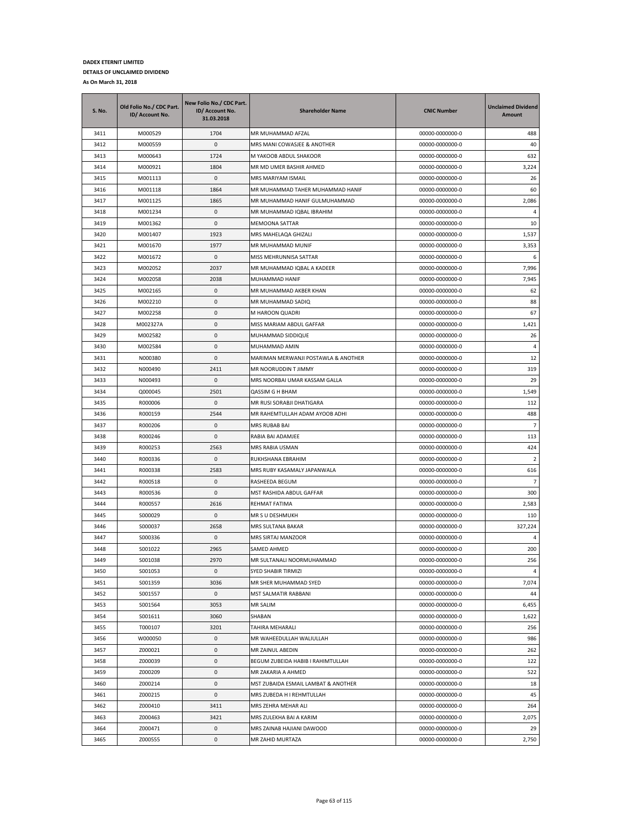| <b>S. No.</b> | Old Folio No./ CDC Part.<br>ID/ Account No. | New Folio No./ CDC Part.<br>ID/ Account No.<br>31.03.2018 | <b>Shareholder Name</b>             | <b>CNIC Number</b> | <b>Unclaimed Dividend</b><br>Amount |
|---------------|---------------------------------------------|-----------------------------------------------------------|-------------------------------------|--------------------|-------------------------------------|
| 3411          | M000529                                     | 1704                                                      | MR MUHAMMAD AFZAL                   | 00000-0000000-0    | 488                                 |
| 3412          | M000559                                     | 0                                                         | MRS MANI COWASJEE & ANOTHER         | 00000-0000000-0    | 40                                  |
| 3413          | M000643                                     | 1724                                                      | M YAKOOB ABDUL SHAKOOR              | 00000-0000000-0    | 632                                 |
| 3414          | M000921                                     | 1804                                                      | MR MD UMER BASHIR AHMED             | 00000-0000000-0    | 3,224                               |
| 3415          | M001113                                     | 0                                                         | MRS MARIYAM ISMAIL                  | 00000-0000000-0    | 26                                  |
| 3416          | M001118                                     | 1864                                                      | MR MUHAMMAD TAHER MUHAMMAD HANIF    | 00000-0000000-0    | 60                                  |
| 3417          | M001125                                     | 1865                                                      | MR MUHAMMAD HANIF GULMUHAMMAD       | 00000-0000000-0    | 2,086                               |
| 3418          | M001234                                     | 0                                                         | MR MUHAMMAD IQBAL IBRAHIM           | 00000-0000000-0    | 4                                   |
| 3419          | M001362                                     | 0                                                         | <b>MEMOONA SATTAR</b>               | 00000-0000000-0    | 10                                  |
| 3420          | M001407                                     | 1923                                                      | MRS MAHELAQA GHIZALI                | 00000-0000000-0    | 1,537                               |
| 3421          | M001670                                     | 1977                                                      | MR MUHAMMAD MUNIF                   | 00000-0000000-0    | 3,353                               |
| 3422          | M001672                                     | 0                                                         | MISS MEHRUNNISA SATTAR              | 00000-0000000-0    | 6                                   |
| 3423          | M002052                                     | 2037                                                      | MR MUHAMMAD IQBAL A KADEER          | 00000-0000000-0    | 7,996                               |
| 3424          | M002058                                     | 2038                                                      | MUHAMMAD HANIF                      | 00000-0000000-0    | 7,945                               |
| 3425          | M002165                                     | 0                                                         | MR MUHAMMAD AKBER KHAN              | 00000-0000000-0    | 62                                  |
| 3426          | M002210                                     | 0                                                         | MR MUHAMMAD SADIQ                   | 00000-0000000-0    | 88                                  |
| 3427          | M002258                                     | 0                                                         | M HAROON QUADRI                     | 00000-0000000-0    | 67                                  |
| 3428          | M002327A                                    | 0                                                         | MISS MARIAM ABDUL GAFFAR            | 00000-0000000-0    | 1,421                               |
| 3429          | M002582                                     | 0                                                         | MUHAMMAD SIDDIQUE                   | 00000-0000000-0    | 26                                  |
| 3430          | M002584                                     | 0                                                         | MUHAMMAD AMIN                       | 00000-0000000-0    | 4                                   |
| 3431          | N000380                                     | 0                                                         | MARIMAN MERWANJI POSTAWLA & ANOTHER | 00000-0000000-0    | 12                                  |
| 3432          | N000490                                     | 2411                                                      | MR NOORUDDIN T JIMMY                | 00000-0000000-0    | 319                                 |
| 3433          | N000493                                     | 0                                                         | MRS NOORBAI UMAR KASSAM GALLA       | 00000-0000000-0    | 29                                  |
| 3434          | Q000045                                     | 2501                                                      | <b>QASSIM G H BHAM</b>              | 00000-0000000-0    | 1,549                               |
| 3435          | R000006                                     | 0                                                         | MR RUSI SORABJI DHATIGARA           | 00000-0000000-0    | 112                                 |
| 3436          | R000159                                     | 2544                                                      | MR RAHEMTULLAH ADAM AYOOB ADHI      | 00000-0000000-0    | 488                                 |
| 3437          | R000206                                     | 0                                                         | MRS RUBAB BAI                       | 00000-0000000-0    | $\overline{7}$                      |
| 3438          | R000246                                     | 0                                                         | RABIA BAI ADAMJEE                   | 00000-0000000-0    | 113                                 |
| 3439          | R000253                                     | 2563                                                      | MRS RABIA USMAN                     | 00000-0000000-0    | 424                                 |
| 3440          | R000336                                     | 0                                                         | RUKHSHANA EBRAHIM                   | 00000-0000000-0    | $\overline{2}$                      |
| 3441          | R000338                                     | 2583                                                      | MRS RUBY KASAMALY JAPANWALA         | 00000-0000000-0    | 616                                 |
| 3442          | R000518                                     | 0                                                         | RASHEEDA BEGUM                      | 00000-0000000-0    | $\overline{7}$                      |
| 3443          | R000536                                     | 0                                                         | MST RASHIDA ABDUL GAFFAR            | 00000-0000000-0    | 300                                 |
| 3444          | R000557                                     | 2616                                                      | REHMAT FATIMA                       | 00000-0000000-0    | 2,583                               |
| 3445          | S000029                                     | 0                                                         | MR S U DESHMUKH                     | 00000-0000000-0    | 110                                 |
| 3446          | S000037                                     | 2658                                                      | MRS SULTANA BAKAR                   | 00000-0000000-0    | 327,224                             |
| 3447          | S000336                                     | 0                                                         | MRS SIRTAJ MANZOOR                  | 00000-0000000-0    | 4                                   |
| 3448          | S001022                                     | 2965                                                      | SAMED AHMED                         | 00000-0000000-0    | 200                                 |
| 3449          | S001038                                     | 2970                                                      | MR SULTANALI NOORMUHAMMAD           | 00000-0000000-0    | 256                                 |
| 3450          | S001053                                     | 0                                                         | <b>SYED SHABIR TIRMIZI</b>          | 00000-0000000-0    | 4                                   |
| 3451          | S001359                                     | 3036                                                      | MR SHER MUHAMMAD SYED               | 00000-0000000-0    | 7,074                               |
| 3452          | S001557                                     | 0                                                         | MST SALMATIR RABBANI                | 00000-0000000-0    | 44                                  |
| 3453          | S001564                                     | 3053                                                      | MR SALIM                            | 00000-0000000-0    | 6,455                               |
| 3454          | S001611                                     | 3060                                                      | SHABAN                              | 00000-0000000-0    | 1,622                               |
| 3455          | T000107                                     | 3201                                                      | TAHIRA MEHARALI                     | 00000-0000000-0    | 256                                 |
| 3456          | W000050                                     | 0                                                         | MR WAHEEDULLAH WALIULLAH            | 00000-0000000-0    | 986                                 |
| 3457          | Z000021                                     | 0                                                         | MR ZAINUL ABEDIN                    | 00000-0000000-0    | 262                                 |
| 3458          | Z000039                                     | 0                                                         | BEGUM ZUBEIDA HABIB I RAHIMTULLAH   | 00000-0000000-0    | 122                                 |
| 3459          | Z000209                                     | 0                                                         | MR ZAKARIA A AHMED                  | 00000-0000000-0    | 522                                 |
| 3460          | Z000214                                     | 0                                                         | MST ZUBAIDA ESMAIL LAMBAT & ANOTHER | 00000-0000000-0    | 18                                  |
| 3461          | Z000215                                     | 0                                                         | MRS ZUBEDA H I REHMTULLAH           | 00000-0000000-0    | 45                                  |
| 3462          | Z000410                                     | 3411                                                      | MRS ZEHRA MEHAR ALI                 | 00000-0000000-0    | 264                                 |
| 3463          | Z000463                                     | 3421                                                      | MRS ZULEKHA BAI A KARIM             | 00000-0000000-0    | 2,075                               |
| 3464          | Z000471                                     | 0                                                         | MRS ZAINAB HAJIANI DAWOOD           | 00000-0000000-0    | 29                                  |
| 3465          | Z000555                                     | $\mathsf{O}\xspace$                                       | MR ZAHID MURTAZA                    | 00000-0000000-0    | 2,750                               |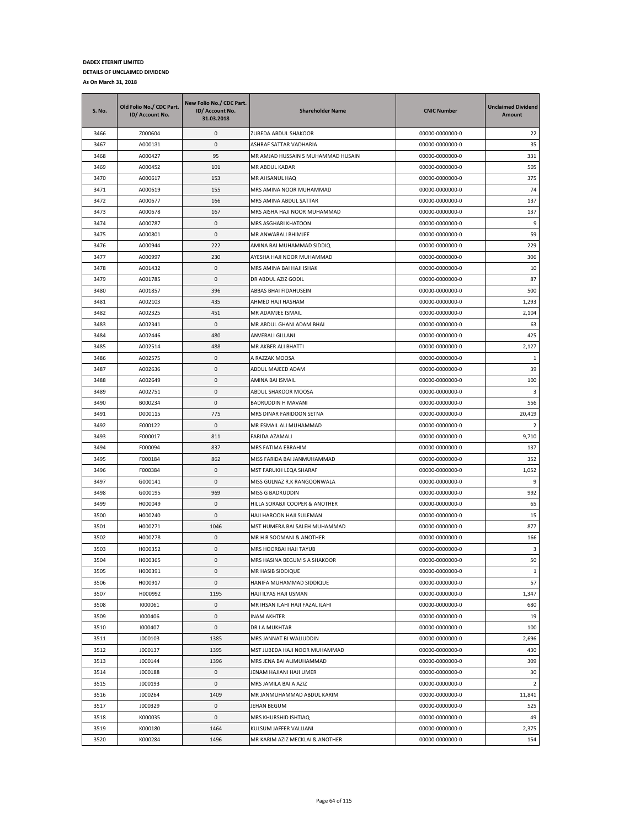| <b>S. No.</b> | Old Folio No./ CDC Part.<br>ID/ Account No. | New Folio No./ CDC Part.<br>ID/ Account No.<br>31.03.2018 | <b>Shareholder Name</b>            | <b>CNIC Number</b> | <b>Unclaimed Dividend</b><br>Amount |
|---------------|---------------------------------------------|-----------------------------------------------------------|------------------------------------|--------------------|-------------------------------------|
| 3466          | Z000604                                     | 0                                                         | ZUBEDA ABDUL SHAKOOR               | 00000-0000000-0    | 22                                  |
| 3467          | A000131                                     | 0                                                         | ASHRAF SATTAR VADHARIA             | 00000-0000000-0    | 35                                  |
| 3468          | A000427                                     | 95                                                        | MR AMJAD HUSSAIN S MUHAMMAD HUSAIN | 00000-0000000-0    | 331                                 |
| 3469          | A000452                                     | 101                                                       | MR ABDUL KADAR                     | 00000-0000000-0    | 505                                 |
| 3470          | A000617                                     | 153                                                       | MR AHSANUL HAQ                     | 00000-0000000-0    | 375                                 |
| 3471          | A000619                                     | 155                                                       | MRS AMINA NOOR MUHAMMAD            | 00000-0000000-0    | 74                                  |
| 3472          | A000677                                     | 166                                                       | MRS AMINA ABDUL SATTAR             | 00000-0000000-0    | 137                                 |
| 3473          | A000678                                     | 167                                                       | MRS AISHA HAJI NOOR MUHAMMAD       | 00000-0000000-0    | 137                                 |
| 3474          | A000787                                     | 0                                                         | MRS ASGHARI KHATOON                | 00000-0000000-0    | 9                                   |
| 3475          | A000801                                     | 0                                                         | MR ANWARALI BHIMJEE                | 00000-0000000-0    | 59                                  |
| 3476          | A000944                                     | 222                                                       | AMINA BAI MUHAMMAD SIDDIQ          | 00000-0000000-0    | 229                                 |
| 3477          | A000997                                     | 230                                                       | AYESHA HAJI NOOR MUHAMMAD          | 00000-0000000-0    | 306                                 |
| 3478          | A001432                                     | 0                                                         | MRS AMINA BAI HAJI ISHAK           | 00000-0000000-0    | 10                                  |
| 3479          | A001785                                     | 0                                                         | DR ABDUL AZIZ GODIL                | 00000-0000000-0    | 87                                  |
| 3480          | A001857                                     | 396                                                       | ABBAS BHAI FIDAHUSEIN              | 00000-0000000-0    | 500                                 |
| 3481          | A002103                                     | 435                                                       | AHMED HAJI HASHAM                  | 00000-0000000-0    | 1,293                               |
| 3482          | A002325                                     | 451                                                       | MR ADAMJEE ISMAIL                  | 00000-0000000-0    | 2,104                               |
| 3483          | A002341                                     | 0                                                         | MR ABDUL GHANI ADAM BHAI           | 00000-0000000-0    | 63                                  |
| 3484          | A002446                                     | 480                                                       | <b>ANVERALI GILLANI</b>            | 00000-0000000-0    | 425                                 |
| 3485          | A002514                                     | 488                                                       | MR AKBER ALI BHATTI                | 00000-0000000-0    | 2,127                               |
| 3486          | A002575                                     | 0                                                         | A RAZZAK MOOSA                     | 00000-0000000-0    | 1                                   |
| 3487          | A002636                                     | 0                                                         | ABDUL MAJEED ADAM                  | 00000-0000000-0    | 39                                  |
| 3488          | A002649                                     | 0                                                         | AMINA BAI ISMAIL                   | 00000-0000000-0    | 100                                 |
| 3489          | A002751                                     | 0                                                         | ABDUL SHAKOOR MOOSA                | 00000-0000000-0    | 3                                   |
| 3490          | B000234                                     | 0                                                         | BADRUDDIN H MAVANI                 | 00000-0000000-0    | 556                                 |
| 3491          | D000115                                     | 775                                                       | MRS DINAR FARIDOON SETNA           | 00000-0000000-0    | 20,419                              |
| 3492          | E000122                                     | 0                                                         | MR ESMAIL ALI MUHAMMAD             | 00000-0000000-0    | $\overline{2}$                      |
| 3493          | F000017                                     | 811                                                       | FARIDA AZAMALI                     | 00000-0000000-0    | 9,710                               |
| 3494          | F000094                                     | 837                                                       | MRS FATIMA EBRAHIM                 | 00000-0000000-0    | 137                                 |
| 3495          | F000184                                     | 862                                                       | MISS FARIDA BAI JANMUHAMMAD        | 00000-0000000-0    | 352                                 |
| 3496          | F000384                                     | 0                                                         | MST FARUKH LEQA SHARAF             | 00000-0000000-0    | 1,052                               |
| 3497          | G000141                                     | 0                                                         | MISS GULNAZ R.K RANGOONWALA        | 00000-0000000-0    | 9                                   |
| 3498          | G000195                                     | 969                                                       | MISS G BADRUDDIN                   | 00000-0000000-0    | 992                                 |
| 3499          | H000049                                     | 0                                                         | HILLA SORABJI COOPER & ANOTHER     | 00000-0000000-0    | 65                                  |
| 3500          | H000240                                     | 0                                                         | HAJI HAROON HAJI SULEMAN           | 00000-0000000-0    | 15                                  |
| 3501          | H000271                                     | 1046                                                      | MST HUMERA BAI SALEH MUHAMMAD      | 00000-0000000-0    | 877                                 |
| 3502          | H000278                                     | 0                                                         | MR H R SOOMANI & ANOTHER           | 00000-0000000-0    | 166                                 |
| 3503          | H000352                                     | 0                                                         | MRS HOORBAI HAJI TAYUB             | 00000-0000000-0    | 3                                   |
| 3504          | H000365                                     | 0                                                         | MRS HASINA BEGUM S A SHAKOOR       | 00000-0000000-0    | 50                                  |
| 3505          | H000391                                     | 0                                                         | MR HASIB SIDDIQUE                  | 00000-0000000-0    | 1                                   |
| 3506          | H000917                                     | 0                                                         | HANIFA MUHAMMAD SIDDIQUE           | 00000-0000000-0    | 57                                  |
| 3507          | H000992                                     | 1195                                                      | HAJI ILYAS HAJI USMAN              | 00000-0000000-0    | 1,347                               |
| 3508          | 1000061                                     | 0                                                         | MR IHSAN ILAHI HAJI FAZAL ILAHI    | 00000-0000000-0    | 680                                 |
| 3509          | 1000406                                     | 0                                                         | INAM AKHTER                        | 00000-0000000-0    | 19                                  |
| 3510          | 1000407                                     | 0                                                         | DR I A MUKHTAR                     | 00000-0000000-0    | 100                                 |
| 3511          | J000103                                     | 1385                                                      | MRS JANNAT BI WALIUDDIN            | 00000-0000000-0    | 2,696                               |
| 3512          | J000137                                     | 1395                                                      | MST JUBEDA HAJI NOOR MUHAMMAD      | 00000-0000000-0    | 430                                 |
| 3513          | J000144                                     | 1396                                                      | MRS JENA BAI ALIMUHAMMAD           | 00000-0000000-0    | 309                                 |
| 3514          | J000188                                     | 0                                                         | JENAM HAJIANI HAJI UMER            | 00000-0000000-0    | 30                                  |
| 3515          | J000193                                     | 0                                                         | MRS JAMILA BAI A AZIZ              | 00000-0000000-0    | $\overline{2}$                      |
|               |                                             |                                                           | MR JANMUHAMMAD ABDUL KARIM         | 00000-0000000-0    |                                     |
| 3516          | J000264                                     | 1409<br>0                                                 |                                    |                    | 11,841                              |
| 3517          | J000329                                     |                                                           | JEHAN BEGUM                        | 00000-0000000-0    | 525                                 |
| 3518          | K000035                                     | 0                                                         | MRS KHURSHID ISHTIAQ               | 00000-0000000-0    | 49                                  |
| 3519          | K000180                                     | 1464                                                      | KULSUM JAFFER VALLIANI             | 00000-0000000-0    | 2,375                               |
| 3520          | K000284                                     | 1496                                                      | MR KARIM AZIZ MECKLAI & ANOTHER    | 00000-0000000-0    | 154                                 |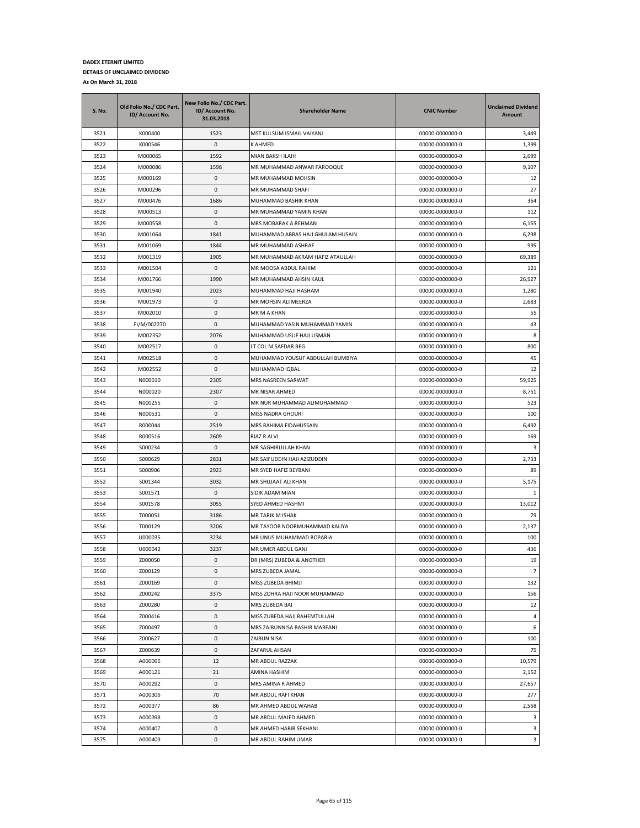| <b>S. No.</b> | Old Folio No./ CDC Part.<br>ID/ Account No. | New Folio No./ CDC Part.<br>ID/ Account No.<br>31.03.2018 | <b>Shareholder Name</b>           | <b>CNIC Number</b> | <b>Unclaimed Dividend</b><br>Amount |
|---------------|---------------------------------------------|-----------------------------------------------------------|-----------------------------------|--------------------|-------------------------------------|
| 3521          | K000400                                     | 1523                                                      | MST KULSUM ISMAIL VAIYANI         | 00000-0000000-0    | 3,449                               |
| 3522          | K000546                                     | 0                                                         | K AHMED                           | 00000-0000000-0    | 1,399                               |
| 3523          | M000065                                     | 1592                                                      | MIAN BAKSH ILAHI                  | 00000-0000000-0    | 2,699                               |
| 3524          | M000086                                     | 1598                                                      | MR MUHAMMAD ANWAR FAROOQUE        | 00000-0000000-0    | 9,107                               |
| 3525          | M000169                                     | 0                                                         | MR MUHAMMAD MOHSIN                | 00000-0000000-0    | 12                                  |
| 3526          | M000296                                     | 0                                                         | MR MUHAMMAD SHAFI                 | 00000-0000000-0    | 27                                  |
| 3527          | M000476                                     | 1686                                                      | MUHAMMAD BASHIR KHAN              | 00000-0000000-0    | 364                                 |
| 3528          | M000513                                     | 0                                                         | MR MUHAMMAD YAMIN KHAN            | 00000-0000000-0    | 112                                 |
| 3529          | M000558                                     | 0                                                         | MRS MOBARAK A REHMAN              | 00000-0000000-0    | 6,155                               |
| 3530          | M001064                                     | 1841                                                      | MUHAMMAD ABBAS HAJI GHULAM HUSAIN | 00000-0000000-0    | 6,298                               |
| 3531          | M001069                                     | 1844                                                      | MR MUHAMMAD ASHRAF                | 00000-0000000-0    | 995                                 |
| 3532          | M001319                                     | 1905                                                      | MR MUHAMMAD AKRAM HAFIZ ATAULLAH  | 00000-0000000-0    | 69,389                              |
| 3533          | M001504                                     | 0                                                         | MR MOOSA ABDUL RAHIM              | 00000-0000000-0    | 121                                 |
| 3534          | M001766                                     | 1990                                                      | MR MUHAMMAD AHSIN KAUL            | 00000-0000000-0    | 26,927                              |
| 3535          | M001940                                     | 2023                                                      | MUHAMMAD HAJI HASHAM              | 00000-0000000-0    | 1,280                               |
| 3536          | M001973                                     | 0                                                         | MR MOHSIN ALI MEERZA              | 00000-0000000-0    | 2,683                               |
| 3537          | M002010                                     | 0                                                         | MR M A KHAN                       | 00000-0000000-0    | 55                                  |
| 3538          | FI/M/002270                                 | $\mathbf 0$                                               | MUHAMMAD YASIN MUHAMMAD YAMIN     | 00000-0000000-0    | 43                                  |
| 3539          | M002352                                     | 2076                                                      | MUHAMMAD USUF HAJI USMAN          | 00000-0000000-0    | 8                                   |
| 3540          | M002517                                     | 0                                                         | LT COL M SAFDAR BEG               | 00000-0000000-0    | 800                                 |
| 3541          | M002518                                     | 0                                                         | MUHAMMAD YOUSUF ABDULLAH BUMBIYA  | 00000-0000000-0    | 45                                  |
| 3542          | M002552                                     | 0                                                         | MUHAMMAD IQBAL                    | 00000-0000000-0    | 12                                  |
| 3543          | N000010                                     | 2305                                                      | MRS NASREEN SARWAT                |                    | 59,925                              |
| 3544          |                                             | 2307                                                      |                                   | 00000-0000000-0    |                                     |
|               | N000020                                     |                                                           | MR NISAR AHMED                    | 00000-0000000-0    | 8,751                               |
| 3545          | N000255                                     | 0                                                         | MR NUR MUHAMMAD ALIMUHAMMAD       | 00000-0000000-0    | 523                                 |
| 3546          | N000531                                     | 0                                                         | MISS NADRA GHOURI                 | 00000-0000000-0    | 100                                 |
| 3547          | R000044                                     | 2519                                                      | MRS RAHIMA FIDAHUSSAIN            | 00000-0000000-0    | 6,492                               |
| 3548          | R000516                                     | 2609                                                      | RIAZ R ALVI                       | 00000-0000000-0    | 169                                 |
| 3549          | S000234                                     | 0                                                         | MR SAGHIRULLAH KHAN               | 00000-0000000-0    | 3                                   |
| 3550          | S000629                                     | 2831                                                      | MR SAIFUDDIN HAJI AZIZUDDIN       | 00000-0000000-0    | 2,733                               |
| 3551          | S000906                                     | 2923                                                      | MR SYED HAFIZ BEYBANI             | 00000-0000000-0    | 89                                  |
| 3552          | S001344                                     | 3032                                                      | MR SHUJAAT ALI KHAN               | 00000-0000000-0    | 5,175                               |
| 3553          | S001571                                     | 0                                                         | SIDIK ADAM MIAN                   | 00000-0000000-0    | 1                                   |
| 3554          | S001578                                     | 3055                                                      | SYED AHMED HASHMI                 | 00000-0000000-0    | 13,012                              |
| 3555          | T000051                                     | 3186                                                      | MR TARIK M ISHAK                  | 00000-0000000-0    | 79                                  |
| 3556          | T000129                                     | 3206                                                      | MR TAYOOB NOORMUHAMMAD KALIYA     | 00000-0000000-0    | 2,137                               |
| 3557          | U000035                                     | 3234                                                      | MR UNUS MUHAMMAD BOPARIA          | 00000-0000000-0    | 100                                 |
| 3558          | U000042                                     | 3237                                                      | MR UMER ABDUL GANI                | 00000-0000000-0    | 436                                 |
| 3559          | Z000050                                     | $\Omega$                                                  | DR (MRS) ZUBEDA & ANOTHER         | 00000-0000000-0    | 19                                  |
| 3560          | Z000129                                     | 0                                                         | MRS ZUBEDA JAMAL                  | 00000-0000000-0    | $\overline{7}$                      |
| 3561          | Z000169                                     | 0                                                         | MISS ZUBEDA BHIMJI                | 00000-0000000-0    | 132                                 |
| 3562          | Z000242                                     | 3375                                                      | MISS ZOHRA HAJI NOOR MUHAMMAD     | 00000-0000000-0    | 156                                 |
| 3563          | Z000280                                     | 0                                                         | MRS ZUBEDA BAI                    | 00000-0000000-0    | 12                                  |
| 3564          | Z000416                                     | 0                                                         | MISS ZUBEDA HAJI RAHEMTULLAH      | 00000-0000000-0    | 4                                   |
| 3565          | Z000497                                     | 0                                                         | MRS ZAIBUNNISA BASHIR MARFANI     | 00000-0000000-0    | 6                                   |
| 3566          | Z000627                                     | 0                                                         | ZAIBUN NISA                       | 00000-0000000-0    | 100                                 |
| 3567          | Z000639                                     | 0                                                         | ZAFARUL AHSAN                     | 00000-0000000-0    | 75                                  |
| 3568          | A000065                                     | 12                                                        | MR ABDUL RAZZAK                   | 00000-0000000-0    | 10,579                              |
| 3569          | A000121                                     | 21                                                        | AMINA HASHIM                      | 00000-0000000-0    | 2,152                               |
| 3570          | A000292                                     | 0                                                         | MRS AMINA R AHMED                 | 00000-0000000-0    | 27,657                              |
| 3571          | A000306                                     | 70                                                        | MR ABDUL RAFI KHAN                | 00000-0000000-0    | 277                                 |
| 3572          | A000377                                     | 86                                                        | MR AHMED ABDUL WAHAB              | 00000-0000000-0    | 2,568                               |
| 3573          | A000398                                     | 0                                                         | MR ABDUL MAJED AHMED              | 00000-0000000-0    | 3                                   |
| 3574          | A000407                                     | 0                                                         | MR AHMED HABIB SEKHANI            | 00000-0000000-0    | 3                                   |
| 3575          | A000409                                     | 0                                                         | MR ABDUL RAHIM UMAR               | 00000-0000000-0    | 3                                   |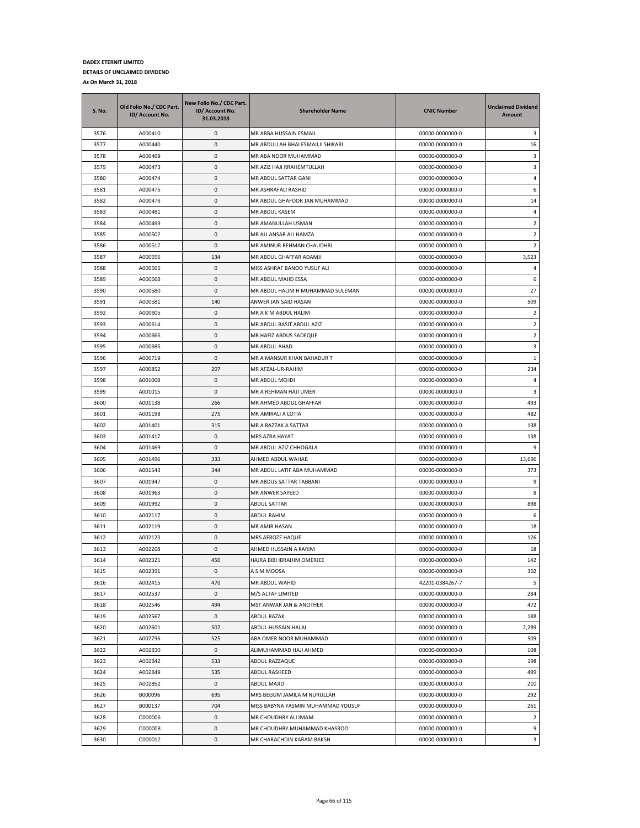| <b>S. No.</b> | Old Folio No./ CDC Part.<br>ID/ Account No. | New Folio No./ CDC Part.<br>ID/ Account No.<br>31.03.2018 | <b>Shareholder Name</b>            | <b>CNIC Number</b> | <b>Unclaimed Dividend</b><br><b>Amount</b> |
|---------------|---------------------------------------------|-----------------------------------------------------------|------------------------------------|--------------------|--------------------------------------------|
| 3576          | A000410                                     | 0                                                         | MR ABBA HUSSAIN ESMAIL             | 00000-0000000-0    | 3                                          |
| 3577          | A000440                                     | 0                                                         | MR ABDULLAH BHAI ESMAILJI SHIKARI  | 00000-0000000-0    | 16                                         |
| 3578          | A000469                                     | 0                                                         | MR ABA NOOR MUHAMMAD               | 00000-0000000-0    | 3                                          |
| 3579          | A000473                                     | 0                                                         | MR AZIZ HAJI RRAHEMTULLAH          | 00000-0000000-0    | 3                                          |
| 3580          | A000474                                     | 0                                                         | MR ABDUL SATTAR GANI               | 00000-0000000-0    | 4                                          |
| 3581          | A000475                                     | 0                                                         | MR ASHRAFALI RASHID                | 00000-0000000-0    | 6                                          |
| 3582          | A000476                                     | 0                                                         | MR ABDUL GHAFOOR JAN MUHAMMAD      | 00000-0000000-0    | 14                                         |
| 3583          | A000481                                     | 0                                                         | MR ABDUL KASEM                     | 00000-0000000-0    | 4                                          |
| 3584          | A000499                                     | 0                                                         | MR AMANULLAH USMAN                 | 00000-0000000-0    | 2                                          |
| 3585          | A000502                                     | 0                                                         | MR ALI ANSAR ALI HAMZA             | 00000-0000000-0    | 2                                          |
| 3586          | A000517                                     | $\pmb{0}$                                                 | MR AMINUR REHMAN CHAUDHRI          | 00000-0000000-0    | $\overline{2}$                             |
| 3587          | A000556                                     | 134                                                       | MR ABDUL GHAFFAR ADAMJI            | 00000-0000000-0    | 3,523                                      |
| 3588          | A000565                                     | $\pmb{0}$                                                 | MISS ASHRAF BANOO YUSUF ALI        | 00000-0000000-0    | 4                                          |
| 3589          | A000568                                     | 0                                                         | MR ABDUL MAJID ESSA                | 00000-0000000-0    | 6                                          |
| 3590          | A000580                                     | 0                                                         | MR ABDUL HALIM H MUHAMMAD SULEMAN  | 00000-0000000-0    | 27                                         |
| 3591          | A000581                                     | 140                                                       | ANWER JAN SAID HASAN               | 00000-0000000-0    | 509                                        |
| 3592          | A000605                                     | 0                                                         | MR A K M ABDUL HALIM               | 00000-0000000-0    | $\overline{2}$                             |
| 3593          | A000614                                     | $\pmb{0}$                                                 | MR ABDUL BASIT ABDUL AZIZ          | 00000-0000000-0    | $\overline{2}$                             |
| 3594          | A000665                                     | $\pmb{0}$                                                 | MR HAFIZ ABDUS SADEQUE             | 00000-0000000-0    | $\overline{2}$                             |
| 3595          | A000685                                     | $\pmb{0}$                                                 | MR ABDUL AHAD                      | 00000-0000000-0    | 3                                          |
| 3596          | A000719                                     | 0                                                         | MR A MANSUR KHAN BAHADUR T         | 00000-0000000-0    | $\mathbf{1}$                               |
| 3597          | A000852                                     | 207                                                       | MR AFZAL-UR-RAHIM                  | 00000-0000000-0    | 234                                        |
| 3598          | A001008                                     | $\pmb{0}$                                                 | MR ABDUL MEHDI                     | 00000-0000000-0    | 4                                          |
| 3599          | A001015                                     | $\pmb{0}$                                                 | MR A REHMAN HAJI UMER              | 00000-0000000-0    | 3                                          |
| 3600          | A001138                                     | 266                                                       | MR AHMED ABDUL GHAFFAR             | 00000-0000000-0    | 493                                        |
| 3601          | A001198                                     | 275                                                       | MR AMIRALI A LOTIA                 | 00000-0000000-0    | 482                                        |
| 3602          | A001401                                     | 315                                                       | MR A RAZZAK A SATTAR               | 00000-0000000-0    | 138                                        |
| 3603          | A001417                                     | $\pmb{0}$                                                 | MRS AZRA HAYAT                     | 00000-0000000-0    | 138                                        |
| 3604          | A001469                                     | $\pmb{0}$                                                 | MR ABDUL AZIZ CHHOGALA             | 00000-0000000-0    | 9                                          |
| 3605          | A001496                                     | 333                                                       | AHMED ABDUL WAHAB                  | 00000-0000000-0    | 13,696                                     |
| 3606          | A001543                                     | 344                                                       | MR ABDUL LATIF ABA MUHAMMAD        | 00000-0000000-0    | 373                                        |
| 3607          | A001947                                     | $\pmb{0}$                                                 | MR ABDUS SATTAR TABBANI            | 00000-0000000-0    | 9                                          |
| 3608          | A001963                                     | $\pmb{0}$                                                 | MR ANWER SAYEED                    | 00000-0000000-0    | 8                                          |
| 3609          | A001992                                     | 0                                                         | ABDUL SATTAR                       | 00000-0000000-0    | 898                                        |
| 3610          | A002117                                     | $\pmb{0}$                                                 | ABDUL RAHIM                        | 00000-0000000-0    | 6                                          |
| 3611          | A002119                                     | $\pmb{0}$                                                 | MR AMIR HASAN                      | 00000-0000000-0    | 18                                         |
| 3612          | A002123                                     | 0                                                         | MRS AFROZE HAQUE                   | 00000-0000000-0    | 126                                        |
| 3613          | A002208                                     | $\mathbf 0$                                               | AHMED HUSSAIN A KARIM              | 00000-0000000-0    | 18                                         |
| 3614          | A002321                                     | 450                                                       | HAJRA BIBI IBRAHIM OMERJEE         | 00000-0000000-0    | 142                                        |
| 3615          | A002391                                     | 0                                                         | A S M MOOSA                        | 00000-0000000-0    | 302                                        |
| 3616          | A002415                                     | 470                                                       | MR ABDUL WAHID                     | 42201-0384267-7    | 5                                          |
| 3617          | A002537                                     | 0                                                         | M/S ALTAF LIMITED                  | 00000-0000000-0    | 284                                        |
| 3618          | A002546                                     | 494                                                       | MST ANWAR JAN & ANOTHER            | 00000-0000000-0    | 472                                        |
| 3619          | A002567                                     | 0                                                         | ABDUL RAZAK                        | 00000-0000000-0    | 188                                        |
| 3620          | A002601                                     | 507                                                       | ABDUL HUSSAIN HALAI                | 00000-0000000-0    | 2,289                                      |
| 3621          | A002796                                     | 525                                                       | ABA OMER NOOR MUHAMMAD             | 00000-0000000-0    | 509                                        |
| 3622          | A002830                                     | 0                                                         | ALIMUHAMMAD HAJI AHMED             | 00000-0000000-0    | 108                                        |
| 3623          | A002842                                     | 533                                                       | ABDUL RAZZAQUE                     | 00000-0000000-0    | 198                                        |
| 3624          | A002849                                     | 535                                                       | ABDUL RASHEED                      | 00000-0000000-0    | 499                                        |
| 3625          | A002852                                     | 0                                                         | ABDUL MAJID                        | 00000-0000000-0    | 210                                        |
| 3626          | B000096                                     | 695                                                       | MRS BEGUM JAMILA M NURULLAH        | 00000-0000000-0    | 292                                        |
| 3627          | B000137                                     | 704                                                       | MISS BABYNA YASMIN MUHAMMAD YOUSUF | 00000-0000000-0    | 261                                        |
| 3628          | C000006                                     | 0                                                         | MR CHOUDHRY ALI IMAM               | 00000-0000000-0    | $\overline{2}$                             |
| 3629          | C000008                                     | 0                                                         | MR CHOUDHRY MUHAMMAD KHASROO       | 00000-0000000-0    | 9                                          |
| 3630          | C000012                                     | 0                                                         | MR CHARACHDIN KARAM BAKSH          | 00000-0000000-0    | 3                                          |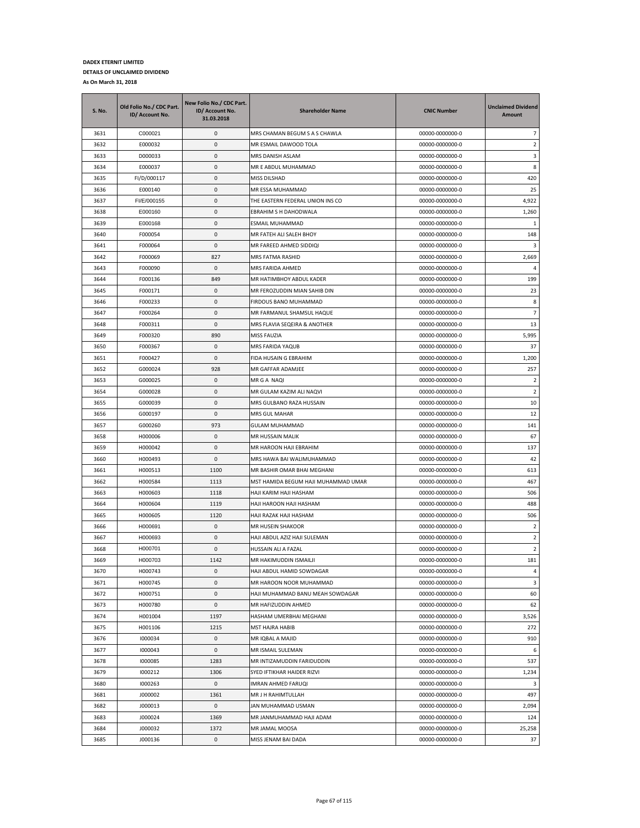| <b>S. No.</b> | Old Folio No./ CDC Part.<br>ID/ Account No. | New Folio No./ CDC Part.<br>ID/ Account No.<br>31.03.2018 | <b>Shareholder Name</b>             | <b>CNIC Number</b> | <b>Unclaimed Dividend</b><br>Amount |
|---------------|---------------------------------------------|-----------------------------------------------------------|-------------------------------------|--------------------|-------------------------------------|
| 3631          | C000021                                     | $\pmb{0}$                                                 | MRS CHAMAN BEGUM S A S CHAWLA       | 00000-0000000-0    | $\overline{7}$                      |
| 3632          | E000032                                     | 0                                                         | MR ESMAIL DAWOOD TOLA               | 00000-0000000-0    | $\overline{2}$                      |
| 3633          | D000033                                     | 0                                                         | MRS DANISH ASLAM                    | 00000-0000000-0    | 3                                   |
| 3634          | E000037                                     | 0                                                         | MR E ABDUL MUHAMMAD                 | 00000-0000000-0    | 8                                   |
| 3635          | FI/D/000117                                 | 0                                                         | MISS DILSHAD                        | 00000-0000000-0    | 420                                 |
| 3636          | E000140                                     | 0                                                         | MR ESSA MUHAMMAD                    | 00000-0000000-0    | 25                                  |
| 3637          | FI/E/000155                                 | 0                                                         | THE EASTERN FEDERAL UNION INS CO    | 00000-0000000-0    | 4,922                               |
| 3638          | E000160                                     | 0                                                         | EBRAHIM S H DAHODWALA               | 00000-0000000-0    | 1,260                               |
| 3639          | E000168                                     | 0                                                         | ESMAIL MUHAMMAD                     | 00000-0000000-0    | 1                                   |
| 3640          | F000054                                     | 0                                                         | MR FATEH ALI SALEH BHOY             | 00000-0000000-0    | 148                                 |
| 3641          | F000064                                     | 0                                                         | MR FAREED AHMED SIDDIQI             | 00000-0000000-0    | 3                                   |
| 3642          | F000069                                     | 827                                                       | MRS FATMA RASHID                    | 00000-0000000-0    | 2,669                               |
| 3643          | F000090                                     | 0                                                         | MRS FARIDA AHMED                    | 00000-0000000-0    | 4                                   |
| 3644          | F000136                                     | 849                                                       | MR HATIMBHOY ABDUL KADER            | 00000-0000000-0    | 199                                 |
| 3645          | F000171                                     | 0                                                         | MR FEROZUDDIN MIAN SAHIB DIN        | 00000-0000000-0    | 23                                  |
| 3646          | F000233                                     | 0                                                         | FIRDOUS BANO MUHAMMAD               | 00000-0000000-0    | 8                                   |
| 3647          | F000264                                     | 0                                                         | MR FARMANUL SHAMSUL HAQUE           | 00000-0000000-0    | $\overline{7}$                      |
| 3648          | F000311                                     | 0                                                         | MRS FLAVIA SEQEIRA & ANOTHER        | 00000-0000000-0    | 13                                  |
| 3649          | F000320                                     | 890                                                       | MISS FAUZIA                         | 00000-0000000-0    | 5,995                               |
| 3650          | F000367                                     | 0                                                         | MRS FARIDA YAQUB                    | 00000-0000000-0    | 37                                  |
| 3651          | F000427                                     | 0                                                         | FIDA HUSAIN G EBRAHIM               | 00000-0000000-0    | 1,200                               |
| 3652          | G000024                                     | 928                                                       | MR GAFFAR ADAMJEE                   | 00000-0000000-0    | 257                                 |
| 3653          | G000025                                     | 0                                                         | MR G A NAQI                         | 00000-0000000-0    | $\overline{2}$                      |
| 3654          | G000028                                     | 0                                                         | MR GULAM KAZIM ALI NAQVI            | 00000-0000000-0    | $\overline{2}$                      |
| 3655          | G000039                                     | 0                                                         | MRS GULBANO RAZA HUSSAIN            | 00000-0000000-0    | 10                                  |
| 3656          | G000197                                     | 0                                                         | MRS GUL MAHAR                       | 00000-0000000-0    | 12                                  |
| 3657          | G000260                                     | 973                                                       | <b>GULAM MUHAMMAD</b>               | 00000-0000000-0    | 141                                 |
| 3658          | H000006                                     | 0                                                         | MR HUSSAIN MALIK                    | 00000-0000000-0    | 67                                  |
| 3659          | H000042                                     | 0                                                         | MR HAROON HAJI EBRAHIM              | 00000-0000000-0    | 137                                 |
| 3660          | H000493                                     | 0                                                         | MRS HAWA BAI WALIMUHAMMAD           | 00000-0000000-0    | 42                                  |
| 3661          | H000513                                     | 1100                                                      | MR BASHIR OMAR BHAI MEGHANI         | 00000-0000000-0    | 613                                 |
| 3662          | H000584                                     | 1113                                                      | MST HAMIDA BEGUM HAJI MUHAMMAD UMAR | 00000-0000000-0    | 467                                 |
| 3663          | H000603                                     | 1118                                                      | HAJI KARIM HAJI HASHAM              | 00000-0000000-0    | 506                                 |
| 3664          | H000604                                     | 1119                                                      | HAJI HAROON HAJI HASHAM             | 00000-0000000-0    | 488                                 |
| 3665          | H000605                                     | 1120                                                      | HAJI RAZAK HAJI HASHAM              | 00000-0000000-0    | 506                                 |
| 3666          | H000691                                     | 0                                                         | MR HUSEIN SHAKOOR                   | 00000-0000000-0    | $\overline{2}$                      |
| 3667          | H000693                                     | 0                                                         | HAJI ABDUL AZIZ HAJI SULEMAN        | 00000-0000000-0    | $\overline{2}$                      |
| 3668          | H000701                                     | $\mathbf 0$                                               | HUSSAIN ALI A FAZAL                 | 00000-0000000-0    | $\overline{2}$                      |
| 3669          | H000703                                     | 1142                                                      | MR HAKIMUDDIN ISMAILJI              | 00000-0000000-0    | 181                                 |
| 3670          | H000743                                     | 0                                                         | HAJI ABDUL HAMID SOWDAGAR           | 00000-0000000-0    | 4                                   |
| 3671          | H000745                                     | 0                                                         | MR HAROON NOOR MUHAMMAD             | 00000-0000000-0    | 3                                   |
| 3672          | H000751                                     | $\pmb{0}$                                                 | HAJI MUHAMMAD BANU MEAH SOWDAGAR    | 00000-0000000-0    | 60                                  |
| 3673          | H000780                                     | 0                                                         | MR HAFIZUDDIN AHMED                 | 00000-0000000-0    | 62                                  |
| 3674          | H001004                                     | 1197                                                      | HASHAM UMERBHAI MEGHANI             | 00000-0000000-0    | 3,526                               |
| 3675          | H001106                                     | 1215                                                      | MST HAJRA HABIB                     | 00000-0000000-0    | 272                                 |
| 3676          | 1000034                                     | 0                                                         | MR IQBAL A MAJID                    | 00000-0000000-0    | 910                                 |
| 3677          | 1000043                                     | 0                                                         | MR ISMAIL SULEMAN                   | 00000-0000000-0    | 6                                   |
| 3678          | 1000085                                     | 1283                                                      | MR INTIZAMUDDIN FARIDUDDIN          | 00000-0000000-0    | 537                                 |
| 3679          | 1000212                                     | 1306                                                      | SYED IFTIKHAR HAIDER RIZVI          | 00000-0000000-0    | 1,234                               |
| 3680          | 1000263                                     | 0                                                         | IMRAN AHMED FARUQI                  | 00000-0000000-0    | 3                                   |
| 3681          | J000002                                     | 1361                                                      | MR J H RAHIMTULLAH                  | 00000-0000000-0    | 497                                 |
| 3682          | J000013                                     | 0                                                         | IAN MUHAMMAD USMAN                  | 00000-0000000-0    | 2,094                               |
| 3683          | J000024                                     | 1369                                                      | MR JANMUHAMMAD HAJI ADAM            | 00000-0000000-0    | 124                                 |
| 3684          | J000032                                     | 1372                                                      | MR JAMAL MOOSA                      | 00000-0000000-0    | 25,258                              |
| 3685          | J000136                                     | 0                                                         | MISS JENAM BAI DADA                 | 00000-0000000-0    | 37                                  |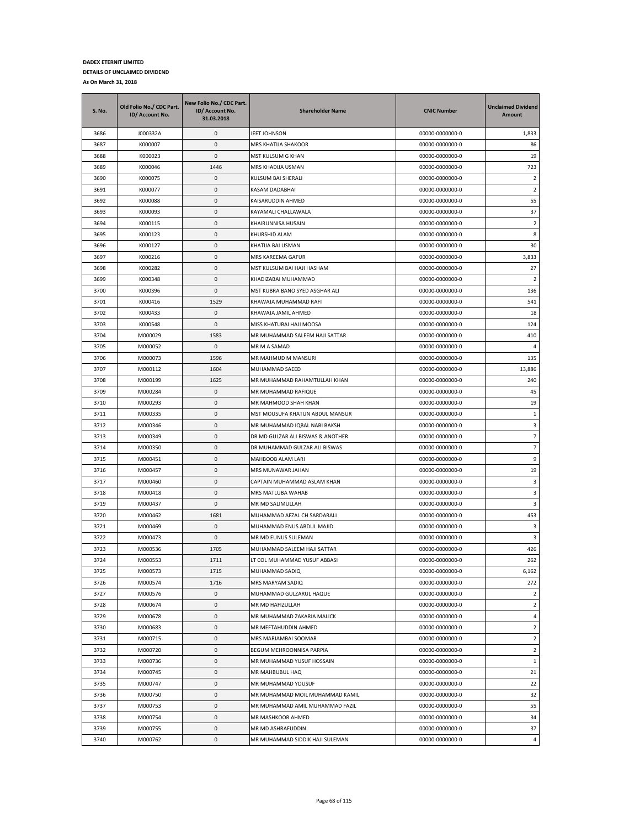| S. No.       | Old Folio No./ CDC Part.<br>ID/ Account No. | New Folio No./ CDC Part.<br>ID/ Account No.<br>31.03.2018 | <b>Shareholder Name</b>                                  | <b>CNIC Number</b>                 | <b>Unclaimed Dividend</b><br>Amount |
|--------------|---------------------------------------------|-----------------------------------------------------------|----------------------------------------------------------|------------------------------------|-------------------------------------|
| 3686         | J000332A                                    | 0                                                         | JEET JOHNSON                                             | 00000-0000000-0                    | 1,833                               |
| 3687         | K000007                                     | 0                                                         | MRS KHATIJA SHAKOOR                                      | 00000-0000000-0                    | 86                                  |
| 3688         | K000023                                     | $\mathbf 0$                                               | MST KULSUM G KHAN                                        | 00000-0000000-0                    | 19                                  |
| 3689         | K000046                                     | 1446                                                      | MRS KHADIJA USMAN                                        | 00000-0000000-0                    | 723                                 |
| 3690         | K000075                                     | 0                                                         | KULSUM BAI SHERALI                                       | 00000-0000000-0                    | $\overline{2}$                      |
| 3691         | K000077                                     | 0                                                         | KASAM DADABHAI                                           | 00000-0000000-0                    | 2                                   |
| 3692         | K000088                                     | 0                                                         | KAISARUDDIN AHMED                                        | 00000-0000000-0                    | 55                                  |
| 3693         | K000093                                     | 0                                                         | KAYAMALI CHALLAWALA                                      | 00000-0000000-0                    | 37                                  |
| 3694         | K000115                                     | 0                                                         | KHAIRUNNISA HUSAIN                                       | 00000-0000000-0                    | $\overline{2}$                      |
| 3695         | K000123                                     | 0                                                         | KHURSHID ALAM                                            | 00000-0000000-0                    | 8                                   |
| 3696         | K000127                                     | 0                                                         | KHATIJA BAI USMAN                                        | 00000-0000000-0                    | 30                                  |
| 3697         | K000216                                     | 0                                                         | MRS KAREEMA GAFUR                                        | 00000-0000000-0                    | 3,833                               |
| 3698         | K000282                                     | 0                                                         | MST KULSUM BAI HAJI HASHAM                               | 00000-0000000-0                    | 27                                  |
| 3699         | K000348                                     | 0                                                         | KHADIZABAI MUHAMMAD                                      | 00000-0000000-0                    | $\overline{2}$                      |
| 3700         | K000396                                     | 0                                                         | MST KUBRA BANO SYED ASGHAR ALI                           | 00000-0000000-0                    | 136                                 |
| 3701         | K000416                                     | 1529                                                      | KHAWAJA MUHAMMAD RAFI                                    | 00000-0000000-0                    | 541                                 |
| 3702         | K000433                                     | 0                                                         | KHAWAJA JAMIL AHMED                                      | 00000-0000000-0                    | 18                                  |
| 3703         | K000548                                     | 0                                                         | MISS KHATUBAI HAJI MOOSA                                 | 00000-0000000-0                    | 124                                 |
| 3704         | M000029                                     | 1583                                                      | MR MUHAMMAD SALEEM HAJI SATTAR                           | 00000-0000000-0                    | 410                                 |
| 3705         | M000052                                     | 0                                                         | MR M A SAMAD                                             | 00000-0000000-0                    | 4                                   |
| 3706         | M000073                                     | 1596                                                      | MR MAHMUD M MANSURI                                      | 00000-0000000-0                    | 135                                 |
| 3707         | M000112                                     | 1604                                                      | MUHAMMAD SAEED                                           | 00000-0000000-0                    | 13,886                              |
| 3708         | M000199                                     | 1625                                                      | MR MUHAMMAD RAHAMTULLAH KHAN                             | 00000-0000000-0                    | 240                                 |
| 3709         | M000284                                     | 0                                                         | MR MUHAMMAD RAFIQUE                                      | 00000-0000000-0                    | 45                                  |
| 3710         | M000293                                     | 0                                                         | MR MAHMOOD SHAH KHAN                                     | 00000-0000000-0                    | 19                                  |
| 3711         | M000335                                     | 0                                                         | MST MOUSUFA KHATUN ABDUL MANSUR                          | 00000-0000000-0                    | 1                                   |
| 3712         | M000346                                     | 0                                                         | MR MUHAMMAD IQBAL NABI BAKSH                             | 00000-0000000-0                    | 3                                   |
| 3713         | M000349                                     | 0                                                         | DR MD GULZAR ALI BISWAS & ANOTHER                        | 00000-0000000-0                    | $\overline{7}$                      |
| 3714         | M000350                                     | 0                                                         | DR MUHAMMAD GULZAR ALI BISWAS                            | 00000-0000000-0                    | 7                                   |
| 3715         | M000451                                     | 0                                                         | MAHBOOB ALAM LARI                                        | 00000-0000000-0                    | 9                                   |
| 3716         | M000457                                     | 0                                                         | MRS MUNAWAR JAHAN                                        | 00000-0000000-0                    | 19                                  |
| 3717         | M000460                                     | 0                                                         | CAPTAIN MUHAMMAD ASLAM KHAN                              | 00000-0000000-0                    | 3                                   |
| 3718         | M000418                                     | 0                                                         | MRS MATLUBA WAHAB                                        | 00000-0000000-0                    | 3                                   |
| 3719         | M000437<br>M000462                          | 0                                                         | MR MD SALIMULLAH                                         | 00000-0000000-0                    | 3                                   |
| 3720         |                                             | 1681<br>0                                                 | MUHAMMAD AFZAL CH SARDARALI<br>MUHAMMAD ENUS ABDUL MAJID | 00000-0000000-0                    | 453                                 |
| 3721         | M000469                                     |                                                           | MR MD EUNUS SULEMAN                                      | 00000-0000000-0                    | 3<br>3                              |
| 3722<br>3723 | M000473<br>M000536                          | 0<br>1705                                                 | MUHAMMAD SALEEM HAJI SATTAR                              | 00000-0000000-0<br>00000-0000000-0 | 426                                 |
| 3724         | M000553                                     | 1711                                                      | LT COL MUHAMMAD YUSUF ABBASI                             | 00000-0000000-0                    | 262                                 |
| 3725         | M000573                                     | 1715                                                      | MUHAMMAD SADIQ                                           | 00000-0000000-0                    | 6,162                               |
| 3726         | M000574                                     | 1716                                                      | MRS MARYAM SADIQ                                         | 00000-0000000-0                    | 272                                 |
| 3727         | M000576                                     | $\pmb{0}$                                                 | MUHAMMAD GULZARUL HAQUE                                  | 00000-0000000-0                    | $\overline{2}$                      |
| 3728         | M000674                                     | 0                                                         | MR MD HAFIZULLAH                                         | 00000-0000000-0                    | $\overline{2}$                      |
| 3729         | M000678                                     | 0                                                         | MR MUHAMMAD ZAKARIA MALICK                               | 00000-0000000-0                    | 4                                   |
| 3730         | M000683                                     | 0                                                         | MR MEFTAHUDDIN AHMED                                     | 00000-0000000-0                    | $\overline{2}$                      |
| 3731         | M000715                                     | 0                                                         | MRS MARIAMBAI SOOMAR                                     | 00000-0000000-0                    | $\overline{2}$                      |
| 3732         | M000720                                     | 0                                                         | BEGUM MEHROONNISA PARPIA                                 | 00000-0000000-0                    | $\overline{2}$                      |
| 3733         | M000736                                     | 0                                                         | MR MUHAMMAD YUSUF HOSSAIN                                | 00000-0000000-0                    | $\mathbf{1}$                        |
| 3734         | M000745                                     | 0                                                         | MR MAHBUBUL HAQ                                          | 00000-0000000-0                    | 21                                  |
| 3735         | M000747                                     | 0                                                         | MR MUHAMMAD YOUSUF                                       | 00000-0000000-0                    | 22                                  |
| 3736         | M000750                                     | 0                                                         | MR MUHAMMAD MOIL MUHAMMAD KAMIL                          | 00000-0000000-0                    | 32                                  |
| 3737         | M000753                                     | 0                                                         | MR MUHAMMAD AMIL MUHAMMAD FAZIL                          | 00000-0000000-0                    | 55                                  |
| 3738         | M000754                                     | 0                                                         | MR MASHKOOR AHMED                                        | 00000-0000000-0                    | 34                                  |
| 3739         | M000755                                     | $\pmb{0}$                                                 | MR MD ASHRAFUDDIN                                        | 00000-0000000-0                    | 37                                  |
| 3740         | M000762                                     | 0                                                         | MR MUHAMMAD SIDDIK HAJI SULEMAN                          | 00000-0000000-0                    | $\overline{4}$                      |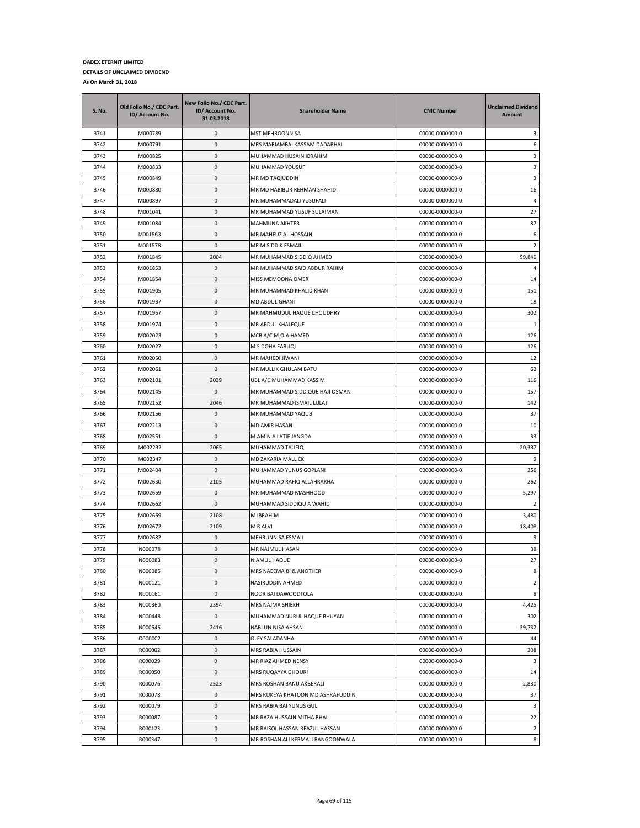| <b>S. No.</b> | Old Folio No./ CDC Part.<br>ID/ Account No. | New Folio No./ CDC Part.<br>ID/ Account No.<br>31.03.2018 | <b>Shareholder Name</b>           | <b>CNIC Number</b> | <b>Unclaimed Dividend</b><br>Amount |
|---------------|---------------------------------------------|-----------------------------------------------------------|-----------------------------------|--------------------|-------------------------------------|
| 3741          | M000789                                     | 0                                                         | MST MEHROONNISA                   | 00000-0000000-0    | 3                                   |
| 3742          | M000791                                     | 0                                                         | MRS MARIAMBAI KASSAM DADABHAI     | 00000-0000000-0    | 6                                   |
| 3743          | M000825                                     | 0                                                         | MUHAMMAD HUSAIN IBRAHIM           | 00000-0000000-0    | 3                                   |
| 3744          | M000833                                     | $\pmb{0}$                                                 | MUHAMMAD YOUSUF                   | 00000-0000000-0    | 3                                   |
| 3745          | M000849                                     | $\pmb{0}$                                                 | MR MD TAQIUDDIN                   | 00000-0000000-0    | 3                                   |
| 3746          | M000880                                     | 0                                                         | MR MD HABIBUR REHMAN SHAHIDI      | 00000-0000000-0    | 16                                  |
| 3747          | M000897                                     | $\pmb{0}$                                                 | MR MUHAMMADALI YUSUFALI           | 00000-0000000-0    | $\overline{4}$                      |
| 3748          | M001041                                     | 0                                                         | MR MUHAMMAD YUSUF SULAIMAN        | 00000-0000000-0    | 27                                  |
| 3749          | M001084                                     | $\pmb{0}$                                                 | MAHMUNA AKHTER                    | 00000-0000000-0    | 87                                  |
| 3750          | M001563                                     | 0                                                         | MR MAHFUZ AL HOSSAIN              | 00000-0000000-0    | 6                                   |
| 3751          | M001578                                     | 0                                                         | MR M SIDDIK ESMAIL                | 00000-0000000-0    | $\overline{2}$                      |
| 3752          | M001845                                     | 2004                                                      | MR MUHAMMAD SIDDIQ AHMED          | 00000-0000000-0    | 59,840                              |
| 3753          | M001853                                     | $\pmb{0}$                                                 | MR MUHAMMAD SAID ABDUR RAHIM      | 00000-0000000-0    | 4                                   |
| 3754          | M001854                                     | $\pmb{0}$                                                 | MISS MEMOONA OMER                 | 00000-0000000-0    | 14                                  |
| 3755          | M001905                                     | 0                                                         | MR MUHAMMAD KHALID KHAN           | 00000-0000000-0    | 151                                 |
| 3756          | M001937                                     | $\pmb{0}$                                                 | <b>MD ABDUL GHANI</b>             | 00000-0000000-0    | 18                                  |
| 3757          | M001967                                     | 0                                                         | MR MAHMUDUL HAQUE CHOUDHRY        | 00000-0000000-0    | 302                                 |
| 3758          | M001974                                     | $\pmb{0}$                                                 | MR ABDUL KHALEQUE                 | 00000-0000000-0    | $\mathbf{1}$                        |
| 3759          | M002023                                     | 0                                                         | MCB A/C M.O.A HAMED               | 00000-0000000-0    | 126                                 |
| 3760          | M002027                                     | $\pmb{0}$                                                 | M S DOHA FARUQI                   | 00000-0000000-0    | 126                                 |
| 3761          | M002050                                     | $\pmb{0}$                                                 | MR MAHEDI JIWANI                  | 00000-0000000-0    | 12                                  |
| 3762          | M002061                                     | 0                                                         | MR MULLIK GHULAM BATU             | 00000-0000000-0    | 62                                  |
| 3763          | M002101                                     | 2039                                                      | UBL A/C MUHAMMAD KASSIM           | 00000-0000000-0    | 116                                 |
| 3764          | M002145                                     | 0                                                         | MR MUHAMMAD SIDDIQUE HAJI OSMAN   | 00000-0000000-0    | 157                                 |
| 3765          | M002152                                     | 2046                                                      | MR MUHAMMAD ISMAIL LULAT          | 00000-0000000-0    | 142                                 |
| 3766          | M002156                                     | 0                                                         | MR MUHAMMAD YAQUB                 | 00000-0000000-0    | 37                                  |
| 3767          | M002213                                     | 0                                                         | MD AMIR HASAN                     | 00000-0000000-0    | 10                                  |
| 3768          | M002551                                     | 0                                                         | M AMIN A LATIF JANGDA             | 00000-0000000-0    | 33                                  |
| 3769          | M002292                                     | 2065                                                      | MUHAMMAD TAUFIQ                   | 00000-0000000-0    | 20,337                              |
| 3770          | M002347                                     | 0                                                         | MD ZAKARIA MALLICK                | 00000-0000000-0    | 9                                   |
| 3771          | M002404                                     | 0                                                         | MUHAMMAD YUNUS GOPLANI            | 00000-0000000-0    | 256                                 |
| 3772          | M002630                                     | 2105                                                      | MUHAMMAD RAFIQ ALLAHRAKHA         | 00000-0000000-0    | 262                                 |
| 3773          | M002659                                     | 0                                                         | MR MUHAMMAD MASHHOOD              | 00000-0000000-0    | 5,297                               |
| 3774          | M002662                                     | 0                                                         | MUHAMMAD SIDDIQU A WAHID          | 00000-0000000-0    | 2                                   |
| 3775          | M002669                                     | 2108                                                      | M IBRAHIM                         | 00000-0000000-0    | 3,480                               |
| 3776          | M002672                                     | 2109                                                      | M R ALVI                          | 00000-0000000-0    | 18,408                              |
| 3777          | M002682                                     | 0                                                         | MEHRUNNISA ESMAIL                 | 00000-0000000-0    | 9                                   |
| 3778          | N000078                                     | 0                                                         | MR NAJMUL HASAN                   | 00000-0000000-0    | 38                                  |
| 3779          | N000083                                     | $\mathbf 0$                                               | NIAMUL HAQUE                      | 00000-0000000-0    | 27                                  |
| 3780          | N000085                                     | 0                                                         | MRS NAEEMA BI & ANOTHER           | 00000-0000000-0    | 8                                   |
| 3781          | N000121                                     | 0                                                         | NASIRUDDIN AHMED                  | 00000-0000000-0    | $\overline{2}$                      |
| 3782          | N000161                                     | $\pmb{0}$                                                 | NOOR BAI DAWOODTOLA               | 00000-0000000-0    | 8                                   |
| 3783          | N000360                                     | 2394                                                      | MRS NAJMA SHIEKH                  | 00000-0000000-0    | 4,425                               |
| 3784          | N000448                                     | 0                                                         | MUHAMMAD NURUL HAQUE BHUYAN       | 00000-0000000-0    | 302                                 |
| 3785          | N000545                                     | 2416                                                      | NABI UN NISA AHSAN                | 00000-0000000-0    | 39,732                              |
| 3786          | 0000002                                     | 0                                                         | OLFY SALADANHA                    | 00000-0000000-0    | 44                                  |
| 3787          | R000002                                     | 0                                                         | MRS RABIA HUSSAIN                 | 00000-0000000-0    | 208                                 |
| 3788          | R000029                                     | 0                                                         | MR RIAZ AHMED NENSY               | 00000-0000000-0    | 3                                   |
| 3789          | R000050                                     | 0                                                         | MRS RUQAYYA GHOURI                | 00000-0000000-0    | 14                                  |
| 3790          | R000076                                     | 2523                                                      | MRS ROSHAN BANU AKBERALI          | 00000-0000000-0    | 2,830                               |
| 3791          | R000078                                     | $\pmb{0}$                                                 | MRS RUKEYA KHATOON MD ASHRAFUDDIN | 00000-0000000-0    | 37                                  |
| 3792          | R000079                                     | 0                                                         | MRS RABIA BAI YUNUS GUL           | 00000-0000000-0    | 3                                   |
| 3793          | R000087                                     | 0                                                         | MR RAZA HUSSAIN MITHA BHAI        | 00000-0000000-0    | 22                                  |
| 3794          | R000123                                     | 0                                                         | MR RAISOL HASSAN REAZUL HASSAN    | 00000-0000000-0    | $\overline{2}$                      |
| 3795          | R000347                                     | 0                                                         | MR ROSHAN ALI KERMALI RANGOONWALA | 00000-0000000-0    | 8                                   |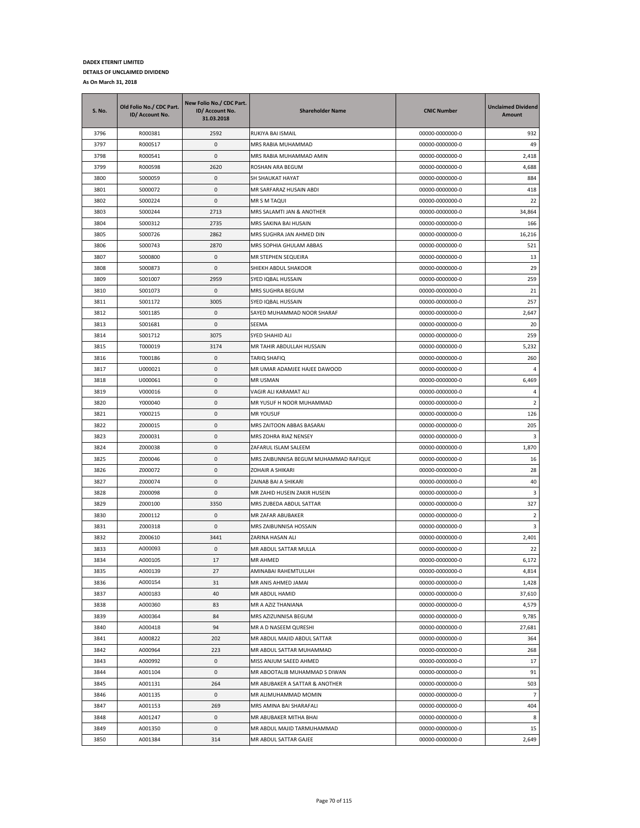| S. No. | Old Folio No./ CDC Part.<br>ID/ Account No. | New Folio No./ CDC Part.<br>ID/ Account No.<br>31.03.2018 | <b>Shareholder Name</b>               | <b>CNIC Number</b> | <b>Unclaimed Dividend</b><br>Amount |
|--------|---------------------------------------------|-----------------------------------------------------------|---------------------------------------|--------------------|-------------------------------------|
| 3796   | R000381                                     | 2592                                                      | RUKIYA BAI ISMAIL                     | 00000-0000000-0    | 932                                 |
| 3797   | R000517                                     | 0                                                         | MRS RABIA MUHAMMAD                    | 00000-0000000-0    | 49                                  |
| 3798   | R000541                                     | $\mathbf{0}$                                              | MRS RABIA MUHAMMAD AMIN               | 00000-0000000-0    | 2,418                               |
| 3799   | R000598                                     | 2620                                                      | ROSHAN ARA BEGUM                      | 00000-0000000-0    | 4,688                               |
| 3800   | S000059                                     | 0                                                         | SH SHAUKAT HAYAT                      | 00000-0000000-0    | 884                                 |
| 3801   | S000072                                     | 0                                                         | MR SARFARAZ HUSAIN ABDI               | 00000-0000000-0    | 418                                 |
| 3802   | S000224                                     | 0                                                         | MR S M TAQUI                          | 00000-0000000-0    | 22                                  |
| 3803   | S000244                                     | 2713                                                      | MRS SALAMTI JAN & ANOTHER             | 00000-0000000-0    | 34,864                              |
| 3804   | S000312                                     | 2735                                                      | MRS SAKINA BAI HUSAIN                 | 00000-0000000-0    | 166                                 |
| 3805   | S000726                                     | 2862                                                      | MRS SUGHRA JAN AHMED DIN              | 00000-0000000-0    | 16,216                              |
| 3806   | S000743                                     | 2870                                                      | MRS SOPHIA GHULAM ABBAS               | 00000-0000000-0    | 521                                 |
| 3807   | S000800                                     | 0                                                         | MR STEPHEN SEQUEIRA                   | 00000-0000000-0    | 13                                  |
| 3808   | S000873                                     | 0                                                         | SHIEKH ABDUL SHAKOOR                  | 00000-0000000-0    | 29                                  |
| 3809   | S001007                                     | 2959                                                      | SYED IQBAL HUSSAIN                    | 00000-0000000-0    | 259                                 |
| 3810   | S001073                                     | 0                                                         | MRS SUGHRA BEGUM                      | 00000-0000000-0    | 21                                  |
| 3811   | S001172                                     | 3005                                                      | SYED IQBAL HUSSAIN                    | 00000-0000000-0    | 257                                 |
| 3812   | S001185                                     | 0                                                         | SAYED MUHAMMAD NOOR SHARAF            | 00000-0000000-0    | 2,647                               |
| 3813   | S001681                                     | 0                                                         | SEEMA                                 | 00000-0000000-0    | 20                                  |
| 3814   | S001712                                     | 3075                                                      | SYED SHAHID ALI                       | 00000-0000000-0    | 259                                 |
| 3815   | T000019                                     | 3174                                                      | MR TAHIR ABDULLAH HUSSAIN             | 00000-0000000-0    | 5,232                               |
| 3816   | T000186                                     | 0                                                         | TARIQ SHAFIQ                          | 00000-0000000-0    | 260                                 |
| 3817   | U000021                                     | $\mathbf{0}$                                              | MR UMAR ADAMJEE HAJEE DAWOOD          | 00000-0000000-0    | $\overline{4}$                      |
| 3818   | U000061                                     | 0                                                         | MR USMAN                              | 00000-0000000-0    | 6,469                               |
| 3819   | V000016                                     | 0                                                         | VAGIR ALI KARAMAT ALI                 | 00000-0000000-0    | 4                                   |
| 3820   | Y000040                                     | 0                                                         | MR YUSUF H NOOR MUHAMMAD              | 00000-0000000-0    | 2                                   |
| 3821   | Y000215                                     | 0                                                         | <b>MR YOUSUF</b>                      | 00000-0000000-0    | 126                                 |
| 3822   | Z000015                                     | 0                                                         | MRS ZAITOON ABBAS BASARAI             | 00000-0000000-0    | 205                                 |
| 3823   | Z000031                                     | 0                                                         | MRS ZOHRA RIAZ NENSEY                 | 00000-0000000-0    | 3                                   |
| 3824   | Z000038                                     | 0                                                         | ZAFARUL ISLAM SALEEM                  | 00000-0000000-0    | 1,870                               |
| 3825   | Z000046                                     | 0                                                         | MRS ZAIBUNNISA BEGUM MUHAMMAD RAFIQUE | 00000-0000000-0    | 16                                  |
| 3826   | Z000072                                     | 0                                                         | ZOHAIR A SHIKARI                      | 00000-0000000-0    | 28                                  |
| 3827   | Z000074                                     | 0                                                         | ZAINAB BAI A SHIKARI                  | 00000-0000000-0    | 40                                  |
| 3828   | Z000098                                     | 0                                                         | MR ZAHID HUSEIN ZAKIR HUSEIN          | 00000-0000000-0    | 3                                   |
| 3829   | Z000100                                     | 3350                                                      | MRS ZUBEDA ABDUL SATTAR               | 00000-0000000-0    | 327                                 |
| 3830   | Z000112                                     | 0                                                         | MR ZAFAR ABUBAKER                     | 00000-0000000-0    | $\overline{2}$                      |
| 3831   | Z000318                                     | 0                                                         | MRS ZAIBUNNISA HOSSAIN                | 00000-0000000-0    | 3                                   |
| 3832   | Z000610                                     | 3441                                                      | ZARINA HASAN ALI                      | 00000-0000000-0    | 2,401                               |
| 3833   | A000093                                     | 0                                                         | MR ABDUL SATTAR MULLA                 | 00000-0000000-0    | 22                                  |
| 3834   | A000105                                     | 17                                                        | <b>MR AHMED</b>                       | 00000-0000000-0    | 6,172                               |
| 3835   | A000139                                     | 27                                                        | AMINABAI RAHEMTULLAH                  | 00000-0000000-0    | 4,814                               |
| 3836   | A000154                                     | 31                                                        | MR ANIS AHMED JAMAI                   | 00000-0000000-0    | 1,428                               |
| 3837   | A000183                                     | 40                                                        | MR ABDUL HAMID                        | 00000-0000000-0    | 37,610                              |
| 3838   | A000360                                     | 83                                                        | MR A AZIZ THANIANA                    | 00000-0000000-0    | 4,579                               |
| 3839   | A000364                                     | 84                                                        | MRS AZIZUNNISA BEGUM                  | 00000-0000000-0    | 9,785                               |
| 3840   | A000418                                     | 94                                                        | MR A D NASEEM QURESHI                 | 00000-0000000-0    | 27,681                              |
| 3841   | A000822                                     | 202                                                       | MR ABDUL MAJID ABDUL SATTAR           | 00000-0000000-0    | 364                                 |
| 3842   | A000964                                     | 223                                                       | MR ABDUL SATTAR MUHAMMAD              | 00000-0000000-0    | 268                                 |
| 3843   | A000992                                     | 0                                                         | MISS ANJUM SAEED AHMED                | 00000-0000000-0    | 17                                  |
| 3844   | A001104                                     | 0                                                         | MR ABOOTALIB MUHAMMAD S DIWAN         | 00000-0000000-0    | 91                                  |
| 3845   | A001131                                     | 264                                                       | MR ABUBAKER A SATTAR & ANOTHER        | 00000-0000000-0    | 503                                 |
| 3846   | A001135                                     | 0                                                         | MR ALIMUHAMMAD MOMIN                  | 00000-0000000-0    | $\overline{7}$                      |
| 3847   | A001153                                     | 269                                                       | MRS AMINA BAI SHARAFALI               | 00000-0000000-0    | 404                                 |
| 3848   | A001247                                     | 0                                                         | MR ABUBAKER MITHA BHAI                | 00000-0000000-0    | 8                                   |
| 3849   | A001350                                     | 0                                                         | MR ABDUL MAJID TARMUHAMMAD            | 00000-0000000-0    | 15                                  |
| 3850   | A001384                                     | 314                                                       | MR ABDUL SATTAR GAJEE                 | 00000-0000000-0    | 2,649                               |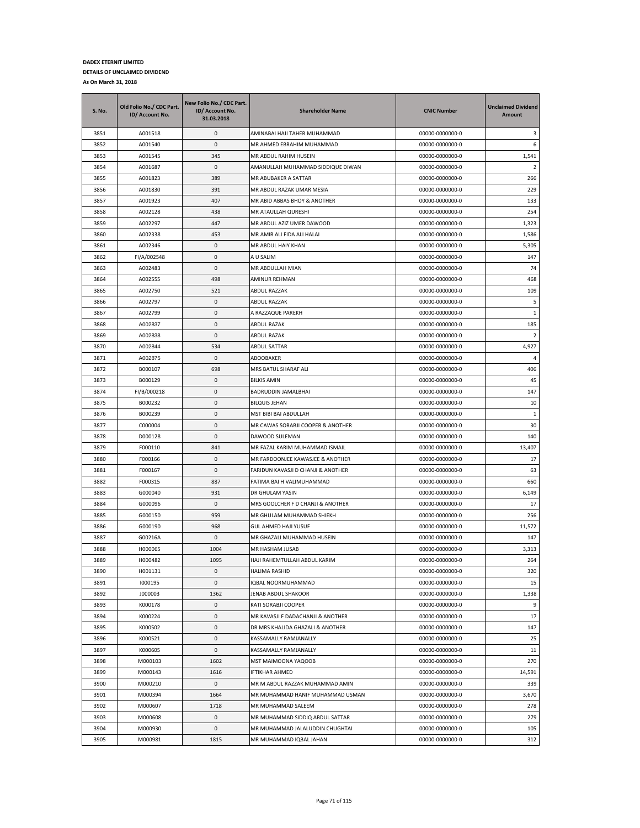| <b>S. No.</b> | Old Folio No./ CDC Part.<br>ID/ Account No. | New Folio No./ CDC Part.<br>ID/ Account No.<br>31.03.2018 | <b>Shareholder Name</b>            | <b>CNIC Number</b> | <b>Unclaimed Dividend</b><br>Amount |
|---------------|---------------------------------------------|-----------------------------------------------------------|------------------------------------|--------------------|-------------------------------------|
| 3851          | A001518                                     | 0                                                         | AMINABAI HAJI TAHER MUHAMMAD       | 00000-0000000-0    | 3                                   |
| 3852          | A001540                                     | 0                                                         | MR AHMED EBRAHIM MUHAMMAD          | 00000-0000000-0    | 6                                   |
| 3853          | A001545                                     | 345                                                       | MR ABDUL RAHIM HUSEIN              | 00000-0000000-0    | 1,541                               |
| 3854          | A001687                                     | 0                                                         | AMANULLAH MUHAMMAD SIDDIQUE DIWAN  | 00000-0000000-0    | 2                                   |
| 3855          | A001823                                     | 389                                                       | MR ABUBAKER A SATTAR               | 00000-0000000-0    | 266                                 |
| 3856          | A001830                                     | 391                                                       | MR ABDUL RAZAK UMAR MESIA          | 00000-0000000-0    | 229                                 |
| 3857          | A001923                                     | 407                                                       | MR ABID ABBAS BHOY & ANOTHER       | 00000-0000000-0    | 133                                 |
| 3858          | A002128                                     | 438                                                       | MR ATAULLAH QURESHI                | 00000-0000000-0    | 254                                 |
| 3859          | A002297                                     | 447                                                       | MR ABDUL AZIZ UMER DAWOOD          | 00000-0000000-0    | 1,323                               |
| 3860          | A002338                                     | 453                                                       | MR AMIR ALI FIDA ALI HALAI         | 00000-0000000-0    | 1,586                               |
| 3861          | A002346                                     | 0                                                         | MR ABDUL HAIY KHAN                 | 00000-0000000-0    | 5,305                               |
| 3862          | FI/A/002548                                 | 0                                                         | A U SALIM                          | 00000-0000000-0    | 147                                 |
| 3863          | A002483                                     | 0                                                         | MR ABDULLAH MIAN                   | 00000-0000000-0    | 74                                  |
| 3864          | A002555                                     | 498                                                       | AMINUR REHMAN                      | 00000-0000000-0    | 468                                 |
| 3865          | A002750                                     | 521                                                       | ABDUL RAZZAK                       | 00000-0000000-0    | 109                                 |
| 3866          | A002797                                     | 0                                                         | ABDUL RAZZAK                       | 00000-0000000-0    | 5                                   |
| 3867          | A002799                                     | 0                                                         | A RAZZAQUE PAREKH                  | 00000-0000000-0    | 1                                   |
| 3868          | A002837                                     | 0                                                         | <b>ABDUL RAZAK</b>                 | 00000-0000000-0    | 185                                 |
| 3869          | A002838                                     | 0                                                         | <b>ABDUL RAZAK</b>                 | 00000-0000000-0    | 2                                   |
| 3870          | A002844                                     | 534                                                       | <b>ABDUL SATTAR</b>                | 00000-0000000-0    | 4,927                               |
| 3871          | A002875                                     | 0                                                         | ABOOBAKER                          | 00000-0000000-0    | 4                                   |
| 3872          | B000107                                     | 698                                                       | MRS BATUL SHARAF ALI               | 00000-0000000-0    | 406                                 |
| 3873          | B000129                                     | 0                                                         | <b>BILKIS AMIN</b>                 | 00000-0000000-0    | 45                                  |
| 3874          | FI/B/000218                                 | 0                                                         | BADRUDDIN JAMALBHAI                | 00000-0000000-0    | 147                                 |
| 3875          | B000232                                     | 0                                                         | <b>BILQUIS JEHAN</b>               | 00000-0000000-0    | 10                                  |
| 3876          | B000239                                     | 0                                                         | MST BIBI BAI ABDULLAH              | 00000-0000000-0    | 1                                   |
| 3877          | C000004                                     | 0                                                         | MR CAWAS SORABJI COOPER & ANOTHER  | 00000-0000000-0    | 30                                  |
| 3878          | D000128                                     | 0                                                         | DAWOOD SULEMAN                     | 00000-0000000-0    | 140                                 |
| 3879          | F000110                                     | 841                                                       | MR FAZAL KARIM MUHAMMAD ISMAIL     | 00000-0000000-0    | 13,407                              |
| 3880          | F000166                                     | 0                                                         | MR FARDOONJEE KAWASJEE & ANOTHER   | 00000-0000000-0    | 17                                  |
| 3881          | F000167                                     | 0                                                         | FARIDUN KAVASJI D CHANJI & ANOTHER | 00000-0000000-0    | 63                                  |
| 3882          | F000315                                     | 887                                                       | FATIMA BAI H VALIMUHAMMAD          | 00000-0000000-0    | 660                                 |
| 3883          | G000040                                     | 931                                                       | DR GHULAM YASIN                    | 00000-0000000-0    | 6,149                               |
| 3884          | G000096                                     | 0                                                         | MRS GOOLCHER F D CHANJI & ANOTHER  | 00000-0000000-0    | 17                                  |
| 3885          | G000150                                     | 959                                                       | MR GHULAM MUHAMMAD SHIEKH          | 00000-0000000-0    | 256                                 |
| 3886          | G000190                                     | 968                                                       | <b>GUL AHMED HAJI YUSUF</b>        | 00000-0000000-0    | 11,572                              |
| 3887          | G00216A                                     | 0                                                         | MR GHAZALI MUHAMMAD HUSEIN         | 00000-0000000-0    | 147                                 |
| 3888          | H000065                                     | 1004                                                      | MR HASHAM JUSAB                    | 00000-0000000-0    | 3,313                               |
| 3889          | H000482                                     | 1095                                                      | HAJI RAHEMTULLAH ABDUL KARIM       | 00000-0000000-0    | 264                                 |
| 3890          | H001131                                     | 0                                                         | HALIMA RASHID                      | 00000-0000000-0    | 320                                 |
| 3891          | 1000195                                     | 0                                                         | IQBAL NOORMUHAMMAD                 | 00000-0000000-0    | 15                                  |
| 3892          | J000003                                     | 1362                                                      | JENAB ABDUL SHAKOOR                | 00000-0000000-0    | 1,338                               |
| 3893          | K000178                                     | 0                                                         | KATI SORABJI COOPER                | 00000-0000000-0    | 9                                   |
| 3894          | K000224                                     | 0                                                         | MR KAVASJI F DADACHANJI & ANOTHER  | 00000-0000000-0    | 17                                  |
| 3895          | K000502                                     | 0                                                         | DR MRS KHALIDA GHAZALI & ANOTHER   | 00000-0000000-0    | 147                                 |
| 3896          | K000521                                     | 0                                                         | KASSAMALLY RAMJANALLY              | 00000-0000000-0    | 25                                  |
| 3897          | K000605                                     | 0                                                         | KASSAMALLY RAMJANALLY              | 00000-0000000-0    | 11                                  |
| 3898          | M000103                                     | 1602                                                      | MST MAIMOONA YAQOOB                | 00000-0000000-0    | 270                                 |
| 3899          | M000143                                     | 1616                                                      | IFTIKHAR AHMED                     | 00000-0000000-0    | 14,591                              |
| 3900          | M000210                                     | 0                                                         | MR M ABDUL RAZZAK MUHAMMAD AMIN    | 00000-0000000-0    | 339                                 |
| 3901          | M000394                                     | 1664                                                      | MR MUHAMMAD HANIF MUHAMMAD USMAN   | 00000-0000000-0    | 3,670                               |
| 3902          | M000607                                     | 1718                                                      | MR MUHAMMAD SALEEM                 | 00000-0000000-0    | 278                                 |
| 3903          | M000608                                     | 0                                                         | MR MUHAMMAD SIDDIQ ABDUL SATTAR    | 00000-0000000-0    | 279                                 |
| 3904          | M000930                                     | 0                                                         | MR MUHAMMAD JALALUDDIN CHUGHTAI    | 00000-0000000-0    | 105                                 |
| 3905          | M000981                                     | 1815                                                      | MR MUHAMMAD IQBAL JAHAN            | 00000-0000000-0    | 312                                 |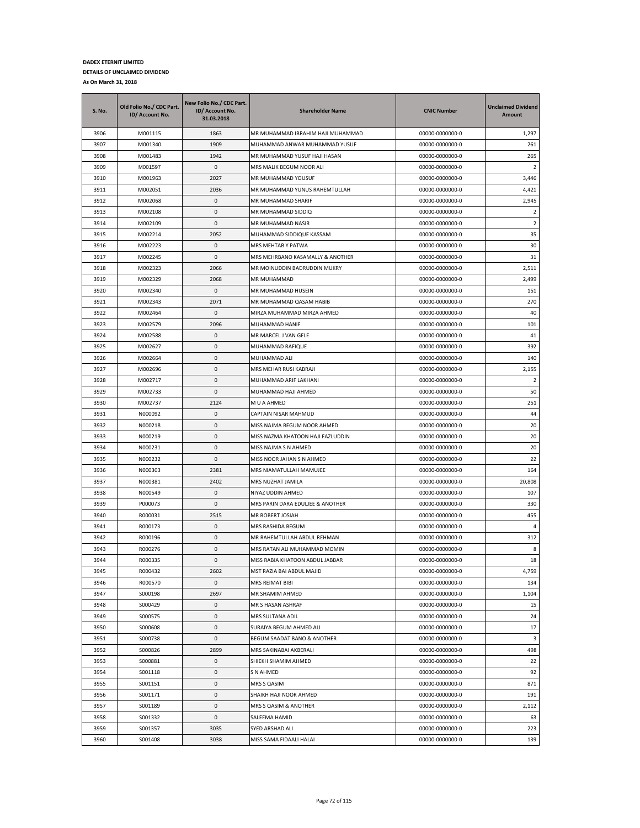| S. No. | Old Folio No./ CDC Part.<br>ID/ Account No. | New Folio No./ CDC Part.<br>ID/ Account No.<br>31.03.2018 | <b>Shareholder Name</b>           | <b>CNIC Number</b> | <b>Unclaimed Dividend</b><br>Amount |
|--------|---------------------------------------------|-----------------------------------------------------------|-----------------------------------|--------------------|-------------------------------------|
| 3906   | M001115                                     | 1863                                                      | MR MUHAMMAD IBRAHIM HAJI MUHAMMAD | 00000-0000000-0    | 1,297                               |
| 3907   | M001340                                     | 1909                                                      | MUHAMMAD ANWAR MUHAMMAD YUSUF     | 00000-0000000-0    | 261                                 |
| 3908   | M001483                                     | 1942                                                      | MR MUHAMMAD YUSUF HAJI HASAN      | 00000-0000000-0    | 265                                 |
| 3909   | M001597                                     | 0                                                         | MRS MALIK BEGUM NOOR ALI          | 00000-0000000-0    | $\overline{2}$                      |
| 3910   | M001963                                     | 2027                                                      | MR MUHAMMAD YOUSUF                | 00000-0000000-0    | 3,446                               |
| 3911   | M002051                                     | 2036                                                      | MR MUHAMMAD YUNUS RAHEMTULLAH     | 00000-0000000-0    | 4,421                               |
| 3912   | M002068                                     | 0                                                         | MR MUHAMMAD SHARIF                | 00000-0000000-0    | 2,945                               |
| 3913   | M002108                                     | 0                                                         | MR MUHAMMAD SIDDIQ                | 00000-0000000-0    | $\overline{2}$                      |
| 3914   | M002109                                     | 0                                                         | MR MUHAMMAD NASIR                 | 00000-0000000-0    | $\overline{2}$                      |
| 3915   | M002214                                     | 2052                                                      | MUHAMMAD SIDDIQUE KASSAM          | 00000-0000000-0    | 35                                  |
| 3916   | M002223                                     | 0                                                         | MRS MEHTAB Y PATWA                | 00000-0000000-0    | 30                                  |
| 3917   | M002245                                     | 0                                                         | MRS MEHRBANO KASAMALLY & ANOTHER  | 00000-0000000-0    | 31                                  |
| 3918   | M002323                                     | 2066                                                      | MR MOINUDDIN BADRUDDIN MUKRY      | 00000-0000000-0    | 2,511                               |
| 3919   | M002329                                     | 2068                                                      | MR MUHAMMAD                       | 00000-0000000-0    | 2,499                               |
| 3920   | M002340                                     | 0                                                         | MR MUHAMMAD HUSEIN                | 00000-0000000-0    | 151                                 |
| 3921   | M002343                                     | 2071                                                      | MR MUHAMMAD QASAM HABIB           | 00000-0000000-0    | 270                                 |
| 3922   | M002464                                     | 0                                                         | MIRZA MUHAMMAD MIRZA AHMED        | 00000-0000000-0    | 40                                  |
| 3923   | M002579                                     | 2096                                                      | MUHAMMAD HANIF                    | 00000-0000000-0    | 101                                 |
| 3924   | M002588                                     | 0                                                         | MR MARCEL J VAN GELE              | 00000-0000000-0    | 41                                  |
| 3925   | M002627                                     | 0                                                         | MUHAMMAD RAFIQUE                  | 00000-0000000-0    | 392                                 |
| 3926   | M002664                                     | 0                                                         | MUHAMMAD ALI                      | 00000-0000000-0    | 140                                 |
| 3927   | M002696                                     | 0                                                         | MRS MEHAR RUSI KABRAJI            | 00000-0000000-0    | 2,155                               |
| 3928   | M002717                                     | 0                                                         | MUHAMMAD ARIF LAKHANI             | 00000-0000000-0    | $\overline{2}$                      |
| 3929   | M002733                                     | 0                                                         | MUHAMMAD HAJI AHMED               | 00000-0000000-0    | 50                                  |
| 3930   | M002737                                     | 2124                                                      | M U A AHMED                       | 00000-0000000-0    | 251                                 |
| 3931   | N000092                                     | 0                                                         | CAPTAIN NISAR MAHMUD              | 00000-0000000-0    | 44                                  |
| 3932   | N000218                                     | 0                                                         | MISS NAJMA BEGUM NOOR AHMED       | 00000-0000000-0    | 20                                  |
| 3933   | N000219                                     | 0                                                         | MISS NAZMA KHATOON HAJI FAZLUDDIN | 00000-0000000-0    | 20                                  |
| 3934   | N000231                                     | 0                                                         | MISS NAJMA S N AHMED              | 00000-0000000-0    | 20                                  |
| 3935   | N000232                                     | 0                                                         | MISS NOOR JAHAN S N AHMED         | 00000-0000000-0    | 22                                  |
| 3936   | N000303                                     | 2381                                                      | MRS NIAMATULLAH MAMUJEE           | 00000-0000000-0    | 164                                 |
| 3937   | N000381                                     | 2402                                                      | MRS NUZHAT JAMILA                 | 00000-0000000-0    | 20,808                              |
| 3938   | N000549                                     | 0                                                         | NIYAZ UDDIN AHMED                 | 00000-0000000-0    | 107                                 |
| 3939   | P000073                                     | 0                                                         | MRS PARIN DARA EDULJEE & ANOTHER  | 00000-0000000-0    | 330                                 |
| 3940   | R000031                                     | 2515                                                      | MR ROBERT JOSIAH                  | 00000-0000000-0    | 455                                 |
| 3941   | R000173                                     | 0                                                         | MRS RASHIDA BEGUM                 | 00000-0000000-0    | $\overline{a}$                      |
| 3942   | R000196                                     | 0                                                         | MR RAHEMTULLAH ABDUL REHMAN       | 00000-0000000-0    | 312                                 |
| 3943   | R000276                                     | 0                                                         | MRS RATAN ALI MUHAMMAD MOMIN      | 00000-0000000-0    | 8                                   |
| 3944   | R000335                                     | $\mathbf 0$                                               | MISS RABIA KHATOON ABDUL JABBAR   | 00000-0000000-0    | 18                                  |
| 3945   | R000432                                     | 2602                                                      | MST RAZIA BAI ABDUL MAJID         | 00000-0000000-0    | 4,759                               |
| 3946   | R000570                                     | 0                                                         | MRS REIMAT BIBI                   | 00000-0000000-0    | 134                                 |
| 3947   | S000198                                     | 2697                                                      | MR SHAMIM AHMED                   | 00000-0000000-0    | 1,104                               |
| 3948   | S000429                                     | 0                                                         | MR S HASAN ASHRAF                 | 00000-0000000-0    | 15                                  |
| 3949   | S000575                                     | 0                                                         | MRS SULTANA ADIL                  | 00000-0000000-0    | 24                                  |
| 3950   | S000608                                     | 0                                                         | SURAIYA BEGUM AHMED ALI           | 00000-0000000-0    | 17                                  |
| 3951   | S000738                                     | 0                                                         | BEGUM SAADAT BANO & ANOTHER       | 00000-0000000-0    | 3                                   |
| 3952   | S000826                                     | 2899                                                      | MRS SAKINABAI AKBERALI            | 00000-0000000-0    | 498                                 |
| 3953   | S000881                                     | 0                                                         | SHIEKH SHAMIM AHMED               | 00000-0000000-0    | 22                                  |
| 3954   | S001118                                     | 0                                                         | S N AHMED                         | 00000-0000000-0    | 92                                  |
| 3955   | S001151                                     | 0                                                         | MRS S QASIM                       | 00000-0000000-0    | 871                                 |
| 3956   | S001171                                     | 0                                                         | SHAIKH HAJI NOOR AHMED            | 00000-0000000-0    | 191                                 |
| 3957   | S001189                                     | 0                                                         | MRS S QASIM & ANOTHER             | 00000-0000000-0    | 2,112                               |
| 3958   | S001332                                     | 0                                                         | SALEEMA HAMID                     | 00000-0000000-0    | 63                                  |
| 3959   | S001357                                     | 3035                                                      | SYED ARSHAD ALI                   | 00000-0000000-0    | 223                                 |
| 3960   | S001408                                     | 3038                                                      | MISS SAMA FIDAALI HALAI           | 00000-0000000-0    | 139                                 |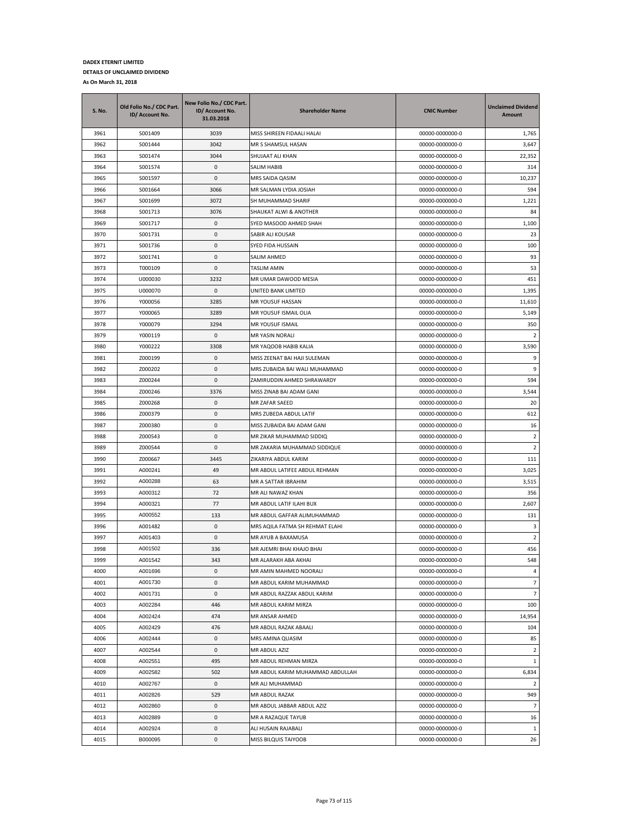| S. No. | Old Folio No./ CDC Part.<br>ID/ Account No. | New Folio No./ CDC Part.<br>ID/ Account No.<br>31.03.2018 | <b>Shareholder Name</b>          | <b>CNIC Number</b> | <b>Unclaimed Dividend</b><br>Amount |
|--------|---------------------------------------------|-----------------------------------------------------------|----------------------------------|--------------------|-------------------------------------|
| 3961   | S001409                                     | 3039                                                      | MISS SHIREEN FIDAALI HALAI       | 00000-0000000-0    | 1,765                               |
| 3962   | S001444                                     | 3042                                                      | MR S SHAMSUL HASAN               | 00000-0000000-0    | 3,647                               |
| 3963   | S001474                                     | 3044                                                      | SHUJAAT ALI KHAN                 | 00000-0000000-0    | 22,352                              |
| 3964   | S001574                                     | 0                                                         | SALIM HABIB                      | 00000-0000000-0    | 314                                 |
| 3965   | S001597                                     | 0                                                         | MRS SAIDA QASIM                  | 00000-0000000-0    | 10,237                              |
| 3966   | S001664                                     | 3066                                                      | MR SALMAN LYDIA JOSIAH           | 00000-0000000-0    | 594                                 |
| 3967   | S001699                                     | 3072                                                      | SH MUHAMMAD SHARIF               | 00000-0000000-0    | 1,221                               |
| 3968   | S001713                                     | 3076                                                      | SHAUKAT ALWI & ANOTHER           | 00000-0000000-0    | 84                                  |
| 3969   | S001717                                     | 0                                                         | SYED MASOOD AHMED SHAH           | 00000-0000000-0    | 1,100                               |
| 3970   | S001731                                     | 0                                                         | SABIR ALI KOUSAR                 | 00000-0000000-0    | 23                                  |
| 3971   | S001736                                     | 0                                                         | SYED FIDA HUSSAIN                | 00000-0000000-0    | 100                                 |
| 3972   | S001741                                     | 0                                                         | SALIM AHMED                      | 00000-0000000-0    | 93                                  |
| 3973   | T000109                                     | 0                                                         | TASLIM AMIN                      | 00000-0000000-0    | 53                                  |
| 3974   | U000030                                     | 3232                                                      | MR UMAR DAWOOD MESIA             | 00000-0000000-0    | 451                                 |
| 3975   | U000070                                     | 0                                                         | UNITED BANK LIMITED              | 00000-0000000-0    | 1,395                               |
| 3976   | Y000056                                     | 3285                                                      | MR YOUSUF HASSAN                 | 00000-0000000-0    | 11,610                              |
| 3977   | Y000065                                     | 3289                                                      | MR YOUSUF ISMAIL OLIA            | 00000-0000000-0    | 5,149                               |
| 3978   | Y000079                                     | 3294                                                      | MR YOUSUF ISMAIL                 | 00000-0000000-0    | 350                                 |
| 3979   | Y000119                                     | 0                                                         | <b>MR YASIN NORALI</b>           | 00000-0000000-0    | $\overline{2}$                      |
| 3980   | Y000222                                     | 3308                                                      | MR YAQOOB HABIB KALIA            | 00000-0000000-0    | 3,590                               |
| 3981   | Z000199                                     | 0                                                         | MISS ZEENAT BAI HAJI SULEMAN     | 00000-0000000-0    | 9                                   |
| 3982   | Z000202                                     | $\mathbf{0}$                                              | MRS ZUBAIDA BAI WALI MUHAMMAD    | 00000-0000000-0    | 9                                   |
| 3983   | Z000244                                     | 0                                                         | ZAMIRUDDIN AHMED SHRAWARDY       | 00000-0000000-0    | 594                                 |
| 3984   | Z000246                                     | 3376                                                      | MISS ZINAB BAI ADAM GANI         | 00000-0000000-0    | 3,544                               |
| 3985   | Z000268                                     | 0                                                         | MR ZAFAR SAEED                   | 00000-0000000-0    | 20                                  |
| 3986   | Z000379                                     | 0                                                         | MRS ZUBEDA ABDUL LATIF           | 00000-0000000-0    | 612                                 |
| 3987   | Z000380                                     | 0                                                         | MISS ZUBAIDA BAI ADAM GANI       | 00000-0000000-0    | 16                                  |
| 3988   | Z000543                                     | 0                                                         | MR ZIKAR MUHAMMAD SIDDIQ         | 00000-0000000-0    | $\overline{2}$                      |
| 3989   | Z000544                                     | 0                                                         | MR ZAKARIA MUHAMMAD SIDDIQUE     | 00000-0000000-0    | 2                                   |
| 3990   | Z000667                                     | 3445                                                      | ZIKARIYA ABDUL KARIM             | 00000-0000000-0    | 111                                 |
| 3991   | A000241                                     | 49                                                        | MR ABDUL LATIFEE ABDUL REHMAN    | 00000-0000000-0    | 3,025                               |
| 3992   | A000288                                     | 63                                                        | MR A SATTAR IBRAHIM              | 00000-0000000-0    | 3,515                               |
| 3993   | A000312                                     | 72                                                        | MR ALI NAWAZ KHAN                | 00000-0000000-0    | 356                                 |
| 3994   | A000321                                     | 77                                                        | MR ABDUL LATIF ILAHI BUX         | 00000-0000000-0    | 2,607                               |
| 3995   | A000552                                     | 133                                                       | MR ABDUL GAFFAR ALIMUHAMMAD      | 00000-0000000-0    | 131                                 |
| 3996   | A001482                                     | 0                                                         | MRS AQILA FATMA SH REHMAT ELAHI  | 00000-0000000-0    | 3                                   |
| 3997   | A001403                                     | 0                                                         | MR AYUB A BAXAMUSA               | 00000-0000000-0    | 2                                   |
| 3998   | A001502                                     | 336                                                       | MR AJEMRI BHAI KHAJO BHAI        | 00000-0000000-0    | 456                                 |
| 3999   | A001542                                     | 343                                                       | MR ALARAKH ABA AKHAI             | 00000-0000000-0    | 548                                 |
| 4000   | A001696                                     | 0                                                         | MR AMIN MAHMED NOORALI           | 00000-0000000-0    | 4                                   |
| 4001   | A001730                                     | 0                                                         | MR ABDUL KARIM MUHAMMAD          | 00000-0000000-0    | $\overline{7}$                      |
| 4002   | A001731                                     | $\pmb{0}$                                                 | MR ABDUL RAZZAK ABDUL KARIM      | 00000-0000000-0    | $\overline{7}$                      |
| 4003   | A002284                                     | 446                                                       | MR ABDUL KARIM MIRZA             | 00000-0000000-0    | 100                                 |
| 4004   | A002424                                     | 474                                                       | MR ANSAR AHMED                   | 00000-0000000-0    | 14,954                              |
| 4005   | A002429                                     | 476                                                       | MR ABDUL RAZAK ABAALI            | 00000-0000000-0    | 104                                 |
| 4006   | A002444                                     | 0                                                         | MRS AMINA QUASIM                 | 00000-0000000-0    | 85                                  |
| 4007   | A002544                                     | 0                                                         | MR ABDUL AZIZ                    | 00000-0000000-0    | $\overline{2}$                      |
| 4008   | A002551                                     | 495                                                       | MR ABDUL REHMAN MIRZA            | 00000-0000000-0    | 1                                   |
| 4009   | A002582                                     | 502                                                       | MR ABDUL KARIM MUHAMMAD ABDULLAH | 00000-0000000-0    | 6,834                               |
| 4010   | A002767                                     | 0                                                         | MR ALI MUHAMMAD                  | 00000-0000000-0    | 2                                   |
| 4011   | A002826                                     | 529                                                       | MR ABDUL RAZAK                   | 00000-0000000-0    | 949                                 |
| 4012   | A002860                                     | 0                                                         | MR ABDUL JABBAR ABDUL AZIZ       | 00000-0000000-0    | $\overline{7}$                      |
| 4013   | A002889                                     | 0                                                         | MR A RAZAQUE TAYUB               | 00000-0000000-0    | 16                                  |
| 4014   | A002924                                     | 0                                                         | ALI HUSAIN RAJABALI              | 00000-0000000-0    | $\mathbf{1}$                        |
| 4015   | B000095                                     | 0                                                         | MISS BILQUIS TAIYOOB             | 00000-0000000-0    | 26                                  |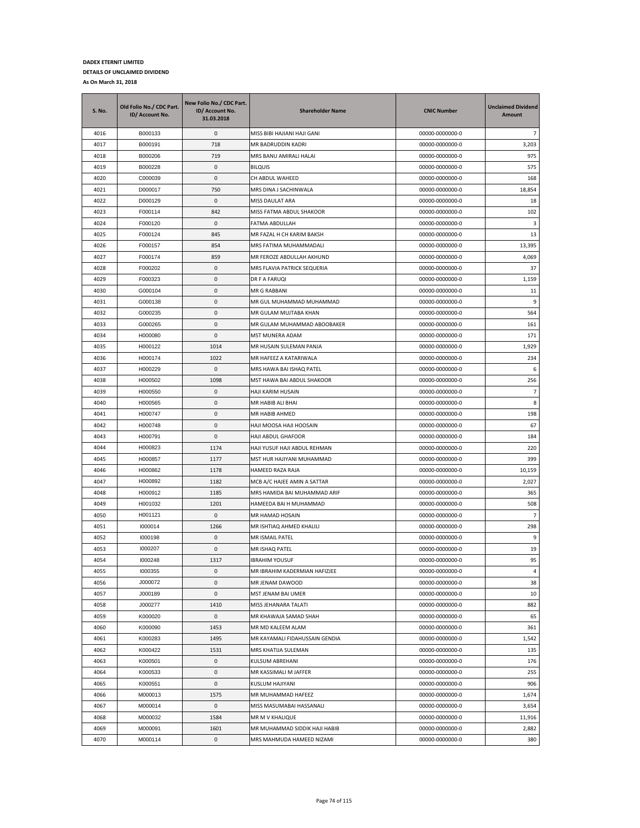| S. No.       | Old Folio No./ CDC Part.<br>ID/ Account No. | New Folio No./ CDC Part.<br>ID/ Account No.<br>31.03.2018 | <b>Shareholder Name</b>                          | <b>CNIC Number</b>                 | <b>Unclaimed Dividend</b><br>Amount |
|--------------|---------------------------------------------|-----------------------------------------------------------|--------------------------------------------------|------------------------------------|-------------------------------------|
| 4016         | B000133                                     | 0                                                         | MISS BIBI HAJIANI HAJI GANI                      | 00000-0000000-0                    | $\overline{7}$                      |
| 4017         | B000191                                     | 718                                                       | MR BADRUDDIN KADRI                               | 00000-0000000-0                    | 3,203                               |
| 4018         | B000206                                     | 719                                                       | MRS BANU AMIRALI HALAI                           | 00000-0000000-0                    | 975                                 |
| 4019         | B000228                                     | 0                                                         | <b>BILQUIS</b>                                   | 00000-0000000-0                    | 575                                 |
| 4020         | C000039                                     | 0                                                         | CH ABDUL WAHEED                                  | 00000-0000000-0                    | 168                                 |
| 4021         | D000017                                     | 750                                                       | MRS DINA J SACHINWALA                            | 00000-0000000-0                    | 18,854                              |
| 4022         | D000129                                     | 0                                                         | MISS DAULAT ARA                                  | 00000-0000000-0                    | 18                                  |
| 4023         | F000114                                     | 842                                                       | MISS FATMA ABDUL SHAKOOR                         | 00000-0000000-0                    | 102                                 |
| 4024         | F000120                                     | 0                                                         | FATMA ABDULLAH                                   | 00000-0000000-0                    | 3                                   |
| 4025         | F000124                                     | 845                                                       | MR FAZAL H CH KARIM BAKSH                        | 00000-0000000-0                    | 13                                  |
| 4026         | F000157                                     | 854                                                       | MRS FATIMA MUHAMMADALI                           | 00000-0000000-0                    | 13,395                              |
| 4027         | F000174                                     | 859                                                       | MR FEROZE ABDULLAH AKHUND                        | 00000-0000000-0                    | 4,069                               |
| 4028         | F000202                                     | 0                                                         | MRS FLAVIA PATRICK SEQUERIA                      | 00000-0000000-0                    | 37                                  |
| 4029         | F000323                                     | 0                                                         | DR F A FARUQI                                    | 00000-0000000-0                    | 1,159                               |
| 4030         | G000104                                     | 0                                                         | MR G RABBANI                                     | 00000-0000000-0                    | 11                                  |
| 4031         | G000138                                     | 0                                                         | MR GUL MUHAMMAD MUHAMMAD                         | 00000-0000000-0                    | 9                                   |
| 4032         | G000235                                     | 0                                                         | MR GULAM MUJTABA KHAN                            | 00000-0000000-0                    | 564                                 |
| 4033         | G000265                                     | 0                                                         | MR GULAM MUHAMMAD ABOOBAKER                      | 00000-0000000-0                    | 161                                 |
| 4034         | H000080                                     | 0                                                         | MST MUNERA ADAM                                  | 00000-0000000-0                    | 171                                 |
| 4035         | H000122                                     | 1014                                                      | MR HUSAIN SULEMAN PANJA                          | 00000-0000000-0                    | 1,929                               |
| 4036         | H000174                                     | 1022                                                      | MR HAFEEZ A KATARIWALA                           | 00000-0000000-0                    | 234                                 |
| 4037         | H000229                                     | 0                                                         | MRS HAWA BAI ISHAQ PATEL                         | 00000-0000000-0                    | 6                                   |
| 4038         | H000502                                     | 1098                                                      | MST HAWA BAI ABDUL SHAKOOR                       | 00000-0000000-0                    | 256                                 |
| 4039         | H000550                                     | 0                                                         | HAJI KARIM HUSAIN                                | 00000-0000000-0                    | $\overline{7}$                      |
| 4040         | H000565                                     | 0                                                         | MR HABIB ALI BHAI                                | 00000-0000000-0                    | 8                                   |
| 4041         | H000747                                     | 0                                                         | MR HABIB AHMED                                   | 00000-0000000-0                    | 198                                 |
| 4042         | H000748                                     | 0                                                         | HAJI MOOSA HAJI HOOSAIN                          | 00000-0000000-0                    | 67                                  |
| 4043         | H000791                                     | 0                                                         | HAJI ABDUL GHAFOOR                               | 00000-0000000-0                    | 184                                 |
| 4044         | H000823                                     | 1174                                                      | HAJI YUSUF HAJI ABDUL REHMAN                     | 00000-0000000-0                    | 220                                 |
| 4045         | H000857                                     | 1177                                                      | MST HUR HAJIYANI MUHAMMAD                        | 00000-0000000-0                    | 399                                 |
| 4046         | H000862                                     | 1178                                                      | HAMEED RAZA RAJA                                 | 00000-0000000-0                    | 10,159                              |
| 4047         | H000892                                     | 1182                                                      | MCB A/C HAJEE AMIN A SATTAR                      | 00000-0000000-0                    | 2,027                               |
| 4048         | H000912                                     | 1185                                                      | MRS HAMIDA BAI MUHAMMAD ARIF                     | 00000-0000000-0                    | 365                                 |
| 4049         | H001032                                     | 1201                                                      | HAMEEDA BAI H MUHAMMAD                           | 00000-0000000-0                    | 508                                 |
| 4050         | H001121                                     | 0                                                         | MR HAMAD HOSAIN                                  | 00000-0000000-0                    | $\overline{7}$                      |
| 4051         | 1000014                                     | 1266                                                      | MR ISHTIAQ AHMED KHALILI                         | 00000-0000000-0                    | 298                                 |
| 4052         | 1000198<br>1000207                          | 0                                                         | MR ISMAIL PATEL<br>MR ISHAQ PATEL                | 00000-0000000-0<br>00000-0000000-0 | 9                                   |
| 4053         |                                             | 0                                                         |                                                  |                                    | 19                                  |
| 4054         | 1000248<br>1000355                          | 1317                                                      | <b>IBRAHIM YOUSUF</b>                            | 00000-0000000-0                    | 95                                  |
| 4055<br>4056 | J000072                                     | 0<br>0                                                    | MR IBRAHIM KADERMIAN HAFIZJEE<br>MR JENAM DAWOOD | 00000-0000000-0<br>00000-0000000-0 | $\overline{a}$<br>38                |
| 4057         | J000189                                     | $\pmb{0}$                                                 | MST JENAM BAI UMER                               | 00000-0000000-0                    | 10                                  |
| 4058         | J000277                                     | 1410                                                      | MISS JEHANARA TALATI                             | 00000-0000000-0                    | 882                                 |
| 4059         | K000020                                     | 0                                                         | MR KHAWAJA SAMAD SHAH                            | 00000-0000000-0                    | 65                                  |
| 4060         | K000090                                     | 1453                                                      | MR MD KALEEM ALAM                                | 00000-0000000-0                    | 361                                 |
| 4061         | K000283                                     | 1495                                                      | MR KAYAMALI FIDAHUSSAIN GENDIA                   | 00000-0000000-0                    | 1,542                               |
| 4062         | K000422                                     | 1531                                                      | MRS KHATIJA SULEMAN                              | 00000-0000000-0                    | 135                                 |
| 4063         | K000501                                     | 0                                                         | KULSUM ABREHANI                                  | 00000-0000000-0                    | 176                                 |
| 4064         | K000533                                     | 0                                                         | MR KASSIMALI M JAFFER                            | 00000-0000000-0                    | 255                                 |
| 4065         | K000551                                     | 0                                                         | KUSLUM HAJIYANI                                  | 00000-0000000-0                    | 906                                 |
| 4066         | M000013                                     | 1575                                                      | MR MUHAMMAD HAFEEZ                               | 00000-0000000-0                    | 1,674                               |
| 4067         | M000014                                     | 0                                                         | MISS MASUMABAI HASSANALI                         | 00000-0000000-0                    | 3,654                               |
| 4068         | M000032                                     | 1584                                                      | MR M V KHALIQUE                                  | 00000-0000000-0                    | 11,916                              |
| 4069         | M000091                                     | 1601                                                      | MR MUHAMMAD SIDDIK HAJI HABIB                    | 00000-0000000-0                    | 2,882                               |
| 4070         | M000114                                     | 0                                                         | MRS MAHMUDA HAMEED NIZAMI                        | 00000-0000000-0                    | 380                                 |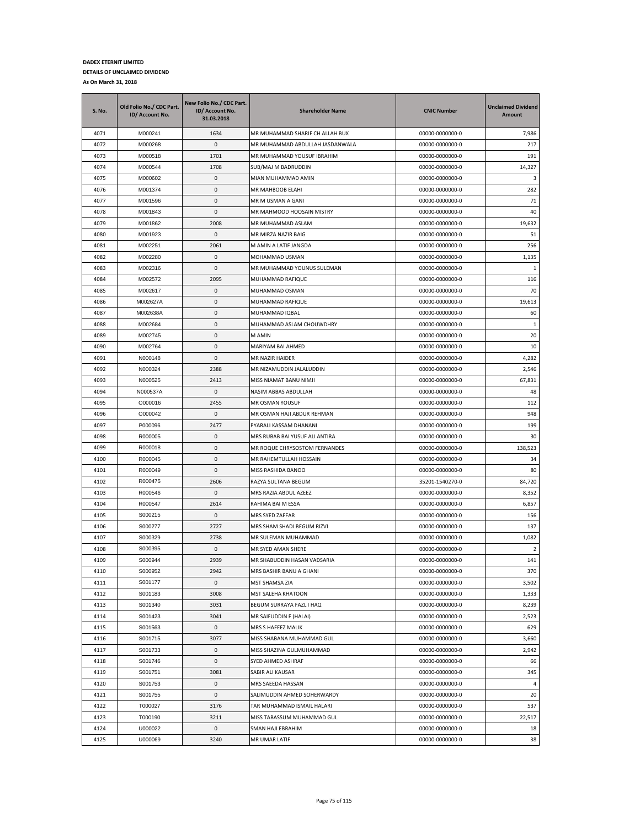| S. No. | Old Folio No./ CDC Part.<br>ID/ Account No. | New Folio No./ CDC Part.<br>ID/ Account No.<br>31.03.2018 | <b>Shareholder Name</b>         | <b>CNIC Number</b> | <b>Unclaimed Dividend</b><br>Amount |
|--------|---------------------------------------------|-----------------------------------------------------------|---------------------------------|--------------------|-------------------------------------|
| 4071   | M000241                                     | 1634                                                      | MR MUHAMMAD SHARIF CH ALLAH BUX | 00000-0000000-0    | 7,986                               |
| 4072   | M000268                                     | 0                                                         | MR MUHAMMAD ABDULLAH JASDANWALA | 00000-0000000-0    | 217                                 |
| 4073   | M000518                                     | 1701                                                      | MR MUHAMMAD YOUSUF IBRAHIM      | 00000-0000000-0    | 191                                 |
| 4074   | M000544                                     | 1708                                                      | SUB/MAJ M BADRUDDIN             | 00000-0000000-0    | 14,327                              |
| 4075   | M000602                                     | 0                                                         | MIAN MUHAMMAD AMIN              | 00000-0000000-0    | 3                                   |
| 4076   | M001374                                     | 0                                                         | MR MAHBOOB ELAHI                | 00000-0000000-0    | 282                                 |
| 4077   | M001596                                     | 0                                                         | MR M USMAN A GANI               | 00000-0000000-0    | 71                                  |
| 4078   | M001843                                     | 0                                                         | MR MAHMOOD HOOSAIN MISTRY       | 00000-0000000-0    | 40                                  |
| 4079   | M001862                                     | 2008                                                      | MR MUHAMMAD ASLAM               | 00000-0000000-0    | 19,632                              |
| 4080   | M001923                                     | 0                                                         | MR MIRZA NAZIR BAIG             | 00000-0000000-0    | 51                                  |
| 4081   | M002251                                     | 2061                                                      | M AMIN A LATIF JANGDA           | 00000-0000000-0    | 256                                 |
| 4082   | M002280                                     | 0                                                         | MOHAMMAD USMAN                  | 00000-0000000-0    | 1,135                               |
| 4083   | M002316                                     | 0                                                         | MR MUHAMMAD YOUNUS SULEMAN      | 00000-0000000-0    | 1                                   |
| 4084   | M002572                                     | 2095                                                      | MUHAMMAD RAFIQUE                | 00000-0000000-0    | 116                                 |
| 4085   | M002617                                     | 0                                                         | MUHAMMAD OSMAN                  | 00000-0000000-0    | 70                                  |
| 4086   | M002627A                                    | 0                                                         | MUHAMMAD RAFIQUE                | 00000-0000000-0    | 19,613                              |
| 4087   | M002638A                                    | 0                                                         | MUHAMMAD IQBAL                  | 00000-0000000-0    | 60                                  |
| 4088   | M002684                                     | 0                                                         | MUHAMMAD ASLAM CHOUWDHRY        | 00000-0000000-0    | -1                                  |
| 4089   | M002745                                     | 0                                                         | M AMIN                          | 00000-0000000-0    | 20                                  |
| 4090   | M002764                                     | 0                                                         | MARIYAM BAI AHMED               | 00000-0000000-0    | 10                                  |
| 4091   | N000148                                     | 0                                                         | MR NAZIR HAIDER                 | 00000-0000000-0    | 4,282                               |
| 4092   | N000324                                     | 2388                                                      | MR NIZAMUDDIN JALALUDDIN        | 00000-0000000-0    | 2,546                               |
| 4093   | N000525                                     | 2413                                                      | MISS NIAMAT BANU NIMJI          | 00000-0000000-0    | 67,831                              |
| 4094   | N000537A                                    | 0                                                         | NASIM ABBAS ABDULLAH            | 00000-0000000-0    | 48                                  |
| 4095   | O000016                                     | 2455                                                      | MR OSMAN YOUSUF                 | 00000-0000000-0    | 112                                 |
| 4096   | O000042                                     | 0                                                         | MR OSMAN HAJI ABDUR REHMAN      | 00000-0000000-0    | 948                                 |
| 4097   | P000096                                     | 2477                                                      | PYARALI KASSAM DHANANI          | 00000-0000000-0    | 199                                 |
| 4098   | R000005                                     | 0                                                         | MRS RUBAB BAI YUSUF ALI ANTIRA  | 00000-0000000-0    | 30                                  |
| 4099   | R000018                                     | 0                                                         | MR ROQUE CHRYSOSTOM FERNANDES   | 00000-0000000-0    | 138,523                             |
| 4100   | R000045                                     | 0                                                         | MR RAHEMTULLAH HOSSAIN          | 00000-0000000-0    | 34                                  |
| 4101   | R000049                                     | 0                                                         | MISS RASHIDA BANOO              | 00000-0000000-0    | 80                                  |
| 4102   | R000475                                     | 2606                                                      | RAZYA SULTANA BEGUM             | 35201-1540270-0    | 84,720                              |
| 4103   | R000546                                     | 0                                                         | MRS RAZIA ABDUL AZEEZ           | 00000-0000000-0    | 8,352                               |
| 4104   | R000547                                     | 2614                                                      | RAHIMA BAI M ESSA               | 00000-0000000-0    | 6,857                               |
| 4105   | S000215                                     | 0                                                         | MRS SYED ZAFFAR                 | 00000-0000000-0    | 156                                 |
| 4106   | S000277                                     | 2727                                                      | MRS SHAM SHADI BEGUM RIZVI      | 00000-0000000-0    | 137                                 |
| 4107   | S000329                                     | 2738                                                      | MR SULEMAN MUHAMMAD             | 00000-0000000-0    | 1,082                               |
| 4108   | S000395                                     | 0                                                         | MR SYED AMAN SHERE              | 00000-0000000-0    | 2                                   |
| 4109   | S000944                                     | 2939                                                      | MR SHABUDDIN HASAN VADSARIA     | 00000-0000000-0    | 141                                 |
| 4110   | S000952                                     | 2942                                                      | MRS BASHIR BANU A GHANI         | 00000-0000000-0    | 370                                 |
| 4111   | S001177                                     | 0                                                         | MST SHAMSA ZIA                  | 00000-0000000-0    | 3,502                               |
| 4112   | S001183                                     | 3008                                                      | MST SALEHA KHATOON              | 00000-0000000-0    | 1,333                               |
| 4113   | S001340                                     | 3031                                                      | BEGUM SURRAYA FAZL I HAQ        | 00000-0000000-0    | 8,239                               |
| 4114   | S001423                                     | 3041                                                      | MR SAIFUDDIN F (HALAI)          | 00000-0000000-0    | 2,523                               |
| 4115   | S001563                                     | 0                                                         | MRS S HAFEEZ MALIK              | 00000-0000000-0    | 629                                 |
| 4116   | S001715                                     | 3077                                                      | MISS SHABANA MUHAMMAD GUL       | 00000-0000000-0    | 3,660                               |
| 4117   | S001733                                     | 0                                                         | MISS SHAZINA GULMUHAMMAD        | 00000-0000000-0    | 2,942                               |
| 4118   | S001746                                     | 0                                                         | SYED AHMED ASHRAF               | 00000-0000000-0    | 66                                  |
| 4119   | S001751                                     | 3081                                                      | SABIR ALI KAUSAR                | 00000-0000000-0    | 345                                 |
| 4120   | S001753                                     | 0                                                         | MRS SAEEDA HASSAN               | 00000-0000000-0    | 4                                   |
| 4121   | S001755                                     | 0                                                         | SALIMUDDIN AHMED SOHERWARDY     | 00000-0000000-0    | 20                                  |
| 4122   | T000027                                     | 3176                                                      | TAR MUHAMMAD ISMAIL HALARI      | 00000-0000000-0    | 537                                 |
| 4123   | T000190                                     | 3211                                                      | MISS TABASSUM MUHAMMAD GUL      | 00000-0000000-0    | 22,517                              |
| 4124   | U000022                                     | 0                                                         | SMAN HAJI EBRAHIM               | 00000-0000000-0    | 18                                  |
| 4125   | U000069                                     | 3240                                                      | MR UMAR LATIF                   | 00000-0000000-0    | 38                                  |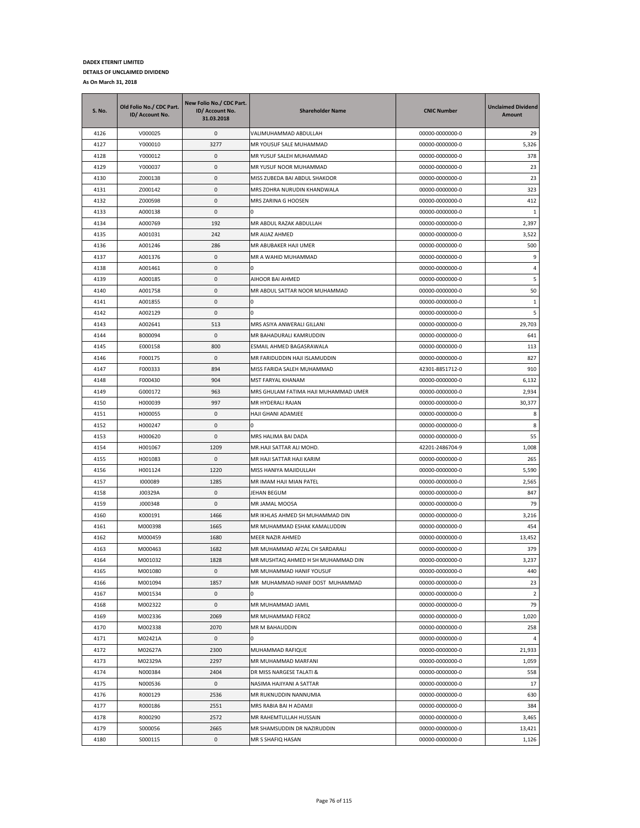| <b>S. No.</b> | Old Folio No./ CDC Part.<br>ID/ Account No. | New Folio No./ CDC Part.<br>ID/ Account No.<br>31.03.2018 | <b>Shareholder Name</b>              | <b>CNIC Number</b> | <b>Unclaimed Dividend</b><br>Amount |
|---------------|---------------------------------------------|-----------------------------------------------------------|--------------------------------------|--------------------|-------------------------------------|
| 4126          | V000025                                     | 0                                                         | VALIMUHAMMAD ABDULLAH                | 00000-0000000-0    | 29                                  |
| 4127          | Y000010                                     | 3277                                                      | MR YOUSUF SALE MUHAMMAD              | 00000-0000000-0    | 5,326                               |
| 4128          | Y000012                                     | 0                                                         | MR YUSUF SALEH MUHAMMAD              | 00000-0000000-0    | 378                                 |
| 4129          | Y000037                                     | 0                                                         | MR YUSUF NOOR MUHAMMAD               | 00000-0000000-0    | 23                                  |
| 4130          | Z000138                                     | 0                                                         | MISS ZUBEDA BAI ABDUL SHAKOOR        | 00000-0000000-0    | 23                                  |
| 4131          | Z000142                                     | 0                                                         | MRS ZOHRA NURUDIN KHANDWALA          | 00000-0000000-0    | 323                                 |
| 4132          | Z000598                                     | 0                                                         | MRS ZARINA G HOOSEN                  | 00000-0000000-0    | 412                                 |
| 4133          | A000138                                     | 0                                                         |                                      | 00000-0000000-0    | 1                                   |
| 4134          | A000769                                     | 192                                                       | MR ABDUL RAZAK ABDULLAH              | 00000-0000000-0    | 2,397                               |
| 4135          | A001031                                     | 242                                                       | MR AIJAZ AHMED                       | 00000-0000000-0    | 3,522                               |
| 4136          | A001246                                     | 286                                                       | MR ABUBAKER HAJI UMER                | 00000-0000000-0    | 500                                 |
| 4137          | A001376                                     | 0                                                         | MR A WAHID MUHAMMAD                  | 00000-0000000-0    | 9                                   |
| 4138          | A001461                                     | 0                                                         | ın                                   | 00000-0000000-0    | $\overline{4}$                      |
| 4139          | A000185                                     | 0                                                         | AIHOOR BAI AHMED                     | 00000-0000000-0    | 5                                   |
| 4140          | A001758                                     | 0                                                         | MR ABDUL SATTAR NOOR MUHAMMAD        | 00000-0000000-0    | 50                                  |
| 4141          | A001855                                     | 0                                                         | <sup>0</sup>                         | 00000-0000000-0    | $\mathbf{1}$                        |
| 4142          | A002129                                     | 0                                                         |                                      | 00000-0000000-0    | 5                                   |
| 4143          | A002641                                     | 513                                                       | MRS ASIYA ANWERALI GILLANI           | 00000-0000000-0    | 29,703                              |
| 4144          | B000094                                     | 0                                                         | MR BAHADURALI KAMRUDDIN              | 00000-0000000-0    | 641                                 |
| 4145          | E000158                                     | 800                                                       | ESMAIL AHMED BAGASRAWALA             | 00000-0000000-0    | 113                                 |
| 4146          | F000175                                     | 0                                                         | MR FARIDUDDIN HAJI ISLAMUDDIN        | 00000-0000000-0    | 827                                 |
| 4147          | F000333                                     | 894                                                       | MISS FARIDA SALEH MUHAMMAD           | 42301-8851712-0    | 910                                 |
| 4148          | F000430                                     | 904                                                       | MST FARYAL KHANAM                    | 00000-0000000-0    | 6,132                               |
| 4149          | G000172                                     | 963                                                       | MRS GHULAM FATIMA HAJI MUHAMMAD UMER | 00000-0000000-0    | 2,934                               |
| 4150          | H000039                                     | 997                                                       | MR HYDERALI RAJAN                    | 00000-0000000-0    | 30,377                              |
| 4151          | H000055                                     | 0                                                         | HAJI GHANI ADAMJEE                   | 00000-0000000-0    | 8                                   |
| 4152          | H000247                                     | 0                                                         |                                      | 00000-0000000-0    | 8                                   |
| 4153          | H000620                                     | $\mathsf 0$                                               | MRS HALIMA BAI DADA                  | 00000-0000000-0    | 55                                  |
| 4154          | H001067                                     | 1209                                                      | MR.HAJI SATTAR ALI MOHD.             | 42201-2486704-9    | 1,008                               |
| 4155          | H001083                                     | 0                                                         | MR HAJI SATTAR HAJI KARIM            | 00000-0000000-0    | 265                                 |
| 4156          | H001124                                     | 1220                                                      | MISS HANIYA MAJIDULLAH               | 00000-0000000-0    | 5,590                               |
| 4157          | 1000089                                     | 1285                                                      | MR IMAM HAJI MIAN PATEL              | 00000-0000000-0    | 2,565                               |
| 4158          | J00329A                                     | 0                                                         | JEHAN BEGUM                          | 00000-0000000-0    | 847                                 |
| 4159          | J000348                                     | 0                                                         | MR JAMAL MOOSA                       | 00000-0000000-0    | 79                                  |
| 4160          | K000191                                     | 1466                                                      | MR IKHLAS AHMED SH MUHAMMAD DIN      | 00000-0000000-0    | 3,216                               |
| 4161          | M000398                                     | 1665                                                      | MR MUHAMMAD ESHAK KAMALUDDIN         | 00000-0000000-0    | 454                                 |
| 4162          | M000459                                     | 1680                                                      | MEER NAZIR AHMED                     | 00000-0000000-0    | 13,452                              |
| 4163          | M000463                                     | 1682                                                      | MR MUHAMMAD AFZAL CH SARDARALI       | 00000-0000000-0    | 379                                 |
| 4164          | M001032                                     | 1828                                                      | MR MUSHTAQ AHMED H SH MUHAMMAD DIN   | 00000-0000000-0    | 3,237                               |
| 4165          | M001080                                     | 0                                                         | MR MUHAMMAD HANIF YOUSUF             | 00000-0000000-0    | 440                                 |
| 4166          | M001094                                     | 1857                                                      | MR MUHAMMAD HANIF DOST MUHAMMAD      | 00000-0000000-0    | 23                                  |
| 4167          | M001534                                     | $\mathsf{O}\xspace$                                       | 0                                    | 00000-0000000-0    | $\overline{2}$                      |
| 4168          | M002322                                     | 0                                                         | MR MUHAMMAD JAMIL                    | 00000-0000000-0    | 79                                  |
| 4169          | M002336                                     | 2069                                                      | MR MUHAMMAD FEROZ                    | 00000-0000000-0    | 1,020                               |
| 4170          | M002338                                     | 2070                                                      | MR M BAHAUDDIN                       | 00000-0000000-0    | 258                                 |
| 4171          | M02421A                                     | 0                                                         |                                      | 00000-0000000-0    | 4                                   |
| 4172          | M02627A                                     | 2300                                                      | MUHAMMAD RAFIQUE                     | 00000-0000000-0    | 21,933                              |
| 4173          | M02329A                                     | 2297                                                      | MR MUHAMMAD MARFANI                  | 00000-0000000-0    | 1,059                               |
| 4174          | N000384                                     | 2404                                                      | DR MISS NARGESE TALATI &             | 00000-0000000-0    | 558                                 |
| 4175          | N000536                                     | $\mathbf 0$                                               | NASIMA HAJIYANI A SATTAR             | 00000-0000000-0    | 17                                  |
| 4176          | R000129                                     | 2536                                                      | MR RUKNUDDIN NANNUMIA                | 00000-0000000-0    | 630                                 |
| 4177          | R000186                                     | 2551                                                      | MRS RABIA BAI H ADAMJI               | 00000-0000000-0    | 384                                 |
| 4178          | R000290                                     | 2572                                                      | MR RAHEMTULLAH HUSSAIN               | 00000-0000000-0    | 3,465                               |
| 4179          | S000056                                     | 2665                                                      | MR SHAMSUDDIN DR NAZIRUDDIN          | 00000-0000000-0    | 13,421                              |
| 4180          | S000115                                     | 0                                                         | MR S SHAFIQ HASAN                    | 00000-0000000-0    | 1,126                               |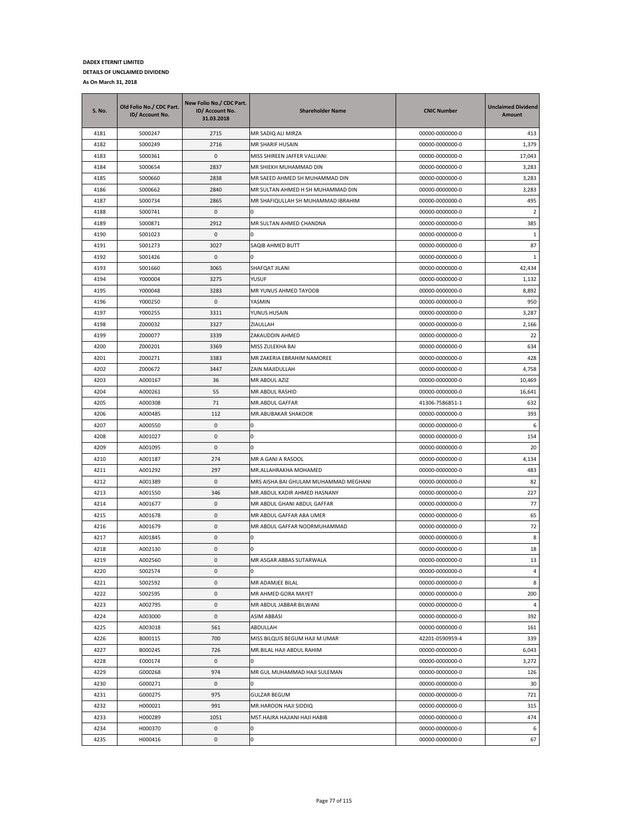| <b>S. No.</b> | Old Folio No./ CDC Part.<br>ID/ Account No. | New Folio No./ CDC Part.<br>ID/ Account No.<br>31.03.2018 | <b>Shareholder Name</b>                        | <b>CNIC Number</b>                 | <b>Unclaimed Dividend</b><br>Amount |
|---------------|---------------------------------------------|-----------------------------------------------------------|------------------------------------------------|------------------------------------|-------------------------------------|
| 4181          | S000247                                     | 2715                                                      | MR SADIQ ALI MIRZA                             | 00000-0000000-0                    | 413                                 |
| 4182          | S000249                                     | 2716                                                      | <b>MR SHARIF HUSAIN</b>                        | 00000-0000000-0                    | 1,379                               |
| 4183          | S000361                                     | $\mathbf{0}$                                              | MISS SHIREEN JAFFER VALLIANI                   | 00000-0000000-0                    | 17,043                              |
| 4184          | S000654                                     | 2837                                                      | MR SHIEKH MUHAMMAD DIN                         | 00000-0000000-0                    | 3,283                               |
| 4185          | S000660                                     | 2838                                                      | MR SAEED AHMED SH MUHAMMAD DIN                 | 00000-0000000-0                    | 3,283                               |
| 4186          | S000662                                     | 2840                                                      | MR SULTAN AHMED H SH MUHAMMAD DIN              | 00000-0000000-0                    | 3,283                               |
| 4187          | S000734                                     | 2865                                                      | MR SHAFIQULLAH SH MUHAMMAD IBRAHIM             | 00000-0000000-0                    | 495                                 |
| 4188          | S000741                                     | 0                                                         |                                                | 00000-0000000-0                    | $\overline{2}$                      |
| 4189          | S000871                                     | 2912                                                      | MR SULTAN AHMED CHANDNA                        | 00000-0000000-0                    | 385                                 |
| 4190          | S001023                                     | 0                                                         | n                                              | 00000-0000000-0                    | 1                                   |
| 4191          | S001273                                     | 3027                                                      | SAQIB AHMED BUTT                               | 00000-0000000-0                    | 87                                  |
| 4192          | S001426                                     | 0                                                         | n                                              | 00000-0000000-0                    | 1                                   |
| 4193          | S001660                                     | 3065                                                      | SHAFQAT JILANI                                 | 00000-0000000-0                    | 42,434                              |
| 4194          | Y000004                                     | 3275                                                      | YUSUF                                          | 00000-0000000-0                    | 1,132                               |
| 4195          | Y000048                                     | 3283                                                      | MR YUNUS AHMED TAYOOB                          | 00000-0000000-0                    | 8,892                               |
| 4196          | Y000250                                     | 0                                                         | YASMIN                                         | 00000-0000000-0                    | 950                                 |
| 4197          | Y000255                                     | 3311                                                      | YUNUS HUSAIN                                   | 00000-0000000-0                    | 3,287                               |
| 4198          | Z000032                                     | 3327                                                      | ZIAULLAH                                       | 00000-0000000-0                    | 2,166                               |
| 4199          | Z000077                                     | 3339                                                      | ZAKAUDDIN AHMED                                | 00000-0000000-0                    | 22                                  |
| 4200          | Z000201                                     | 3369                                                      | MISS ZULEKHA BAI                               | 00000-0000000-0                    | 634                                 |
| 4201          | Z000271                                     | 3383                                                      | MR ZAKERIA EBRAHIM NAMOREE                     | 00000-0000000-0                    | 428                                 |
| 4202          | Z000672                                     | 3447                                                      | ZAIN MAJIDULLAH                                | 00000-0000000-0                    | 4,758                               |
| 4203          | A000167                                     | 36                                                        | MR ABDUL AZIZ                                  | 00000-0000000-0                    | 10,469                              |
| 4204          | A000261                                     | 55                                                        | MR ABDUL RASHID                                | 00000-0000000-0                    | 16,641                              |
| 4205          | A000308                                     | 71                                                        | MR.ABDUL GAFFAR                                | 41306-7586851-1                    | 632                                 |
| 4206          | A000485                                     | 112                                                       | MR.ABUBAKAR SHAKOOR                            | 00000-0000000-0                    | 393                                 |
| 4207          | A000550                                     | 0                                                         |                                                | 00000-0000000-0                    | 6                                   |
| 4208          | A001027                                     | 0                                                         | 0                                              | 00000-0000000-0                    | 154                                 |
| 4209          | A001095                                     | 0                                                         | n                                              | 00000-0000000-0                    | 20                                  |
| 4210          | A001187                                     | 274                                                       | MR A GANI A RASOOL                             | 00000-0000000-0                    | 4,134                               |
| 4211          | A001292                                     | 297                                                       | MR.ALLAHRAKHA MOHAMED                          | 00000-0000000-0                    | 483                                 |
| 4212          | A001389                                     | 0                                                         | MRS AISHA BAI GHULAM MUHAMMAD MEGHANI          | 00000-0000000-0                    | 82                                  |
| 4213          | A001550                                     | 346                                                       | MR.ABDUL KADIR AHMED HASNANY                   | 00000-0000000-0                    | 227                                 |
| 4214          | A001677                                     | 0                                                         | MR ABDUL GHANI ABDUL GAFFAR                    | 00000-0000000-0                    | 77                                  |
| 4215          | A001678                                     | 0                                                         | MR ABDUL GAFFAR ABA UMER                       | 00000-0000000-0                    | 65                                  |
| 4216          | A001679                                     | 0                                                         | MR ABDUL GAFFAR NOORMUHAMMAD                   | 00000-0000000-0                    | 72                                  |
| 4217          | A001845                                     | 0                                                         |                                                | 00000-0000000-0                    | 8                                   |
| 4218          | A002130                                     | 0                                                         | I٥                                             | 00000-0000000-0                    | 18                                  |
| 4219          | A002560                                     | $\mathbf 0$                                               | MR ASGAR ABBAS SUTARWALA                       | 00000-0000000-0                    | 13                                  |
| 4220          | S002574                                     | 0                                                         | 0                                              | 00000-0000000-0                    | $\overline{4}$                      |
| 4221          | S002592                                     | 0                                                         | MR ADAMJEE BILAL                               | 00000-0000000-0                    | 8                                   |
| 4222          | S002595                                     | $\pmb{0}$                                                 | MR AHMED GORA MAYET<br>MR ABDUL JABBAR BILWANI | 00000-0000000-0                    | 200                                 |
| 4223          | A002795<br>A003000                          | 0<br>0                                                    |                                                | 00000-0000000-0                    | 4                                   |
| 4224<br>4225  | A003018                                     | 561                                                       | ASIM ABBASI                                    | 00000-0000000-0<br>00000-0000000-0 | 392<br>161                          |
| 4226          | B000115                                     | 700                                                       | ABDULLAH<br>MISS BILQUIS BEGUM HAJI M UMAR     | 42201-0590959-4                    | 339                                 |
| 4227          | B000245                                     | 726                                                       | MR.BILAL HAJI ABDUL RAHIM                      | 00000-0000000-0                    | 6,043                               |
| 4228          | E000174                                     | 0                                                         | <sup>0</sup>                                   | 00000-0000000-0                    | 3,272                               |
| 4229          | G000268                                     | 974                                                       | MR GUL MUHAMMAD HAJI SULEMAN                   | 00000-0000000-0                    | 126                                 |
| 4230          | G000271                                     | 0                                                         | <sup>0</sup>                                   | 00000-0000000-0                    | 30                                  |
| 4231          | G000275                                     | 975                                                       | <b>GULZAR BEGUM</b>                            | 00000-0000000-0                    | 721                                 |
| 4232          | H000021                                     | 991                                                       | MR.HAROON HAJI SIDDIQ                          | 00000-0000000-0                    | 315                                 |
| 4233          | H000289                                     | 1051                                                      | MST.HAJRA HAJIANI HAJI HABIB                   | 00000-0000000-0                    | 474                                 |
| 4234          | H000370                                     | 0                                                         | 0                                              | 00000-0000000-0                    | 6                                   |
| 4235          | H000416                                     | 0                                                         | 0                                              | 00000-0000000-0                    | 67                                  |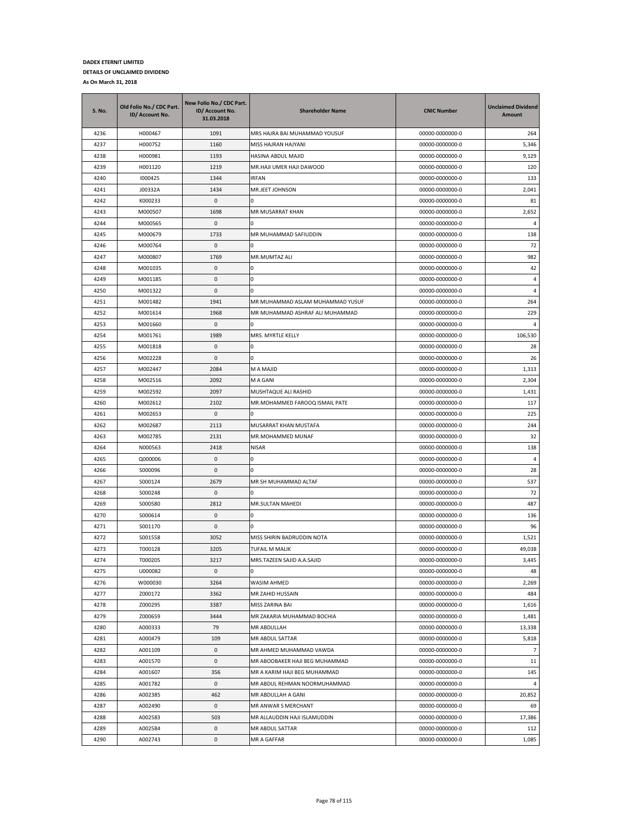| <b>S. No.</b> | Old Folio No./ CDC Part.<br>ID/ Account No. | New Folio No./ CDC Part.<br>ID/ Account No.<br>31.03.2018 | <b>Shareholder Name</b>          | <b>CNIC Number</b> | <b>Unclaimed Dividend</b><br>Amount |
|---------------|---------------------------------------------|-----------------------------------------------------------|----------------------------------|--------------------|-------------------------------------|
| 4236          | H000467                                     | 1091                                                      | MRS HAJRA BAI MUHAMMAD YOUSUF    | 00000-0000000-0    | 264                                 |
| 4237          | H000752                                     | 1160                                                      | MISS HAJRAN HAJYANI              | 00000-0000000-0    | 5,346                               |
| 4238          | H000981                                     | 1193                                                      | HASINA ABDUL MAJID               | 00000-0000000-0    | 9,129                               |
| 4239          | H001120                                     | 1219                                                      | MR.HAJI UMER HAJI DAWOOD         | 00000-0000000-0    | 120                                 |
| 4240          | 1000425                                     | 1344                                                      | <b>IRFAN</b>                     | 00000-0000000-0    | 133                                 |
| 4241          | J00332A                                     | 1434                                                      | MR.JEET JOHNSON                  | 00000-0000000-0    | 2,041                               |
| 4242          | K000233                                     | 0                                                         | Ω                                | 00000-0000000-0    | 81                                  |
| 4243          | M000507                                     | 1698                                                      | MR MUSARRAT KHAN                 | 00000-0000000-0    | 2,652                               |
| 4244          | M000565                                     | 0                                                         | 0                                | 00000-0000000-0    | 4                                   |
| 4245          | M000679                                     | 1733                                                      | MR MUHAMMAD SAFIUDDIN            | 00000-0000000-0    | 138                                 |
| 4246          | M000764                                     | 0                                                         | 0                                | 00000-0000000-0    | 72                                  |
| 4247          | M000807                                     | 1769                                                      | MR.MUMTAZ ALI                    | 00000-0000000-0    | 982                                 |
| 4248          | M001035                                     | 0                                                         | 0                                | 00000-0000000-0    | 42                                  |
| 4249          | M001185                                     | 0                                                         | 0                                | 00000-0000000-0    | 4                                   |
| 4250          | M001322                                     | 0                                                         | 0                                | 00000-0000000-0    | 4                                   |
| 4251          | M001482                                     | 1941                                                      | MR MUHAMMAD ASLAM MUHAMMAD YUSUF | 00000-0000000-0    | 264                                 |
| 4252          | M001614                                     | 1968                                                      | MR MUHAMMAD ASHRAF ALI MUHAMMAD  | 00000-0000000-0    | 229                                 |
| 4253          | M001660                                     | 0                                                         | ŋ                                | 00000-0000000-0    | 4                                   |
| 4254          | M001761                                     | 1989                                                      | MRS. MYRTLE KELLY                | 00000-0000000-0    | 106,530                             |
| 4255          | M001818                                     | 0                                                         |                                  | 00000-0000000-0    | 28                                  |
| 4256          | M002228                                     | 0                                                         | 0                                | 00000-0000000-0    | 26                                  |
| 4257          | M002447                                     | 2084                                                      | M A MAJID                        | 00000-0000000-0    | 1,313                               |
| 4258          | M002516                                     | 2092                                                      | M A GANI                         | 00000-0000000-0    | 2,304                               |
| 4259          | M002592                                     | 2097                                                      | MUSHTAQUE ALI RASHID             | 00000-0000000-0    | 1,431                               |
| 4260          | M002612                                     | 2102                                                      | MR.MOHAMMED FAROOQ ISMAIL PATE   | 00000-0000000-0    | 117                                 |
| 4261          | M002653                                     | 0                                                         | o                                | 00000-0000000-0    | 225                                 |
| 4262          | M002687                                     | 2113                                                      | MUSARRAT KHAN MUSTAFA            | 00000-0000000-0    | 244                                 |
| 4263          | M002785                                     | 2131                                                      | MR.MOHAMMED MUNAF                | 00000-0000000-0    | 32                                  |
| 4264          | N000563                                     | 2418                                                      | <b>NISAR</b>                     | 00000-0000000-0    | 138                                 |
| 4265          | Q000006                                     | 0                                                         | 0                                | 00000-0000000-0    | $\overline{4}$                      |
| 4266          | S000096                                     | 0                                                         | 0                                | 00000-0000000-0    | 28                                  |
| 4267          | S000124                                     | 2679                                                      | MR SH MUHAMMAD ALTAF             | 00000-0000000-0    | 537                                 |
| 4268          | S000248                                     | 0                                                         | 0                                | 00000-0000000-0    | 72                                  |
| 4269          | S000580                                     | 2812                                                      | MR.SULTAN MAHEDI                 | 00000-0000000-0    | 487                                 |
| 4270          | S000614                                     | 0                                                         | 0                                | 00000-0000000-0    | 136                                 |
| 4271          | S001170                                     | 0                                                         | 0                                | 00000-0000000-0    | 96                                  |
| 4272          | S001558                                     | 3052                                                      | MISS SHIRIN BADRUDDIN NOTA       | 00000-0000000-0    | 1,521                               |
| 4273          | T000128                                     | 3205                                                      | TUFAIL M MALIK                   | 00000-0000000-0    | 49,038                              |
| 4274          | T000205                                     | 3217                                                      | MRS.TAZEEN SAJID A.A.SAJID       | 00000-0000000-0    | 3,445                               |
| 4275          | U000082                                     | 0                                                         | 0                                | 00000-0000000-0    | 48                                  |
| 4276          | W000030                                     | 3264                                                      | WASIM AHMED                      | 00000-0000000-0    | 2,269                               |
| 4277          | Z000172                                     | 3362                                                      | MR ZAHID HUSSAIN                 | 00000-0000000-0    | 484                                 |
| 4278          | Z000295                                     | 3387                                                      | MISS ZARINA BAI                  | 00000-0000000-0    | 1,616                               |
| 4279          | Z000659                                     | 3444                                                      | MR ZAKARIA MUHAMMAD BOCHIA       | 00000-0000000-0    | 1,481                               |
| 4280          | A000333                                     | 79                                                        | MR ABDULLAH                      | 00000-0000000-0    | 13,338                              |
| 4281          | A000479                                     | 109                                                       | MR ABDUL SATTAR                  | 00000-0000000-0    | 5,818                               |
| 4282          | A001109                                     | 0                                                         | MR AHMED MUHAMMAD VAWDA          | 00000-0000000-0    | $\overline{7}$                      |
| 4283          | A001570                                     | 0                                                         | MR ABOOBAKER HAJI BEG MUHAMMAD   | 00000-0000000-0    | 11                                  |
| 4284          | A001607                                     | 356                                                       | MR A KARIM HAJI BEG MUHAMMAD     | 00000-0000000-0    | 145                                 |
| 4285          | A001782                                     | 0                                                         | MR ABDUL REHMAN NOORMUHAMMAD     | 00000-0000000-0    | $\overline{4}$                      |
| 4286          | A002385                                     | 462                                                       | MR ABDULLAH A GANI               | 00000-0000000-0    | 20,852                              |
| 4287          | A002490                                     | 0                                                         | MR ANWAR S MERCHANT              | 00000-0000000-0    | 69                                  |
| 4288          | A002583                                     | 503                                                       | MR ALLAUDDIN HAJI ISLAMUDDIN     | 00000-0000000-0    | 17,386                              |
| 4289          | A002584                                     | 0                                                         | MR ABDUL SATTAR                  | 00000-0000000-0    | 112                                 |
| 4290          | A002743                                     | 0                                                         | MR A GAFFAR                      | 00000-0000000-0    | 1,085                               |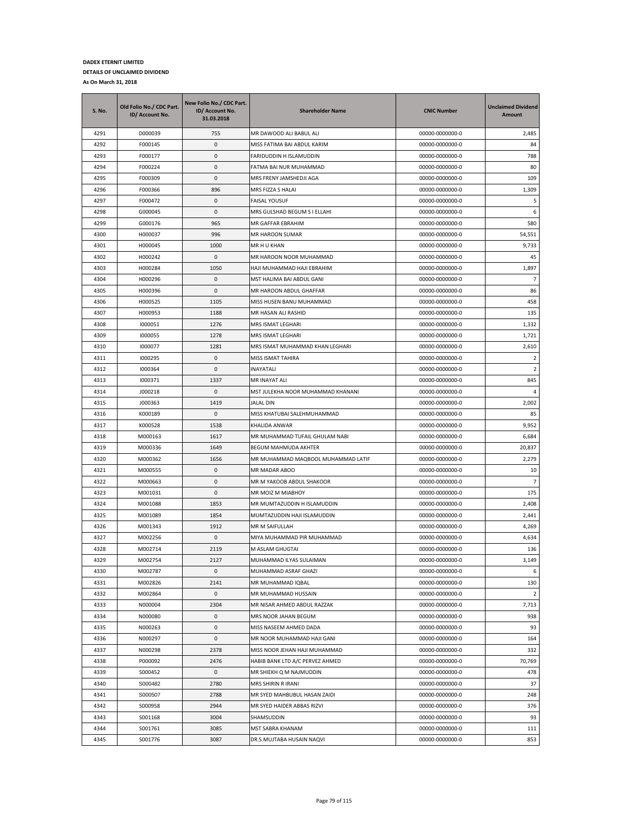| S. No. | Old Folio No./ CDC Part.<br>ID/ Account No. | New Folio No./ CDC Part.<br>ID/ Account No.<br>31.03.2018 | <b>Shareholder Name</b>            | <b>CNIC Number</b> | <b>Unclaimed Dividend</b><br>Amount |
|--------|---------------------------------------------|-----------------------------------------------------------|------------------------------------|--------------------|-------------------------------------|
| 4291   | D000039                                     | 755                                                       | MR DAWOOD ALI BABUL ALI            | 00000-0000000-0    | 2,485                               |
| 4292   | F000145                                     | 0                                                         | MISS FATIMA BAI ABDUL KARIM        | 00000-0000000-0    | 84                                  |
| 4293   | F000177                                     | $\mathbf 0$                                               | FARIDUDDIN H ISLAMUDDIN            | 00000-0000000-0    | 788                                 |
| 4294   | F000224                                     | 0                                                         | FATMA BAI NUR MUHAMMAD             | 00000-0000000-0    | 80                                  |
| 4295   | F000309                                     | 0                                                         | MRS FRENY JAMSHEDJI AGA            | 00000-0000000-0    | 109                                 |
| 4296   | F000366                                     | 896                                                       | MRS FIZZA S HALAI                  | 00000-0000000-0    | 1,309                               |
| 4297   | F000472                                     | 0                                                         | FAISAL YOUSUF                      | 00000-0000000-0    | 5                                   |
| 4298   | G000045                                     | 0                                                         | MRS GULSHAD BEGUM S I ELLAHI       | 00000-0000000-0    | 6                                   |
| 4299   | G000176                                     | 965                                                       | MR GAFFAR EBRAHIM                  | 00000-0000000-0    | 580                                 |
| 4300   | H000037                                     | 996                                                       | <b>MR HAROON SUMAR</b>             | 00000-0000000-0    | 54,551                              |
| 4301   | H000045                                     | 1000                                                      | MR H U KHAN                        | 00000-0000000-0    | 9,733                               |
| 4302   | H000242                                     | 0                                                         | MR HAROON NOOR MUHAMMAD            | 00000-0000000-0    | 45                                  |
| 4303   | H000284                                     | 1050                                                      | HAJI MUHAMMAD HAJI EBRAHIM         | 00000-0000000-0    | 1,897                               |
| 4304   | H000296                                     | 0                                                         | MST HALIMA BAI ABDUL GANI          | 00000-0000000-0    | $\overline{7}$                      |
| 4305   | H000396                                     | 0                                                         | MR HAROON ABDUL GHAFFAR            | 00000-0000000-0    | 86                                  |
| 4306   | H000525                                     | 1105                                                      | MISS HUSEN BANU MUHAMMAD           | 00000-0000000-0    | 458                                 |
| 4307   | H000953                                     | 1188                                                      | MR HASAN ALI RASHID                | 00000-0000000-0    | 135                                 |
| 4308   | 1000051                                     | 1276                                                      | MRS ISMAT LEGHARI                  | 00000-0000000-0    | 1,332                               |
| 4309   | 1000055                                     | 1278                                                      | MRS ISMAT LEGHARI                  | 00000-0000000-0    | 1,721                               |
| 4310   | 1000077                                     | 1281                                                      | MRS ISMAT MUHAMMAD KHAN LEGHARI    | 00000-0000000-0    | 2,610                               |
| 4311   | 1000295                                     | 0                                                         | MISS ISMAT TAHIRA                  | 00000-0000000-0    | $\overline{2}$                      |
| 4312   | 1000364                                     | $\mathbf 0$                                               | <b>INAYATALI</b>                   | 00000-0000000-0    | $\overline{2}$                      |
| 4313   | 1000371                                     | 1337                                                      | MR INAYAT ALI                      | 00000-0000000-0    | 845                                 |
| 4314   | J000218                                     | 0                                                         | MST JULEKHA NOOR MUHAMMAD KHANANI  | 00000-0000000-0    | 4                                   |
| 4315   | J000363                                     | 1419                                                      | JALAL DIN                          | 00000-0000000-0    | 2,002                               |
| 4316   | K000189                                     | 0                                                         | MISS KHATUBAI SALEHMUHAMMAD        | 00000-0000000-0    | 85                                  |
| 4317   | K000528                                     | 1538                                                      | KHALIDA ANWAR                      | 00000-0000000-0    | 9,952                               |
| 4318   | M000163                                     | 1617                                                      | MR MUHAMMAD TUFAIL GHULAM NABI     | 00000-0000000-0    | 6,684                               |
| 4319   | M000336                                     | 1649                                                      | BEGUM MAHMUDA AKHTER               | 00000-0000000-0    | 20,837                              |
| 4320   | M000362                                     | 1656                                                      | MR MUHAMMAD MAQBOOL MUHAMMAD LATIF | 00000-0000000-0    | 2,279                               |
| 4321   | M000555                                     | 0                                                         | MR MADAR ABOO                      | 00000-0000000-0    | 10                                  |
| 4322   | M000663                                     | 0                                                         | MR M YAKOOB ABDUL SHAKOOR          | 00000-0000000-0    | $\overline{7}$                      |
| 4323   | M001031                                     | 0                                                         | MR MOIZ M MIABHOY                  | 00000-0000000-0    | 175                                 |
| 4324   | M001088                                     | 1853                                                      | MR MUMTAZUDDIN H ISLAMUDDIN        | 00000-0000000-0    | 2,408                               |
| 4325   | M001089                                     | 1854                                                      | MUMTAZUDDIN HAJI ISLAMUDDIN        | 00000-0000000-0    | 2,441                               |
| 4326   | M001343                                     | 1912                                                      | MR M SAIFULLAH                     | 00000-0000000-0    | 4,269                               |
| 4327   | M002256                                     | 0                                                         | MIYA MUHAMMAD PIR MUHAMMAD         | 00000-0000000-0    | 4,634                               |
| 4328   | M002714                                     | 2119                                                      | M ASLAM GHUGTAI                    | 00000-0000000-0    | 136                                 |
| 4329   | M002754                                     | 2127                                                      | MUHAMMAD ILYAS SULAIMAN            | 00000-0000000-0    | 3,149                               |
| 4330   | M002787                                     | 0                                                         | MUHAMMAD ASRAF GHAZI               | 00000-0000000-0    | 6                                   |
| 4331   | M002826                                     | 2141                                                      | MR MUHAMMAD IQBAL                  | 00000-0000000-0    | 130                                 |
| 4332   | M002864                                     | $\pmb{0}$                                                 | MR MUHAMMAD HUSSAIN                | 00000-0000000-0    | $\overline{2}$                      |
| 4333   | N000004                                     | 2304                                                      | MR NISAR AHMED ABDUL RAZZAK        | 00000-0000000-0    | 7,713                               |
| 4334   | N000080                                     | 0                                                         | MRS NOOR JAHAN BEGUM               | 00000-0000000-0    | 938                                 |
| 4335   | N000263                                     | 0                                                         | MISS NASEEM AHMED DADA             | 00000-0000000-0    | 93                                  |
| 4336   | N000297                                     | 0                                                         | MR NOOR MUHAMMAD HAJI GANI         | 00000-0000000-0    | 164                                 |
| 4337   | N000298                                     | 2378                                                      | MISS NOOR JEHAN HAJI MUHAMMAD      | 00000-0000000-0    | 332                                 |
| 4338   | P000092                                     | 2476                                                      | HABIB BANK LTD A/C PERVEZ AHMED    | 00000-0000000-0    | 70,769                              |
| 4339   | S000452                                     | 0                                                         | MR SHIEKH Q M NAJMUDDIN            | 00000-0000000-0    | 478                                 |
| 4340   | S000482                                     | 2780                                                      | MRS SHIRIN R IRANI                 | 00000-0000000-0    | 37                                  |
| 4341   | S000507                                     | 2788                                                      | MR SYED MAHBUBUL HASAN ZAIDI       | 00000-0000000-0    | 248                                 |
| 4342   | S000958                                     | 2944                                                      | MR SYED HAIDER ABBAS RIZVI         | 00000-0000000-0    | 376                                 |
| 4343   | S001168                                     | 3004                                                      | SHAMSUDDIN                         | 00000-0000000-0    | 93                                  |
| 4344   | S001761                                     | 3085                                                      | MST SABRA KHANAM                   | 00000-0000000-0    | 111                                 |
| 4345   | S001776                                     | 3087                                                      | DR.S.MUJTABA HUSAIN NAQVI          | 00000-0000000-0    | 853                                 |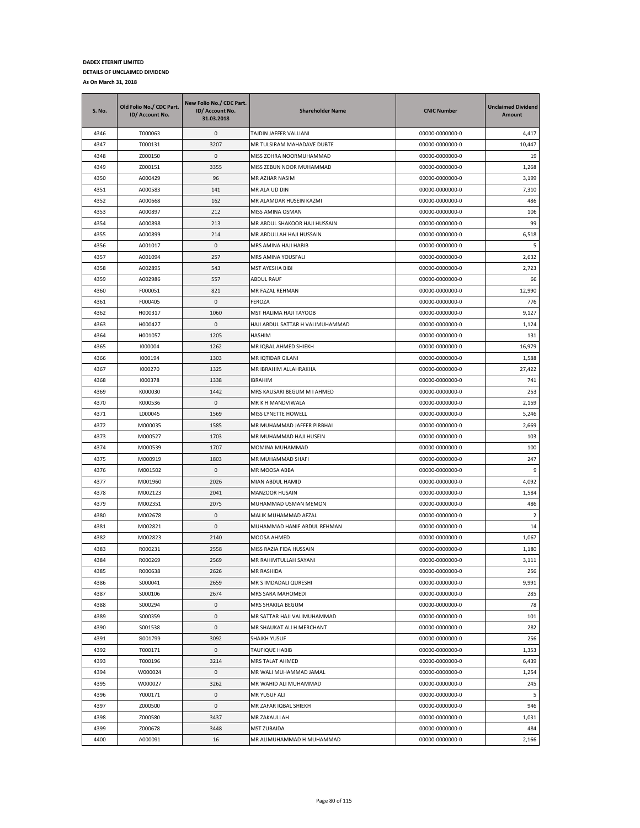| S. No. | Old Folio No./ CDC Part.<br>ID/ Account No. | New Folio No./ CDC Part.<br>ID/ Account No.<br>31.03.2018 | <b>Shareholder Name</b>          | <b>CNIC Number</b> | <b>Unclaimed Dividend</b><br>Amount |
|--------|---------------------------------------------|-----------------------------------------------------------|----------------------------------|--------------------|-------------------------------------|
| 4346   | T000063                                     | 0                                                         | TAJDIN JAFFER VALLIANI           | 00000-0000000-0    | 4,417                               |
| 4347   | T000131                                     | 3207                                                      | MR TULSIRAM MAHADAVE DUBTE       | 00000-0000000-0    | 10,447                              |
| 4348   | Z000150                                     | 0                                                         | MISS ZOHRA NOORMUHAMMAD          | 00000-0000000-0    | 19                                  |
| 4349   | Z000151                                     | 3355                                                      | MISS ZEBUN NOOR MUHAMMAD         | 00000-0000000-0    | 1,268                               |
| 4350   | A000429                                     | 96                                                        | MR AZHAR NASIM                   | 00000-0000000-0    | 3,199                               |
| 4351   | A000583                                     | 141                                                       | MR ALA UD DIN                    | 00000-0000000-0    | 7,310                               |
| 4352   | A000668                                     | 162                                                       | MR ALAMDAR HUSEIN KAZMI          | 00000-0000000-0    | 486                                 |
| 4353   | A000897                                     | 212                                                       | MISS AMINA OSMAN                 | 00000-0000000-0    | 106                                 |
| 4354   | A000898                                     | 213                                                       | MR ABDUL SHAKOOR HAJI HUSSAIN    | 00000-0000000-0    | 99                                  |
| 4355   | A000899                                     | 214                                                       | MR ABDULLAH HAJI HUSSAIN         | 00000-0000000-0    | 6,518                               |
| 4356   | A001017                                     | 0                                                         | MRS AMINA HAJI HABIB             | 00000-0000000-0    | 5                                   |
| 4357   | A001094                                     | 257                                                       | MRS AMINA YOUSFALI               | 00000-0000000-0    | 2,632                               |
| 4358   | A002895                                     | 543                                                       | MST AYESHA BIBI                  | 00000-0000000-0    | 2,723                               |
| 4359   | A002986                                     | 557                                                       | ABDUL RAUF                       | 00000-0000000-0    | 66                                  |
| 4360   | F000051                                     | 821                                                       | MR FAZAL REHMAN                  | 00000-0000000-0    | 12,990                              |
| 4361   | F000405                                     | 0                                                         | FEROZA                           | 00000-0000000-0    | 776                                 |
| 4362   | H000317                                     | 1060                                                      | MST HALIMA HAJI TAYOOB           | 00000-0000000-0    | 9,127                               |
| 4363   | H000427                                     | 0                                                         | HAJI ABDUL SATTAR H VALIMUHAMMAD | 00000-0000000-0    | 1,124                               |
| 4364   | H001057                                     | 1205                                                      | HASHIM                           | 00000-0000000-0    | 131                                 |
| 4365   | 1000004                                     | 1262                                                      | MR IQBAL AHMED SHIEKH            | 00000-0000000-0    | 16,979                              |
| 4366   | 1000194                                     | 1303                                                      | MR IQTIDAR GILANI                | 00000-0000000-0    | 1,588                               |
| 4367   | 1000270                                     | 1325                                                      | MR IBRAHIM ALLAHRAKHA            | 00000-0000000-0    | 27,422                              |
| 4368   | 1000378                                     | 1338                                                      | <b>IBRAHIM</b>                   | 00000-0000000-0    | 741                                 |
| 4369   | K000030                                     | 1442                                                      | MRS KAUSARI BEGUM M I AHMED      | 00000-0000000-0    | 253                                 |
| 4370   | K000536                                     | 0                                                         | MR K H MANDVIWALA                | 00000-0000000-0    | 2,159                               |
| 4371   | L000045                                     | 1569                                                      | MISS LYNETTE HOWELL              | 00000-0000000-0    | 5,246                               |
| 4372   | M000035                                     | 1585                                                      | MR MUHAMMAD JAFFER PIRBHAI       | 00000-0000000-0    | 2,669                               |
| 4373   | M000527                                     | 1703                                                      | MR MUHAMMAD HAJI HUSEIN          | 00000-0000000-0    | 103                                 |
| 4374   | M000539                                     | 1707                                                      | MOMINA MUHAMMAD                  | 00000-0000000-0    | 100                                 |
| 4375   | M000919                                     | 1803                                                      | MR MUHAMMAD SHAFI                | 00000-0000000-0    | 247                                 |
| 4376   | M001502                                     | 0                                                         | MR MOOSA ABBA                    | 00000-0000000-0    | 9                                   |
| 4377   | M001960                                     | 2026                                                      | MIAN ABDUL HAMID                 | 00000-0000000-0    | 4,092                               |
| 4378   | M002123                                     | 2041                                                      | MANZOOR HUSAIN                   | 00000-0000000-0    | 1,584                               |
| 4379   | M002351                                     | 2075                                                      | MUHAMMAD USMAN MEMON             | 00000-0000000-0    | 486                                 |
| 4380   | M002678                                     | 0                                                         | MALIK MUHAMMAD AFZAL             | 00000-0000000-0    | $\overline{2}$                      |
| 4381   | M002821                                     | 0                                                         | MUHAMMAD HANIF ABDUL REHMAN      | 00000-0000000-0    | 14                                  |
| 4382   | M002823                                     | 2140                                                      | MOOSA AHMED                      | 00000-0000000-0    | 1,067                               |
| 4383   | R000231                                     | 2558                                                      | MISS RAZIA FIDA HUSSAIN          | 00000-0000000-0    | 1,180                               |
| 4384   | R000269                                     | 2569                                                      | MR RAHIMTULLAH SAYANI            | 00000-0000000-0    | 3,111                               |
| 4385   | R000638                                     | 2626                                                      | MR RASHIDA                       | 00000-0000000-0    | 256                                 |
| 4386   | S000041                                     | 2659                                                      | MR S IMDADALI QURESHI            | 00000-0000000-0    | 9,991                               |
| 4387   | S000106                                     | 2674                                                      | MRS SARA MAHOMEDI                | 00000-0000000-0    | 285                                 |
| 4388   | S000294                                     | 0                                                         | MRS SHAKILA BEGUM                | 00000-0000000-0    | 78                                  |
| 4389   | S000359                                     | 0                                                         | MR SATTAR HAJI VALIMUHAMMAD      | 00000-0000000-0    | 101                                 |
| 4390   | S001538                                     | 0                                                         | MR SHAUKAT ALI H MERCHANT        | 00000-0000000-0    | 282                                 |
| 4391   | S001799                                     | 3092                                                      | SHAIKH YUSUF                     | 00000-0000000-0    | 256                                 |
| 4392   | T000171                                     | 0                                                         | TAUFIQUE HABIB                   | 00000-0000000-0    | 1,353                               |
| 4393   | T000196                                     | 3214                                                      | MRS TALAT AHMED                  | 00000-0000000-0    | 6,439                               |
| 4394   | W000024                                     | 0                                                         | MR WALI MUHAMMAD JAMAL           | 00000-0000000-0    | 1,254                               |
| 4395   | W000027                                     | 3262                                                      | MR WAHID ALI MUHAMMAD            | 00000-0000000-0    | 245                                 |
| 4396   | Y000171                                     | 0                                                         | MR YUSUF ALI                     | 00000-0000000-0    | 5                                   |
| 4397   | Z000500                                     | 0                                                         | MR ZAFAR IQBAL SHIEKH            | 00000-0000000-0    | 946                                 |
| 4398   | Z000580                                     | 3437                                                      | MR ZAKAULLAH                     | 00000-0000000-0    | 1,031                               |
| 4399   | Z000678                                     | 3448                                                      | MST ZUBAIDA                      | 00000-0000000-0    | 484                                 |
| 4400   | A000091                                     | 16                                                        | MR ALIMUHAMMAD H MUHAMMAD        | 00000-0000000-0    | 2,166                               |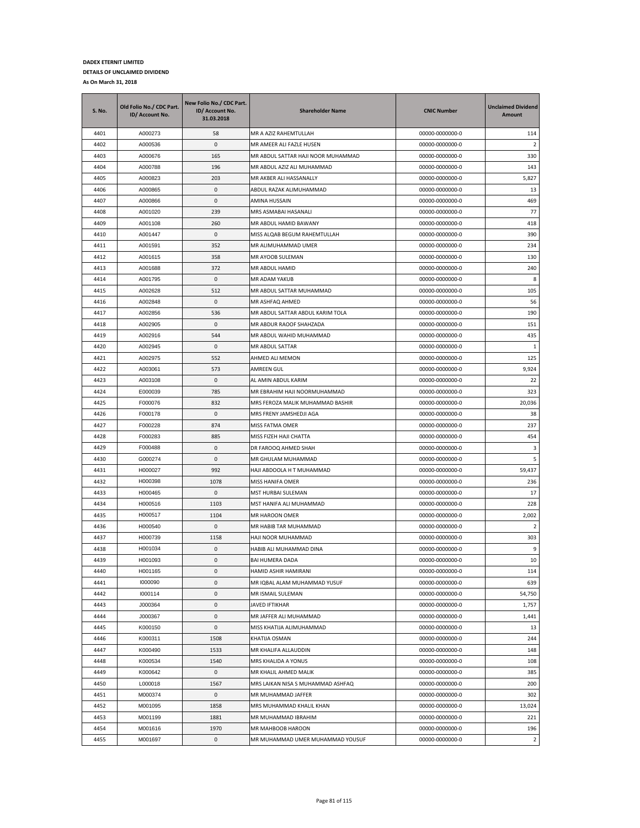| <b>S. No.</b> | Old Folio No./ CDC Part.<br>ID/ Account No. | New Folio No./ CDC Part.<br>ID/ Account No.<br>31.03.2018 | <b>Shareholder Name</b>                    | <b>CNIC Number</b>                 | <b>Unclaimed Dividend</b><br><b>Amount</b> |
|---------------|---------------------------------------------|-----------------------------------------------------------|--------------------------------------------|------------------------------------|--------------------------------------------|
| 4401          | A000273                                     | 58                                                        | MR A AZIZ RAHEMTULLAH                      | 00000-0000000-0                    | 114                                        |
| 4402          | A000536                                     | 0                                                         | MR AMEER ALI FAZLE HUSEN                   | 00000-0000000-0                    | $\overline{2}$                             |
| 4403          | A000676                                     | 165                                                       | MR ABDUL SATTAR HAJI NOOR MUHAMMAD         | 00000-0000000-0                    | 330                                        |
| 4404          | A000788                                     | 196                                                       | MR ABDUL AZIZ ALI MUHAMMAD                 | 00000-0000000-0                    | 143                                        |
| 4405          | A000823                                     | 203                                                       | MR AKBER ALI HASSANALLY                    | 00000-0000000-0                    | 5,827                                      |
| 4406          | A000865                                     | 0                                                         | ABDUL RAZAK ALIMUHAMMAD                    | 00000-0000000-0                    | 13                                         |
| 4407          | A000866                                     | 0                                                         | AMINA HUSSAIN                              | 00000-0000000-0                    | 469                                        |
| 4408          | A001020                                     | 239                                                       | MRS ASMABAI HASANALI                       | 00000-0000000-0                    | 77                                         |
| 4409          | A001108                                     | 260                                                       | MR ABDUL HAMID BAWANY                      | 00000-0000000-0                    | 418                                        |
| 4410          | A001447                                     | 0                                                         | MISS ALQAB BEGUM RAHEMTULLAH               | 00000-0000000-0                    | 390                                        |
| 4411          | A001591                                     | 352                                                       | MR ALIMUHAMMAD UMER                        | 00000-0000000-0                    | 234                                        |
| 4412          | A001615                                     | 358                                                       | MR AYOOB SULEMAN                           | 00000-0000000-0                    | 130                                        |
| 4413          | A001688                                     | 372                                                       | MR ABDUL HAMID                             | 00000-0000000-0                    | 240                                        |
| 4414          | A001795                                     | 0                                                         | MR ADAM YAKUB                              | 00000-0000000-0                    | 8                                          |
| 4415          | A002628                                     | 512                                                       | MR ABDUL SATTAR MUHAMMAD                   | 00000-0000000-0                    | 105                                        |
| 4416          | A002848                                     | 0                                                         | MR ASHFAQ AHMED                            | 00000-0000000-0                    | 56                                         |
| 4417          | A002856                                     | 536                                                       | MR ABDUL SATTAR ABDUL KARIM TOLA           | 00000-0000000-0                    | 190                                        |
| 4418          | A002905                                     | 0                                                         | MR ABDUR RAOOF SHAHZADA                    | 00000-0000000-0                    | 151                                        |
| 4419          | A002916                                     | 544                                                       | MR ABDUL WAHID MUHAMMAD                    | 00000-0000000-0                    | 435                                        |
| 4420          | A002945                                     | 0                                                         | MR ABDUL SATTAR                            | 00000-0000000-0                    | 1                                          |
| 4421          | A002975                                     | 552                                                       | AHMED ALI MEMON                            | 00000-0000000-0                    | 125                                        |
| 4422          | A003061                                     | 573                                                       | AMREEN GUL                                 | 00000-0000000-0                    | 9,924                                      |
| 4423          | A003108                                     | 0                                                         | AL AMIN ABDUL KARIM                        | 00000-0000000-0                    | 22                                         |
| 4424          | E000039                                     | 785                                                       | MR EBRAHIM HAJI NOORMUHAMMAD               | 00000-0000000-0                    | 323                                        |
| 4425          | F000076<br>F000178                          | 832<br>0                                                  | MRS FEROZA MALIK MUHAMMAD BASHIR           | 00000-0000000-0                    | 20,036                                     |
| 4426<br>4427  | F000228                                     | 874                                                       | MRS FRENY JAMSHEDJI AGA<br>MISS FATMA OMER | 00000-0000000-0<br>00000-0000000-0 | 38<br>237                                  |
| 4428          | F000283                                     | 885                                                       | MISS FIZEH HAJI CHATTA                     | 00000-0000000-0                    | 454                                        |
| 4429          | F000488                                     | 0                                                         | DR FAROOQ AHMED SHAH                       | 00000-0000000-0                    | 3                                          |
| 4430          | G000274                                     | 0                                                         | MR GHULAM MUHAMMAD                         | 00000-0000000-0                    | 5                                          |
| 4431          | H000027                                     | 992                                                       | HAJI ABDOOLA H T MUHAMMAD                  | 00000-0000000-0                    | 59,437                                     |
| 4432          | H000398                                     | 1078                                                      | MISS HANIFA OMER                           | 00000-0000000-0                    | 236                                        |
| 4433          | H000465                                     | 0                                                         | MST HURBAI SULEMAN                         | 00000-0000000-0                    | 17                                         |
| 4434          | H000516                                     | 1103                                                      | MST HANIFA ALI MUHAMMAD                    | 00000-0000000-0                    | 228                                        |
| 4435          | H000517                                     | 1104                                                      | MR HAROON OMER                             | 00000-0000000-0                    | 2,002                                      |
| 4436          | H000540                                     | 0                                                         | MR HABIB TAR MUHAMMAD                      | 00000-0000000-0                    | $\overline{2}$                             |
| 4437          | H000739                                     | 1158                                                      | HAJI NOOR MUHAMMAD                         | 00000-0000000-0                    | 303                                        |
| 4438          | H001034                                     | $\mathbf{0}$                                              | HABIB ALI MUHAMMAD DINA                    | 00000-0000000-0                    | 9                                          |
| 4439          | H001093                                     | $\mathbf{0}$                                              | <b>BAI HUMERA DADA</b>                     | 00000-0000000-0                    | 10                                         |
| 4440          | H001165                                     | 0                                                         | HAMID ASHIR HAMIRANI                       | 00000-0000000-0                    | 114                                        |
| 4441          | 1000090                                     | 0                                                         | MR IQBAL ALAM MUHAMMAD YUSUF               | 00000-0000000-0                    | 639                                        |
| 4442          | 1000114                                     | $\pmb{0}$                                                 | MR ISMAIL SULEMAN                          | 00000-0000000-0                    | 54,750                                     |
| 4443          | J000364                                     | 0                                                         | <b>JAVED IFTIKHAR</b>                      | 00000-0000000-0                    | 1,757                                      |
| 4444          | J000367                                     | 0                                                         | MR JAFFER ALI MUHAMMAD                     | 00000-0000000-0                    | 1,441                                      |
| 4445          | K000150                                     | 0                                                         | MISS KHATIJA ALIMUHAMMAD                   | 00000-0000000-0                    | 13                                         |
| 4446          | K000311                                     | 1508                                                      | KHATIJA OSMAN                              | 00000-0000000-0                    | 244                                        |
| 4447          | K000490                                     | 1533                                                      | MR KHALIFA ALLAUDDIN                       | 00000-0000000-0                    | 148                                        |
| 4448          | K000534                                     | 1540                                                      | MRS KHALIDA A YONUS                        | 00000-0000000-0                    | 108                                        |
| 4449          | K000642                                     | 0                                                         | MR KHALIL AHMED MALIK                      | 00000-0000000-0                    | 385                                        |
| 4450          | L000018                                     | 1567                                                      | MRS LAIKAN NISA S MUHAMMAD ASHFAQ          | 00000-0000000-0                    | 200                                        |
| 4451          | M000374                                     | $\pmb{0}$                                                 | MR MUHAMMAD JAFFER                         | 00000-0000000-0                    | 302                                        |
| 4452          | M001095                                     | 1858                                                      | MRS MUHAMMAD KHALIL KHAN                   | 00000-0000000-0                    | 13,024                                     |
| 4453          | M001199                                     | 1881                                                      | MR MUHAMMAD IBRAHIM                        | 00000-0000000-0                    | 221                                        |
| 4454          | M001616                                     | 1970                                                      | MR MAHBOOB HAROON                          | 00000-0000000-0                    | 196                                        |
| 4455          | M001697                                     | 0                                                         | MR MUHAMMAD UMER MUHAMMAD YOUSUF           | 00000-0000000-0                    | $\overline{2}$                             |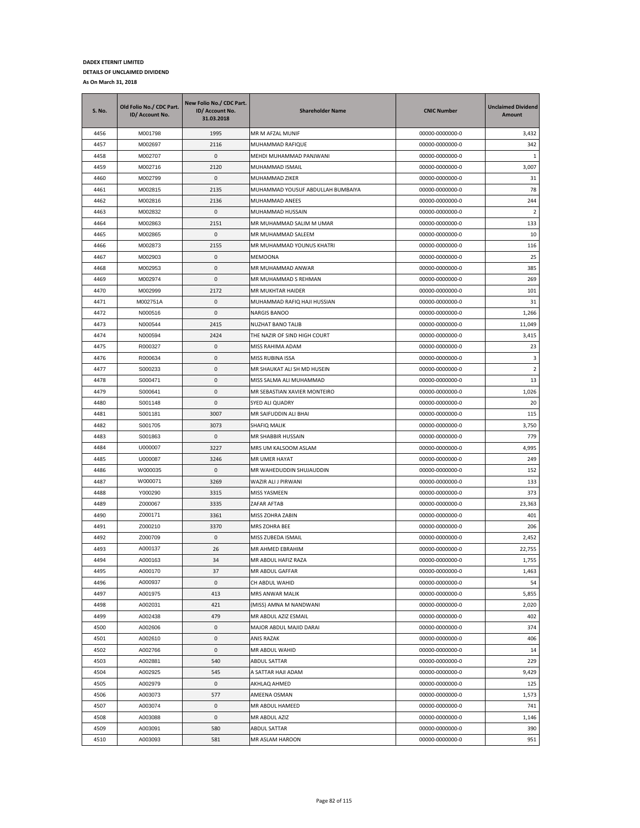| S. No. | Old Folio No./ CDC Part.<br>ID/ Account No. | New Folio No./ CDC Part.<br>ID/ Account No.<br>31.03.2018 | <b>Shareholder Name</b>           | <b>CNIC Number</b> | <b>Unclaimed Dividend</b><br><b>Amount</b> |
|--------|---------------------------------------------|-----------------------------------------------------------|-----------------------------------|--------------------|--------------------------------------------|
| 4456   | M001798                                     | 1995                                                      | MR M AFZAL MUNIF                  | 00000-0000000-0    | 3,432                                      |
| 4457   | M002697                                     | 2116                                                      | MUHAMMAD RAFIQUE                  | 00000-0000000-0    | 342                                        |
| 4458   | M002707                                     | 0                                                         | MEHDI MUHAMMAD PANJWANI           | 00000-0000000-0    | 1                                          |
| 4459   | M002716                                     | 2120                                                      | MUHAMMAD ISMAIL                   | 00000-0000000-0    | 3,007                                      |
| 4460   | M002799                                     | 0                                                         | MUHAMMAD ZIKER                    | 00000-0000000-0    | 31                                         |
| 4461   | M002815                                     | 2135                                                      | MUHAMMAD YOUSUF ABDULLAH BUMBAIYA | 00000-0000000-0    | 78                                         |
| 4462   | M002816                                     | 2136                                                      | MUHAMMAD ANEES                    | 00000-0000000-0    | 244                                        |
| 4463   | M002832                                     | 0                                                         | MUHAMMAD HUSSAIN                  | 00000-0000000-0    | $\overline{2}$                             |
| 4464   | M002863                                     | 2151                                                      | MR MUHAMMAD SALIM M UMAR          | 00000-0000000-0    | 133                                        |
| 4465   | M002865                                     | 0                                                         | MR MUHAMMAD SALEEM                | 00000-0000000-0    | 10                                         |
| 4466   | M002873                                     | 2155                                                      | MR MUHAMMAD YOUNUS KHATRI         | 00000-0000000-0    | 116                                        |
| 4467   | M002903                                     | 0                                                         | MEMOONA                           | 00000-0000000-0    | 25                                         |
| 4468   | M002953                                     | 0                                                         | MR MUHAMMAD ANWAR                 | 00000-0000000-0    | 385                                        |
| 4469   | M002974                                     | 0                                                         | MR MUHAMMAD S REHMAN              | 00000-0000000-0    | 269                                        |
| 4470   | M002999                                     | 2172                                                      | MR MUKHTAR HAIDER                 | 00000-0000000-0    | 101                                        |
| 4471   | M002751A                                    | 0                                                         | MUHAMMAD RAFIQ HAJI HUSSIAN       | 00000-0000000-0    | 31                                         |
| 4472   | N000516                                     | 0                                                         | NARGIS BANOO                      | 00000-0000000-0    | 1,266                                      |
| 4473   | N000544                                     | 2415                                                      | NUZHAT BANO TALIB                 | 00000-0000000-0    | 11,049                                     |
| 4474   | N000594                                     | 2424                                                      | THE NAZIR OF SIND HIGH COURT      | 00000-0000000-0    | 3,415                                      |
| 4475   | R000327                                     | 0                                                         | MISS RAHIMA ADAM                  | 00000-0000000-0    | 23                                         |
| 4476   | R000634                                     | 0                                                         | MISS RUBINA ISSA                  | 00000-0000000-0    | 3                                          |
| 4477   | S000233                                     | 0                                                         | MR SHAUKAT ALI SH MD HUSEIN       | 00000-0000000-0    | 2                                          |
| 4478   | S000471                                     | 0                                                         | MISS SALMA ALI MUHAMMAD           | 00000-0000000-0    | 13                                         |
| 4479   | S000641                                     | 0                                                         | MR SEBASTIAN XAVIER MONTEIRO      | 00000-0000000-0    | 1,026                                      |
| 4480   | S001148                                     | 0                                                         | SYED ALI QUADRY                   | 00000-0000000-0    | 20                                         |
| 4481   | S001181                                     | 3007                                                      | MR SAIFUDDIN ALI BHAI             | 00000-0000000-0    | 115                                        |
| 4482   | S001705                                     | 3073                                                      | SHAFIQ MALIK                      | 00000-0000000-0    | 3,750                                      |
| 4483   | S001863                                     | 0                                                         | MR SHABBIR HUSSAIN                | 00000-0000000-0    | 779                                        |
| 4484   | U000007                                     | 3227                                                      | MRS UM KALSOOM ASLAM              | 00000-0000000-0    | 4,995                                      |
| 4485   | U000087                                     | 3246                                                      | MR UMER HAYAT                     | 00000-0000000-0    | 249                                        |
| 4486   | W000035                                     | 0                                                         | MR WAHEDUDDIN SHUJAUDDIN          | 00000-0000000-0    | 152                                        |
| 4487   | W000071                                     | 3269                                                      | WAZIR ALI J PIRWANI               | 00000-0000000-0    | 133                                        |
| 4488   | Y000290                                     | 3315                                                      | MISS YASMEEN                      | 00000-0000000-0    | 373                                        |
| 4489   | Z000067                                     | 3335                                                      | ZAFAR AFTAB                       | 00000-0000000-0    | 23,363                                     |
| 4490   | Z000171                                     | 3361                                                      | MISS ZOHRA ZABIN                  | 00000-0000000-0    | 401                                        |
| 4491   | Z000210                                     | 3370                                                      | MRS ZOHRA BEE                     | 00000-0000000-0    | 206                                        |
| 4492   | Z000709                                     | 0                                                         | MISS ZUBEDA ISMAIL                | 00000-0000000-0    | 2,452                                      |
| 4493   | A000137                                     | 26                                                        | MR AHMED EBRAHIM                  | 00000-0000000-0    | 22,755                                     |
| 4494   | A000163                                     | 34                                                        | MR ABDUL HAFIZ RAZA               | 00000-0000000-0    | 1,755                                      |
| 4495   | A000170                                     | 37                                                        | MR ABDUL GAFFAR                   | 00000-0000000-0    | 1,463                                      |
| 4496   | A000937                                     | 0                                                         | CH ABDUL WAHID                    | 00000-0000000-0    | 54                                         |
| 4497   | A001975                                     | 413                                                       | MRS ANWAR MALIK                   | 00000-0000000-0    | 5,855                                      |
| 4498   | A002031                                     | 421                                                       | (MISS) AMNA M NANDWANI            | 00000-0000000-0    | 2,020                                      |
| 4499   | A002438                                     | 479                                                       | MR ABDUL AZIZ ESMAIL              | 00000-0000000-0    | 402                                        |
| 4500   | A002606                                     | 0                                                         | MAJOR ABDUL MAJID DARAI           | 00000-0000000-0    | 374                                        |
| 4501   | A002610                                     | 0                                                         | ANIS RAZAK                        | 00000-0000000-0    | 406                                        |
| 4502   | A002766                                     | 0                                                         | MR ABDUL WAHID                    | 00000-0000000-0    | 14                                         |
| 4503   | A002881                                     | 540                                                       | ABDUL SATTAR                      | 00000-0000000-0    | 229                                        |
| 4504   | A002925                                     | 545                                                       | A SATTAR HAJI ADAM                | 00000-0000000-0    | 9,429                                      |
| 4505   | A002979                                     | 0                                                         | AKHLAQ AHMED                      | 00000-0000000-0    | 125                                        |
| 4506   | A003073                                     | 577                                                       | AMEENA OSMAN                      | 00000-0000000-0    | 1,573                                      |
| 4507   | A003074                                     | 0                                                         | MR ABDUL HAMEED                   | 00000-0000000-0    | 741                                        |
| 4508   | A003088                                     | 0                                                         | MR ABDUL AZIZ                     | 00000-0000000-0    | 1,146                                      |
| 4509   | A003091                                     | 580                                                       | ABDUL SATTAR                      | 00000-0000000-0    | 390                                        |
| 4510   | A003093                                     | 581                                                       | MR ASLAM HAROON                   | 00000-0000000-0    | 951                                        |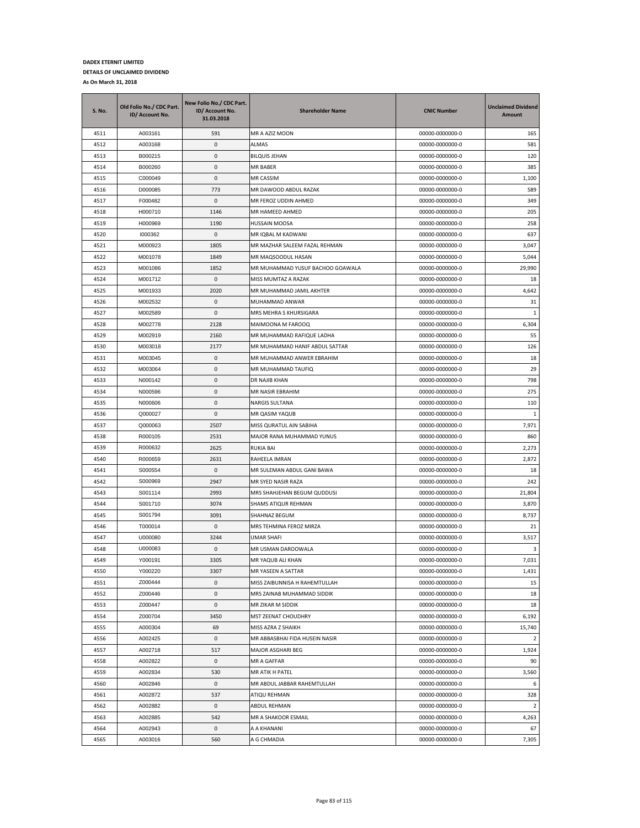| S. No.       | Old Folio No./ CDC Part.<br>ID/ Account No. | New Folio No./ CDC Part.<br>ID/ Account No.<br>31.03.2018 | <b>Shareholder Name</b>                          | <b>CNIC Number</b>                 | <b>Unclaimed Dividend</b><br>Amount |
|--------------|---------------------------------------------|-----------------------------------------------------------|--------------------------------------------------|------------------------------------|-------------------------------------|
| 4511         | A003161                                     | 591                                                       | MR A AZIZ MOON                                   | 00000-0000000-0                    | 165                                 |
| 4512         | A003168                                     | 0                                                         | ALMAS                                            | 00000-0000000-0                    | 581                                 |
| 4513         | B000215                                     | 0                                                         | <b>BILQUIS JEHAN</b>                             | 00000-0000000-0                    | 120                                 |
| 4514         | B000260                                     | 0                                                         | MR BABER                                         | 00000-0000000-0                    | 385                                 |
| 4515         | C000049                                     | 0                                                         | MR CASSIM                                        | 00000-0000000-0                    | 1,100                               |
| 4516         | D000085                                     | 773                                                       | MR DAWOOD ABDUL RAZAK                            | 00000-0000000-0                    | 589                                 |
| 4517         | F000482                                     | 0                                                         | MR FEROZ UDDIN AHMED                             | 00000-0000000-0                    | 349                                 |
| 4518         | H000710                                     | 1146                                                      | MR HAMEED AHMED                                  | 00000-0000000-0                    | 205                                 |
| 4519         | H000969                                     | 1190                                                      | <b>HUSSAIN MOOSA</b>                             | 00000-0000000-0                    | 258                                 |
| 4520         | 1000362                                     | 0                                                         | MR IQBAL M KADWANI                               | 00000-0000000-0                    | 637                                 |
| 4521         | M000923                                     | 1805                                                      | MR MAZHAR SALEEM FAZAL REHMAN                    | 00000-0000000-0                    | 3,047                               |
| 4522         | M001078                                     | 1849                                                      | MR MAQSOODUL HASAN                               | 00000-0000000-0                    | 5,044                               |
| 4523         | M001086                                     | 1852                                                      | MR MUHAMMAD YUSUF BACHOO GOAWALA                 | 00000-0000000-0                    | 29,990                              |
| 4524         | M001712                                     | 0                                                         | MISS MUMTAZ A RAZAK                              | 00000-0000000-0                    | 18                                  |
| 4525         | M001933                                     | 2020                                                      | MR MUHAMMAD JAMIL AKHTER                         | 00000-0000000-0                    | 4,642                               |
| 4526         | M002532                                     | 0                                                         | MUHAMMAD ANWAR                                   | 00000-0000000-0                    | 31                                  |
| 4527         | M002589                                     | 0                                                         | MRS MEHRA S KHURSIGARA                           | 00000-0000000-0                    | 1                                   |
| 4528         | M002778                                     | 2128                                                      | MAIMOONA M FAROOQ                                | 00000-0000000-0                    | 6,304                               |
| 4529         | M002919                                     | 2160                                                      | MR MUHAMMAD RAFIQUE LADHA                        | 00000-0000000-0                    | 55                                  |
| 4530         | M003018                                     | 2177                                                      | MR MUHAMMAD HANIF ABDUL SATTAR                   | 00000-0000000-0                    | 126                                 |
| 4531         | M003045                                     | 0                                                         | MR MUHAMMAD ANWER EBRAHIM                        | 00000-0000000-0                    | 18                                  |
| 4532         | M003064                                     | 0                                                         | MR MUHAMMAD TAUFIQ                               | 00000-0000000-0                    | 29                                  |
| 4533         | N000142                                     | 0                                                         | DR NAJIB KHAN                                    | 00000-0000000-0                    | 798                                 |
| 4534         | N000596                                     | 0                                                         | MR NASIR EBRAHIM                                 | 00000-0000000-0                    | 275                                 |
| 4535         | N000606                                     | 0                                                         | NARGIS SULTANA                                   | 00000-0000000-0                    | 110                                 |
| 4536         | Q000027                                     | 0                                                         | MR QASIM YAQUB                                   | 00000-0000000-0                    | $\mathbf{1}$                        |
| 4537         | Q000063                                     | 2507                                                      | MISS QURATUL AIN SABIHA                          | 00000-0000000-0                    | 7,971                               |
| 4538         | R000105<br>R000632                          | 2531                                                      | MAJOR RANA MUHAMMAD YUNUS                        | 00000-0000000-0                    | 860                                 |
| 4539<br>4540 |                                             | 2625<br>2631                                              | <b>RUKIA BAI</b>                                 | 00000-0000000-0                    | 2,273                               |
| 4541         | R000659                                     | 0                                                         | RAHEELA IMRAN                                    | 00000-0000000-0                    | 2,872<br>18                         |
| 4542         | S000554<br>S000969                          | 2947                                                      | MR SULEMAN ABDUL GANI BAWA<br>MR SYED NASIR RAZA | 00000-0000000-0<br>00000-0000000-0 | 242                                 |
| 4543         | S001114                                     | 2993                                                      | MRS SHAHJEHAN BEGUM QUDDUSI                      | 00000-0000000-0                    | 21,804                              |
| 4544         | S001710                                     | 3074                                                      | SHAMS ATIQUR REHMAN                              | 00000-0000000-0                    | 3,870                               |
| 4545         | S001794                                     | 3091                                                      | SHAHNAZ BEGUM                                    | 00000-0000000-0                    | 8,737                               |
| 4546         | T000014                                     | 0                                                         | MRS TEHMINA FEROZ MIRZA                          | 00000-0000000-0                    | 21                                  |
| 4547         | U000080                                     | 3244                                                      | UMAR SHAFI                                       | 00000-0000000-0                    | 3,517                               |
| 4548         | U000083                                     | 0                                                         | MR USMAN DAROOWALA                               | 00000-0000000-0                    | 3                                   |
| 4549         | Y000191                                     | 3305                                                      | MR YAQUB ALI KHAN                                | 00000-0000000-0                    | 7,031                               |
| 4550         | Y000220                                     | 3307                                                      | MR YASEEN A SATTAR                               | 00000-0000000-0                    | 1,431                               |
| 4551         | Z000444                                     | 0                                                         | MISS ZAIBUNNISA H RAHEMTULLAH                    | 00000-0000000-0                    | 15                                  |
| 4552         | Z000446                                     | $\pmb{0}$                                                 | MRS ZAINAB MUHAMMAD SIDDIK                       | 00000-0000000-0                    | 18                                  |
| 4553         | Z000447                                     | 0                                                         | MR ZIKAR M SIDDIK                                | 00000-0000000-0                    | 18                                  |
| 4554         | Z000704                                     | 3450                                                      | MST ZEENAT CHOUDHRY                              | 00000-0000000-0                    | 6,192                               |
| 4555         | A000304                                     | 69                                                        | MISS AZRA Z SHAIKH                               | 00000-0000000-0                    | 15,740                              |
| 4556         | A002425                                     | 0                                                         | MR ABBASBHAI FIDA HUSEIN NASIR                   | 00000-0000000-0                    | $\overline{2}$                      |
| 4557         | A002718                                     | 517                                                       | MAJOR ASGHARI BEG                                | 00000-0000000-0                    | 1,924                               |
| 4558         | A002822                                     | 0                                                         | MR A GAFFAR                                      | 00000-0000000-0                    | 90                                  |
| 4559         | A002834                                     | 530                                                       | MR ATIK H PATEL                                  | 00000-0000000-0                    | 3,560                               |
| 4560         | A002846                                     | 0                                                         | MR ABDUL JABBAR RAHEMTULLAH                      | 00000-0000000-0                    | 6                                   |
| 4561         | A002872                                     | 537                                                       | ATIQU REHMAN                                     | 00000-0000000-0                    | 328                                 |
| 4562         | A002882                                     | 0                                                         | ABDUL REHMAN                                     | 00000-0000000-0                    | $\overline{2}$                      |
| 4563         | A002885                                     | 542                                                       | MR A SHAKOOR ESMAIL                              | 00000-0000000-0                    | 4,263                               |
| 4564         | A002943                                     | 0                                                         | A A KHANANI                                      | 00000-0000000-0                    | 67                                  |
| 4565         | A003016                                     | 560                                                       | A G CHMADIA                                      | 00000-0000000-0                    | 7,305                               |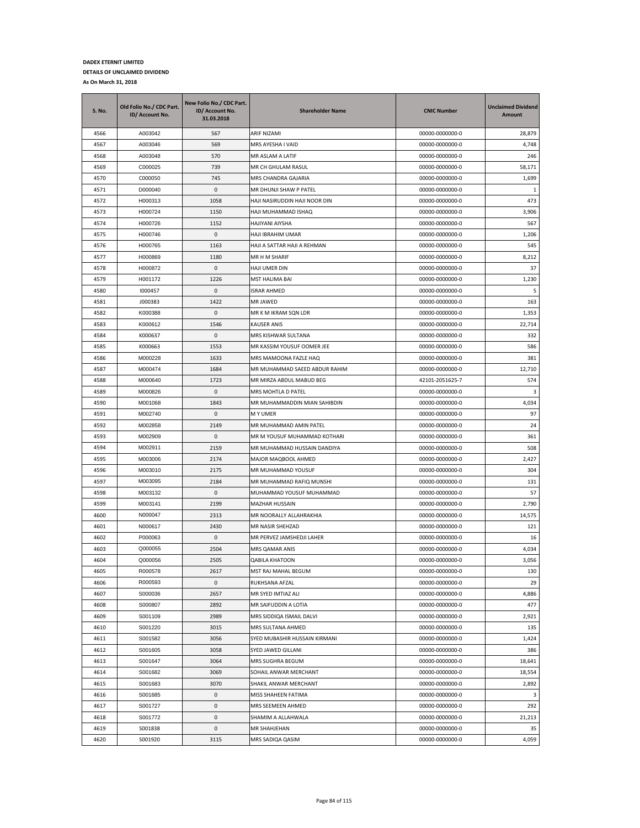| A003042<br>ARIF NIZAMI<br>4566<br>567<br>00000-0000000-0<br>28,879<br>4567<br>569<br>MRS AYESHA I VAID<br>4,748<br>A003046<br>00000-0000000-0<br>4568<br>A003048<br>570<br>MR ASLAM A LATIF<br>00000-0000000-0<br>246<br>C000025<br>4569<br>739<br>MR CH GHULAM RASUL<br>00000-0000000-0<br>58,171<br>4570<br>C000050<br>745<br>MRS CHANDRA GAJARIA<br>00000-0000000-0<br>1,699<br>4571<br>D000040<br>0<br>MR DHUNJI SHAW P PATEL<br>00000-0000000-0<br>1<br>473<br>4572<br>H000313<br>1058<br>HAJI NASIRUDDIN HAJI NOOR DIN<br>00000-0000000-0<br>4573<br>H000724<br>1150<br>00000-0000000-0<br>3,906<br>HAJI MUHAMMAD ISHAQ<br>4574<br>1152<br><b>HAJIYANI AIYSHA</b><br>567<br>H000726<br>00000-0000000-0<br>4575<br>H000746<br>0<br>HAJI IBRAHIM UMAR<br>1,206<br>00000-0000000-0<br>545<br>4576<br>H000765<br>1163<br>HAJI A SATTAR HAJI A REHMAN<br>00000-0000000-0<br>4577<br>H000869<br>1180<br>MR H M SHARIF<br>00000-0000000-0<br>8,212<br>4578<br>H000872<br>0<br>HAJI UMER DIN<br>00000-0000000-0<br>37<br>4579<br>1226<br>1,230<br>H001172<br>MST HALIMA BAI<br>00000-0000000-0<br>4580<br>1000457<br>0<br>ISRAR AHMED<br>00000-0000000-0<br>5<br>4581<br>1422<br>163<br>J000383<br>MR JAWED<br>00000-0000000-0<br>0<br>4582<br>K000388<br>MR K M IKRAM SQN LDR<br>00000-0000000-0<br>1,353<br>4583<br>K000612<br>1546<br>KAUSER ANIS<br>00000-0000000-0<br>22,714<br>4584<br>K000637<br>0<br>MRS KISHWAR SULTANA<br>00000-0000000-0<br>332<br>4585<br>1553<br>MR KASSIM YOUSUF OOMER JEE<br>K000663<br>00000-0000000-0<br>586<br>4586<br>381<br>M000228<br>1633<br>MRS MAMOONA FAZLE HAQ<br>00000-0000000-0<br>4587<br>M000474<br>MR MUHAMMAD SAEED ABDUR RAHIM<br>1684<br>00000-0000000-0<br>12,710<br>574<br>4588<br>M000640<br>1723<br>MR MIRZA ABDUL MABUD BEG<br>42101-2051625-7<br>4589<br>M000826<br>0<br>MRS MOHTLA D PATEL<br>00000-0000000-0<br>3<br>4590<br>M001068<br>1843<br>MR MUHAMMADDIN MIAN SAHIBDIN<br>00000-0000000-0<br>4,034<br>4591<br>M002740<br>0<br>97<br><b>MY UMER</b><br>00000-0000000-0<br>4592<br>MR MUHAMMAD AMIN PATEL<br>00000-0000000-0<br>24<br>M002858<br>2149<br>4593<br>0<br>361<br>M002909<br>MR M YOUSUF MUHAMMAD KOTHARI<br>00000-0000000-0<br>M002911<br>2159<br>4594<br>MR MUHAMMAD HUSSAIN DANDIYA<br>00000-0000000-0<br>508<br>2,427<br>4595<br>M003006<br>2174<br>MAJOR MAQBOOL AHMED<br>00000-0000000-0<br>4596<br>M003010<br>2175<br>MR MUHAMMAD YOUSUF<br>00000-0000000-0<br>304<br>4597<br>M003095<br>2184<br>MR MUHAMMAD RAFIQ MUNSHI<br>00000-0000000-0<br>131<br>4598<br>0<br>57<br>M003132<br>MUHAMMAD YOUSUF MUHAMMAD<br>00000-0000000-0<br>4599<br>M003141<br>2199<br>2,790<br>MAZHAR HUSSAIN<br>00000-0000000-0<br>4600<br>2313<br>14,575<br>N000047<br>MR NOORALLY ALLAHRAKHIA<br>00000-0000000-0<br>4601<br>N000617<br>2430<br>MR NASIR SHEHZAD<br>00000-0000000-0<br>121<br>P000063<br>4602<br>0<br>MR PERVEZ JAMSHEDJI LAHER<br>00000-0000000-0<br>16<br>4603<br>Q000055<br>2504<br>MRS QAMAR ANIS<br>00000-0000000-0<br>4,034<br>4604<br>Q000056<br>2505<br><b>QABILA KHATOON</b><br>00000-0000000-0<br>3,056<br>4605<br>R000578<br>2617<br>130<br>MST RAJ MAHAL BEGUM<br>00000-0000000-0<br>4606<br>R000593<br>0<br>RUKHSANA AFZAL<br>00000-0000000-0<br>29<br>4607<br>S000036<br>2657<br>MR SYED IMTIAZ ALI<br>00000-0000000-0<br>4,886<br>S000807<br>2892<br>MR SAIFUDDIN A LOTIA<br>00000-0000000-0<br>477<br>4608<br>2,921<br>4609<br>S001109<br>2989<br>MRS SIDDIQA ISMAIL DALVI<br>00000-0000000-0<br>4610<br>3015<br>00000-0000000-0<br>135<br>S001220<br>MRS SULTANA AHMED<br>4611<br>S001582<br>3056<br>SYED MUBASHIR HUSSAIN KIRMANI<br>00000-0000000-0<br>1,424<br>4612<br>S001605<br>3058<br>00000-0000000-0<br>386<br>SYED JAWED GILLANI<br>00000-0000000-0<br>18,641<br>4613<br>S001647<br>3064<br>MRS SUGHRA BEGUM<br>18,554<br>4614<br>S001682<br>3069<br>SOHAIL ANWAR MERCHANT<br>00000-0000000-0<br>3070<br>2,892<br>4615<br>S001683<br>SHAKIL ANWAR MERCHANT<br>00000-0000000-0<br>4616<br>S001685<br>0<br>00000-0000000-0<br>MISS SHAHEEN FATIMA<br>3<br>4617<br>S001727<br>0<br>00000-0000000-0<br>292<br>MRS SEEMEEN AHMED<br>4618<br>S001772<br>0<br>SHAMIM A ALLAHWALA<br>00000-0000000-0<br>21,213<br>4619<br>0<br>S001838<br>MR SHAHJEHAN<br>00000-0000000-0<br>35 | S. No. | Old Folio No./ CDC Part.<br>ID/ Account No. | New Folio No./ CDC Part.<br>ID/ Account No.<br>31.03.2018 | <b>Shareholder Name</b> | <b>CNIC Number</b> | <b>Unclaimed Dividend</b><br>Amount |
|----------------------------------------------------------------------------------------------------------------------------------------------------------------------------------------------------------------------------------------------------------------------------------------------------------------------------------------------------------------------------------------------------------------------------------------------------------------------------------------------------------------------------------------------------------------------------------------------------------------------------------------------------------------------------------------------------------------------------------------------------------------------------------------------------------------------------------------------------------------------------------------------------------------------------------------------------------------------------------------------------------------------------------------------------------------------------------------------------------------------------------------------------------------------------------------------------------------------------------------------------------------------------------------------------------------------------------------------------------------------------------------------------------------------------------------------------------------------------------------------------------------------------------------------------------------------------------------------------------------------------------------------------------------------------------------------------------------------------------------------------------------------------------------------------------------------------------------------------------------------------------------------------------------------------------------------------------------------------------------------------------------------------------------------------------------------------------------------------------------------------------------------------------------------------------------------------------------------------------------------------------------------------------------------------------------------------------------------------------------------------------------------------------------------------------------------------------------------------------------------------------------------------------------------------------------------------------------------------------------------------------------------------------------------------------------------------------------------------------------------------------------------------------------------------------------------------------------------------------------------------------------------------------------------------------------------------------------------------------------------------------------------------------------------------------------------------------------------------------------------------------------------------------------------------------------------------------------------------------------------------------------------------------------------------------------------------------------------------------------------------------------------------------------------------------------------------------------------------------------------------------------------------------------------------------------------------------------------------------------------------------------------------------------------------------------------------------------------------------------------------------------------------------------------------------------------------------------------------------------------------------------------------------------------------------------------------------------------------------------------------------------------------------------------------------------------------------------------------------------------------------------------------------------------------------------------------------------------------------------------------------------------------|--------|---------------------------------------------|-----------------------------------------------------------|-------------------------|--------------------|-------------------------------------|
|                                                                                                                                                                                                                                                                                                                                                                                                                                                                                                                                                                                                                                                                                                                                                                                                                                                                                                                                                                                                                                                                                                                                                                                                                                                                                                                                                                                                                                                                                                                                                                                                                                                                                                                                                                                                                                                                                                                                                                                                                                                                                                                                                                                                                                                                                                                                                                                                                                                                                                                                                                                                                                                                                                                                                                                                                                                                                                                                                                                                                                                                                                                                                                                                                                                                                                                                                                                                                                                                                                                                                                                                                                                                                                                                                                                                                                                                                                                                                                                                                                                                                                                                                                                                                                                                            |        |                                             |                                                           |                         |                    |                                     |
|                                                                                                                                                                                                                                                                                                                                                                                                                                                                                                                                                                                                                                                                                                                                                                                                                                                                                                                                                                                                                                                                                                                                                                                                                                                                                                                                                                                                                                                                                                                                                                                                                                                                                                                                                                                                                                                                                                                                                                                                                                                                                                                                                                                                                                                                                                                                                                                                                                                                                                                                                                                                                                                                                                                                                                                                                                                                                                                                                                                                                                                                                                                                                                                                                                                                                                                                                                                                                                                                                                                                                                                                                                                                                                                                                                                                                                                                                                                                                                                                                                                                                                                                                                                                                                                                            |        |                                             |                                                           |                         |                    |                                     |
|                                                                                                                                                                                                                                                                                                                                                                                                                                                                                                                                                                                                                                                                                                                                                                                                                                                                                                                                                                                                                                                                                                                                                                                                                                                                                                                                                                                                                                                                                                                                                                                                                                                                                                                                                                                                                                                                                                                                                                                                                                                                                                                                                                                                                                                                                                                                                                                                                                                                                                                                                                                                                                                                                                                                                                                                                                                                                                                                                                                                                                                                                                                                                                                                                                                                                                                                                                                                                                                                                                                                                                                                                                                                                                                                                                                                                                                                                                                                                                                                                                                                                                                                                                                                                                                                            |        |                                             |                                                           |                         |                    |                                     |
|                                                                                                                                                                                                                                                                                                                                                                                                                                                                                                                                                                                                                                                                                                                                                                                                                                                                                                                                                                                                                                                                                                                                                                                                                                                                                                                                                                                                                                                                                                                                                                                                                                                                                                                                                                                                                                                                                                                                                                                                                                                                                                                                                                                                                                                                                                                                                                                                                                                                                                                                                                                                                                                                                                                                                                                                                                                                                                                                                                                                                                                                                                                                                                                                                                                                                                                                                                                                                                                                                                                                                                                                                                                                                                                                                                                                                                                                                                                                                                                                                                                                                                                                                                                                                                                                            |        |                                             |                                                           |                         |                    |                                     |
|                                                                                                                                                                                                                                                                                                                                                                                                                                                                                                                                                                                                                                                                                                                                                                                                                                                                                                                                                                                                                                                                                                                                                                                                                                                                                                                                                                                                                                                                                                                                                                                                                                                                                                                                                                                                                                                                                                                                                                                                                                                                                                                                                                                                                                                                                                                                                                                                                                                                                                                                                                                                                                                                                                                                                                                                                                                                                                                                                                                                                                                                                                                                                                                                                                                                                                                                                                                                                                                                                                                                                                                                                                                                                                                                                                                                                                                                                                                                                                                                                                                                                                                                                                                                                                                                            |        |                                             |                                                           |                         |                    |                                     |
|                                                                                                                                                                                                                                                                                                                                                                                                                                                                                                                                                                                                                                                                                                                                                                                                                                                                                                                                                                                                                                                                                                                                                                                                                                                                                                                                                                                                                                                                                                                                                                                                                                                                                                                                                                                                                                                                                                                                                                                                                                                                                                                                                                                                                                                                                                                                                                                                                                                                                                                                                                                                                                                                                                                                                                                                                                                                                                                                                                                                                                                                                                                                                                                                                                                                                                                                                                                                                                                                                                                                                                                                                                                                                                                                                                                                                                                                                                                                                                                                                                                                                                                                                                                                                                                                            |        |                                             |                                                           |                         |                    |                                     |
|                                                                                                                                                                                                                                                                                                                                                                                                                                                                                                                                                                                                                                                                                                                                                                                                                                                                                                                                                                                                                                                                                                                                                                                                                                                                                                                                                                                                                                                                                                                                                                                                                                                                                                                                                                                                                                                                                                                                                                                                                                                                                                                                                                                                                                                                                                                                                                                                                                                                                                                                                                                                                                                                                                                                                                                                                                                                                                                                                                                                                                                                                                                                                                                                                                                                                                                                                                                                                                                                                                                                                                                                                                                                                                                                                                                                                                                                                                                                                                                                                                                                                                                                                                                                                                                                            |        |                                             |                                                           |                         |                    |                                     |
|                                                                                                                                                                                                                                                                                                                                                                                                                                                                                                                                                                                                                                                                                                                                                                                                                                                                                                                                                                                                                                                                                                                                                                                                                                                                                                                                                                                                                                                                                                                                                                                                                                                                                                                                                                                                                                                                                                                                                                                                                                                                                                                                                                                                                                                                                                                                                                                                                                                                                                                                                                                                                                                                                                                                                                                                                                                                                                                                                                                                                                                                                                                                                                                                                                                                                                                                                                                                                                                                                                                                                                                                                                                                                                                                                                                                                                                                                                                                                                                                                                                                                                                                                                                                                                                                            |        |                                             |                                                           |                         |                    |                                     |
|                                                                                                                                                                                                                                                                                                                                                                                                                                                                                                                                                                                                                                                                                                                                                                                                                                                                                                                                                                                                                                                                                                                                                                                                                                                                                                                                                                                                                                                                                                                                                                                                                                                                                                                                                                                                                                                                                                                                                                                                                                                                                                                                                                                                                                                                                                                                                                                                                                                                                                                                                                                                                                                                                                                                                                                                                                                                                                                                                                                                                                                                                                                                                                                                                                                                                                                                                                                                                                                                                                                                                                                                                                                                                                                                                                                                                                                                                                                                                                                                                                                                                                                                                                                                                                                                            |        |                                             |                                                           |                         |                    |                                     |
|                                                                                                                                                                                                                                                                                                                                                                                                                                                                                                                                                                                                                                                                                                                                                                                                                                                                                                                                                                                                                                                                                                                                                                                                                                                                                                                                                                                                                                                                                                                                                                                                                                                                                                                                                                                                                                                                                                                                                                                                                                                                                                                                                                                                                                                                                                                                                                                                                                                                                                                                                                                                                                                                                                                                                                                                                                                                                                                                                                                                                                                                                                                                                                                                                                                                                                                                                                                                                                                                                                                                                                                                                                                                                                                                                                                                                                                                                                                                                                                                                                                                                                                                                                                                                                                                            |        |                                             |                                                           |                         |                    |                                     |
|                                                                                                                                                                                                                                                                                                                                                                                                                                                                                                                                                                                                                                                                                                                                                                                                                                                                                                                                                                                                                                                                                                                                                                                                                                                                                                                                                                                                                                                                                                                                                                                                                                                                                                                                                                                                                                                                                                                                                                                                                                                                                                                                                                                                                                                                                                                                                                                                                                                                                                                                                                                                                                                                                                                                                                                                                                                                                                                                                                                                                                                                                                                                                                                                                                                                                                                                                                                                                                                                                                                                                                                                                                                                                                                                                                                                                                                                                                                                                                                                                                                                                                                                                                                                                                                                            |        |                                             |                                                           |                         |                    |                                     |
|                                                                                                                                                                                                                                                                                                                                                                                                                                                                                                                                                                                                                                                                                                                                                                                                                                                                                                                                                                                                                                                                                                                                                                                                                                                                                                                                                                                                                                                                                                                                                                                                                                                                                                                                                                                                                                                                                                                                                                                                                                                                                                                                                                                                                                                                                                                                                                                                                                                                                                                                                                                                                                                                                                                                                                                                                                                                                                                                                                                                                                                                                                                                                                                                                                                                                                                                                                                                                                                                                                                                                                                                                                                                                                                                                                                                                                                                                                                                                                                                                                                                                                                                                                                                                                                                            |        |                                             |                                                           |                         |                    |                                     |
|                                                                                                                                                                                                                                                                                                                                                                                                                                                                                                                                                                                                                                                                                                                                                                                                                                                                                                                                                                                                                                                                                                                                                                                                                                                                                                                                                                                                                                                                                                                                                                                                                                                                                                                                                                                                                                                                                                                                                                                                                                                                                                                                                                                                                                                                                                                                                                                                                                                                                                                                                                                                                                                                                                                                                                                                                                                                                                                                                                                                                                                                                                                                                                                                                                                                                                                                                                                                                                                                                                                                                                                                                                                                                                                                                                                                                                                                                                                                                                                                                                                                                                                                                                                                                                                                            |        |                                             |                                                           |                         |                    |                                     |
|                                                                                                                                                                                                                                                                                                                                                                                                                                                                                                                                                                                                                                                                                                                                                                                                                                                                                                                                                                                                                                                                                                                                                                                                                                                                                                                                                                                                                                                                                                                                                                                                                                                                                                                                                                                                                                                                                                                                                                                                                                                                                                                                                                                                                                                                                                                                                                                                                                                                                                                                                                                                                                                                                                                                                                                                                                                                                                                                                                                                                                                                                                                                                                                                                                                                                                                                                                                                                                                                                                                                                                                                                                                                                                                                                                                                                                                                                                                                                                                                                                                                                                                                                                                                                                                                            |        |                                             |                                                           |                         |                    |                                     |
|                                                                                                                                                                                                                                                                                                                                                                                                                                                                                                                                                                                                                                                                                                                                                                                                                                                                                                                                                                                                                                                                                                                                                                                                                                                                                                                                                                                                                                                                                                                                                                                                                                                                                                                                                                                                                                                                                                                                                                                                                                                                                                                                                                                                                                                                                                                                                                                                                                                                                                                                                                                                                                                                                                                                                                                                                                                                                                                                                                                                                                                                                                                                                                                                                                                                                                                                                                                                                                                                                                                                                                                                                                                                                                                                                                                                                                                                                                                                                                                                                                                                                                                                                                                                                                                                            |        |                                             |                                                           |                         |                    |                                     |
|                                                                                                                                                                                                                                                                                                                                                                                                                                                                                                                                                                                                                                                                                                                                                                                                                                                                                                                                                                                                                                                                                                                                                                                                                                                                                                                                                                                                                                                                                                                                                                                                                                                                                                                                                                                                                                                                                                                                                                                                                                                                                                                                                                                                                                                                                                                                                                                                                                                                                                                                                                                                                                                                                                                                                                                                                                                                                                                                                                                                                                                                                                                                                                                                                                                                                                                                                                                                                                                                                                                                                                                                                                                                                                                                                                                                                                                                                                                                                                                                                                                                                                                                                                                                                                                                            |        |                                             |                                                           |                         |                    |                                     |
|                                                                                                                                                                                                                                                                                                                                                                                                                                                                                                                                                                                                                                                                                                                                                                                                                                                                                                                                                                                                                                                                                                                                                                                                                                                                                                                                                                                                                                                                                                                                                                                                                                                                                                                                                                                                                                                                                                                                                                                                                                                                                                                                                                                                                                                                                                                                                                                                                                                                                                                                                                                                                                                                                                                                                                                                                                                                                                                                                                                                                                                                                                                                                                                                                                                                                                                                                                                                                                                                                                                                                                                                                                                                                                                                                                                                                                                                                                                                                                                                                                                                                                                                                                                                                                                                            |        |                                             |                                                           |                         |                    |                                     |
|                                                                                                                                                                                                                                                                                                                                                                                                                                                                                                                                                                                                                                                                                                                                                                                                                                                                                                                                                                                                                                                                                                                                                                                                                                                                                                                                                                                                                                                                                                                                                                                                                                                                                                                                                                                                                                                                                                                                                                                                                                                                                                                                                                                                                                                                                                                                                                                                                                                                                                                                                                                                                                                                                                                                                                                                                                                                                                                                                                                                                                                                                                                                                                                                                                                                                                                                                                                                                                                                                                                                                                                                                                                                                                                                                                                                                                                                                                                                                                                                                                                                                                                                                                                                                                                                            |        |                                             |                                                           |                         |                    |                                     |
|                                                                                                                                                                                                                                                                                                                                                                                                                                                                                                                                                                                                                                                                                                                                                                                                                                                                                                                                                                                                                                                                                                                                                                                                                                                                                                                                                                                                                                                                                                                                                                                                                                                                                                                                                                                                                                                                                                                                                                                                                                                                                                                                                                                                                                                                                                                                                                                                                                                                                                                                                                                                                                                                                                                                                                                                                                                                                                                                                                                                                                                                                                                                                                                                                                                                                                                                                                                                                                                                                                                                                                                                                                                                                                                                                                                                                                                                                                                                                                                                                                                                                                                                                                                                                                                                            |        |                                             |                                                           |                         |                    |                                     |
|                                                                                                                                                                                                                                                                                                                                                                                                                                                                                                                                                                                                                                                                                                                                                                                                                                                                                                                                                                                                                                                                                                                                                                                                                                                                                                                                                                                                                                                                                                                                                                                                                                                                                                                                                                                                                                                                                                                                                                                                                                                                                                                                                                                                                                                                                                                                                                                                                                                                                                                                                                                                                                                                                                                                                                                                                                                                                                                                                                                                                                                                                                                                                                                                                                                                                                                                                                                                                                                                                                                                                                                                                                                                                                                                                                                                                                                                                                                                                                                                                                                                                                                                                                                                                                                                            |        |                                             |                                                           |                         |                    |                                     |
|                                                                                                                                                                                                                                                                                                                                                                                                                                                                                                                                                                                                                                                                                                                                                                                                                                                                                                                                                                                                                                                                                                                                                                                                                                                                                                                                                                                                                                                                                                                                                                                                                                                                                                                                                                                                                                                                                                                                                                                                                                                                                                                                                                                                                                                                                                                                                                                                                                                                                                                                                                                                                                                                                                                                                                                                                                                                                                                                                                                                                                                                                                                                                                                                                                                                                                                                                                                                                                                                                                                                                                                                                                                                                                                                                                                                                                                                                                                                                                                                                                                                                                                                                                                                                                                                            |        |                                             |                                                           |                         |                    |                                     |
|                                                                                                                                                                                                                                                                                                                                                                                                                                                                                                                                                                                                                                                                                                                                                                                                                                                                                                                                                                                                                                                                                                                                                                                                                                                                                                                                                                                                                                                                                                                                                                                                                                                                                                                                                                                                                                                                                                                                                                                                                                                                                                                                                                                                                                                                                                                                                                                                                                                                                                                                                                                                                                                                                                                                                                                                                                                                                                                                                                                                                                                                                                                                                                                                                                                                                                                                                                                                                                                                                                                                                                                                                                                                                                                                                                                                                                                                                                                                                                                                                                                                                                                                                                                                                                                                            |        |                                             |                                                           |                         |                    |                                     |
|                                                                                                                                                                                                                                                                                                                                                                                                                                                                                                                                                                                                                                                                                                                                                                                                                                                                                                                                                                                                                                                                                                                                                                                                                                                                                                                                                                                                                                                                                                                                                                                                                                                                                                                                                                                                                                                                                                                                                                                                                                                                                                                                                                                                                                                                                                                                                                                                                                                                                                                                                                                                                                                                                                                                                                                                                                                                                                                                                                                                                                                                                                                                                                                                                                                                                                                                                                                                                                                                                                                                                                                                                                                                                                                                                                                                                                                                                                                                                                                                                                                                                                                                                                                                                                                                            |        |                                             |                                                           |                         |                    |                                     |
|                                                                                                                                                                                                                                                                                                                                                                                                                                                                                                                                                                                                                                                                                                                                                                                                                                                                                                                                                                                                                                                                                                                                                                                                                                                                                                                                                                                                                                                                                                                                                                                                                                                                                                                                                                                                                                                                                                                                                                                                                                                                                                                                                                                                                                                                                                                                                                                                                                                                                                                                                                                                                                                                                                                                                                                                                                                                                                                                                                                                                                                                                                                                                                                                                                                                                                                                                                                                                                                                                                                                                                                                                                                                                                                                                                                                                                                                                                                                                                                                                                                                                                                                                                                                                                                                            |        |                                             |                                                           |                         |                    |                                     |
|                                                                                                                                                                                                                                                                                                                                                                                                                                                                                                                                                                                                                                                                                                                                                                                                                                                                                                                                                                                                                                                                                                                                                                                                                                                                                                                                                                                                                                                                                                                                                                                                                                                                                                                                                                                                                                                                                                                                                                                                                                                                                                                                                                                                                                                                                                                                                                                                                                                                                                                                                                                                                                                                                                                                                                                                                                                                                                                                                                                                                                                                                                                                                                                                                                                                                                                                                                                                                                                                                                                                                                                                                                                                                                                                                                                                                                                                                                                                                                                                                                                                                                                                                                                                                                                                            |        |                                             |                                                           |                         |                    |                                     |
|                                                                                                                                                                                                                                                                                                                                                                                                                                                                                                                                                                                                                                                                                                                                                                                                                                                                                                                                                                                                                                                                                                                                                                                                                                                                                                                                                                                                                                                                                                                                                                                                                                                                                                                                                                                                                                                                                                                                                                                                                                                                                                                                                                                                                                                                                                                                                                                                                                                                                                                                                                                                                                                                                                                                                                                                                                                                                                                                                                                                                                                                                                                                                                                                                                                                                                                                                                                                                                                                                                                                                                                                                                                                                                                                                                                                                                                                                                                                                                                                                                                                                                                                                                                                                                                                            |        |                                             |                                                           |                         |                    |                                     |
|                                                                                                                                                                                                                                                                                                                                                                                                                                                                                                                                                                                                                                                                                                                                                                                                                                                                                                                                                                                                                                                                                                                                                                                                                                                                                                                                                                                                                                                                                                                                                                                                                                                                                                                                                                                                                                                                                                                                                                                                                                                                                                                                                                                                                                                                                                                                                                                                                                                                                                                                                                                                                                                                                                                                                                                                                                                                                                                                                                                                                                                                                                                                                                                                                                                                                                                                                                                                                                                                                                                                                                                                                                                                                                                                                                                                                                                                                                                                                                                                                                                                                                                                                                                                                                                                            |        |                                             |                                                           |                         |                    |                                     |
|                                                                                                                                                                                                                                                                                                                                                                                                                                                                                                                                                                                                                                                                                                                                                                                                                                                                                                                                                                                                                                                                                                                                                                                                                                                                                                                                                                                                                                                                                                                                                                                                                                                                                                                                                                                                                                                                                                                                                                                                                                                                                                                                                                                                                                                                                                                                                                                                                                                                                                                                                                                                                                                                                                                                                                                                                                                                                                                                                                                                                                                                                                                                                                                                                                                                                                                                                                                                                                                                                                                                                                                                                                                                                                                                                                                                                                                                                                                                                                                                                                                                                                                                                                                                                                                                            |        |                                             |                                                           |                         |                    |                                     |
|                                                                                                                                                                                                                                                                                                                                                                                                                                                                                                                                                                                                                                                                                                                                                                                                                                                                                                                                                                                                                                                                                                                                                                                                                                                                                                                                                                                                                                                                                                                                                                                                                                                                                                                                                                                                                                                                                                                                                                                                                                                                                                                                                                                                                                                                                                                                                                                                                                                                                                                                                                                                                                                                                                                                                                                                                                                                                                                                                                                                                                                                                                                                                                                                                                                                                                                                                                                                                                                                                                                                                                                                                                                                                                                                                                                                                                                                                                                                                                                                                                                                                                                                                                                                                                                                            |        |                                             |                                                           |                         |                    |                                     |
|                                                                                                                                                                                                                                                                                                                                                                                                                                                                                                                                                                                                                                                                                                                                                                                                                                                                                                                                                                                                                                                                                                                                                                                                                                                                                                                                                                                                                                                                                                                                                                                                                                                                                                                                                                                                                                                                                                                                                                                                                                                                                                                                                                                                                                                                                                                                                                                                                                                                                                                                                                                                                                                                                                                                                                                                                                                                                                                                                                                                                                                                                                                                                                                                                                                                                                                                                                                                                                                                                                                                                                                                                                                                                                                                                                                                                                                                                                                                                                                                                                                                                                                                                                                                                                                                            |        |                                             |                                                           |                         |                    |                                     |
|                                                                                                                                                                                                                                                                                                                                                                                                                                                                                                                                                                                                                                                                                                                                                                                                                                                                                                                                                                                                                                                                                                                                                                                                                                                                                                                                                                                                                                                                                                                                                                                                                                                                                                                                                                                                                                                                                                                                                                                                                                                                                                                                                                                                                                                                                                                                                                                                                                                                                                                                                                                                                                                                                                                                                                                                                                                                                                                                                                                                                                                                                                                                                                                                                                                                                                                                                                                                                                                                                                                                                                                                                                                                                                                                                                                                                                                                                                                                                                                                                                                                                                                                                                                                                                                                            |        |                                             |                                                           |                         |                    |                                     |
|                                                                                                                                                                                                                                                                                                                                                                                                                                                                                                                                                                                                                                                                                                                                                                                                                                                                                                                                                                                                                                                                                                                                                                                                                                                                                                                                                                                                                                                                                                                                                                                                                                                                                                                                                                                                                                                                                                                                                                                                                                                                                                                                                                                                                                                                                                                                                                                                                                                                                                                                                                                                                                                                                                                                                                                                                                                                                                                                                                                                                                                                                                                                                                                                                                                                                                                                                                                                                                                                                                                                                                                                                                                                                                                                                                                                                                                                                                                                                                                                                                                                                                                                                                                                                                                                            |        |                                             |                                                           |                         |                    |                                     |
|                                                                                                                                                                                                                                                                                                                                                                                                                                                                                                                                                                                                                                                                                                                                                                                                                                                                                                                                                                                                                                                                                                                                                                                                                                                                                                                                                                                                                                                                                                                                                                                                                                                                                                                                                                                                                                                                                                                                                                                                                                                                                                                                                                                                                                                                                                                                                                                                                                                                                                                                                                                                                                                                                                                                                                                                                                                                                                                                                                                                                                                                                                                                                                                                                                                                                                                                                                                                                                                                                                                                                                                                                                                                                                                                                                                                                                                                                                                                                                                                                                                                                                                                                                                                                                                                            |        |                                             |                                                           |                         |                    |                                     |
|                                                                                                                                                                                                                                                                                                                                                                                                                                                                                                                                                                                                                                                                                                                                                                                                                                                                                                                                                                                                                                                                                                                                                                                                                                                                                                                                                                                                                                                                                                                                                                                                                                                                                                                                                                                                                                                                                                                                                                                                                                                                                                                                                                                                                                                                                                                                                                                                                                                                                                                                                                                                                                                                                                                                                                                                                                                                                                                                                                                                                                                                                                                                                                                                                                                                                                                                                                                                                                                                                                                                                                                                                                                                                                                                                                                                                                                                                                                                                                                                                                                                                                                                                                                                                                                                            |        |                                             |                                                           |                         |                    |                                     |
|                                                                                                                                                                                                                                                                                                                                                                                                                                                                                                                                                                                                                                                                                                                                                                                                                                                                                                                                                                                                                                                                                                                                                                                                                                                                                                                                                                                                                                                                                                                                                                                                                                                                                                                                                                                                                                                                                                                                                                                                                                                                                                                                                                                                                                                                                                                                                                                                                                                                                                                                                                                                                                                                                                                                                                                                                                                                                                                                                                                                                                                                                                                                                                                                                                                                                                                                                                                                                                                                                                                                                                                                                                                                                                                                                                                                                                                                                                                                                                                                                                                                                                                                                                                                                                                                            |        |                                             |                                                           |                         |                    |                                     |
|                                                                                                                                                                                                                                                                                                                                                                                                                                                                                                                                                                                                                                                                                                                                                                                                                                                                                                                                                                                                                                                                                                                                                                                                                                                                                                                                                                                                                                                                                                                                                                                                                                                                                                                                                                                                                                                                                                                                                                                                                                                                                                                                                                                                                                                                                                                                                                                                                                                                                                                                                                                                                                                                                                                                                                                                                                                                                                                                                                                                                                                                                                                                                                                                                                                                                                                                                                                                                                                                                                                                                                                                                                                                                                                                                                                                                                                                                                                                                                                                                                                                                                                                                                                                                                                                            |        |                                             |                                                           |                         |                    |                                     |
|                                                                                                                                                                                                                                                                                                                                                                                                                                                                                                                                                                                                                                                                                                                                                                                                                                                                                                                                                                                                                                                                                                                                                                                                                                                                                                                                                                                                                                                                                                                                                                                                                                                                                                                                                                                                                                                                                                                                                                                                                                                                                                                                                                                                                                                                                                                                                                                                                                                                                                                                                                                                                                                                                                                                                                                                                                                                                                                                                                                                                                                                                                                                                                                                                                                                                                                                                                                                                                                                                                                                                                                                                                                                                                                                                                                                                                                                                                                                                                                                                                                                                                                                                                                                                                                                            |        |                                             |                                                           |                         |                    |                                     |
|                                                                                                                                                                                                                                                                                                                                                                                                                                                                                                                                                                                                                                                                                                                                                                                                                                                                                                                                                                                                                                                                                                                                                                                                                                                                                                                                                                                                                                                                                                                                                                                                                                                                                                                                                                                                                                                                                                                                                                                                                                                                                                                                                                                                                                                                                                                                                                                                                                                                                                                                                                                                                                                                                                                                                                                                                                                                                                                                                                                                                                                                                                                                                                                                                                                                                                                                                                                                                                                                                                                                                                                                                                                                                                                                                                                                                                                                                                                                                                                                                                                                                                                                                                                                                                                                            |        |                                             |                                                           |                         |                    |                                     |
|                                                                                                                                                                                                                                                                                                                                                                                                                                                                                                                                                                                                                                                                                                                                                                                                                                                                                                                                                                                                                                                                                                                                                                                                                                                                                                                                                                                                                                                                                                                                                                                                                                                                                                                                                                                                                                                                                                                                                                                                                                                                                                                                                                                                                                                                                                                                                                                                                                                                                                                                                                                                                                                                                                                                                                                                                                                                                                                                                                                                                                                                                                                                                                                                                                                                                                                                                                                                                                                                                                                                                                                                                                                                                                                                                                                                                                                                                                                                                                                                                                                                                                                                                                                                                                                                            |        |                                             |                                                           |                         |                    |                                     |
|                                                                                                                                                                                                                                                                                                                                                                                                                                                                                                                                                                                                                                                                                                                                                                                                                                                                                                                                                                                                                                                                                                                                                                                                                                                                                                                                                                                                                                                                                                                                                                                                                                                                                                                                                                                                                                                                                                                                                                                                                                                                                                                                                                                                                                                                                                                                                                                                                                                                                                                                                                                                                                                                                                                                                                                                                                                                                                                                                                                                                                                                                                                                                                                                                                                                                                                                                                                                                                                                                                                                                                                                                                                                                                                                                                                                                                                                                                                                                                                                                                                                                                                                                                                                                                                                            |        |                                             |                                                           |                         |                    |                                     |
|                                                                                                                                                                                                                                                                                                                                                                                                                                                                                                                                                                                                                                                                                                                                                                                                                                                                                                                                                                                                                                                                                                                                                                                                                                                                                                                                                                                                                                                                                                                                                                                                                                                                                                                                                                                                                                                                                                                                                                                                                                                                                                                                                                                                                                                                                                                                                                                                                                                                                                                                                                                                                                                                                                                                                                                                                                                                                                                                                                                                                                                                                                                                                                                                                                                                                                                                                                                                                                                                                                                                                                                                                                                                                                                                                                                                                                                                                                                                                                                                                                                                                                                                                                                                                                                                            |        |                                             |                                                           |                         |                    |                                     |
|                                                                                                                                                                                                                                                                                                                                                                                                                                                                                                                                                                                                                                                                                                                                                                                                                                                                                                                                                                                                                                                                                                                                                                                                                                                                                                                                                                                                                                                                                                                                                                                                                                                                                                                                                                                                                                                                                                                                                                                                                                                                                                                                                                                                                                                                                                                                                                                                                                                                                                                                                                                                                                                                                                                                                                                                                                                                                                                                                                                                                                                                                                                                                                                                                                                                                                                                                                                                                                                                                                                                                                                                                                                                                                                                                                                                                                                                                                                                                                                                                                                                                                                                                                                                                                                                            |        |                                             |                                                           |                         |                    |                                     |
|                                                                                                                                                                                                                                                                                                                                                                                                                                                                                                                                                                                                                                                                                                                                                                                                                                                                                                                                                                                                                                                                                                                                                                                                                                                                                                                                                                                                                                                                                                                                                                                                                                                                                                                                                                                                                                                                                                                                                                                                                                                                                                                                                                                                                                                                                                                                                                                                                                                                                                                                                                                                                                                                                                                                                                                                                                                                                                                                                                                                                                                                                                                                                                                                                                                                                                                                                                                                                                                                                                                                                                                                                                                                                                                                                                                                                                                                                                                                                                                                                                                                                                                                                                                                                                                                            |        |                                             |                                                           |                         |                    |                                     |
|                                                                                                                                                                                                                                                                                                                                                                                                                                                                                                                                                                                                                                                                                                                                                                                                                                                                                                                                                                                                                                                                                                                                                                                                                                                                                                                                                                                                                                                                                                                                                                                                                                                                                                                                                                                                                                                                                                                                                                                                                                                                                                                                                                                                                                                                                                                                                                                                                                                                                                                                                                                                                                                                                                                                                                                                                                                                                                                                                                                                                                                                                                                                                                                                                                                                                                                                                                                                                                                                                                                                                                                                                                                                                                                                                                                                                                                                                                                                                                                                                                                                                                                                                                                                                                                                            |        |                                             |                                                           |                         |                    |                                     |
|                                                                                                                                                                                                                                                                                                                                                                                                                                                                                                                                                                                                                                                                                                                                                                                                                                                                                                                                                                                                                                                                                                                                                                                                                                                                                                                                                                                                                                                                                                                                                                                                                                                                                                                                                                                                                                                                                                                                                                                                                                                                                                                                                                                                                                                                                                                                                                                                                                                                                                                                                                                                                                                                                                                                                                                                                                                                                                                                                                                                                                                                                                                                                                                                                                                                                                                                                                                                                                                                                                                                                                                                                                                                                                                                                                                                                                                                                                                                                                                                                                                                                                                                                                                                                                                                            |        |                                             |                                                           |                         |                    |                                     |
|                                                                                                                                                                                                                                                                                                                                                                                                                                                                                                                                                                                                                                                                                                                                                                                                                                                                                                                                                                                                                                                                                                                                                                                                                                                                                                                                                                                                                                                                                                                                                                                                                                                                                                                                                                                                                                                                                                                                                                                                                                                                                                                                                                                                                                                                                                                                                                                                                                                                                                                                                                                                                                                                                                                                                                                                                                                                                                                                                                                                                                                                                                                                                                                                                                                                                                                                                                                                                                                                                                                                                                                                                                                                                                                                                                                                                                                                                                                                                                                                                                                                                                                                                                                                                                                                            |        |                                             |                                                           |                         |                    |                                     |
|                                                                                                                                                                                                                                                                                                                                                                                                                                                                                                                                                                                                                                                                                                                                                                                                                                                                                                                                                                                                                                                                                                                                                                                                                                                                                                                                                                                                                                                                                                                                                                                                                                                                                                                                                                                                                                                                                                                                                                                                                                                                                                                                                                                                                                                                                                                                                                                                                                                                                                                                                                                                                                                                                                                                                                                                                                                                                                                                                                                                                                                                                                                                                                                                                                                                                                                                                                                                                                                                                                                                                                                                                                                                                                                                                                                                                                                                                                                                                                                                                                                                                                                                                                                                                                                                            |        |                                             |                                                           |                         |                    |                                     |
|                                                                                                                                                                                                                                                                                                                                                                                                                                                                                                                                                                                                                                                                                                                                                                                                                                                                                                                                                                                                                                                                                                                                                                                                                                                                                                                                                                                                                                                                                                                                                                                                                                                                                                                                                                                                                                                                                                                                                                                                                                                                                                                                                                                                                                                                                                                                                                                                                                                                                                                                                                                                                                                                                                                                                                                                                                                                                                                                                                                                                                                                                                                                                                                                                                                                                                                                                                                                                                                                                                                                                                                                                                                                                                                                                                                                                                                                                                                                                                                                                                                                                                                                                                                                                                                                            |        |                                             |                                                           |                         |                    |                                     |
|                                                                                                                                                                                                                                                                                                                                                                                                                                                                                                                                                                                                                                                                                                                                                                                                                                                                                                                                                                                                                                                                                                                                                                                                                                                                                                                                                                                                                                                                                                                                                                                                                                                                                                                                                                                                                                                                                                                                                                                                                                                                                                                                                                                                                                                                                                                                                                                                                                                                                                                                                                                                                                                                                                                                                                                                                                                                                                                                                                                                                                                                                                                                                                                                                                                                                                                                                                                                                                                                                                                                                                                                                                                                                                                                                                                                                                                                                                                                                                                                                                                                                                                                                                                                                                                                            |        |                                             |                                                           |                         |                    |                                     |
|                                                                                                                                                                                                                                                                                                                                                                                                                                                                                                                                                                                                                                                                                                                                                                                                                                                                                                                                                                                                                                                                                                                                                                                                                                                                                                                                                                                                                                                                                                                                                                                                                                                                                                                                                                                                                                                                                                                                                                                                                                                                                                                                                                                                                                                                                                                                                                                                                                                                                                                                                                                                                                                                                                                                                                                                                                                                                                                                                                                                                                                                                                                                                                                                                                                                                                                                                                                                                                                                                                                                                                                                                                                                                                                                                                                                                                                                                                                                                                                                                                                                                                                                                                                                                                                                            |        |                                             |                                                           |                         |                    |                                     |
|                                                                                                                                                                                                                                                                                                                                                                                                                                                                                                                                                                                                                                                                                                                                                                                                                                                                                                                                                                                                                                                                                                                                                                                                                                                                                                                                                                                                                                                                                                                                                                                                                                                                                                                                                                                                                                                                                                                                                                                                                                                                                                                                                                                                                                                                                                                                                                                                                                                                                                                                                                                                                                                                                                                                                                                                                                                                                                                                                                                                                                                                                                                                                                                                                                                                                                                                                                                                                                                                                                                                                                                                                                                                                                                                                                                                                                                                                                                                                                                                                                                                                                                                                                                                                                                                            |        |                                             |                                                           |                         |                    |                                     |
|                                                                                                                                                                                                                                                                                                                                                                                                                                                                                                                                                                                                                                                                                                                                                                                                                                                                                                                                                                                                                                                                                                                                                                                                                                                                                                                                                                                                                                                                                                                                                                                                                                                                                                                                                                                                                                                                                                                                                                                                                                                                                                                                                                                                                                                                                                                                                                                                                                                                                                                                                                                                                                                                                                                                                                                                                                                                                                                                                                                                                                                                                                                                                                                                                                                                                                                                                                                                                                                                                                                                                                                                                                                                                                                                                                                                                                                                                                                                                                                                                                                                                                                                                                                                                                                                            |        |                                             |                                                           |                         |                    |                                     |
|                                                                                                                                                                                                                                                                                                                                                                                                                                                                                                                                                                                                                                                                                                                                                                                                                                                                                                                                                                                                                                                                                                                                                                                                                                                                                                                                                                                                                                                                                                                                                                                                                                                                                                                                                                                                                                                                                                                                                                                                                                                                                                                                                                                                                                                                                                                                                                                                                                                                                                                                                                                                                                                                                                                                                                                                                                                                                                                                                                                                                                                                                                                                                                                                                                                                                                                                                                                                                                                                                                                                                                                                                                                                                                                                                                                                                                                                                                                                                                                                                                                                                                                                                                                                                                                                            |        |                                             |                                                           |                         |                    |                                     |
|                                                                                                                                                                                                                                                                                                                                                                                                                                                                                                                                                                                                                                                                                                                                                                                                                                                                                                                                                                                                                                                                                                                                                                                                                                                                                                                                                                                                                                                                                                                                                                                                                                                                                                                                                                                                                                                                                                                                                                                                                                                                                                                                                                                                                                                                                                                                                                                                                                                                                                                                                                                                                                                                                                                                                                                                                                                                                                                                                                                                                                                                                                                                                                                                                                                                                                                                                                                                                                                                                                                                                                                                                                                                                                                                                                                                                                                                                                                                                                                                                                                                                                                                                                                                                                                                            |        |                                             |                                                           |                         |                    |                                     |
|                                                                                                                                                                                                                                                                                                                                                                                                                                                                                                                                                                                                                                                                                                                                                                                                                                                                                                                                                                                                                                                                                                                                                                                                                                                                                                                                                                                                                                                                                                                                                                                                                                                                                                                                                                                                                                                                                                                                                                                                                                                                                                                                                                                                                                                                                                                                                                                                                                                                                                                                                                                                                                                                                                                                                                                                                                                                                                                                                                                                                                                                                                                                                                                                                                                                                                                                                                                                                                                                                                                                                                                                                                                                                                                                                                                                                                                                                                                                                                                                                                                                                                                                                                                                                                                                            | 4620   | S001920                                     | 3115                                                      | MRS SADIQA QASIM        | 00000-0000000-0    | 4,059                               |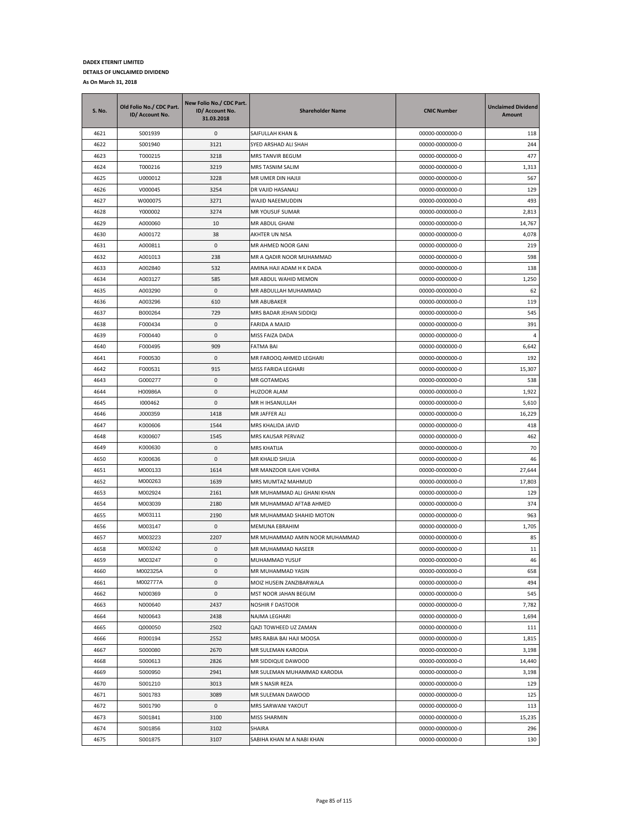| S. No. | Old Folio No./ CDC Part.<br>ID/ Account No. | New Folio No./ CDC Part.<br>ID/ Account No.<br>31.03.2018 | <b>Shareholder Name</b>        | <b>CNIC Number</b> | <b>Unclaimed Dividend</b><br>Amount |
|--------|---------------------------------------------|-----------------------------------------------------------|--------------------------------|--------------------|-------------------------------------|
| 4621   | S001939                                     | 0                                                         | SAIFULLAH KHAN &               | 00000-0000000-0    | 118                                 |
| 4622   | S001940                                     | 3121                                                      | SYED ARSHAD ALI SHAH           | 00000-0000000-0    | 244                                 |
| 4623   | T000215                                     | 3218                                                      | MRS TANVIR BEGUM               | 00000-0000000-0    | 477                                 |
| 4624   | T000216                                     | 3219                                                      | MRS TASNIM SALIM               | 00000-0000000-0    | 1,313                               |
| 4625   | U000012                                     | 3228                                                      | MR UMER DIN HAJIJI             | 00000-0000000-0    | 567                                 |
| 4626   | V000045                                     | 3254                                                      | DR VAJID HASANALI              | 00000-0000000-0    | 129                                 |
| 4627   | W000075                                     | 3271                                                      | WAJID NAEEMUDDIN               | 00000-0000000-0    | 493                                 |
| 4628   | Y000002                                     | 3274                                                      | MR YOUSUF SUMAR                | 00000-0000000-0    | 2,813                               |
| 4629   | A000060                                     | 10                                                        | MR ABDUL GHANI                 | 00000-0000000-0    | 14,767                              |
| 4630   | A000172                                     | 38                                                        | AKHTER UN NISA                 | 00000-0000000-0    | 4,078                               |
| 4631   | A000811                                     | 0                                                         | MR AHMED NOOR GANI             | 00000-0000000-0    | 219                                 |
| 4632   | A001013                                     | 238                                                       | MR A QADIR NOOR MUHAMMAD       | 00000-0000000-0    | 598                                 |
| 4633   | A002840                                     | 532                                                       | AMINA HAJI ADAM H K DADA       | 00000-0000000-0    | 138                                 |
| 4634   | A003127                                     | 585                                                       | MR ABDUL WAHID MEMON           | 00000-0000000-0    | 1,250                               |
| 4635   | A003290                                     | 0                                                         | MR ABDULLAH MUHAMMAD           | 00000-0000000-0    | 62                                  |
| 4636   | A003296                                     | 610                                                       | MR ABUBAKER                    | 00000-0000000-0    | 119                                 |
| 4637   | B000264                                     | 729                                                       | MRS BADAR JEHAN SIDDIQI        | 00000-0000000-0    | 545                                 |
| 4638   | F000434                                     | 0                                                         | FARIDA A MAJID                 | 00000-0000000-0    | 391                                 |
| 4639   | F000440                                     | 0                                                         | MISS FAIZA DADA                | 00000-0000000-0    | 4                                   |
| 4640   | F000495                                     | 909                                                       | FATMA BAI                      | 00000-0000000-0    | 6,642                               |
| 4641   | F000530                                     | 0                                                         | MR FAROOQ AHMED LEGHARI        | 00000-0000000-0    | 192                                 |
| 4642   | F000531                                     | 915                                                       | MISS FARIDA LEGHARI            | 00000-0000000-0    | 15,307                              |
| 4643   | G000277                                     | 0                                                         | MR GOTAMDAS                    | 00000-0000000-0    | 538                                 |
| 4644   | H00986A                                     | 0                                                         | HUZOOR ALAM                    | 00000-0000000-0    | 1,922                               |
| 4645   | 1000462                                     | 0                                                         | MR H IHSANULLAH                | 00000-0000000-0    | 5,610                               |
| 4646   | J000359                                     | 1418                                                      | MR JAFFER ALI                  | 00000-0000000-0    | 16,229                              |
| 4647   | K000606                                     | 1544                                                      | MRS KHALIDA JAVID              | 00000-0000000-0    | 418                                 |
| 4648   | K000607                                     | 1545                                                      | MRS KAUSAR PERVAIZ             | 00000-0000000-0    | 462                                 |
| 4649   | K000630                                     | 0                                                         | <b>MRS KHATIJA</b>             | 00000-0000000-0    | 70                                  |
| 4650   | K000636                                     | 0                                                         | MR KHALID SHUJA                | 00000-0000000-0    | 46                                  |
| 4651   | M000133                                     | 1614                                                      | MR MANZOOR ILAHI VOHRA         | 00000-0000000-0    | 27,644                              |
| 4652   | M000263                                     | 1639                                                      | MRS MUMTAZ MAHMUD              | 00000-0000000-0    | 17,803                              |
| 4653   | M002924                                     | 2161                                                      | MR MUHAMMAD ALI GHANI KHAN     | 00000-0000000-0    | 129                                 |
| 4654   | M003039                                     | 2180                                                      | MR MUHAMMAD AFTAB AHMED        | 00000-0000000-0    | 374                                 |
| 4655   | M003111                                     | 2190                                                      | MR MUHAMMAD SHAHID MOTON       | 00000-0000000-0    | 963                                 |
| 4656   | M003147                                     | 0                                                         | MEMUNA EBRAHIM                 | 00000-0000000-0    | 1,705                               |
| 4657   | M003223                                     | 2207                                                      | MR MUHAMMAD AMIN NOOR MUHAMMAD | 00000-0000000-0    | 85                                  |
| 4658   | M003242                                     | 0                                                         | MR MUHAMMAD NASEER             | 00000-0000000-0    | 11                                  |
| 4659   | M003247                                     | 0                                                         | MUHAMMAD YUSUF                 | 00000-0000000-0    | 46                                  |
| 4660   | M002325A                                    | 0                                                         | MR MUHAMMAD YASIN              | 00000-0000000-0    | 658                                 |
| 4661   | M002777A                                    | 0                                                         | MOIZ HUSEIN ZANZIBARWALA       | 00000-0000000-0    | 494                                 |
| 4662   | N000369                                     | $\pmb{0}$                                                 | MST NOOR JAHAN BEGUM           | 00000-0000000-0    | 545                                 |
| 4663   | N000640                                     | 2437                                                      | NOSHIR F DASTOOR               | 00000-0000000-0    | 7,782                               |
| 4664   | N000643                                     | 2438                                                      | NAJMA LEGHARI                  | 00000-0000000-0    | 1,694                               |
| 4665   | Q000050                                     | 2502                                                      | QAZI TOWHEED UZ ZAMAN          | 00000-0000000-0    | 111                                 |
| 4666   | R000194                                     | 2552                                                      | MRS RABIA BAI HAJI MOOSA       | 00000-0000000-0    | 1,815                               |
| 4667   | S000080                                     | 2670                                                      | MR SULEMAN KARODIA             | 00000-0000000-0    | 3,198                               |
| 4668   | S000613                                     | 2826                                                      | MR SIDDIQUE DAWOOD             | 00000-0000000-0    | 14,440                              |
| 4669   | S000950                                     | 2941                                                      | MR SULEMAN MUHAMMAD KARODIA    | 00000-0000000-0    | 3,198                               |
| 4670   | S001210                                     | 3013                                                      | MR S NASIR REZA                | 00000-0000000-0    | 129                                 |
| 4671   | S001783                                     | 3089                                                      | MR SULEMAN DAWOOD              | 00000-0000000-0    | 125                                 |
| 4672   | S001790                                     | 0                                                         | MRS SARWANI YAKOUT             | 00000-0000000-0    | 113                                 |
| 4673   | S001841                                     | 3100                                                      | <b>MISS SHARMIN</b>            | 00000-0000000-0    | 15,235                              |
| 4674   | S001856                                     | 3102                                                      | SHAIRA                         | 00000-0000000-0    | 296                                 |
| 4675   | S001875                                     | 3107                                                      | SABIHA KHAN M A NABI KHAN      | 00000-0000000-0    | 130                                 |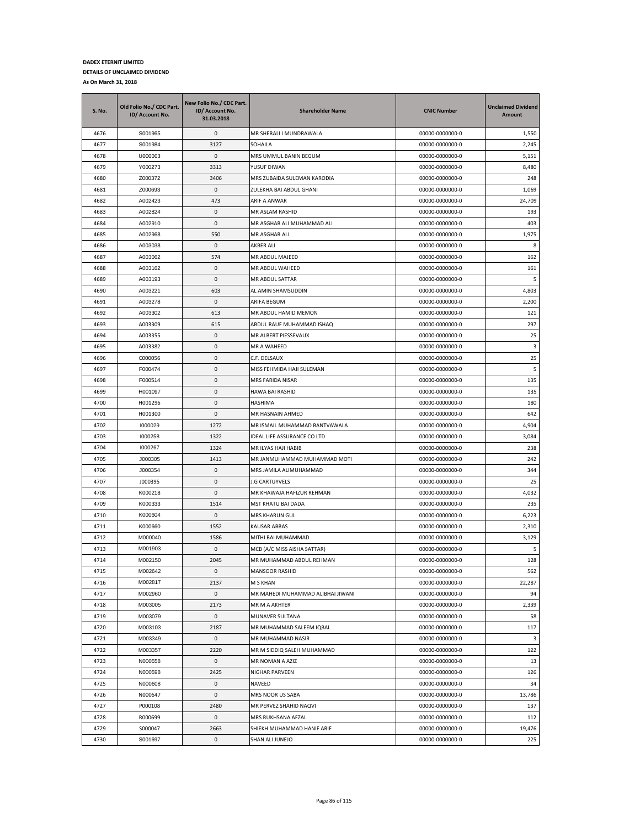| S. No. | Old Folio No./ CDC Part.<br>ID/ Account No. | New Folio No./ CDC Part.<br>ID/ Account No.<br>31.03.2018 | <b>Shareholder Name</b>           | <b>CNIC Number</b> | <b>Unclaimed Dividend</b><br>Amount |
|--------|---------------------------------------------|-----------------------------------------------------------|-----------------------------------|--------------------|-------------------------------------|
| 4676   | S001965                                     | 0                                                         | MR SHERALI I MUNDRAWALA           | 00000-0000000-0    | 1,550                               |
| 4677   | S001984                                     | 3127                                                      | SOHAILA                           | 00000-0000000-0    | 2,245                               |
| 4678   | U000003                                     | $\mathbf{0}$                                              | MRS UMMUL BANIN BEGUM             | 00000-0000000-0    | 5,151                               |
| 4679   | Y000273                                     | 3313                                                      | YUSUF DIWAN                       | 00000-0000000-0    | 8,480                               |
| 4680   | Z000372                                     | 3406                                                      | MRS ZUBAIDA SULEMAN KARODIA       | 00000-0000000-0    | 248                                 |
| 4681   | Z000693                                     | 0                                                         | ZULEKHA BAI ABDUL GHANI           | 00000-0000000-0    | 1,069                               |
| 4682   | A002423                                     | 473                                                       | ARIF A ANWAR                      | 00000-0000000-0    | 24,709                              |
| 4683   | A002824                                     | 0                                                         | MR ASLAM RASHID                   | 00000-0000000-0    | 193                                 |
| 4684   | A002910                                     | 0                                                         | MR ASGHAR ALI MUHAMMAD ALI        | 00000-0000000-0    | 403                                 |
| 4685   | A002968                                     | 550                                                       | MR ASGHAR ALI                     | 00000-0000000-0    | 1,975                               |
| 4686   | A003038                                     | 0                                                         | AKBER ALI                         | 00000-0000000-0    | 8                                   |
| 4687   | A003062                                     | 574                                                       | MR ABDUL MAJEED                   | 00000-0000000-0    | 162                                 |
| 4688   | A003162                                     | 0                                                         | MR ABDUL WAHEED                   | 00000-0000000-0    | 161                                 |
| 4689   | A003193                                     | 0                                                         | MR ABDUL SATTAR                   | 00000-0000000-0    | 5                                   |
| 4690   | A003221                                     | 603                                                       | AL AMIN SHAMSUDDIN                | 00000-0000000-0    | 4,803                               |
| 4691   | A003278                                     | 0                                                         | ARIFA BEGUM                       | 00000-0000000-0    | 2,200                               |
| 4692   | A003302                                     | 613                                                       | MR ABDUL HAMID MEMON              | 00000-0000000-0    | 121                                 |
| 4693   | A003309                                     | 615                                                       | ABDUL RAUF MUHAMMAD ISHAQ         | 00000-0000000-0    | 297                                 |
| 4694   | A003355                                     | 0                                                         | MR ALBERT PIESSEVAUX              | 00000-0000000-0    | 25                                  |
| 4695   | A003382                                     | 0                                                         | MR A WAHEED                       | 00000-0000000-0    | 3                                   |
| 4696   | C000056                                     | 0                                                         | C.F. DELSAUX                      | 00000-0000000-0    | 25                                  |
| 4697   | F000474                                     | 0                                                         | MISS FEHMIDA HAJI SULEMAN         | 00000-0000000-0    | 5                                   |
| 4698   | F000514                                     | 0                                                         | MRS FARIDA NISAR                  | 00000-0000000-0    | 135                                 |
| 4699   | H001097                                     | 0                                                         | HAWA BAI RASHID                   | 00000-0000000-0    | 135                                 |
| 4700   | H001296                                     | 0                                                         | HASHIMA                           | 00000-0000000-0    | 180                                 |
| 4701   | H001300                                     | 0                                                         | MR HASNAIN AHMED                  | 00000-0000000-0    | 642                                 |
| 4702   | 1000029                                     | 1272                                                      | MR ISMAIL MUHAMMAD BANTVAWALA     | 00000-0000000-0    | 4,904                               |
| 4703   | 1000258                                     | 1322                                                      | IDEAL LIFE ASSURANCE CO LTD       | 00000-0000000-0    | 3,084                               |
| 4704   | 1000267                                     | 1324                                                      | MR ILYAS HAJI HABIB               | 00000-0000000-0    | 238                                 |
| 4705   | J000305                                     | 1413                                                      | MR JANMUHAMMAD MUHAMMAD MOTI      | 00000-0000000-0    | 242                                 |
| 4706   | J000354                                     | 0                                                         | MRS JAMILA ALIMUHAMMAD            | 00000-0000000-0    | 344                                 |
| 4707   | J000395                                     | 0                                                         | J.G CARTUYVELS                    | 00000-0000000-0    | 25                                  |
| 4708   | K000218                                     | 0                                                         | MR KHAWAJA HAFIZUR REHMAN         | 00000-0000000-0    | 4,032                               |
| 4709   | K000333                                     | 1514                                                      | MST KHATU BAI DADA                | 00000-0000000-0    | 235                                 |
| 4710   | K000604                                     | 0                                                         | MRS KHARUN GUL                    | 00000-0000000-0    | 6,223                               |
| 4711   | K000660                                     | 1552                                                      | KAUSAR ABBAS                      | 00000-0000000-0    | 2,310                               |
| 4712   | M000040                                     | 1586                                                      | MITHI BAI MUHAMMAD                | 00000-0000000-0    | 3,129                               |
| 4713   | M001903                                     | 0                                                         | MCB (A/C MISS AISHA SATTAR)       | 00000-0000000-0    | 5                                   |
| 4714   | M002150                                     | 2045                                                      | MR MUHAMMAD ABDUL REHMAN          | 00000-0000000-0    | 128                                 |
| 4715   | M002642                                     | 0                                                         | MANSOOR RASHID                    | 00000-0000000-0    | 562                                 |
| 4716   | M002817                                     | 2137                                                      | M S KHAN                          | 00000-0000000-0    | 22,287                              |
| 4717   | M002960                                     | $\mathsf 0$                                               | MR MAHEDI MUHAMMAD ALIBHAI JIWANI | 00000-0000000-0    | 94                                  |
| 4718   | M003005                                     | 2173                                                      | MR M A AKHTER                     | 00000-0000000-0    | 2,339                               |
| 4719   | M003079                                     | 0                                                         | MUNAVER SULTANA                   | 00000-0000000-0    | 58                                  |
| 4720   | M003103                                     | 2187                                                      | MR MUHAMMAD SALEEM IQBAL          | 00000-0000000-0    | 117                                 |
| 4721   | M003349                                     | 0                                                         | MR MUHAMMAD NASIR                 | 00000-0000000-0    | 3                                   |
| 4722   | M003357                                     | 2220                                                      | MR M SIDDIQ SALEH MUHAMMAD        | 00000-0000000-0    | 122                                 |
| 4723   | N000558                                     | 0                                                         | MR NOMAN A AZIZ                   | 00000-0000000-0    | 13                                  |
| 4724   | N000598                                     | 2425                                                      | NIGHAR PARVEEN                    | 00000-0000000-0    | 126                                 |
| 4725   | N000608                                     | 0                                                         | NAVEED                            | 00000-0000000-0    | 34                                  |
| 4726   | N000647                                     | 0                                                         | MRS NOOR US SABA                  | 00000-0000000-0    | 13,786                              |
| 4727   | P000108                                     | 2480                                                      | MR PERVEZ SHAHID NAQVI            | 00000-0000000-0    | 137                                 |
| 4728   | R000699                                     | 0                                                         | MRS RUKHSANA AFZAL                | 00000-0000000-0    | 112                                 |
| 4729   | S000047                                     | 2663                                                      | SHIEKH MUHAMMAD HANIF ARIF        | 00000-0000000-0    | 19,476                              |
| 4730   | S001697                                     | 0                                                         | SHAN ALI JUNEJO                   | 00000-0000000-0    | 225                                 |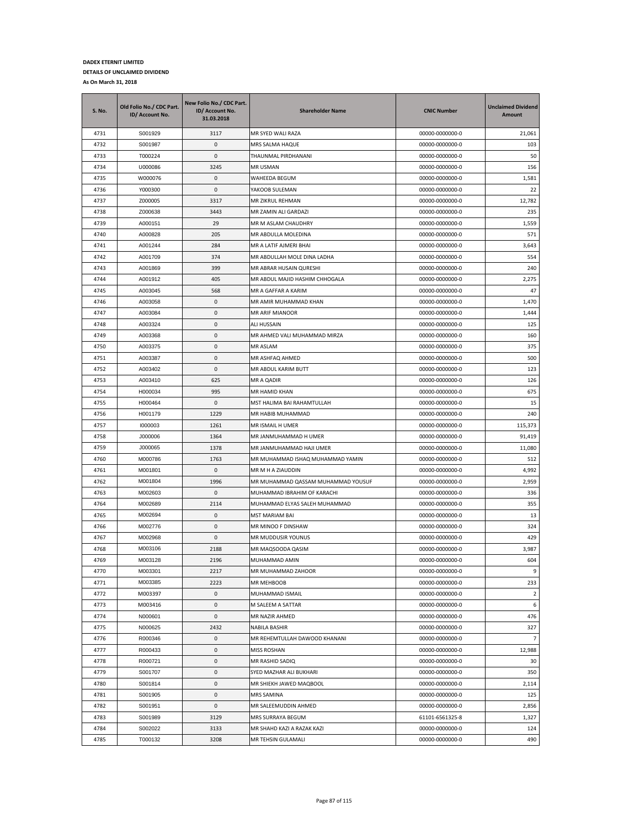| S. No. | Old Folio No./ CDC Part.<br>ID/ Account No. | New Folio No./ CDC Part.<br>ID/ Account No.<br>31.03.2018 | <b>Shareholder Name</b>            | <b>CNIC Number</b> | <b>Unclaimed Dividend</b><br>Amount |
|--------|---------------------------------------------|-----------------------------------------------------------|------------------------------------|--------------------|-------------------------------------|
| 4731   | S001929                                     | 3117                                                      | MR SYED WALI RAZA                  | 00000-0000000-0    | 21,061                              |
| 4732   | S001987                                     | 0                                                         | MRS SALMA HAQUE                    | 00000-0000000-0    | 103                                 |
| 4733   | T000224                                     | $\mathbf{0}$                                              | THAUNMAL PIRDHANANI                | 00000-0000000-0    | 50                                  |
| 4734   | U000086                                     | 3245                                                      | MR USMAN                           | 00000-0000000-0    | 156                                 |
| 4735   | W000076                                     | 0                                                         | WAHEEDA BEGUM                      | 00000-0000000-0    | 1,581                               |
| 4736   | Y000300                                     | 0                                                         | YAKOOB SULEMAN                     | 00000-0000000-0    | 22                                  |
| 4737   | Z000005                                     | 3317                                                      | MR ZIKRUL REHMAN                   | 00000-0000000-0    | 12,782                              |
| 4738   | Z000638                                     | 3443                                                      | MR ZAMIN ALI GARDAZI               | 00000-0000000-0    | 235                                 |
| 4739   | A000151                                     | 29                                                        | MR M ASLAM CHAUDHRY                | 00000-0000000-0    | 1,559                               |
| 4740   | A000828                                     | 205                                                       | MR ABDULLA MOLEDINA                | 00000-0000000-0    | 571                                 |
| 4741   | A001244                                     | 284                                                       | MR A LATIF AJMERI BHAI             | 00000-0000000-0    | 3,643                               |
| 4742   | A001709                                     | 374                                                       | MR ABDULLAH MOLE DINA LADHA        | 00000-0000000-0    | 554                                 |
| 4743   | A001869                                     | 399                                                       | MR ABRAR HUSAIN QURESHI            | 00000-0000000-0    | 240                                 |
| 4744   | A001912                                     | 405                                                       | MR ABDUL MAJID HASHIM CHHOGALA     | 00000-0000000-0    | 2,275                               |
| 4745   | A003045                                     | 568                                                       | MR A GAFFAR A KARIM                | 00000-0000000-0    | 47                                  |
| 4746   | A003058                                     | 0                                                         | MR AMIR MUHAMMAD KHAN              | 00000-0000000-0    | 1,470                               |
| 4747   | A003084                                     | 0                                                         | MR ARIF MIANOOR                    | 00000-0000000-0    | 1,444                               |
| 4748   | A003324                                     | 0                                                         | ALI HUSSAIN                        | 00000-0000000-0    | 125                                 |
| 4749   | A003368                                     | 0                                                         | MR AHMED VALI MUHAMMAD MIRZA       | 00000-0000000-0    | 160                                 |
| 4750   | A003375                                     | 0                                                         | MR ASLAM                           | 00000-0000000-0    | 375                                 |
| 4751   | A003387                                     | 0                                                         | MR ASHFAQ AHMED                    | 00000-0000000-0    | 500                                 |
| 4752   | A003402                                     | 0                                                         | MR ABDUL KARIM BUTT                | 00000-0000000-0    | 123                                 |
| 4753   | A003410                                     | 625                                                       | MR A QADIR                         | 00000-0000000-0    | 126                                 |
| 4754   | H000034                                     | 995                                                       | MR HAMID KHAN                      | 00000-0000000-0    | 675                                 |
| 4755   | H000464                                     | 0                                                         | MST HALIMA BAI RAHAMTULLAH         | 00000-0000000-0    | 15                                  |
| 4756   | H001179                                     | 1229                                                      | MR HABIB MUHAMMAD                  | 00000-0000000-0    | 240                                 |
| 4757   | 1000003                                     | 1261                                                      | MR ISMAIL H UMER                   | 00000-0000000-0    | 115,373                             |
| 4758   | J000006                                     | 1364                                                      | MR JANMUHAMMAD H UMER              | 00000-0000000-0    | 91,419                              |
| 4759   | J000065                                     | 1378                                                      | MR JANMUHAMMAD HAJI UMER           | 00000-0000000-0    | 11,080                              |
| 4760   | M000786                                     | 1763                                                      | MR MUHAMMAD ISHAQ MUHAMMAD YAMIN   | 00000-0000000-0    | 512                                 |
| 4761   | M001801                                     | 0                                                         | MR M H A ZIAUDDIN                  | 00000-0000000-0    | 4,992                               |
| 4762   | M001804                                     | 1996                                                      | MR MUHAMMAD QASSAM MUHAMMAD YOUSUF | 00000-0000000-0    | 2,959                               |
| 4763   | M002603                                     | 0                                                         | MUHAMMAD IBRAHIM OF KARACHI        | 00000-0000000-0    | 336                                 |
| 4764   | M002689                                     | 2114                                                      | MUHAMMAD ELYAS SALEH MUHAMMAD      | 00000-0000000-0    | 355                                 |
| 4765   | M002694                                     | 0                                                         | <b>MST MARIAM BAI</b>              | 00000-0000000-0    | 13                                  |
| 4766   | M002776                                     | 0                                                         | MR MINOO F DINSHAW                 | 00000-0000000-0    | 324                                 |
| 4767   | M002968                                     | 0                                                         | MR MUDDUSIR YOUNUS                 | 00000-0000000-0    | 429                                 |
| 4768   | M003106                                     | 2188                                                      | MR MAQSOODA QASIM                  | 00000-0000000-0    | 3,987                               |
| 4769   | M003128                                     | 2196                                                      | MUHAMMAD AMIN                      | 00000-0000000-0    | 604                                 |
| 4770   | M003301                                     | 2217                                                      | MR MUHAMMAD ZAHOOR                 | 00000-0000000-0    | 9                                   |
| 4771   | M003385                                     | 2223                                                      | MR MEHBOOB                         | 00000-0000000-0    | 233                                 |
| 4772   | M003397                                     | $\pmb{0}$                                                 | MUHAMMAD ISMAIL                    | 00000-0000000-0    | $\overline{2}$                      |
| 4773   | M003416                                     | 0                                                         | M SALEEM A SATTAR                  | 00000-0000000-0    | 6                                   |
| 4774   | N000601                                     | 0                                                         | MR NAZIR AHMED                     | 00000-0000000-0    | 476                                 |
| 4775   | N000625                                     | 2432                                                      | NABILA BASHIR                      | 00000-0000000-0    | 327                                 |
| 4776   | R000346                                     | 0                                                         | MR REHEMTULLAH DAWOOD KHANANI      | 00000-0000000-0    | $\overline{7}$                      |
| 4777   | R000433                                     | 0                                                         | <b>MISS ROSHAN</b>                 | 00000-0000000-0    | 12,988                              |
| 4778   | R000721                                     | 0                                                         | MR RASHID SADIQ                    | 00000-0000000-0    | 30                                  |
| 4779   | S001707                                     | 0                                                         | SYED MAZHAR ALI BUKHARI            | 00000-0000000-0    | 350                                 |
| 4780   | S001814                                     | 0                                                         | MR SHIEKH JAWED MAQBOOL            | 00000-0000000-0    | 2,114                               |
| 4781   | S001905                                     | 0                                                         | <b>MRS SAMINA</b>                  | 00000-0000000-0    | 125                                 |
| 4782   | S001951                                     | 0                                                         | MR SALEEMUDDIN AHMED               | 00000-0000000-0    | 2,856                               |
| 4783   | S001989                                     | 3129                                                      | MRS SURRAYA BEGUM                  | 61101-6561325-8    | 1,327                               |
| 4784   | S002022                                     | 3133                                                      | MR SHAHD KAZI A RAZAK KAZI         | 00000-0000000-0    | 124                                 |
| 4785   | T000132                                     | 3208                                                      | MR TEHSIN GULAMALI                 | 00000-0000000-0    | 490                                 |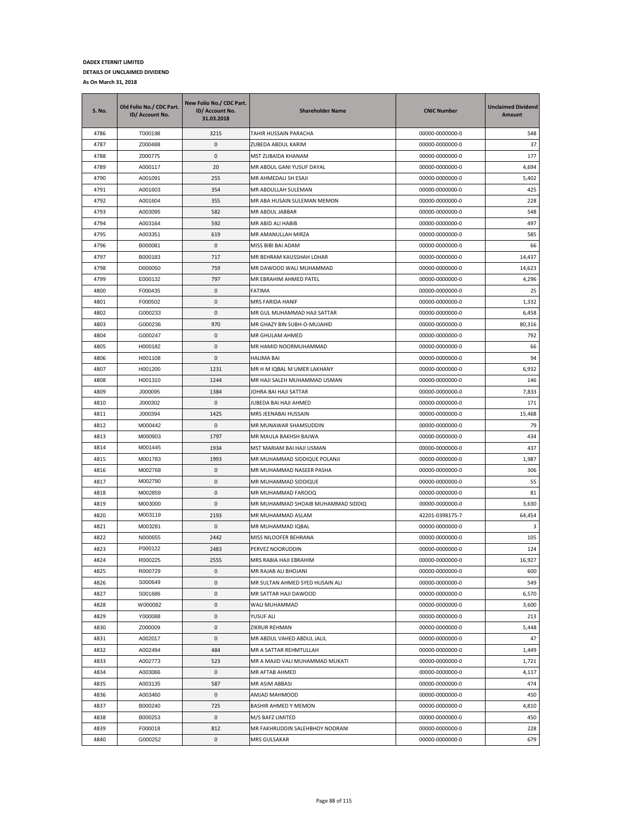| <b>S. No.</b> | Old Folio No./ CDC Part.<br>ID/ Account No. | New Folio No./ CDC Part.<br>ID/ Account No.<br>31.03.2018 | <b>Shareholder Name</b>            | <b>CNIC Number</b> | <b>Unclaimed Dividend</b><br>Amount |
|---------------|---------------------------------------------|-----------------------------------------------------------|------------------------------------|--------------------|-------------------------------------|
| 4786          | T000198                                     | 3215                                                      | TAHIR HUSSAIN PARACHA              | 00000-0000000-0    | 548                                 |
| 4787          | Z000488                                     | 0                                                         | ZUBEDA ABDUL KARIM                 | 00000-0000000-0    | 37                                  |
| 4788          | Z000775                                     | 0                                                         | MST ZUBAIDA KHANAM                 | 00000-0000000-0    | 177                                 |
| 4789          | A000117                                     | 20                                                        | MR ABDUL GANI YUSUF DAYAL          | 00000-0000000-0    | 4,694                               |
| 4790          | A001091                                     | 255                                                       | MR AHMEDALI SH ESAJI               | 00000-0000000-0    | 5,402                               |
| 4791          | A001603                                     | 354                                                       | MR ABDULLAH SULEMAN                | 00000-0000000-0    | 425                                 |
| 4792          | A001604                                     | 355                                                       | MR ABA HUSAIN SULEMAN MEMON        | 00000-0000000-0    | 228                                 |
| 4793          | A003095                                     | 582                                                       | MR ABDUL JABBAR                    | 00000-0000000-0    | 548                                 |
| 4794          | A003164                                     | 592                                                       | MR ABID ALI HABIB                  | 00000-0000000-0    | 497                                 |
| 4795          | A003351                                     | 619                                                       | MR AMANULLAH MIRZA                 | 00000-0000000-0    | 585                                 |
| 4796          | B000081                                     | 0                                                         | MISS BIBI BAI ADAM                 | 00000-0000000-0    | 66                                  |
| 4797          | B000183                                     | 717                                                       | MR BEHRAM KAUSSHAH LOHAR           | 00000-0000000-0    | 14,437                              |
| 4798          | D000050                                     | 759                                                       | MR DAWOOD WALI MUHAMMAD            | 00000-0000000-0    | 14,623                              |
| 4799          | E000132                                     | 797                                                       | MR EBRAHIM AHMED PATEL             | 00000-0000000-0    | 4,296                               |
| 4800          | F000435                                     | 0                                                         | FATIMA                             | 00000-0000000-0    | 25                                  |
| 4801          | F000502                                     | 0                                                         | MRS FARIDA HANIF                   | 00000-0000000-0    | 1,332                               |
| 4802          | G000233                                     | 0                                                         | MR GUL MUHAMMAD HAJI SATTAR        | 00000-0000000-0    | 6,458                               |
| 4803          | G000236                                     | 970                                                       | MR GHAZY BIN SUBH-O-MUJAHID        | 00000-0000000-0    | 80,316                              |
| 4804          | G000247                                     | 0                                                         | MR GHULAM AHMED                    | 00000-0000000-0    | 792                                 |
| 4805          | H000182                                     | 0                                                         | MR HAMID NOORMUHAMMAD              | 00000-0000000-0    | 66                                  |
| 4806          | H001108                                     | 0                                                         | HALIMA BAI                         | 00000-0000000-0    | 94                                  |
| 4807          | H001200                                     | 1231                                                      | MR H M IQBAL M UMER LAKHANY        | 00000-0000000-0    | 6,932                               |
| 4808          | H001310                                     | 1244                                                      | MR HAJI SALEH MUHAMMAD USMAN       | 00000-0000000-0    | 146                                 |
| 4809          | J000095                                     | 1384                                                      | JOHRA BAI HAJI SATTAR              | 00000-0000000-0    | 7,833                               |
| 4810          | J000302                                     | 0                                                         | JUBEDA BAI HAJI AHMED              | 00000-0000000-0    | 171                                 |
| 4811          | J000394                                     | 1425                                                      | MRS JEENABAI HUSSAIN               | 00000-0000000-0    | 15,468                              |
| 4812          | M000442                                     | 0                                                         | MR MUNAWAR SHAMSUDDIN              | 00000-0000000-0    | 79                                  |
| 4813          | M000903                                     | 1797                                                      | MR MAULA BAKHSH BAJWA              | 00000-0000000-0    | 434                                 |
| 4814          | M001445                                     | 1934                                                      | MST MARIAM BAI HAJI USMAN          | 00000-0000000-0    | 437                                 |
| 4815          | M001783                                     | 1993                                                      | MR MUHAMMAD SIDDIQUE POLANJI       | 00000-0000000-0    | 1,987                               |
| 4816          | M002768                                     | 0                                                         | MR MUHAMMAD NASEER PASHA           | 00000-0000000-0    | 306                                 |
| 4817          | M002790                                     | 0                                                         | MR MUHAMMAD SIDDIQUE               | 00000-0000000-0    | 55                                  |
| 4818          | M002859                                     | 0                                                         | MR MUHAMMAD FAROOQ                 | 00000-0000000-0    | 81                                  |
| 4819          | M003000                                     | 0                                                         | MR MUHAMMAD SHOAIB MUHAMMAD SIDDIQ | 00000-0000000-0    | 3,630                               |
| 4820          | M003119                                     | 2193                                                      | MR MUHAMMAD ASLAM                  | 42201-0398175-7    | 64,454                              |
| 4821          | M003281                                     | 0                                                         | MR MUHAMMAD IQBAL                  | 00000-0000000-0    | 3                                   |
| 4822          | N000655                                     | 2442                                                      | MISS NILOOFER BEHRANA              | 00000-0000000-0    | 105                                 |
| 4823          | P000122                                     | 2483                                                      | PERVEZ NOORUDDIN                   | 00000-0000000-0    | 124                                 |
| 4824          | R000225                                     | 2555                                                      | MRS RABIA HAJI EBRAHIM             | 00000-0000000-0    | 16,927                              |
| 4825          | R000729                                     | 0                                                         | MR RAJAB ALI BHOJANI               | 00000-0000000-0    | 600                                 |
| 4826          | S000649                                     | 0                                                         | MR SULTAN AHMED SYED HUSAIN ALI    | 00000-0000000-0    | 549                                 |
| 4827          | S001686                                     | $\mathsf 0$                                               | MR SATTAR HAJI DAWOOD              | 00000-0000000-0    | 6,570                               |
| 4828          | W000082                                     | 0                                                         | WALI MUHAMMAD                      | 00000-0000000-0    | 3,600                               |
| 4829          | Y000088                                     | 0                                                         | YUSUF ALI                          | 00000-0000000-0    | 213                                 |
| 4830          | Z000009                                     | 0                                                         | ZIKRUR REHMAN                      | 00000-0000000-0    | 5,448                               |
| 4831          | A002017                                     | 0                                                         | MR ABDUL VAHED ABDUL JALIL         | 00000-0000000-0    | 47                                  |
| 4832          | A002494                                     | 484                                                       | MR A SATTAR REHMTULLAH             | 00000-0000000-0    | 1,449                               |
| 4833          | A002773                                     | 523                                                       | MR A MAJID VALI MUHAMMAD MUKATI    | 00000-0000000-0    | 1,721                               |
| 4834          | A003066                                     | 0                                                         | MR AFTAB AHMED                     | 00000-0000000-0    | 4,117                               |
| 4835          | A003135                                     | 587                                                       | MR ASIM ABBASI                     | 00000-0000000-0    | 474                                 |
| 4836          | A003460                                     | 0                                                         | AMJAD MAHMOOD                      | 00000-0000000-0    | 450                                 |
| 4837          | B000240                                     | 725                                                       | BASHIR AHMED Y MEMON               | 00000-0000000-0    | 4,810                               |
| 4838          | B000253                                     | 0                                                         | M/S BAFZ LIMITED                   | 00000-0000000-0    | 450                                 |
| 4839          | F000018                                     | 812                                                       | MR FAKHRUDDIN SALEHBHOY NOORANI    | 00000-0000000-0    | 228                                 |
| 4840          | G000252                                     | $\mathbf 0$                                               | MRS GULSAKAR                       | 00000-0000000-0    | 679                                 |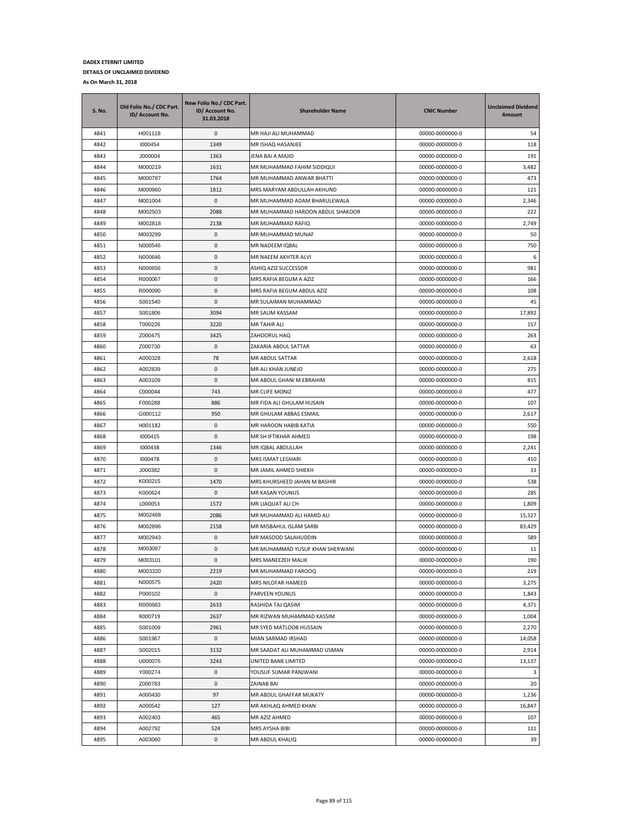| <b>S. No.</b> | Old Folio No./ CDC Part.<br>ID/ Account No. | New Folio No./ CDC Part.<br>ID/ Account No.<br>31.03.2018 | <b>Shareholder Name</b>          | <b>CNIC Number</b> | <b>Unclaimed Dividend</b><br><b>Amount</b> |
|---------------|---------------------------------------------|-----------------------------------------------------------|----------------------------------|--------------------|--------------------------------------------|
| 4841          | H001118                                     | 0                                                         | MR HAJI ALI MUHAMMAD             | 00000-0000000-0    | 54                                         |
| 4842          | 1000454                                     | 1349                                                      | MR ISHAQ HASANJEE                | 00000-0000000-0    | 118                                        |
| 4843          | J000004                                     | 1363                                                      | JENA BAI A MAJID                 | 00000-0000000-0    | 191                                        |
| 4844          | M000219                                     | 1631                                                      | MR MUHAMMAD FAHIM SIDDIQUI       | 00000-0000000-0    | 3,482                                      |
| 4845          | M000787                                     | 1764                                                      | MR MUHAMMAD ANWAR BHATTI         | 00000-0000000-0    | 473                                        |
| 4846          | M000960                                     | 1812                                                      | MRS MARYAM ABDULLAH AKHUND       | 00000-0000000-0    | 121                                        |
| 4847          | M001004                                     | 0                                                         | MR MUHAMMAD ADAM BHARULEWALA     | 00000-0000000-0    | 2,346                                      |
| 4848          | M002503                                     | 2088                                                      | MR MUHAMMAD HAROON ABDUL SHAKOOR | 00000-0000000-0    | 222                                        |
| 4849          | M002818                                     | 2138                                                      | MR MUHAMMAD RAFIQ                | 00000-0000000-0    | 2,749                                      |
| 4850          | M003299                                     | 0                                                         | MR MUHAMMAD MUNAF                | 00000-0000000-0    | 50                                         |
| 4851          | N000546                                     | 0                                                         | MR NADEEM IQBAL                  | 00000-0000000-0    | 750                                        |
| 4852          | N000646                                     | 0                                                         | MR NAEEM AKHTER ALVI             | 00000-0000000-0    | 6                                          |
| 4853          | N000656                                     | 0                                                         | ASHIQ AZIZ SUCCESSOR             | 00000-0000000-0    | 981                                        |
| 4854          | R000067                                     | 0                                                         | MRS RAFIA BEGUM A AZIZ           | 00000-0000000-0    | 166                                        |
| 4855          | R000090                                     | 0                                                         | MRS RAFIA BEGUM ABDUL AZIZ       | 00000-0000000-0    | 108                                        |
| 4856          | S001540                                     | 0                                                         | MR SULAIMAN MUHAMMAD             | 00000-0000000-0    | 45                                         |
| 4857          | S001806                                     | 3094                                                      | MR SALIM KASSAM                  | 00000-0000000-0    | 17,892                                     |
| 4858          | T000226                                     | 3220                                                      | <b>MR TAHIR ALI</b>              | 00000-0000000-0    | 157                                        |
| 4859          | Z000475                                     | 3425                                                      | ZAHOORUL HAQ                     | 00000-0000000-0    | 263                                        |
| 4860          | Z000730                                     | 0                                                         | ZAKARIA ABDUL SATTAR             | 00000-0000000-0    | 63                                         |
| 4861          | A000328                                     | 78                                                        | MR ABDUL SATTAR                  | 00000-0000000-0    | 2,618                                      |
| 4862          | A002839                                     | 0                                                         | MR ALI KHAN JUNEJO               | 00000-0000000-0    | 275                                        |
| 4863          | A003109                                     | 0                                                         | MR ABDUL GHANI M EBRAHIM         | 00000-0000000-0    | 815                                        |
| 4864          | C000044                                     | 743                                                       | MR CLIFE MONIZ                   | 00000-0000000-0    | 477                                        |
| 4865          | F000288                                     | 886                                                       | MR FIDA ALI GHULAM HUSAIN        | 00000-0000000-0    | 107                                        |
| 4866          | G000112                                     | 950                                                       | MR GHULAM ABBAS ESMAIL           | 00000-0000000-0    | 2,617                                      |
| 4867          | H001182                                     | 0                                                         | MR HAROON HABIB KATIA            | 00000-0000000-0    | 550                                        |
| 4868          | 1000415                                     | 0                                                         | MR SH IFTIKHAR AHMED             | 00000-0000000-0    | 198                                        |
| 4869          | 1000438                                     | 1346                                                      | MR IQBAL ABDULLAH                | 00000-0000000-0    | 2,241                                      |
| 4870          | 1000478                                     | 0                                                         | MRS ISMAT LEGHARI                | 00000-0000000-0    | 410                                        |
| 4871          | J000382                                     | 0                                                         | MR JAMIL AHMED SHIEKH            | 00000-0000000-0    | 33                                         |
| 4872          | K000215                                     | 1470                                                      | MRS KHURSHEED JAHAN M BASHIR     | 00000-0000000-0    | 538                                        |
| 4873          | K000624                                     | 0                                                         | MR KASAN YOUNUS                  | 00000-0000000-0    | 285                                        |
| 4874          | L000053                                     | 1572                                                      | MR LIAQUAT ALI CH                | 00000-0000000-0    | 1,809                                      |
| 4875          | M002468                                     | 2086                                                      | MR MUHAMMAD ALI HAMID ALI        | 00000-0000000-0    | 15,327                                     |
| 4876          | M002896                                     | 2158                                                      | MR MISBAHUL ISLAM SARBI          | 00000-0000000-0    | 83,429                                     |
| 4877          | M002943                                     | 0                                                         | MR MASOOD SALAHUDDIN             | 00000-0000000-0    | 589                                        |
| 4878          | M003087                                     | 0                                                         | MR MUHAMMAD YUSUF KHAN SHERWANI  | 00000-0000000-0    | 11                                         |
| 4879          | M003101                                     | $\mathbf{0}$                                              | MRS MANEEZEH MALIK               | 00000-0000000-0    | 190                                        |
| 4880          | M003320                                     | 2219                                                      | MR MUHAMMAD FAROOQ               | 00000-0000000-0    | 219                                        |
| 4881          | N000575                                     | 2420                                                      | MRS NILOFAR HAMEED               | 00000-0000000-0    | 3,275                                      |
| 4882          | P000102                                     | 0                                                         | PARVEEN YOUNUS                   | 00000-0000000-0    | 1,843                                      |
| 4883          | R000683                                     | 2633                                                      | RASHIDA TAJ QASIM                | 00000-0000000-0    | 4,371                                      |
| 4884          | R000719                                     | 2637                                                      | MR RIZWAN MUHAMMAD KASSIM        | 00000-0000000-0    | 1,004                                      |
| 4885          | S001009                                     | 2961                                                      | MR SYED MATLOOB HUSSAIN          | 00000-0000000-0    | 2,270                                      |
| 4886          | S001967                                     | 0                                                         | MIAN SARMAD IRSHAD               | 00000-0000000-0    | 14,058                                     |
| 4887          | S002015                                     | 3132                                                      | MR SAADAT ALI MUHAMMAD USMAN     | 00000-0000000-0    | 2,914                                      |
| 4888          | U000076                                     | 3243                                                      | UNITED BANK LIMITED              | 00000-0000000-0    | 13,137                                     |
| 4889          | Y000274                                     | 0                                                         | YOUSUF SUMAR PANJWANI            | 00000-0000000-0    | 3                                          |
| 4890          | Z000783                                     | 0                                                         | ZAINAB BAI                       | 00000-0000000-0    | 20                                         |
| 4891          | A000430                                     | 97                                                        | MR ABDUL GHAFFAR MUKATY          | 00000-0000000-0    | 1,236                                      |
| 4892          | A000542                                     | 127                                                       | MR AKHLAQ AHMED KHAN             | 00000-0000000-0    | 16,847                                     |
| 4893          | A002403                                     | 465                                                       | MR AZIZ AHMED                    | 00000-0000000-0    | 107                                        |
| 4894          | A002792                                     | 524                                                       | MRS AYSHA BIBI                   | 00000-0000000-0    | 111                                        |
| 4895          | A003060                                     | 0                                                         | MR ABDUL KHALIQ                  | 00000-0000000-0    | 39                                         |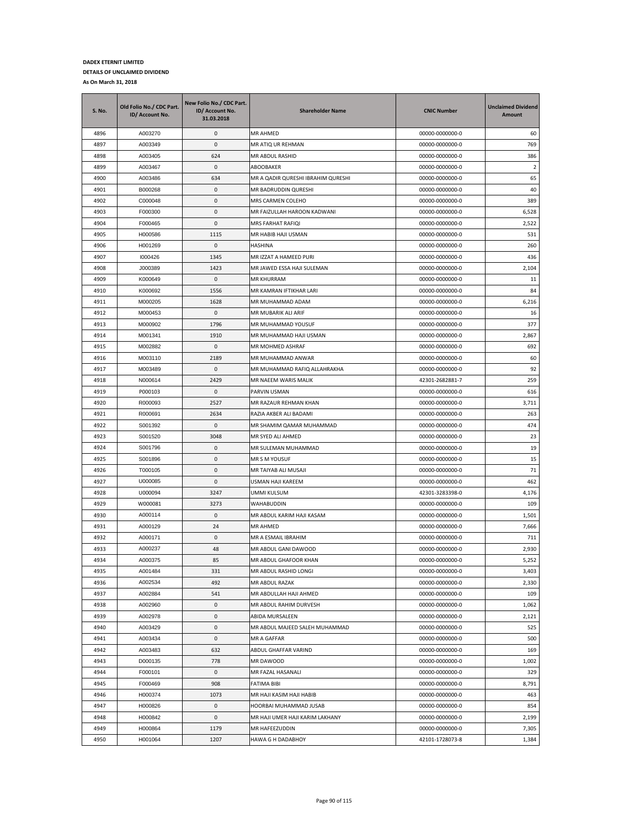| <b>S. No.</b> | Old Folio No./ CDC Part.<br>ID/ Account No. | New Folio No./ CDC Part.<br>ID/ Account No.<br>31.03.2018 | <b>Shareholder Name</b>                          | <b>CNIC Number</b>                 | <b>Unclaimed Dividend</b><br>Amount |
|---------------|---------------------------------------------|-----------------------------------------------------------|--------------------------------------------------|------------------------------------|-------------------------------------|
| 4896          | A003270                                     | 0                                                         | MR AHMED                                         | 00000-0000000-0                    | 60                                  |
| 4897          | A003349                                     | 0                                                         | MR ATIQ UR REHMAN                                | 00000-0000000-0                    | 769                                 |
| 4898          | A003405                                     | 624                                                       | MR ABDUL RASHID                                  | 00000-0000000-0                    | 386                                 |
| 4899          | A003467                                     | 0                                                         | ABOOBAKER                                        | 00000-0000000-0                    | $\overline{2}$                      |
| 4900          | A003486                                     | 634                                                       | MR A QADIR QURESHI IBRAHIM QURESHI               | 00000-0000000-0                    | 65                                  |
| 4901          | B000268                                     | 0                                                         | MR BADRUDDIN QURESHI                             | 00000-0000000-0                    | 40                                  |
| 4902          | C000048                                     | 0                                                         | MRS CARMEN COLEHO                                | 00000-0000000-0                    | 389                                 |
| 4903          | F000300                                     | 0                                                         | MR FAIZULLAH HAROON KADWANI                      | 00000-0000000-0                    | 6,528                               |
| 4904          | F000465                                     | 0                                                         | MRS FARHAT RAFIQI                                | 00000-0000000-0                    | 2,522                               |
| 4905          | H000586                                     | 1115                                                      | MR HABIB HAJI USMAN                              | 00000-0000000-0                    | 531                                 |
| 4906          | H001269                                     | 0                                                         | <b>HASHINA</b>                                   | 00000-0000000-0                    | 260                                 |
| 4907          | 1000426                                     | 1345                                                      | MR IZZAT A HAMEED PURI                           | 00000-0000000-0                    | 436                                 |
| 4908          | J000389                                     | 1423                                                      | MR JAWED ESSA HAJI SULEMAN                       | 00000-0000000-0                    | 2,104                               |
| 4909          | K000649                                     | 0                                                         | MR KHURRAM                                       | 00000-0000000-0                    | 11                                  |
| 4910          | K000692                                     | 1556                                                      | MR KAMRAN IFTIKHAR LARI                          | 00000-0000000-0                    | 84                                  |
| 4911          | M000205                                     | 1628                                                      | MR MUHAMMAD ADAM                                 | 00000-0000000-0                    | 6,216                               |
| 4912          | M000453                                     | 0                                                         | MR MUBARIK ALI ARIF                              | 00000-0000000-0                    | 16                                  |
| 4913          | M000902                                     | 1796                                                      | MR MUHAMMAD YOUSUF                               | 00000-0000000-0                    | 377                                 |
| 4914          | M001341                                     | 1910                                                      | MR MUHAMMAD HAJI USMAN                           | 00000-0000000-0                    | 2,867                               |
| 4915          | M002882                                     | 0                                                         | MR MOHMED ASHRAF                                 | 00000-0000000-0                    | 692                                 |
| 4916          | M003110                                     | 2189                                                      | MR MUHAMMAD ANWAR                                | 00000-0000000-0                    | 60                                  |
| 4917          | M003489                                     | 0                                                         | MR MUHAMMAD RAFIQ ALLAHRAKHA                     | 00000-0000000-0                    | 92                                  |
| 4918          | N000614                                     | 2429                                                      | MR NAEEM WARIS MALIK                             | 42301-2682881-7                    | 259                                 |
| 4919          | P000103                                     | 0                                                         | PARVIN USMAN                                     | 00000-0000000-0                    | 616                                 |
| 4920          | R000093                                     | 2527                                                      | MR RAZAUR REHMAN KHAN                            | 00000-0000000-0                    | 3,711                               |
| 4921          | R000691                                     | 2634                                                      | RAZIA AKBER ALI BADAMI                           | 00000-0000000-0                    | 263                                 |
| 4922          | S001392                                     | 0                                                         | MR SHAMIM QAMAR MUHAMMAD                         | 00000-0000000-0                    | 474                                 |
| 4923          | S001520                                     | 3048                                                      | MR SYED ALI AHMED                                | 00000-0000000-0                    | 23                                  |
| 4924          | S001796                                     | 0                                                         | MR SULEMAN MUHAMMAD                              | 00000-0000000-0                    | 19                                  |
| 4925          | S001896                                     | 0                                                         | MR S M YOUSUF                                    | 00000-0000000-0                    | 15                                  |
| 4926          | T000105                                     | 0                                                         | MR TAIYAB ALI MUSAJI                             | 00000-0000000-0                    | 71                                  |
| 4927          | U000085                                     | 0                                                         | USMAN HAJI KAREEM                                | 00000-0000000-0                    | 462                                 |
| 4928          | U000094                                     | 3247                                                      | UMMI KULSUM                                      | 42301-3283398-0                    | 4,176                               |
| 4929          | W000081                                     | 3273                                                      | WAHABUDDIN                                       | 00000-0000000-0                    | 109                                 |
| 4930          | A000114                                     | 0                                                         | MR ABDUL KARIM HAJI KASAM                        | 00000-0000000-0                    | 1,501                               |
| 4931          | A000129<br>A000171                          | 24                                                        | MR AHMED                                         | 00000-0000000-0                    | 7,666                               |
| 4932          |                                             | 0                                                         | MR A ESMAIL IBRAHIM                              | 00000-0000000-0                    | 711                                 |
| 4933          | A000237                                     | 48                                                        | MR ABDUL GANI DAWOOD                             | 00000-0000000-0                    | 2,930                               |
| 4934          | A000375                                     | 85                                                        | MR ABDUL GHAFOOR KHAN                            | 00000-0000000-0                    | 5,252                               |
| 4935<br>4936  | A001484<br>A002534                          | 331<br>492                                                | MR ABDUL RASHID LONGI<br>MR ABDUL RAZAK          | 00000-0000000-0<br>00000-0000000-0 | 3,403<br>2,330                      |
|               |                                             |                                                           |                                                  |                                    | 109                                 |
| 4937<br>4938  | A002884<br>A002960                          | 541<br>0                                                  | MR ABDULLAH HAJI AHMED<br>MR ABDUL RAHIM DURVESH | 00000-0000000-0<br>00000-0000000-0 | 1,062                               |
| 4939          | A002978                                     | 0                                                         | ABIDA MURSALEEN                                  | 00000-0000000-0                    | 2,121                               |
| 4940          | A003429                                     | 0                                                         | MR ABDUL MAJEED SALEH MUHAMMAD                   | 00000-0000000-0                    | 525                                 |
| 4941          | A003434                                     | 0                                                         | MR A GAFFAR                                      | 00000-0000000-0                    | 500                                 |
| 4942          | A003483                                     | 632                                                       | ABDUL GHAFFAR VARIND                             | 00000-0000000-0                    | 169                                 |
| 4943          | D000135                                     | 778                                                       | MR DAWOOD                                        | 00000-0000000-0                    | 1,002                               |
| 4944          | F000101                                     | 0                                                         | MR FAZAL HASANALI                                | 00000-0000000-0                    | 329                                 |
| 4945          | F000469                                     | 908                                                       | FATIMA BIBI                                      | 00000-0000000-0                    | 8,791                               |
| 4946          | H000374                                     | 1073                                                      | MR HAJI KASIM HAJI HABIB                         | 00000-0000000-0                    | 463                                 |
| 4947          | H000826                                     | 0                                                         | HOORBAI MUHAMMAD JUSAB                           | 00000-0000000-0                    | 854                                 |
| 4948          | H000842                                     | 0                                                         | MR HAJI UMER HAJI KARIM LAKHANY                  | 00000-0000000-0                    | 2,199                               |
| 4949          | H000864                                     | 1179                                                      | MR HAFEEZUDDIN                                   | 00000-0000000-0                    | 7,305                               |
| 4950          | H001064                                     | 1207                                                      | HAWA G H DADABHOY                                | 42101-1728073-8                    | 1,384                               |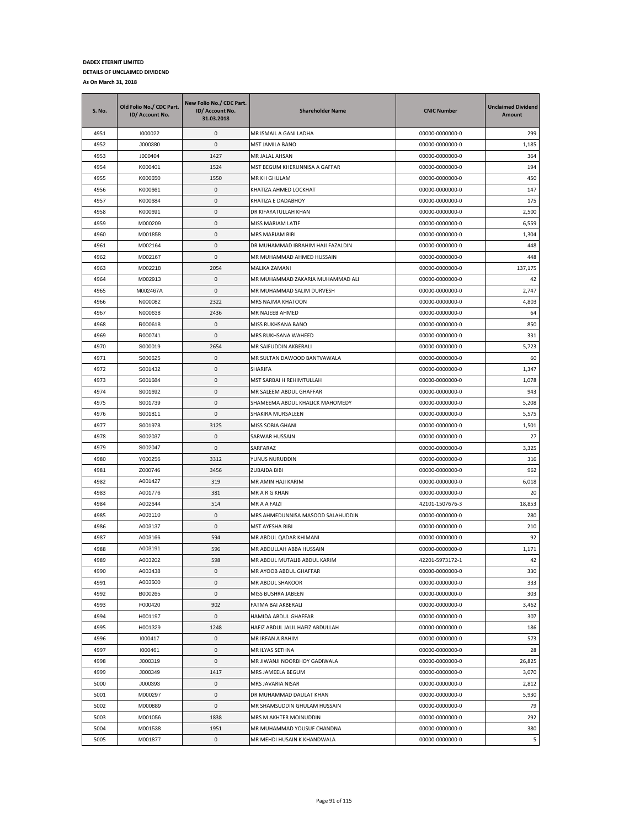| <b>S. No.</b> | Old Folio No./ CDC Part.<br>ID/ Account No. | New Folio No./ CDC Part.<br>ID/ Account No.<br>31.03.2018 | <b>Shareholder Name</b>           | <b>CNIC Number</b> | <b>Unclaimed Dividend</b><br>Amount |
|---------------|---------------------------------------------|-----------------------------------------------------------|-----------------------------------|--------------------|-------------------------------------|
| 4951          | 1000022                                     | 0                                                         | MR ISMAIL A GANI LADHA            | 00000-0000000-0    | 299                                 |
| 4952          | J000380                                     | 0                                                         | MST JAMILA BANO                   | 00000-0000000-0    | 1,185                               |
| 4953          | J000404                                     | 1427                                                      | MR JALAL AHSAN                    | 00000-0000000-0    | 364                                 |
| 4954          | K000401                                     | 1524                                                      | MST BEGUM KHERUNNISA A GAFFAR     | 00000-0000000-0    | 194                                 |
| 4955          | K000650                                     | 1550                                                      | MR KH GHULAM                      | 00000-0000000-0    | 450                                 |
| 4956          | K000661                                     | 0                                                         | KHATIZA AHMED LOCKHAT             | 00000-0000000-0    | 147                                 |
| 4957          | K000684                                     | 0                                                         | KHATIZA E DADABHOY                | 00000-0000000-0    | 175                                 |
| 4958          | K000691                                     | 0                                                         | DR KIFAYATULLAH KHAN              | 00000-0000000-0    | 2,500                               |
| 4959          | M000209                                     | 0                                                         | MISS MARIAM LATIF                 | 00000-0000000-0    | 6,559                               |
| 4960          | M001858                                     | 0                                                         | MRS MARIAM BIBI                   | 00000-0000000-0    | 1,304                               |
| 4961          | M002164                                     | 0                                                         | DR MUHAMMAD IBRAHIM HAJI FAZALDIN | 00000-0000000-0    | 448                                 |
| 4962          | M002167                                     | 0                                                         | MR MUHAMMAD AHMED HUSSAIN         | 00000-0000000-0    | 448                                 |
| 4963          | M002218                                     | 2054                                                      | MALIKA ZAMANI                     | 00000-0000000-0    | 137,175                             |
| 4964          | M002913                                     | 0                                                         | MR MUHAMMAD ZAKARIA MUHAMMAD ALI  | 00000-0000000-0    | 42                                  |
| 4965          | M002467A                                    | 0                                                         | MR MUHAMMAD SALIM DURVESH         | 00000-0000000-0    | 2,747                               |
| 4966          | N000082                                     | 2322                                                      | MRS NAJMA KHATOON                 | 00000-0000000-0    | 4,803                               |
| 4967          | N000638                                     | 2436                                                      | MR NAJEEB AHMED                   | 00000-0000000-0    | 64                                  |
| 4968          | R000618                                     | 0                                                         | MISS RUKHSANA BANO                | 00000-0000000-0    | 850                                 |
| 4969          | R000741                                     | 0                                                         | MRS RUKHSANA WAHEED               | 00000-0000000-0    | 331                                 |
| 4970          | S000019                                     | 2654                                                      | MR SAIFUDDIN AKBERALI             | 00000-0000000-0    | 5,723                               |
| 4971          | S000625                                     | 0                                                         | MR SULTAN DAWOOD BANTVAWALA       | 00000-0000000-0    | 60                                  |
| 4972          | S001432                                     | 0                                                         | SHARIFA                           | 00000-0000000-0    | 1,347                               |
| 4973          | S001684                                     | 0                                                         | MST SARBAI H REHIMTULLAH          | 00000-0000000-0    | 1,078                               |
| 4974          | S001692                                     | 0                                                         | MR SALEEM ABDUL GHAFFAR           | 00000-0000000-0    | 943                                 |
| 4975          | S001739                                     | 0                                                         | SHAMEEMA ABDUL KHALICK MAHOMEDY   | 00000-0000000-0    | 5,208                               |
| 4976          | S001811                                     | 0                                                         | SHAKIRA MURSALEEN                 | 00000-0000000-0    | 5,575                               |
| 4977          | S001978                                     | 3125                                                      | MISS SOBIA GHANI                  | 00000-0000000-0    | 1,501                               |
| 4978          | S002037                                     | 0                                                         | SARWAR HUSSAIN                    | 00000-0000000-0    | 27                                  |
| 4979          | S002047                                     | 0                                                         | SARFARAZ                          | 00000-0000000-0    | 3,325                               |
| 4980          | Y000256                                     | 3312                                                      | YUNUS NURUDDIN                    | 00000-0000000-0    | 316                                 |
| 4981          | Z000746                                     | 3456                                                      | ZUBAIDA BIBI                      | 00000-0000000-0    | 962                                 |
| 4982          | A001427                                     | 319                                                       | MR AMIN HAJI KARIM                | 00000-0000000-0    | 6,018                               |
| 4983          | A001776                                     | 381                                                       | MR A R G KHAN                     | 00000-0000000-0    | 20                                  |
| 4984          | A002644                                     | 514                                                       | MR A A FAIZI                      | 42101-1507676-3    | 18,853                              |
| 4985          | A003110                                     | 0                                                         | MRS AHMEDUNNISA MASOOD SALAHUDDIN | 00000-0000000-0    | 280                                 |
| 4986          | A003137                                     | 0                                                         | MST AYESHA BIBI                   | 00000-0000000-0    | 210                                 |
| 4987          | A003166                                     | 594                                                       | MR ABDUL QADAR KHIMANI            | 00000-0000000-0    | 92                                  |
| 4988          | A003191                                     | 596                                                       | MR ABDULLAH ABBA HUSSAIN          | 00000-0000000-0    | 1,171                               |
| 4989          | A003202                                     | 598                                                       | MR ABDUL MUTALIB ABDUL KARIM      | 42201-5973172-1    | 42                                  |
| 4990          | A003438                                     | 0                                                         | MR AYOOB ABDUL GHAFFAR            | 00000-0000000-0    | 330                                 |
| 4991          | A003500                                     | 0                                                         | MR ABDUL SHAKOOR                  | 00000-0000000-0    | 333                                 |
| 4992          | B000265                                     | $\pmb{0}$                                                 | MISS BUSHRA JABEEN                | 00000-0000000-0    | 303                                 |
| 4993          | F000420                                     | 902                                                       | FATMA BAI AKBERALI                | 00000-0000000-0    | 3,462                               |
| 4994          | H001197                                     | 0                                                         | HAMIDA ABDUL GHAFFAR              | 00000-0000000-0    | 307                                 |
| 4995          | H001329                                     | 1248                                                      | HAFIZ ABDUL JALIL HAFIZ ABDULLAH  | 00000-0000000-0    | 186                                 |
| 4996          | 1000417                                     | 0                                                         | MR IRFAN A RAHIM                  | 00000-0000000-0    | 573                                 |
| 4997          | 1000461                                     | 0                                                         | MR ILYAS SETHNA                   | 00000-0000000-0    | 28                                  |
| 4998          | J000319                                     | 0                                                         | MR JIWANJI NOORBHOY GADIWALA      | 00000-0000000-0    | 26,825                              |
| 4999          | J000349                                     | 1417                                                      | MRS JAMEELA BEGUM                 | 00000-0000000-0    | 3,070                               |
| 5000          | J000393                                     | 0                                                         | MRS JAVARIA NISAR                 | 00000-0000000-0    | 2,812                               |
| 5001          | M000297                                     | 0                                                         | DR MUHAMMAD DAULAT KHAN           | 00000-0000000-0    | 5,930                               |
| 5002          | M000889                                     | 0                                                         | MR SHAMSUDDIN GHULAM HUSSAIN      | 00000-0000000-0    | 79                                  |
| 5003          | M001056                                     | 1838                                                      | MRS M AKHTER MOINUDDIN            | 00000-0000000-0    | 292                                 |
| 5004          | M001538                                     | 1951                                                      | MR MUHAMMAD YOUSUF CHANDNA        | 00000-0000000-0    | 380                                 |
| 5005          | M001877                                     | 0                                                         | MR MEHDI HUSAIN K KHANDWALA       | 00000-0000000-0    | 5                                   |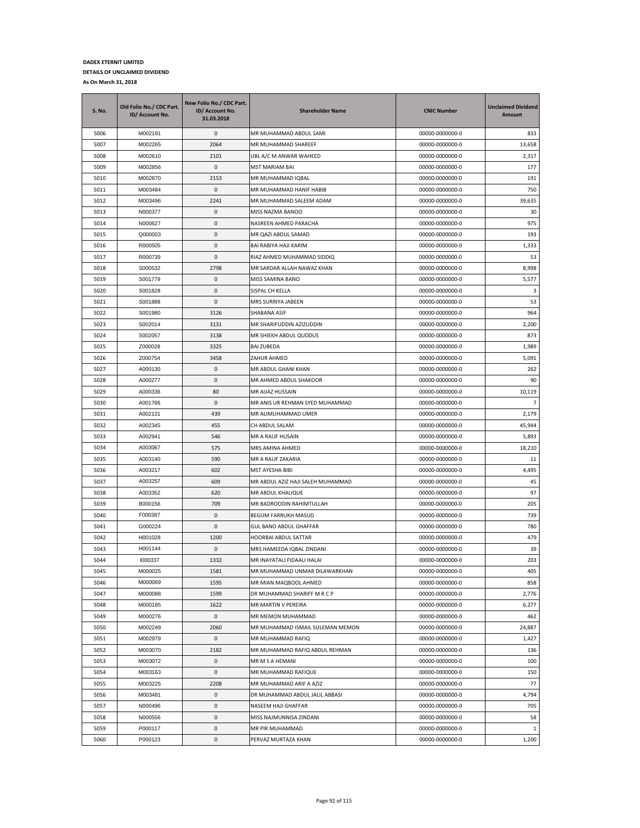| S. No. | Old Folio No./ CDC Part.<br>ID/ Account No. | New Folio No./ CDC Part.<br>ID/ Account No.<br>31.03.2018 | <b>Shareholder Name</b>           | <b>CNIC Number</b> | <b>Unclaimed Dividend</b><br>Amount |
|--------|---------------------------------------------|-----------------------------------------------------------|-----------------------------------|--------------------|-------------------------------------|
| 5006   | M002191                                     | 0                                                         | MR MUHAMMAD ABDUL SAMI            | 00000-0000000-0    | 833                                 |
| 5007   | M002265                                     | 2064                                                      | MR MUHAMMAD SHAREEF               | 00000-0000000-0    | 13,658                              |
| 5008   | M002610                                     | 2101                                                      | UBL A/C M ANWAR WAHEED            | 00000-0000000-0    | 2,317                               |
| 5009   | M002856                                     | 0                                                         | MST MARIAM BAI                    | 00000-0000000-0    | 177                                 |
| 5010   | M002870                                     | 2153                                                      | MR MUHAMMAD IQBAL                 | 00000-0000000-0    | 191                                 |
| 5011   | M003484                                     | 0                                                         | MR MUHAMMAD HANIF HABIB           | 00000-0000000-0    | 750                                 |
| 5012   | M003496                                     | 2241                                                      | MR MUHAMMAD SALEEM ADAM           | 00000-0000000-0    | 39,635                              |
| 5013   | N000377                                     | 0                                                         | MISS NAZMA BANOO                  | 00000-0000000-0    | 30                                  |
| 5014   | N000627                                     | 0                                                         | NASREEN AHMED PARACHA             | 00000-0000000-0    | 975                                 |
| 5015   | Q000003                                     | 0                                                         | MR QAZI ABDUL SAMAD               | 00000-0000000-0    | 193                                 |
| 5016   | R000505                                     | 0                                                         | BAI RABIYA HAJI KARIM             | 00000-0000000-0    | 1,333                               |
| 5017   | R000739                                     | 0                                                         | RIAZ AHMED MUHAMMAD SIDDIQ        | 00000-0000000-0    | 53                                  |
| 5018   | S000532                                     | 2798                                                      | MR SARDAR ALLAH NAWAZ KHAN        | 00000-0000000-0    | 8,998                               |
| 5019   | S001779                                     | 0                                                         | MISS SAMINA BANO                  | 00000-0000000-0    | 5,577                               |
| 5020   | S001828                                     | 0                                                         | SISPAL CH KELLA                   | 00000-0000000-0    | 3                                   |
| 5021   | S001888                                     | 0                                                         | MRS SURRIYA JABEEN                | 00000-0000000-0    | 53                                  |
| 5022   | S001980                                     | 3126                                                      | SHABANA ASIF                      | 00000-0000000-0    | 964                                 |
| 5023   | S002014                                     | 3131                                                      | MR SHARIFUDDIN AZIZUDDIN          | 00000-0000000-0    | 2,200                               |
| 5024   | S002057                                     | 3138                                                      | MR SHIEKH ABDUL QUDDUS            | 00000-0000000-0    | 873                                 |
| 5025   | Z000028                                     | 3325                                                      | <b>BAI ZUBEDA</b>                 | 00000-0000000-0    | 1,989                               |
| 5026   | Z000754                                     | 3458                                                      | ZAHUR AHMED                       | 00000-0000000-0    | 5,091                               |
| 5027   | A000130                                     | $\mathbf{0}$                                              | MR ABDUL GHANI KHAN               | 00000-0000000-0    | 262                                 |
| 5028   | A000277                                     | 0                                                         | MR AHMED ABDUL SHAKOOR            | 00000-0000000-0    | 90                                  |
| 5029   | A000336                                     | 80                                                        | MR AIJAZ HUSSAIN                  | 00000-0000000-0    | 10,119                              |
| 5030   | A001766                                     | 0                                                         | MR ANIS UR REHMAN SYED MUHAMMAD   | 00000-0000000-0    | $\overline{7}$                      |
| 5031   | A002131                                     | 439                                                       | MR ALIMUHAMMAD UMER               | 00000-0000000-0    | 2,179                               |
| 5032   | A002345                                     | 455                                                       | CH ABDUL SALAM                    | 00000-0000000-0    | 45,944                              |
| 5033   | A002941                                     | 546                                                       | MR A RAUF HUSAIN                  | 00000-0000000-0    | 5,893                               |
| 5034   | A003067                                     | 575                                                       | MRS AMINA AHMED                   | 00000-0000000-0    | 18,210                              |
| 5035   | A003140                                     | 590                                                       | MR A RAUF ZAKARIA                 | 00000-0000000-0    | 11                                  |
| 5036   | A003217                                     | 602                                                       | MST AYESHA BIBI                   | 00000-0000000-0    | 4,495                               |
| 5037   | A003257                                     | 609                                                       | MR ABDUL AZIZ HAJI SALEH MUHAMMAD | 00000-0000000-0    | 45                                  |
| 5038   | A003352                                     | 620                                                       | MR ABDUL KHALIQUE                 | 00000-0000000-0    | 97                                  |
| 5039   | B000156                                     | 709                                                       | MR BADROODIN RAHIMTULLAH          | 00000-0000000-0    | 205                                 |
| 5040   | F000387                                     | 0                                                         | <b>BEGUM FARRUKH MASUD</b>        | 00000-0000000-0    | 739                                 |
| 5041   | G000224                                     | 0                                                         | GUL BANO ABDUL GHAFFAR            | 00000-0000000-0    | 780                                 |
| 5042   | H001028                                     | 1200                                                      | HOORBAI ABDUL SATTAR              | 00000-0000000-0    | 479                                 |
| 5043   | H001144                                     | 0                                                         | MRS HAMEEDA IQBAL ZINDANI         | 00000-0000000-0    | 39                                  |
| 5044   | 1000337                                     | 1332                                                      | MR INAYATALI FIDAALI HALAI        | 00000-0000000-0    | 203                                 |
| 5045   | M000025                                     | 1581                                                      | MR MUHAMMAD UNMAR DILAWARKHAN     | 00000-0000000-0    | 405                                 |
| 5046   | M000069                                     | 1595                                                      | MR MIAN MAQBOOL AHMED             | 00000-0000000-0    | 858                                 |
| 5047   | M000088                                     | 1599                                                      | DR MUHAMMAD SHARIFF M R C P       | 00000-0000000-0    | 2,776                               |
| 5048   | M000185                                     | 1622                                                      | MR MARTIN V PEREIRA               | 00000-0000000-0    | 6,277                               |
| 5049   | M000276                                     | 0                                                         | MR MEMON MUHAMMAD                 | 00000-0000000-0    | 462                                 |
| 5050   | M002249                                     | 2060                                                      | MR MUHAMMAD ISMAIL SULEMAN MEMON  | 00000-0000000-0    | 24,887                              |
| 5051   | M002979                                     | 0                                                         | MR MUHAMMAD RAFIQ                 | 00000-0000000-0    | 1,427                               |
| 5052   | M003070                                     | 2182                                                      | MR MUHAMMAD RAFIQ ABDUL REHMAN    | 00000-0000000-0    | 136                                 |
| 5053   | M003072                                     | 0                                                         | MR M S A HEMANI                   | 00000-0000000-0    | 100                                 |
| 5054   | M003163                                     | 0                                                         | MR MUHAMMAD RAFIQUE               | 00000-0000000-0    | 150                                 |
| 5055   | M003225                                     | 2208                                                      | MR MUHAMMAD ARIF A AZIZ           | 00000-0000000-0    | 77                                  |
| 5056   | M003481                                     | 0                                                         | DR MUHAMMAD ABDUL JALIL ABBASI    | 00000-0000000-0    | 4,794                               |
| 5057   | N000496                                     | 0                                                         | NASEEM HAJI GHAFFAR               | 00000-0000000-0    | 705                                 |
| 5058   | N000556                                     | 0                                                         | MISS NAJMUNNISA ZINDANI           | 00000-0000000-0    | 58                                  |
| 5059   | P000117                                     | 0                                                         | MR PIR MUHAMMAD                   | 00000-0000000-0    | 1                                   |
| 5060   | P000123                                     | 0                                                         | PERVAZ MURTAZA KHAN               | 00000-0000000-0    | 1,200                               |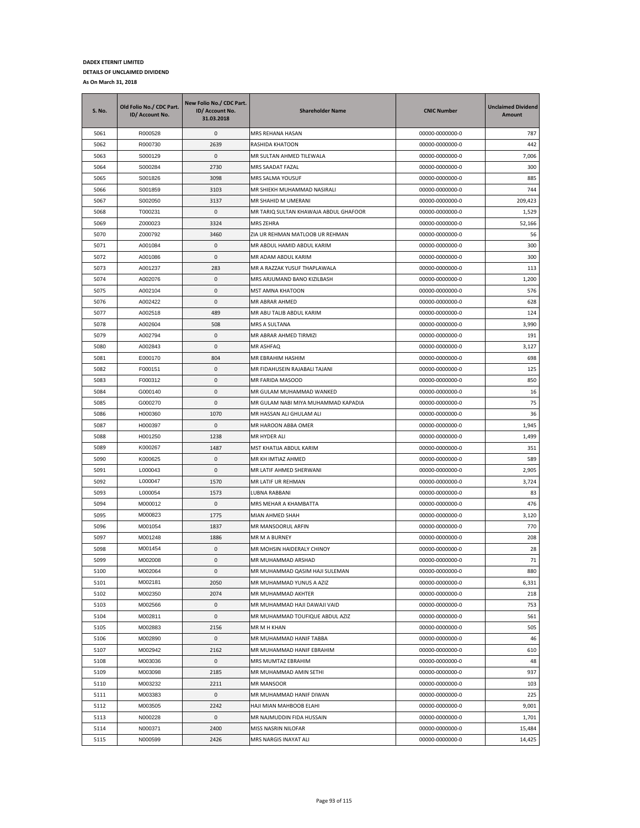| S. No. | Old Folio No./ CDC Part.<br>ID/ Account No. | New Folio No./ CDC Part.<br>ID/ Account No.<br>31.03.2018 | <b>Shareholder Name</b>               | <b>CNIC Number</b> | <b>Unclaimed Dividend</b><br>Amount |
|--------|---------------------------------------------|-----------------------------------------------------------|---------------------------------------|--------------------|-------------------------------------|
| 5061   | R000528                                     | 0                                                         | MRS REHANA HASAN                      | 00000-0000000-0    | 787                                 |
| 5062   | R000730                                     | 2639                                                      | RASHIDA KHATOON                       | 00000-0000000-0    | 442                                 |
| 5063   | S000129                                     | $\mathbf 0$                                               | MR SULTAN AHMED TILEWALA              | 00000-0000000-0    | 7,006                               |
| 5064   | S000284                                     | 2730                                                      | MRS SAADAT FAZAL                      | 00000-0000000-0    | 300                                 |
| 5065   | S001826                                     | 3098                                                      | MRS SALMA YOUSUF                      | 00000-0000000-0    | 885                                 |
| 5066   | S001859                                     | 3103                                                      | MR SHIEKH MUHAMMAD NASIRALI           | 00000-0000000-0    | 744                                 |
| 5067   | S002050                                     | 3137                                                      | MR SHAHID M UMERANI                   | 00000-0000000-0    | 209,423                             |
| 5068   | T000231                                     | 0                                                         | MR TARIQ SULTAN KHAWAJA ABDUL GHAFOOR | 00000-0000000-0    | 1,529                               |
| 5069   | Z000023                                     | 3324                                                      | <b>MRS ZEHRA</b>                      | 00000-0000000-0    | 52,166                              |
| 5070   | Z000792                                     | 3460                                                      | ZIA UR REHMAN MATLOOB UR REHMAN       | 00000-0000000-0    | 56                                  |
| 5071   | A001084                                     | 0                                                         | MR ABDUL HAMID ABDUL KARIM            | 00000-0000000-0    | 300                                 |
| 5072   | A001086                                     | 0                                                         | MR ADAM ABDUL KARIM                   | 00000-0000000-0    | 300                                 |
| 5073   | A001237                                     | 283                                                       | MR A RAZZAK YUSUF THAPLAWALA          | 00000-0000000-0    | 113                                 |
| 5074   | A002076                                     | 0                                                         | MRS ARJUMAND BANO KIZILBASH           | 00000-0000000-0    | 1,200                               |
| 5075   | A002104                                     | 0                                                         | MST AMNA KHATOON                      | 00000-0000000-0    | 576                                 |
| 5076   | A002422                                     | 0                                                         | MR ABRAR AHMED                        | 00000-0000000-0    | 628                                 |
| 5077   | A002518                                     | 489                                                       | MR ABU TALIB ABDUL KARIM              | 00000-0000000-0    | 124                                 |
| 5078   | A002604                                     | 508                                                       | MRS A SULTANA                         | 00000-0000000-0    | 3,990                               |
| 5079   | A002794                                     | 0                                                         | MR ABRAR AHMED TIRMIZI                | 00000-0000000-0    | 191                                 |
| 5080   | A002843                                     | 0                                                         | MR ASHFAQ                             | 00000-0000000-0    | 3,127                               |
| 5081   | E000170                                     | 804                                                       | MR EBRAHIM HASHIM                     | 00000-0000000-0    | 698                                 |
| 5082   | F000151                                     | $\mathbf 0$                                               | MR FIDAHUSEIN RAJABALI TAJANI         | 00000-0000000-0    | 125                                 |
| 5083   | F000312                                     | 0                                                         | MR FARIDA MASOOD                      | 00000-0000000-0    | 850                                 |
| 5084   | G000140                                     | 0                                                         | MR GULAM MUHAMMAD WANKED              | 00000-0000000-0    | 16                                  |
| 5085   | G000270                                     | 0                                                         | MR GULAM NABI MIYA MUHAMMAD KAPADIA   | 00000-0000000-0    | 75                                  |
| 5086   | H000360                                     | 1070                                                      | MR HASSAN ALI GHULAM ALI              | 00000-0000000-0    | 36                                  |
| 5087   | H000397                                     | 0                                                         | MR HAROON ABBA OMER                   | 00000-0000000-0    | 1,945                               |
| 5088   | H001250                                     | 1238                                                      | MR HYDER ALI                          | 00000-0000000-0    | 1,499                               |
| 5089   | K000267                                     | 1487                                                      | MST KHATIJA ABDUL KARIM               | 00000-0000000-0    | 351                                 |
| 5090   | K000625                                     | 0                                                         | MR KH IMTIAZ AHMED                    | 00000-0000000-0    | 589                                 |
| 5091   | L000043                                     | 0                                                         | MR LATIF AHMED SHERWANI               | 00000-0000000-0    | 2,905                               |
| 5092   | L000047                                     | 1570                                                      | MR LATIF UR REHMAN                    | 00000-0000000-0    | 3,724                               |
| 5093   | L000054                                     | 1573                                                      | LUBNA RABBANI                         | 00000-0000000-0    | 83                                  |
| 5094   | M000012                                     | 0                                                         | MRS MEHAR A KHAMBATTA                 | 00000-0000000-0    | 476                                 |
| 5095   | M000823                                     | 1775                                                      | MIAN AHMED SHAH                       | 00000-0000000-0    | 3,120                               |
| 5096   | M001054                                     | 1837                                                      | MR MANSOORUL ARFIN                    | 00000-0000000-0    | 770                                 |
| 5097   | M001248                                     | 1886                                                      | MR M A BURNEY                         | 00000-0000000-0    | 208                                 |
| 5098   | M001454                                     | 0                                                         | MR MOHSIN HAIDERALY CHINOY            | 00000-0000000-0    | 28                                  |
| 5099   | M002008                                     | 0                                                         | MR MUHAMMAD ARSHAD                    | 00000-0000000-0    | 71                                  |
| 5100   | M002064                                     | 0                                                         | MR MUHAMMAD QASIM HAJI SULEMAN        | 00000-0000000-0    | 880                                 |
| 5101   | M002181                                     | 2050                                                      | MR MUHAMMAD YUNUS A AZIZ              | 00000-0000000-0    | 6,331                               |
| 5102   | M002350                                     | 2074                                                      | MR MUHAMMAD AKHTER                    | 00000-0000000-0    | 218                                 |
| 5103   | M002566                                     | 0                                                         | MR MUHAMMAD HAJI DAWAJI VAID          | 00000-0000000-0    | 753                                 |
| 5104   | M002811                                     | 0                                                         | MR MUHAMMAD TOUFIQUE ABDUL AZIZ       | 00000-0000000-0    | 561                                 |
| 5105   | M002883                                     | 2156                                                      | MR M H KHAN                           | 00000-0000000-0    | 505                                 |
| 5106   | M002890                                     | 0                                                         | MR MUHAMMAD HANIF TABBA               | 00000-0000000-0    | 46                                  |
| 5107   | M002942                                     | 2162                                                      | MR MUHAMMAD HANIF EBRAHIM             | 00000-0000000-0    | 610                                 |
| 5108   | M003036                                     | 0                                                         | MRS MUMTAZ EBRAHIM                    | 00000-0000000-0    | 48                                  |
| 5109   | M003098                                     | 2185                                                      | MR MUHAMMAD AMIN SETHI                | 00000-0000000-0    | 937                                 |
| 5110   | M003232                                     | 2211                                                      | MR MANSOOR                            | 00000-0000000-0    | 103                                 |
| 5111   | M003383                                     | 0                                                         | MR MUHAMMAD HANIF DIWAN               | 00000-0000000-0    | 225                                 |
| 5112   | M003505                                     | 2242                                                      | HAJI MIAN MAHBOOB ELAHI               | 00000-0000000-0    | 9,001                               |
| 5113   | N000228                                     | 0                                                         | MR NAJMUDDIN FIDA HUSSAIN             | 00000-0000000-0    | 1,701                               |
| 5114   | N000371                                     | 2400                                                      | MISS NASRIN NILOFAR                   | 00000-0000000-0    | 15,484                              |
| 5115   | N000599                                     | 2426                                                      | MRS NARGIS INAYAT ALI                 | 00000-0000000-0    | 14,425                              |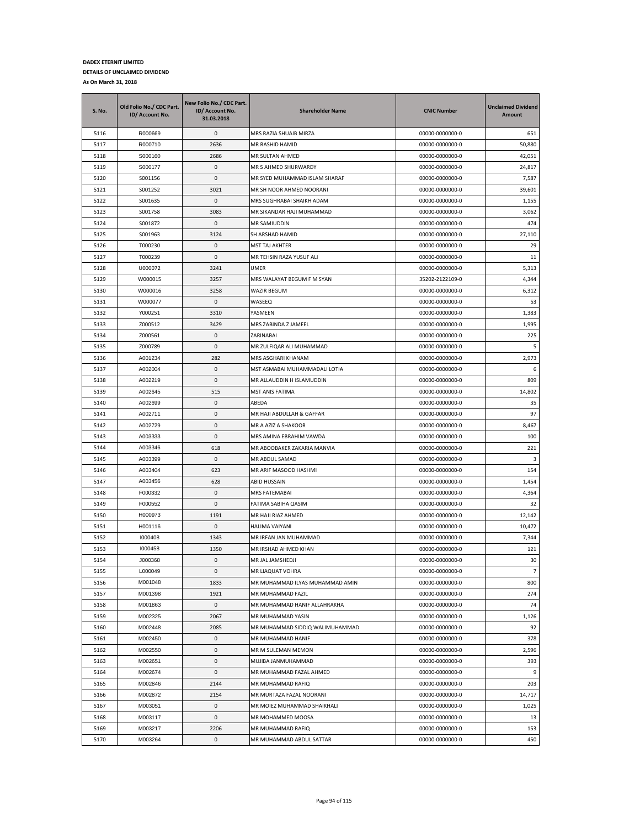| S. No. | Old Folio No./ CDC Part.<br>ID/ Account No. | New Folio No./ CDC Part.<br>ID/ Account No.<br>31.03.2018 | <b>Shareholder Name</b>         | <b>CNIC Number</b> | <b>Unclaimed Dividend</b><br>Amount |
|--------|---------------------------------------------|-----------------------------------------------------------|---------------------------------|--------------------|-------------------------------------|
| 5116   | R000669                                     | 0                                                         | MRS RAZIA SHUAIB MIRZA          | 00000-0000000-0    | 651                                 |
| 5117   | R000710                                     | 2636                                                      | MR RASHID HAMID                 | 00000-0000000-0    | 50,880                              |
| 5118   | S000160                                     | 2686                                                      | MR SULTAN AHMED                 | 00000-0000000-0    | 42,051                              |
| 5119   | S000177                                     | 0                                                         | MR S AHMED SHURWARDY            | 00000-0000000-0    | 24,817                              |
| 5120   | S001156                                     | 0                                                         | MR SYED MUHAMMAD ISLAM SHARAF   | 00000-0000000-0    | 7,587                               |
| 5121   | S001252                                     | 3021                                                      | MR SH NOOR AHMED NOORANI        | 00000-0000000-0    | 39,601                              |
| 5122   | S001635                                     | 0                                                         | MRS SUGHRABAI SHAIKH ADAM       | 00000-0000000-0    | 1,155                               |
| 5123   | S001758                                     | 3083                                                      | MR SIKANDAR HAJI MUHAMMAD       | 00000-0000000-0    | 3,062                               |
| 5124   | S001872                                     | 0                                                         | MR SAMIUDDIN                    | 00000-0000000-0    | 474                                 |
| 5125   | S001963                                     | 3124                                                      | SH ARSHAD HAMID                 | 00000-0000000-0    | 27,110                              |
| 5126   | T000230                                     | 0                                                         | <b>MST TAJ AKHTER</b>           | 00000-0000000-0    | 29                                  |
| 5127   | T000239                                     | 0                                                         | MR TEHSIN RAZA YUSUF ALI        | 00000-0000000-0    | 11                                  |
| 5128   | U000072                                     | 3241                                                      | <b>UMER</b>                     | 00000-0000000-0    | 5,313                               |
| 5129   | W000015                                     | 3257                                                      | MRS WALAYAT BEGUM F M SYAN      | 35202-2122109-0    | 4,344                               |
| 5130   | W000016                                     | 3258                                                      | WAZIR BEGUM                     | 00000-0000000-0    | 6,312                               |
| 5131   | W000077                                     | 0                                                         | WASEEQ                          | 00000-0000000-0    | 53                                  |
| 5132   | Y000251                                     | 3310                                                      | YASMEEN                         | 00000-0000000-0    | 1,383                               |
| 5133   | Z000512                                     | 3429                                                      | MRS ZABINDA Z JAMEEL            | 00000-0000000-0    | 1,995                               |
| 5134   | Z000561                                     | 0                                                         | ZARINABAI                       | 00000-0000000-0    | 225                                 |
| 5135   | Z000789                                     | 0                                                         | MR ZULFIQAR ALI MUHAMMAD        | 00000-0000000-0    | 5                                   |
| 5136   | A001234                                     | 282                                                       | MRS ASGHARI KHANAM              | 00000-0000000-0    | 2,973                               |
| 5137   | A002004                                     | 0                                                         | MST ASMABAI MUHAMMADALI LOTIA   | 00000-0000000-0    | 6                                   |
| 5138   | A002219                                     | 0                                                         | MR ALLAUDDIN H ISLAMUDDIN       | 00000-0000000-0    | 809                                 |
| 5139   | A002645                                     | 515                                                       | <b>MST ANIS FATIMA</b>          | 00000-0000000-0    | 14,802                              |
| 5140   | A002699                                     | 0                                                         | ABEDA                           | 00000-0000000-0    | 35                                  |
| 5141   | A002711                                     | 0                                                         | MR HAJI ABDULLAH & GAFFAR       | 00000-0000000-0    | 97                                  |
| 5142   | A002729                                     | 0                                                         | MR A AZIZ A SHAKOOR             | 00000-0000000-0    | 8,467                               |
| 5143   | A003333                                     | 0                                                         | MRS AMINA EBRAHIM VAWDA         | 00000-0000000-0    | 100                                 |
| 5144   | A003346                                     | 618                                                       | MR ABOOBAKER ZAKARIA MANVIA     | 00000-0000000-0    | 221                                 |
| 5145   | A003399                                     | 0                                                         | MR ABDUL SAMAD                  | 00000-0000000-0    | 3                                   |
| 5146   | A003404                                     | 623                                                       | MR ARIF MASOOD HASHMI           | 00000-0000000-0    | 154                                 |
| 5147   | A003456                                     | 628                                                       | ABID HUSSAIN                    | 00000-0000000-0    | 1,454                               |
| 5148   | F000332                                     | 0                                                         | MRS FATEMABAI                   | 00000-0000000-0    | 4,364                               |
| 5149   | F000552                                     | 0                                                         | FATIMA SABIHA QASIM             | 00000-0000000-0    | 32                                  |
| 5150   | H000973                                     | 1191                                                      | MR HAJI RIAZ AHMED              | 00000-0000000-0    | 12,142                              |
| 5151   | H001116                                     | 0                                                         | HALIMA VAIYANI                  | 00000-0000000-0    | 10,472                              |
| 5152   | 1000408                                     | 1343                                                      | MR IRFAN JAN MUHAMMAD           | 00000-0000000-0    | 7,344                               |
| 5153   | 1000458                                     | 1350                                                      | MR IRSHAD AHMED KHAN            | 00000-0000000-0    | 121                                 |
| 5154   | J000368                                     | $\Omega$                                                  | <b>MR JAL JAMSHEDJI</b>         | 00000-0000000-0    | 30                                  |
| 5155   | L000049                                     | 0                                                         | MR LIAQUAT VOHRA                | 00000-0000000-0    | $\overline{7}$                      |
| 5156   | M001048                                     | 1833                                                      | MR MUHAMMAD ILYAS MUHAMMAD AMIN | 00000-0000000-0    | 800                                 |
| 5157   | M001398                                     | 1921                                                      | MR MUHAMMAD FAZIL               | 00000-0000000-0    | 274                                 |
| 5158   | M001863                                     | 0                                                         | MR MUHAMMAD HANIF ALLAHRAKHA    | 00000-0000000-0    | 74                                  |
| 5159   | M002325                                     | 2067                                                      | MR MUHAMMAD YASIN               | 00000-0000000-0    | 1,126                               |
| 5160   | M002448                                     | 2085                                                      | MR MUHAMMAD SIDDIQ WALIMUHAMMAD | 00000-0000000-0    | 92                                  |
| 5161   | M002450                                     | 0                                                         | MR MUHAMMAD HANIF               | 00000-0000000-0    | 378                                 |
| 5162   | M002550                                     | 0                                                         | MR M SULEMAN MEMON              | 00000-0000000-0    | 2,596                               |
| 5163   | M002651                                     | 0                                                         | MUJIBA JANMUHAMMAD              | 00000-0000000-0    | 393                                 |
| 5164   | M002674                                     | 0                                                         | MR MUHAMMAD FAZAL AHMED         | 00000-0000000-0    | 9                                   |
| 5165   | M002846                                     | 2144                                                      | MR MUHAMMAD RAFIQ               | 00000-0000000-0    | 203                                 |
| 5166   | M002872                                     | 2154                                                      | MR MURTAZA FAZAL NOORANI        | 00000-0000000-0    | 14,717                              |
| 5167   | M003051                                     | 0                                                         | MR MOIEZ MUHAMMAD SHAIKHALI     | 00000-0000000-0    | 1,025                               |
| 5168   | M003117                                     | 0                                                         | MR MOHAMMED MOOSA               | 00000-0000000-0    | 13                                  |
| 5169   | M003217                                     | 2206                                                      | MR MUHAMMAD RAFIQ               | 00000-0000000-0    | 153                                 |
| 5170   | M003264                                     | 0                                                         | MR MUHAMMAD ABDUL SATTAR        | 00000-0000000-0    | 450                                 |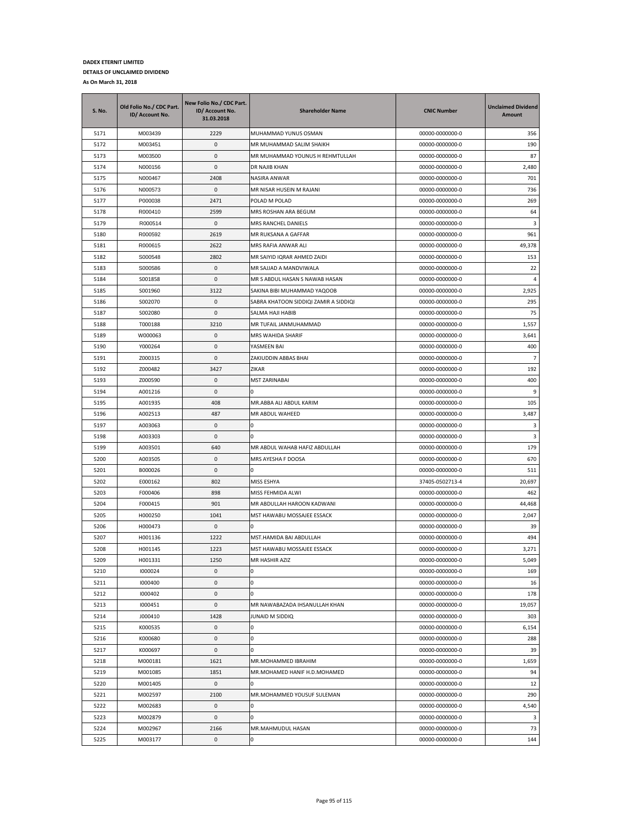| M003439<br>5171<br>2229<br>MUHAMMAD YUNUS OSMAN<br>00000-0000000-0<br>356<br>0<br>5172<br>M003451<br>MR MUHAMMAD SALIM SHAIKH<br>00000-0000000-0<br>190<br>5173<br>M003500<br>0<br>MR MUHAMMAD YOUNUS H REHMTULLAH<br>00000-0000000-0<br>87<br>N000156<br>5174<br>0<br><b>DR NAJIB KHAN</b><br>00000-0000000-0<br>2,480<br>5175<br>2408<br>701<br>N000467<br>NASIRA ANWAR<br>00000-0000000-0<br>5176<br>$\mathsf 0$<br>MR NISAR HUSEIN M RAJANI<br>736<br>N000573<br>00000-0000000-0<br>5177<br>P000038<br>2471<br>POLAD M POLAD<br>00000-0000000-0<br>269<br>5178<br>R000410<br>2599<br>MRS ROSHAN ARA BEGUM<br>00000-0000000-0<br>64<br>5179<br>R000514<br>0<br><b>MRS RANCHEL DANIELS</b><br>3<br>00000-0000000-0<br>5180<br>R000592<br>2619<br>961<br>MR RUKSANA A GAFFAR<br>00000-0000000-0<br>5181<br>2622<br>49,378<br>R000615<br>MRS RAFIA ANWAR ALI<br>00000-0000000-0<br>S000548<br>2802<br>5182<br>MR SAIYID IQRAR AHMED ZAIDI<br>00000-0000000-0<br>153<br>22<br>5183<br>S000586<br>0<br>MR SAJJAD A MANDVIWALA<br>00000-0000000-0<br>5184<br>S001858<br>0<br>MR S ABDUL HASAN S NAWAB HASAN<br>00000-0000000-0<br>4<br>5185<br>3122<br>2,925<br>S001960<br>SAKINA BIBI MUHAMMAD YAQOOB<br>00000-0000000-0<br>5186<br>0<br>295<br>S002070<br>SABRA KHATOON SIDDIQI ZAMIR A SIDDIQI<br>00000-0000000-0<br>5187<br>S002080<br>0<br>SALMA HAJI HABIB<br>00000-0000000-0<br>75<br>5188<br>T000188<br>3210<br>MR TUFAIL JANMUHAMMAD<br>1,557<br>00000-0000000-0<br>0<br>5189<br>W000063<br>MRS WAHIDA SHARIF<br>00000-0000000-0<br>3,641<br>5190<br>Y000264<br>0<br>YASMEEN BAI<br>00000-0000000-0<br>400<br>0<br>$\overline{7}$<br>5191<br>Z000315<br>ZAKIUDDIN ABBAS BHAI<br>00000-0000000-0<br>5192<br>Z000482<br>3427<br>00000-0000000-0<br>192<br>ZIKAR<br>5193<br>Z000590<br>0<br><b>MST ZARINABAI</b><br>400<br>00000-0000000-0<br>5194<br>0<br>0<br>9<br>A001216<br>00000-0000000-0<br>105<br>5195<br>A001935<br>408<br>MR.ABBA ALI ABDUL KARIM<br>00000-0000000-0<br>5196<br>A002513<br>487<br>MR ABDUL WAHEED<br>00000-0000000-0<br>3,487<br>3<br>5197<br>A003063<br>0<br>00000-0000000-0<br>0<br>5198<br>$\mathsf 0$<br>0<br>3<br>A003303<br>00000-0000000-0<br>5199<br>A003501<br>640<br>MR ABDUL WAHAB HAFIZ ABDULLAH<br>00000-0000000-0<br>179<br>5200<br>0<br>670<br>A003505<br>MRS AYESHA F DOOSA<br>00000-0000000-0<br>5201<br>B000026<br>0<br>00000-0000000-0<br>511<br>0<br>5202<br>E000162<br>802<br>MISS ESHYA<br>37405-0502713-4<br>20,697<br>5203<br>F000406<br>898<br>MISS FEHMIDA ALWI<br>00000-0000000-0<br>462<br>5204<br>901<br>44,468<br>F000415<br>MR ABDULLAH HAROON KADWANI<br>00000-0000000-0<br>5205<br>1041<br>2,047<br>H000250<br>MST HAWABU MOSSAJEE ESSACK<br>00000-0000000-0<br>5206<br>H000473<br>0<br>00000-0000000-0<br>39<br>n<br>5207<br>494<br>H001136<br>1222<br>MST.HAMIDA BAI ABDULLAH<br>00000-0000000-0<br>3,271<br>5208<br>H001145<br>1223<br>MST HAWABU MOSSAJEE ESSACK<br>00000-0000000-0<br>1250<br>5,049<br>5209<br>H001331<br>MR HASHIR AZIZ<br>00000-0000000-0<br>5210<br>1000024<br>0<br>0<br>00000-0000000-0<br>169<br>5211<br>1000400<br>0<br>00000-0000000-0<br>16<br>0<br>$\pmb{0}$<br>0<br>5212<br>1000402<br>00000-0000000-0<br>178<br>5213<br>1000451<br>0<br>MR NAWABAZADA IHSANULLAH KHAN<br>00000-0000000-0<br>19,057<br>5214<br>1428<br>303<br>J000410<br>JUNAID M SIDDIQ<br>00000-0000000-0<br>5215<br>K000535<br>0<br>0<br>00000-0000000-0<br>6,154<br>0<br>288<br>5216<br>K000680<br>0<br>00000-0000000-0<br>5217<br>K000697<br>0<br>0<br>00000-0000000-0<br>39<br>5218<br>M000181<br>1621<br>MR.MOHAMMED IBRAHIM<br>00000-0000000-0<br>1,659<br>5219<br>M001085<br>1851<br>MR.MOHAMED HANIF H.D.MOHAMED<br>00000-0000000-0<br>94<br>5220<br>0<br>00000-0000000-0<br>12<br>M001405<br>0<br>MR.MOHAMMED YOUSUF SULEMAN<br>00000-0000000-0<br>290<br>5221<br>M002597<br>2100<br>0<br>4,540<br>5222<br>M002683<br>0<br>00000-0000000-0<br>5223<br>M002879<br>0<br>00000-0000000-0<br>3<br>0<br>5224<br>2166<br>MR.MAHMUDUL HASAN<br>00000-0000000-0<br>73<br>M002967 | <b>S. No.</b> | Old Folio No./ CDC Part.<br>ID/ Account No. | New Folio No./ CDC Part.<br>ID/ Account No.<br>31.03.2018 | <b>Shareholder Name</b> | <b>CNIC Number</b> | <b>Unclaimed Dividend</b><br>Amount |
|--------------------------------------------------------------------------------------------------------------------------------------------------------------------------------------------------------------------------------------------------------------------------------------------------------------------------------------------------------------------------------------------------------------------------------------------------------------------------------------------------------------------------------------------------------------------------------------------------------------------------------------------------------------------------------------------------------------------------------------------------------------------------------------------------------------------------------------------------------------------------------------------------------------------------------------------------------------------------------------------------------------------------------------------------------------------------------------------------------------------------------------------------------------------------------------------------------------------------------------------------------------------------------------------------------------------------------------------------------------------------------------------------------------------------------------------------------------------------------------------------------------------------------------------------------------------------------------------------------------------------------------------------------------------------------------------------------------------------------------------------------------------------------------------------------------------------------------------------------------------------------------------------------------------------------------------------------------------------------------------------------------------------------------------------------------------------------------------------------------------------------------------------------------------------------------------------------------------------------------------------------------------------------------------------------------------------------------------------------------------------------------------------------------------------------------------------------------------------------------------------------------------------------------------------------------------------------------------------------------------------------------------------------------------------------------------------------------------------------------------------------------------------------------------------------------------------------------------------------------------------------------------------------------------------------------------------------------------------------------------------------------------------------------------------------------------------------------------------------------------------------------------------------------------------------------------------------------------------------------------------------------------------------------------------------------------------------------------------------------------------------------------------------------------------------------------------------------------------------------------------------------------------------------------------------------------------------------------------------------------------------------------------------------------------------------------------------------------------------------------------------------------------------------------------------------------------------------------------------------------------------------------------------------------------------------------------------------------------------------------------------------------------------------------------|---------------|---------------------------------------------|-----------------------------------------------------------|-------------------------|--------------------|-------------------------------------|
|                                                                                                                                                                                                                                                                                                                                                                                                                                                                                                                                                                                                                                                                                                                                                                                                                                                                                                                                                                                                                                                                                                                                                                                                                                                                                                                                                                                                                                                                                                                                                                                                                                                                                                                                                                                                                                                                                                                                                                                                                                                                                                                                                                                                                                                                                                                                                                                                                                                                                                                                                                                                                                                                                                                                                                                                                                                                                                                                                                                                                                                                                                                                                                                                                                                                                                                                                                                                                                                                                                                                                                                                                                                                                                                                                                                                                                                                                                                                                                                                                                                  |               |                                             |                                                           |                         |                    |                                     |
|                                                                                                                                                                                                                                                                                                                                                                                                                                                                                                                                                                                                                                                                                                                                                                                                                                                                                                                                                                                                                                                                                                                                                                                                                                                                                                                                                                                                                                                                                                                                                                                                                                                                                                                                                                                                                                                                                                                                                                                                                                                                                                                                                                                                                                                                                                                                                                                                                                                                                                                                                                                                                                                                                                                                                                                                                                                                                                                                                                                                                                                                                                                                                                                                                                                                                                                                                                                                                                                                                                                                                                                                                                                                                                                                                                                                                                                                                                                                                                                                                                                  |               |                                             |                                                           |                         |                    |                                     |
|                                                                                                                                                                                                                                                                                                                                                                                                                                                                                                                                                                                                                                                                                                                                                                                                                                                                                                                                                                                                                                                                                                                                                                                                                                                                                                                                                                                                                                                                                                                                                                                                                                                                                                                                                                                                                                                                                                                                                                                                                                                                                                                                                                                                                                                                                                                                                                                                                                                                                                                                                                                                                                                                                                                                                                                                                                                                                                                                                                                                                                                                                                                                                                                                                                                                                                                                                                                                                                                                                                                                                                                                                                                                                                                                                                                                                                                                                                                                                                                                                                                  |               |                                             |                                                           |                         |                    |                                     |
|                                                                                                                                                                                                                                                                                                                                                                                                                                                                                                                                                                                                                                                                                                                                                                                                                                                                                                                                                                                                                                                                                                                                                                                                                                                                                                                                                                                                                                                                                                                                                                                                                                                                                                                                                                                                                                                                                                                                                                                                                                                                                                                                                                                                                                                                                                                                                                                                                                                                                                                                                                                                                                                                                                                                                                                                                                                                                                                                                                                                                                                                                                                                                                                                                                                                                                                                                                                                                                                                                                                                                                                                                                                                                                                                                                                                                                                                                                                                                                                                                                                  |               |                                             |                                                           |                         |                    |                                     |
|                                                                                                                                                                                                                                                                                                                                                                                                                                                                                                                                                                                                                                                                                                                                                                                                                                                                                                                                                                                                                                                                                                                                                                                                                                                                                                                                                                                                                                                                                                                                                                                                                                                                                                                                                                                                                                                                                                                                                                                                                                                                                                                                                                                                                                                                                                                                                                                                                                                                                                                                                                                                                                                                                                                                                                                                                                                                                                                                                                                                                                                                                                                                                                                                                                                                                                                                                                                                                                                                                                                                                                                                                                                                                                                                                                                                                                                                                                                                                                                                                                                  |               |                                             |                                                           |                         |                    |                                     |
|                                                                                                                                                                                                                                                                                                                                                                                                                                                                                                                                                                                                                                                                                                                                                                                                                                                                                                                                                                                                                                                                                                                                                                                                                                                                                                                                                                                                                                                                                                                                                                                                                                                                                                                                                                                                                                                                                                                                                                                                                                                                                                                                                                                                                                                                                                                                                                                                                                                                                                                                                                                                                                                                                                                                                                                                                                                                                                                                                                                                                                                                                                                                                                                                                                                                                                                                                                                                                                                                                                                                                                                                                                                                                                                                                                                                                                                                                                                                                                                                                                                  |               |                                             |                                                           |                         |                    |                                     |
|                                                                                                                                                                                                                                                                                                                                                                                                                                                                                                                                                                                                                                                                                                                                                                                                                                                                                                                                                                                                                                                                                                                                                                                                                                                                                                                                                                                                                                                                                                                                                                                                                                                                                                                                                                                                                                                                                                                                                                                                                                                                                                                                                                                                                                                                                                                                                                                                                                                                                                                                                                                                                                                                                                                                                                                                                                                                                                                                                                                                                                                                                                                                                                                                                                                                                                                                                                                                                                                                                                                                                                                                                                                                                                                                                                                                                                                                                                                                                                                                                                                  |               |                                             |                                                           |                         |                    |                                     |
|                                                                                                                                                                                                                                                                                                                                                                                                                                                                                                                                                                                                                                                                                                                                                                                                                                                                                                                                                                                                                                                                                                                                                                                                                                                                                                                                                                                                                                                                                                                                                                                                                                                                                                                                                                                                                                                                                                                                                                                                                                                                                                                                                                                                                                                                                                                                                                                                                                                                                                                                                                                                                                                                                                                                                                                                                                                                                                                                                                                                                                                                                                                                                                                                                                                                                                                                                                                                                                                                                                                                                                                                                                                                                                                                                                                                                                                                                                                                                                                                                                                  |               |                                             |                                                           |                         |                    |                                     |
|                                                                                                                                                                                                                                                                                                                                                                                                                                                                                                                                                                                                                                                                                                                                                                                                                                                                                                                                                                                                                                                                                                                                                                                                                                                                                                                                                                                                                                                                                                                                                                                                                                                                                                                                                                                                                                                                                                                                                                                                                                                                                                                                                                                                                                                                                                                                                                                                                                                                                                                                                                                                                                                                                                                                                                                                                                                                                                                                                                                                                                                                                                                                                                                                                                                                                                                                                                                                                                                                                                                                                                                                                                                                                                                                                                                                                                                                                                                                                                                                                                                  |               |                                             |                                                           |                         |                    |                                     |
|                                                                                                                                                                                                                                                                                                                                                                                                                                                                                                                                                                                                                                                                                                                                                                                                                                                                                                                                                                                                                                                                                                                                                                                                                                                                                                                                                                                                                                                                                                                                                                                                                                                                                                                                                                                                                                                                                                                                                                                                                                                                                                                                                                                                                                                                                                                                                                                                                                                                                                                                                                                                                                                                                                                                                                                                                                                                                                                                                                                                                                                                                                                                                                                                                                                                                                                                                                                                                                                                                                                                                                                                                                                                                                                                                                                                                                                                                                                                                                                                                                                  |               |                                             |                                                           |                         |                    |                                     |
|                                                                                                                                                                                                                                                                                                                                                                                                                                                                                                                                                                                                                                                                                                                                                                                                                                                                                                                                                                                                                                                                                                                                                                                                                                                                                                                                                                                                                                                                                                                                                                                                                                                                                                                                                                                                                                                                                                                                                                                                                                                                                                                                                                                                                                                                                                                                                                                                                                                                                                                                                                                                                                                                                                                                                                                                                                                                                                                                                                                                                                                                                                                                                                                                                                                                                                                                                                                                                                                                                                                                                                                                                                                                                                                                                                                                                                                                                                                                                                                                                                                  |               |                                             |                                                           |                         |                    |                                     |
|                                                                                                                                                                                                                                                                                                                                                                                                                                                                                                                                                                                                                                                                                                                                                                                                                                                                                                                                                                                                                                                                                                                                                                                                                                                                                                                                                                                                                                                                                                                                                                                                                                                                                                                                                                                                                                                                                                                                                                                                                                                                                                                                                                                                                                                                                                                                                                                                                                                                                                                                                                                                                                                                                                                                                                                                                                                                                                                                                                                                                                                                                                                                                                                                                                                                                                                                                                                                                                                                                                                                                                                                                                                                                                                                                                                                                                                                                                                                                                                                                                                  |               |                                             |                                                           |                         |                    |                                     |
|                                                                                                                                                                                                                                                                                                                                                                                                                                                                                                                                                                                                                                                                                                                                                                                                                                                                                                                                                                                                                                                                                                                                                                                                                                                                                                                                                                                                                                                                                                                                                                                                                                                                                                                                                                                                                                                                                                                                                                                                                                                                                                                                                                                                                                                                                                                                                                                                                                                                                                                                                                                                                                                                                                                                                                                                                                                                                                                                                                                                                                                                                                                                                                                                                                                                                                                                                                                                                                                                                                                                                                                                                                                                                                                                                                                                                                                                                                                                                                                                                                                  |               |                                             |                                                           |                         |                    |                                     |
|                                                                                                                                                                                                                                                                                                                                                                                                                                                                                                                                                                                                                                                                                                                                                                                                                                                                                                                                                                                                                                                                                                                                                                                                                                                                                                                                                                                                                                                                                                                                                                                                                                                                                                                                                                                                                                                                                                                                                                                                                                                                                                                                                                                                                                                                                                                                                                                                                                                                                                                                                                                                                                                                                                                                                                                                                                                                                                                                                                                                                                                                                                                                                                                                                                                                                                                                                                                                                                                                                                                                                                                                                                                                                                                                                                                                                                                                                                                                                                                                                                                  |               |                                             |                                                           |                         |                    |                                     |
|                                                                                                                                                                                                                                                                                                                                                                                                                                                                                                                                                                                                                                                                                                                                                                                                                                                                                                                                                                                                                                                                                                                                                                                                                                                                                                                                                                                                                                                                                                                                                                                                                                                                                                                                                                                                                                                                                                                                                                                                                                                                                                                                                                                                                                                                                                                                                                                                                                                                                                                                                                                                                                                                                                                                                                                                                                                                                                                                                                                                                                                                                                                                                                                                                                                                                                                                                                                                                                                                                                                                                                                                                                                                                                                                                                                                                                                                                                                                                                                                                                                  |               |                                             |                                                           |                         |                    |                                     |
|                                                                                                                                                                                                                                                                                                                                                                                                                                                                                                                                                                                                                                                                                                                                                                                                                                                                                                                                                                                                                                                                                                                                                                                                                                                                                                                                                                                                                                                                                                                                                                                                                                                                                                                                                                                                                                                                                                                                                                                                                                                                                                                                                                                                                                                                                                                                                                                                                                                                                                                                                                                                                                                                                                                                                                                                                                                                                                                                                                                                                                                                                                                                                                                                                                                                                                                                                                                                                                                                                                                                                                                                                                                                                                                                                                                                                                                                                                                                                                                                                                                  |               |                                             |                                                           |                         |                    |                                     |
|                                                                                                                                                                                                                                                                                                                                                                                                                                                                                                                                                                                                                                                                                                                                                                                                                                                                                                                                                                                                                                                                                                                                                                                                                                                                                                                                                                                                                                                                                                                                                                                                                                                                                                                                                                                                                                                                                                                                                                                                                                                                                                                                                                                                                                                                                                                                                                                                                                                                                                                                                                                                                                                                                                                                                                                                                                                                                                                                                                                                                                                                                                                                                                                                                                                                                                                                                                                                                                                                                                                                                                                                                                                                                                                                                                                                                                                                                                                                                                                                                                                  |               |                                             |                                                           |                         |                    |                                     |
|                                                                                                                                                                                                                                                                                                                                                                                                                                                                                                                                                                                                                                                                                                                                                                                                                                                                                                                                                                                                                                                                                                                                                                                                                                                                                                                                                                                                                                                                                                                                                                                                                                                                                                                                                                                                                                                                                                                                                                                                                                                                                                                                                                                                                                                                                                                                                                                                                                                                                                                                                                                                                                                                                                                                                                                                                                                                                                                                                                                                                                                                                                                                                                                                                                                                                                                                                                                                                                                                                                                                                                                                                                                                                                                                                                                                                                                                                                                                                                                                                                                  |               |                                             |                                                           |                         |                    |                                     |
|                                                                                                                                                                                                                                                                                                                                                                                                                                                                                                                                                                                                                                                                                                                                                                                                                                                                                                                                                                                                                                                                                                                                                                                                                                                                                                                                                                                                                                                                                                                                                                                                                                                                                                                                                                                                                                                                                                                                                                                                                                                                                                                                                                                                                                                                                                                                                                                                                                                                                                                                                                                                                                                                                                                                                                                                                                                                                                                                                                                                                                                                                                                                                                                                                                                                                                                                                                                                                                                                                                                                                                                                                                                                                                                                                                                                                                                                                                                                                                                                                                                  |               |                                             |                                                           |                         |                    |                                     |
|                                                                                                                                                                                                                                                                                                                                                                                                                                                                                                                                                                                                                                                                                                                                                                                                                                                                                                                                                                                                                                                                                                                                                                                                                                                                                                                                                                                                                                                                                                                                                                                                                                                                                                                                                                                                                                                                                                                                                                                                                                                                                                                                                                                                                                                                                                                                                                                                                                                                                                                                                                                                                                                                                                                                                                                                                                                                                                                                                                                                                                                                                                                                                                                                                                                                                                                                                                                                                                                                                                                                                                                                                                                                                                                                                                                                                                                                                                                                                                                                                                                  |               |                                             |                                                           |                         |                    |                                     |
|                                                                                                                                                                                                                                                                                                                                                                                                                                                                                                                                                                                                                                                                                                                                                                                                                                                                                                                                                                                                                                                                                                                                                                                                                                                                                                                                                                                                                                                                                                                                                                                                                                                                                                                                                                                                                                                                                                                                                                                                                                                                                                                                                                                                                                                                                                                                                                                                                                                                                                                                                                                                                                                                                                                                                                                                                                                                                                                                                                                                                                                                                                                                                                                                                                                                                                                                                                                                                                                                                                                                                                                                                                                                                                                                                                                                                                                                                                                                                                                                                                                  |               |                                             |                                                           |                         |                    |                                     |
|                                                                                                                                                                                                                                                                                                                                                                                                                                                                                                                                                                                                                                                                                                                                                                                                                                                                                                                                                                                                                                                                                                                                                                                                                                                                                                                                                                                                                                                                                                                                                                                                                                                                                                                                                                                                                                                                                                                                                                                                                                                                                                                                                                                                                                                                                                                                                                                                                                                                                                                                                                                                                                                                                                                                                                                                                                                                                                                                                                                                                                                                                                                                                                                                                                                                                                                                                                                                                                                                                                                                                                                                                                                                                                                                                                                                                                                                                                                                                                                                                                                  |               |                                             |                                                           |                         |                    |                                     |
|                                                                                                                                                                                                                                                                                                                                                                                                                                                                                                                                                                                                                                                                                                                                                                                                                                                                                                                                                                                                                                                                                                                                                                                                                                                                                                                                                                                                                                                                                                                                                                                                                                                                                                                                                                                                                                                                                                                                                                                                                                                                                                                                                                                                                                                                                                                                                                                                                                                                                                                                                                                                                                                                                                                                                                                                                                                                                                                                                                                                                                                                                                                                                                                                                                                                                                                                                                                                                                                                                                                                                                                                                                                                                                                                                                                                                                                                                                                                                                                                                                                  |               |                                             |                                                           |                         |                    |                                     |
|                                                                                                                                                                                                                                                                                                                                                                                                                                                                                                                                                                                                                                                                                                                                                                                                                                                                                                                                                                                                                                                                                                                                                                                                                                                                                                                                                                                                                                                                                                                                                                                                                                                                                                                                                                                                                                                                                                                                                                                                                                                                                                                                                                                                                                                                                                                                                                                                                                                                                                                                                                                                                                                                                                                                                                                                                                                                                                                                                                                                                                                                                                                                                                                                                                                                                                                                                                                                                                                                                                                                                                                                                                                                                                                                                                                                                                                                                                                                                                                                                                                  |               |                                             |                                                           |                         |                    |                                     |
|                                                                                                                                                                                                                                                                                                                                                                                                                                                                                                                                                                                                                                                                                                                                                                                                                                                                                                                                                                                                                                                                                                                                                                                                                                                                                                                                                                                                                                                                                                                                                                                                                                                                                                                                                                                                                                                                                                                                                                                                                                                                                                                                                                                                                                                                                                                                                                                                                                                                                                                                                                                                                                                                                                                                                                                                                                                                                                                                                                                                                                                                                                                                                                                                                                                                                                                                                                                                                                                                                                                                                                                                                                                                                                                                                                                                                                                                                                                                                                                                                                                  |               |                                             |                                                           |                         |                    |                                     |
|                                                                                                                                                                                                                                                                                                                                                                                                                                                                                                                                                                                                                                                                                                                                                                                                                                                                                                                                                                                                                                                                                                                                                                                                                                                                                                                                                                                                                                                                                                                                                                                                                                                                                                                                                                                                                                                                                                                                                                                                                                                                                                                                                                                                                                                                                                                                                                                                                                                                                                                                                                                                                                                                                                                                                                                                                                                                                                                                                                                                                                                                                                                                                                                                                                                                                                                                                                                                                                                                                                                                                                                                                                                                                                                                                                                                                                                                                                                                                                                                                                                  |               |                                             |                                                           |                         |                    |                                     |
|                                                                                                                                                                                                                                                                                                                                                                                                                                                                                                                                                                                                                                                                                                                                                                                                                                                                                                                                                                                                                                                                                                                                                                                                                                                                                                                                                                                                                                                                                                                                                                                                                                                                                                                                                                                                                                                                                                                                                                                                                                                                                                                                                                                                                                                                                                                                                                                                                                                                                                                                                                                                                                                                                                                                                                                                                                                                                                                                                                                                                                                                                                                                                                                                                                                                                                                                                                                                                                                                                                                                                                                                                                                                                                                                                                                                                                                                                                                                                                                                                                                  |               |                                             |                                                           |                         |                    |                                     |
|                                                                                                                                                                                                                                                                                                                                                                                                                                                                                                                                                                                                                                                                                                                                                                                                                                                                                                                                                                                                                                                                                                                                                                                                                                                                                                                                                                                                                                                                                                                                                                                                                                                                                                                                                                                                                                                                                                                                                                                                                                                                                                                                                                                                                                                                                                                                                                                                                                                                                                                                                                                                                                                                                                                                                                                                                                                                                                                                                                                                                                                                                                                                                                                                                                                                                                                                                                                                                                                                                                                                                                                                                                                                                                                                                                                                                                                                                                                                                                                                                                                  |               |                                             |                                                           |                         |                    |                                     |
|                                                                                                                                                                                                                                                                                                                                                                                                                                                                                                                                                                                                                                                                                                                                                                                                                                                                                                                                                                                                                                                                                                                                                                                                                                                                                                                                                                                                                                                                                                                                                                                                                                                                                                                                                                                                                                                                                                                                                                                                                                                                                                                                                                                                                                                                                                                                                                                                                                                                                                                                                                                                                                                                                                                                                                                                                                                                                                                                                                                                                                                                                                                                                                                                                                                                                                                                                                                                                                                                                                                                                                                                                                                                                                                                                                                                                                                                                                                                                                                                                                                  |               |                                             |                                                           |                         |                    |                                     |
|                                                                                                                                                                                                                                                                                                                                                                                                                                                                                                                                                                                                                                                                                                                                                                                                                                                                                                                                                                                                                                                                                                                                                                                                                                                                                                                                                                                                                                                                                                                                                                                                                                                                                                                                                                                                                                                                                                                                                                                                                                                                                                                                                                                                                                                                                                                                                                                                                                                                                                                                                                                                                                                                                                                                                                                                                                                                                                                                                                                                                                                                                                                                                                                                                                                                                                                                                                                                                                                                                                                                                                                                                                                                                                                                                                                                                                                                                                                                                                                                                                                  |               |                                             |                                                           |                         |                    |                                     |
|                                                                                                                                                                                                                                                                                                                                                                                                                                                                                                                                                                                                                                                                                                                                                                                                                                                                                                                                                                                                                                                                                                                                                                                                                                                                                                                                                                                                                                                                                                                                                                                                                                                                                                                                                                                                                                                                                                                                                                                                                                                                                                                                                                                                                                                                                                                                                                                                                                                                                                                                                                                                                                                                                                                                                                                                                                                                                                                                                                                                                                                                                                                                                                                                                                                                                                                                                                                                                                                                                                                                                                                                                                                                                                                                                                                                                                                                                                                                                                                                                                                  |               |                                             |                                                           |                         |                    |                                     |
|                                                                                                                                                                                                                                                                                                                                                                                                                                                                                                                                                                                                                                                                                                                                                                                                                                                                                                                                                                                                                                                                                                                                                                                                                                                                                                                                                                                                                                                                                                                                                                                                                                                                                                                                                                                                                                                                                                                                                                                                                                                                                                                                                                                                                                                                                                                                                                                                                                                                                                                                                                                                                                                                                                                                                                                                                                                                                                                                                                                                                                                                                                                                                                                                                                                                                                                                                                                                                                                                                                                                                                                                                                                                                                                                                                                                                                                                                                                                                                                                                                                  |               |                                             |                                                           |                         |                    |                                     |
|                                                                                                                                                                                                                                                                                                                                                                                                                                                                                                                                                                                                                                                                                                                                                                                                                                                                                                                                                                                                                                                                                                                                                                                                                                                                                                                                                                                                                                                                                                                                                                                                                                                                                                                                                                                                                                                                                                                                                                                                                                                                                                                                                                                                                                                                                                                                                                                                                                                                                                                                                                                                                                                                                                                                                                                                                                                                                                                                                                                                                                                                                                                                                                                                                                                                                                                                                                                                                                                                                                                                                                                                                                                                                                                                                                                                                                                                                                                                                                                                                                                  |               |                                             |                                                           |                         |                    |                                     |
|                                                                                                                                                                                                                                                                                                                                                                                                                                                                                                                                                                                                                                                                                                                                                                                                                                                                                                                                                                                                                                                                                                                                                                                                                                                                                                                                                                                                                                                                                                                                                                                                                                                                                                                                                                                                                                                                                                                                                                                                                                                                                                                                                                                                                                                                                                                                                                                                                                                                                                                                                                                                                                                                                                                                                                                                                                                                                                                                                                                                                                                                                                                                                                                                                                                                                                                                                                                                                                                                                                                                                                                                                                                                                                                                                                                                                                                                                                                                                                                                                                                  |               |                                             |                                                           |                         |                    |                                     |
|                                                                                                                                                                                                                                                                                                                                                                                                                                                                                                                                                                                                                                                                                                                                                                                                                                                                                                                                                                                                                                                                                                                                                                                                                                                                                                                                                                                                                                                                                                                                                                                                                                                                                                                                                                                                                                                                                                                                                                                                                                                                                                                                                                                                                                                                                                                                                                                                                                                                                                                                                                                                                                                                                                                                                                                                                                                                                                                                                                                                                                                                                                                                                                                                                                                                                                                                                                                                                                                                                                                                                                                                                                                                                                                                                                                                                                                                                                                                                                                                                                                  |               |                                             |                                                           |                         |                    |                                     |
|                                                                                                                                                                                                                                                                                                                                                                                                                                                                                                                                                                                                                                                                                                                                                                                                                                                                                                                                                                                                                                                                                                                                                                                                                                                                                                                                                                                                                                                                                                                                                                                                                                                                                                                                                                                                                                                                                                                                                                                                                                                                                                                                                                                                                                                                                                                                                                                                                                                                                                                                                                                                                                                                                                                                                                                                                                                                                                                                                                                                                                                                                                                                                                                                                                                                                                                                                                                                                                                                                                                                                                                                                                                                                                                                                                                                                                                                                                                                                                                                                                                  |               |                                             |                                                           |                         |                    |                                     |
|                                                                                                                                                                                                                                                                                                                                                                                                                                                                                                                                                                                                                                                                                                                                                                                                                                                                                                                                                                                                                                                                                                                                                                                                                                                                                                                                                                                                                                                                                                                                                                                                                                                                                                                                                                                                                                                                                                                                                                                                                                                                                                                                                                                                                                                                                                                                                                                                                                                                                                                                                                                                                                                                                                                                                                                                                                                                                                                                                                                                                                                                                                                                                                                                                                                                                                                                                                                                                                                                                                                                                                                                                                                                                                                                                                                                                                                                                                                                                                                                                                                  |               |                                             |                                                           |                         |                    |                                     |
|                                                                                                                                                                                                                                                                                                                                                                                                                                                                                                                                                                                                                                                                                                                                                                                                                                                                                                                                                                                                                                                                                                                                                                                                                                                                                                                                                                                                                                                                                                                                                                                                                                                                                                                                                                                                                                                                                                                                                                                                                                                                                                                                                                                                                                                                                                                                                                                                                                                                                                                                                                                                                                                                                                                                                                                                                                                                                                                                                                                                                                                                                                                                                                                                                                                                                                                                                                                                                                                                                                                                                                                                                                                                                                                                                                                                                                                                                                                                                                                                                                                  |               |                                             |                                                           |                         |                    |                                     |
|                                                                                                                                                                                                                                                                                                                                                                                                                                                                                                                                                                                                                                                                                                                                                                                                                                                                                                                                                                                                                                                                                                                                                                                                                                                                                                                                                                                                                                                                                                                                                                                                                                                                                                                                                                                                                                                                                                                                                                                                                                                                                                                                                                                                                                                                                                                                                                                                                                                                                                                                                                                                                                                                                                                                                                                                                                                                                                                                                                                                                                                                                                                                                                                                                                                                                                                                                                                                                                                                                                                                                                                                                                                                                                                                                                                                                                                                                                                                                                                                                                                  |               |                                             |                                                           |                         |                    |                                     |
|                                                                                                                                                                                                                                                                                                                                                                                                                                                                                                                                                                                                                                                                                                                                                                                                                                                                                                                                                                                                                                                                                                                                                                                                                                                                                                                                                                                                                                                                                                                                                                                                                                                                                                                                                                                                                                                                                                                                                                                                                                                                                                                                                                                                                                                                                                                                                                                                                                                                                                                                                                                                                                                                                                                                                                                                                                                                                                                                                                                                                                                                                                                                                                                                                                                                                                                                                                                                                                                                                                                                                                                                                                                                                                                                                                                                                                                                                                                                                                                                                                                  |               |                                             |                                                           |                         |                    |                                     |
|                                                                                                                                                                                                                                                                                                                                                                                                                                                                                                                                                                                                                                                                                                                                                                                                                                                                                                                                                                                                                                                                                                                                                                                                                                                                                                                                                                                                                                                                                                                                                                                                                                                                                                                                                                                                                                                                                                                                                                                                                                                                                                                                                                                                                                                                                                                                                                                                                                                                                                                                                                                                                                                                                                                                                                                                                                                                                                                                                                                                                                                                                                                                                                                                                                                                                                                                                                                                                                                                                                                                                                                                                                                                                                                                                                                                                                                                                                                                                                                                                                                  |               |                                             |                                                           |                         |                    |                                     |
|                                                                                                                                                                                                                                                                                                                                                                                                                                                                                                                                                                                                                                                                                                                                                                                                                                                                                                                                                                                                                                                                                                                                                                                                                                                                                                                                                                                                                                                                                                                                                                                                                                                                                                                                                                                                                                                                                                                                                                                                                                                                                                                                                                                                                                                                                                                                                                                                                                                                                                                                                                                                                                                                                                                                                                                                                                                                                                                                                                                                                                                                                                                                                                                                                                                                                                                                                                                                                                                                                                                                                                                                                                                                                                                                                                                                                                                                                                                                                                                                                                                  |               |                                             |                                                           |                         |                    |                                     |
|                                                                                                                                                                                                                                                                                                                                                                                                                                                                                                                                                                                                                                                                                                                                                                                                                                                                                                                                                                                                                                                                                                                                                                                                                                                                                                                                                                                                                                                                                                                                                                                                                                                                                                                                                                                                                                                                                                                                                                                                                                                                                                                                                                                                                                                                                                                                                                                                                                                                                                                                                                                                                                                                                                                                                                                                                                                                                                                                                                                                                                                                                                                                                                                                                                                                                                                                                                                                                                                                                                                                                                                                                                                                                                                                                                                                                                                                                                                                                                                                                                                  |               |                                             |                                                           |                         |                    |                                     |
|                                                                                                                                                                                                                                                                                                                                                                                                                                                                                                                                                                                                                                                                                                                                                                                                                                                                                                                                                                                                                                                                                                                                                                                                                                                                                                                                                                                                                                                                                                                                                                                                                                                                                                                                                                                                                                                                                                                                                                                                                                                                                                                                                                                                                                                                                                                                                                                                                                                                                                                                                                                                                                                                                                                                                                                                                                                                                                                                                                                                                                                                                                                                                                                                                                                                                                                                                                                                                                                                                                                                                                                                                                                                                                                                                                                                                                                                                                                                                                                                                                                  |               |                                             |                                                           |                         |                    |                                     |
|                                                                                                                                                                                                                                                                                                                                                                                                                                                                                                                                                                                                                                                                                                                                                                                                                                                                                                                                                                                                                                                                                                                                                                                                                                                                                                                                                                                                                                                                                                                                                                                                                                                                                                                                                                                                                                                                                                                                                                                                                                                                                                                                                                                                                                                                                                                                                                                                                                                                                                                                                                                                                                                                                                                                                                                                                                                                                                                                                                                                                                                                                                                                                                                                                                                                                                                                                                                                                                                                                                                                                                                                                                                                                                                                                                                                                                                                                                                                                                                                                                                  |               |                                             |                                                           |                         |                    |                                     |
|                                                                                                                                                                                                                                                                                                                                                                                                                                                                                                                                                                                                                                                                                                                                                                                                                                                                                                                                                                                                                                                                                                                                                                                                                                                                                                                                                                                                                                                                                                                                                                                                                                                                                                                                                                                                                                                                                                                                                                                                                                                                                                                                                                                                                                                                                                                                                                                                                                                                                                                                                                                                                                                                                                                                                                                                                                                                                                                                                                                                                                                                                                                                                                                                                                                                                                                                                                                                                                                                                                                                                                                                                                                                                                                                                                                                                                                                                                                                                                                                                                                  |               |                                             |                                                           |                         |                    |                                     |
|                                                                                                                                                                                                                                                                                                                                                                                                                                                                                                                                                                                                                                                                                                                                                                                                                                                                                                                                                                                                                                                                                                                                                                                                                                                                                                                                                                                                                                                                                                                                                                                                                                                                                                                                                                                                                                                                                                                                                                                                                                                                                                                                                                                                                                                                                                                                                                                                                                                                                                                                                                                                                                                                                                                                                                                                                                                                                                                                                                                                                                                                                                                                                                                                                                                                                                                                                                                                                                                                                                                                                                                                                                                                                                                                                                                                                                                                                                                                                                                                                                                  |               |                                             |                                                           |                         |                    |                                     |
|                                                                                                                                                                                                                                                                                                                                                                                                                                                                                                                                                                                                                                                                                                                                                                                                                                                                                                                                                                                                                                                                                                                                                                                                                                                                                                                                                                                                                                                                                                                                                                                                                                                                                                                                                                                                                                                                                                                                                                                                                                                                                                                                                                                                                                                                                                                                                                                                                                                                                                                                                                                                                                                                                                                                                                                                                                                                                                                                                                                                                                                                                                                                                                                                                                                                                                                                                                                                                                                                                                                                                                                                                                                                                                                                                                                                                                                                                                                                                                                                                                                  |               |                                             |                                                           |                         |                    |                                     |
|                                                                                                                                                                                                                                                                                                                                                                                                                                                                                                                                                                                                                                                                                                                                                                                                                                                                                                                                                                                                                                                                                                                                                                                                                                                                                                                                                                                                                                                                                                                                                                                                                                                                                                                                                                                                                                                                                                                                                                                                                                                                                                                                                                                                                                                                                                                                                                                                                                                                                                                                                                                                                                                                                                                                                                                                                                                                                                                                                                                                                                                                                                                                                                                                                                                                                                                                                                                                                                                                                                                                                                                                                                                                                                                                                                                                                                                                                                                                                                                                                                                  |               |                                             |                                                           |                         |                    |                                     |
|                                                                                                                                                                                                                                                                                                                                                                                                                                                                                                                                                                                                                                                                                                                                                                                                                                                                                                                                                                                                                                                                                                                                                                                                                                                                                                                                                                                                                                                                                                                                                                                                                                                                                                                                                                                                                                                                                                                                                                                                                                                                                                                                                                                                                                                                                                                                                                                                                                                                                                                                                                                                                                                                                                                                                                                                                                                                                                                                                                                                                                                                                                                                                                                                                                                                                                                                                                                                                                                                                                                                                                                                                                                                                                                                                                                                                                                                                                                                                                                                                                                  |               |                                             |                                                           |                         |                    |                                     |
|                                                                                                                                                                                                                                                                                                                                                                                                                                                                                                                                                                                                                                                                                                                                                                                                                                                                                                                                                                                                                                                                                                                                                                                                                                                                                                                                                                                                                                                                                                                                                                                                                                                                                                                                                                                                                                                                                                                                                                                                                                                                                                                                                                                                                                                                                                                                                                                                                                                                                                                                                                                                                                                                                                                                                                                                                                                                                                                                                                                                                                                                                                                                                                                                                                                                                                                                                                                                                                                                                                                                                                                                                                                                                                                                                                                                                                                                                                                                                                                                                                                  |               |                                             |                                                           |                         |                    |                                     |
|                                                                                                                                                                                                                                                                                                                                                                                                                                                                                                                                                                                                                                                                                                                                                                                                                                                                                                                                                                                                                                                                                                                                                                                                                                                                                                                                                                                                                                                                                                                                                                                                                                                                                                                                                                                                                                                                                                                                                                                                                                                                                                                                                                                                                                                                                                                                                                                                                                                                                                                                                                                                                                                                                                                                                                                                                                                                                                                                                                                                                                                                                                                                                                                                                                                                                                                                                                                                                                                                                                                                                                                                                                                                                                                                                                                                                                                                                                                                                                                                                                                  |               |                                             |                                                           |                         |                    |                                     |
|                                                                                                                                                                                                                                                                                                                                                                                                                                                                                                                                                                                                                                                                                                                                                                                                                                                                                                                                                                                                                                                                                                                                                                                                                                                                                                                                                                                                                                                                                                                                                                                                                                                                                                                                                                                                                                                                                                                                                                                                                                                                                                                                                                                                                                                                                                                                                                                                                                                                                                                                                                                                                                                                                                                                                                                                                                                                                                                                                                                                                                                                                                                                                                                                                                                                                                                                                                                                                                                                                                                                                                                                                                                                                                                                                                                                                                                                                                                                                                                                                                                  |               |                                             |                                                           |                         |                    |                                     |
|                                                                                                                                                                                                                                                                                                                                                                                                                                                                                                                                                                                                                                                                                                                                                                                                                                                                                                                                                                                                                                                                                                                                                                                                                                                                                                                                                                                                                                                                                                                                                                                                                                                                                                                                                                                                                                                                                                                                                                                                                                                                                                                                                                                                                                                                                                                                                                                                                                                                                                                                                                                                                                                                                                                                                                                                                                                                                                                                                                                                                                                                                                                                                                                                                                                                                                                                                                                                                                                                                                                                                                                                                                                                                                                                                                                                                                                                                                                                                                                                                                                  |               |                                             |                                                           |                         |                    |                                     |
|                                                                                                                                                                                                                                                                                                                                                                                                                                                                                                                                                                                                                                                                                                                                                                                                                                                                                                                                                                                                                                                                                                                                                                                                                                                                                                                                                                                                                                                                                                                                                                                                                                                                                                                                                                                                                                                                                                                                                                                                                                                                                                                                                                                                                                                                                                                                                                                                                                                                                                                                                                                                                                                                                                                                                                                                                                                                                                                                                                                                                                                                                                                                                                                                                                                                                                                                                                                                                                                                                                                                                                                                                                                                                                                                                                                                                                                                                                                                                                                                                                                  | 5225          | M003177                                     | 0                                                         | 0                       | 00000-0000000-0    | 144                                 |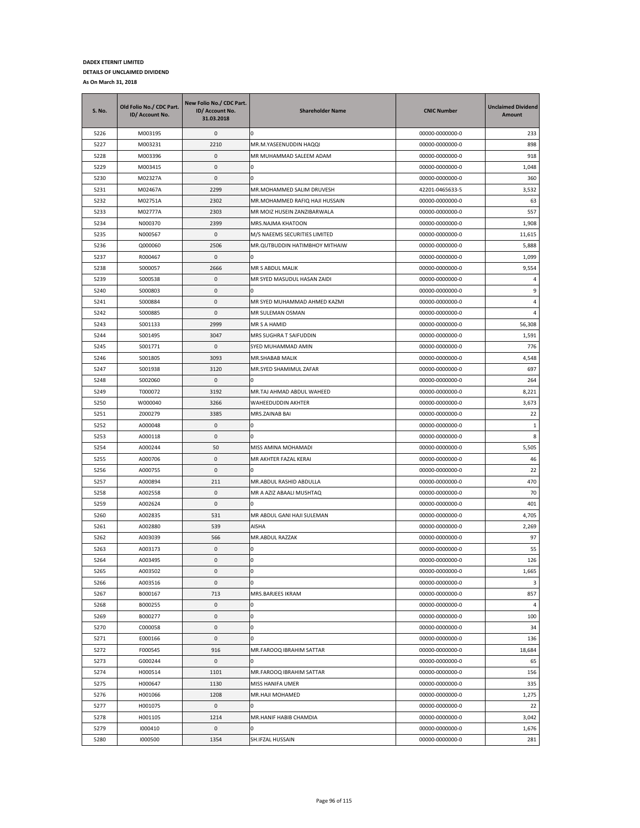| S. No. | Old Folio No./ CDC Part.<br>ID/ Account No. | New Folio No./ CDC Part.<br>ID/ Account No.<br>31.03.2018 | <b>Shareholder Name</b>        | <b>CNIC Number</b> | <b>Unclaimed Dividend</b><br>Amount |
|--------|---------------------------------------------|-----------------------------------------------------------|--------------------------------|--------------------|-------------------------------------|
| 5226   | M003195                                     | 0                                                         | 0                              | 00000-0000000-0    | 233                                 |
| 5227   | M003231                                     | 2210                                                      | MR.M.YASEENUDDIN HAQQI         | 00000-0000000-0    | 898                                 |
| 5228   | M003396                                     | 0                                                         | MR MUHAMMAD SALEEM ADAM        | 00000-0000000-0    | 918                                 |
| 5229   | M003415                                     | 0                                                         | 0                              | 00000-0000000-0    | 1,048                               |
| 5230   | M02327A                                     | 0                                                         | 0                              | 00000-0000000-0    | 360                                 |
| 5231   | M02467A                                     | 2299                                                      | MR.MOHAMMED SALIM DRUVESH      | 42201-0465633-5    | 3,532                               |
| 5232   | M02751A                                     | 2302                                                      | MR.MOHAMMED RAFIQ HAJI HUSSAIN | 00000-0000000-0    | 63                                  |
| 5233   | M02777A                                     | 2303                                                      | MR MOIZ HUSEIN ZANZIBARWALA    | 00000-0000000-0    | 557                                 |
| 5234   | N000370                                     | 2399                                                      | MRS.NAJMA KHATOON              | 00000-0000000-0    | 1,908                               |
| 5235   | N000567                                     | 0                                                         | M/S NAEEMS SECURITIES LIMITED  | 00000-0000000-0    | 11,615                              |
| 5236   | Q000060                                     | 2506                                                      | MR.QUTBUDDIN HATIMBHOY MITHAIW | 00000-0000000-0    | 5,888                               |
| 5237   | R000467                                     | 0                                                         |                                | 00000-0000000-0    | 1,099                               |
| 5238   | S000057                                     | 2666                                                      | MR S ABDUL MALIK               | 00000-0000000-0    | 9,554                               |
| 5239   | S000538                                     | 0                                                         | MR SYED MASUDUL HASAN ZAIDI    | 00000-0000000-0    | 4                                   |
| 5240   | S000803                                     | 0                                                         | n                              | 00000-0000000-0    | 9                                   |
| 5241   | S000884                                     | 0                                                         | MR SYED MUHAMMAD AHMED KAZMI   | 00000-0000000-0    | 4                                   |
| 5242   | S000885                                     | 0                                                         | MR SULEMAN OSMAN               | 00000-0000000-0    | 4                                   |
| 5243   | S001133                                     | 2999                                                      | MR S A HAMID                   | 00000-0000000-0    | 56,308                              |
| 5244   | S001495                                     | 3047                                                      | MRS SUGHRA T SAIFUDDIN         | 00000-0000000-0    | 1,591                               |
| 5245   | S001771                                     | 0                                                         | SYED MUHAMMAD AMIN             | 00000-0000000-0    | 776                                 |
| 5246   | S001805                                     | 3093                                                      | MR.SHABAB MALIK                | 00000-0000000-0    | 4,548                               |
| 5247   | S001938                                     | 3120                                                      | MR.SYED SHAMIMUL ZAFAR         | 00000-0000000-0    | 697                                 |
| 5248   | S002060                                     | 0                                                         | o                              | 00000-0000000-0    | 264                                 |
| 5249   | T000072                                     | 3192                                                      | MR.TAJ AHMAD ABDUL WAHEED      | 00000-0000000-0    | 8,221                               |
| 5250   | W000040                                     | 3266                                                      | WAHEEDUDDIN AKHTER             | 00000-0000000-0    | 3,673                               |
| 5251   | Z000279                                     | 3385                                                      | MRS.ZAINAB BAI                 | 00000-0000000-0    | 22                                  |
| 5252   | A000048                                     | 0                                                         | 0                              | 00000-0000000-0    | $1\,$                               |
| 5253   | A000118                                     | 0                                                         | n                              | 00000-0000000-0    | 8                                   |
| 5254   | A000244                                     | 50                                                        | MISS AMINA MOHAMADI            | 00000-0000000-0    | 5,505                               |
| 5255   | A000706                                     | 0                                                         | MR AKHTER FAZAL KERAI          | 00000-0000000-0    | 46                                  |
| 5256   | A000755                                     | 0                                                         |                                | 00000-0000000-0    | 22                                  |
| 5257   | A000894                                     | 211                                                       | MR.ABDUL RASHID ABDULLA        | 00000-0000000-0    | 470                                 |
| 5258   | A002558                                     | 0                                                         | MR A AZIZ ABAALI MUSHTAQ       | 00000-0000000-0    | 70                                  |
| 5259   | A002624                                     | 0                                                         | n                              | 00000-0000000-0    | 401                                 |
| 5260   | A002835                                     | 531                                                       | MR ABDUL GANI HAJI SULEMAN     | 00000-0000000-0    | 4,705                               |
| 5261   | A002880                                     | 539                                                       | AISHA                          | 00000-0000000-0    | 2,269                               |
| 5262   | A003039                                     | 566                                                       | MR.ABDUL RAZZAK                | 00000-0000000-0    | 97                                  |
| 5263   | A003173                                     | 0                                                         | 0                              | 00000-0000000-0    | 55                                  |
| 5264   | A003495                                     | $\mathbf 0$                                               | 0                              | 00000-0000000-0    | 126                                 |
| 5265   | A003502                                     | 0                                                         | 0                              | 00000-0000000-0    | 1,665                               |
| 5266   | A003516                                     | 0                                                         | 0                              | 00000-0000000-0    | 3                                   |
| 5267   | B000167                                     | 713                                                       | MRS.BARJEES IKRAM              | 00000-0000000-0    | 857                                 |
| 5268   | B000255                                     | 0                                                         | 0                              | 00000-0000000-0    | 4                                   |
| 5269   | B000277                                     | 0                                                         | 0                              | 00000-0000000-0    | 100                                 |
| 5270   | C000058                                     | 0                                                         | 0                              | 00000-0000000-0    | 34                                  |
| 5271   | E000166                                     | $\pmb{0}$                                                 | 0                              | 00000-0000000-0    | 136                                 |
| 5272   | F000545                                     | 916                                                       | MR.FAROOQ IBRAHIM SATTAR       | 00000-0000000-0    | 18,684                              |
| 5273   | G000244                                     | 0                                                         | 0                              | 00000-0000000-0    | 65                                  |
| 5274   | H000514                                     | 1101                                                      | MR.FAROOQ IBRAHIM SATTAR       | 00000-0000000-0    | 156                                 |
| 5275   | H000647                                     | 1130                                                      | MISS HANIFA UMER               | 00000-0000000-0    | 335                                 |
| 5276   | H001066                                     | 1208                                                      | MR.HAJI MOHAMED                | 00000-0000000-0    | 1,275                               |
| 5277   | H001075                                     | 0                                                         | 0                              | 00000-0000000-0    | 22                                  |
| 5278   | H001105                                     | 1214                                                      | MR.HANIF HABIB CHAMDIA         | 00000-0000000-0    | 3,042                               |
| 5279   | 1000410                                     | 0                                                         | 0                              | 00000-0000000-0    | 1,676                               |
| 5280   | 1000500                                     | 1354                                                      | SH.IFZAL HUSSAIN               | 00000-0000000-0    | 281                                 |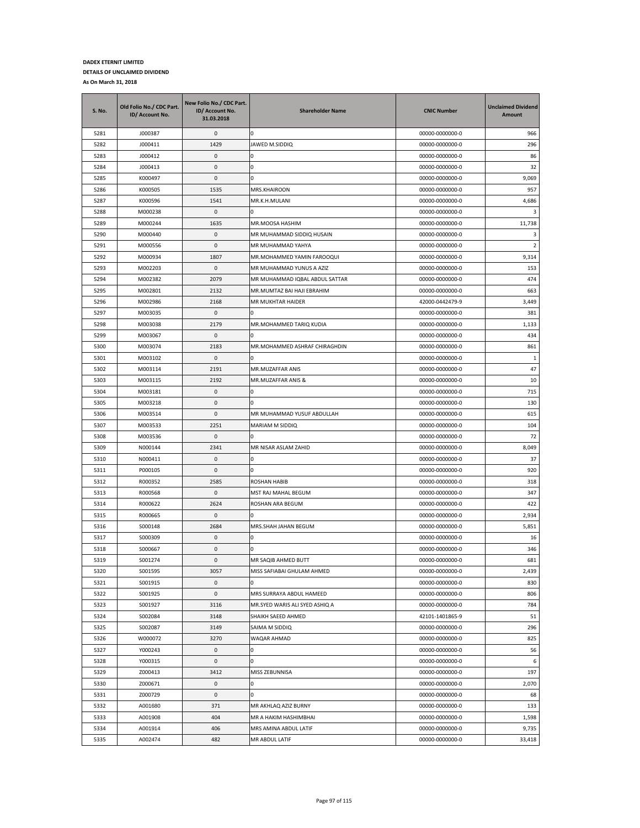| S. No. | Old Folio No./ CDC Part.<br>ID/ Account No. | New Folio No./ CDC Part.<br>ID/ Account No.<br>31.03.2018 | <b>Shareholder Name</b>        | <b>CNIC Number</b> | <b>Unclaimed Dividend</b><br><b>Amount</b> |
|--------|---------------------------------------------|-----------------------------------------------------------|--------------------------------|--------------------|--------------------------------------------|
| 5281   | J000387                                     | 0                                                         | n                              | 00000-0000000-0    | 966                                        |
| 5282   | J000411                                     | 1429                                                      | JAWED M.SIDDIQ                 | 00000-0000000-0    | 296                                        |
| 5283   | J000412                                     | 0                                                         | 0                              | 00000-0000000-0    | 86                                         |
| 5284   | J000413                                     | 0                                                         | 0                              | 00000-0000000-0    | 32                                         |
| 5285   | K000497                                     | 0                                                         | 0                              | 00000-0000000-0    | 9,069                                      |
| 5286   | K000505                                     | 1535                                                      | MRS.KHAIROON                   | 00000-0000000-0    | 957                                        |
| 5287   | K000596                                     | 1541                                                      | MR.K.H.MULANI                  | 00000-0000000-0    | 4,686                                      |
| 5288   | M000238                                     | 0                                                         | n                              | 00000-0000000-0    | 3                                          |
| 5289   | M000244                                     | 1635                                                      | MR.MOOSA HASHIM                | 00000-0000000-0    | 11,738                                     |
| 5290   | M000440                                     | 0                                                         | MR MUHAMMAD SIDDIQ HUSAIN      | 00000-0000000-0    | 3                                          |
| 5291   | M000556                                     | 0                                                         | MR MUHAMMAD YAHYA              | 00000-0000000-0    | $\overline{2}$                             |
| 5292   | M000934                                     | 1807                                                      | MR.MOHAMMED YAMIN FAROOQUI     | 00000-0000000-0    | 9,314                                      |
| 5293   | M002203                                     | 0                                                         | MR MUHAMMAD YUNUS A AZIZ       | 00000-0000000-0    | 153                                        |
| 5294   | M002382                                     | 2079                                                      | MR MUHAMMAD IQBAL ABDUL SATTAR | 00000-0000000-0    | 474                                        |
| 5295   | M002801                                     | 2132                                                      | MR.MUMTAZ BAI HAJI EBRAHIM     | 00000-0000000-0    | 663                                        |
| 5296   | M002986                                     | 2168                                                      | MR MUKHTAR HAIDER              | 42000-0442479-9    | 3,449                                      |
| 5297   | M003035                                     | 0                                                         |                                | 00000-0000000-0    | 381                                        |
| 5298   | M003038                                     | 2179                                                      | MR.MOHAMMED TARIQ KUDIA        | 00000-0000000-0    | 1,133                                      |
| 5299   | M003067                                     | 0                                                         | 0                              | 00000-0000000-0    | 434                                        |
| 5300   | M003074                                     | 2183                                                      | MR.MOHAMMED ASHRAF CHIRAGHDIN  | 00000-0000000-0    | 861                                        |
| 5301   | M003102                                     | 0                                                         | 0                              | 00000-0000000-0    | 1                                          |
| 5302   | M003114                                     | 2191                                                      | MR.MUZAFFAR ANIS               | 00000-0000000-0    | 47                                         |
| 5303   | M003115                                     | 2192                                                      | MR.MUZAFFAR ANIS &             | 00000-0000000-0    | 10                                         |
| 5304   | M003181                                     | $\pmb{0}$                                                 | 0                              | 00000-0000000-0    | 715                                        |
| 5305   | M003218                                     | 0                                                         | 0                              | 00000-0000000-0    | 130                                        |
| 5306   | M003514                                     | 0                                                         | MR MUHAMMAD YUSUF ABDULLAH     | 00000-0000000-0    | 615                                        |
| 5307   | M003533                                     | 2251                                                      | MARIAM M SIDDIQ                | 00000-0000000-0    | 104                                        |
| 5308   | M003536                                     | 0                                                         | <sup>0</sup>                   | 00000-0000000-0    | 72                                         |
| 5309   | N000144                                     | 2341                                                      | MR NISAR ASLAM ZAHID           | 00000-0000000-0    | 8,049                                      |
| 5310   | N000411                                     | 0                                                         | 0                              | 00000-0000000-0    | 37                                         |
| 5311   | P000105                                     | 0                                                         | 0                              | 00000-0000000-0    | 920                                        |
| 5312   | R000352                                     | 2585                                                      | ROSHAN HABIB                   | 00000-0000000-0    | 318                                        |
| 5313   | R000568                                     | 0                                                         | MST RAJ MAHAL BEGUM            | 00000-0000000-0    | 347                                        |
| 5314   | R000622                                     | 2624                                                      | ROSHAN ARA BEGUM               | 00000-0000000-0    | 422                                        |
| 5315   | R000665                                     | 0                                                         | 0                              | 00000-0000000-0    | 2,934                                      |
| 5316   | S000148                                     | 2684                                                      | MRS.SHAH JAHAN BEGUM           | 00000-0000000-0    | 5,851                                      |
| 5317   | S000309                                     | 0                                                         | 0                              | 00000-0000000-0    | 16                                         |
| 5318   | S000667                                     | 0                                                         | 0                              | 00000-0000000-0    | 346                                        |
| 5319   | S001274                                     | $\mathbf{0}$                                              | MR SAQIB AHMED BUTT            | 00000-0000000-0    | 681                                        |
| 5320   | S001595                                     | 3057                                                      | MISS SAFIABAI GHULAM AHMED     | 00000-0000000-0    | 2,439                                      |
| 5321   | S001915                                     | 0                                                         |                                | 00000-0000000-0    | 830                                        |
| 5322   | S001925                                     | 0                                                         | MRS SURRAYA ABDUL HAMEED       | 00000-0000000-0    | 806                                        |
| 5323   | S001927                                     | 3116                                                      | MR.SYED WARIS ALI SYED ASHIQ A | 00000-0000000-0    | 784                                        |
| 5324   | S002084                                     | 3148                                                      | SHAIKH SAEED AHMED             | 42101-1401865-9    | 51                                         |
| 5325   | S002087                                     | 3149                                                      | SAIMA M SIDDIQ                 | 00000-0000000-0    | 296                                        |
| 5326   | W000072                                     | 3270                                                      | WAQAR AHMAD                    | 00000-0000000-0    | 825                                        |
| 5327   | Y000243                                     | 0                                                         | 0                              | 00000-0000000-0    | 56                                         |
| 5328   | Y000315                                     | 0                                                         | 0                              | 00000-0000000-0    | 6                                          |
| 5329   | Z000413                                     | 3412                                                      | MISS ZEBUNNISA                 | 00000-0000000-0    | 197                                        |
| 5330   | Z000671                                     | 0                                                         | 0                              | 00000-0000000-0    | 2,070                                      |
| 5331   | Z000729                                     | $\pmb{0}$                                                 | 0                              | 00000-0000000-0    | 68                                         |
| 5332   | A001680                                     | 371                                                       | MR AKHLAQ AZIZ BURNY           | 00000-0000000-0    | 133                                        |
| 5333   | A001908                                     | 404                                                       | MR A HAKIM HASHIMBHAI          | 00000-0000000-0    | 1,598                                      |
| 5334   | A001914                                     | 406                                                       | MRS AMINA ABDUL LATIF          | 00000-0000000-0    | 9,735                                      |
| 5335   | A002474                                     | 482                                                       | MR ABDUL LATIF                 | 00000-0000000-0    | 33,418                                     |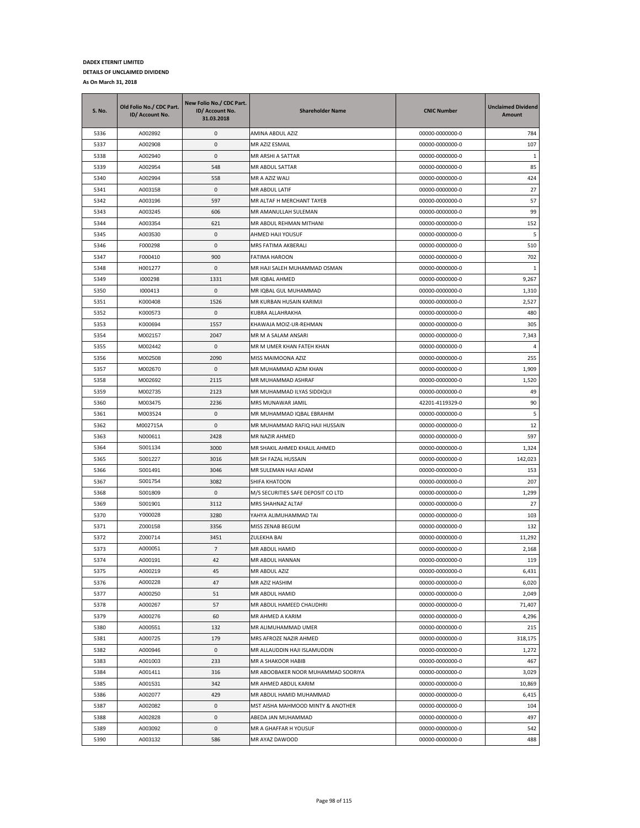| S. No. | Old Folio No./ CDC Part.<br>ID/ Account No. | New Folio No./ CDC Part.<br>ID/ Account No.<br>31.03.2018 | <b>Shareholder Name</b>            | <b>CNIC Number</b> | <b>Unclaimed Dividend</b><br>Amount |
|--------|---------------------------------------------|-----------------------------------------------------------|------------------------------------|--------------------|-------------------------------------|
| 5336   | A002892                                     | 0                                                         | AMINA ABDUL AZIZ                   | 00000-0000000-0    | 784                                 |
| 5337   | A002908                                     | 0                                                         | MR AZIZ ESMAIL                     | 00000-0000000-0    | 107                                 |
| 5338   | A002940                                     | $\mathbf{0}$                                              | MR ARSHI A SATTAR                  | 00000-0000000-0    | 1                                   |
| 5339   | A002954                                     | 548                                                       | MR ABDUL SATTAR                    | 00000-0000000-0    | 85                                  |
| 5340   | A002994                                     | 558                                                       | MR A AZIZ WALI                     | 00000-0000000-0    | 424                                 |
| 5341   | A003158                                     | 0                                                         | MR ABDUL LATIF                     | 00000-0000000-0    | 27                                  |
| 5342   | A003196                                     | 597                                                       | MR ALTAF H MERCHANT TAYEB          | 00000-0000000-0    | 57                                  |
| 5343   | A003245                                     | 606                                                       | MR AMANULLAH SULEMAN               | 00000-0000000-0    | 99                                  |
| 5344   | A003354                                     | 621                                                       | MR ABDUL REHMAN MITHANI            | 00000-0000000-0    | 152                                 |
| 5345   | A003530                                     | 0                                                         | AHMED HAJI YOUSUF                  | 00000-0000000-0    | 5                                   |
| 5346   | F000298                                     | 0                                                         | MRS FATIMA AKBERALI                | 00000-0000000-0    | 510                                 |
| 5347   | F000410                                     | 900                                                       | FATIMA HAROON                      | 00000-0000000-0    | 702                                 |
| 5348   | H001277                                     | 0                                                         | MR HAJI SALEH MUHAMMAD OSMAN       | 00000-0000000-0    | 1                                   |
| 5349   | 1000298                                     | 1331                                                      | MR IQBAL AHMED                     | 00000-0000000-0    | 9,267                               |
| 5350   | 1000413                                     | 0                                                         | MR IQBAL GUL MUHAMMAD              | 00000-0000000-0    | 1,310                               |
| 5351   | K000408                                     | 1526                                                      | MR KURBAN HUSAIN KARIMJI           | 00000-0000000-0    | 2,527                               |
| 5352   | K000573                                     | 0                                                         | KUBRA ALLAHRAKHA                   | 00000-0000000-0    | 480                                 |
| 5353   | K000694                                     | 1557                                                      | KHAWAJA MOIZ-UR-REHMAN             | 00000-0000000-0    | 305                                 |
| 5354   | M002157                                     | 2047                                                      | MR M A SALAM ANSARI                | 00000-0000000-0    | 7,343                               |
| 5355   | M002442                                     | 0                                                         | MR M UMER KHAN FATEH KHAN          | 00000-0000000-0    | $\overline{4}$                      |
| 5356   | M002508                                     | 2090                                                      | MISS MAIMOONA AZIZ                 | 00000-0000000-0    | 255                                 |
| 5357   | M002670                                     | $\mathbf{0}$                                              | MR MUHAMMAD AZIM KHAN              | 00000-0000000-0    | 1,909                               |
| 5358   | M002692                                     | 2115                                                      | MR MUHAMMAD ASHRAF                 | 00000-0000000-0    | 1,520                               |
| 5359   | M002735                                     | 2123                                                      | MR MUHAMMAD ILYAS SIDDIQUI         | 00000-0000000-0    | 49                                  |
| 5360   | M003475                                     | 2236                                                      | MRS MUNAWAR JAMIL                  | 42201-4119329-0    | 90                                  |
| 5361   | M003524                                     | 0                                                         | MR MUHAMMAD IQBAL EBRAHIM          | 00000-0000000-0    | 5                                   |
| 5362   | M002715A                                    | 0                                                         | MR MUHAMMAD RAFIQ HAJI HUSSAIN     | 00000-0000000-0    | 12                                  |
| 5363   | N000611                                     | 2428                                                      | MR NAZIR AHMED                     | 00000-0000000-0    | 597                                 |
| 5364   | S001134                                     | 3000                                                      | MR SHAKIL AHMED KHALIL AHMED       | 00000-0000000-0    | 1,324                               |
| 5365   | S001227                                     | 3016                                                      | MR SH FAZAL HUSSAIN                | 00000-0000000-0    | 142,023                             |
| 5366   | S001491                                     | 3046                                                      | MR SULEMAN HAJI ADAM               | 00000-0000000-0    | 153                                 |
| 5367   | S001754                                     | 3082                                                      | SHIFA KHATOON                      | 00000-0000000-0    | 207                                 |
| 5368   | S001809                                     | 0                                                         | M/S SECURITIES SAFE DEPOSIT CO LTD | 00000-0000000-0    | 1,299                               |
| 5369   | S001901                                     | 3112                                                      | MRS SHAHNAZ ALTAF                  | 00000-0000000-0    | 27                                  |
| 5370   | Y000028                                     | 3280                                                      | YAHYA ALIMUHAMMAD TAI              | 00000-0000000-0    | 103                                 |
| 5371   | Z000158                                     | 3356                                                      | MISS ZENAB BEGUM                   | 00000-0000000-0    | 132                                 |
| 5372   | Z000714                                     | 3451                                                      | ZULEKHA BAI                        | 00000-0000000-0    | 11,292                              |
| 5373   | A000051                                     | $\overline{7}$                                            | MR ABDUL HAMID                     | 00000-0000000-0    | 2,168                               |
| 5374   | A000191                                     | 42                                                        | MR ABDUL HANNAN                    | 00000-0000000-0    | 119                                 |
| 5375   | A000219                                     | 45                                                        | MR ABDUL AZIZ                      | 00000-0000000-0    | 6,431                               |
| 5376   | A000228                                     | 47                                                        | MR AZIZ HASHIM                     | 00000-0000000-0    | 6,020                               |
| 5377   | A000250                                     | 51                                                        | MR ABDUL HAMID                     | 00000-0000000-0    | 2,049                               |
| 5378   | A000267                                     | 57                                                        | MR ABDUL HAMEED CHAUDHRI           | 00000-0000000-0    | 71,407                              |
| 5379   | A000276                                     | 60                                                        | MR AHMED A KARIM                   | 00000-0000000-0    | 4,296                               |
| 5380   | A000551                                     | 132                                                       | MR ALIMUHAMMAD UMER                | 00000-0000000-0    | 215                                 |
| 5381   | A000725                                     | 179                                                       | MRS AFROZE NAZIR AHMED             | 00000-0000000-0    | 318,175                             |
| 5382   | A000946                                     | 0                                                         | MR ALLAUDDIN HAJI ISLAMUDDIN       | 00000-0000000-0    | 1,272                               |
| 5383   | A001003                                     | 233                                                       | MR A SHAKOOR HABIB                 | 00000-0000000-0    | 467                                 |
| 5384   | A001411                                     | 316                                                       | MR ABOOBAKER NOOR MUHAMMAD SOORIYA | 00000-0000000-0    | 3,029                               |
| 5385   | A001531                                     | 342                                                       | MR AHMED ABDUL KARIM               | 00000-0000000-0    | 10,869                              |
| 5386   | A002077                                     | 429                                                       | MR ABDUL HAMID MUHAMMAD            | 00000-0000000-0    | 6,415                               |
| 5387   | A002082                                     | 0                                                         | MST AISHA MAHMOOD MINTY & ANOTHER  | 00000-0000000-0    | 104                                 |
| 5388   | A002828                                     | 0                                                         | ABEDA JAN MUHAMMAD                 | 00000-0000000-0    | 497                                 |
| 5389   | A003092                                     | 0                                                         | MR A GHAFFAR H YOUSUF              | 00000-0000000-0    | 542                                 |
| 5390   | A003132                                     | 586                                                       | MR AYAZ DAWOOD                     | 00000-0000000-0    | 488                                 |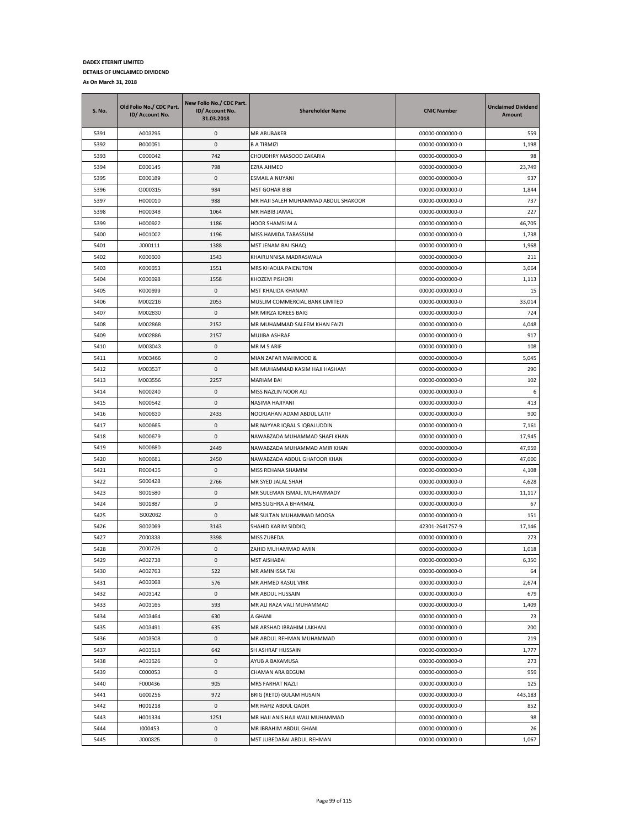| <b>S. No.</b> | Old Folio No./ CDC Part.<br>ID/ Account No. | New Folio No./ CDC Part.<br>ID/ Account No.<br>31.03.2018 | <b>Shareholder Name</b>                                    | <b>CNIC Number</b>                 | <b>Unclaimed Dividend</b><br><b>Amount</b> |
|---------------|---------------------------------------------|-----------------------------------------------------------|------------------------------------------------------------|------------------------------------|--------------------------------------------|
| 5391          | A003295                                     | 0                                                         | MR ABUBAKER                                                | 00000-0000000-0                    | 559                                        |
| 5392          | B000051                                     | 0                                                         | <b>B A TIRMIZI</b>                                         | 00000-0000000-0                    | 1,198                                      |
| 5393          | C000042                                     | 742                                                       | CHOUDHRY MASOOD ZAKARIA                                    | 00000-0000000-0                    | 98                                         |
| 5394          | E000145                                     | 798                                                       | EZRA AHMED                                                 | 00000-0000000-0                    | 23,749                                     |
| 5395          | E000189                                     | 0                                                         | ESMAIL A NUYANI                                            | 00000-0000000-0                    | 937                                        |
| 5396          | G000315                                     | 984                                                       | <b>MST GOHAR BIBI</b>                                      | 00000-0000000-0                    | 1,844                                      |
| 5397          | H000010                                     | 988                                                       | MR HAJI SALEH MUHAMMAD ABDUL SHAKOOR                       | 00000-0000000-0                    | 737                                        |
| 5398          | H000348                                     | 1064                                                      | MR HABIB JAMAL                                             | 00000-0000000-0                    | 227                                        |
| 5399          | H000922                                     | 1186                                                      | HOOR SHAMSI M A                                            | 00000-0000000-0                    | 46,705                                     |
| 5400          | H001002                                     | 1196                                                      | MISS HAMIDA TABASSUM                                       | 00000-0000000-0                    | 1,738                                      |
| 5401          | J000111                                     | 1388                                                      | MST JENAM BAI ISHAQ                                        | 00000-0000000-0                    | 1,968                                      |
| 5402          | K000600                                     | 1543                                                      | KHAIRUNNISA MADRASWALA                                     | 00000-0000000-0                    | 211                                        |
| 5403          | K000653                                     | 1551                                                      | MRS KHADIJA PAIENJTON                                      | 00000-0000000-0                    | 3,064                                      |
| 5404          | K000698                                     | 1558                                                      | KHOZEM PISHORI                                             | 00000-0000000-0                    | 1,113                                      |
| 5405          | K000699                                     | 0                                                         | MST KHALIDA KHANAM                                         | 00000-0000000-0                    | 15                                         |
| 5406          | M002216                                     | 2053                                                      | MUSLIM COMMERCIAL BANK LIMITED                             | 00000-0000000-0                    | 33,014                                     |
| 5407          | M002830                                     | 0                                                         | MR MIRZA IDREES BAIG                                       | 00000-0000000-0                    | 724                                        |
| 5408          | M002868                                     | 2152                                                      | MR MUHAMMAD SALEEM KHAN FAIZI                              | 00000-0000000-0                    | 4,048                                      |
| 5409          | M002886                                     | 2157                                                      | MUJIBA ASHRAF                                              | 00000-0000000-0                    | 917                                        |
| 5410          | M003043                                     | 0                                                         | MR M S ARIF                                                | 00000-0000000-0                    | 108                                        |
| 5411          | M003466                                     | 0                                                         | MIAN ZAFAR MAHMOOD &                                       | 00000-0000000-0                    | 5,045                                      |
| 5412          | M003537                                     | 0                                                         | MR MUHAMMAD KASIM HAJI HASHAM                              | 00000-0000000-0                    | 290                                        |
| 5413          | M003556                                     | 2257                                                      | MARIAM BAI                                                 | 00000-0000000-0                    | 102                                        |
| 5414          | N000240                                     | 0                                                         | MISS NAZLIN NOOR ALI                                       | 00000-0000000-0                    | 6                                          |
| 5415          | N000542<br>N000630                          | 0                                                         | NASIMA HAJIYANI                                            | 00000-0000000-0                    | 413                                        |
| 5416<br>5417  | N000665                                     | 2433<br>0                                                 | NOORJAHAN ADAM ABDUL LATIF<br>MR NAYYAR IQBAL S IQBALUDDIN | 00000-0000000-0<br>00000-0000000-0 | 900<br>7,161                               |
| 5418          | N000679                                     | 0                                                         | NAWABZADA MUHAMMAD SHAFI KHAN                              | 00000-0000000-0                    | 17,945                                     |
| 5419          | N000680                                     | 2449                                                      | NAWABZADA MUHAMMAD AMIR KHAN                               | 00000-0000000-0                    | 47,959                                     |
| 5420          | N000681                                     | 2450                                                      | NAWABZADA ABDUL GHAFOOR KHAN                               | 00000-0000000-0                    | 47,000                                     |
| 5421          | R000435                                     | 0                                                         | MISS REHANA SHAMIM                                         | 00000-0000000-0                    | 4,108                                      |
| 5422          | S000428                                     | 2766                                                      | MR SYED JALAL SHAH                                         | 00000-0000000-0                    | 4,628                                      |
| 5423          | S001580                                     | 0                                                         | MR SULEMAN ISMAIL MUHAMMADY                                | 00000-0000000-0                    | 11,117                                     |
| 5424          | S001887                                     | 0                                                         | MRS SUGHRA A BHARMAL                                       | 00000-0000000-0                    | 67                                         |
| 5425          | S002062                                     | 0                                                         | MR SULTAN MUHAMMAD MOOSA                                   | 00000-0000000-0                    | 151                                        |
| 5426          | S002069                                     | 3143                                                      | SHAHID KARIM SIDDIQ                                        | 42301-2641757-9                    | 17,146                                     |
| 5427          | Z000333                                     | 3398                                                      | MISS ZUBEDA                                                | 00000-0000000-0                    | 273                                        |
| 5428          | Z000726                                     | 0                                                         | ZAHID MUHAMMAD AMIN                                        | 00000-0000000-0                    | 1,018                                      |
| 5429          | A002738                                     | $\mathbf{0}$                                              | <b>MST AISHABAI</b>                                        | 00000-0000000-0                    | 6,350                                      |
| 5430          | A002763                                     | 522                                                       | MR AMIN ISSA TAI                                           | 00000-0000000-0                    | 64                                         |
| 5431          | A003068                                     | 576                                                       | MR AHMED RASUL VIRK                                        | 00000-0000000-0                    | 2,674                                      |
| 5432          | A003142                                     | 0                                                         | MR ABDUL HUSSAIN                                           | 00000-0000000-0                    | 679                                        |
| 5433          | A003165                                     | 593                                                       | MR ALI RAZA VALI MUHAMMAD                                  | 00000-0000000-0                    | 1,409                                      |
| 5434          | A003464                                     | 630                                                       | A GHANI                                                    | 00000-0000000-0                    | 23                                         |
| 5435          | A003491                                     | 635                                                       | MR ARSHAD IBRAHIM LAKHANI                                  | 00000-0000000-0                    | 200                                        |
| 5436          | A003508                                     | 0                                                         | MR ABDUL REHMAN MUHAMMAD                                   | 00000-0000000-0                    | 219                                        |
| 5437          | A003518                                     | 642                                                       | SH ASHRAF HUSSAIN                                          | 00000-0000000-0                    | 1,777                                      |
| 5438          | A003526                                     | 0                                                         | AYUB A BAXAMUSA                                            | 00000-0000000-0                    | 273                                        |
| 5439          | C000053                                     | 0                                                         | CHAMAN ARA BEGUM                                           | 00000-0000000-0                    | 959                                        |
| 5440          | F000436                                     | 905                                                       | MRS FARHAT NAZLI                                           | 00000-0000000-0                    | 125                                        |
| 5441          | G000256                                     | 972                                                       | BRIG (RETD) GULAM HUSAIN                                   | 00000-0000000-0                    | 443,183                                    |
| 5442          | H001218                                     | 0                                                         | MR HAFIZ ABDUL QADIR                                       | 00000-0000000-0                    | 852                                        |
| 5443          | H001334                                     | 1251                                                      | MR HAJI ANIS HAJI WALI MUHAMMAD                            | 00000-0000000-0                    | 98                                         |
| 5444          | 1000453                                     | 0                                                         | MR IBRAHIM ABDUL GHANI                                     | 00000-0000000-0                    | 26                                         |
| 5445          | J000325                                     | 0                                                         | MST JUBEDABAI ABDUL REHMAN                                 | 00000-0000000-0                    | 1,067                                      |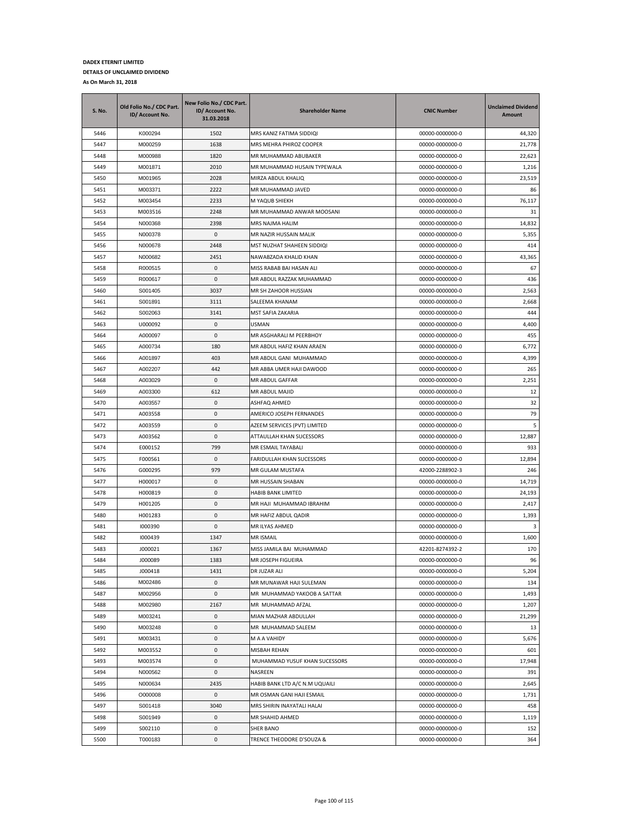| <b>S. No.</b> | Old Folio No./ CDC Part.<br>ID/ Account No. | New Folio No./ CDC Part.<br>ID/ Account No.<br>31.03.2018 | <b>Shareholder Name</b>        | <b>CNIC Number</b> | <b>Unclaimed Dividend</b><br>Amount |
|---------------|---------------------------------------------|-----------------------------------------------------------|--------------------------------|--------------------|-------------------------------------|
| 5446          | K000294                                     | 1502                                                      | MRS KANIZ FATIMA SIDDIQI       | 00000-0000000-0    | 44,320                              |
| 5447          | M000259                                     | 1638                                                      | MRS MEHRA PHIROZ COOPER        | 00000-0000000-0    | 21,778                              |
| 5448          | M000988                                     | 1820                                                      | MR MUHAMMAD ABUBAKER           | 00000-0000000-0    | 22,623                              |
| 5449          | M001871                                     | 2010                                                      | MR MUHAMMAD HUSAIN TYPEWALA    | 00000-0000000-0    | 1,216                               |
| 5450          | M001965                                     | 2028                                                      | MIRZA ABDUL KHALIQ             | 00000-0000000-0    | 23,519                              |
| 5451          | M003371                                     | 2222                                                      | MR MUHAMMAD JAVED              | 00000-0000000-0    | 86                                  |
| 5452          | M003454                                     | 2233                                                      | M YAQUB SHIEKH                 | 00000-0000000-0    | 76,117                              |
| 5453          | M003516                                     | 2248                                                      | MR MUHAMMAD ANWAR MOOSANI      | 00000-0000000-0    | 31                                  |
| 5454          | N000368                                     | 2398                                                      | MRS NAJMA HALIM                | 00000-0000000-0    | 14,832                              |
| 5455          | N000378                                     | 0                                                         | MR NAZIR HUSSAIN MALIK         | 00000-0000000-0    | 5,355                               |
| 5456          | N000678                                     | 2448                                                      | MST NUZHAT SHAHEEN SIDDIQI     | 00000-0000000-0    | 414                                 |
| 5457          | N000682                                     | 2451                                                      | NAWABZADA KHALID KHAN          | 00000-0000000-0    | 43,365                              |
| 5458          | R000515                                     | 0                                                         | MISS RABAB BAI HASAN ALI       | 00000-0000000-0    | 67                                  |
| 5459          | R000617                                     | 0                                                         | MR ABDUL RAZZAK MUHAMMAD       | 00000-0000000-0    | 436                                 |
| 5460          | S001405                                     | 3037                                                      | MR SH ZAHOOR HUSSIAN           | 00000-0000000-0    | 2,563                               |
| 5461          | S001891                                     | 3111                                                      | SALEEMA KHANAM                 | 00000-0000000-0    | 2,668                               |
| 5462          | S002063                                     | 3141                                                      | MST SAFIA ZAKARIA              | 00000-0000000-0    | 444                                 |
| 5463          | U000092                                     | 0                                                         | USMAN                          | 00000-0000000-0    | 4,400                               |
| 5464          | A000097                                     | 0                                                         | MR ASGHARALI M PEERBHOY        | 00000-0000000-0    | 455                                 |
| 5465          | A000734                                     | 180                                                       | MR ABDUL HAFIZ KHAN ARAEN      | 00000-0000000-0    | 6,772                               |
| 5466          | A001897                                     | 403                                                       | MR ABDUL GANI MUHAMMAD         | 00000-0000000-0    | 4,399                               |
| 5467          | A002207                                     | 442                                                       | MR ABBA UMER HAJI DAWOOD       | 00000-0000000-0    | 265                                 |
| 5468          | A003029                                     | 0                                                         | MR ABDUL GAFFAR                | 00000-0000000-0    | 2,251                               |
| 5469          | A003300                                     | 612                                                       | MR ABDUL MAJID                 | 00000-0000000-0    | 12                                  |
| 5470          | A003557                                     | 0                                                         | ASHFAQ AHMED                   | 00000-0000000-0    | 32                                  |
| 5471          | A003558                                     | 0                                                         | AMERICO JOSEPH FERNANDES       | 00000-0000000-0    | 79                                  |
| 5472          | A003559                                     | 0                                                         | AZEEM SERVICES (PVT) LIMITED   | 00000-0000000-0    | 5                                   |
| 5473          | A003562                                     | 0                                                         | ATTAULLAH KHAN SUCESSORS       | 00000-0000000-0    | 12,887                              |
| 5474          | E000152                                     | 799                                                       | MR ESMAIL TAYABALI             | 00000-0000000-0    | 933                                 |
| 5475          | F000561                                     | $\pmb{0}$                                                 | FARIDULLAH KHAN SUCESSORS      | 00000-0000000-0    | 12,894                              |
| 5476          | G000295                                     | 979                                                       | MR GULAM MUSTAFA               | 42000-2288902-3    | 246                                 |
| 5477          | H000017                                     | $\pmb{0}$                                                 | MR HUSSAIN SHABAN              | 00000-0000000-0    | 14,719                              |
| 5478          | H000819                                     | 0                                                         | HABIB BANK LIMITED             | 00000-0000000-0    | 24,193                              |
| 5479          | H001205                                     | 0                                                         | MR HAJI MUHAMMAD IBRAHIM       | 00000-0000000-0    | 2,417                               |
| 5480          | H001283                                     | 0                                                         | MR HAFIZ ABDUL QADIR           | 00000-0000000-0    | 1,393                               |
| 5481          | 1000390                                     | 0                                                         | MR ILYAS AHMED                 | 00000-0000000-0    | $\mathbf{3}$                        |
| 5482          | 1000439                                     | 1347                                                      | MR ISMAIL                      | 00000-0000000-0    | 1,600                               |
| 5483          | J000021                                     | 1367                                                      | MISS JAMILA BAI MUHAMMAD       | 42201-8274392-2    | 170                                 |
| 5484          | J000089                                     | 1383                                                      | MR JOSEPH FIGUEIRA             | 00000-0000000-0    | 96                                  |
| 5485          | J000418                                     | 1431                                                      | DR JUZAR ALI                   | 00000-0000000-0    | 5,204                               |
| 5486          | M002486                                     | 0                                                         | MR MUNAWAR HAJI SULEMAN        | 00000-0000000-0    | 134                                 |
| 5487          | M002956                                     | 0                                                         | MR MUHAMMAD YAKOOB A SATTAR    | 00000-0000000-0    | 1,493                               |
| 5488          | M002980                                     | 2167                                                      | MR MUHAMMAD AFZAL              | 00000-0000000-0    | 1,207                               |
| 5489          | M003241                                     | 0                                                         | MIAN MAZHAR ABDULLAH           | 00000-0000000-0    | 21,299                              |
| 5490          | M003248                                     | 0                                                         | MR MUHAMMAD SALEEM             | 00000-0000000-0    | 13                                  |
| 5491          | M003431                                     | 0                                                         | M A A VAHIDY                   | 00000-0000000-0    | 5,676                               |
| 5492          | M003552                                     | 0                                                         | MISBAH REHAN                   | 00000-0000000-0    | 601                                 |
| 5493          | M003574                                     | 0                                                         | MUHAMMAD YUSUF KHAN SUCESSORS  | 00000-0000000-0    | 17,948                              |
| 5494          | N000562                                     | 0                                                         | NASREEN                        | 00000-0000000-0    | 391                                 |
| 5495          | N000634                                     | 2435                                                      | HABIB BANK LTD A/C N.M UQUAILI | 00000-0000000-0    | 2,645                               |
| 5496          | O000008                                     | 0                                                         | MR OSMAN GANI HAJI ESMAIL      | 00000-0000000-0    | 1,731                               |
| 5497          | S001418                                     | 3040                                                      | MRS SHIRIN INAYATALI HALAI     | 00000-0000000-0    | 458                                 |
| 5498          | S001949                                     | 0                                                         | MR SHAHID AHMED                | 00000-0000000-0    | 1,119                               |
| 5499          | S002110                                     | 0                                                         | <b>SHER BANO</b>               | 00000-0000000-0    | 152                                 |
| 5500          | T000183                                     | 0                                                         | TRENCE THEODORE D'SOUZA &      | 00000-0000000-0    | 364                                 |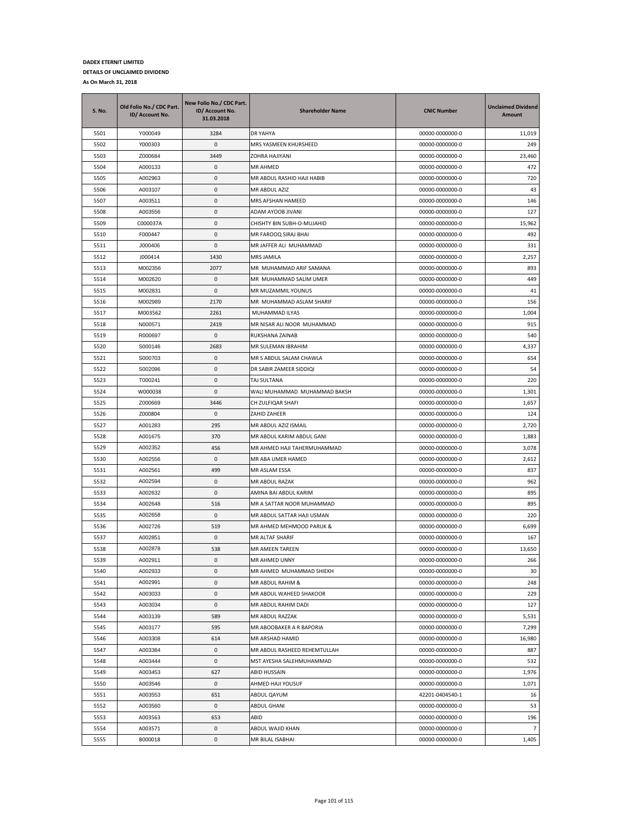| S. No.       | Old Folio No./ CDC Part.<br>ID/ Account No. | New Folio No./ CDC Part.<br>ID/ Account No.<br>31.03.2018 | <b>Shareholder Name</b>              | <b>CNIC Number</b>                 | <b>Unclaimed Dividend</b><br>Amount |
|--------------|---------------------------------------------|-----------------------------------------------------------|--------------------------------------|------------------------------------|-------------------------------------|
| 5501         | Y000049                                     | 3284                                                      | DR YAHYA                             | 00000-0000000-0                    | 11,019                              |
| 5502         | Y000303                                     | 0                                                         | MRS YASMEEN KHURSHEED                | 00000-0000000-0                    | 249                                 |
| 5503         | Z000684                                     | 3449                                                      | ZOHRA HAJIYANI                       | 00000-0000000-0                    | 23,460                              |
| 5504         | A000133                                     | 0                                                         | MR AHMED                             | 00000-0000000-0                    | 472                                 |
| 5505         | A002963                                     | 0                                                         | MR ABDUL RASHID HAJI HABIB           | 00000-0000000-0                    | 720                                 |
| 5506         | A003107                                     | 0                                                         | MR ABDUL AZIZ                        | 00000-0000000-0                    | 43                                  |
| 5507         | A003511                                     | 0                                                         | MRS AFSHAN HAMEED                    | 00000-0000000-0                    | 146                                 |
| 5508         | A003556                                     | 0                                                         | ADAM AYOOB JIVANI                    | 00000-0000000-0                    | 127                                 |
| 5509         | C000037A                                    | $\pmb{0}$                                                 | CHISHTY BIN SUBH-O-MUJAHID           | 00000-0000000-0                    | 15,962                              |
| 5510         | F000447                                     | 0                                                         | MR FAROOQ SIRAJ BHAI                 | 00000-0000000-0                    | 492                                 |
| 5511         | J000406                                     | 0                                                         | MR JAFFER ALI MUHAMMAD               | 00000-0000000-0                    | 331                                 |
| 5512         | J000414                                     | 1430                                                      | MRS JAMILA                           | 00000-0000000-0                    | 2,257                               |
| 5513         | M002356                                     | 2077                                                      | MR MUHAMMAD ARIF SAMANA              | 00000-0000000-0                    | 893                                 |
| 5514         | M002620                                     | 0                                                         | MR MUHAMMAD SALIM UMER               | 00000-0000000-0                    | 449                                 |
| 5515         | M002831                                     | 0                                                         | MR MUZAMMIL YOUNUS                   | 00000-0000000-0                    | 41                                  |
| 5516         | M002989                                     | 2170                                                      | MR MUHAMMAD ASLAM SHARIF             | 00000-0000000-0                    | 156                                 |
| 5517         | M003562                                     | 2261                                                      | MUHAMMAD ILYAS                       | 00000-0000000-0                    | 1,004                               |
| 5518         | N000571                                     | 2419                                                      | MR NISAR ALI NOOR MUHAMMAD           | 00000-0000000-0                    | 915                                 |
| 5519         | R000697                                     | 0                                                         | RUKSHANA ZAINAB                      | 00000-0000000-0                    | 540                                 |
| 5520         | S000146                                     | 2683                                                      | MR SULEMAN IBRAHIM                   | 00000-0000000-0                    | 4,337                               |
| 5521         | S000703                                     | 0                                                         | MR S ABDUL SALAM CHAWLA              | 00000-0000000-0                    | 654                                 |
| 5522         | S002096                                     | 0                                                         | DR SABIR ZAMEER SIDDIQI              | 00000-0000000-0                    | 54                                  |
| 5523         | T000241                                     | 0                                                         | TAJ SULTANA                          | 00000-0000000-0                    | 220                                 |
| 5524         | W000038                                     | 0                                                         | WALI MUHAMMAD MUHAMMAD BAKSH         | 00000-0000000-0                    | 1,301                               |
| 5525         | Z000669                                     | 3446                                                      | CH ZULFIQAR SHAFI                    | 00000-0000000-0                    | 1,657                               |
| 5526         | Z000804                                     | 0                                                         | ZAHID ZAHEER                         | 00000-0000000-0                    | 124                                 |
| 5527         | A001283                                     | 295                                                       | MR ABDUL AZIZ ISMAIL                 | 00000-0000000-0                    | 2,720                               |
| 5528         | A001675                                     | 370                                                       | MR ABDUL KARIM ABDUL GANI            | 00000-0000000-0                    | 1,883                               |
| 5529         | A002352                                     | 456                                                       | MR AHMED HAJI TAHERMUHAMMAD          | 00000-0000000-0                    | 3,078                               |
| 5530         | A002556                                     | 0                                                         | MR ABA UMER HAMED                    | 00000-0000000-0                    | 2,612                               |
| 5531         | A002561                                     | 499                                                       | MR ASLAM ESSA                        | 00000-0000000-0                    | 837                                 |
| 5532         | A002594                                     | 0                                                         | MR ABDUL RAZAK                       | 00000-0000000-0                    | 962                                 |
| 5533         | A002632                                     | 0                                                         | AMINA BAI ABDUL KARIM                | 00000-0000000-0                    | 895                                 |
| 5534         | A002648                                     | 516                                                       | MR A SATTAR NOOR MUHAMMAD            | 00000-0000000-0                    | 895                                 |
| 5535         | A002658                                     | 0                                                         | MR ABDUL SATTAR HAJI USMAN           | 00000-0000000-0                    | 220                                 |
| 5536         | A002726                                     | 519                                                       | MR AHMED MEHMOOD PARUK &             | 00000-0000000-0                    | 6,699                               |
| 5537         | A002851                                     | 0                                                         | MR ALTAF SHARIF                      | 00000-0000000-0                    | 167                                 |
| 5538         | A002878                                     | 538                                                       | MR AMEEN TAREEN                      | 00000-0000000-0                    | 13,650                              |
| 5539         | A002911                                     | $\mathbf{0}$                                              | MR AHMED UNNY                        | 00000-0000000-0                    | 266                                 |
| 5540         | A002933                                     | $\mathsf 0$                                               | MR AHMED MUHAMMAD SHIEKH             | 00000-0000000-0                    | 30                                  |
| 5541         | A002991                                     | 0                                                         | MR ABDUL RAHIM &                     | 00000-0000000-0                    | 248                                 |
| 5542         | A003033                                     | 0                                                         | MR ABDUL WAHEED SHAKOOR              | 00000-0000000-0                    | 229                                 |
| 5543         | A003034                                     | 0                                                         | MR ABDUL RAHIM DADI                  | 00000-0000000-0                    | 127                                 |
| 5544         | A003139                                     | 589                                                       | MR ABDUL RAZZAK                      | 00000-0000000-0                    | 5,531                               |
| 5545         | A003177                                     | 595                                                       | MR ABOOBAKER A R BAPORIA             | 00000-0000000-0                    | 7,299                               |
| 5546         | A003308                                     | 614                                                       | MR ARSHAD HAMID                      | 00000-0000000-0                    | 16,980                              |
| 5547         | A003384                                     | 0                                                         | MR ABDUL RASHEED REHEMTULLAH         | 00000-0000000-0                    | 887                                 |
| 5548         | A003444                                     | 0                                                         | MST AYESHA SALEHMUHAMMAD             | 00000-0000000-0                    | 532                                 |
| 5549         | A003453                                     | 627                                                       | ABID HUSSAIN                         | 00000-0000000-0                    | 1,976                               |
| 5550         | A003546                                     | 0                                                         | AHMED HAJI YOUSUF                    | 00000-0000000-0                    | 1,071                               |
| 5551         | A003553                                     | 651                                                       | ABDUL QAYUM                          | 42201-0404540-1                    | 16                                  |
| 5552         | A003560                                     | $\mathsf 0$                                               | <b>ABDUL GHANI</b>                   | 00000-0000000-0                    | 53                                  |
|              |                                             |                                                           |                                      |                                    |                                     |
| 5553<br>5554 | A003563                                     | 653                                                       | ABID                                 | 00000-0000000-0                    | 196<br>$\overline{7}$               |
| 5555         | A003571<br>B000018                          | 0<br>0                                                    | ABDUL WAJID KHAN<br>MR BILAL ISABHAI | 00000-0000000-0<br>00000-0000000-0 | 1,405                               |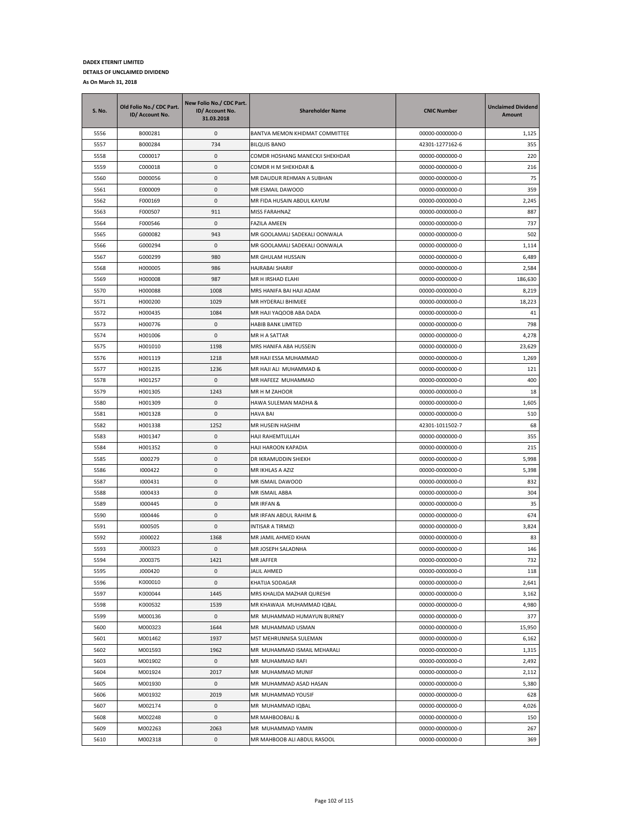| S. No. | Old Folio No./ CDC Part.<br>ID/ Account No. | New Folio No./ CDC Part.<br>ID/ Account No.<br>31.03.2018 | <b>Shareholder Name</b>         | <b>CNIC Number</b> | <b>Unclaimed Dividend</b><br>Amount |
|--------|---------------------------------------------|-----------------------------------------------------------|---------------------------------|--------------------|-------------------------------------|
| 5556   | B000281                                     | 0                                                         | BANTVA MEMON KHIDMAT COMMITTEE  | 00000-0000000-0    | 1,125                               |
| 5557   | B000284                                     | 734                                                       | <b>BILQUIS BANO</b>             | 42301-1277162-6    | 355                                 |
| 5558   | C000017                                     | $\mathbf{0}$                                              | COMDR HOSHANG MANECKJI SHEKHDAR | 00000-0000000-0    | 220                                 |
| 5559   | C000018                                     | 0                                                         | COMDR H M SHEKHDAR &            | 00000-0000000-0    | 216                                 |
| 5560   | D000056                                     | 0                                                         | MR DAUDUR REHMAN A SUBHAN       | 00000-0000000-0    | 75                                  |
| 5561   | E000009                                     | 0                                                         | MR ESMAIL DAWOOD                | 00000-0000000-0    | 359                                 |
| 5562   | F000169                                     | 0                                                         | MR FIDA HUSAIN ABDUL KAYUM      | 00000-0000000-0    | 2,245                               |
| 5563   | F000507                                     | 911                                                       | MISS FARAHNAZ                   | 00000-0000000-0    | 887                                 |
| 5564   | F000546                                     | 0                                                         | <b>FAZILA AMEEN</b>             | 00000-0000000-0    | 737                                 |
| 5565   | G000082                                     | 943                                                       | MR GOOLAMALI SADEKALI OONWALA   | 00000-0000000-0    | 502                                 |
| 5566   | G000294                                     | 0                                                         | MR GOOLAMALI SADEKALI OONWALA   | 00000-0000000-0    | 1,114                               |
| 5567   | G000299                                     | 980                                                       | MR GHULAM HUSSAIN               | 00000-0000000-0    | 6,489                               |
| 5568   | H000005                                     | 986                                                       | HAJRABAI SHARIF                 | 00000-0000000-0    | 2,584                               |
| 5569   | H000008                                     | 987                                                       | MR H IRSHAD ELAHI               | 00000-0000000-0    | 186,630                             |
| 5570   | H000088                                     | 1008                                                      | MRS HANIFA BAI HAJI ADAM        | 00000-0000000-0    | 8,219                               |
| 5571   | H000200                                     | 1029                                                      | MR HYDERALI BHIMJEE             | 00000-0000000-0    | 18,223                              |
| 5572   | H000435                                     | 1084                                                      | MR HAJI YAQOOB ABA DADA         | 00000-0000000-0    | 41                                  |
| 5573   | H000776                                     | 0                                                         | <b>HABIB BANK LIMITED</b>       | 00000-0000000-0    | 798                                 |
| 5574   | H001006                                     | 0                                                         | MR H A SATTAR                   | 00000-0000000-0    | 4,278                               |
| 5575   | H001010                                     | 1198                                                      | MRS HANIFA ABA HUSSEIN          | 00000-0000000-0    | 23,629                              |
| 5576   | H001119                                     | 1218                                                      | MR HAJI ESSA MUHAMMAD           | 00000-0000000-0    | 1,269                               |
| 5577   | H001235                                     | 1236                                                      | MR HAJI ALI MUHAMMAD &          | 00000-0000000-0    | 121                                 |
| 5578   | H001257                                     | 0                                                         | MR HAFEEZ MUHAMMAD              | 00000-0000000-0    | 400                                 |
| 5579   | H001305                                     | 1243                                                      | MR H M ZAHOOR                   | 00000-0000000-0    | 18                                  |
| 5580   | H001309                                     | 0                                                         | HAWA SULEMAN MADHA &            | 00000-0000000-0    | 1,605                               |
| 5581   | H001328                                     | 0                                                         | <b>HAVA BAI</b>                 | 00000-0000000-0    | 510                                 |
| 5582   | H001338                                     | 1252                                                      | MR HUSEIN HASHIM                | 42301-1011502-7    | 68                                  |
| 5583   | H001347                                     | 0                                                         | HAJI RAHEMTULLAH                | 00000-0000000-0    | 355                                 |
| 5584   | H001352                                     | 0                                                         | HAJI HAROON KAPADIA             | 00000-0000000-0    | 215                                 |
| 5585   | 1000279                                     | 0                                                         | DR IKRAMUDDIN SHIEKH            | 00000-0000000-0    | 5,998                               |
| 5586   | 1000422                                     | 0                                                         | MR IKHLAS A AZIZ                | 00000-0000000-0    | 5,398                               |
| 5587   | 1000431                                     | 0                                                         | MR ISMAIL DAWOOD                | 00000-0000000-0    | 832                                 |
| 5588   | 1000433                                     | 0                                                         | MR ISMAIL ABBA                  | 00000-0000000-0    | 304                                 |
| 5589   | 1000445                                     | 0                                                         | MR IRFAN &                      | 00000-0000000-0    | 35                                  |
| 5590   | 1000446                                     | 0                                                         | MR IRFAN ABDUL RAHIM &          | 00000-0000000-0    | 674                                 |
| 5591   | 1000505                                     | 0                                                         | INTISAR A TIRMIZI               | 00000-0000000-0    | 3,824                               |
| 5592   | J000022                                     | 1368                                                      | MR JAMIL AHMED KHAN             | 00000-0000000-0    | 83                                  |
| 5593   | J000323                                     | 0                                                         | MR JOSEPH SALADNHA              | 00000-0000000-0    | 146                                 |
| 5594   | J000375                                     | 1421                                                      | <b>MR JAFFER</b>                | 00000-0000000-0    | 732                                 |
| 5595   | J000420                                     | 0                                                         | <b>JALIL AHMED</b>              | 00000-0000000-0    | 118                                 |
| 5596   | K000010                                     | 0                                                         | KHATIJA SODAGAR                 | 00000-0000000-0    | 2,641                               |
| 5597   | K000044                                     | 1445                                                      | MRS KHALIDA MAZHAR QURESHI      | 00000-0000000-0    | 3,162                               |
| 5598   | K000532                                     | 1539                                                      | MR KHAWAJA MUHAMMAD IQBAL       | 00000-0000000-0    | 4,980                               |
| 5599   | M000136                                     | 0                                                         | MR MUHAMMAD HUMAYUN BURNEY      | 00000-0000000-0    | 377                                 |
| 5600   | M000323                                     | 1644                                                      | MR MUHAMMAD USMAN               | 00000-0000000-0    | 15,950                              |
| 5601   | M001462                                     | 1937                                                      | MST MEHRUNNISA SULEMAN          | 00000-0000000-0    | 6,162                               |
| 5602   | M001593                                     | 1962                                                      | MR MUHAMMAD ISMAIL MEHARALI     | 00000-0000000-0    | 1,315                               |
| 5603   | M001902                                     | 0                                                         | MR MUHAMMAD RAFI                | 00000-0000000-0    | 2,492                               |
| 5604   | M001924                                     | 2017                                                      | MR MUHAMMAD MUNIF               | 00000-0000000-0    | 2,112                               |
| 5605   | M001930                                     | 0                                                         | MR MUHAMMAD ASAD HASAN          | 00000-0000000-0    | 5,380                               |
| 5606   | M001932                                     | 2019                                                      | MR MUHAMMAD YOUSIF              | 00000-0000000-0    | 628                                 |
| 5607   | M002174                                     | 0                                                         | MR MUHAMMAD IQBAL               | 00000-0000000-0    |                                     |
|        |                                             |                                                           |                                 |                    | 4,026                               |
| 5608   | M002248                                     | 0                                                         | MR MAHBOOBALI &                 | 00000-0000000-0    | 150                                 |
| 5609   | M002263                                     | 2063                                                      | MR MUHAMMAD YAMIN               | 00000-0000000-0    | 267                                 |
| 5610   | M002318                                     | 0                                                         | MR MAHBOOB ALI ABDUL RASOOL     | 00000-0000000-0    | 369                                 |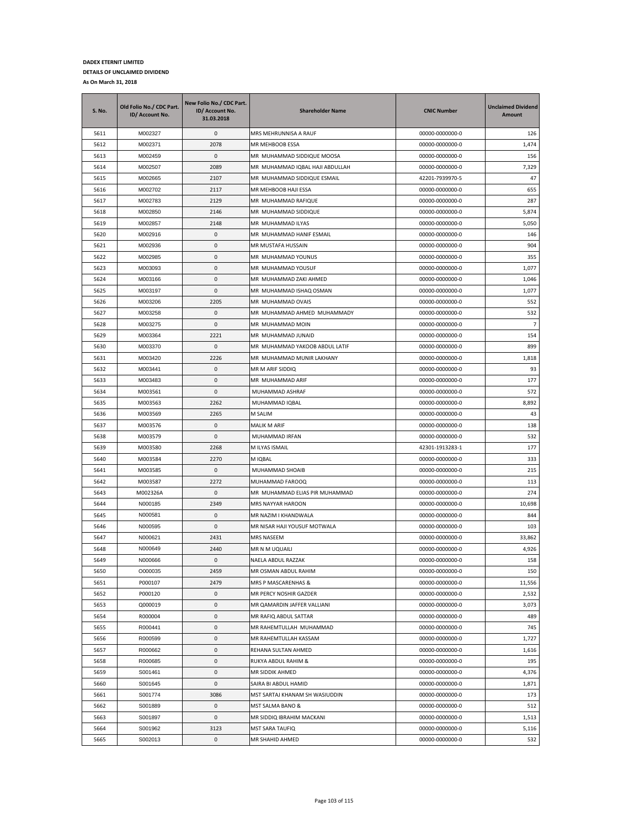| <b>S. No.</b> | Old Folio No./ CDC Part.<br>ID/ Account No. | New Folio No./ CDC Part.<br>ID/ Account No.<br>31.03.2018 | <b>Shareholder Name</b>            | <b>CNIC Number</b>                 | <b>Unclaimed Dividend</b><br>Amount |
|---------------|---------------------------------------------|-----------------------------------------------------------|------------------------------------|------------------------------------|-------------------------------------|
| 5611          | M002327                                     | 0                                                         | MRS MEHRUNNISA A RAUF              | 00000-0000000-0                    | 126                                 |
| 5612          | M002371                                     | 2078                                                      | MR MEHBOOB ESSA                    | 00000-0000000-0                    | 1,474                               |
| 5613          | M002459                                     | 0                                                         | MR MUHAMMAD SIDDIQUE MOOSA         | 00000-0000000-0                    | 156                                 |
| 5614          | M002507                                     | 2089                                                      | MR MUHAMMAD IQBAL HAJI ABDULLAH    | 00000-0000000-0                    | 7,329                               |
| 5615          | M002665                                     | 2107                                                      | MR MUHAMMAD SIDDIQUE ESMAIL        | 42201-7939970-5                    | 47                                  |
| 5616          | M002702                                     | 2117                                                      | MR MEHBOOB HAJI ESSA               | 00000-0000000-0                    | 655                                 |
| 5617          | M002783                                     | 2129                                                      | MR MUHAMMAD RAFIQUE                | 00000-0000000-0                    | 287                                 |
| 5618          | M002850                                     | 2146                                                      | MR MUHAMMAD SIDDIQUE               | 00000-0000000-0                    | 5,874                               |
| 5619          | M002857                                     | 2148                                                      | MR MUHAMMAD ILYAS                  | 00000-0000000-0                    | 5,050                               |
| 5620          | M002916                                     | 0                                                         | MR MUHAMMAD HANIF ESMAIL           | 00000-0000000-0                    | 146                                 |
| 5621          | M002936                                     | 0                                                         | MR MUSTAFA HUSSAIN                 | 00000-0000000-0                    | 904                                 |
| 5622          | M002985                                     | 0                                                         | MR MUHAMMAD YOUNUS                 | 00000-0000000-0                    | 355                                 |
| 5623          | M003093                                     | 0                                                         | MR MUHAMMAD YOUSUF                 | 00000-0000000-0                    | 1,077                               |
| 5624          | M003166                                     | 0                                                         | MR MUHAMMAD ZAKI AHMED             | 00000-0000000-0                    | 1,046                               |
| 5625          | M003197                                     | 0                                                         | MR MUHAMMAD ISHAQ OSMAN            | 00000-0000000-0                    | 1,077                               |
| 5626          | M003206                                     | 2205                                                      | MR MUHAMMAD OVAIS                  | 00000-0000000-0                    | 552                                 |
| 5627          | M003258                                     | 0                                                         | MR MUHAMMAD AHMED MUHAMMADY        | 00000-0000000-0                    | 532                                 |
| 5628          | M003275                                     | 0                                                         | MR MUHAMMAD MOIN                   | 00000-0000000-0                    | $\overline{7}$                      |
| 5629          | M003364                                     | 2221                                                      | MR MUHAMMAD JUNAID                 | 00000-0000000-0                    | 154                                 |
| 5630          | M003370                                     | 0                                                         | MR MUHAMMAD YAKOOB ABDUL LATIF     | 00000-0000000-0                    | 899                                 |
| 5631          | M003420                                     | 2226                                                      | MR MUHAMMAD MUNIR LAKHANY          | 00000-0000000-0                    | 1,818                               |
| 5632          | M003441                                     | 0                                                         | MR M ARIF SIDDIQ                   | 00000-0000000-0                    | 93                                  |
| 5633          | M003483                                     | 0                                                         | MR MUHAMMAD ARIF                   | 00000-0000000-0                    | 177                                 |
| 5634          | M003561                                     | 0                                                         | MUHAMMAD ASHRAF                    | 00000-0000000-0                    | 572                                 |
| 5635          | M003563                                     | 2262                                                      | MUHAMMAD IQBAL                     | 00000-0000000-0                    | 8,892                               |
| 5636          | M003569                                     | 2265                                                      | M SALIM                            | 00000-0000000-0                    | 43                                  |
| 5637          | M003576                                     | 0                                                         | MALIK M ARIF                       | 00000-0000000-0                    | 138                                 |
| 5638          | M003579                                     | 0                                                         | MUHAMMAD IRFAN                     | 00000-0000000-0                    | 532                                 |
| 5639          | M003580                                     | 2268                                                      | M ILYAS ISMAIL                     | 42301-1913283-1                    | 177                                 |
| 5640          | M003584                                     | 2270                                                      | M IQBAL                            | 00000-0000000-0                    | 333                                 |
| 5641          | M003585                                     | 0                                                         | MUHAMMAD SHOAIB                    | 00000-0000000-0                    | 215                                 |
| 5642          | M003587                                     | 2272                                                      | MUHAMMAD FAROOQ                    | 00000-0000000-0                    | 113                                 |
| 5643          | M002326A                                    | 0                                                         | MR MUHAMMAD ELIAS PIR MUHAMMAD     | 00000-0000000-0                    | 274                                 |
| 5644          | N000185                                     | 2349                                                      | MRS NAYYAR HAROON                  | 00000-0000000-0                    | 10,698                              |
| 5645          | N000581                                     | 0                                                         | MR NAZIM I KHANDWALA               | 00000-0000000-0                    | 844                                 |
| 5646          | N000595                                     | 0                                                         | MR NISAR HAJI YOUSUF MOTWALA       | 00000-0000000-0                    | 103                                 |
| 5647          | N000621                                     | 2431                                                      | MRS NASEEM                         | 00000-0000000-0                    | 33,862                              |
| 5648          | N000649                                     | 2440                                                      | MR N M UQUAILI                     | 00000-0000000-0                    | 4,926                               |
| 5649          | N000666                                     | $\Omega$                                                  | NAELA ABDUL RAZZAK                 | 00000-0000000-0                    | 158                                 |
| 5650          | O000035                                     | 2459                                                      | MR OSMAN ABDUL RAHIM               | 00000-0000000-0                    | 150                                 |
| 5651          | P000107                                     | 2479                                                      | MRS P MASCARENHAS &                | 00000-0000000-0                    | 11,556                              |
| 5652          | P000120                                     | $\mathsf 0$                                               | MR PERCY NOSHIR GAZDER             | 00000-0000000-0                    | 2,532                               |
| 5653          | Q000019                                     | 0                                                         | MR QAMARDIN JAFFER VALLIANI        | 00000-0000000-0                    | 3,073                               |
| 5654          | R000004                                     | 0                                                         | MR RAFIQ ABDUL SATTAR              | 00000-0000000-0                    | 489                                 |
| 5655          | R000441                                     | 0                                                         | MR RAHEMTULLAH MUHAMMAD            | 00000-0000000-0                    | 745                                 |
| 5656          | R000599                                     | 0                                                         | MR RAHEMTULLAH KASSAM              | 00000-0000000-0                    | 1,727                               |
| 5657          | R000662                                     | 0                                                         | REHANA SULTAN AHMED                | 00000-0000000-0                    | 1,616                               |
| 5658          | R000685                                     | 0                                                         | RUKYA ABDUL RAHIM &                | 00000-0000000-0                    | 195                                 |
| 5659          | S001461                                     | 0                                                         | MR SIDDIK AHMED                    | 00000-0000000-0                    | 4,376                               |
| 5660          | S001645                                     | 0                                                         | SAIRA BI ABDUL HAMID               | 00000-0000000-0                    | 1,871                               |
| 5661          | S001774                                     | 3086                                                      | MST SARTAJ KHANAM SH WASIUDDIN     | 00000-0000000-0                    | 173                                 |
| 5662          | S001889                                     | 0                                                         | MST SALMA BANO &                   | 00000-0000000-0                    | 512                                 |
| 5663          | S001897                                     | 0                                                         | MR SIDDIQ IBRAHIM MACKANI          | 00000-0000000-0                    | 1,513                               |
|               | S001962                                     |                                                           |                                    |                                    |                                     |
| 5664<br>5665  | S002013                                     | 3123<br>$\mathsf 0$                                       | MST SARA TAUFIQ<br>MR SHAHID AHMED | 00000-0000000-0<br>00000-0000000-0 | 5,116<br>532                        |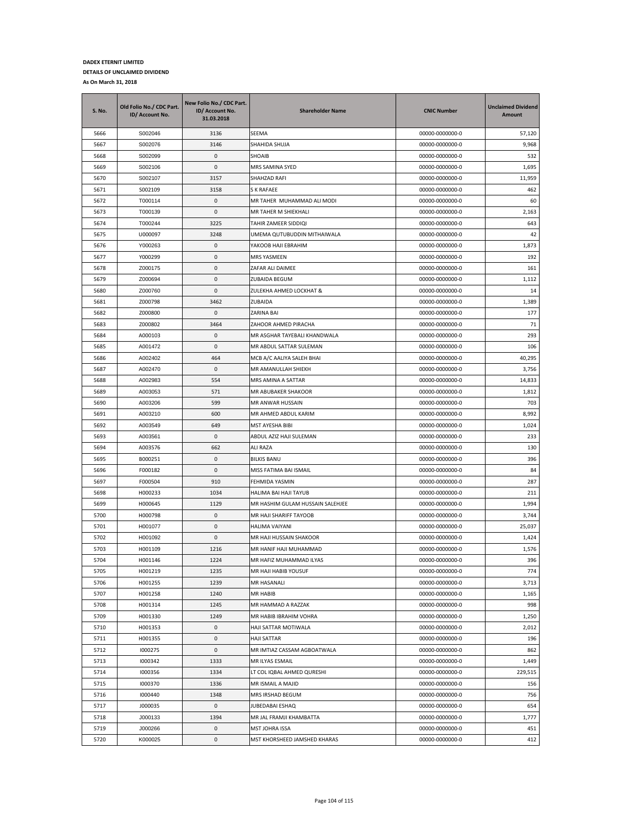| <b>S. No.</b> | Old Folio No./ CDC Part.<br>ID/ Account No. | New Folio No./ CDC Part.<br>ID/ Account No.<br>31.03.2018 | <b>Shareholder Name</b>                        | <b>CNIC Number</b>                 | <b>Unclaimed Dividend</b><br><b>Amount</b> |
|---------------|---------------------------------------------|-----------------------------------------------------------|------------------------------------------------|------------------------------------|--------------------------------------------|
| 5666          | S002046                                     | 3136                                                      | SEEMA                                          | 00000-0000000-0                    | 57,120                                     |
| 5667          | S002076                                     | 3146                                                      | SHAHIDA SHUJA                                  | 00000-0000000-0                    | 9,968                                      |
| 5668          | S002099                                     | $\mathsf 0$                                               | SHOAIB                                         | 00000-0000000-0                    | 532                                        |
| 5669          | S002106                                     | 0                                                         | MRS SAMINA SYED                                | 00000-0000000-0                    | 1,695                                      |
| 5670          | S002107                                     | 3157                                                      | SHAHZAD RAFI                                   | 00000-0000000-0                    | 11,959                                     |
| 5671          | S002109                                     | 3158                                                      | S K RAFAEE                                     | 00000-0000000-0                    | 462                                        |
| 5672          | T000114                                     | $\mathsf 0$                                               | MR TAHER MUHAMMAD ALI MODI                     | 00000-0000000-0                    | 60                                         |
| 5673          | T000139                                     | $\mathsf 0$                                               | MR TAHER M SHIEKHALI                           | 00000-0000000-0                    | 2,163                                      |
| 5674          | T000244                                     | 3225                                                      | TAHIR ZAMEER SIDDIQI                           | 00000-0000000-0                    | 643                                        |
| 5675          | U000097                                     | 3248                                                      | UMEMA QUTUBUDDIN MITHAIWALA                    | 00000-0000000-0                    | 42                                         |
| 5676          | Y000263                                     | 0                                                         | YAKOOB HAJI EBRAHIM                            | 00000-0000000-0                    | 1,873                                      |
| 5677          | Y000299                                     | $\mathbf 0$                                               | MRS YASMEEN                                    | 00000-0000000-0                    | 192                                        |
| 5678          | Z000175                                     | 0                                                         | ZAFAR ALI DAIMEE                               | 00000-0000000-0                    | 161                                        |
| 5679          | Z000694                                     | $\mathbf 0$                                               | <b>ZUBAIDA BEGUM</b>                           | 00000-0000000-0                    | 1,112                                      |
| 5680          | Z000760                                     | $\mathsf 0$                                               | ZULEKHA AHMED LOCKHAT &                        | 00000-0000000-0                    | 14                                         |
| 5681          | Z000798                                     | 3462                                                      | ZUBAIDA                                        | 00000-0000000-0                    | 1,389                                      |
| 5682          | Z000800                                     | $\mathsf 0$                                               | ZARINA BAI                                     | 00000-0000000-0                    | 177                                        |
| 5683          | Z000802                                     | 3464                                                      | ZAHOOR AHMED PIRACHA                           | 00000-0000000-0                    | 71                                         |
| 5684          | A000103                                     | $\mathsf 0$                                               | MR ASGHAR TAYEBALI KHANDWALA                   | 00000-0000000-0                    | 293                                        |
| 5685          | A001472                                     | $\mathbf 0$                                               | MR ABDUL SATTAR SULEMAN                        | 00000-0000000-0                    | 106                                        |
| 5686          | A002402                                     | 464                                                       | MCB A/C AALIYA SALEH BHAI                      | 00000-0000000-0                    | 40,295                                     |
| 5687          | A002470                                     | 0                                                         | MR AMANULLAH SHIEKH                            | 00000-0000000-0                    | 3,756                                      |
| 5688          | A002983                                     | 554                                                       | MRS AMINA A SATTAR                             | 00000-0000000-0                    | 14,833                                     |
| 5689          | A003053                                     | 571                                                       | MR ABUBAKER SHAKOOR                            | 00000-0000000-0                    | 1,812                                      |
| 5690          | A003206                                     | 599                                                       | MR ANWAR HUSSAIN                               | 00000-0000000-0                    | 703                                        |
| 5691          | A003210                                     | 600                                                       | MR AHMED ABDUL KARIM                           | 00000-0000000-0                    | 8,992                                      |
| 5692          | A003549                                     | 649                                                       | MST AYESHA BIBI                                | 00000-0000000-0                    | 1,024                                      |
| 5693          | A003561                                     | 0                                                         | ABDUL AZIZ HAJI SULEMAN                        | 00000-0000000-0                    | 233                                        |
| 5694          | A003576                                     | 662                                                       | <b>ALI RAZA</b>                                | 00000-0000000-0                    | 130                                        |
| 5695          | B000251                                     | 0                                                         | <b>BILKIS BANU</b>                             | 00000-0000000-0                    | 396                                        |
| 5696          | F000182                                     | $\mathbf 0$                                               | MISS FATIMA BAI ISMAIL                         | 00000-0000000-0                    | 84                                         |
| 5697          | F000504                                     | 910                                                       | FEHMIDA YASMIN                                 | 00000-0000000-0                    | 287                                        |
| 5698          | H000233                                     | 1034                                                      | HALIMA BAI HAJI TAYUB                          | 00000-0000000-0                    | 211                                        |
| 5699          | H000645                                     | 1129                                                      | MR HASHIM GULAM HUSSAIN SALEHJEE               | 00000-0000000-0                    | 1,994                                      |
| 5700          | H000798                                     | 0                                                         | MR HAJI SHARIFF TAYOOB                         | 00000-0000000-0                    | 3,744                                      |
| 5701          | H001077                                     | $\mathbf 0$                                               | HALIMA VAIYANI                                 | 00000-0000000-0                    | 25,037                                     |
| 5702          | H001092                                     | 0                                                         | MR HAJI HUSSAIN SHAKOOR                        | 00000-0000000-0                    | 1,424                                      |
| 5703          | H001109                                     | 1216                                                      | MR HANIF HAJI MUHAMMAD                         | 00000-0000000-0                    | 1,576                                      |
| 5704          | H001146                                     | 1224                                                      | MR HAFIZ MUHAMMAD ILYAS                        | 00000-0000000-0                    | 396                                        |
| 5705          | H001219<br>H001255                          | 1235                                                      | MR HAJI HABIB YOUSUF                           | 00000-0000000-0                    | 774                                        |
| 5706          |                                             | 1239                                                      | MR HASANALI                                    | 00000-0000000-0                    | 3,713                                      |
| 5707          | H001258                                     | 1240                                                      | MR HABIB                                       | 00000-0000000-0                    | 1,165                                      |
| 5708          | H001314                                     | 1245                                                      | MR HAMMAD A RAZZAK                             | 00000-0000000-0                    | 998                                        |
| 5709<br>5710  | H001330<br>H001353                          | 1249<br>$\mathsf 0$                                       | MR HABIB IBRAHIM VOHRA<br>HAJI SATTAR MOTIWALA | 00000-0000000-0<br>00000-0000000-0 | 1,250<br>2,012                             |
| 5711          | H001355                                     | 0                                                         | HAJI SATTAR                                    | 00000-0000000-0                    | 196                                        |
|               |                                             |                                                           |                                                |                                    |                                            |
| 5712<br>5713  | 1000275<br>1000342                          | 0<br>1333                                                 | MR IMTIAZ CASSAM AGBOATWALA<br>MR ILYAS ESMAIL | 00000-0000000-0<br>00000-0000000-0 | 862<br>1,449                               |
| 5714          | 1000356                                     | 1334                                                      | LT COL IQBAL AHMED QURESHI                     | 00000-0000000-0                    | 229,515                                    |
| 5715          | 1000370                                     | 1336                                                      | MR ISMAIL A MAJID                              | 00000-0000000-0                    | 156                                        |
| 5716          | 1000440                                     | 1348                                                      | MRS IRSHAD BEGUM                               | 00000-0000000-0                    | 756                                        |
| 5717          | J000035                                     | $\mathbf 0$                                               | JUBEDABAI ESHAQ                                | 00000-0000000-0                    | 654                                        |
| 5718          | J000133                                     | 1394                                                      | MR JAL FRAMJI KHAMBATTA                        | 00000-0000000-0                    | 1,777                                      |
| 5719          | J000266                                     | 0                                                         | MST JOHRA ISSA                                 | 00000-0000000-0                    | 451                                        |
| 5720          | K000025                                     | 0                                                         | MST KHORSHEED JAMSHED KHARAS                   | 00000-0000000-0                    | 412                                        |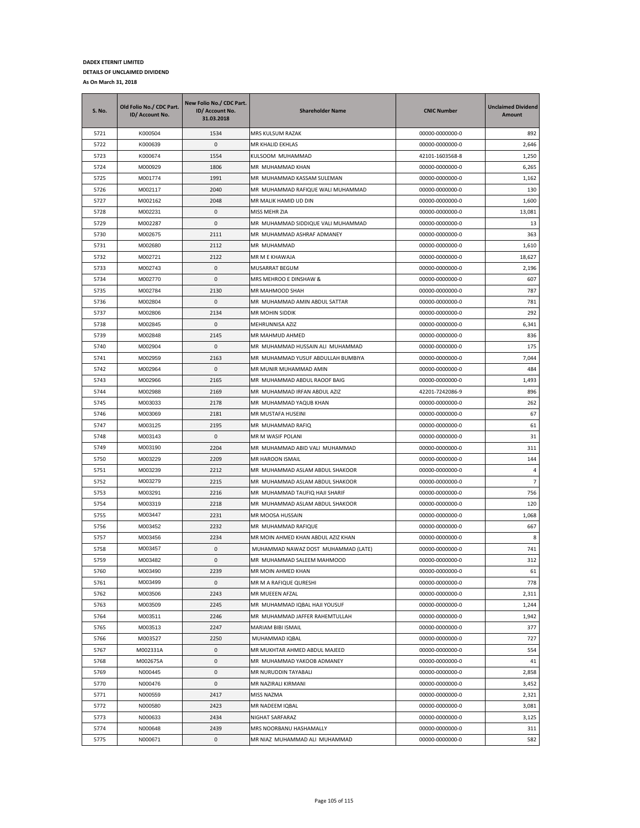| S. No.       | Old Folio No./ CDC Part.<br>ID/ Account No. | New Folio No./ CDC Part.<br>ID/ Account No.<br>31.03.2018 | <b>Shareholder Name</b>                                     | <b>CNIC Number</b>                 | <b>Unclaimed Dividend</b><br>Amount |
|--------------|---------------------------------------------|-----------------------------------------------------------|-------------------------------------------------------------|------------------------------------|-------------------------------------|
| 5721         | K000504                                     | 1534                                                      | MRS KULSUM RAZAK                                            | 00000-0000000-0                    | 892                                 |
| 5722         | K000639                                     | 0                                                         | MR KHALID EKHLAS                                            | 00000-0000000-0                    | 2,646                               |
| 5723         | K000674                                     | 1554                                                      | KULSOOM MUHAMMAD                                            | 42101-1603568-8                    | 1,250                               |
| 5724         | M000929                                     | 1806                                                      | MR MUHAMMAD KHAN                                            | 00000-0000000-0                    | 6,265                               |
| 5725         | M001774                                     | 1991                                                      | MR MUHAMMAD KASSAM SULEMAN                                  | 00000-0000000-0                    | 1,162                               |
| 5726         | M002117                                     | 2040                                                      | MR MUHAMMAD RAFIQUE WALI MUHAMMAD                           | 00000-0000000-0                    | 130                                 |
| 5727         | M002162                                     | 2048                                                      | MR MALIK HAMID UD DIN                                       | 00000-0000000-0                    | 1,600                               |
| 5728         | M002231                                     | 0                                                         | MISS MEHR ZIA                                               | 00000-0000000-0                    | 13,081                              |
| 5729         | M002287                                     | 0                                                         | MR MUHAMMAD SIDDIQUE VALI MUHAMMAD                          | 00000-0000000-0                    | 13                                  |
| 5730         | M002675                                     | 2111                                                      | MR MUHAMMAD ASHRAF ADMANEY                                  | 00000-0000000-0                    | 363                                 |
| 5731         | M002680                                     | 2112                                                      | MR MUHAMMAD                                                 | 00000-0000000-0                    | 1,610                               |
| 5732         | M002721                                     | 2122                                                      | MR M E KHAWAJA                                              | 00000-0000000-0                    | 18,627                              |
| 5733         | M002743                                     | 0                                                         | MUSARRAT BEGUM                                              | 00000-0000000-0                    | 2,196                               |
| 5734         | M002770                                     | 0                                                         | MRS MEHROO E DINSHAW &                                      | 00000-0000000-0                    | 607                                 |
| 5735         | M002784                                     | 2130                                                      | MR MAHMOOD SHAH                                             | 00000-0000000-0                    | 787                                 |
| 5736         | M002804                                     | 0                                                         | MR MUHAMMAD AMIN ABDUL SATTAR                               | 00000-0000000-0                    | 781                                 |
| 5737         | M002806                                     | 2134                                                      | <b>MR MOHIN SIDDIK</b>                                      | 00000-0000000-0                    | 292                                 |
| 5738         | M002845                                     | 0                                                         | MEHRUNNISA AZIZ                                             | 00000-0000000-0                    | 6,341                               |
| 5739         | M002848                                     | 2145                                                      | MR MAHMUD AHMED                                             | 00000-0000000-0                    | 836                                 |
| 5740         | M002904                                     | 0                                                         | MR MUHAMMAD HUSSAIN ALI MUHAMMAD                            | 00000-0000000-0                    | 175                                 |
| 5741         | M002959                                     | 2163                                                      | MR MUHAMMAD YUSUF ABDULLAH BUMBIYA                          | 00000-0000000-0                    | 7,044                               |
| 5742         | M002964                                     | 0                                                         | MR MUNIR MUHAMMAD AMIN                                      | 00000-0000000-0                    | 484                                 |
| 5743         | M002966                                     | 2165                                                      | MR MUHAMMAD ABDUL RAOOF BAIG                                | 00000-0000000-0                    | 1,493                               |
| 5744         | M002988                                     | 2169                                                      | MR MUHAMMAD IRFAN ABDUL AZIZ                                | 42201-7242086-9                    | 896                                 |
| 5745         | M003033                                     | 2178                                                      | MR MUHAMMAD YAQUB KHAN                                      | 00000-0000000-0                    | 262                                 |
| 5746         | M003069                                     | 2181                                                      | MR MUSTAFA HUSEINI                                          | 00000-0000000-0                    | 67                                  |
| 5747         | M003125                                     | 2195                                                      | MR MUHAMMAD RAFIQ                                           | 00000-0000000-0                    | 61                                  |
| 5748         | M003143                                     | 0                                                         | MR M WASIF POLANI                                           | 00000-0000000-0                    | 31                                  |
| 5749         | M003190                                     | 2204                                                      | MR MUHAMMAD ABID VALI MUHAMMAD                              | 00000-0000000-0                    | 311                                 |
| 5750         | M003229                                     | 2209                                                      | MR HAROON ISMAIL                                            | 00000-0000000-0                    | 144                                 |
| 5751         | M003239                                     | 2212                                                      | MR MUHAMMAD ASLAM ABDUL SHAKOOR                             | 00000-0000000-0                    | 4                                   |
| 5752         | M003279                                     | 2215                                                      | MR MUHAMMAD ASLAM ABDUL SHAKOOR                             | 00000-0000000-0                    | $\overline{7}$                      |
| 5753         | M003291                                     | 2216                                                      | MR MUHAMMAD TAUFIQ HAJI SHARIF                              | 00000-0000000-0                    | 756                                 |
| 5754         | M003319                                     | 2218                                                      | MR MUHAMMAD ASLAM ABDUL SHAKOOR                             | 00000-0000000-0                    | 120                                 |
| 5755         | M003447                                     | 2231                                                      | MR MOOSA HUSSAIN                                            | 00000-0000000-0                    | 1,068                               |
| 5756         | M003452                                     | 2232                                                      | MR MUHAMMAD RAFIQUE                                         | 00000-0000000-0                    | 667                                 |
| 5757         | M003456                                     | 2234                                                      | MR MOIN AHMED KHAN ABDUL AZIZ KHAN                          | 00000-0000000-0                    | 8                                   |
| 5758         | M003457                                     | 0                                                         | MUHAMMAD NAWAZ DOST MUHAMMAD (LATE)                         | 00000-0000000-0                    | 741                                 |
| 5759         | M003482                                     | 0                                                         | MR MUHAMMAD SALEEM MAHMOOD                                  | 00000-0000000-0                    | 312                                 |
| 5760         | M003490                                     | 2239                                                      | MR MOIN AHMED KHAN                                          | 00000-0000000-0                    | 61                                  |
| 5761         | M003499                                     | 0                                                         | MR M A RAFIQUE QURESHI                                      | 00000-0000000-0                    | 778                                 |
| 5762         | M003506                                     | 2243                                                      | MR MUEEEN AFZAL                                             | 00000-0000000-0                    | 2,311                               |
| 5763         | M003509                                     | 2245                                                      | MR MUHAMMAD IQBAL HAJI YOUSUF                               | 00000-0000000-0                    | 1,244                               |
| 5764         | M003511                                     | 2246                                                      | MR MUHAMMAD JAFFER RAHEMTULLAH                              | 00000-0000000-0                    | 1,942                               |
| 5765         | M003513                                     | 2247                                                      | MARIAM BIBI ISMAIL<br>MUHAMMAD IQBAL                        | 00000-0000000-0                    | 377<br>727                          |
| 5766         | M003527                                     | 2250                                                      |                                                             | 00000-0000000-0                    |                                     |
| 5767<br>5768 | M002331A<br>M002675A                        | 0<br>0                                                    | MR MUKHTAR AHMED ABDUL MAJEED<br>MR MUHAMMAD YAKOOB ADMANEY | 00000-0000000-0<br>00000-0000000-0 | 554<br>41                           |
|              |                                             |                                                           |                                                             |                                    |                                     |
| 5769<br>5770 | N000445                                     | 0<br>0                                                    | MR NURUDDIN TAYABALI<br>MR NAZIRALI KIRMANI                 | 00000-0000000-0<br>00000-0000000-0 | 2,858<br>3,452                      |
|              | N000476<br>N000559                          |                                                           |                                                             |                                    | 2,321                               |
| 5771<br>5772 | N000580                                     | 2417<br>2423                                              | MISS NAZMA<br>MR NADEEM IQBAL                               | 00000-0000000-0<br>00000-0000000-0 | 3,081                               |
| 5773         | N000633                                     | 2434                                                      | NIGHAT SARFARAZ                                             | 00000-0000000-0                    |                                     |
| 5774         | N000648                                     | 2439                                                      | MRS NOORBANU HASHAMALLY                                     | 00000-0000000-0                    | 3,125<br>311                        |
| 5775         | N000671                                     | 0                                                         | MR NIAZ MUHAMMAD ALI MUHAMMAD                               | 00000-0000000-0                    | 582                                 |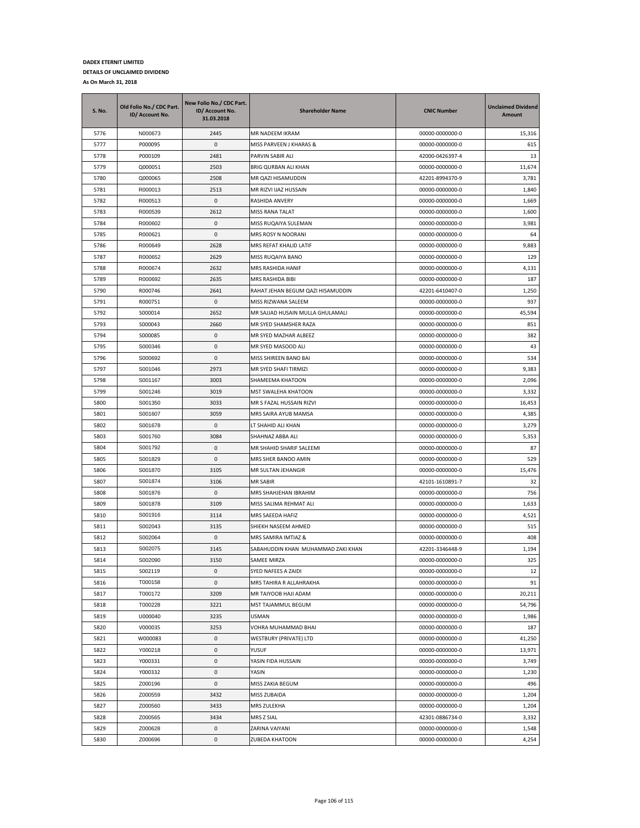| S. No.       | Old Folio No./ CDC Part.<br>ID/ Account No. | New Folio No./ CDC Part.<br>ID/ Account No.<br>31.03.2018 | <b>Shareholder Name</b>            | <b>CNIC Number</b>                 | <b>Unclaimed Dividend</b><br>Amount |
|--------------|---------------------------------------------|-----------------------------------------------------------|------------------------------------|------------------------------------|-------------------------------------|
| 5776         | N000673                                     | 2445                                                      | MR NADEEM IKRAM                    | 00000-0000000-0                    | 15,316                              |
| 5777         | P000095                                     | 0                                                         | MISS PARVEEN J KHARAS &            | 00000-0000000-0                    | 615                                 |
| 5778         | P000109                                     | 2481                                                      | PARVIN SABIR ALI                   | 42000-0426397-4                    | 13                                  |
| 5779         | Q000051                                     | 2503                                                      | BRIG QURBAN ALI KHAN               | 00000-0000000-0                    | 11,674                              |
| 5780         | Q000065                                     | 2508                                                      | MR QAZI HISAMUDDIN                 | 42201-8994370-9                    | 3,781                               |
| 5781         | R000013                                     | 2513                                                      | MR RIZVI IJAZ HUSSAIN              | 00000-0000000-0                    | 1,840                               |
| 5782         | R000513                                     | 0                                                         | RASHIDA ANVERY                     | 00000-0000000-0                    | 1,669                               |
| 5783         | R000539                                     | 2612                                                      | MISS RANA TALAT                    | 00000-0000000-0                    | 1,600                               |
| 5784         | R000602                                     | $\pmb{0}$                                                 | MISS RUQAIYA SULEMAN               | 00000-0000000-0                    | 3,981                               |
| 5785         | R000621                                     | 0                                                         | MRS ROSY N NOORANI                 | 00000-0000000-0                    | 64                                  |
| 5786         | R000649                                     | 2628                                                      | MRS REFAT KHALID LATIF             | 00000-0000000-0                    | 9,883                               |
| 5787         | R000652                                     | 2629                                                      | MISS RUQAIYA BANO                  | 00000-0000000-0                    | 129                                 |
| 5788         | R000674                                     | 2632                                                      | MRS RASHIDA HANIF                  | 00000-0000000-0                    | 4,131                               |
| 5789         | R000692                                     | 2635                                                      | MRS RASHIDA BIBI                   | 00000-0000000-0                    | 187                                 |
| 5790         | R000746                                     | 2641                                                      | RAHAT JEHAN BEGUM QAZI HISAMUDDIN  | 42201-6410407-0                    | 1,250                               |
| 5791         | R000751                                     | 0                                                         | MISS RIZWANA SALEEM                | 00000-0000000-0                    | 937                                 |
| 5792         | S000014                                     | 2652                                                      | MR SAJJAD HUSAIN MULLA GHULAMALI   | 00000-0000000-0                    | 45,594                              |
| 5793         | S000043                                     | 2660                                                      | MR SYED SHAMSHER RAZA              | 00000-0000000-0                    | 851                                 |
| 5794         | S000085                                     | 0                                                         | MR SYED MAZHAR ALBEEZ              | 00000-0000000-0                    | 382                                 |
| 5795         | S000346                                     | 0                                                         | MR SYED MASOOD ALI                 | 00000-0000000-0                    | 43                                  |
| 5796         | S000692                                     | 0                                                         | MISS SHIREEN BANO BAI              | 00000-0000000-0                    | 534                                 |
| 5797         | S001046                                     | 2973                                                      | MR SYED SHAFI TIRMIZI              | 00000-0000000-0                    | 9,383                               |
| 5798         | S001167                                     | 3003                                                      | SHAMEEMA KHATOON                   | 00000-0000000-0                    | 2,096                               |
| 5799         | S001246                                     | 3019                                                      | MST SWALEHA KHATOON                | 00000-0000000-0                    | 3,332                               |
| 5800         | S001350                                     | 3033                                                      | MR S FAZAL HUSSAIN RIZVI           | 00000-0000000-0                    | 16,453                              |
| 5801         | S001607                                     | 3059                                                      | MRS SAIRA AYUB MAMSA               | 00000-0000000-0                    | 4,385                               |
| 5802         | S001678                                     | 0                                                         | LT SHAHID ALI KHAN                 | 00000-0000000-0                    | 3,279                               |
| 5803         | S001760                                     | 3084                                                      | SHAHNAZ ABBA ALI                   | 00000-0000000-0                    | 5,353                               |
| 5804         | S001792                                     | 0                                                         | MR SHAHID SHARIF SALEEMI           | 00000-0000000-0                    | 87                                  |
| 5805         | S001829                                     | 0                                                         | MRS SHER BANOO AMIN                | 00000-0000000-0                    | 529                                 |
| 5806         | S001870                                     | 3105                                                      | MR SULTAN JEHANGIR                 | 00000-0000000-0                    | 15,476                              |
| 5807         | S001874                                     | 3106                                                      | MR SABIR                           | 42101-1610891-7                    | 32                                  |
| 5808         | S001876                                     | 0                                                         | MRS SHAHJEHAN IBRAHIM              | 00000-0000000-0                    | 756                                 |
| 5809         | S001878                                     | 3109                                                      | MISS SALIMA REHMAT ALI             | 00000-0000000-0                    | 1,633                               |
| 5810         | S001916                                     | 3114                                                      | MRS SAEEDA HAFIZ                   | 00000-0000000-0                    | 4,521                               |
| 5811         | S002043                                     | 3135                                                      | SHIEKH NASEEM AHMED                | 00000-0000000-0                    | 515                                 |
| 5812         | S002064                                     | 0                                                         | MRS SAMIRA IMTIAZ &                | 00000-0000000-0                    | 408                                 |
| 5813         | S002075                                     | 3145                                                      | SABAHUDDIN KHAN MUHAMMAD ZAKI KHAN | 42201-3346448-9                    | 1,194                               |
| 5814         | S002090                                     | 3150                                                      | SAMEE MIRZA                        | 00000-0000000-0                    | 325                                 |
| 5815         | S002119                                     | 0                                                         | SYED NAFEES A ZAIDI                | 00000-0000000-0                    | 12                                  |
| 5816         | T000158                                     | 0                                                         | MRS TAHIRA R ALLAHRAKHA            | 00000-0000000-0                    | 91                                  |
| 5817         | T000172                                     | 3209                                                      | MR TAIYOOB HAJI ADAM               | 00000-0000000-0                    | 20,211                              |
| 5818         | T000228                                     | 3221                                                      | MST TAJAMMUL BEGUM                 | 00000-0000000-0                    | 54,796                              |
| 5819         | U000040                                     | 3235                                                      | USMAN                              | 00000-0000000-0                    | 1,986                               |
| 5820         | V000035                                     | 3253                                                      | VOHRA MUHAMMAD BHAI                | 00000-0000000-0                    | 187                                 |
| 5821         | W000083                                     | 0                                                         | WESTBURY (PRIVATE) LTD             | 00000-0000000-0                    | 41,250                              |
| 5822         | Y000218                                     | 0                                                         | YUSUF                              | 00000-0000000-0                    | 13,971                              |
| 5823         | Y000331                                     | 0                                                         | YASIN FIDA HUSSAIN                 | 00000-0000000-0                    | 3,749                               |
| 5824         | Y000332                                     | 0                                                         | YASIN                              | 00000-0000000-0                    | 1,230                               |
| 5825         | Z000196                                     | 0                                                         | MISS ZAKIA BEGUM                   | 00000-0000000-0                    | 496                                 |
| 5826         | Z000559                                     | 3432                                                      | MISS ZUBAIDA                       | 00000-0000000-0                    | 1,204                               |
| 5827         | Z000560                                     | 3433                                                      | MRS ZULEKHA                        | 00000-0000000-0                    | 1,204                               |
|              |                                             |                                                           |                                    |                                    |                                     |
| 5828         | Z000565<br>Z000628                          | 3434                                                      | MRS Z SIAL                         | 42301-0886734-0                    | 3,332                               |
| 5829<br>5830 | Z000696                                     | 0<br>0                                                    | ZARINA VAIYANI<br>ZUBEDA KHATOON   | 00000-0000000-0<br>00000-0000000-0 | 1,548<br>4,254                      |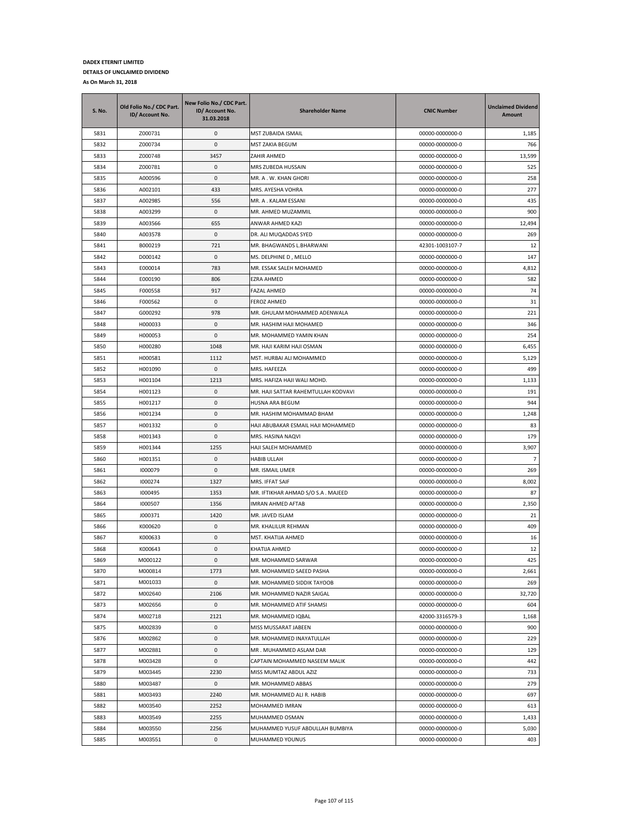| S. No. | Old Folio No./ CDC Part.<br>ID/ Account No. | New Folio No./ CDC Part.<br>ID/ Account No.<br>31.03.2018 | <b>Shareholder Name</b>             | <b>CNIC Number</b> | <b>Unclaimed Dividend</b><br>Amount |
|--------|---------------------------------------------|-----------------------------------------------------------|-------------------------------------|--------------------|-------------------------------------|
| 5831   | Z000731                                     | 0                                                         | MST ZUBAIDA ISMAIL                  | 00000-0000000-0    | 1,185                               |
| 5832   | Z000734                                     | 0                                                         | MST ZAKIA BEGUM                     | 00000-0000000-0    | 766                                 |
| 5833   | Z000748                                     | 3457                                                      | ZAHIR AHMED                         | 00000-0000000-0    | 13,599                              |
| 5834   | Z000781                                     | 0                                                         | MRS ZUBEDA HUSSAIN                  | 00000-0000000-0    | 525                                 |
| 5835   | A000596                                     | 0                                                         | MR. A . W. KHAN GHORI               | 00000-0000000-0    | 258                                 |
| 5836   | A002101                                     | 433                                                       | MRS. AYESHA VOHRA                   | 00000-0000000-0    | 277                                 |
| 5837   | A002985                                     | 556                                                       | MR. A . KALAM ESSANI                | 00000-0000000-0    | 435                                 |
| 5838   | A003299                                     | 0                                                         | MR. AHMED MUZAMMIL                  | 00000-0000000-0    | 900                                 |
| 5839   | A003566                                     | 655                                                       | ANWAR AHMED KAZI                    | 00000-0000000-0    | 12,494                              |
| 5840   | A003578                                     | 0                                                         | DR. ALI MUQADDAS SYED               | 00000-0000000-0    | 269                                 |
| 5841   | B000219                                     | 721                                                       | MR. BHAGWANDS L.BHARWANI            | 42301-1003107-7    | 12                                  |
| 5842   | D000142                                     | 0                                                         | MS. DELPHINE D, MELLO               | 00000-0000000-0    | 147                                 |
| 5843   | E000014                                     | 783                                                       | MR. ESSAK SALEH MOHAMED             | 00000-0000000-0    | 4,812                               |
| 5844   | E000190                                     | 806                                                       | EZRA AHMED                          | 00000-0000000-0    | 582                                 |
| 5845   | F000558                                     | 917                                                       | FAZAL AHMED                         | 00000-0000000-0    | 74                                  |
| 5846   | F000562                                     | 0                                                         | <b>FEROZ AHMED</b>                  | 00000-0000000-0    | 31                                  |
| 5847   | G000292                                     | 978                                                       | MR. GHULAM MOHAMMED ADENWALA        | 00000-0000000-0    | 221                                 |
| 5848   | H000033                                     | 0                                                         | MR. HASHIM HAJI MOHAMED             | 00000-0000000-0    | 346                                 |
| 5849   | H000053                                     | 0                                                         | MR. MOHAMMED YAMIN KHAN             | 00000-0000000-0    | 254                                 |
| 5850   | H000280                                     | 1048                                                      | MR. HAJI KARIM HAJI OSMAN           | 00000-0000000-0    | 6,455                               |
| 5851   | H000581                                     | 1112                                                      | MST. HURBAI ALI MOHAMMED            | 00000-0000000-0    | 5,129                               |
| 5852   | H001090                                     | 0                                                         | MRS. HAFEEZA                        | 00000-0000000-0    | 499                                 |
| 5853   | H001104                                     | 1213                                                      | MRS. HAFIZA HAJI WALI MOHD.         | 00000-0000000-0    | 1,133                               |
| 5854   | H001123                                     | 0                                                         | MR. HAJI SATTAR RAHEMTULLAH KODVAVI | 00000-0000000-0    | 191                                 |
| 5855   | H001217                                     | 0                                                         | HUSNA ARA BEGUM                     | 00000-0000000-0    | 944                                 |
| 5856   | H001234                                     | 0                                                         | MR. HASHIM MOHAMMAD BHAM            | 00000-0000000-0    | 1,248                               |
| 5857   | H001332                                     | 0                                                         | HAJI ABUBAKAR ESMAIL HAJI MOHAMMED  | 00000-0000000-0    | 83                                  |
| 5858   | H001343                                     | 0                                                         | MRS. HASINA NAQVI                   | 00000-0000000-0    | 179                                 |
| 5859   | H001344                                     | 1255                                                      | HAJI SALEH MOHAMMED                 | 00000-0000000-0    | 3,907                               |
| 5860   | H001351                                     | 0                                                         | <b>HABIB ULLAH</b>                  | 00000-0000000-0    | $\overline{7}$                      |
| 5861   | 1000079                                     | 0                                                         | MR. ISMAIL UMER                     | 00000-0000000-0    | 269                                 |
| 5862   | 1000274                                     | 1327                                                      | MRS. IFFAT SAIF                     | 00000-0000000-0    | 8,002                               |
| 5863   | 1000495                                     | 1353                                                      | MR. IFTIKHAR AHMAD S/O S.A. MAJEED  | 00000-0000000-0    | 87                                  |
| 5864   | 1000507                                     | 1356                                                      | IMRAN AHMED AFTAB                   | 00000-0000000-0    | 2,350                               |
| 5865   | J000371                                     | 1420                                                      | MR. JAVED ISLAM                     | 00000-0000000-0    | 21                                  |
| 5866   | K000620                                     | 0                                                         | MR. KHALILUR REHMAN                 | 00000-0000000-0    | 409                                 |
| 5867   | K000633                                     | 0                                                         | MST. KHATIJA AHMED                  | 00000-0000000-0    | 16                                  |
| 5868   | K000643                                     | 0                                                         | KHATIJA AHMED                       | 00000-0000000-0    | 12                                  |
| 5869   | M000122                                     | 0                                                         | MR. MOHAMMED SARWAR                 | 00000-0000000-0    | 425                                 |
| 5870   | M000814                                     | 1773                                                      | MR. MOHAMMED SAEED PASHA            | 00000-0000000-0    | 2,661                               |
| 5871   | M001033                                     | 0                                                         | MR. MOHAMMED SIDDIK TAYOOB          | 00000-0000000-0    | 269                                 |
| 5872   | M002640                                     | 2106                                                      | MR. MOHAMMED NAZIR SAIGAL           | 00000-0000000-0    | 32,720                              |
| 5873   | M002656                                     | 0                                                         | MR. MOHAMMED ATIF SHAMSI            | 00000-0000000-0    | 604                                 |
| 5874   | M002718                                     | 2121                                                      | MR. MOHAMMED IQBAL                  | 42000-3316579-3    | 1,168                               |
| 5875   | M002839                                     | 0                                                         | MISS MUSSARAT JABEEN                | 00000-0000000-0    | 900                                 |
| 5876   | M002862                                     | 0                                                         | MR. MOHAMMED INAYATULLAH            | 00000-0000000-0    | 229                                 |
| 5877   | M002881                                     | 0                                                         | MR. MUHAMMED ASLAM DAR              | 00000-0000000-0    | 129                                 |
| 5878   | M003428                                     | 0                                                         | CAPTAIN MOHAMMED NASEEM MALIK       | 00000-0000000-0    | 442                                 |
| 5879   | M003445                                     | 2230                                                      | MISS MUMTAZ ABDUL AZIZ              | 00000-0000000-0    | 733                                 |
| 5880   | M003487                                     | 0                                                         | MR. MOHAMMED ABBAS                  | 00000-0000000-0    | 279                                 |
| 5881   | M003493                                     | 2240                                                      | MR. MOHAMMED ALI R. HABIB           | 00000-0000000-0    | 697                                 |
| 5882   | M003540                                     | 2252                                                      | MOHAMMED IMRAN                      | 00000-0000000-0    | 613                                 |
| 5883   | M003549                                     | 2255                                                      | MUHAMMED OSMAN                      | 00000-0000000-0    | 1,433                               |
| 5884   | M003550                                     | 2256                                                      | MUHAMMED YUSUF ABDULLAH BUMBIYA     | 00000-0000000-0    | 5,030                               |
| 5885   | M003551                                     | 0                                                         | MUHAMMED YOUNUS                     | 00000-0000000-0    | 403                                 |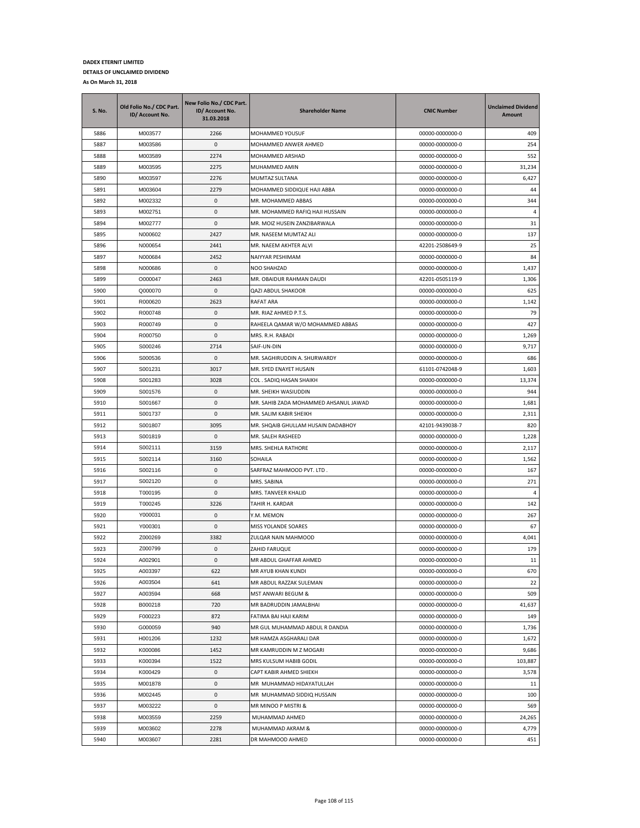| S. No. | Old Folio No./ CDC Part.<br>ID/ Account No. | New Folio No./ CDC Part.<br>ID/ Account No.<br>31.03.2018 | <b>Shareholder Name</b>               | <b>CNIC Number</b> | <b>Unclaimed Dividend</b><br>Amount |
|--------|---------------------------------------------|-----------------------------------------------------------|---------------------------------------|--------------------|-------------------------------------|
| 5886   | M003577                                     | 2266                                                      | MOHAMMED YOUSUF                       | 00000-0000000-0    | 409                                 |
| 5887   | M003586                                     | 0                                                         | MOHAMMED ANWER AHMED                  | 00000-0000000-0    | 254                                 |
| 5888   | M003589                                     | 2274                                                      | MOHAMMED ARSHAD                       | 00000-0000000-0    | 552                                 |
| 5889   | M003595                                     | 2275                                                      | MUHAMMED AMIN                         | 00000-0000000-0    | 31,234                              |
| 5890   | M003597                                     | 2276                                                      | MUMTAZ SULTANA                        | 00000-0000000-0    | 6,427                               |
| 5891   | M003604                                     | 2279                                                      | MOHAMMED SIDDIQUE HAJI ABBA           | 00000-0000000-0    | 44                                  |
| 5892   | M002332                                     | 0                                                         | MR. MOHAMMED ABBAS                    | 00000-0000000-0    | 344                                 |
| 5893   | M002751                                     | 0                                                         | MR. MOHAMMED RAFIQ HAJI HUSSAIN       | 00000-0000000-0    | $\overline{4}$                      |
| 5894   | M002777                                     | 0                                                         | MR. MOIZ HUSEIN ZANZIBARWALA          | 00000-0000000-0    | 31                                  |
| 5895   | N000602                                     | 2427                                                      | MR. NASEEM MUMTAZ ALI                 | 00000-0000000-0    | 137                                 |
| 5896   | N000654                                     | 2441                                                      | MR. NAEEM AKHTER ALVI                 | 42201-2508649-9    | 25                                  |
| 5897   | N000684                                     | 2452                                                      | NAIYYAR PESHIMAM                      | 00000-0000000-0    | 84                                  |
| 5898   | N000686                                     | 0                                                         | NOO SHAHZAD                           | 00000-0000000-0    | 1,437                               |
| 5899   | O000047                                     | 2463                                                      | MR. OBAIDUR RAHMAN DAUDI              | 42201-0505119-9    | 1,306                               |
| 5900   | Q000070                                     | 0                                                         | QAZI ABDUL SHAKOOR                    | 00000-0000000-0    | 625                                 |
| 5901   | R000620                                     | 2623                                                      | <b>RAFAT ARA</b>                      | 00000-0000000-0    | 1,142                               |
| 5902   | R000748                                     | 0                                                         | MR. RIAZ AHMED P.T.S.                 | 00000-0000000-0    | 79                                  |
| 5903   | R000749                                     | 0                                                         | RAHEELA QAMAR W/O MOHAMMED ABBAS      | 00000-0000000-0    | 427                                 |
| 5904   | R000750                                     | 0                                                         | MRS. R.H. RABADI                      | 00000-0000000-0    | 1,269                               |
| 5905   | S000246                                     | 2714                                                      | SAIF-UN-DIN                           | 00000-0000000-0    | 9,717                               |
| 5906   | S000536                                     | 0                                                         | MR. SAGHIRUDDIN A. SHURWARDY          | 00000-0000000-0    | 686                                 |
| 5907   | S001231                                     | 3017                                                      | MR. SYED ENAYET HUSAIN                | 61101-0742048-9    | 1,603                               |
| 5908   | S001283                                     | 3028                                                      | COL. SADIQ HASAN SHAIKH               | 00000-0000000-0    | 13,374                              |
| 5909   | S001576                                     | 0                                                         | MR. SHEIKH WASIUDDIN                  | 00000-0000000-0    | 944                                 |
| 5910   | S001667                                     | 0                                                         | MR. SAHIB ZADA MOHAMMED AHSANUL JAWAD | 00000-0000000-0    | 1,681                               |
| 5911   | S001737                                     | 0                                                         | MR. SALIM KABIR SHEIKH                | 00000-0000000-0    | 2,311                               |
| 5912   | S001807                                     | 3095                                                      | MR. SHQAIB GHULLAM HUSAIN DADABHOY    | 42101-9439038-7    | 820                                 |
| 5913   | S001819                                     | 0                                                         | MR. SALEH RASHEED                     | 00000-0000000-0    | 1,228                               |
| 5914   | S002111                                     | 3159                                                      | MRS. SHEHLA RATHORE                   | 00000-0000000-0    | 2,117                               |
| 5915   | S002114                                     | 3160                                                      | SOHAILA                               | 00000-0000000-0    | 1,562                               |
| 5916   | S002116                                     | 0                                                         | SARFRAZ MAHMOOD PVT. LTD.             | 00000-0000000-0    | 167                                 |
| 5917   | S002120                                     | 0                                                         | MRS. SABINA                           | 00000-0000000-0    | 271                                 |
| 5918   | T000195                                     | 0                                                         | MRS. TANVEER KHALID                   | 00000-0000000-0    | $\overline{4}$                      |
| 5919   | T000245                                     | 3226                                                      | TAHIR H. KARDAR                       | 00000-0000000-0    | 142                                 |
| 5920   | Y000031                                     | 0                                                         | Y.M. MEMON                            | 00000-0000000-0    | 267                                 |
| 5921   | Y000301                                     | 0                                                         | MISS YOLANDE SOARES                   | 00000-0000000-0    | 67                                  |
| 5922   | Z000269                                     | 3382                                                      | ZULQAR NAIN MAHMOOD                   | 00000-0000000-0    | 4,041                               |
| 5923   | Z000799                                     | 0                                                         | ZAHID FARUQUE                         | 00000-0000000-0    | 179                                 |
| 5924   | A002901                                     | 0                                                         | MR ABDUL GHAFFAR AHMED                | 00000-0000000-0    | 11                                  |
| 5925   | A003397                                     | 622                                                       | MR AYUB KHAN KUNDI                    | 00000-0000000-0    | 670                                 |
| 5926   | A003504                                     | 641                                                       | MR ABDUL RAZZAK SULEMAN               | 00000-0000000-0    | 22                                  |
| 5927   | A003594                                     | 668                                                       | MST ANWARI BEGUM &                    | 00000-0000000-0    | 509                                 |
| 5928   | B000218                                     | 720                                                       | MR BADRUDDIN JAMALBHAI                | 00000-0000000-0    | 41,637                              |
| 5929   | F000223                                     | 872                                                       | FATIMA BAI HAJI KARIM                 | 00000-0000000-0    | 149                                 |
| 5930   | G000059                                     | 940                                                       | MR GUL MUHAMMAD ABDUL R DANDIA        | 00000-0000000-0    | 1,736                               |
| 5931   | H001206                                     | 1232                                                      | MR HAMZA ASGHARALI DAR                | 00000-0000000-0    | 1,672                               |
| 5932   | K000086                                     | 1452                                                      | MR KAMRUDDIN M Z MOGARI               | 00000-0000000-0    | 9,686                               |
| 5933   | K000394                                     | 1522                                                      | MRS KULSUM HABIB GODIL                | 00000-0000000-0    | 103,887                             |
| 5934   | K000429                                     | 0                                                         | CAPT KABIR AHMED SHIEKH               | 00000-0000000-0    | 3,578                               |
| 5935   | M001878                                     | 0                                                         | MR MUHAMMAD HIDAYATULLAH              | 00000-0000000-0    | 11                                  |
| 5936   | M002445                                     | 0                                                         | MR MUHAMMAD SIDDIQ HUSSAIN            | 00000-0000000-0    | 100                                 |
| 5937   | M003222                                     | 0                                                         | MR MINOO P MISTRI &                   | 00000-0000000-0    | 569                                 |
| 5938   | M003559                                     | 2259                                                      | MUHAMMAD AHMED                        | 00000-0000000-0    | 24,265                              |
| 5939   | M003602                                     | 2278                                                      | MUHAMMAD AKRAM &                      | 00000-0000000-0    | 4,779                               |
| 5940   | M003607                                     | 2281                                                      | DR MAHMOOD AHMED                      | 00000-0000000-0    | 451                                 |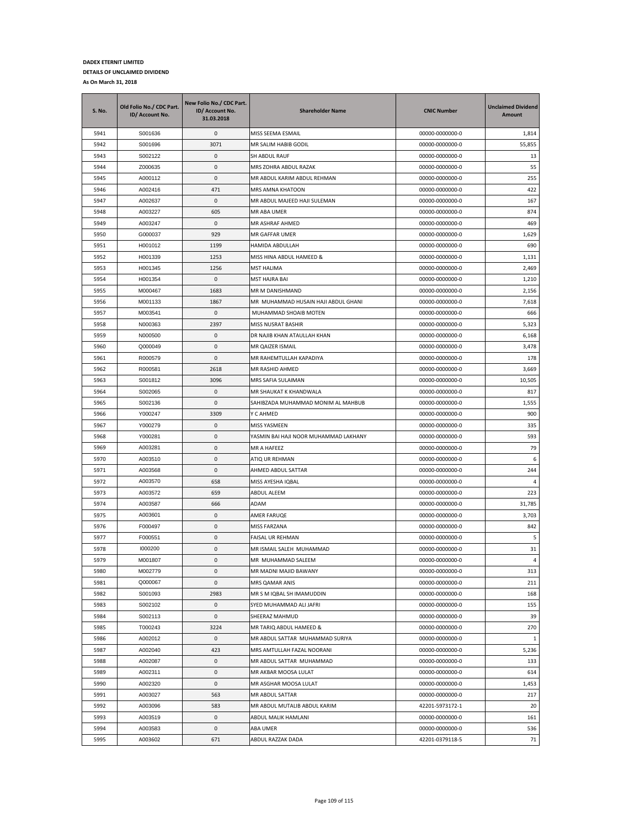| S. No. | Old Folio No./ CDC Part.<br>ID/ Account No. | New Folio No./ CDC Part.<br>ID/ Account No.<br>31.03.2018 | <b>Shareholder Name</b>               | <b>CNIC Number</b> | <b>Unclaimed Dividend</b><br>Amount |
|--------|---------------------------------------------|-----------------------------------------------------------|---------------------------------------|--------------------|-------------------------------------|
| 5941   | S001636                                     | 0                                                         | MISS SEEMA ESMAIL                     | 00000-0000000-0    | 1,814                               |
| 5942   | S001696                                     | 3071                                                      | MR SALIM HABIB GODIL                  | 00000-0000000-0    | 55,855                              |
| 5943   | S002122                                     | $\mathbf{0}$                                              | <b>SH ABDUL RAUF</b>                  | 00000-0000000-0    | 13                                  |
| 5944   | Z000635                                     | 0                                                         | MRS ZOHRA ABDUL RAZAK                 | 00000-0000000-0    | 55                                  |
| 5945   | A000112                                     | 0                                                         | MR ABDUL KARIM ABDUL REHMAN           | 00000-0000000-0    | 255                                 |
| 5946   | A002416                                     | 471                                                       | MRS AMNA KHATOON                      | 00000-0000000-0    | 422                                 |
| 5947   | A002637                                     | 0                                                         | MR ABDUL MAJEED HAJI SULEMAN          | 00000-0000000-0    | 167                                 |
| 5948   | A003227                                     | 605                                                       | <b>MR ABA UMER</b>                    | 00000-0000000-0    | 874                                 |
| 5949   | A003247                                     | 0                                                         | MR ASHRAF AHMED                       | 00000-0000000-0    | 469                                 |
| 5950   | G000037                                     | 929                                                       | MR GAFFAR UMER                        | 00000-0000000-0    | 1,629                               |
| 5951   | H001012                                     | 1199                                                      | HAMIDA ABDULLAH                       | 00000-0000000-0    | 690                                 |
| 5952   | H001339                                     | 1253                                                      | MISS HINA ABDUL HAMEED &              | 00000-0000000-0    | 1,131                               |
| 5953   | H001345                                     | 1256                                                      | MST HALIMA                            | 00000-0000000-0    | 2,469                               |
| 5954   | H001354                                     | 0                                                         | MST HAJRA BAI                         | 00000-0000000-0    | 1,210                               |
| 5955   | M000467                                     | 1683                                                      | MR M DANISHMAND                       | 00000-0000000-0    | 2,156                               |
| 5956   | M001133                                     | 1867                                                      | MR MUHAMMAD HUSAIN HAJI ABDUL GHANI   | 00000-0000000-0    | 7,618                               |
| 5957   | M003541                                     | 0                                                         | MUHAMMAD SHOAIB MOTEN                 | 00000-0000000-0    | 666                                 |
| 5958   | N000363                                     | 2397                                                      | MISS NUSRAT BASHIR                    | 00000-0000000-0    | 5,323                               |
| 5959   | N000500                                     | 0                                                         | DR NAJIB KHAN ATAULLAH KHAN           | 00000-0000000-0    | 6,168                               |
| 5960   | Q000049                                     | 0                                                         | MR QAIZER ISMAIL                      | 00000-0000000-0    | 3,478                               |
| 5961   | R000579                                     | 0                                                         | MR RAHEMTULLAH KAPADIYA               | 00000-0000000-0    | 178                                 |
| 5962   | R000581                                     | 2618                                                      | MR RASHID AHMED                       | 00000-0000000-0    | 3,669                               |
| 5963   | S001812                                     | 3096                                                      | MRS SAFIA SULAIMAN                    | 00000-0000000-0    | 10,505                              |
| 5964   | S002065                                     | 0                                                         | MR SHAUKAT K KHANDWALA                | 00000-0000000-0    | 817                                 |
| 5965   | S002136                                     | 0                                                         | SAHIBZADA MUHAMMAD MONIM AL MAHBUB    | 00000-0000000-0    | 1,555                               |
| 5966   | Y000247                                     | 3309                                                      | Y C AHMED                             | 00000-0000000-0    | 900                                 |
| 5967   | Y000279                                     | 0                                                         | MISS YASMEEN                          | 00000-0000000-0    | 335                                 |
| 5968   | Y000281                                     | 0                                                         | YASMIN BAI HAJI NOOR MUHAMMAD LAKHANY | 00000-0000000-0    | 593                                 |
| 5969   | A003281                                     | 0                                                         | MR A HAFEEZ                           | 00000-0000000-0    | 79                                  |
| 5970   | A003510                                     | 0                                                         | ATIQ UR REHMAN                        | 00000-0000000-0    | 6                                   |
| 5971   | A003568                                     | 0                                                         | AHMED ABDUL SATTAR                    | 00000-0000000-0    | 244                                 |
| 5972   | A003570                                     | 658                                                       | MISS AYESHA IQBAL                     | 00000-0000000-0    | 4                                   |
| 5973   | A003572                                     | 659                                                       | ABDUL ALEEM                           | 00000-0000000-0    | 223                                 |
| 5974   | A003587                                     | 666                                                       | ADAM                                  | 00000-0000000-0    | 31,785                              |
| 5975   | A003601                                     | 0                                                         | AMER FARUQE                           | 00000-0000000-0    | 3,703                               |
| 5976   | F000497                                     | 0                                                         | MISS FARZANA                          | 00000-0000000-0    | 842                                 |
| 5977   | F000551                                     | 0                                                         | FAISAL UR REHMAN                      | 00000-0000000-0    | 5                                   |
| 5978   | 1000200                                     | 0                                                         | MR ISMAIL SALEH MUHAMMAD              | 00000-0000000-0    | 31                                  |
| 5979   | M001807                                     | 0                                                         | MR MUHAMMAD SALEEM                    | 00000-0000000-0    | 4                                   |
| 5980   | M002779                                     | 0                                                         | MR MADNI MAJID BAWANY                 | 00000-0000000-0    | 313                                 |
| 5981   | Q000067                                     | 0                                                         | MRS QAMAR ANIS                        | 00000-0000000-0    | 211                                 |
| 5982   | S001093                                     | 2983                                                      | MR S M IQBAL SH IMAMUDDIN             | 00000-0000000-0    | 168                                 |
| 5983   | S002102                                     | 0                                                         | SYED MUHAMMAD ALI JAFRI               | 00000-0000000-0    | 155                                 |
| 5984   | S002113                                     | 0                                                         | SHEERAZ MAHMUD                        | 00000-0000000-0    | 39                                  |
| 5985   | T000243                                     | 3224                                                      | MR TARIQ ABDUL HAMEED &               | 00000-0000000-0    | 270                                 |
| 5986   | A002012                                     | 0                                                         | MR ABDUL SATTAR MUHAMMAD SURIYA       | 00000-0000000-0    | $\mathbf{1}$                        |
| 5987   | A002040                                     | 423                                                       | MRS AMTULLAH FAZAL NOORANI            | 00000-0000000-0    | 5,236                               |
| 5988   | A002087                                     | 0                                                         | MR ABDUL SATTAR MUHAMMAD              | 00000-0000000-0    | 133                                 |
| 5989   | A002311                                     | 0                                                         | MR AKBAR MOOSA LULAT                  | 00000-0000000-0    | 614                                 |
| 5990   | A002320                                     | 0                                                         | MR ASGHAR MOOSA LULAT                 | 00000-0000000-0    | 1,453                               |
| 5991   | A003027                                     | 563                                                       | MR ABDUL SATTAR                       | 00000-0000000-0    | 217                                 |
| 5992   | A003096                                     | 583                                                       | MR ABDUL MUTALIB ABDUL KARIM          | 42201-5973172-1    | 20                                  |
| 5993   | A003519                                     | 0                                                         | ABDUL MALIK HAMLANI                   | 00000-0000000-0    | 161                                 |
| 5994   | A003583                                     | 0                                                         | ABA UMER                              | 00000-0000000-0    | 536                                 |
| 5995   | A003602                                     | 671                                                       | ABDUL RAZZAK DADA                     | 42201-0379118-5    | 71                                  |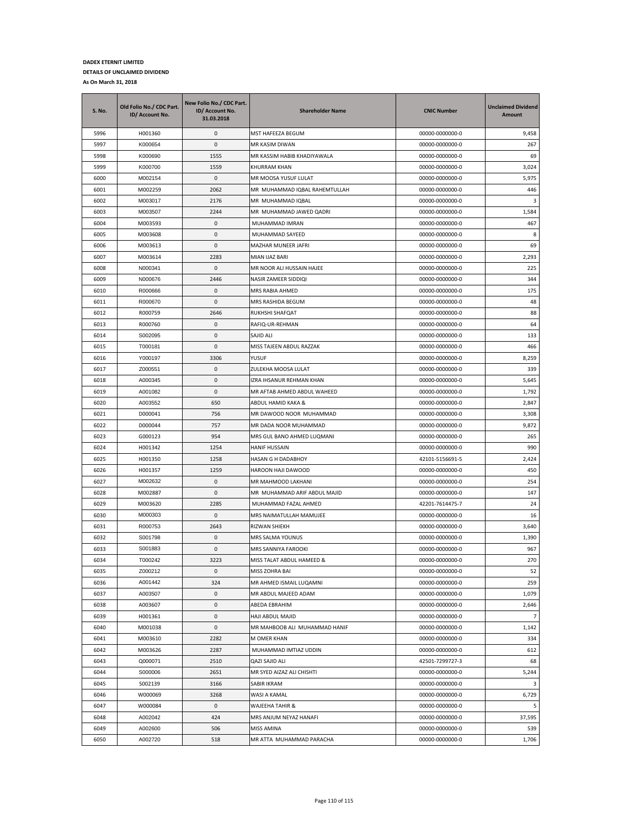| <b>S. No.</b> | Old Folio No./ CDC Part.<br>ID/ Account No. | New Folio No./ CDC Part.<br>ID/ Account No.<br>31.03.2018 | <b>Shareholder Name</b>       | <b>CNIC Number</b> | <b>Unclaimed Dividend</b><br>Amount |
|---------------|---------------------------------------------|-----------------------------------------------------------|-------------------------------|--------------------|-------------------------------------|
| 5996          | H001360                                     | 0                                                         | MST HAFEEZA BEGUM             | 00000-0000000-0    | 9,458                               |
| 5997          | K000654                                     | 0                                                         | MR KASIM DIWAN                | 00000-0000000-0    | 267                                 |
| 5998          | K000690                                     | 1555                                                      | MR KASSIM HABIB KHADIYAWALA   | 00000-0000000-0    | 69                                  |
| 5999          | K000700                                     | 1559                                                      | KHURRAM KHAN                  | 00000-0000000-0    | 3,024                               |
| 6000          | M002154                                     | 0                                                         | MR MOOSA YUSUF LULAT          | 00000-0000000-0    | 5,975                               |
| 6001          | M002259                                     | 2062                                                      | MR MUHAMMAD IQBAL RAHEMTULLAH | 00000-0000000-0    | 446                                 |
| 6002          | M003017                                     | 2176                                                      | MR MUHAMMAD IQBAL             | 00000-0000000-0    | 3                                   |
| 6003          | M003507                                     | 2244                                                      | MR MUHAMMAD JAWED QADRI       | 00000-0000000-0    | 1,584                               |
| 6004          | M003593                                     | 0                                                         | MUHAMMAD IMRAN                | 00000-0000000-0    | 467                                 |
| 6005          | M003608                                     | 0                                                         | MUHAMMAD SAYEED               | 00000-0000000-0    | 8                                   |
| 6006          | M003613                                     | 0                                                         | <b>MAZHAR MUNEER JAFRI</b>    | 00000-0000000-0    | 69                                  |
| 6007          | M003614                                     | 2283                                                      | MIAN IJAZ BARI                | 00000-0000000-0    | 2,293                               |
| 6008          | N000341                                     | 0                                                         | MR NOOR ALI HUSSAIN HAJEE     | 00000-0000000-0    | 225                                 |
| 6009          | N000676                                     | 2446                                                      | NASIR ZAMEER SIDDIQI          | 00000-0000000-0    | 344                                 |
| 6010          | R000666                                     | 0                                                         | MRS RABIA AHMED               | 00000-0000000-0    | 175                                 |
| 6011          | R000670                                     | 0                                                         | MRS RASHIDA BEGUM             | 00000-0000000-0    | 48                                  |
| 6012          | R000759                                     | 2646                                                      | RUKHSHI SHAFQAT               | 00000-0000000-0    | 88                                  |
| 6013          | R000760                                     | 0                                                         | RAFIQ-UR-REHMAN               | 00000-0000000-0    | 64                                  |
| 6014          | S002095                                     | 0                                                         | SAJID ALI                     | 00000-0000000-0    | 133                                 |
| 6015          | T000181                                     | 0                                                         | MISS TAJEEN ABDUL RAZZAK      | 00000-0000000-0    | 466                                 |
| 6016          | Y000197                                     | 3306                                                      | YUSUF                         | 00000-0000000-0    | 8,259                               |
| 6017          | Z000551                                     | 0                                                         | ZULEKHA MOOSA LULAT           | 00000-0000000-0    | 339                                 |
| 6018          | A000345                                     | 0                                                         | IZRA IHSANUR REHMAN KHAN      | 00000-0000000-0    | 5,645                               |
| 6019          | A001082                                     | 0                                                         | MR AFTAB AHMED ABDUL WAHEED   | 00000-0000000-0    | 1,792                               |
| 6020          | A003552                                     | 650                                                       | ABDUL HAMID KAKA &            | 00000-0000000-0    | 2,847                               |
| 6021          | D000041                                     | 756                                                       | MR DAWOOD NOOR MUHAMMAD       | 00000-0000000-0    | 3,308                               |
| 6022          | D000044                                     | 757                                                       | MR DADA NOOR MUHAMMAD         | 00000-0000000-0    | 9,872                               |
| 6023          | G000123                                     | 954                                                       | MRS GUL BANO AHMED LUQMANI    | 00000-0000000-0    | 265                                 |
| 6024          | H001342                                     | 1254                                                      | HANIF HUSSAIN                 | 00000-0000000-0    | 990                                 |
| 6025          | H001350                                     | 1258                                                      | HASAN G H DADABHOY            | 42101-5156691-5    | 2,424                               |
| 6026          | H001357                                     | 1259                                                      | HAROON HAJI DAWOOD            | 00000-0000000-0    | 450                                 |
| 6027          | M002632                                     | 0                                                         | MR MAHMOOD LAKHANI            | 00000-0000000-0    | 254                                 |
| 6028          | M002887                                     | 0                                                         | MR MUHAMMAD ARIF ABDUL MAJID  | 00000-0000000-0    | 147                                 |
| 6029          | M003620                                     | 2285                                                      | MUHAMMAD FAZAL AHMED          | 42201-7614475-7    | 24                                  |
| 6030          | M000303                                     | 0                                                         | MRS NAIMATULLAH MAMUJEE       | 00000-0000000-0    | 16                                  |
| 6031          | R000753                                     | 2643                                                      | RIZWAN SHIEKH                 | 00000-0000000-0    | 3,640                               |
| 6032          | S001798                                     | 0                                                         | MRS SALMA YOUNUS              | 00000-0000000-0    | 1,390                               |
| 6033          | S001883                                     | 0                                                         | MRS SANNIYA FAROOKI           | 00000-0000000-0    | 967                                 |
| 6034          | T000242                                     | 3223                                                      | MISS TALAT ABDUL HAMEED &     | 00000-0000000-0    | 270                                 |
| 6035          | Z000212                                     | 0                                                         | MISS ZOHRA BAI                | 00000-0000000-0    | 52                                  |
| 6036          | A001442                                     | 324                                                       | MR AHMED ISMAIL LUQAMNI       | 00000-0000000-0    | 259                                 |
| 6037          | A003507                                     | 0                                                         | MR ABDUL MAJEED ADAM          | 00000-0000000-0    | 1,079                               |
| 6038          | A003607                                     | 0                                                         | ABEDA EBRAHIM                 | 00000-0000000-0    | 2,646                               |
| 6039          | H001361                                     | 0                                                         | HAJI ABDUL MAJID              | 00000-0000000-0    | $\overline{7}$                      |
| 6040          | M001038                                     | 0                                                         | MR MAHBOOB ALI MUHAMMAD HANIF | 00000-0000000-0    | 1,142                               |
| 6041          | M003610                                     | 2282                                                      | M OMER KHAN                   | 00000-0000000-0    | 334                                 |
| 6042          | M003626                                     | 2287                                                      | MUHAMMAD IMTIAZ UDDIN         | 00000-0000000-0    | 612                                 |
| 6043          | Q000071                                     | 2510                                                      | QAZI SAJID ALI                | 42501-7299727-3    | 68                                  |
| 6044          | S000006                                     | 2651                                                      | MR SYED AIZAZ ALI CHISHTI     | 00000-0000000-0    | 5,244                               |
| 6045          | S002139                                     | 3166                                                      | SABIR IKRAM                   | 00000-0000000-0    | $\overline{\mathbf{3}}$             |
| 6046          | W000069                                     | 3268                                                      | WASI A KAMAL                  | 00000-0000000-0    | 6,729                               |
| 6047          | W000084                                     | 0                                                         | WAJEEHA TAHIR &               | 00000-0000000-0    | -5                                  |
| 6048          | A002042                                     | 424                                                       | MRS ANJUM NEYAZ HANAFI        | 00000-0000000-0    | 37,595                              |
| 6049          | A002600                                     | 506                                                       | MISS AMINA                    | 00000-0000000-0    | 539                                 |
| 6050          | A002720                                     | 518                                                       | MR ATTA MUHAMMAD PARACHA      | 00000-0000000-0    | 1,706                               |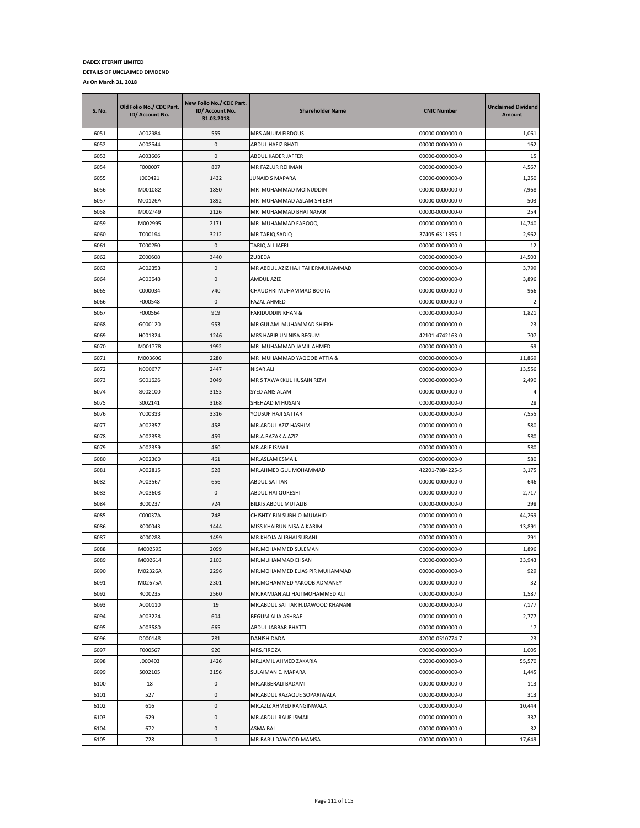| S. No. | Old Folio No./ CDC Part.<br>ID/ Account No. | New Folio No./ CDC Part.<br>ID/ Account No.<br>31.03.2018 | <b>Shareholder Name</b>          | <b>CNIC Number</b> | <b>Unclaimed Dividend</b><br>Amount |
|--------|---------------------------------------------|-----------------------------------------------------------|----------------------------------|--------------------|-------------------------------------|
| 6051   | A002984                                     | 555                                                       | MRS ANJUM FIRDOUS                | 00000-0000000-0    | 1,061                               |
| 6052   | A003544                                     | 0                                                         | ABDUL HAFIZ BHATI                | 00000-0000000-0    | 162                                 |
| 6053   | A003606                                     | $\mathbf{0}$                                              | ABDUL KADER JAFFER               | 00000-0000000-0    | 15                                  |
| 6054   | F000007                                     | 807                                                       | MR FAZLUR REHMAN                 | 00000-0000000-0    | 4,567                               |
| 6055   | J000421                                     | 1432                                                      | JUNAID S MAPARA                  | 00000-0000000-0    | 1,250                               |
| 6056   | M001082                                     | 1850                                                      | MR MUHAMMAD MOINUDDIN            | 00000-0000000-0    | 7,968                               |
| 6057   | M00126A                                     | 1892                                                      | MR MUHAMMAD ASLAM SHIEKH         | 00000-0000000-0    | 503                                 |
| 6058   | M002749                                     | 2126                                                      | MR MUHAMMAD BHAI NAFAR           | 00000-0000000-0    | 254                                 |
| 6059   | M002995                                     | 2171                                                      | MR MUHAMMAD FAROOQ               | 00000-0000000-0    | 14,740                              |
| 6060   | T000194                                     | 3212                                                      | MR TARIQ SADIQ                   | 37405-6311355-1    | 2,962                               |
| 6061   | T000250                                     | 0                                                         | TARIQ ALI JAFRI                  | 00000-0000000-0    | 12                                  |
| 6062   | Z000608                                     | 3440                                                      | ZUBEDA                           | 00000-0000000-0    | 14,503                              |
| 6063   | A002353                                     | 0                                                         | MR ABDUL AZIZ HAJI TAHERMUHAMMAD | 00000-0000000-0    | 3,799                               |
| 6064   | A003548                                     | 0                                                         | AMDUL AZIZ                       | 00000-0000000-0    | 3,896                               |
| 6065   | C000034                                     | 740                                                       | CHAUDHRI MUHAMMAD BOOTA          | 00000-0000000-0    | 966                                 |
| 6066   | F000548                                     | 0                                                         | FAZAL AHMED                      | 00000-0000000-0    | $\overline{2}$                      |
| 6067   | F000564                                     | 919                                                       | FARIDUDDIN KHAN &                | 00000-0000000-0    | 1,821                               |
| 6068   | G000120                                     | 953                                                       | MR GULAM MUHAMMAD SHIEKH         | 00000-0000000-0    | 23                                  |
| 6069   | H001324                                     | 1246                                                      | MRS HABIB UN NISA BEGUM          | 42101-4742163-0    | 707                                 |
| 6070   | M001778                                     | 1992                                                      | MR MUHAMMAD JAMIL AHMED          | 00000-0000000-0    | 69                                  |
| 6071   | M003606                                     | 2280                                                      | MR MUHAMMAD YAQOOB ATTIA &       | 00000-0000000-0    | 11,869                              |
| 6072   | N000677                                     | 2447                                                      | NISAR ALI                        | 00000-0000000-0    | 13,556                              |
| 6073   | S001526                                     | 3049                                                      | MR S TAWAKKUL HUSAIN RIZVI       | 00000-0000000-0    | 2,490                               |
| 6074   | S002100                                     | 3153                                                      | SYED ANIS ALAM                   | 00000-0000000-0    | $\overline{4}$                      |
| 6075   | S002141                                     | 3168                                                      | SHEHZAD M HUSAIN                 | 00000-0000000-0    | 28                                  |
| 6076   | Y000333                                     | 3316                                                      | YOUSUF HAJI SATTAR               | 00000-0000000-0    | 7,555                               |
| 6077   | A002357                                     | 458                                                       | MR.ABDUL AZIZ HASHIM             | 00000-0000000-0    | 580                                 |
| 6078   | A002358                                     | 459                                                       | MR.A.RAZAK A.AZIZ                | 00000-0000000-0    | 580                                 |
| 6079   | A002359                                     | 460                                                       | MR.ARIF ISMAIL                   | 00000-0000000-0    | 580                                 |
| 6080   | A002360                                     | 461                                                       | MR.ASLAM ESMAIL                  | 00000-0000000-0    | 580                                 |
| 6081   | A002815                                     | 528                                                       | MR.AHMED GUL MOHAMMAD            | 42201-7884225-5    | 3,175                               |
| 6082   | A003567                                     | 656                                                       | ABDUL SATTAR                     | 00000-0000000-0    | 646                                 |
| 6083   | A003608                                     | 0                                                         | ABDUL HAI QURESHI                | 00000-0000000-0    | 2,717                               |
| 6084   | B000237                                     | 724                                                       | BILKIS ABDUL MUTALIB             | 00000-0000000-0    | 298                                 |
| 6085   | C00037A                                     | 748                                                       | CHISHTY BIN SUBH-O-MUJAHID       | 00000-0000000-0    | 44,269                              |
| 6086   | K000043                                     | 1444                                                      | MISS KHAIRUN NISA A.KARIM        | 00000-0000000-0    | 13,891                              |
| 6087   | K000288                                     | 1499                                                      | MR.KHOJA ALIBHAI SURANI          | 00000-0000000-0    | 291                                 |
| 6088   | M002595                                     | 2099                                                      | MR.MOHAMMED SULEMAN              | 00000-0000000-0    | 1,896                               |
| 6089   | M002614                                     | 2103                                                      | MR.MUHAMMAD EHSAN                | 00000-0000000-0    | 33,943                              |
| 6090   | M02326A                                     | 2296                                                      | MR.MOHAMMED ELIAS PIR MUHAMMAD   | 00000-0000000-0    | 929                                 |
| 6091   | M02675A                                     | 2301                                                      | MR.MOHAMMED YAKOOB ADMANEY       | 00000-0000000-0    | 32                                  |
| 6092   | R000235                                     | 2560                                                      | MR.RAMJAN ALI HAJI MOHAMMED ALI  | 00000-0000000-0    | 1,587                               |
| 6093   | A000110                                     | 19                                                        | MR.ABDUL SATTAR H.DAWOOD KHANANI | 00000-0000000-0    | 7,177                               |
| 6094   | A003224                                     | 604                                                       | <b>BEGUM ALIA ASHRAF</b>         | 00000-0000000-0    | 2,777                               |
| 6095   | A003580                                     | 665                                                       | ABDUL JABBAR BHATTI              | 00000-0000000-0    | 17                                  |
| 6096   | D000148                                     | 781                                                       | DANISH DADA                      | 42000-0510774-7    | 23                                  |
| 6097   | F000567                                     | 920                                                       | MRS.FIROZA                       | 00000-0000000-0    | 1,005                               |
| 6098   | J000403                                     | 1426                                                      | MR.JAMIL AHMED ZAKARIA           | 00000-0000000-0    | 55,570                              |
| 6099   | S002105                                     | 3156                                                      | SULAIMAN E. MAPARA               | 00000-0000000-0    | 1,445                               |
| 6100   | 18                                          | 0                                                         | MR.AKBERALI BADAMI               | 00000-0000000-0    | 113                                 |
| 6101   | 527                                         | 0                                                         | MR.ABDUL RAZAQUE SOPARIWALA      | 00000-0000000-0    | 313                                 |
| 6102   | 616                                         | 0                                                         | MR.AZIZ AHMED RANGINWALA         | 00000-0000000-0    | 10,444                              |
| 6103   | 629                                         | 0                                                         | MR.ABDUL RAUF ISMAIL             | 00000-0000000-0    | 337                                 |
| 6104   | 672                                         | 0                                                         | ASMA BAI                         | 00000-0000000-0    | 32                                  |
| 6105   | 728                                         | 0                                                         | MR.BABU DAWOOD MAMSA             | 00000-0000000-0    | 17,649                              |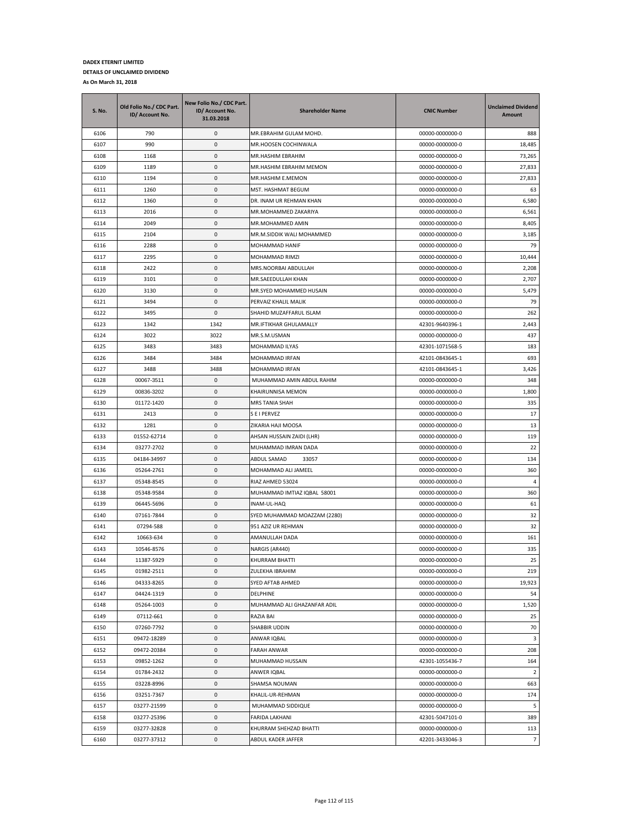| S. No. | Old Folio No./ CDC Part.<br>ID/ Account No. | New Folio No./ CDC Part.<br>ID/ Account No.<br>31.03.2018 | <b>Shareholder Name</b>      | <b>CNIC Number</b> | <b>Unclaimed Dividend</b><br>Amount |
|--------|---------------------------------------------|-----------------------------------------------------------|------------------------------|--------------------|-------------------------------------|
| 6106   | 790                                         | 0                                                         | MR.EBRAHIM GULAM MOHD.       | 00000-0000000-0    | 888                                 |
| 6107   | 990                                         | 0                                                         | MR.HOOSEN COCHINWALA         | 00000-0000000-0    | 18,485                              |
| 6108   | 1168                                        | 0                                                         | MR.HASHIM EBRAHIM            | 00000-0000000-0    | 73,265                              |
| 6109   | 1189                                        | 0                                                         | MR.HASHIM EBRAHIM MEMON      | 00000-0000000-0    | 27,833                              |
| 6110   | 1194                                        | 0                                                         | MR.HASHIM E.MEMON            | 00000-0000000-0    | 27,833                              |
| 6111   | 1260                                        | 0                                                         | MST. HASHMAT BEGUM           | 00000-0000000-0    | 63                                  |
| 6112   | 1360                                        | 0                                                         | DR. INAM UR REHMAN KHAN      | 00000-0000000-0    | 6,580                               |
| 6113   | 2016                                        | 0                                                         | MR.MOHAMMED ZAKARIYA         | 00000-0000000-0    | 6,561                               |
| 6114   | 2049                                        | 0                                                         | MR.MOHAMMED AMIN             | 00000-0000000-0    | 8,405                               |
| 6115   | 2104                                        | 0                                                         | MR.M.SIDDIK WALI MOHAMMED    | 00000-0000000-0    | 3,185                               |
| 6116   | 2288                                        | 0                                                         | MOHAMMAD HANIF               | 00000-0000000-0    | 79                                  |
| 6117   | 2295                                        | 0                                                         | MOHAMMAD RIMZI               | 00000-0000000-0    | 10,444                              |
| 6118   | 2422                                        | 0                                                         | MRS.NOORBAI ABDULLAH         | 00000-0000000-0    | 2,208                               |
| 6119   | 3101                                        | 0                                                         | MR.SAEEDULLAH KHAN           | 00000-0000000-0    | 2,707                               |
| 6120   | 3130                                        | 0                                                         | MR.SYED MOHAMMED HUSAIN      | 00000-0000000-0    | 5,479                               |
| 6121   | 3494                                        | 0                                                         | PERVAIZ KHALIL MALIK         | 00000-0000000-0    | 79                                  |
| 6122   | 3495                                        | 0                                                         | SHAHID MUZAFFARUL ISLAM      | 00000-0000000-0    | 262                                 |
| 6123   | 1342                                        | 1342                                                      | MR.IFTIKHAR GHULAMALLY       | 42301-9640396-1    | 2,443                               |
| 6124   | 3022                                        | 3022                                                      | MR.S.M.USMAN                 | 00000-0000000-0    | 437                                 |
| 6125   | 3483                                        | 3483                                                      | <b>MOHAMMAD ILYAS</b>        | 42301-1071568-5    | 183                                 |
| 6126   | 3484                                        | 3484                                                      | MOHAMMAD IRFAN               | 42101-0843645-1    | 693                                 |
| 6127   | 3488                                        | 3488                                                      | MOHAMMAD IRFAN               | 42101-0843645-1    | 3,426                               |
| 6128   | 00067-3511                                  | 0                                                         | MUHAMMAD AMIN ABDUL RAHIM    | 00000-0000000-0    | 348                                 |
| 6129   | 00836-3202                                  | 0                                                         | KHAIRUNNISA MEMON            | 00000-0000000-0    | 1,800                               |
| 6130   | 01172-1420                                  | 0                                                         | MRS TANIA SHAH               | 00000-0000000-0    | 335                                 |
| 6131   | 2413                                        | 0                                                         | S E I PERVEZ                 | 00000-0000000-0    | 17                                  |
| 6132   | 1281                                        | 0                                                         | ZIKARIA HAJI MOOSA           | 00000-0000000-0    | 13                                  |
| 6133   | 01552-62714                                 | 0                                                         | AHSAN HUSSAIN ZAIDI (LHR)    | 00000-0000000-0    | 119                                 |
| 6134   | 03277-2702                                  | 0                                                         | MUHAMMAD IMRAN DADA          | 00000-0000000-0    | 22                                  |
| 6135   | 04184-34997                                 | 0                                                         | ABDUL SAMAD<br>33057         | 00000-0000000-0    | 134                                 |
| 6136   | 05264-2761                                  | 0                                                         | MOHAMMAD ALI JAMEEL          | 00000-0000000-0    | 360                                 |
| 6137   | 05348-8545                                  | 0                                                         | RIAZ AHMED 53024             | 00000-0000000-0    | 4                                   |
| 6138   | 05348-9584                                  | 0                                                         | MUHAMMAD IMTIAZ IQBAL 58001  | 00000-0000000-0    | 360                                 |
| 6139   | 06445-5696                                  | 0                                                         | INAM-UL-HAQ                  | 00000-0000000-0    | 61                                  |
| 6140   | 07161-7844                                  | 0                                                         | SYED MUHAMMAD MOAZZAM (2280) | 00000-0000000-0    | 32                                  |
| 6141   | 07294-588                                   | 0                                                         | 951 AZIZ UR REHMAN           | 00000-0000000-0    | 32                                  |
| 6142   | 10663-634                                   | 0                                                         | AMANULLAH DADA               | 00000-0000000-0    | 161                                 |
| 6143   | 10546-8576                                  | 0                                                         | NARGIS (AR440)               | 00000-0000000-0    | 335                                 |
| 6144   | 11387-5929                                  | $\mathbf 0$                                               | KHURRAM BHATTI               | 00000-0000000-0    | 25                                  |
| 6145   | 01982-2511                                  | 0                                                         | ZULEKHA IBRAHIM              | 00000-0000000-0    | 219                                 |
| 6146   | 04333-8265                                  | 0                                                         | SYED AFTAB AHMED             | 00000-0000000-0    | 19,923                              |
| 6147   | 04424-1319                                  | 0                                                         | DELPHINE                     | 00000-0000000-0    | 54                                  |
| 6148   | 05264-1003                                  | 0                                                         | MUHAMMAD ALI GHAZANFAR ADIL  | 00000-0000000-0    | 1,520                               |
| 6149   | 07112-661                                   | 0                                                         | RAZIA BAI                    | 00000-0000000-0    | 25                                  |
| 6150   | 07260-7792                                  | 0                                                         | SHABBIR UDDIN                | 00000-0000000-0    | 70                                  |
| 6151   | 09472-18289                                 | 0                                                         | ANWAR IQBAL                  | 00000-0000000-0    | 3                                   |
| 6152   | 09472-20384                                 | 0                                                         | FARAH ANWAR                  | 00000-0000000-0    | 208                                 |
| 6153   | 09852-1262                                  | 0                                                         | MUHAMMAD HUSSAIN             | 42301-1055436-7    | 164                                 |
| 6154   | 01784-2432                                  | 0                                                         | ANWER IQBAL                  | 00000-0000000-0    | $\overline{2}$                      |
| 6155   | 03228-8996                                  | 0                                                         | SHAMSA NOUMAN                | 00000-0000000-0    | 663                                 |
| 6156   | 03251-7367                                  | 0                                                         | KHALIL-UR-REHMAN             | 00000-0000000-0    | 174                                 |
| 6157   | 03277-21599                                 | 0                                                         | MUHAMMAD SIDDIQUE            | 00000-0000000-0    | 5                                   |
| 6158   | 03277-25396                                 | 0                                                         | FARIDA LAKHANI               | 42301-5047101-0    | 389                                 |
| 6159   | 03277-32828                                 | 0                                                         | KHURRAM SHEHZAD BHATTI       | 00000-0000000-0    | 113                                 |
| 6160   | 03277-37312                                 | 0                                                         | ABDUL KADER JAFFER           | 42201-3433046-3    | $\overline{7}$                      |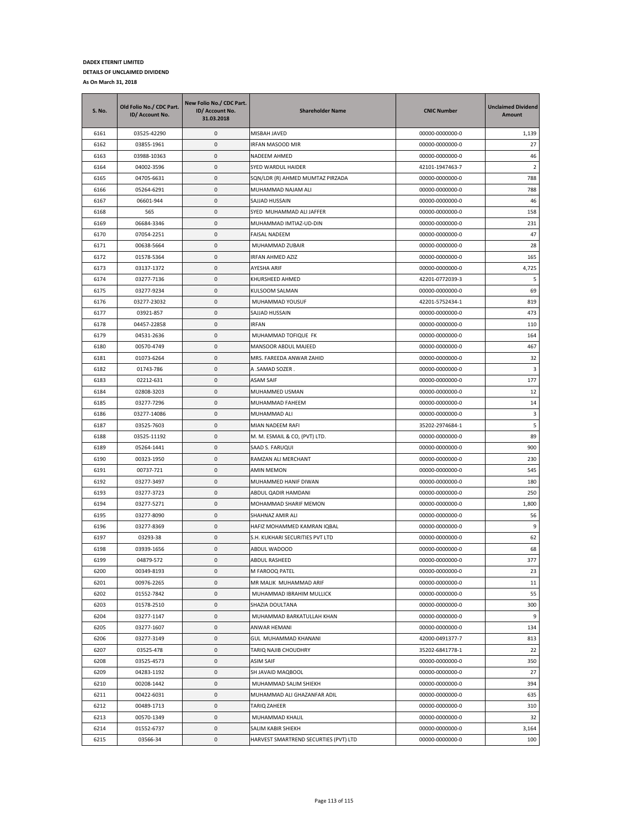| <b>S. No.</b> | Old Folio No./ CDC Part.<br>ID/ Account No. | New Folio No./ CDC Part.<br>ID/ Account No.<br>31.03.2018 | <b>Shareholder Name</b>               | <b>CNIC Number</b>                 | <b>Unclaimed Dividend</b><br><b>Amount</b> |
|---------------|---------------------------------------------|-----------------------------------------------------------|---------------------------------------|------------------------------------|--------------------------------------------|
| 6161          | 03525-42290                                 | 0                                                         | MISBAH JAVED                          | 00000-0000000-0                    | 1,139                                      |
| 6162          | 03855-1961                                  | 0                                                         | IRFAN MASOOD MIR                      | 00000-0000000-0                    | 27                                         |
| 6163          | 03988-10363                                 | 0                                                         | NADEEM AHMED                          | 00000-0000000-0                    | 46                                         |
| 6164          | 04002-3596                                  | 0                                                         | SYED WARDUL HAIDER                    | 42101-1947463-7                    | 2                                          |
| 6165          | 04705-6631                                  | 0                                                         | SQN/LDR (R) AHMED MUMTAZ PIRZADA      | 00000-0000000-0                    | 788                                        |
| 6166          | 05264-6291                                  | 0                                                         | MUHAMMAD NAJAM ALI                    | 00000-0000000-0                    | 788                                        |
| 6167          | 06601-944                                   | 0                                                         | SAJJAD HUSSAIN                        | 00000-0000000-0                    | 46                                         |
| 6168          | 565                                         | 0                                                         | SYED MUHAMMAD ALI JAFFER              | 00000-0000000-0                    | 158                                        |
| 6169          | 06684-3346                                  | 0                                                         | MUHAMMAD IMTIAZ-UD-DIN                | 00000-0000000-0                    | 231                                        |
| 6170          | 07054-2251                                  | 0                                                         | FAISAL NADEEM                         | 00000-0000000-0                    | 47                                         |
| 6171          | 00638-5664                                  | 0                                                         | MUHAMMAD ZUBAIR                       | 00000-0000000-0                    | 28                                         |
| 6172          | 01578-5364                                  | 0                                                         | IRFAN AHMED AZIZ                      | 00000-0000000-0                    | 165                                        |
| 6173          | 03137-1372                                  | 0                                                         | AYESHA ARIF                           | 00000-0000000-0                    | 4,725                                      |
| 6174          | 03277-7136                                  | 0                                                         | KHURSHEED AHMED                       | 42201-0772039-3                    | 5                                          |
| 6175          | 03277-9234                                  | 0                                                         | KULSOOM SALMAN                        | 00000-0000000-0                    | 69                                         |
| 6176          | 03277-23032                                 | 0                                                         | MUHAMMAD YOUSUF                       | 42201-5752434-1                    | 819                                        |
| 6177          | 03921-857                                   | 0                                                         | SAJJAD HUSSAIN                        | 00000-0000000-0                    | 473                                        |
| 6178          | 04457-22858                                 | 0                                                         | <b>IRFAN</b>                          | 00000-0000000-0                    | 110                                        |
| 6179          | 04531-2636                                  | 0                                                         | MUHAMMAD TOFIQUE FK                   | 00000-0000000-0                    | 164                                        |
| 6180          | 00570-4749                                  | 0                                                         | MANSOOR ABDUL MAJEED                  | 00000-0000000-0                    | 467                                        |
| 6181          | 01073-6264                                  | 0                                                         | MRS. FAREEDA ANWAR ZAHID              | 00000-0000000-0                    | 32                                         |
| 6182          | 01743-786                                   | 0                                                         | A .SAMAD SOZER .                      | 00000-0000000-0                    | 3                                          |
| 6183          | 02212-631                                   | 0                                                         | <b>ASAM SAIF</b>                      | 00000-0000000-0                    | 177                                        |
| 6184          | 02808-3203                                  | 0                                                         | MUHAMMED USMAN                        | 00000-0000000-0                    | 12                                         |
| 6185          | 03277-7296                                  | 0                                                         | MUHAMMAD FAHEEM                       | 00000-0000000-0                    | 14                                         |
| 6186          | 03277-14086                                 | 0                                                         | MUHAMMAD ALI                          | 00000-0000000-0                    | 3                                          |
| 6187          | 03525-7603                                  | 0                                                         | MIAN NADEEM RAFI                      | 35202-2974684-1                    | 5                                          |
| 6188          | 03525-11192                                 | 0                                                         | M. M. ESMAIL & CO, (PVT) LTD.         | 00000-0000000-0                    | 89                                         |
| 6189<br>6190  | 05264-1441                                  | 0<br>0                                                    | SAAD S. FARUQUI                       | 00000-0000000-0                    | 900<br>230                                 |
| 6191          | 00323-1950<br>00737-721                     | 0                                                         | RAMZAN ALI MERCHANT<br>AMIN MEMON     | 00000-0000000-0                    | 545                                        |
| 6192          | 03277-3497                                  | 0                                                         | MUHAMMED HANIF DIWAN                  | 00000-0000000-0<br>00000-0000000-0 | 180                                        |
| 6193          | 03277-3723                                  | 0                                                         | ABDUL QADIR HAMDANI                   | 00000-0000000-0                    | 250                                        |
| 6194          | 03277-5271                                  | 0                                                         | MOHAMMAD SHARIF MEMON                 | 00000-0000000-0                    | 1,800                                      |
| 6195          | 03277-8090                                  | 0                                                         | SHAHNAZ AMIR ALI                      | 00000-0000000-0                    | 56                                         |
| 6196          | 03277-8369                                  | 0                                                         | HAFIZ MOHAMMED KAMRAN IQBAL           | 00000-0000000-0                    | 9                                          |
| 6197          | 03293-38                                    | 0                                                         | S.H. KUKHARI SECURITIES PVT LTD       | 00000-0000000-0                    | 62                                         |
| 6198          | 03939-1656                                  | 0                                                         | ABDUL WADOOD                          | 00000-0000000-0                    | 68                                         |
| 6199          | 04879-572                                   | $\mathbf{0}$                                              | <b>ABDUL RASHEED</b>                  | 00000-0000000-0                    | 377                                        |
| 6200          | 00349-8193                                  | 0                                                         | M FAROOQ PATEL                        | 00000-0000000-0                    | 23                                         |
| 6201          | 00976-2265                                  | 0                                                         | MR MALIK MUHAMMAD ARIF                | 00000-0000000-0                    | 11                                         |
| 6202          | 01552-7842                                  | 0                                                         | MUHAMMAD IBRAHIM MULLICK              | 00000-0000000-0                    | 55                                         |
| 6203          | 01578-2510                                  | 0                                                         | SHAZIA DOULTANA                       | 00000-0000000-0                    | 300                                        |
| 6204          | 03277-1147                                  | 0                                                         | MUHAMMAD BARKATULLAH KHAN             | 00000-0000000-0                    | 9                                          |
| 6205          | 03277-1607                                  | 0                                                         | ANWAR HEMANI                          | 00000-0000000-0                    | 134                                        |
| 6206          | 03277-3149                                  | 0                                                         | GUL MUHAMMAD KHANANI                  | 42000-0491377-7                    | 813                                        |
| 6207          | 03525-478                                   | 0                                                         | TARIQ NAJIB CHOUDHRY                  | 35202-6841778-1                    | 22                                         |
| 6208          | 03525-4573                                  | 0                                                         | ASIM SAIF                             | 00000-0000000-0                    | 350                                        |
| 6209          | 04283-1192                                  | 0                                                         | SH JAVAID MAQBOOL                     | 00000-0000000-0                    | 27                                         |
| 6210          | 00208-1442                                  | 0                                                         | MUHAMMAD SALIM SHIEKH                 | 00000-0000000-0                    | 394                                        |
| 6211          | 00422-6031                                  | $\pmb{0}$                                                 | MUHAMMAD ALI GHAZANFAR ADIL           | 00000-0000000-0                    | 635                                        |
| 6212          | 00489-1713                                  | 0                                                         | TARIQ ZAHEER                          | 00000-0000000-0                    | 310                                        |
| 6213          | 00570-1349                                  | 0                                                         | MUHAMMAD KHALIL                       | 00000-0000000-0                    | 32                                         |
| 6214          | 01552-6737                                  | 0                                                         | SALIM KABIR SHIEKH                    | 00000-0000000-0                    | 3,164                                      |
| 6215          | 03566-34                                    | 0                                                         | HARVEST SMARTREND SECURTIES (PVT) LTD | 00000-0000000-0                    | 100                                        |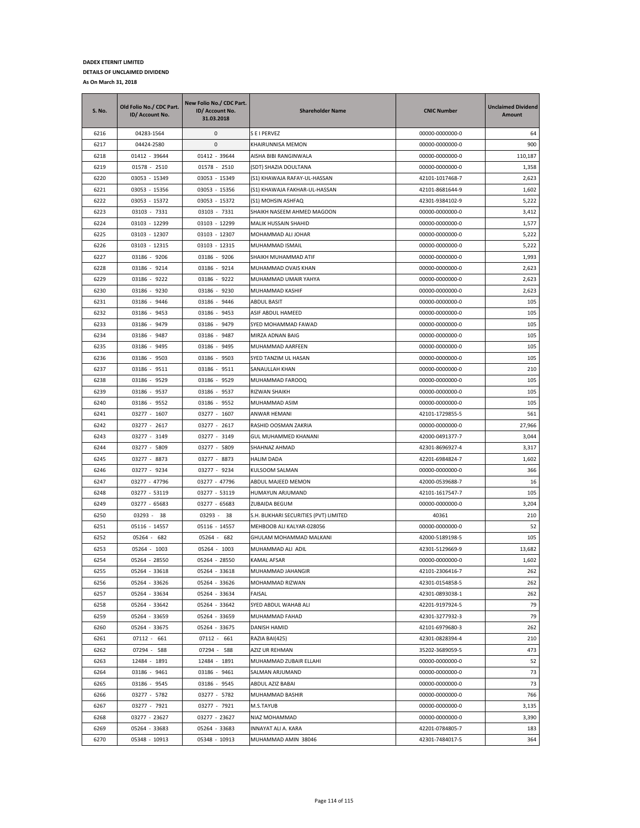| <b>S. No.</b> | Old Folio No./ CDC Part.<br>ID/ Account No. | New Folio No./ CDC Part.<br>ID/ Account No.<br>31.03.2018 | <b>Shareholder Name</b>               | <b>CNIC Number</b> | <b>Unclaimed Dividend</b><br>Amount |
|---------------|---------------------------------------------|-----------------------------------------------------------|---------------------------------------|--------------------|-------------------------------------|
| 6216          | 04283-1564                                  | 0                                                         | S E I PERVEZ                          | 00000-0000000-0    | 64                                  |
| 6217          | 04424-2580                                  | 0                                                         | KHAIRUNNISA MEMON                     | 00000-0000000-0    | 900                                 |
| 6218          | 01412 - 39644                               | 01412 - 39644                                             | AISHA BIBI RANGINWALA                 | 00000-0000000-0    | 110,187                             |
| 6219          | 01578 - 2510                                | 01578 - 2510                                              | (SDT) SHAZIA DOULTANA                 | 00000-0000000-0    | 1,358                               |
| 6220          | 03053 - 15349                               | 03053 - 15349                                             | (S1) KHAWAJA RAFAY-UL-HASSAN          | 42101-1017468-7    | 2,623                               |
| 6221          | 03053 - 15356                               | 03053 - 15356                                             | (S1) KHAWAJA FAKHAR-UL-HASSAN         | 42101-8681644-9    | 1,602                               |
| 6222          | 03053 - 15372                               | 03053 - 15372                                             | (S1) MOHSIN ASHFAQ                    | 42301-9384102-9    | 5,222                               |
| 6223          | 03103 - 7331                                | 03103 - 7331                                              | SHAIKH NASEEM AHMED MAGOON            | 00000-0000000-0    | 3,412                               |
| 6224          | 03103 - 12299                               | 03103 - 12299                                             | <b>MALIK HUSSAIN SHAHID</b>           | 00000-0000000-0    | 1,577                               |
| 6225          | 03103 - 12307                               | 03103 - 12307                                             | MOHAMMAD ALI JOHAR                    | 00000-0000000-0    | 5,222                               |
| 6226          | 03103 - 12315                               | 03103 - 12315                                             | MUHAMMAD ISMAIL                       | 00000-0000000-0    | 5,222                               |
| 6227          | 03186 - 9206                                | 03186 - 9206                                              | SHAIKH MUHAMMAD ATIF                  | 00000-0000000-0    | 1,993                               |
| 6228          | 03186 - 9214                                | 03186 - 9214                                              | MUHAMMAD OVAIS KHAN                   | 00000-0000000-0    | 2,623                               |
| 6229          | 03186 - 9222                                | 03186 - 9222                                              | MUHAMMAD UMAIR YAHYA                  | 00000-0000000-0    | 2,623                               |
| 6230          | 03186 - 9230                                | 03186 - 9230                                              | MUHAMMAD KASHIF                       | 00000-0000000-0    | 2,623                               |
| 6231          | 03186 - 9446                                | 03186 - 9446                                              | <b>ABDUL BASIT</b>                    | 00000-0000000-0    | 105                                 |
| 6232          | 03186 - 9453                                | 03186 - 9453                                              | ASIF ABDUL HAMEED                     | 00000-0000000-0    | 105                                 |
| 6233          | 03186 - 9479                                | 03186 - 9479                                              | SYED MOHAMMAD FAWAD                   | 00000-0000000-0    | 105                                 |
| 6234          | 03186 - 9487                                | 03186 - 9487                                              | MIRZA ADNAN BAIG                      | 00000-0000000-0    | 105                                 |
| 6235          | 03186 - 9495                                | 03186 - 9495                                              | MUHAMMAD AARFEEN                      | 00000-0000000-0    | 105                                 |
| 6236          | 03186 - 9503                                | 03186 - 9503                                              | SYED TANZIM UL HASAN                  | 00000-0000000-0    | 105                                 |
| 6237          | 03186 - 9511                                | 03186 - 9511                                              | SANAULLAH KHAN                        | 00000-0000000-0    | 210                                 |
| 6238          | 03186 - 9529                                | 03186 - 9529                                              | MUHAMMAD FAROOQ                       | 00000-0000000-0    | 105                                 |
| 6239          | 03186 - 9537                                | 03186 - 9537                                              | RIZWAN SHAIKH                         | 00000-0000000-0    | 105                                 |
| 6240          | 03186 - 9552                                | 03186 - 9552                                              | MUHAMMAD ASIM                         | 00000-0000000-0    | 105                                 |
| 6241          | 03277 - 1607                                | 03277 - 1607                                              | ANWAR HEMANI                          | 42101-1729855-5    | 561                                 |
| 6242          | 03277 - 2617                                | 03277 - 2617                                              | RASHID OOSMAN ZAKRIA                  | 00000-0000000-0    | 27,966                              |
| 6243          | 03277 - 3149                                | 03277 - 3149                                              | GUL MUHAMMED KHANANI                  | 42000-0491377-7    | 3,044                               |
| 6244          | 03277 - 5809                                | 03277 - 5809                                              | SHAHNAZ AHMAD                         | 42301-8696927-4    | 3,317                               |
| 6245          | 03277 - 8873                                | 03277 - 8873                                              | HALIM DADA                            | 42201-6984824-7    | 1,602                               |
| 6246          | 03277 - 9234                                | 03277 - 9234                                              | KULSOOM SALMAN                        | 00000-0000000-0    | 366                                 |
| 6247          | 03277 - 47796                               | 03277 - 47796                                             | ABDUL MAJEED MEMON                    | 42000-0539688-7    | 16                                  |
| 6248          | 03277 - 53119                               | 03277 - 53119                                             | HUMAYUN ARJUMAND                      | 42101-1617547-7    | 105                                 |
| 6249          | 03277 - 65683                               | 03277 - 65683                                             | <b>ZUBAIDA BEGUM</b>                  | 00000-0000000-0    | 3,204                               |
| 6250          | 03293 -<br>38                               | 03293 - 38                                                | S.H. BUKHARI SECURITIES (PVT) LIMITED | 40361              | 210                                 |
| 6251          | 05116 - 14557                               | 05116 - 14557                                             | MEHBOOB ALI KALYAR-028056             | 00000-0000000-0    | 52                                  |
| 6252          | 05264 -<br>682                              | 05264 - 682                                               | GHULAM MOHAMMAD MALKANI               | 42000-5189198-5    | 105                                 |
| 6253          | 05264 - 1003                                | 05264 - 1003                                              | MUHAMMAD ALI ADIL                     | 42301-5129669-9    | 13,682                              |
| 6254          | 05264 - 28550                               | 05264 - 28550                                             | <b>KAMAL AFSAR</b>                    | 00000-0000000-0    | 1,602                               |
| 6255          | 05264 - 33618                               | 05264 - 33618                                             | MUHAMMAD JAHANGIR                     | 42101-2306416-7    | 262                                 |
| 6256          | 05264 - 33626                               | 05264 - 33626                                             | MOHAMMAD RIZWAN                       | 42301-0154858-5    | 262                                 |
| 6257          | 05264 - 33634                               | 05264 - 33634                                             | FAISAL                                | 42301-0893038-1    | 262                                 |
| 6258          | 05264 - 33642                               | 05264 - 33642                                             | SYED ABDUL WAHAB ALI                  | 42201-9197924-5    | 79                                  |
| 6259          | 05264 - 33659                               | 05264 - 33659                                             | MUHAMMAD FAHAD                        | 42301-3277932-3    | 79                                  |
| 6260          | 05264 - 33675                               | 05264 - 33675                                             | <b>DANISH HAMID</b>                   | 42101-6979680-3    | 262                                 |
| 6261          | 07112 - 661                                 | 07112 - 661                                               | RAZIA BAI(425)                        | 42301-0828394-4    | 210                                 |
| 6262          | 07294 - 588                                 | 07294 - 588                                               | AZIZ UR REHMAN                        | 35202-3689059-5    | 473                                 |
| 6263          | 12484 - 1891                                | 12484 - 1891                                              | MUHAMMAD ZUBAIR ELLAHI                | 00000-0000000-0    | 52                                  |
| 6264          | 03186 - 9461                                | 03186 - 9461                                              | SALMAN ARJUMAND                       | 00000-0000000-0    | 73                                  |
| 6265          | 03186 - 9545                                | 03186 - 9545                                              | ABDUL AZIZ BABAI                      | 00000-0000000-0    | 73                                  |
| 6266          | 03277 - 5782                                | 03277 - 5782                                              | MUHAMMAD BASHIR                       | 00000-0000000-0    | 766                                 |
| 6267          | 03277 - 7921                                | 03277 - 7921                                              | M.S.TAYUB                             | 00000-0000000-0    | 3,135                               |
| 6268          | 03277 - 23627                               | 03277 - 23627                                             | NIAZ MOHAMMAD                         | 00000-0000000-0    | 3,390                               |
| 6269          | 05264 - 33683                               | 05264 - 33683                                             | INNAYAT ALI A. KARA                   | 42201-0784805-7    | 183                                 |
| 6270          | 05348 - 10913                               | 05348 - 10913                                             | MUHAMMAD AMIN 38046                   | 42301-7484017-5    | 364                                 |